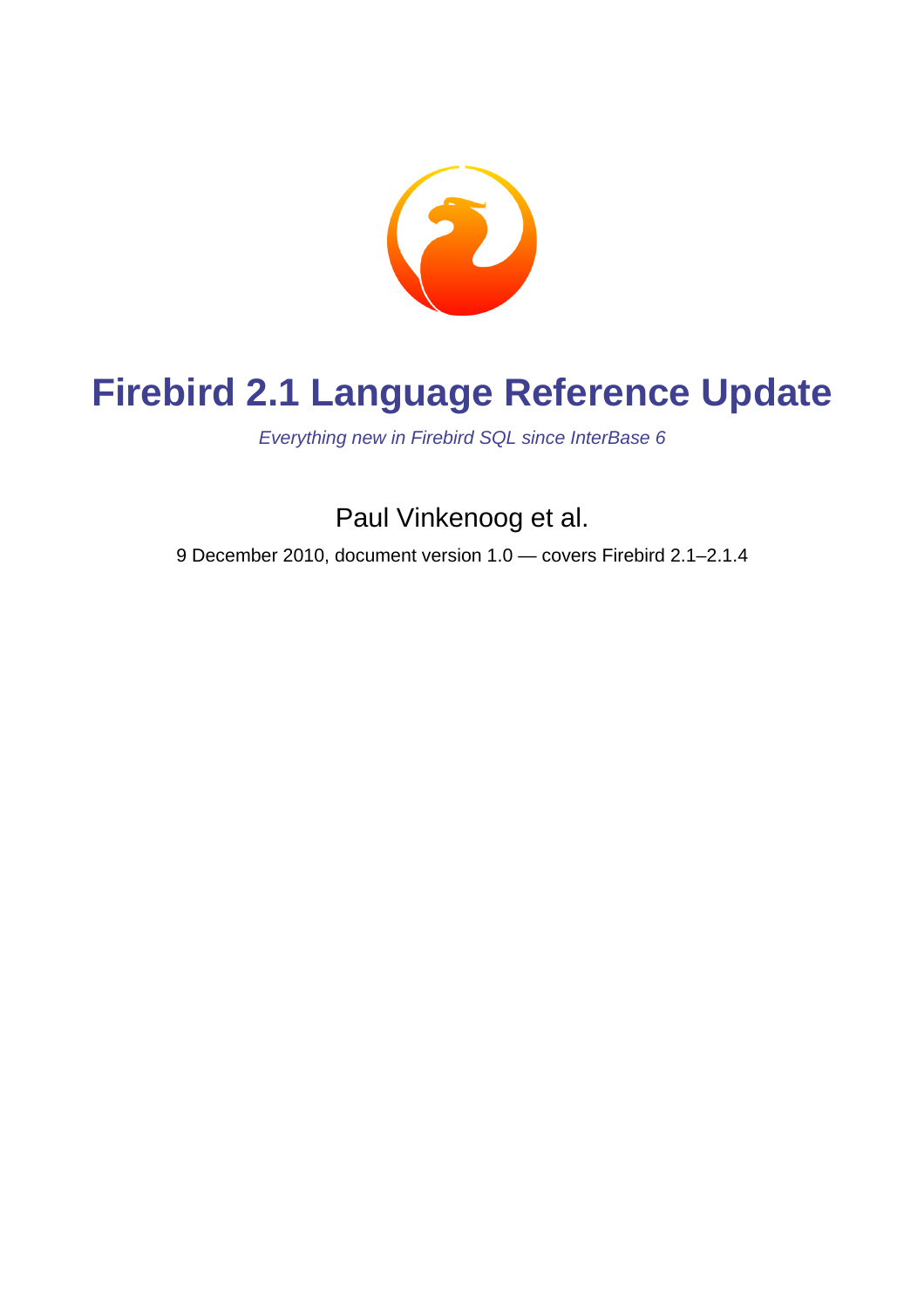

# **Firebird 2.1 Language Reference Update**

Everything new in Firebird SQL since InterBase 6

Paul Vinkenoog et al.

9 December 2010, document version 1.0 — covers Firebird 2.1–2.1.4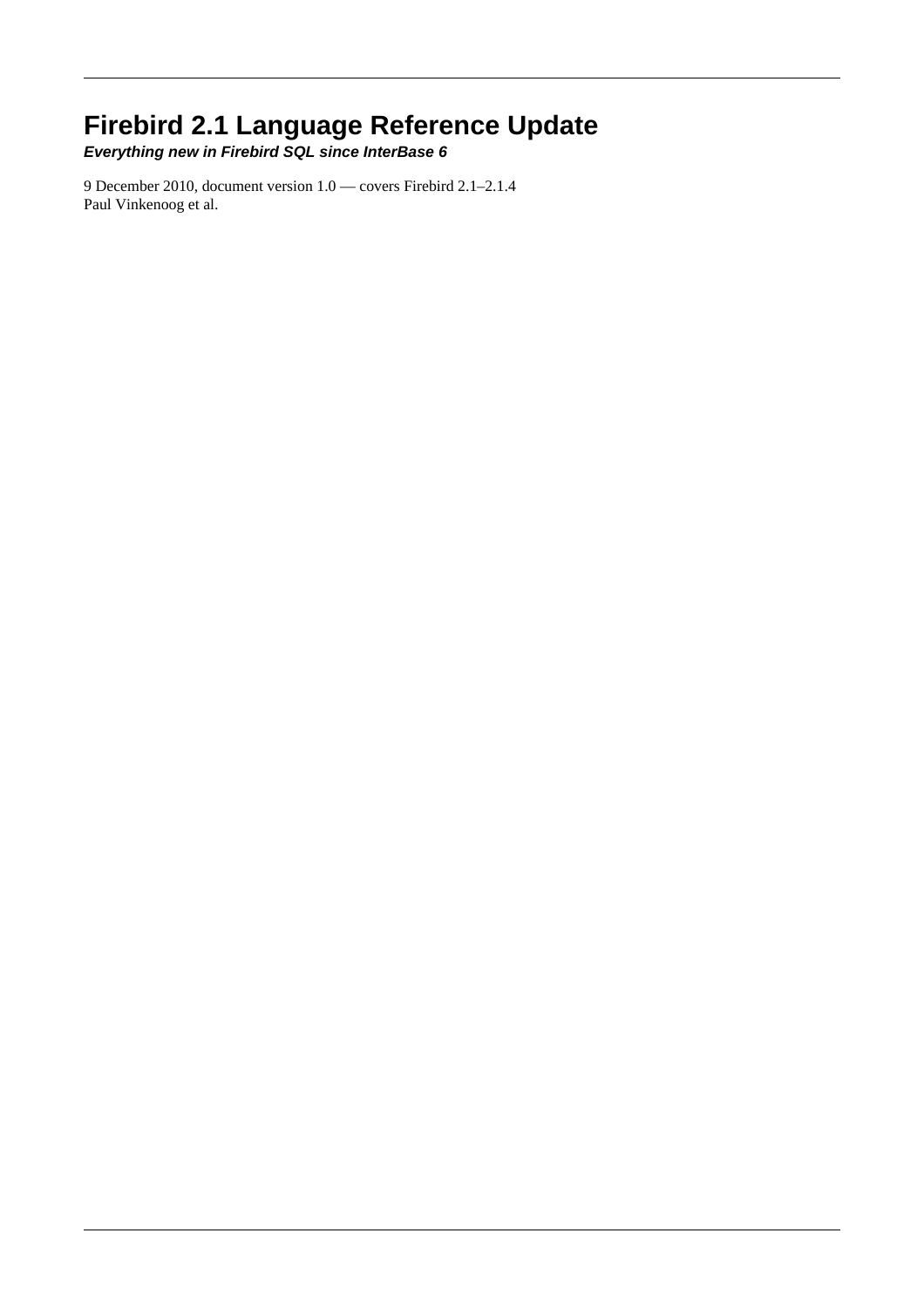## **Firebird 2.1 Language Reference Update**

**Everything new in Firebird SQL since InterBase 6**

9 December 2010, document version 1.0 — covers Firebird 2.1–2.1.4 Paul Vinkenoog et al.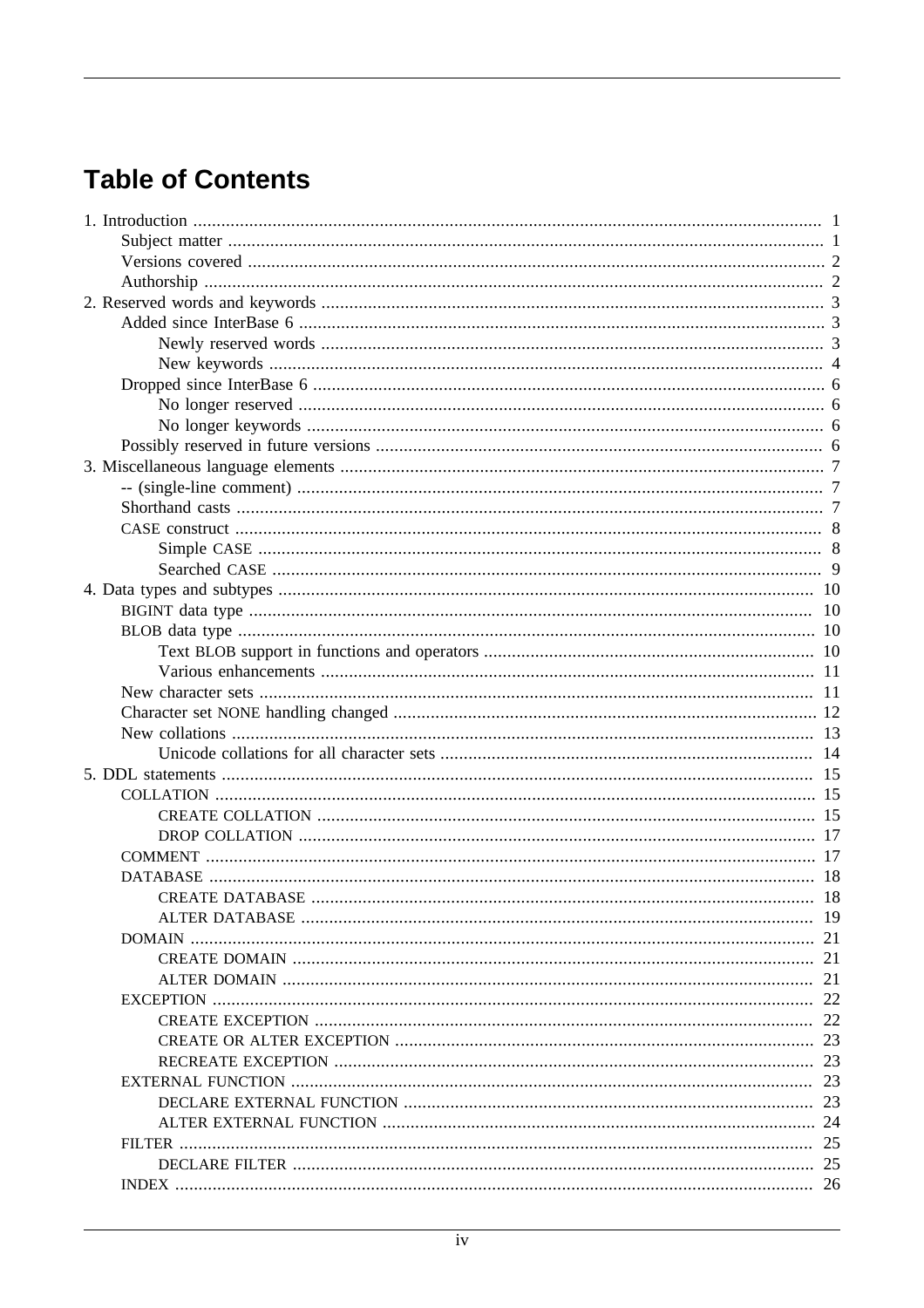# **Table of Contents**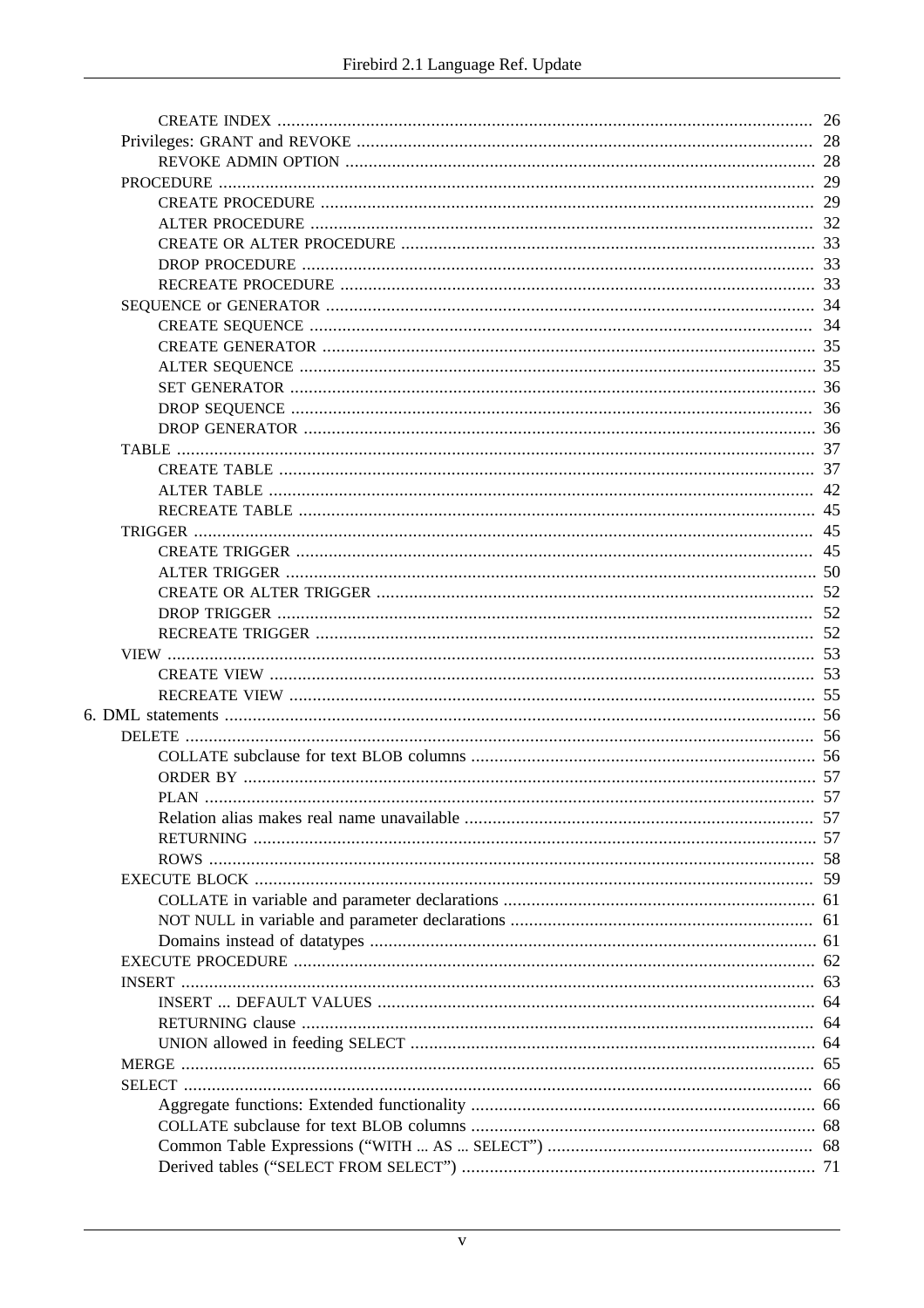| 26  |
|-----|
|     |
|     |
|     |
|     |
|     |
|     |
|     |
|     |
|     |
| 34  |
|     |
|     |
|     |
|     |
|     |
|     |
|     |
| 42  |
| 45  |
| 45  |
| 45  |
|     |
|     |
|     |
| .52 |
|     |
|     |
|     |
|     |
|     |
|     |
|     |
|     |
|     |
|     |
|     |
|     |
|     |
|     |
|     |
|     |
|     |
|     |
| 64  |
|     |
|     |
|     |
|     |
|     |
|     |
|     |
|     |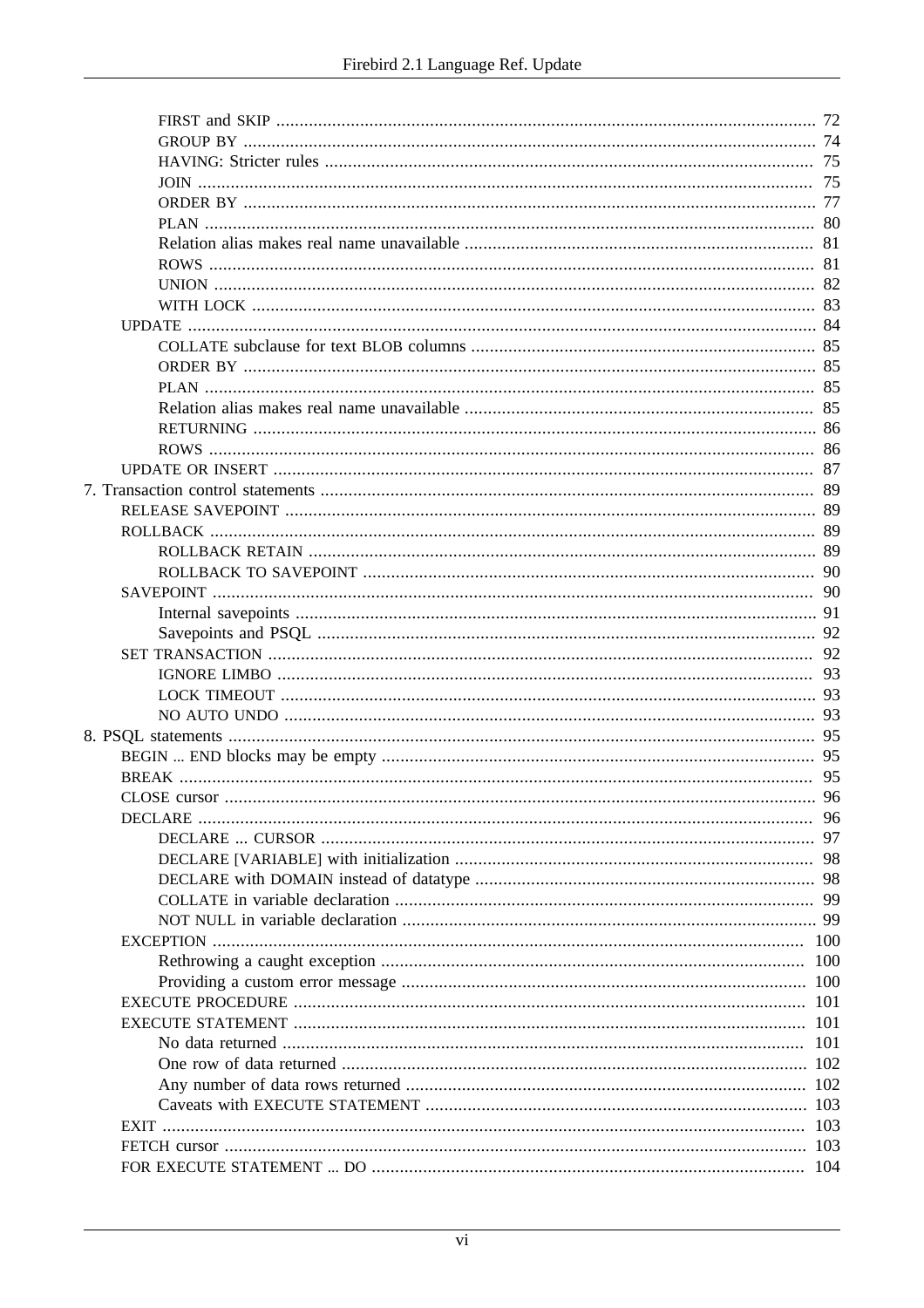|             | 83  |
|-------------|-----|
|             |     |
|             |     |
|             |     |
|             |     |
|             |     |
|             |     |
|             | -86 |
|             |     |
|             |     |
|             | 89  |
|             |     |
|             |     |
|             |     |
|             |     |
|             | 91  |
|             | 92  |
|             |     |
|             |     |
|             |     |
|             | 93  |
|             |     |
|             |     |
|             |     |
|             |     |
|             | 96  |
|             | 97  |
|             |     |
|             |     |
|             |     |
|             | 99  |
|             | 100 |
|             | 100 |
|             |     |
|             |     |
|             | 101 |
|             | 101 |
|             |     |
|             |     |
|             |     |
| <b>EXIT</b> | 103 |
|             | 103 |
|             | 104 |
|             |     |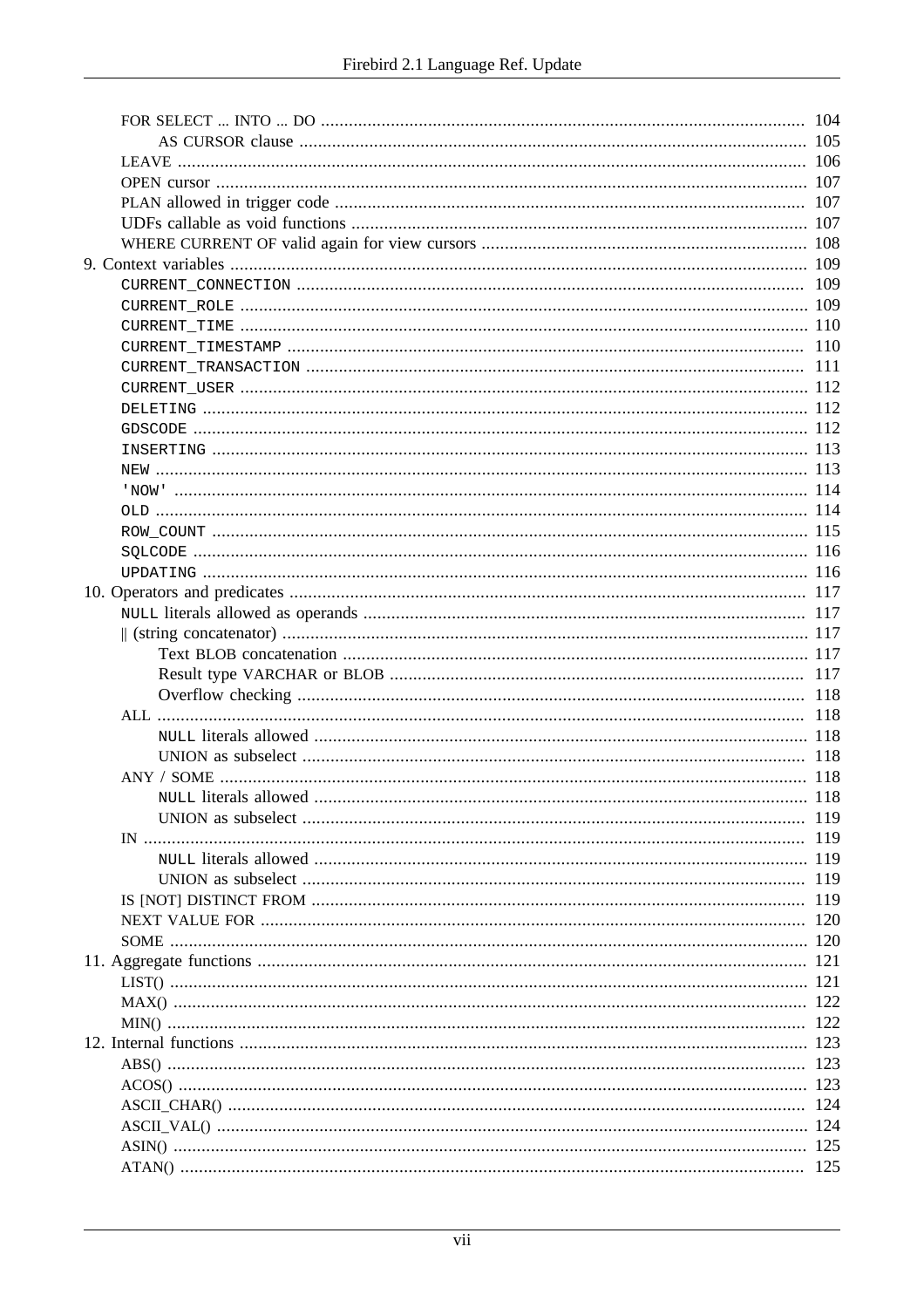|  | 119 |
|--|-----|
|  | 119 |
|  |     |
|  |     |
|  |     |
|  |     |
|  |     |
|  |     |
|  |     |
|  |     |
|  |     |
|  |     |
|  |     |
|  |     |
|  |     |
|  |     |
|  |     |
|  |     |
|  |     |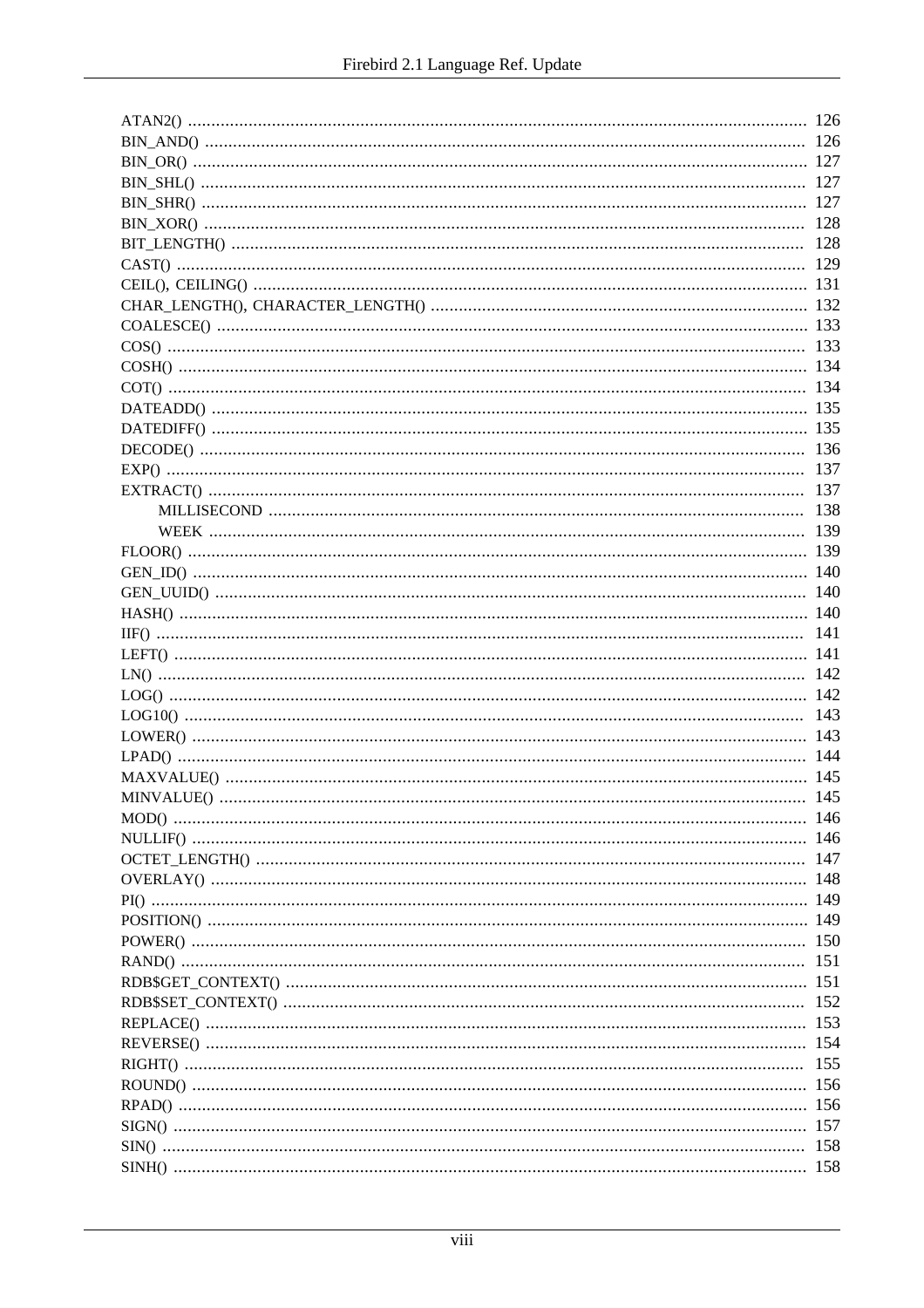| -128 |
|------|
|      |
|      |
|      |
|      |
|      |
|      |
|      |
|      |
|      |
|      |
| 137  |
|      |
|      |
|      |
|      |
|      |
|      |
|      |
|      |
|      |
|      |
| 142  |
|      |
|      |
|      |
|      |
|      |
|      |
|      |
|      |
|      |
|      |
|      |
|      |
|      |
|      |
|      |
|      |
|      |
|      |
| 155  |
|      |
|      |
|      |
|      |
|      |
|      |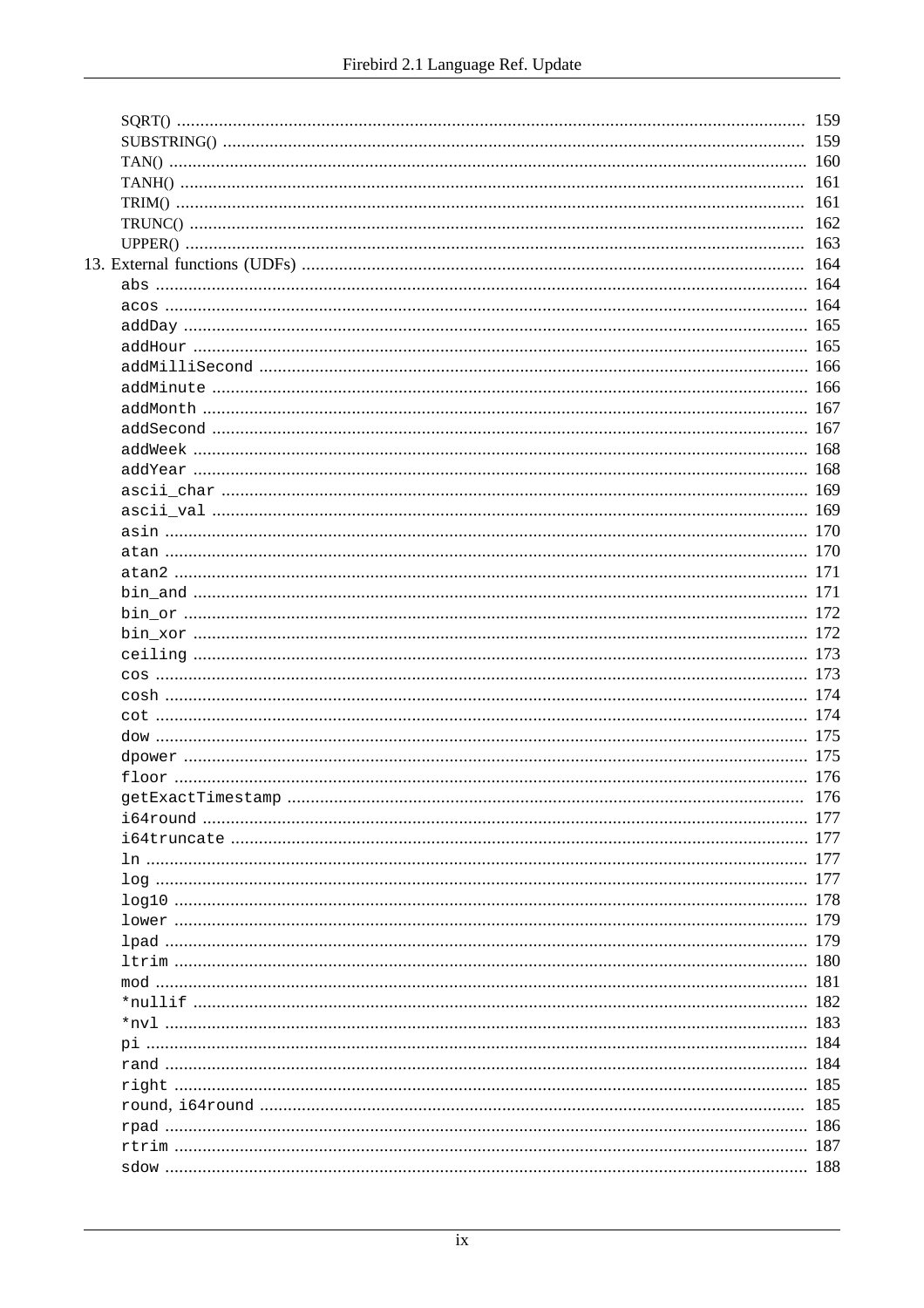|  | 159 |
|--|-----|
|  | 159 |
|  |     |
|  |     |
|  |     |
|  |     |
|  | 163 |
|  | 164 |
|  |     |
|  |     |
|  |     |
|  |     |
|  |     |
|  |     |
|  |     |
|  |     |
|  |     |
|  |     |
|  |     |
|  |     |
|  |     |
|  |     |
|  |     |
|  |     |
|  |     |
|  |     |
|  |     |
|  |     |
|  |     |
|  |     |
|  |     |
|  |     |
|  |     |
|  |     |
|  |     |
|  |     |
|  | 177 |
|  |     |
|  |     |
|  |     |
|  |     |
|  |     |
|  |     |
|  |     |
|  |     |
|  |     |
|  |     |
|  |     |
|  |     |
|  |     |
|  | 185 |
|  |     |
|  | 187 |
|  |     |
|  |     |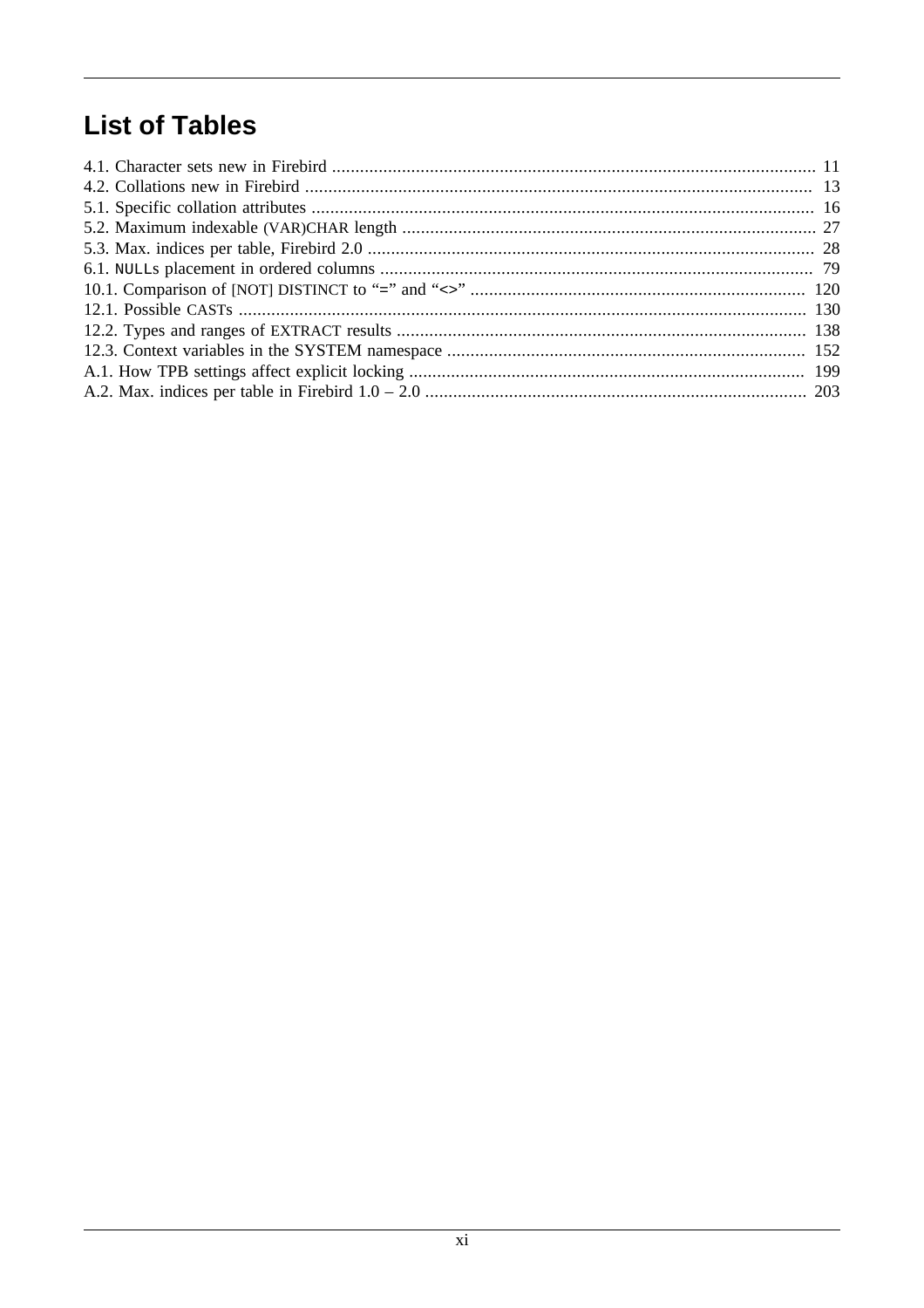# **List of Tables**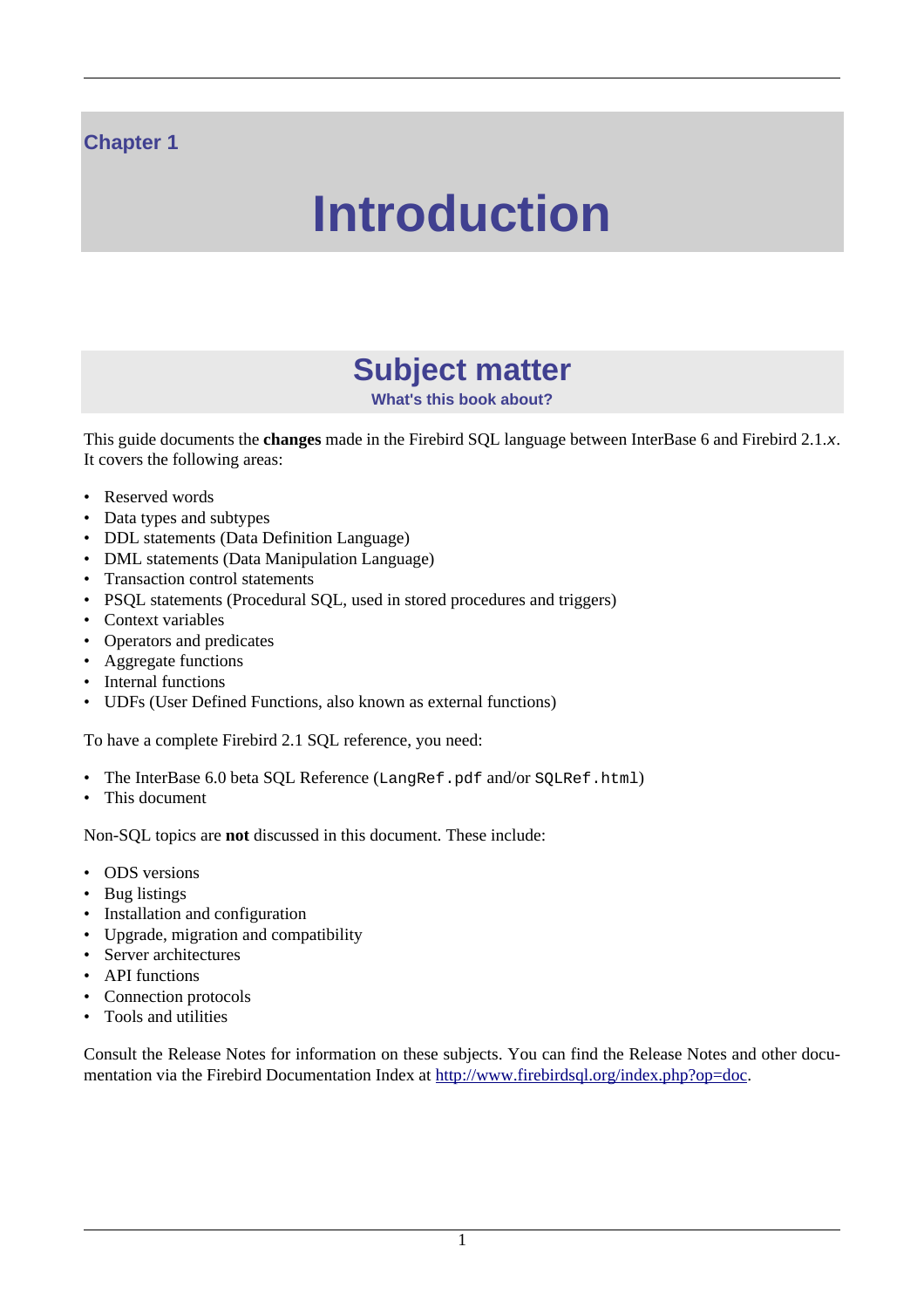## <span id="page-11-0"></span>**Chapter 1**

# **Introduction**

# **Subject matter**

**What's this book about?**

<span id="page-11-1"></span>This guide documents the **changes** made in the Firebird SQL language between InterBase 6 and Firebird 2.1.x. It covers the following areas:

- Reserved words
- Data types and subtypes
- DDL statements (Data Definition Language)
- DML statements (Data Manipulation Language)
- Transaction control statements
- PSQL statements (Procedural SQL, used in stored procedures and triggers)
- Context variables
- Operators and predicates
- Aggregate functions
- Internal functions
- UDFs (User Defined Functions, also known as external functions)

To have a complete Firebird 2.1 SQL reference, you need:

- The InterBase 6.0 beta SQL Reference (LangRef.pdf and/or SQLRef.html)
- This document

Non-SQL topics are **not** discussed in this document. These include:

- ODS versions
- Bug listings
- Installation and configuration
- Upgrade, migration and compatibility
- Server architectures
- API functions
- Connection protocols
- Tools and utilities

Consult the Release Notes for information on these subjects. You can find the Release Notes and other documentation via the Firebird Documentation Index at<http://www.firebirdsql.org/index.php?op=doc>.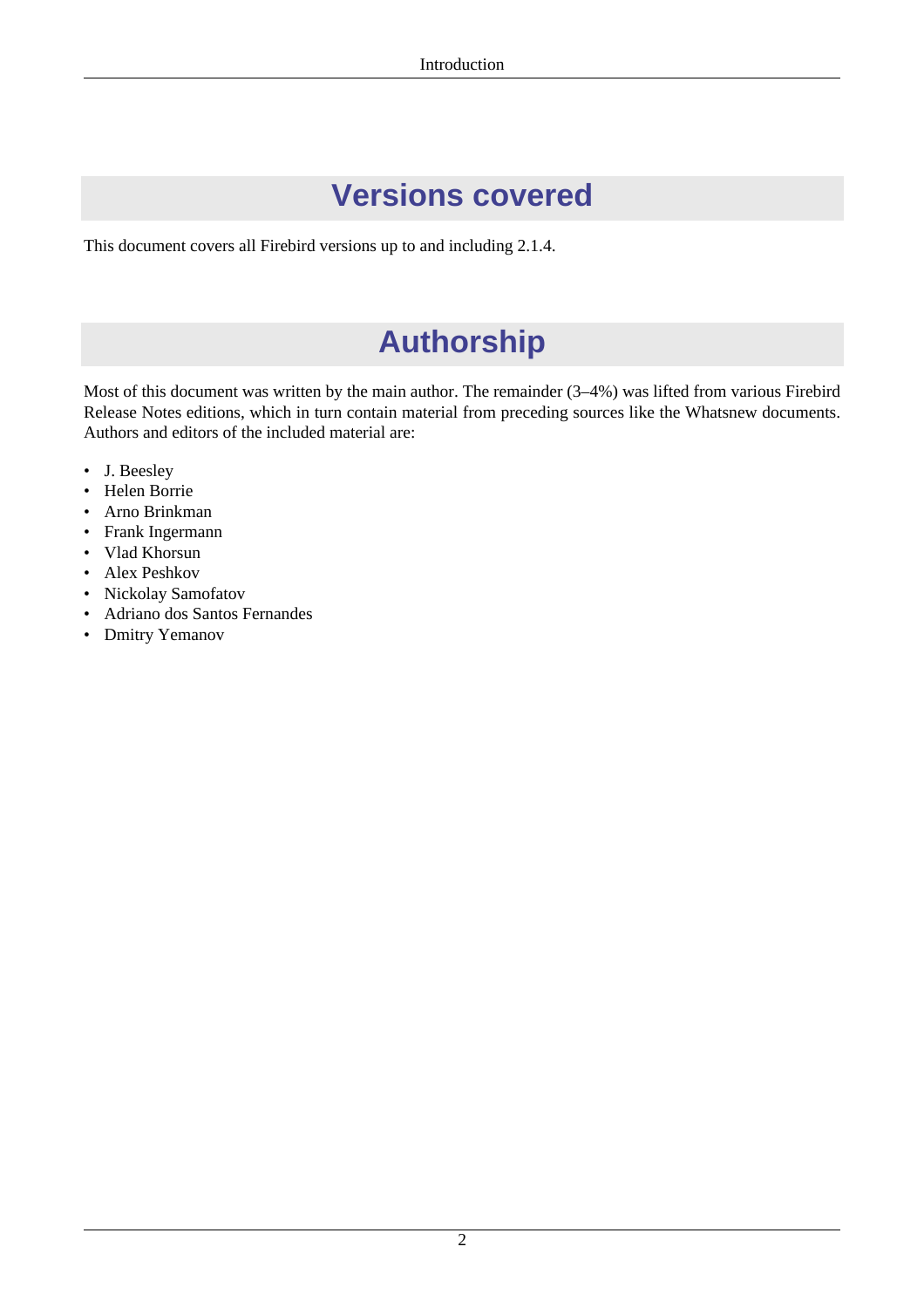# **Versions covered**

<span id="page-12-1"></span><span id="page-12-0"></span>This document covers all Firebird versions up to and including 2.1.4.

# **Authorship**

Most of this document was written by the main author. The remainder (3–4%) was lifted from various Firebird Release Notes editions, which in turn contain material from preceding sources like the Whatsnew documents. Authors and editors of the included material are:

- J. Beesley
- Helen Borrie
- Arno Brinkman
- Frank Ingermann
- Vlad Khorsun
- Alex Peshkov
- Nickolay Samofatov
- Adriano dos Santos Fernandes
- Dmitry Yemanov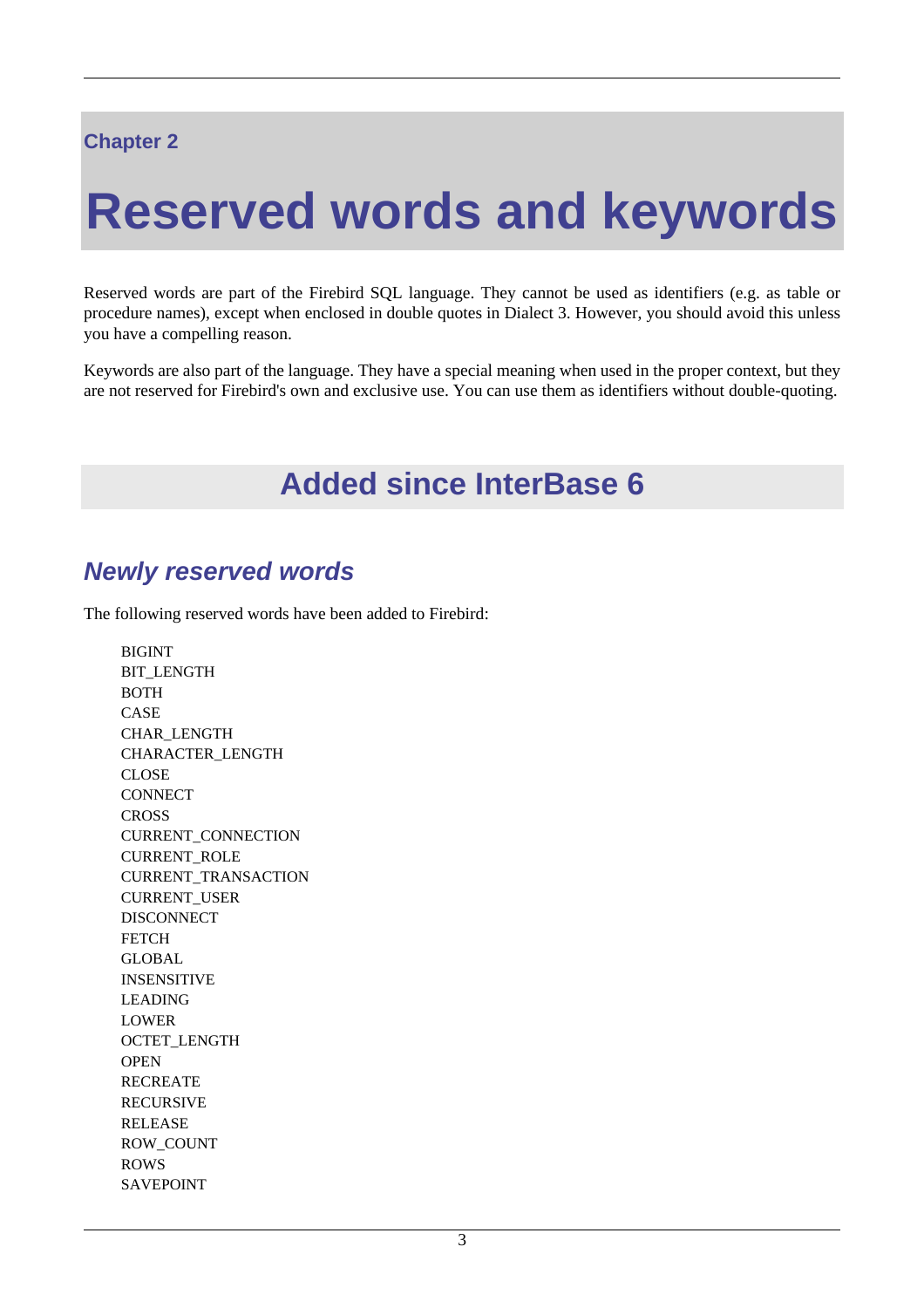## <span id="page-13-0"></span>**Chapter 2**

# **Reserved words and keywords**

Reserved words are part of the Firebird SQL language. They cannot be used as identifiers (e.g. as table or procedure names), except when enclosed in double quotes in Dialect 3. However, you should avoid this unless you have a compelling reason.

<span id="page-13-1"></span>Keywords are also part of the language. They have a special meaning when used in the proper context, but they are not reserved for Firebird's own and exclusive use. You can use them as identifiers without double-quoting.

# **Added since InterBase 6**

## <span id="page-13-2"></span>**Newly reserved words**

The following reserved words have been added to Firebird:

BIGINT BIT\_LENGTH BOTH CASE CHAR\_LENGTH CHARACTER\_LENGTH CLOSE **CONNECT CROSS** CURRENT\_CONNECTION CURRENT\_ROLE CURRENT\_TRANSACTION CURRENT\_USER DISCONNECT **FETCH GLOBAL** INSENSITIVE LEADING LOWER OCTET\_LENGTH **OPEN** RECREATE RECURSIVE RELEASE ROW\_COUNT ROWS SAVEPOINT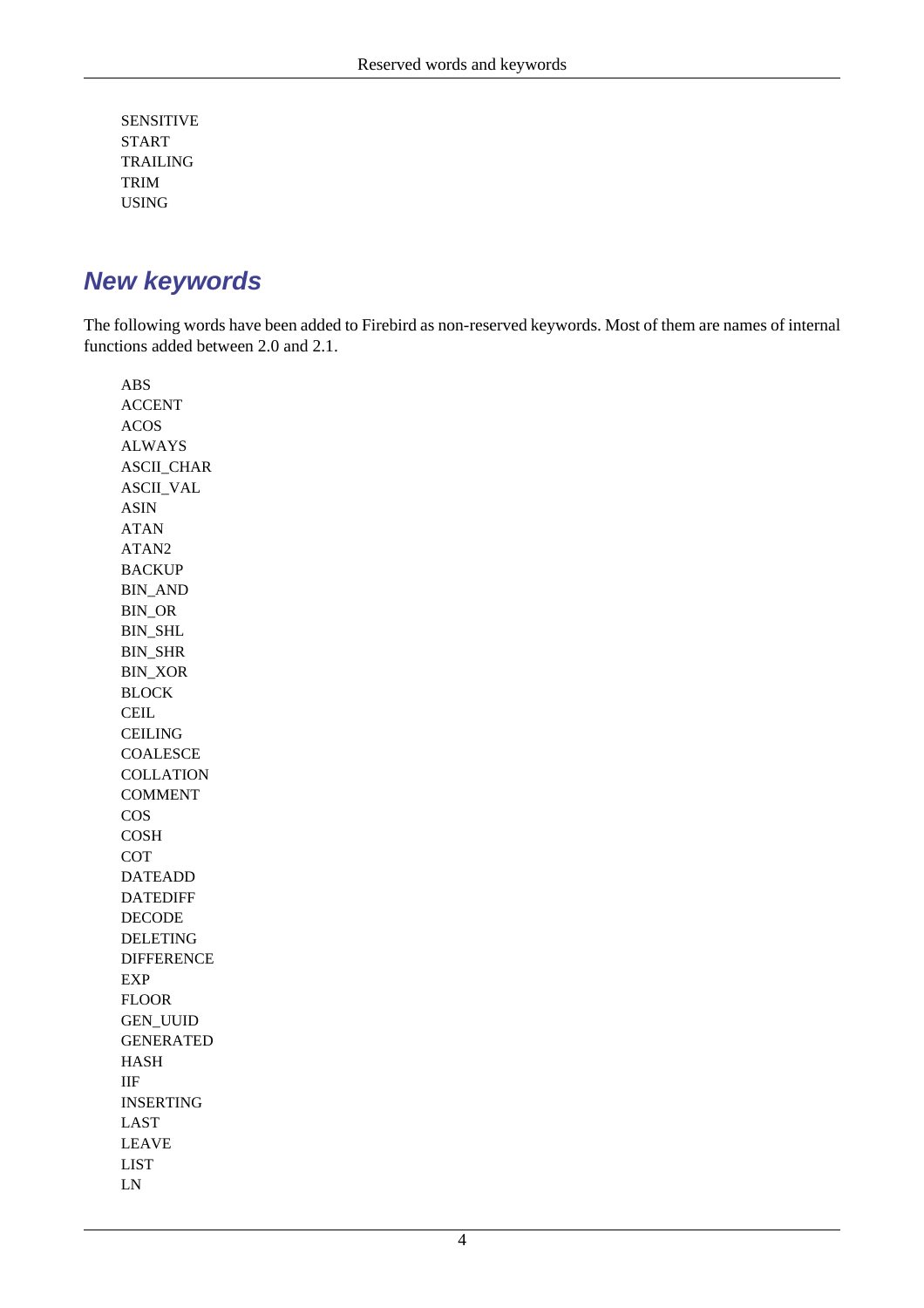SENSITIVE START TRAILING TRIM USING

## <span id="page-14-0"></span>**New keywords**

The following words have been added to Firebird as non-reserved keywords. Most of them are names of internal functions added between 2.0 and 2.1.

ABS ACCENT ACOS ALWAYS ASCII\_CHAR ASCII\_VAL ASIN ATAN ATAN2 BACKUP BIN\_AND BIN\_OR BIN\_SHL BIN\_SHR BIN\_XOR BLOCK CEIL **CEILING COALESCE COLLATION** COMMENT COS **COSH** COT DATEADD DATEDIFF DECODE DELETING DIFFERENCE EXP FLOOR GEN\_UUID GENERATED HASH IIF INSERTING LAST LEAVE LIST LN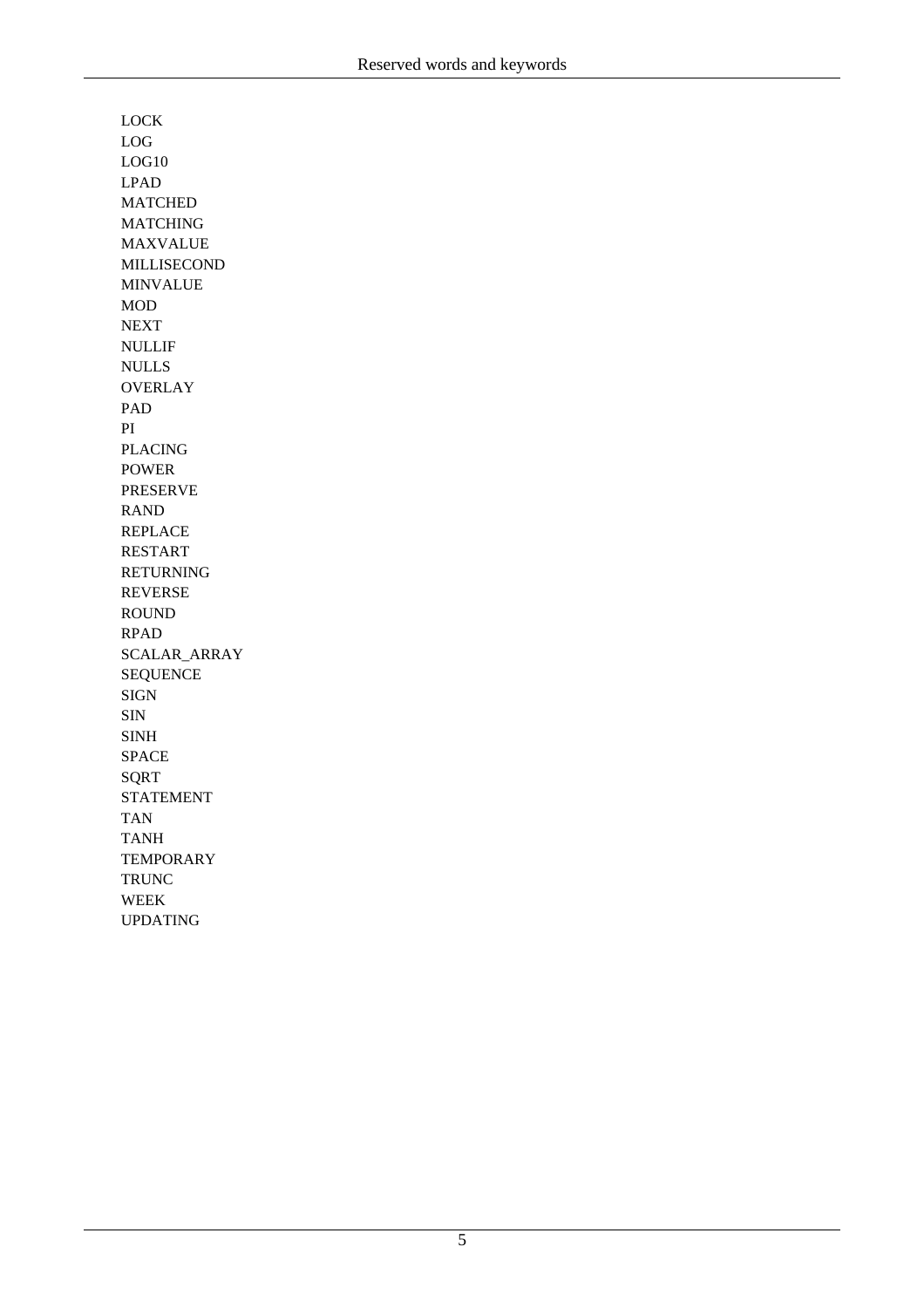LOCK LOG LOG10 LPAD MATCHED MATCHING MAXVALUE MILLISECOND MINVALUE MOD NEXT NULLIF NULLS **OVERLAY** PAD PI PLACING POWER PRESERVE RAND REPLACE RESTART RETURNING REVERSE ROUND RPAD SCALAR\_ARRAY SEQUENCE SIGN SIN SINH SPACE SQRT STATEMENT TAN TANH **TEMPORARY** TRUNC WEEK UPDATING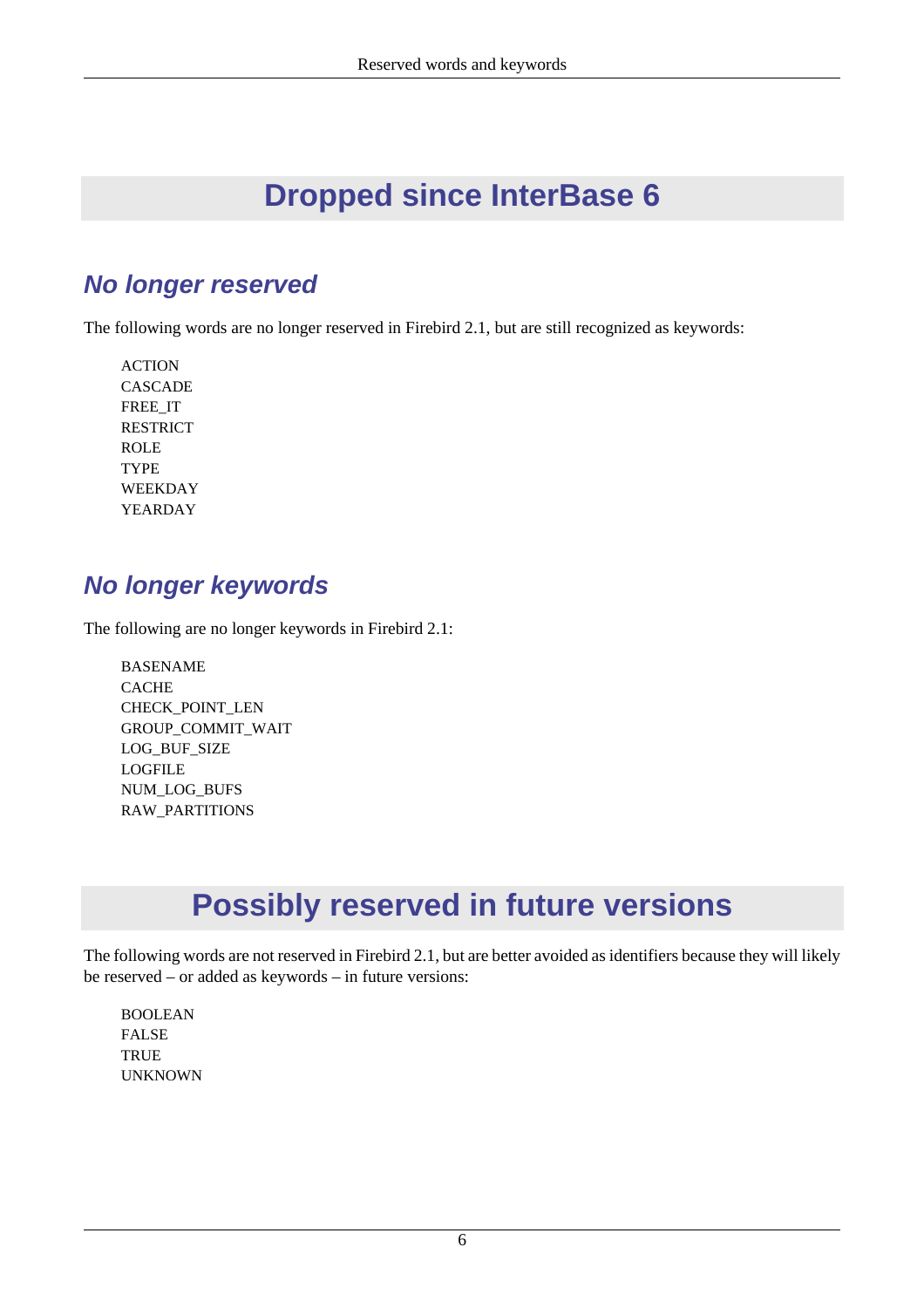# **Dropped since InterBase 6**

## <span id="page-16-1"></span><span id="page-16-0"></span>**No longer reserved**

The following words are no longer reserved in Firebird 2.1, but are still recognized as keywords:

ACTION **CASCADE** FREE\_IT RESTRICT ROLE TYPE WEEKDAY YEARDAY

## <span id="page-16-2"></span>**No longer keywords**

The following are no longer keywords in Firebird 2.1:

BASENAME CACHE CHECK\_POINT\_LEN GROUP\_COMMIT\_WAIT LOG\_BUF\_SIZE LOGFILE NUM\_LOG\_BUFS RAW\_PARTITIONS

# **Possibly reserved in future versions**

<span id="page-16-3"></span>The following words are not reserved in Firebird 2.1, but are better avoided as identifiers because they will likely be reserved – or added as keywords – in future versions:

BOOLEAN FALSE **TRUE** UNKNOWN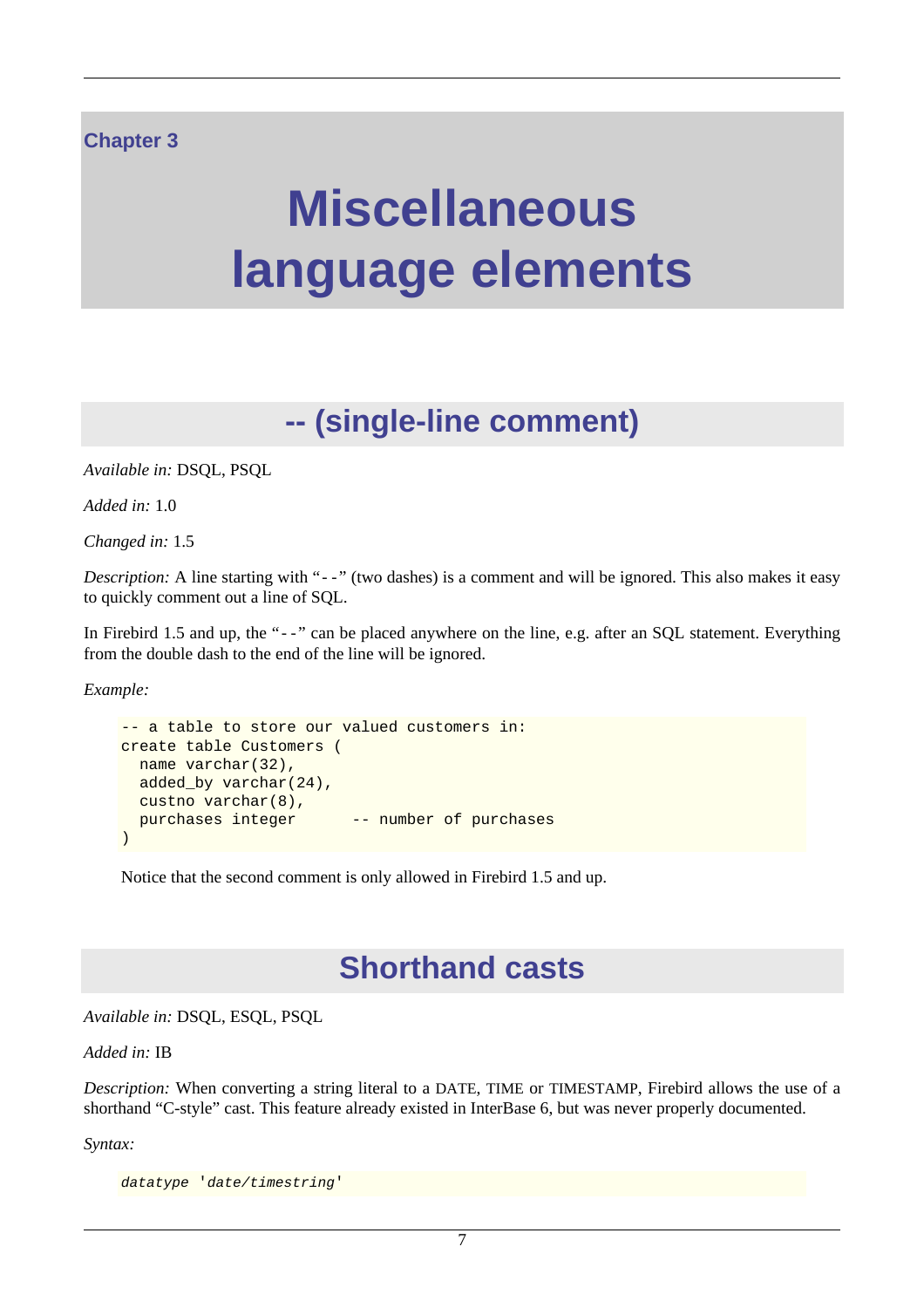### <span id="page-17-0"></span>**Chapter 3**

# **Miscellaneous language elements**

# **-- (single-line comment)**

<span id="page-17-1"></span>*Available in:* DSQL, PSQL

*Added in:* 1.0

*Changed in:* 1.5

*Description:* A line starting with "--" (two dashes) is a comment and will be ignored. This also makes it easy to quickly comment out a line of SQL.

In Firebird 1.5 and up, the "--" can be placed anywhere on the line, e.g. after an SQL statement. Everything from the double dash to the end of the line will be ignored.

*Example:*

```
-- a table to store our valued customers in:
create table Customers (
  name varchar(32),
  added_by varchar(24),
  custno varchar(8),
 purchases integer -- number of purchases
)
```
<span id="page-17-2"></span>Notice that the second comment is only allowed in Firebird 1.5 and up.

# **Shorthand casts**

*Available in:* DSQL, ESQL, PSQL

#### *Added in:* IB

*Description:* When converting a string literal to a DATE, TIME or TIMESTAMP, Firebird allows the use of a shorthand "C-style" cast. This feature already existed in InterBase 6, but was never properly documented.

*Syntax:*

datatype 'date/timestring'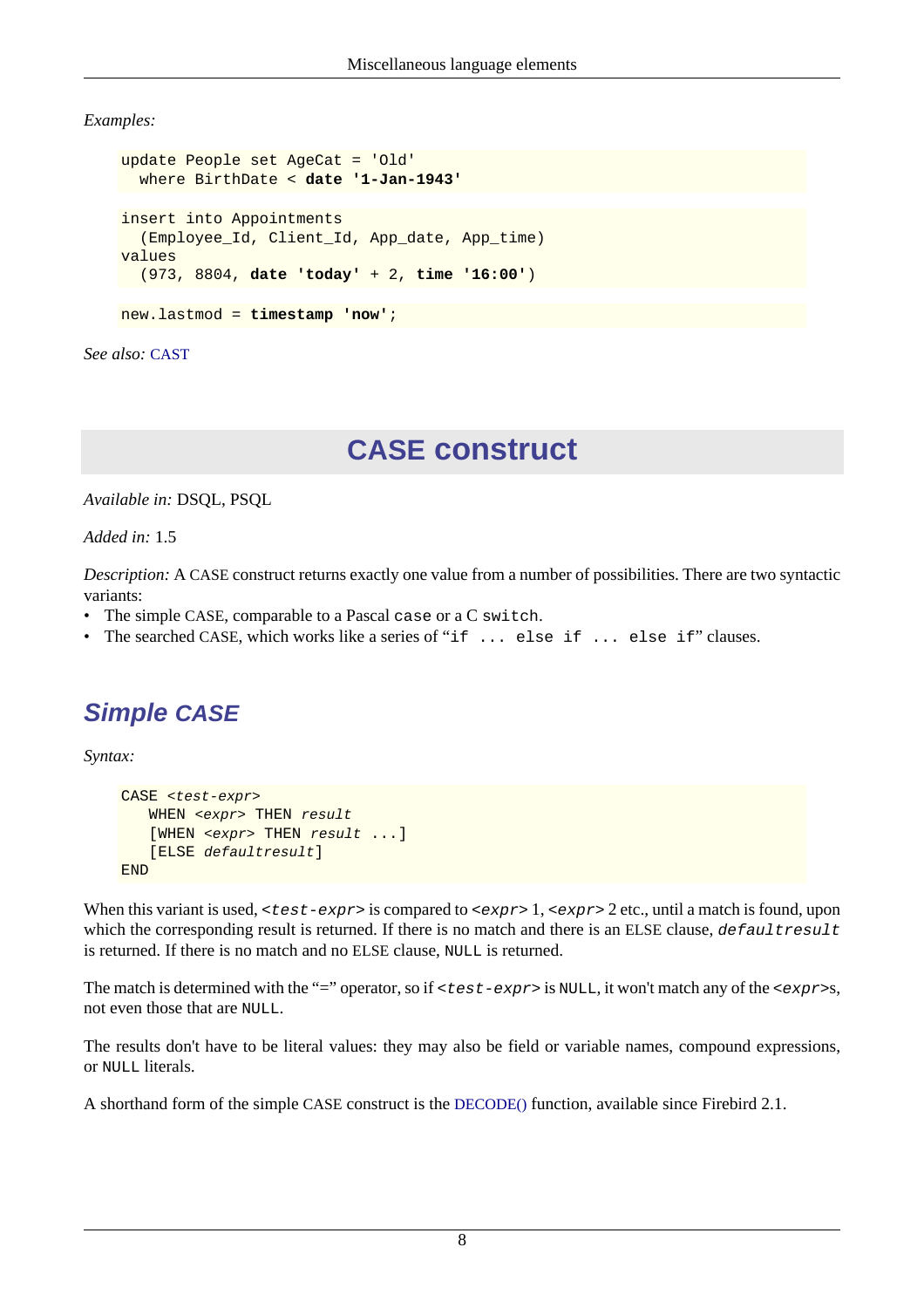*Examples:*

```
update People set AgeCat = 'Old'
  where BirthDate < date '1-Jan-1943'
insert into Appointments
   (Employee_Id, Client_Id, App_date, App_time)
values
   (973, 8804, date 'today' + 2, time '16:00')
new.lastmod = timestamp 'now';
```
<span id="page-18-0"></span>*See also:* [CAST](#page-139-0)

# **CASE construct**

*Available in:* DSQL, PSQL

*Added in:* 1.5

*Description:* A CASE construct returns exactly one value from a number of possibilities. There are two syntactic variants:

- The simple CASE, comparable to a Pascal case or a C switch.
- <span id="page-18-1"></span>• The searched CASE, which works like a series of "if ... else if ... else if" clauses.

# **Simple CASE**

*Syntax:*

```
CASE <test-expr>
   WHEN <expr> THEN result
   [WHEN <expr> THEN result ...]
    [ELSE defaultresult]
END
```
When this variant is used,  $\langle \text{test-expr} \rangle$  is compared to  $\langle \text{expr} \rangle$  1,  $\langle \text{expr} \rangle$  2 etc., until a match is found, upon which the corresponding result is returned. If there is no match and there is an ELSE clause,  $default result$ is returned. If there is no match and no ELSE clause, NULL is returned.

The match is determined with the "=" operator, so if <test-expr> is NULL, it won't match any of the <expr>s, not even those that are NULL.

The results don't have to be literal values: they may also be field or variable names, compound expressions, or NULL literals.

A shorthand form of the simple CASE construct is the [DECODE\(\)](#page-146-0) function, available since Firebird 2.1.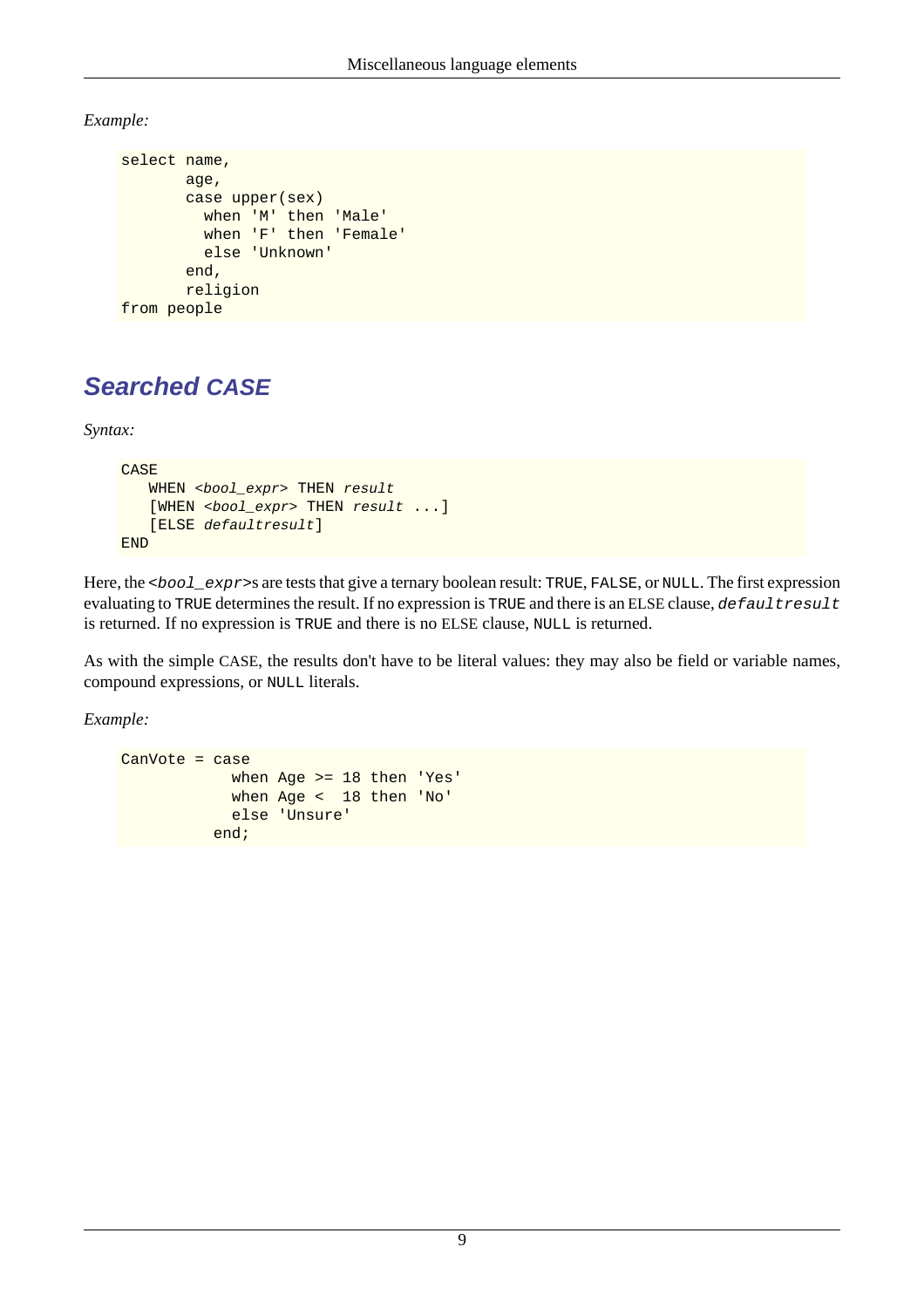*Example:*

```
select name,
        age,
        case upper(sex)
          when 'M' then 'Male'
           when 'F' then 'Female'
           else 'Unknown'
        end,
        religion
from people
```
# <span id="page-19-0"></span>**Searched CASE**

*Syntax:*

```
CASE
   WHEN <bool expr> THEN result
   [WHEN <bool_expr> THEN result ...]
    [ELSE defaultresult]
END
```
Here, the <bool\_expr>s are tests that give a ternary boolean result: TRUE, FALSE, or NULL. The first expression evaluating to TRUE determines the result. If no expression is TRUE and there is an ELSE clause, defaultresult is returned. If no expression is TRUE and there is no ELSE clause, NULL is returned.

As with the simple CASE, the results don't have to be literal values: they may also be field or variable names, compound expressions, or NULL literals.

*Example:*

```
CanVote = case
             when Age >= 18 then 'Yes'
             when Age < 18 then 'No'
             else 'Unsure'
           end;
```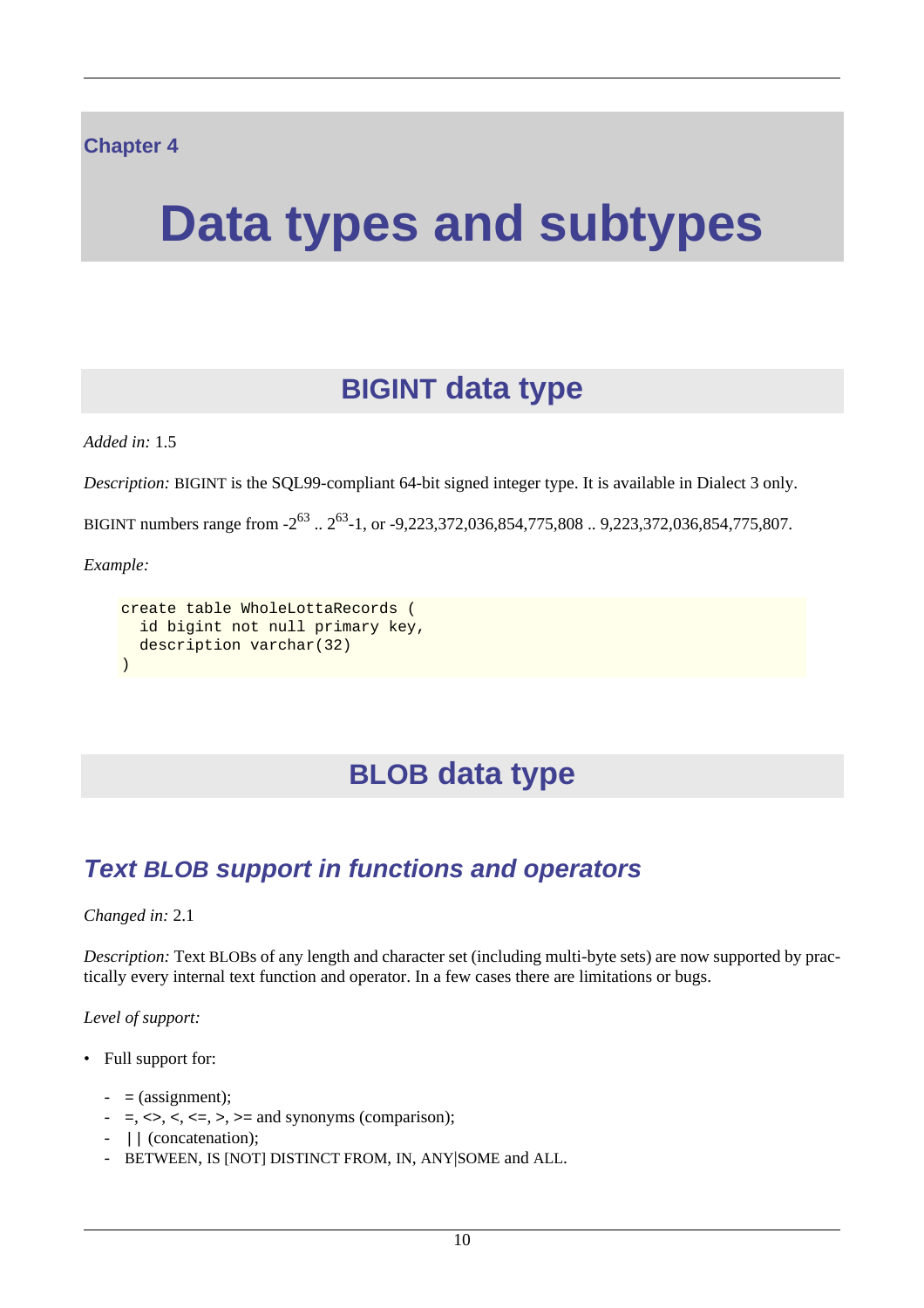# <span id="page-20-1"></span><span id="page-20-0"></span>**Data types and subtypes**

# **BIGINT data type**

*Added in:* 1.5

*Description:* BIGINT is the SQL99-compliant 64-bit signed integer type. It is available in Dialect 3 only.

BIGINT numbers range from  $-2^{63}$ ..  $2^{63}$ -1, or  $-9,223,372,036,854,775,808$ ..  $9,223,372,036,854,775,807$ .

*Example:*

```
create table WholeLottaRecords (
   id bigint not null primary key,
 description varchar(32)
)
```
# **BLOB data type**

# <span id="page-20-3"></span>**Text BLOB support in functions and operators**

*Changed in:* 2.1

*Description:* Text BLOBs of any length and character set (including multi-byte sets) are now supported by practically every internal text function and operator. In a few cases there are limitations or bugs.

*Level of support:*

- Full support for:
	- $-$  = (assignment);
	- $-$  =, <>, <, <=, >, >= and synonyms (comparison);
	- | | (concatenation);
	- BETWEEN, IS [NOT] DISTINCT FROM, IN, ANY|SOME and ALL.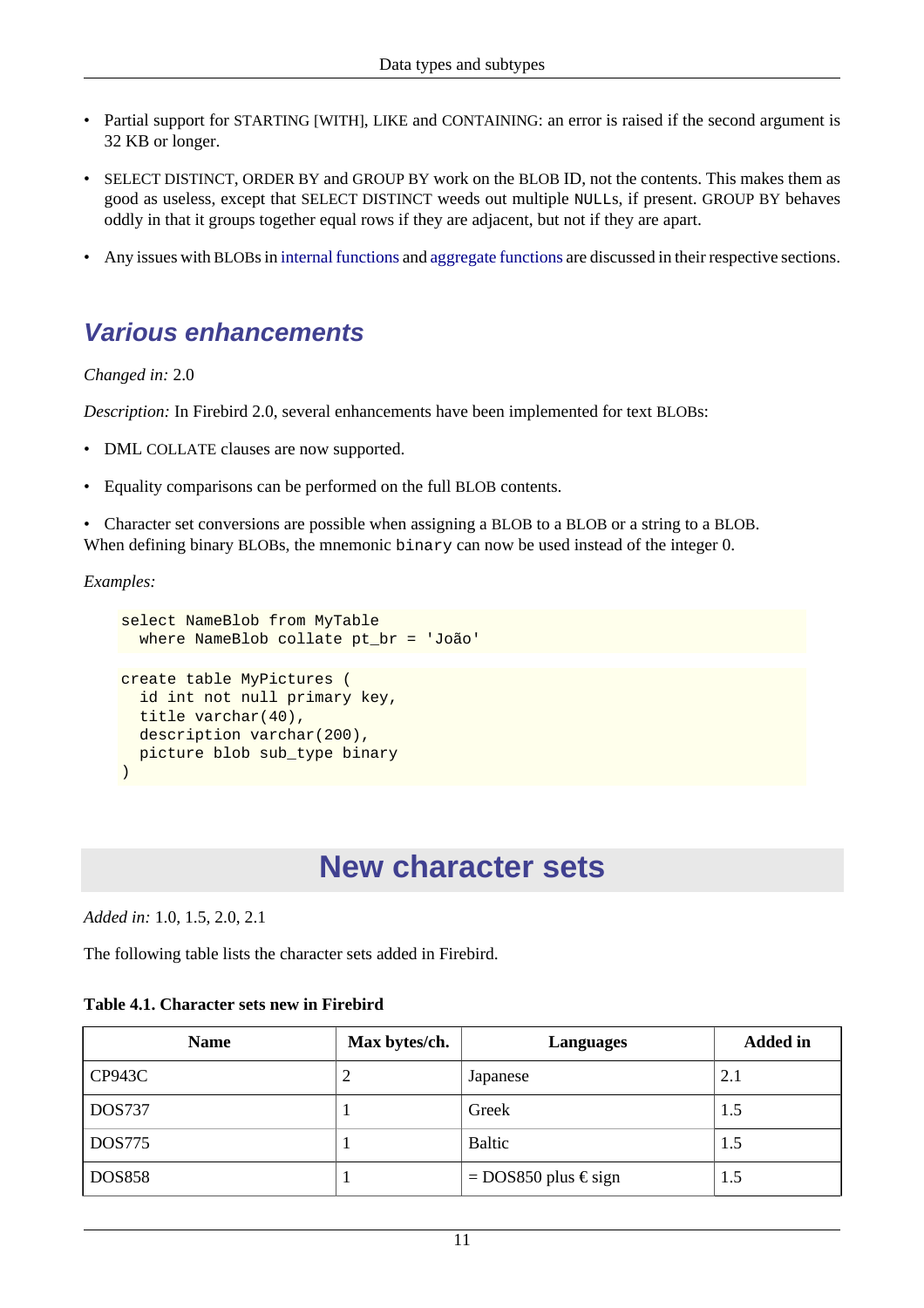- Partial support for STARTING [WITH], LIKE and CONTAINING: an error is raised if the second argument is 32 KB or longer.
- SELECT DISTINCT, ORDER BY and GROUP BY work on the BLOB ID, not the contents. This makes them as good as useless, except that SELECT DISTINCT weeds out multiple NULLs, if present. GROUP BY behaves oddly in that it groups together equal rows if they are adjacent, but not if they are apart.
- <span id="page-21-0"></span>• Any issues with BLOBs in [internal functions](#page-133-0) and [aggregate functions](#page-131-0) are discussed in their respective sections.

## **Various enhancements**

#### *Changed in:* 2.0

*Description:* In Firebird 2.0, several enhancements have been implemented for text BLOBs:

- DML COLLATE clauses are now supported.
- Equality comparisons can be performed on the full BLOB contents.

• Character set conversions are possible when assigning a BLOB to a BLOB or a string to a BLOB. When defining binary BLOBs, the mnemonic binary can now be used instead of the integer 0.

*Examples:*

```
select NameBlob from MyTable
 where NameBlob collate pt br = 'João'
create table MyPictures (
   id int not null primary key,
  title varchar(40),
 description varchar(200),
  picture blob sub_type binary
)
```
# **New character sets**

<span id="page-21-1"></span>*Added in:* 1.0, 1.5, 2.0, 2.1

The following table lists the character sets added in Firebird.

#### <span id="page-21-2"></span>**Table 4.1. Character sets new in Firebird**

| <b>Name</b>   | Max bytes/ch. | Languages                  | <b>Added</b> in |
|---------------|---------------|----------------------------|-----------------|
| CP943C        |               | Japanese                   | 2.1             |
| <b>DOS737</b> |               | Greek                      | 1.5             |
| <b>DOS775</b> |               | <b>Baltic</b>              | 1.5             |
| <b>DOS858</b> |               | $=$ DOS850 plus $\in$ sign | 1.5             |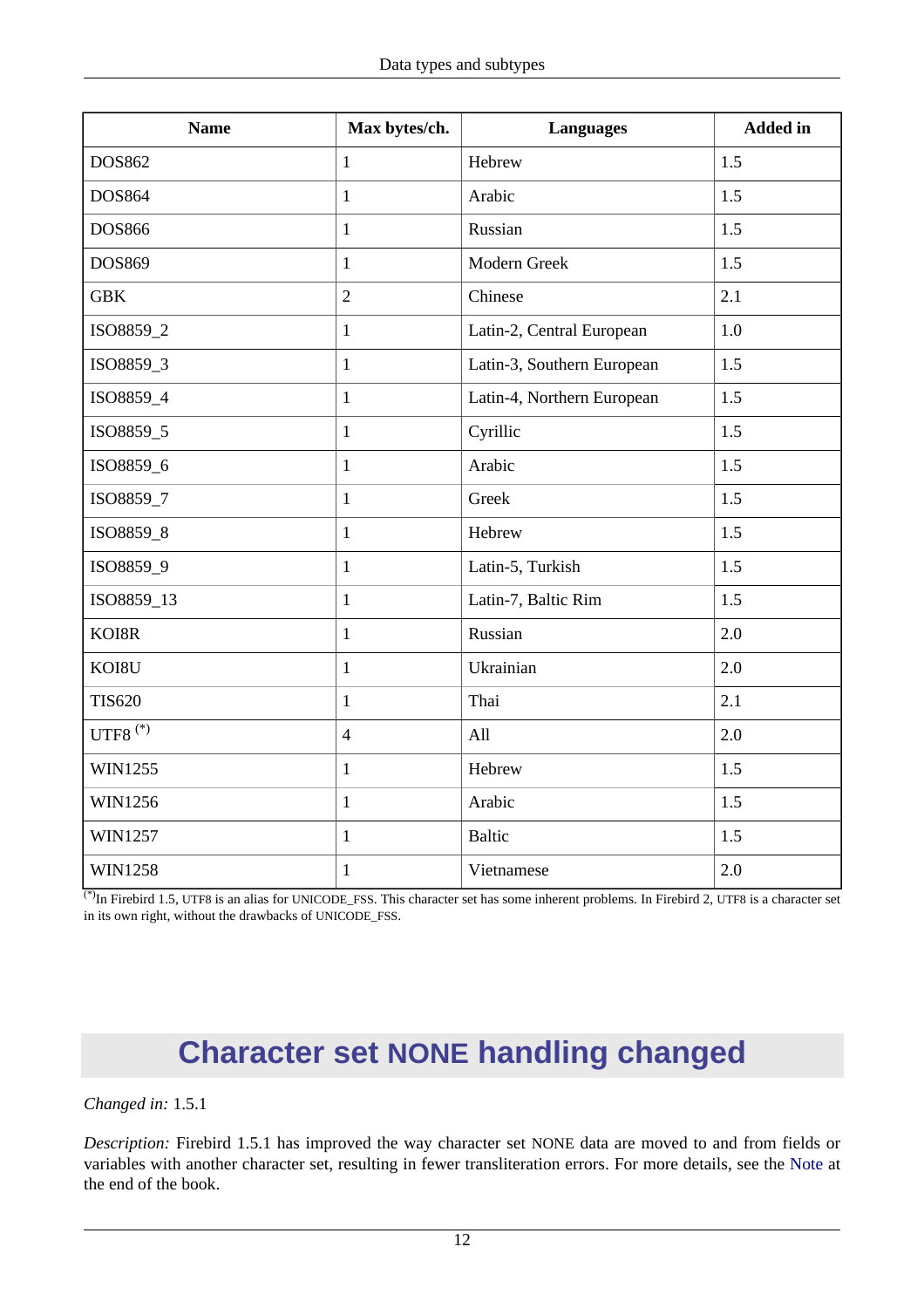| <b>Name</b>    | Max bytes/ch.  | <b>Languages</b>           | <b>Added</b> in |
|----------------|----------------|----------------------------|-----------------|
| <b>DOS862</b>  | $\mathbf{1}$   | Hebrew                     | 1.5             |
| <b>DOS864</b>  | $\mathbf{1}$   | Arabic                     | 1.5             |
| <b>DOS866</b>  | $\mathbf{1}$   | Russian                    | 1.5             |
| DOS869         | $\mathbf{1}$   | Modern Greek               | 1.5             |
| <b>GBK</b>     | $\overline{2}$ | Chinese                    | 2.1             |
| ISO8859_2      | $\mathbf{1}$   | Latin-2, Central European  | 1.0             |
| ISO8859_3      | $\mathbf{1}$   | Latin-3, Southern European | 1.5             |
| ISO8859_4      | $\mathbf{1}$   | Latin-4, Northern European | 1.5             |
| ISO8859_5      | $\mathbf{1}$   | Cyrillic                   | 1.5             |
| ISO8859_6      | $\mathbf{1}$   | Arabic                     | 1.5             |
| ISO8859_7      | $\mathbf{1}$   | Greek                      | 1.5             |
| ISO8859_8      | $\mathbf{1}$   | Hebrew                     | 1.5             |
| ISO8859_9      | $\mathbf{1}$   | Latin-5, Turkish           | 1.5             |
| ISO8859_13     | $\mathbf{1}$   | Latin-7, Baltic Rim        | 1.5             |
| KOI8R          | $\mathbf{1}$   | Russian                    | 2.0             |
| KOI8U          | $\mathbf{1}$   | Ukrainian                  | 2.0             |
| <b>TIS620</b>  | $\mathbf{1}$   | Thai                       | 2.1             |
| UTF8 $(*)$     | $\overline{4}$ | All                        | 2.0             |
| WIN1255        | $\mathbf{1}$   | Hebrew                     | 1.5             |
| WIN1256        | $\mathbf{1}$   | Arabic                     | 1.5             |
| WIN1257        | $\mathbf{1}$   | <b>Baltic</b>              | 1.5             |
| <b>WIN1258</b> | $\mathbf{1}$   | Vietnamese                 | 2.0             |

<span id="page-22-0"></span> $^{(*)}$ In Firebird 1.5, UTF8 is an alias for UNICODE\_FSS. This character set has some inherent problems. In Firebird 2, UTF8 is a character set in its own right, without the drawbacks of UNICODE\_FSS.

# **Character set NONE handling changed**

#### *Changed in:* 1.5.1

*Description:* Firebird 1.5.1 has improved the way character set NONE data are moved to and from fields or variables with another character set, resulting in fewer transliteration errors. For more details, see the [Note](#page-207-1) at the end of the book.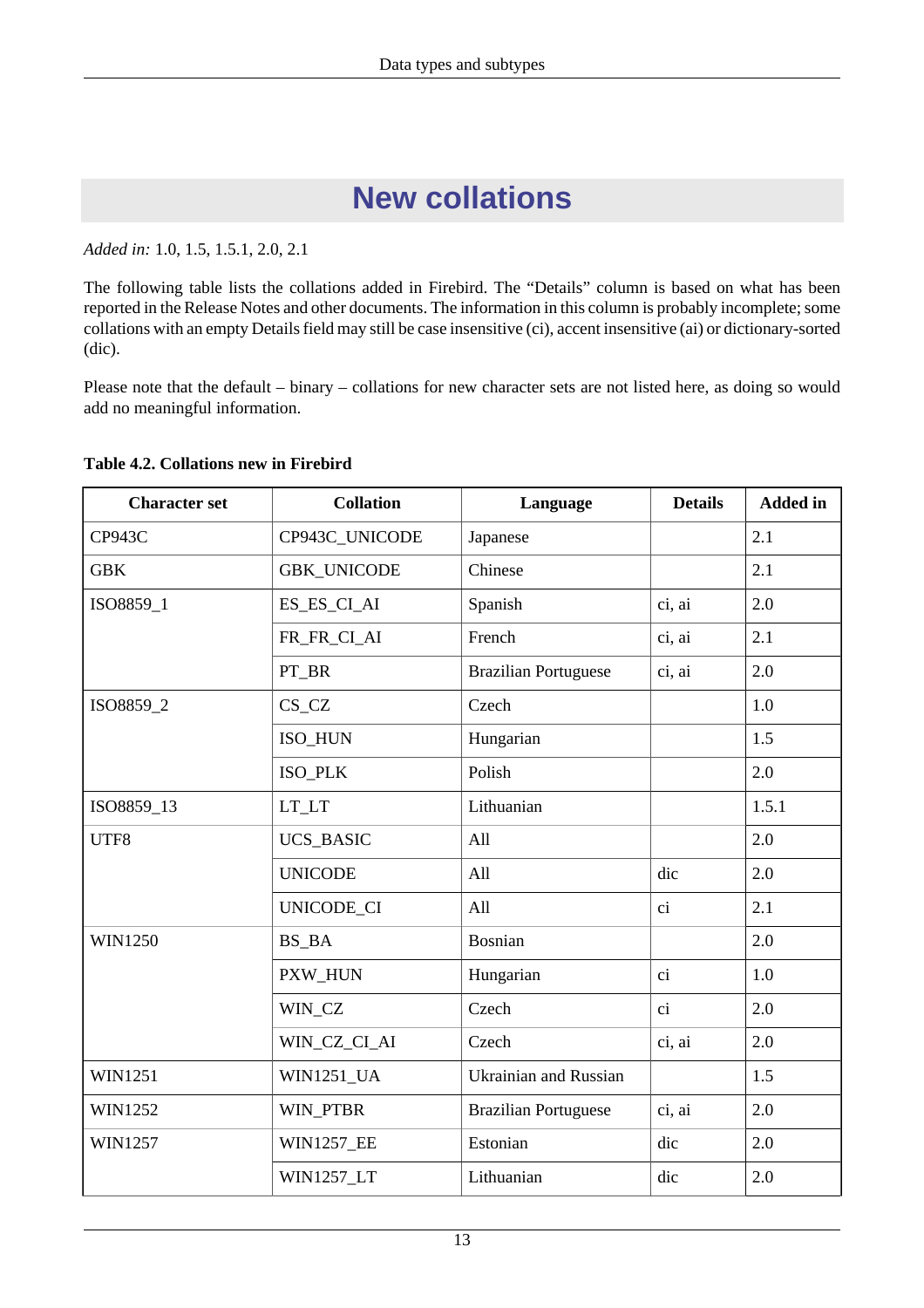# **New collations**

<span id="page-23-0"></span>*Added in:* 1.0, 1.5, 1.5.1, 2.0, 2.1

The following table lists the collations added in Firebird. The "Details" column is based on what has been reported in the Release Notes and other documents. The information in this column is probably incomplete; some collations with an empty Details field may still be case insensitive (ci), accent insensitive (ai) or dictionary-sorted (dic).

Please note that the default – binary – collations for new character sets are not listed here, as doing so would add no meaningful information.

| <b>Character set</b> | <b>Collation</b>   | Language                     | <b>Details</b> | <b>Added</b> in |
|----------------------|--------------------|------------------------------|----------------|-----------------|
| <b>CP943C</b>        | CP943C_UNICODE     | Japanese                     |                | 2.1             |
| <b>GBK</b>           | <b>GBK_UNICODE</b> | Chinese                      |                | 2.1             |
| ISO8859_1            | ES_ES_CI_AI        | Spanish                      | ci, ai         | 2.0             |
|                      | FR_FR_CI_AI        | French                       | ci, ai         | 2.1             |
|                      | PT_BR              | <b>Brazilian Portuguese</b>  | ci, ai         | 2.0             |
| ISO8859_2            | $CS_CZ$            | Czech                        |                | 1.0             |
|                      | ISO_HUN            | Hungarian                    |                | 1.5             |
|                      | ISO_PLK            | Polish                       |                | 2.0             |
| ISO8859_13           | LT_LT              | Lithuanian                   |                | 1.5.1           |
| UTF8                 | <b>UCS_BASIC</b>   | All                          |                | 2.0             |
|                      | <b>UNICODE</b>     | All                          | dic            | 2.0             |
|                      | UNICODE_CI         | All                          | ci             | 2.1             |
| <b>WIN1250</b>       | BS_BA              | <b>Bosnian</b>               |                | 2.0             |
|                      | PXW_HUN            | Hungarian                    | ci             | 1.0             |
|                      | WIN_CZ             | Czech                        | ci             | 2.0             |
|                      | WIN_CZ_CI_AI       | Czech                        | ci, ai         | 2.0             |
| <b>WIN1251</b>       | <b>WIN1251 UA</b>  | <b>Ukrainian and Russian</b> |                | 1.5             |
| <b>WIN1252</b>       | WIN_PTBR           | <b>Brazilian Portuguese</b>  | ci, ai         | 2.0             |
| WIN1257              | <b>WIN1257_EE</b>  | Estonian                     | dic            | 2.0             |
|                      | <b>WIN1257_LT</b>  | Lithuanian                   | dic            | 2.0             |

#### <span id="page-23-1"></span>**Table 4.2. Collations new in Firebird**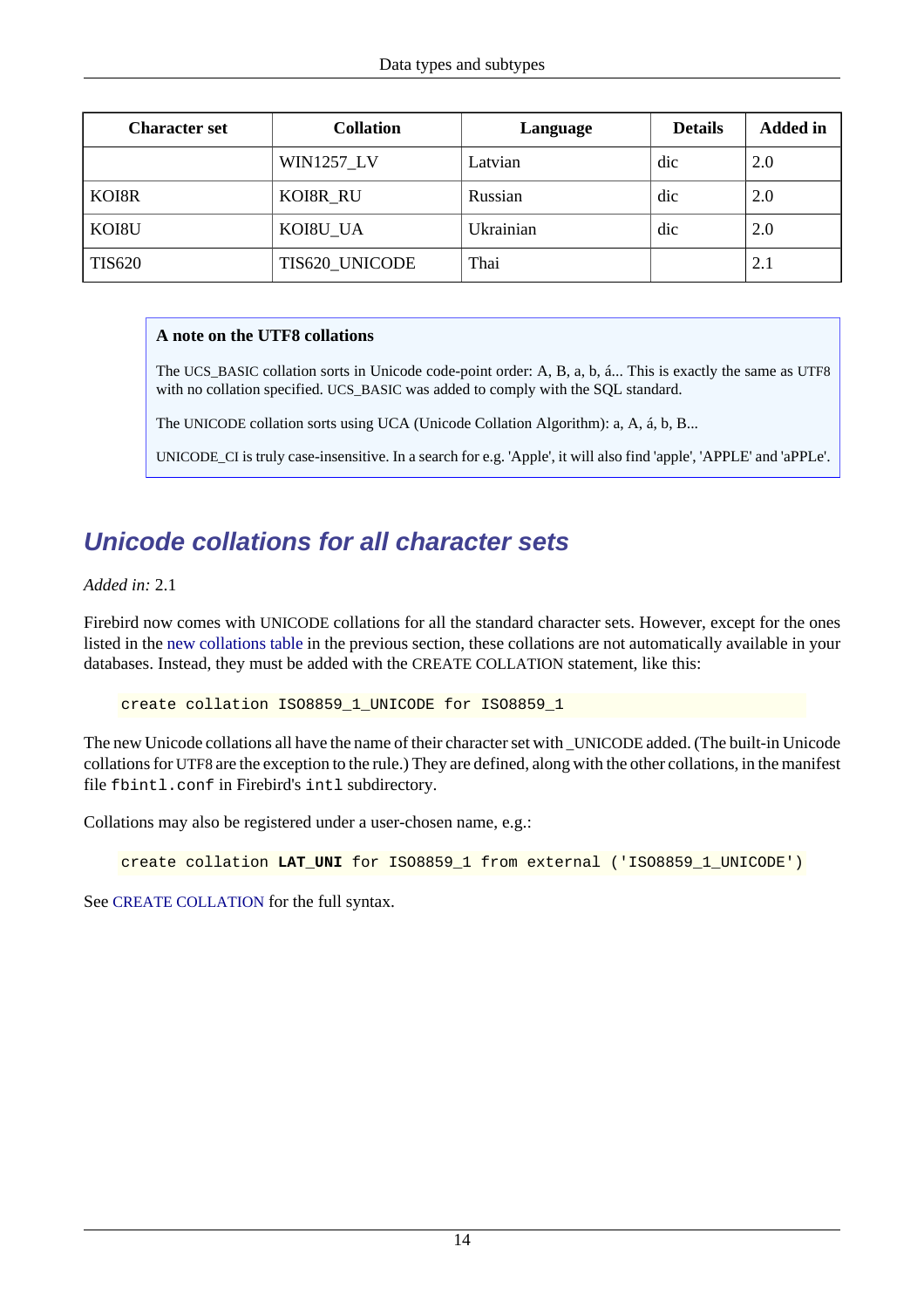| <b>Character set</b> | <b>Collation</b>  | Language  | <b>Details</b> | <b>Added</b> in |
|----------------------|-------------------|-----------|----------------|-----------------|
|                      | <b>WIN1257_LV</b> | Latvian   | dic            | 2.0             |
| KOI8R                | KOI8R RU          | Russian   | dic            | 2.0             |
| KOI8U                | KOI8U_UA          | Ukrainian | dic            | 2.0             |
| <b>TIS620</b>        | TIS620_UNICODE    | Thai      |                | 2.1             |

#### **A note on the UTF8 collations**

The UCS\_BASIC collation sorts in Unicode code-point order: A, B, a, b, á... This is exactly the same as UTF8 with no collation specified. UCS\_BASIC was added to comply with the SQL standard.

The UNICODE collation sorts using UCA (Unicode Collation Algorithm): a, A, á, b, B...

UNICODE\_CI is truly case-insensitive. In a search for e.g. 'Apple', it will also find 'apple', 'APPLE' and 'aPPLe'.

## <span id="page-24-0"></span>**Unicode collations for all character sets**

*Added in:* 2.1

Firebird now comes with UNICODE collations for all the standard character sets. However, except for the ones listed in the [new collations table](#page-23-1) in the previous section, these collations are not automatically available in your databases. Instead, they must be added with the CREATE COLLATION statement, like this:

create collation ISO8859\_1\_UNICODE for ISO8859\_1

The new Unicode collations all have the name of their character set with \_UNICODE added. (The built-in Unicode collations for UTF8 are the exception to the rule.) They are defined, along with the other collations, in the manifest file fbintl.conf in Firebird's intl subdirectory.

Collations may also be registered under a user-chosen name, e.g.:

create collation LAT UNI for ISO8859 1 from external ('ISO8859 1 UNICODE')

See [CREATE COLLATION](#page-25-2) for the full syntax.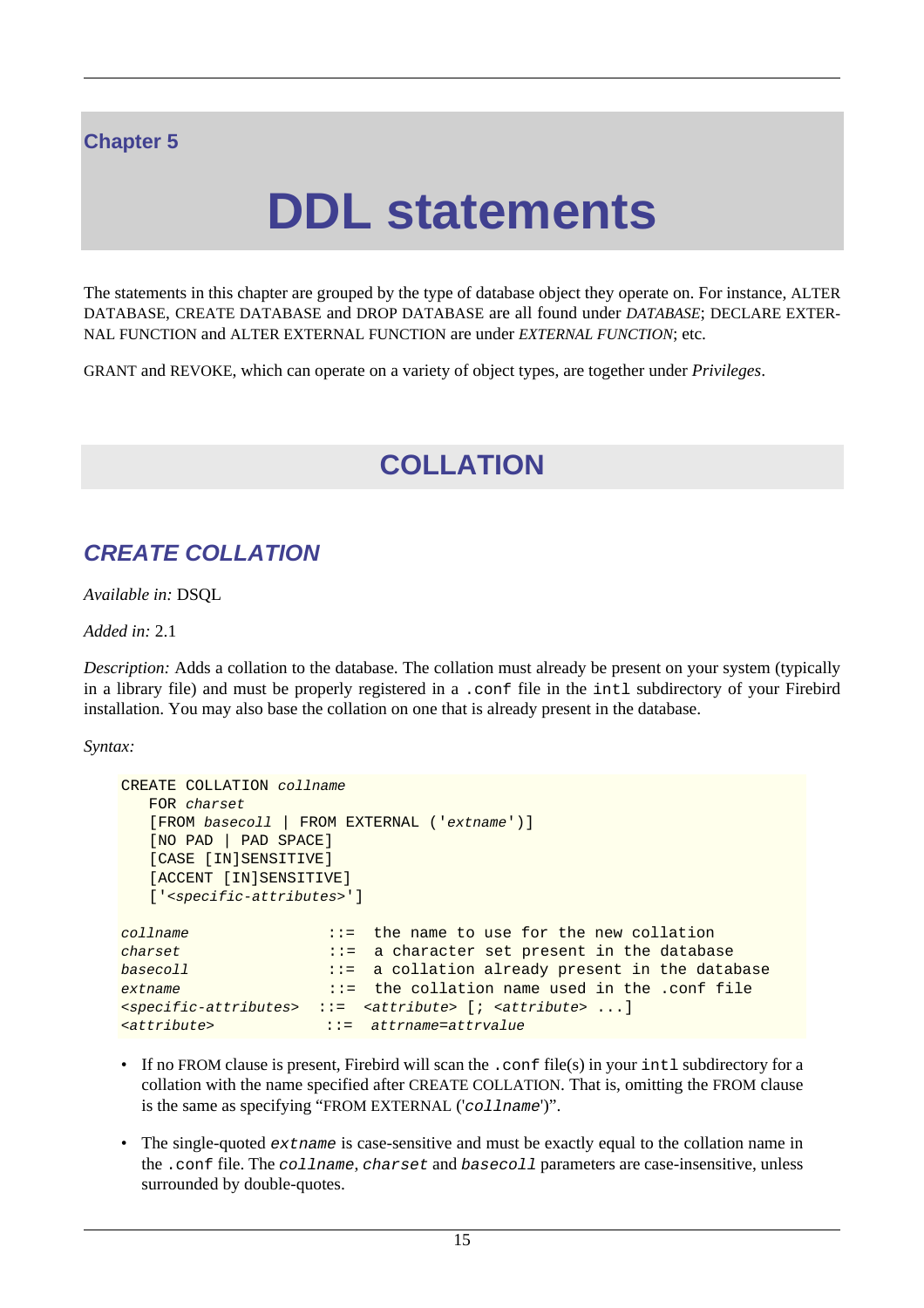## <span id="page-25-0"></span>**Chapter 5**

# **DDL statements**

The statements in this chapter are grouped by the type of database object they operate on. For instance, ALTER DATABASE, CREATE DATABASE and DROP DATABASE are all found under *DATABASE*; DECLARE EXTER-NAL FUNCTION and ALTER EXTERNAL FUNCTION are under *EXTERNAL FUNCTION*; etc.

<span id="page-25-1"></span>GRANT and REVOKE, which can operate on a variety of object types, are together under *Privileges*.

# **COLLATION**

## <span id="page-25-2"></span>**CREATE COLLATION**

*Available in:* DSQL

*Added in:* 2.1

*Description:* Adds a collation to the database. The collation must already be present on your system (typically in a library file) and must be properly registered in a .conf file in the intl subdirectory of your Firebird installation. You may also base the collation on one that is already present in the database.

*Syntax:*

```
CREATE COLLATION collname
   FOR charset
   [FROM basecoll | FROM EXTERNAL ('extname')]
   [NO PAD | PAD SPACE]
   [CASE [IN]SENSITIVE]
   [ACCENT [IN]SENSITIVE]
   ['<specific-attributes>']
collname ::= the name to use for the new collation
charset ::= a character set present in the database
basecoll ::= a collation already present in the database
extname ::= the collation name used in the .conf file
<specific-attributes> ::= <attribute> [; <attribute> ...]
<attribute> ::= attrname=attrvalue
```
- If no FROM clause is present, Firebird will scan the .conf file(s) in your intl subdirectory for a collation with the name specified after CREATE COLLATION. That is, omitting the FROM clause is the same as specifying "FROM EXTERNAL ('collname')".
- The single-quoted *extrame* is case-sensitive and must be exactly equal to the collation name in the .conf file. The collname, charset and basecoll parameters are case-insensitive, unless surrounded by double-quotes.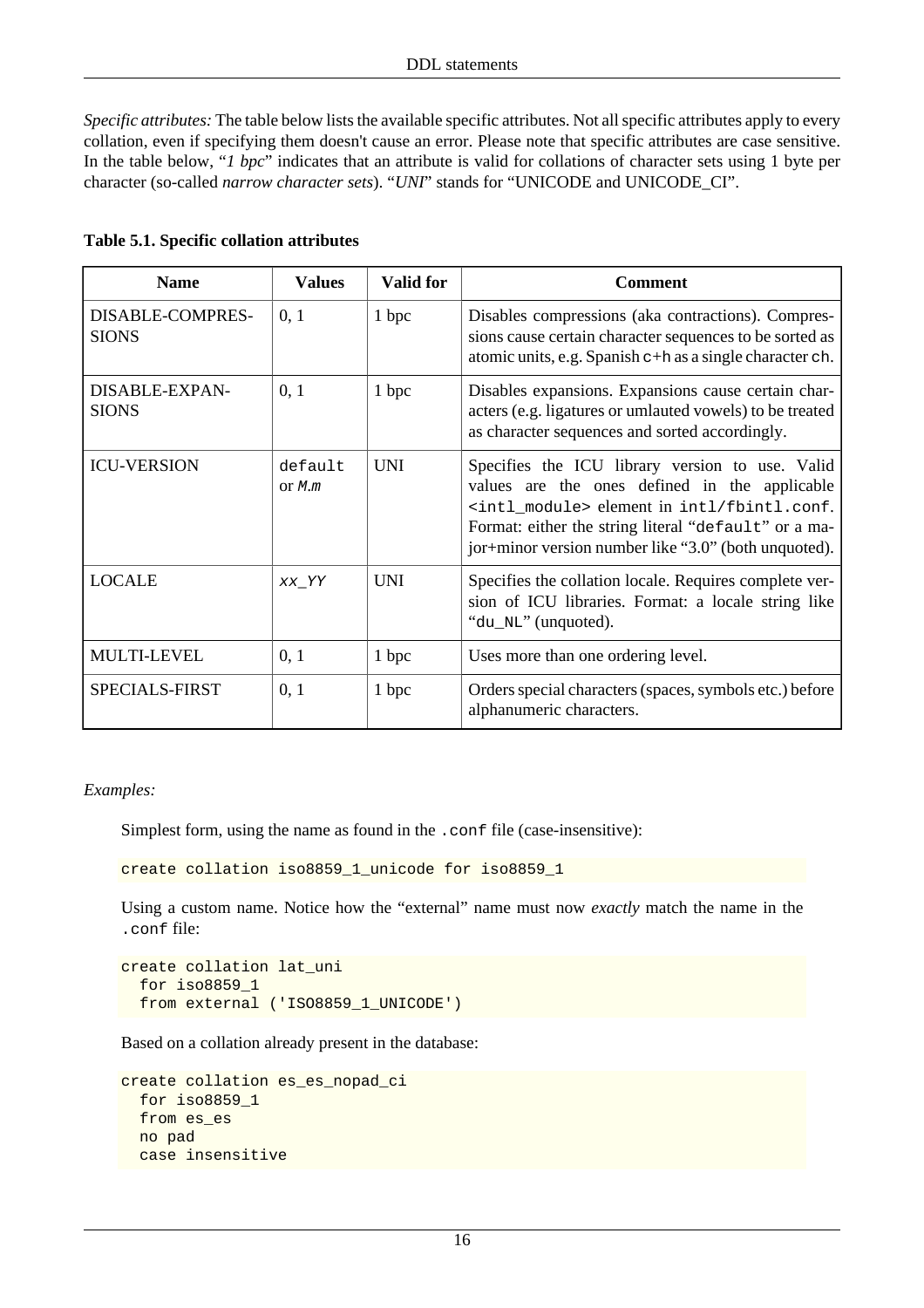*Specific attributes:* The table below lists the available specific attributes. Not all specific attributes apply to every collation, even if specifying them doesn't cause an error. Please note that specific attributes are case sensitive. In the table below, "*1 bpc*" indicates that an attribute is valid for collations of character sets using 1 byte per character (so-called *narrow character sets*). "*UNI*" stands for "UNICODE and UNICODE\_CI".

<span id="page-26-0"></span>

| Table 5.1. Specific collation attributes |  |  |  |  |
|------------------------------------------|--|--|--|--|
|------------------------------------------|--|--|--|--|

| <b>Name</b>                             | <b>Values</b>     | <b>Valid for</b> | Comment                                                                                                                                                                                                                                                                        |
|-----------------------------------------|-------------------|------------------|--------------------------------------------------------------------------------------------------------------------------------------------------------------------------------------------------------------------------------------------------------------------------------|
| <b>DISABLE-COMPRES-</b><br><b>SIONS</b> | 0, 1              | 1 bpc            | Disables compressions (aka contractions). Compres-<br>sions cause certain character sequences to be sorted as<br>atomic units, e.g. Spanish c+h as a single character ch.                                                                                                      |
| DISABLE-EXPAN-<br><b>SIONS</b>          | 0, 1              | 1 bpc            | Disables expansions. Expansions cause certain char-<br>acters (e.g. ligatures or umlauted vowels) to be treated<br>as character sequences and sorted accordingly.                                                                                                              |
| <b>ICU-VERSION</b>                      | default<br>or M.m | <b>UNI</b>       | Specifies the ICU library version to use. Valid<br>values are the ones defined in the applicable<br><intl_module> element in intl/fbintl.conf.<br/>Format: either the string literal "default" or a ma-<br/>jor+minor version number like "3.0" (both unquoted).</intl_module> |
| <b>LOCALE</b>                           | XX_YY             | <b>UNI</b>       | Specifies the collation locale. Requires complete ver-<br>sion of ICU libraries. Format: a locale string like<br>"du_NL" (unquoted).                                                                                                                                           |
| <b>MULTI-LEVEL</b>                      | 0, 1              | 1 bpc            | Uses more than one ordering level.                                                                                                                                                                                                                                             |
| SPECIALS-FIRST                          | 0, 1              | 1 bpc            | Orders special characters (spaces, symbols etc.) before<br>alphanumeric characters.                                                                                                                                                                                            |

*Examples:*

Simplest form, using the name as found in the .conf file (case-insensitive):

create collation iso8859\_1\_unicode for iso8859\_1

Using a custom name. Notice how the "external" name must now *exactly* match the name in the .conf file:

```
create collation lat_uni
   for iso8859_1
   from external ('ISO8859_1_UNICODE')
```
Based on a collation already present in the database:

```
create collation es_es_nopad_ci
   for iso8859_1
   from es_es
   no pad
   case insensitive
```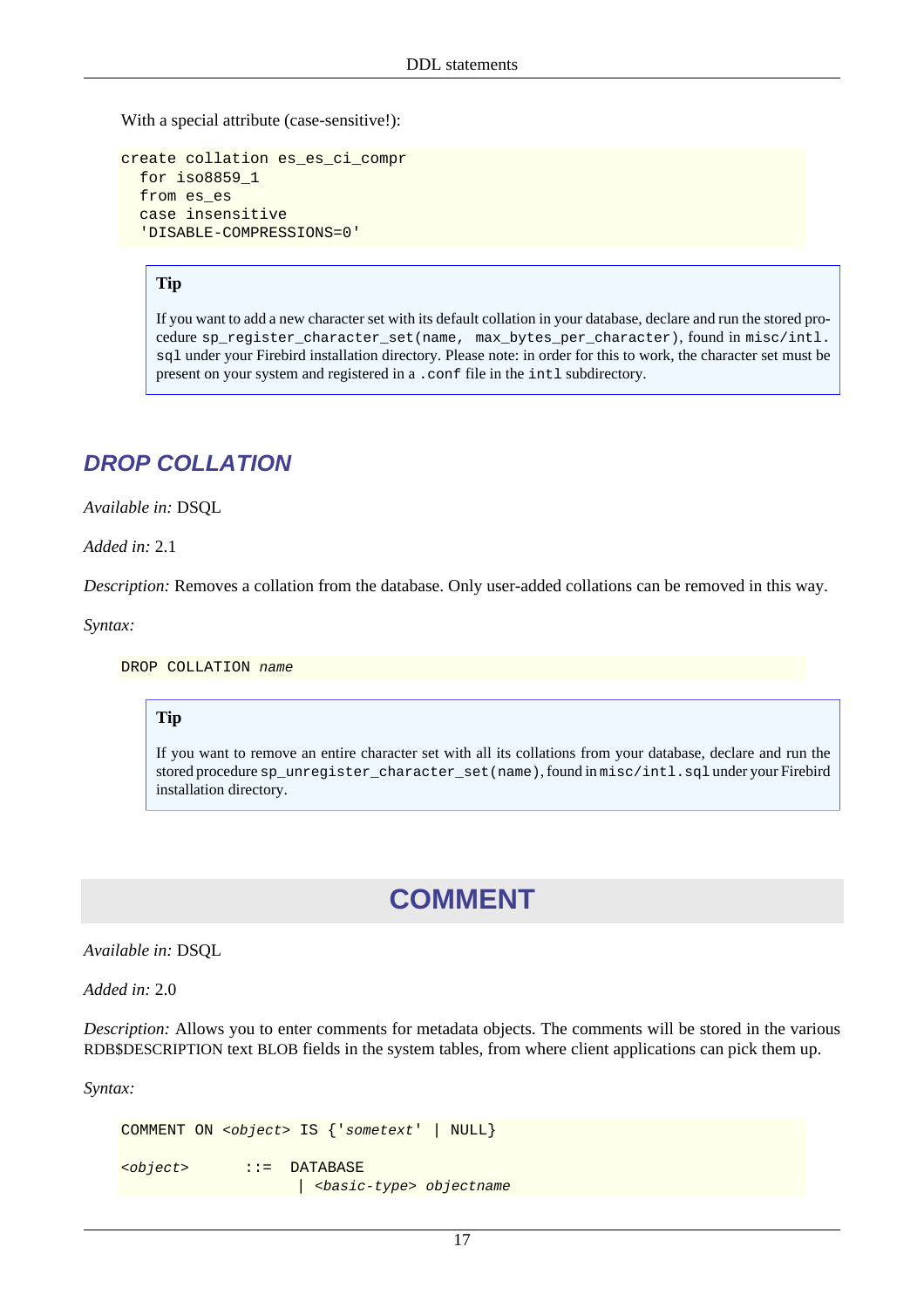With a special attribute (case-sensitive!):

```
create collation es_es_ci_compr
   for iso8859_1
   from es_es
   case insensitive
   'DISABLE-COMPRESSIONS=0'
```
#### **Tip**

If you want to add a new character set with its default collation in your database, declare and run the stored procedure sp\_register\_character\_set(name, max\_bytes\_per\_character), found in misc/intl. sql under your Firebird installation directory. Please note: in order for this to work, the character set must be present on your system and registered in a .conf file in the intl subdirectory.

## <span id="page-27-0"></span>**DROP COLLATION**

*Available in:* DSQL

*Added in:* 2.1

*Description:* Removes a collation from the database. Only user-added collations can be removed in this way.

*Syntax:*

DROP COLLATION name

#### **Tip**

<span id="page-27-1"></span>If you want to remove an entire character set with all its collations from your database, declare and run the stored procedure sp\_unregister\_character\_set(name), found in misc/intl.sql under your Firebird installation directory.

## **COMMENT**

*Available in:* DSQL

*Added in:* 2.0

*Description:* Allows you to enter comments for metadata objects. The comments will be stored in the various RDB\$DESCRIPTION text BLOB fields in the system tables, from where client applications can pick them up.

*Syntax:*

```
COMMENT ON <object> IS {'sometext' | NULL}
<object> ::= DATABASE
                     | <basic-type> objectname
```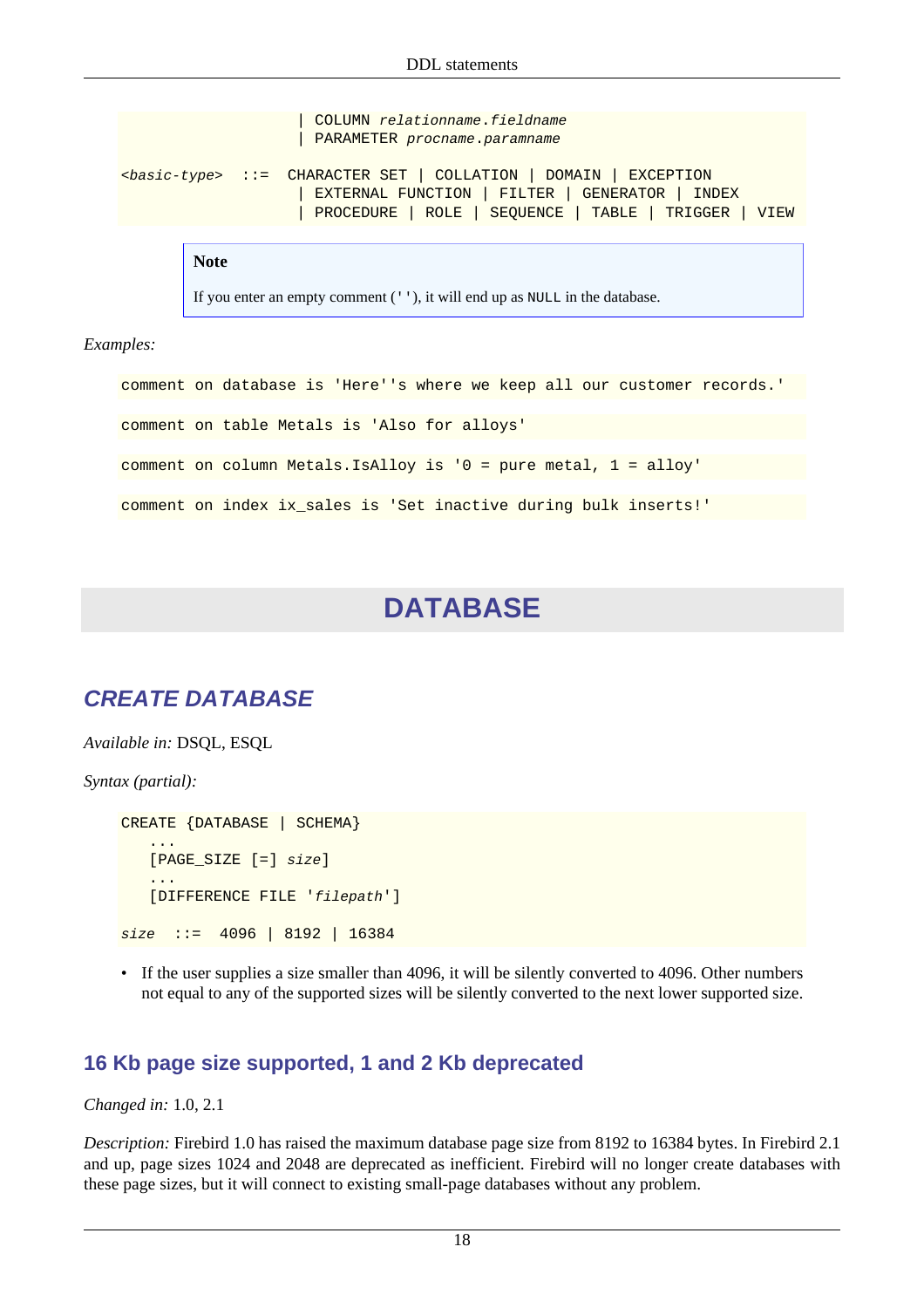```
COLUMN relationname.fieldname
                     PARAMETER procname.paramname
<basic-type> ::= CHARACTER SET | COLLATION | DOMAIN | EXCEPTION
                      | EXTERNAL FUNCTION | FILTER | GENERATOR | INDEX
                      | PROCEDURE | ROLE | SEQUENCE | TABLE | TRIGGER | VIEW
```
**Note**

If you enter an empty comment (''), it will end up as NULL in the database.

*Examples:*

<span id="page-28-0"></span>comment on database is 'Here''s where we keep all our customer records.' comment on table Metals is 'Also for alloys' comment on column Metals.IsAlloy is '0 = pure metal, 1 = alloy' comment on index ix\_sales is 'Set inactive during bulk inserts!'

## **DATABASE**

## <span id="page-28-1"></span>**CREATE DATABASE**

*Available in:* DSQL, ESQL

*Syntax (partial):*

```
CREATE {DATABASE | SCHEMA}
    ...
    [PAGE_SIZE [=] size]
    ...
    [DIFFERENCE FILE 'filepath']
size ::= 4096 | 8192 | 16384
```
• If the user supplies a size smaller than 4096, it will be silently converted to 4096. Other numbers not equal to any of the supported sizes will be silently converted to the next lower supported size.

#### **16 Kb page size supported, 1 and 2 Kb deprecated**

*Changed in:* 1.0, 2.1

*Description:* Firebird 1.0 has raised the maximum database page size from 8192 to 16384 bytes. In Firebird 2.1 and up, page sizes 1024 and 2048 are deprecated as inefficient. Firebird will no longer create databases with these page sizes, but it will connect to existing small-page databases without any problem.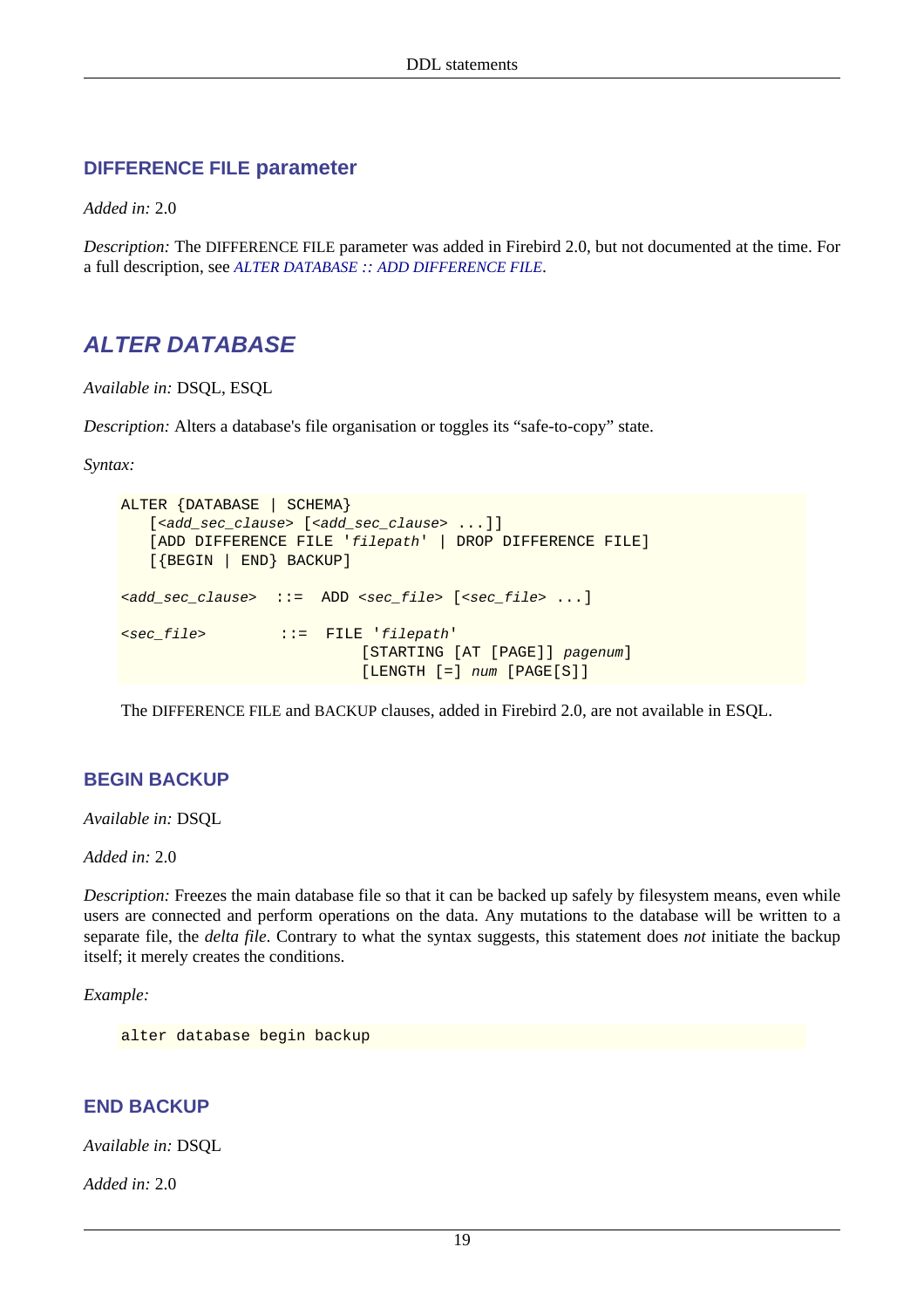#### **DIFFERENCE FILE parameter**

*Added in:* 2.0

<span id="page-29-0"></span>*Description:* The DIFFERENCE FILE parameter was added in Firebird 2.0, but not documented at the time. For a full description, see *ALTER DATABASE :: [ADD DIFFERENCE FILE](#page-30-0)*.

## **ALTER DATABASE**

*Available in:* DSQL, ESQL

*Description:* Alters a database's file organisation or toggles its "safe-to-copy" state.

*Syntax:*

```
ALTER {DATABASE | SCHEMA}
   [<add_sec_clause> [<add_sec_clause> ...]]
    [ADD DIFFERENCE FILE 'filepath' | DROP DIFFERENCE FILE]
    [{BEGIN | END} BACKUP]
<add_sec_clause> ::= ADD <sec_file> [<sec_file> ...]
<sec_file> ::= FILE 'filepath'
                           [STARTING [AT [PAGE]] pagenum]
                            [LENGTH [=] num [PAGE[S]]
```
The DIFFERENCE FILE and BACKUP clauses, added in Firebird 2.0, are not available in ESQL.

#### **BEGIN BACKUP**

*Available in:* DSQL

*Added in:* 2.0

*Description:* Freezes the main database file so that it can be backed up safely by filesystem means, even while users are connected and perform operations on the data. Any mutations to the database will be written to a separate file, the *delta file*. Contrary to what the syntax suggests, this statement does *not* initiate the backup itself; it merely creates the conditions.

*Example:*

alter database begin backup

#### **END BACKUP**

*Available in:* DSQL

*Added in:* 2.0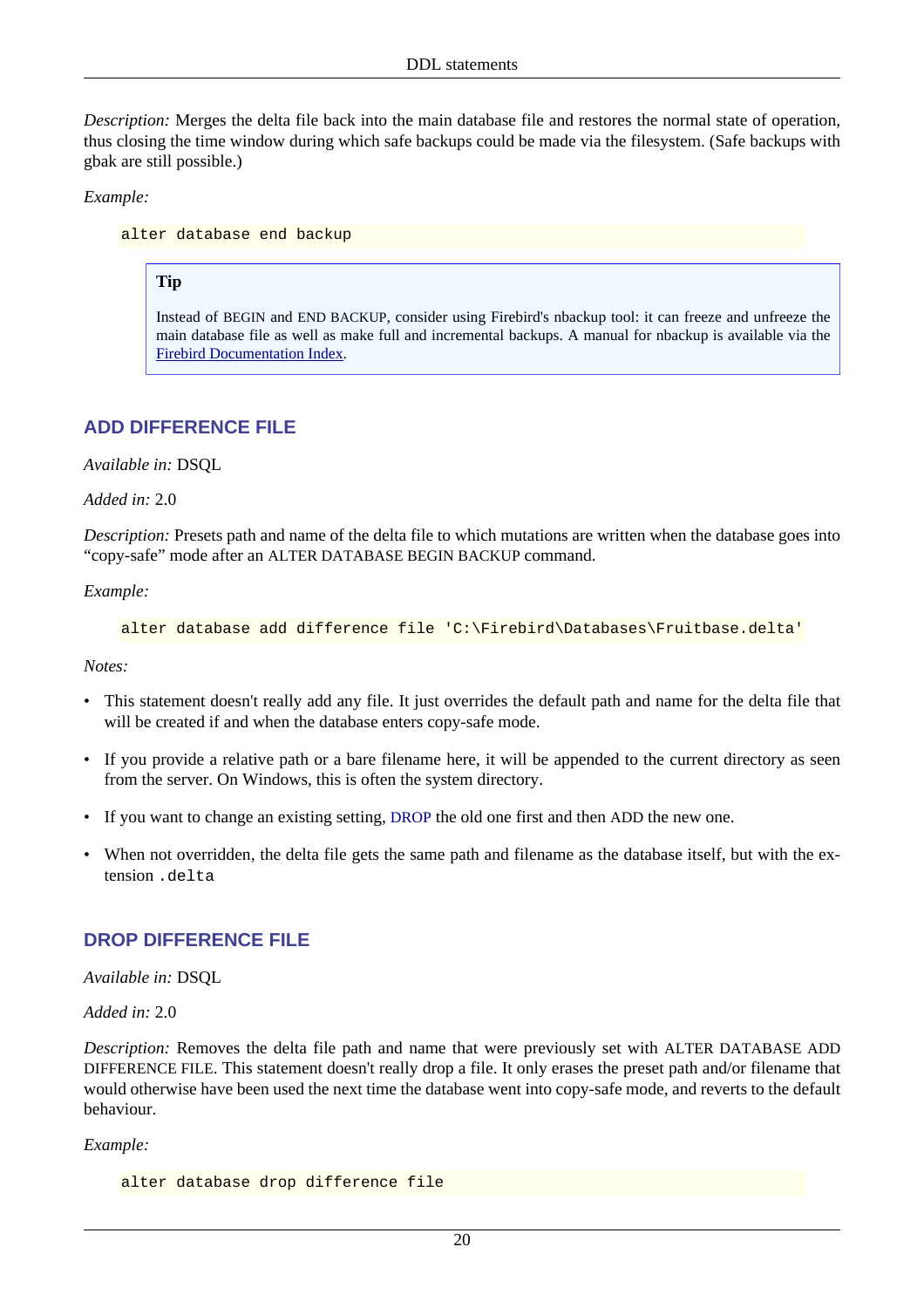*Description:* Merges the delta file back into the main database file and restores the normal state of operation, thus closing the time window during which safe backups could be made via the filesystem. (Safe backups with gbak are still possible.)

*Example:*

alter database end backup

#### **Tip**

Instead of BEGIN and END BACKUP, consider using Firebird's nbackup tool: it can freeze and unfreeze the main database file as well as make full and incremental backups. A manual for nbackup is available via the [Firebird Documentation Index.](http://www.firebirdsql.org/index.php?op=doc)

#### <span id="page-30-0"></span>**ADD DIFFERENCE FILE**

*Available in:* DSQL

#### *Added in:* 2.0

*Description:* Presets path and name of the delta file to which mutations are written when the database goes into "copy-safe" mode after an ALTER DATABASE BEGIN BACKUP command.

*Example:*

```
alter database add difference file 'C:\Firebird\Databases\Fruitbase.delta'
```
*Notes:*

- This statement doesn't really add any file. It just overrides the default path and name for the delta file that will be created if and when the database enters copy-safe mode.
- If you provide a relative path or a bare filename here, it will be appended to the current directory as seen from the server. On Windows, this is often the system directory.
- If you want to change an existing setting, [DROP](#page-30-1) the old one first and then ADD the new one.
- <span id="page-30-1"></span>• When not overridden, the delta file gets the same path and filename as the database itself, but with the extension .delta

#### **DROP DIFFERENCE FILE**

*Available in:* DSQL

*Added in:* 2.0

*Description:* Removes the delta file path and name that were previously set with ALTER DATABASE ADD DIFFERENCE FILE. This statement doesn't really drop a file. It only erases the preset path and/or filename that would otherwise have been used the next time the database went into copy-safe mode, and reverts to the default behaviour.

#### *Example:*

```
alter database drop difference file
```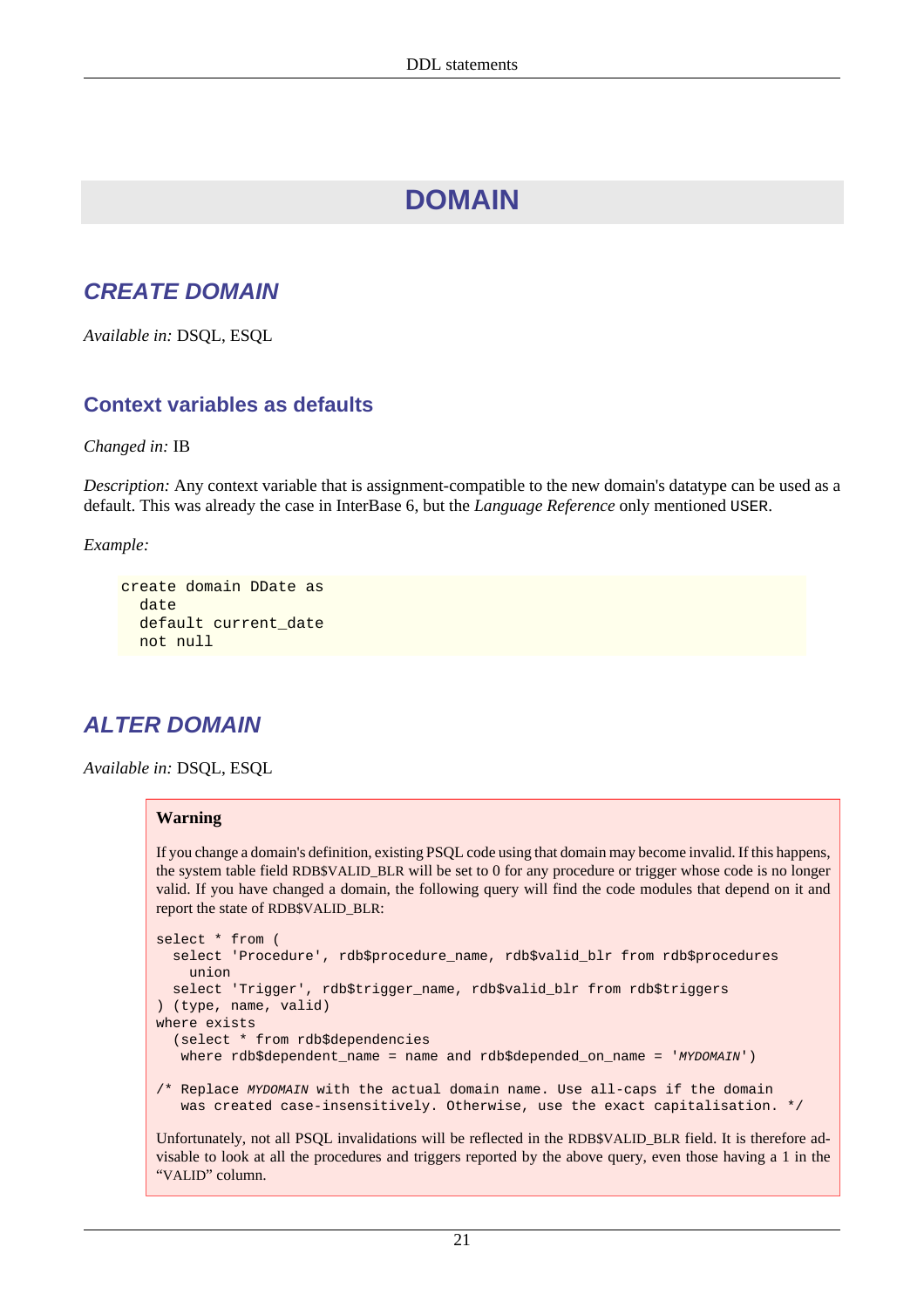# **DOMAIN**

## <span id="page-31-1"></span><span id="page-31-0"></span>**CREATE DOMAIN**

*Available in:* DSQL, ESQL

### **Context variables as defaults**

*Changed in:* IB

*Description:* Any context variable that is assignment-compatible to the new domain's datatype can be used as a default. This was already the case in InterBase 6, but the *Language Reference* only mentioned USER.

*Example:*

```
create domain DDate as
   date
  default current date
   not null
```
## <span id="page-31-2"></span>**ALTER DOMAIN**

*Available in:* DSQL, ESQL

#### **Warning**

If you change a domain's definition, existing PSQL code using that domain may become invalid. If this happens, the system table field RDB\$VALID\_BLR will be set to 0 for any procedure or trigger whose code is no longer valid. If you have changed a domain, the following query will find the code modules that depend on it and report the state of RDB\$VALID\_BLR:

```
select * from (
   select 'Procedure', rdb$procedure_name, rdb$valid_blr from rdb$procedures
     union
   select 'Trigger', rdb$trigger_name, rdb$valid_blr from rdb$triggers
) (type, name, valid)
where exists
   (select * from rdb$dependencies
   where rdb$dependent_name = name and rdb$depended_on_name = 'MYDOMAIN')
/* Replace MYDOMAIN with the actual domain name. Use all-caps if the domain
    was created case-insensitively. Otherwise, use the exact capitalisation. */
```
Unfortunately, not all PSQL invalidations will be reflected in the RDB\$VALID\_BLR field. It is therefore advisable to look at all the procedures and triggers reported by the above query, even those having a 1 in the "VALID" column.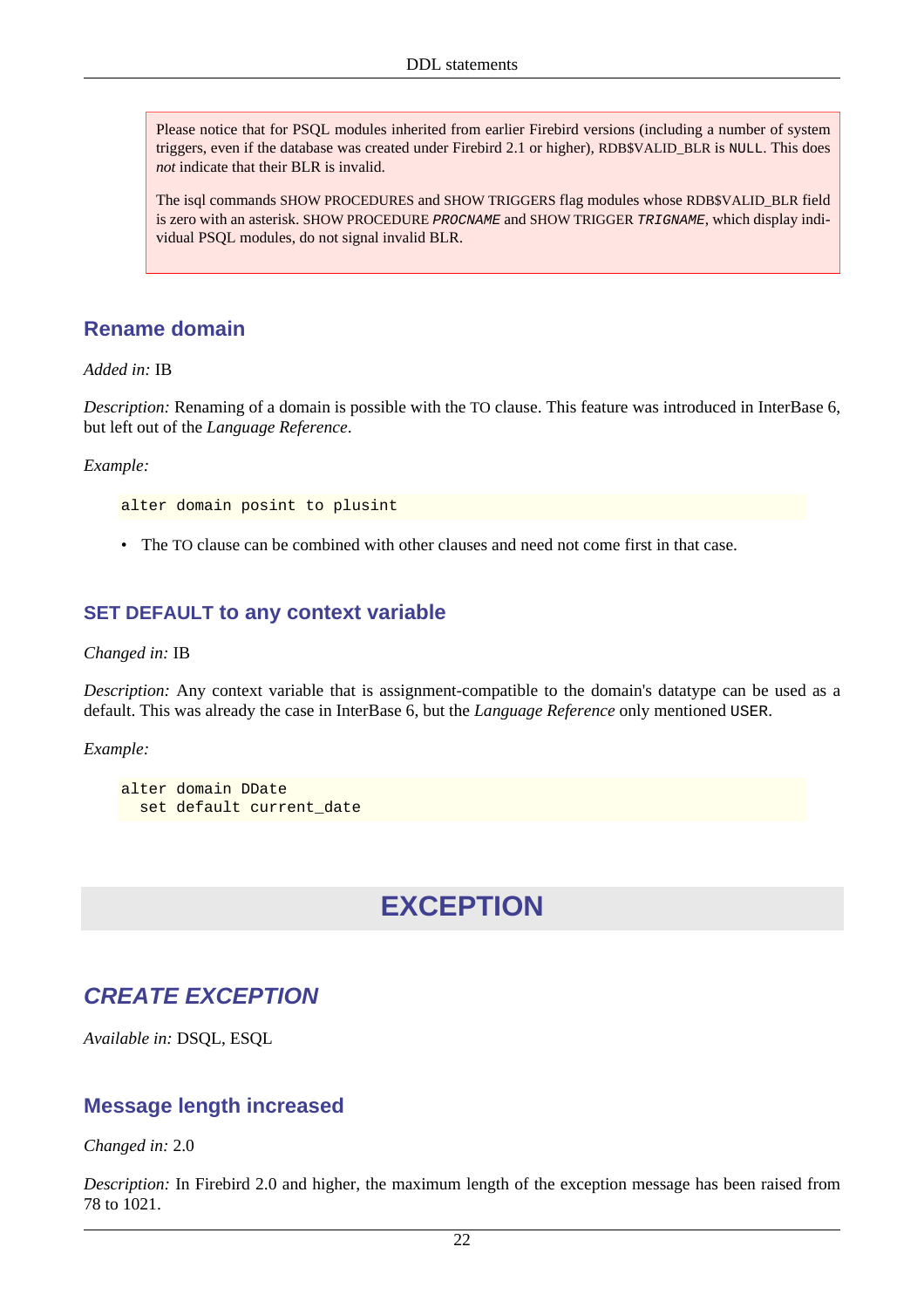Please notice that for PSQL modules inherited from earlier Firebird versions (including a number of system triggers, even if the database was created under Firebird 2.1 or higher), RDB\$VALID\_BLR is NULL. This does *not* indicate that their BLR is invalid.

The isql commands SHOW PROCEDURES and SHOW TRIGGERS flag modules whose RDB\$VALID\_BLR field is zero with an asterisk. SHOW PROCEDURE PROCNAME and SHOW TRIGGER TRIGNAME, which display individual PSQL modules, do not signal invalid BLR.

### **Rename domain**

*Added in:* IB

*Description:* Renaming of a domain is possible with the TO clause. This feature was introduced in InterBase 6, but left out of the *Language Reference*.

*Example:*

alter domain posint to plusint

• The TO clause can be combined with other clauses and need not come first in that case.

#### **SET DEFAULT to any context variable**

*Changed in:* IB

*Description:* Any context variable that is assignment-compatible to the domain's datatype can be used as a default. This was already the case in InterBase 6, but the *Language Reference* only mentioned USER.

*Example:*

```
alter domain DDate
   set default current_date
```
# **EXCEPTION**

## <span id="page-32-1"></span>**CREATE EXCEPTION**

*Available in:* DSQL, ESQL

#### **Message length increased**

*Changed in:* 2.0

*Description:* In Firebird 2.0 and higher, the maximum length of the exception message has been raised from 78 to 1021.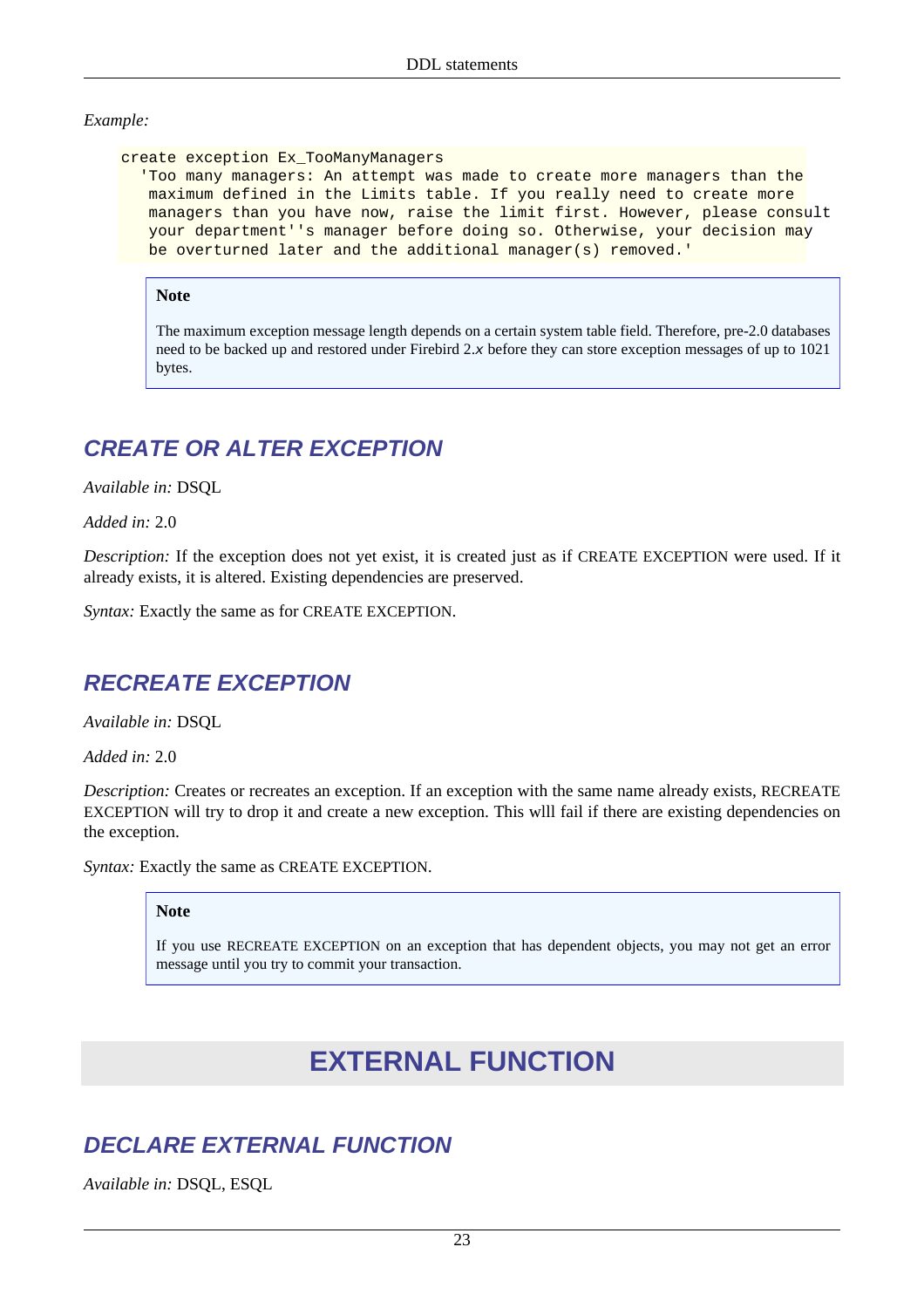#### *Example:*

create exception Ex\_TooManyManagers

 'Too many managers: An attempt was made to create more managers than the maximum defined in the Limits table. If you really need to create more managers than you have now, raise the limit first. However, please consult your department''s manager before doing so. Otherwise, your decision may be overturned later and the additional manager(s) removed.'

#### **Note**

The maximum exception message length depends on a certain system table field. Therefore, pre-2.0 databases need to be backed up and restored under Firebird 2.x before they can store exception messages of up to 1021 bytes.

## <span id="page-33-0"></span>**CREATE OR ALTER EXCEPTION**

*Available in:* DSQL

*Added in:* 2.0

*Description:* If the exception does not yet exist, it is created just as if CREATE EXCEPTION were used. If it already exists, it is altered. Existing dependencies are preserved.

<span id="page-33-1"></span>*Syntax:* Exactly the same as for CREATE EXCEPTION.

### **RECREATE EXCEPTION**

*Available in:* DSQL

*Added in:* 2.0

*Description:* Creates or recreates an exception. If an exception with the same name already exists, RECREATE EXCEPTION will try to drop it and create a new exception. This wlll fail if there are existing dependencies on the exception.

*Syntax:* Exactly the same as CREATE EXCEPTION.

#### **Note**

<span id="page-33-2"></span>If you use RECREATE EXCEPTION on an exception that has dependent objects, you may not get an error message until you try to commit your transaction.

# **EXTERNAL FUNCTION**

## <span id="page-33-3"></span>**DECLARE EXTERNAL FUNCTION**

*Available in:* DSQL, ESQL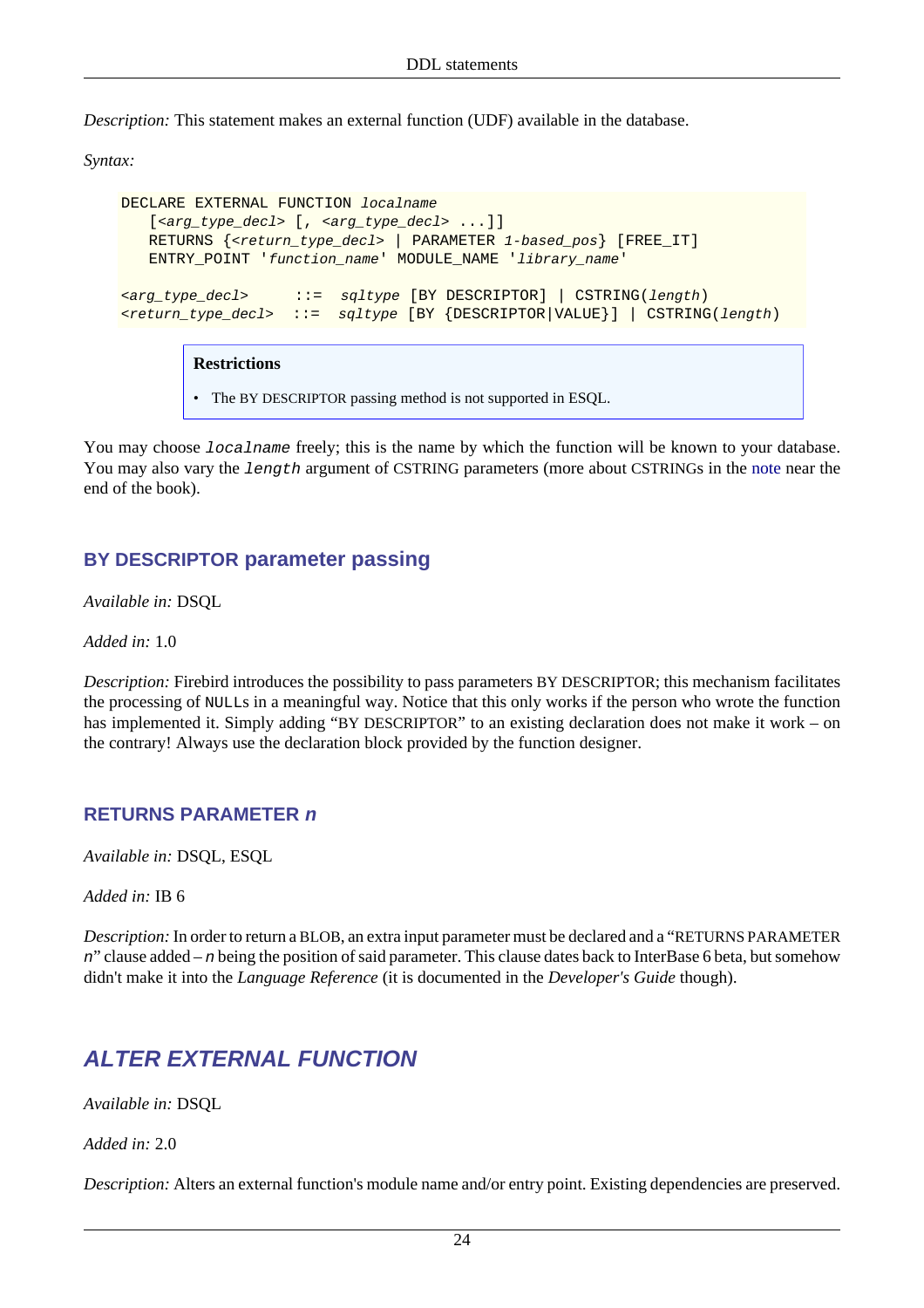*Description:* This statement makes an external function (UDF) available in the database.

*Syntax:*

```
DECLARE EXTERNAL FUNCTION localname
   [<arg_type_decl> [, <arg_type_decl> ...]]
   RETURNS \{ < return_type_decl> | PARAMETER 1-based_pos} [FREE_IT]
    ENTRY_POINT 'function_name' MODULE_NAME 'library_name'
<arg_type_decl> ::= sqltype [BY DESCRIPTOR] | CSTRING(length)
<return_type_decl> ::= sqltype [BY {DESCRIPTOR|VALUE}] | CSTRING(length)
```
#### **Restrictions**

• The BY DESCRIPTOR passing method is not supported in ESQL.

You may choose *localname* freely; this is the name by which the function will be known to your database. You may also vary the length argument of CSTRING parameters (more about CSTRINGs in the [note](#page-211-0) near the end of the book).

### **BY DESCRIPTOR parameter passing**

*Available in:* DSQL

*Added in:* 1.0

*Description:* Firebird introduces the possibility to pass parameters BY DESCRIPTOR; this mechanism facilitates the processing of NULLs in a meaningful way. Notice that this only works if the person who wrote the function has implemented it. Simply adding "BY DESCRIPTOR" to an existing declaration does not make it work – on the contrary! Always use the declaration block provided by the function designer.

#### **RETURNS PARAMETER n**

*Available in:* DSQL, ESQL

*Added in:* IB 6

*Description:* In order to return a BLOB, an extra input parameter must be declared and a "RETURNS PARAMETER n" clause added – n being the position of said parameter. This clause dates back to InterBase 6 beta, but somehow didn't make it into the *Language Reference* (it is documented in the *Developer's Guide* though).

## <span id="page-34-0"></span>**ALTER EXTERNAL FUNCTION**

*Available in:* DSQL

*Added in:* 2.0

*Description:* Alters an external function's module name and/or entry point. Existing dependencies are preserved.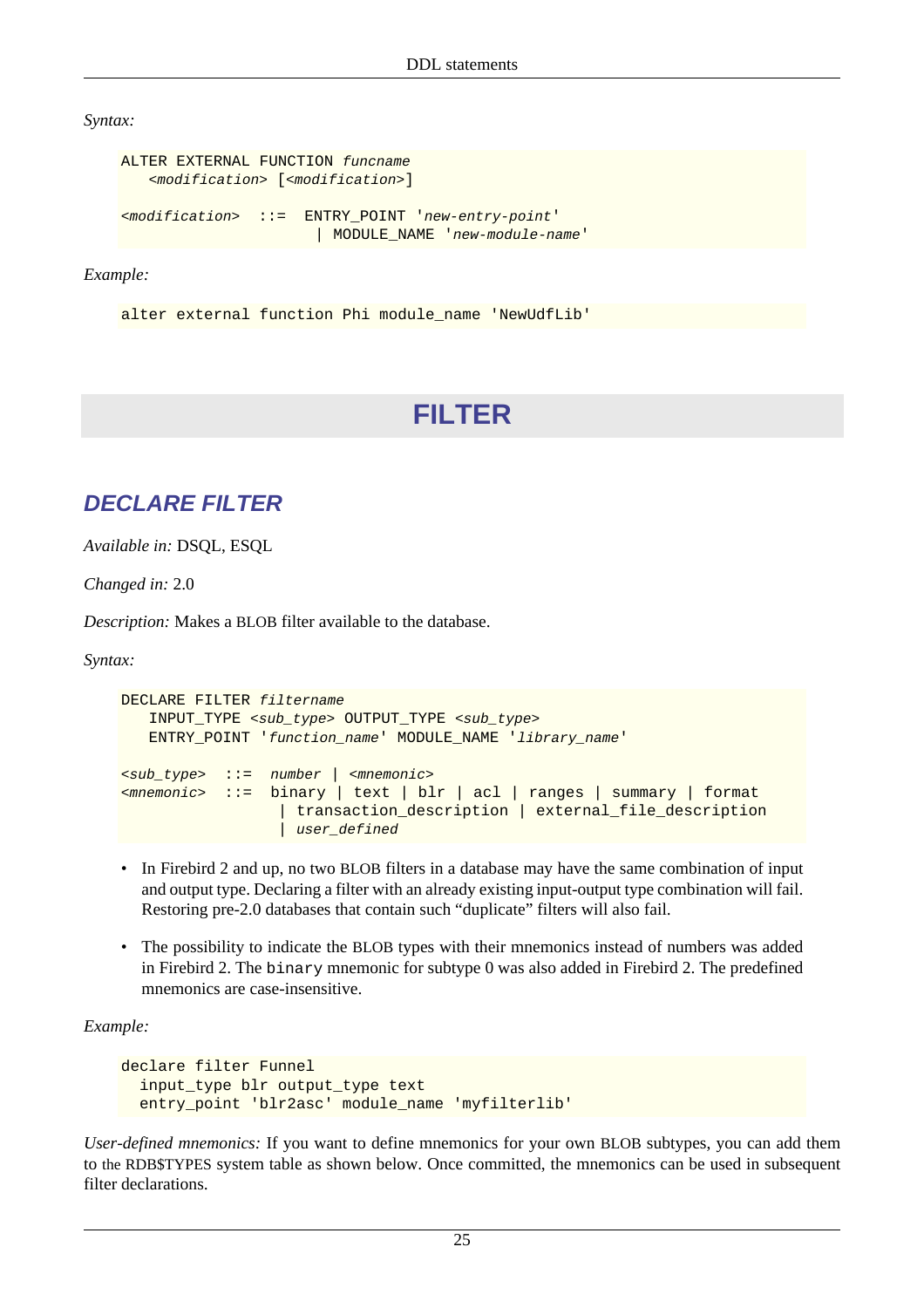*Syntax:*

```
ALTER EXTERNAL FUNCTION funcname
    <modification> [<modification>]
```
<modification> ::= ENTRY\_POINT 'new-entry-point' | MODULE\_NAME 'new-module-name'

*Example:*

<span id="page-35-0"></span>alter external function Phi module\_name 'NewUdfLib'

# **FILTER**

## <span id="page-35-1"></span>**DECLARE FILTER**

*Available in:* DSQL, ESQL

*Changed in:* 2.0

*Description:* Makes a BLOB filter available to the database.

*Syntax:*

```
DECLARE FILTER filtername
    INPUT_TYPE <sub_type> OUTPUT_TYPE <sub_type>
    ENTRY_POINT 'function_name' MODULE_NAME 'library_name'
<sub_type> ::= number | <mnemonic>
<mnemonic> ::= binary | text | blr | acl | ranges | summary | format
                    | transaction_description | external_file_description
                   user_defined
```
- In Firebird 2 and up, no two BLOB filters in a database may have the same combination of input and output type. Declaring a filter with an already existing input-output type combination will fail. Restoring pre-2.0 databases that contain such "duplicate" filters will also fail.
- The possibility to indicate the BLOB types with their mnemonics instead of numbers was added in Firebird 2. The binary mnemonic for subtype 0 was also added in Firebird 2. The predefined mnemonics are case-insensitive.

*Example:*

```
declare filter Funnel
   input_type blr output_type text
   entry_point 'blr2asc' module_name 'myfilterlib'
```
*User-defined mnemonics:* If you want to define mnemonics for your own BLOB subtypes, you can add them to the RDB\$TYPES system table as shown below. Once committed, the mnemonics can be used in subsequent filter declarations.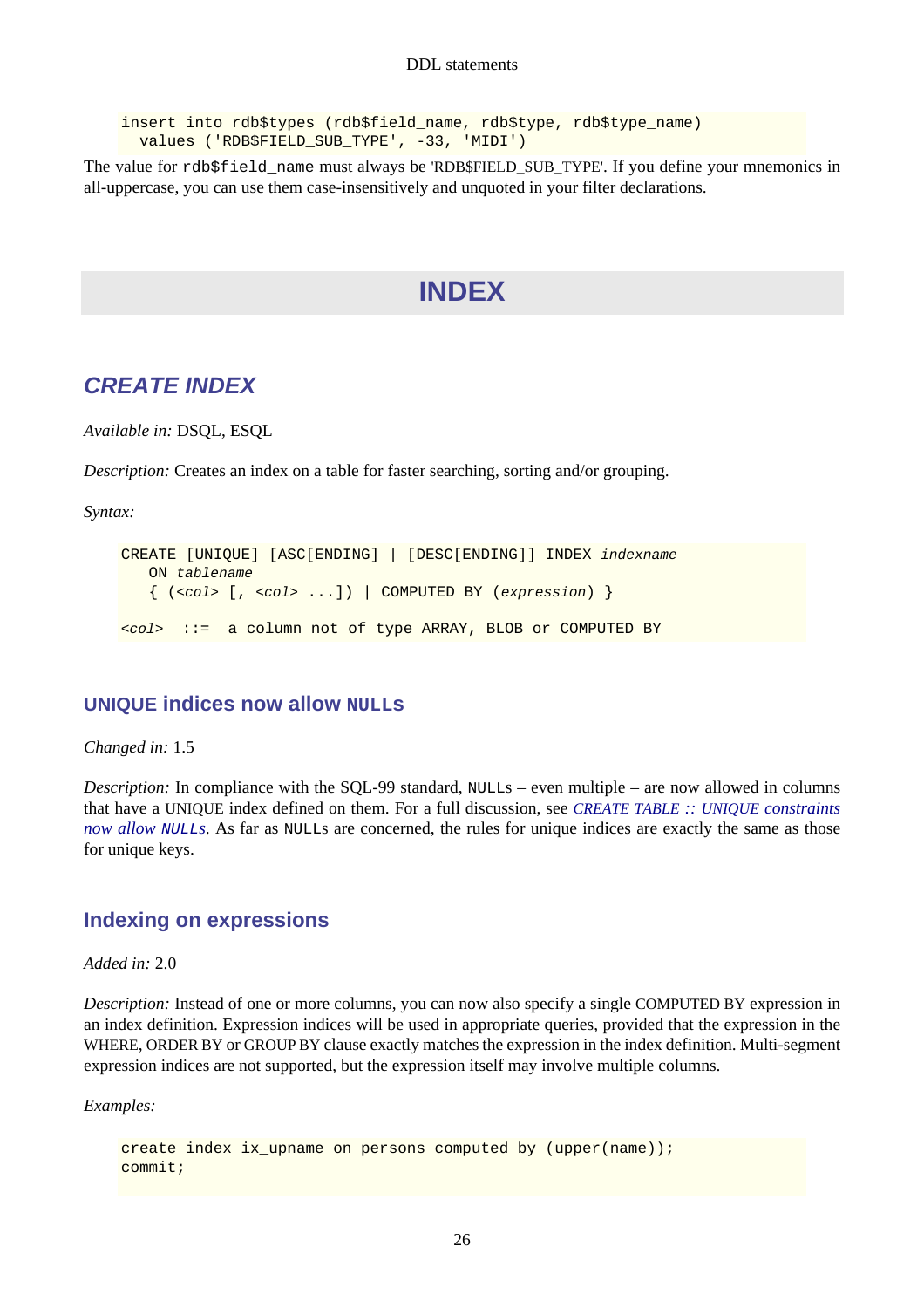insert into rdb\$types (rdb\$field\_name, rdb\$type, rdb\$type\_name) values ('RDB\$FIELD\_SUB\_TYPE', -33, 'MIDI')

The value for rdb\$field\_name must always be 'RDB\$FIELD\_SUB\_TYPE'. If you define your mnemonics in all-uppercase, you can use them case-insensitively and unquoted in your filter declarations.

# **INDEX**

## **CREATE INDEX**

*Available in:* DSQL, ESQL

*Description:* Creates an index on a table for faster searching, sorting and/or grouping.

*Syntax:*

```
CREATE [UNIQUE] [ASC[ENDING] | [DESC[ENDING]] INDEX indexname
    ON tablename
   \{ (scol > [0, scol > ...]) | COMPUTED BY (sexpression)<col> ::= a column not of type ARRAY, BLOB or COMPUTED BY
```
#### **UNIQUE indices now allow NULLs**

*Changed in:* 1.5

*Description:* In compliance with the SQL-99 standard, NULLs – even multiple – are now allowed in columns that have a UNIQUE index defined on them. For a full discussion, see *[CREATE TABLE](#page-50-0) :: UNIQUE constraints [now allow](#page-50-0) NULLs*. As far as NULLs are concerned, the rules for unique indices are exactly the same as those for unique keys.

#### **Indexing on expressions**

*Added in:* 2.0

*Description:* Instead of one or more columns, you can now also specify a single COMPUTED BY expression in an index definition. Expression indices will be used in appropriate queries, provided that the expression in the WHERE, ORDER BY or GROUP BY clause exactly matches the expression in the index definition. Multi-segment expression indices are not supported, but the expression itself may involve multiple columns.

*Examples:*

```
create index ix upname on persons computed by (upper(name));
commit;
```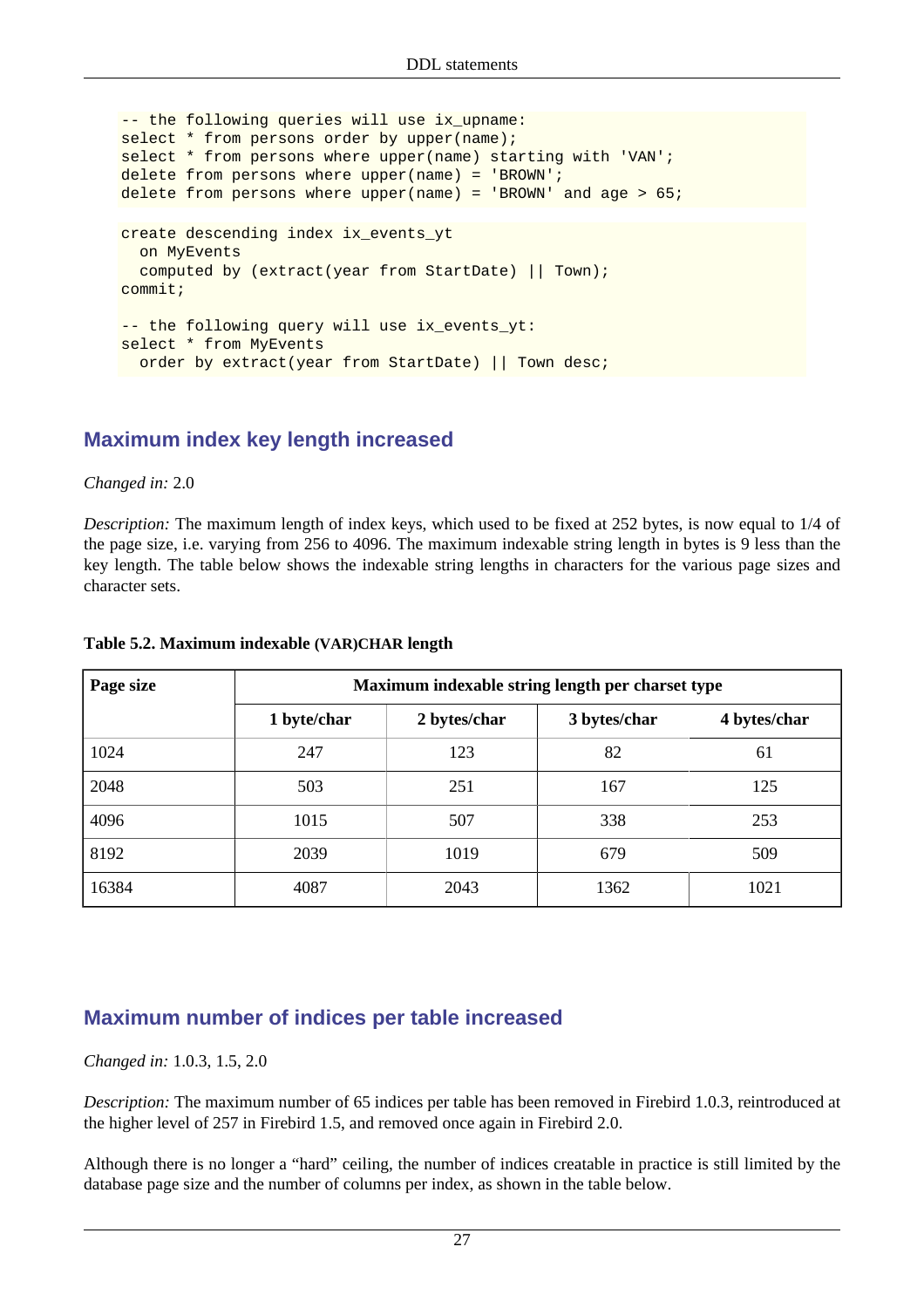```
-- the following queries will use ix_upname:
select * from persons order by upper(name);
select * from persons where upper(name) starting with 'VAN';
delete from persons where upper(name) = 'BROWN';
delete from persons where upper(name) = 'BROWN' and age > 65;
create descending index ix_events_yt
   on MyEvents
   computed by (extract(year from StartDate) || Town);
commit;
-- the following query will use ix_events_yt:
select * from MyEvents
  order by extract(year from StartDate) || Town desc;
```
#### **Maximum index key length increased**

#### *Changed in:* 2.0

*Description:* The maximum length of index keys, which used to be fixed at 252 bytes, is now equal to 1/4 of the page size, i.e. varying from 256 to 4096. The maximum indexable string length in bytes is 9 less than the key length. The table below shows the indexable string lengths in characters for the various page sizes and character sets.

| Page size | Maximum indexable string length per charset type |              |              |              |
|-----------|--------------------------------------------------|--------------|--------------|--------------|
|           | 1 byte/char                                      | 2 bytes/char | 3 bytes/char | 4 bytes/char |
| 1024      | 247                                              | 123          | 82           | 61           |
| 2048      | 503                                              | 251          | 167          | 125          |
| 4096      | 1015                                             | 507          | 338          | 253          |
| 8192      | 2039                                             | 1019         | 679          | 509          |
| 16384     | 4087                                             | 2043         | 1362         | 1021         |

#### **Table 5.2. Maximum indexable (VAR)CHAR length**

#### **Maximum number of indices per table increased**

#### *Changed in:* 1.0.3, 1.5, 2.0

*Description:* The maximum number of 65 indices per table has been removed in Firebird 1.0.3, reintroduced at the higher level of 257 in Firebird 1.5, and removed once again in Firebird 2.0.

Although there is no longer a "hard" ceiling, the number of indices creatable in practice is still limited by the database page size and the number of columns per index, as shown in the table below.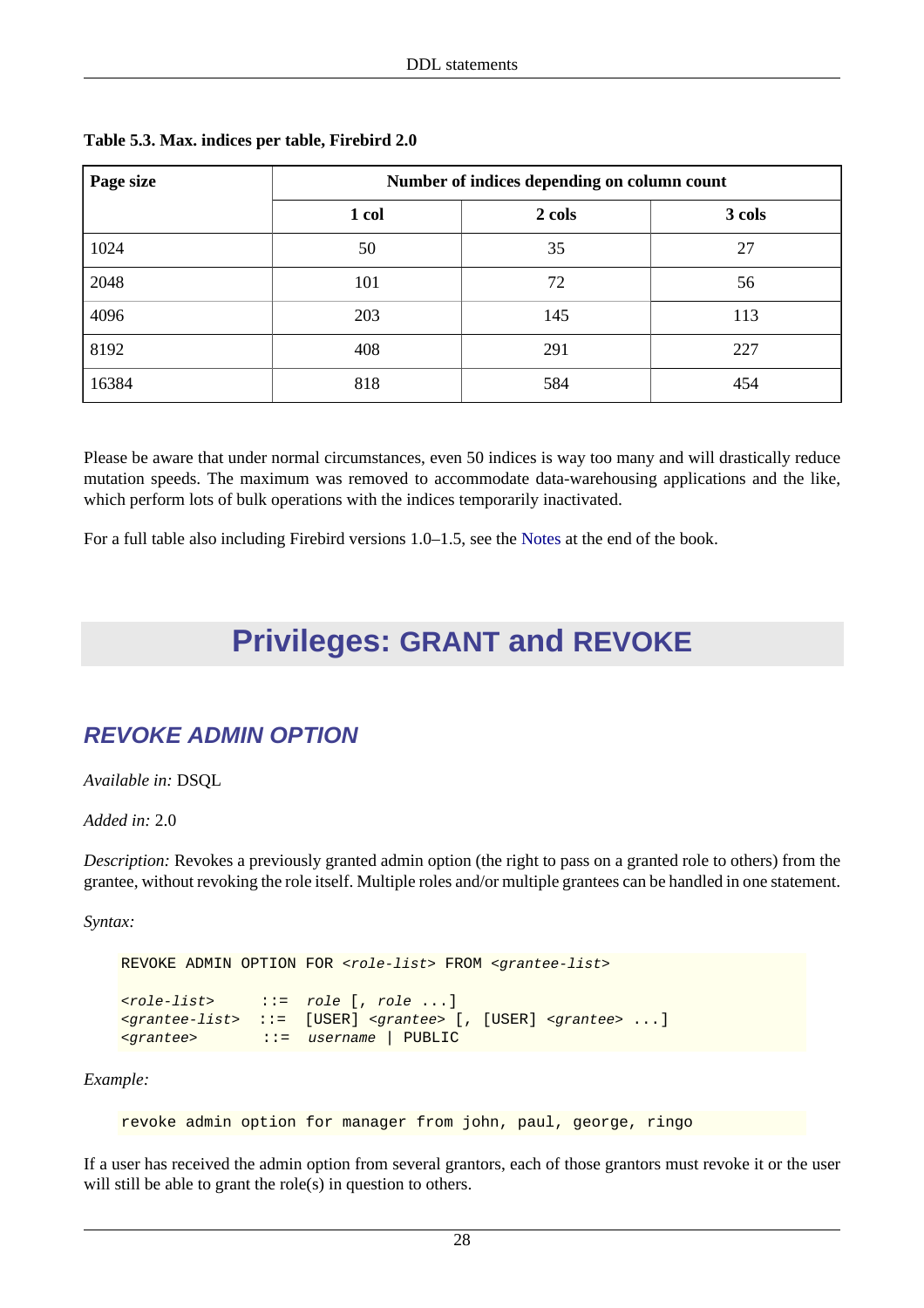| Page size | Number of indices depending on column count |        |        |  |
|-----------|---------------------------------------------|--------|--------|--|
|           | 1 col                                       | 2 cols | 3 cols |  |
| 1024      | 50                                          | 35     | 27     |  |
| 2048      | 101                                         | 72     | 56     |  |
| 4096      | 203                                         | 145    | 113    |  |
| 8192      | 408                                         | 291    | 227    |  |
| 16384     | 818                                         | 584    | 454    |  |

#### **Table 5.3. Max. indices per table, Firebird 2.0**

Please be aware that under normal circumstances, even 50 indices is way too many and will drastically reduce mutation speeds. The maximum was removed to accommodate data-warehousing applications and the like, which perform lots of bulk operations with the indices temporarily inactivated.

For a full table also including Firebird versions 1.0–1.5, see the [Notes](#page-213-0) at the end of the book.

# **Privileges: GRANT and REVOKE**

# **REVOKE ADMIN OPTION**

*Available in:* DSQL

*Added in:* 2.0

*Description:* Revokes a previously granted admin option (the right to pass on a granted role to others) from the grantee, without revoking the role itself. Multiple roles and/or multiple grantees can be handled in one statement.

*Syntax:*

```
REVOKE ADMIN OPTION FOR <role-list> FROM <grantee-list>
<role-list> ::= role [, role ...]
<grantee-list> ::= [USER] <grantee> [, [USER] <grantee> ...]
<grantee> ::= username | PUBLIC
```
*Example:*

revoke admin option for manager from john, paul, george, ringo

If a user has received the admin option from several grantors, each of those grantors must revoke it or the user will still be able to grant the role(s) in question to others.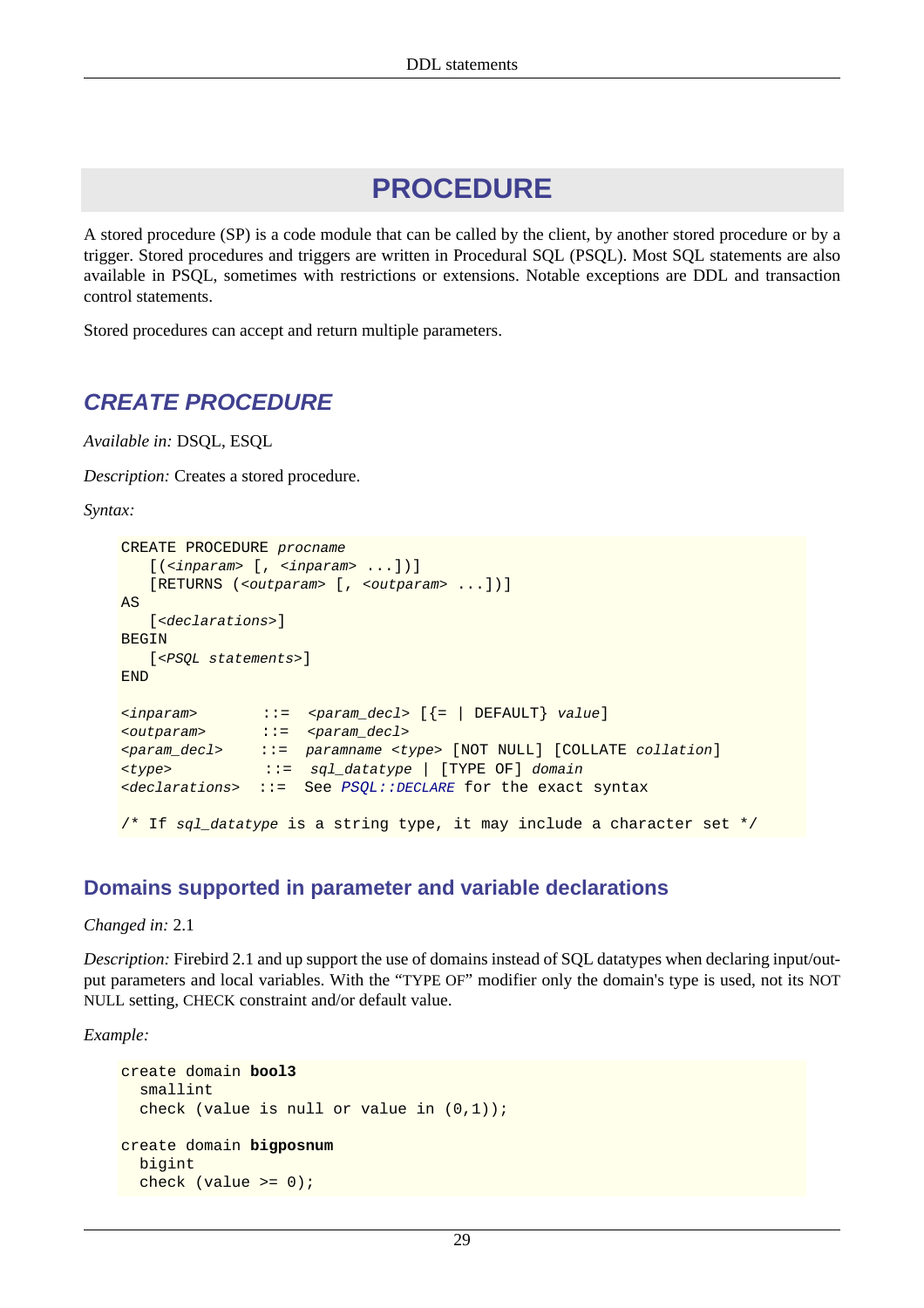# **PROCEDURE**

A stored procedure (SP) is a code module that can be called by the client, by another stored procedure or by a trigger. Stored procedures and triggers are written in Procedural SQL (PSQL). Most SQL statements are also available in PSQL, sometimes with restrictions or extensions. Notable exceptions are DDL and transaction control statements.

<span id="page-39-0"></span>Stored procedures can accept and return multiple parameters.

## **CREATE PROCEDURE**

*Available in:* DSQL, ESQL

*Description:* Creates a stored procedure.

*Syntax:*

```
CREATE PROCEDURE procname
    [(<inparam> [, <inparam> ...])]
    [RETURNS (<outparam> [, <outparam> ...])]
AS
   [<declarations>]
BEGIN
   [<PSQL statements>]
END
\langleinparam> ::= \langleparam_decl> [{= | DEFAULT} value]
<outparam> ::= <param_decl>
<param_decl> ::= paramname <type> [NOT NULL] [COLLATE collation]
<type> ::= sql_datatype | [TYPE OF] domain
<declarations> ::= See PSQL::DECLARE for the exact syntax
/* If sql_datatype is a string type, it may include a character set */
```
## **Domains supported in parameter and variable declarations**

*Changed in:* 2.1

*Description:* Firebird 2.1 and up support the use of domains instead of SQL datatypes when declaring input/output parameters and local variables. With the "TYPE OF" modifier only the domain's type is used, not its NOT NULL setting, CHECK constraint and/or default value.

*Example:*

```
create domain bool3
   smallint
   check (value is null or value in (0,1));
create domain bigposnum
   bigint
   check (value >= 0);
```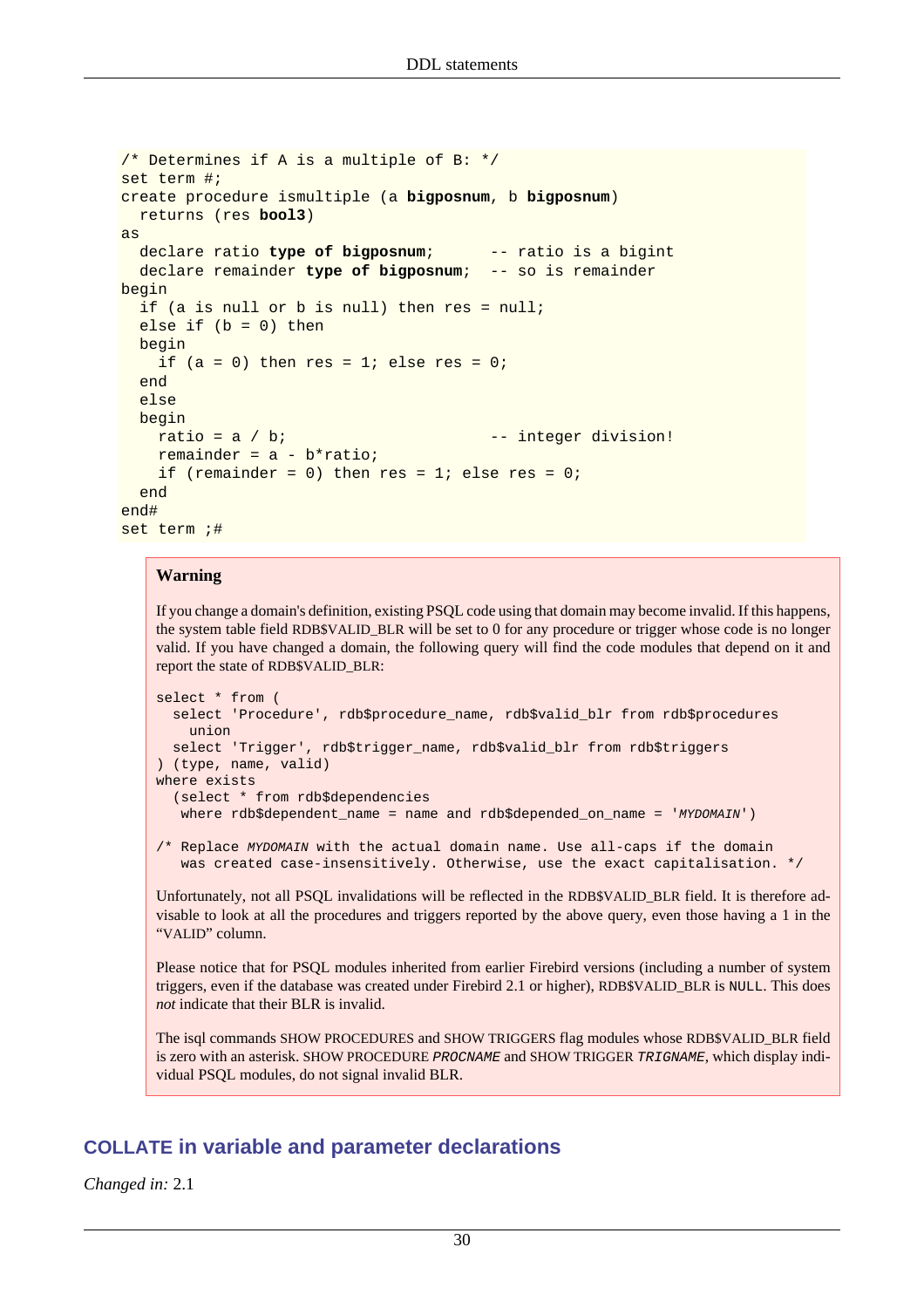```
/* Determines if A is a multiple of B: */
set term #;
create procedure ismultiple (a bigposnum, b bigposnum)
   returns (res bool3)
as
   declare ratio type of bigposnum; -- ratio is a bigint
   declare remainder type of bigposnum; -- so is remainder
begin
   if (a is null or b is null) then res = null;
  else if (b = 0) then
  begin
    if (a = 0) then res = 1; else res = 0;
   end
   else
  begin
   ratio = a / b; - integer division!
    remainder = a - b*ratio;
    if (remainder = 0) then res = 1; else res = 0;
   end
end#
set term ;#
```
#### **Warning**

If you change a domain's definition, existing PSQL code using that domain may become invalid. If this happens, the system table field RDB\$VALID\_BLR will be set to 0 for any procedure or trigger whose code is no longer valid. If you have changed a domain, the following query will find the code modules that depend on it and report the state of RDB\$VALID\_BLR:

```
select * from (
   select 'Procedure', rdb$procedure_name, rdb$valid_blr from rdb$procedures
     union
   select 'Trigger', rdb$trigger_name, rdb$valid_blr from rdb$triggers
) (type, name, valid)
where exists
   (select * from rdb$dependencies
   where rdb$dependent_name = name and rdb$depended_on_name = 'MYDOMAIN')
```
/\* Replace MYDOMAIN with the actual domain name. Use all-caps if the domain was created case-insensitively. Otherwise, use the exact capitalisation. \*/

Unfortunately, not all PSQL invalidations will be reflected in the RDB\$VALID\_BLR field. It is therefore advisable to look at all the procedures and triggers reported by the above query, even those having a 1 in the "VALID" column.

Please notice that for PSQL modules inherited from earlier Firebird versions (including a number of system triggers, even if the database was created under Firebird 2.1 or higher), RDB\$VALID\_BLR is NULL. This does *not* indicate that their BLR is invalid.

The isql commands SHOW PROCEDURES and SHOW TRIGGERS flag modules whose RDB\$VALID\_BLR field is zero with an asterisk. SHOW PROCEDURE PROCNAME and SHOW TRIGGER TRIGNAME, which display individual PSQL modules, do not signal invalid BLR.

#### **COLLATE in variable and parameter declarations**

*Changed in:* 2.1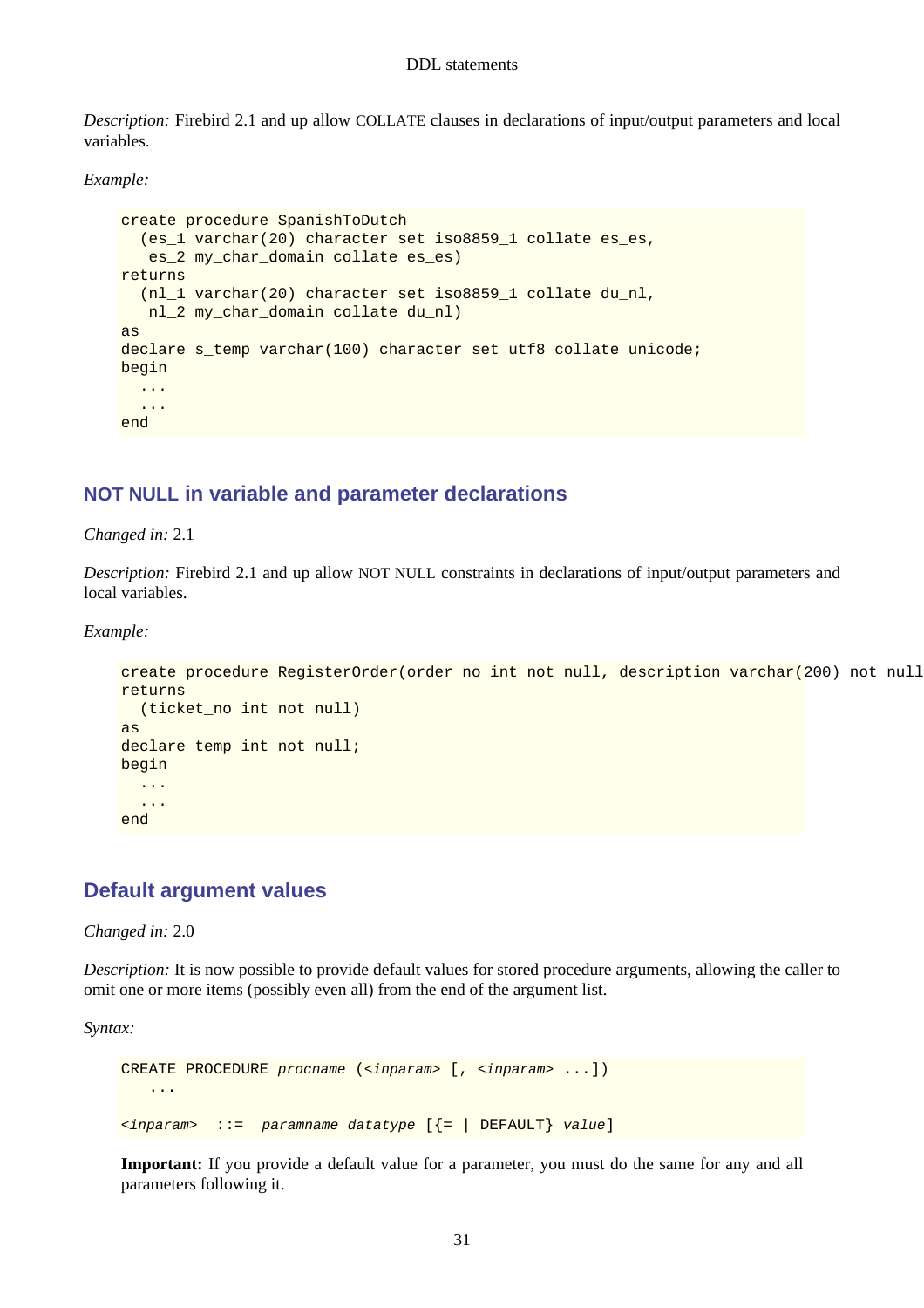*Description:* Firebird 2.1 and up allow COLLATE clauses in declarations of input/output parameters and local variables.

*Example:*

```
create procedure SpanishToDutch
   (es_1 varchar(20) character set iso8859_1 collate es_es,
    es_2 my_char_domain collate es_es)
returns
   (nl_1 varchar(20) character set iso8859_1 collate du_nl,
    nl_2 my_char_domain collate du_nl)
as
declare s_temp varchar(100) character set utf8 collate unicode;
begin
   ...
   ...
end
```
#### **NOT NULL in variable and parameter declarations**

#### *Changed in:* 2.1

*Description:* Firebird 2.1 and up allow NOT NULL constraints in declarations of input/output parameters and local variables.

*Example:*

```
create procedure RegisterOrder(order no int not null, description varchar(200) not null
returns
   (ticket_no int not null)
as
declare temp int not null;
begin
   ...
   ...
end
```
#### **Default argument values**

*Changed in:* 2.0

*Description:* It is now possible to provide default values for stored procedure arguments, allowing the caller to omit one or more items (possibly even all) from the end of the argument list.

*Syntax:*

```
CREATE PROCEDURE procname (<inparam> [, <inparam> ...])
    ...
\langleinparam> ::= paramname datatype [\{- \mid DEFAULT} value]
```
**Important:** If you provide a default value for a parameter, you must do the same for any and all parameters following it.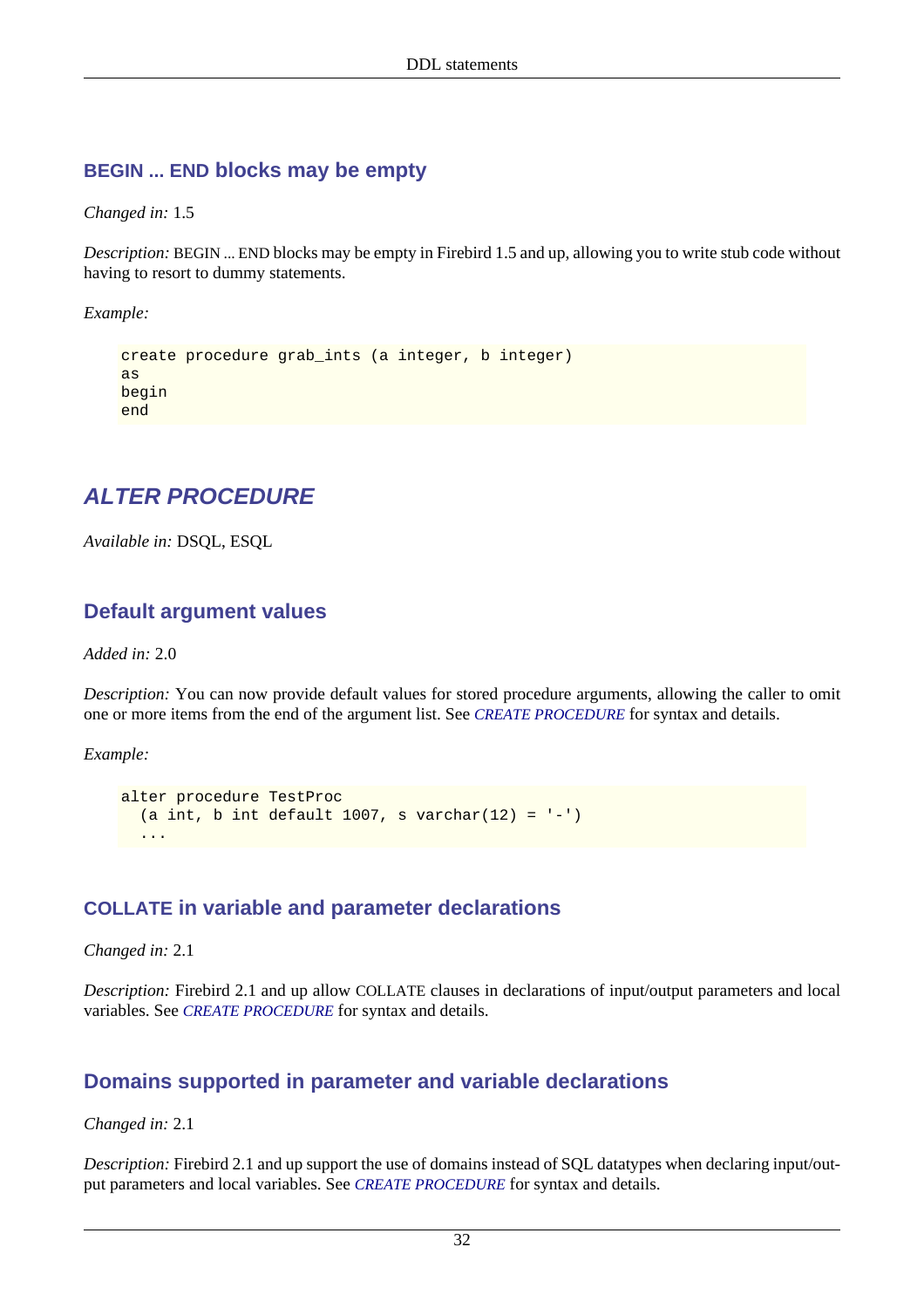#### **BEGIN ... END blocks may be empty**

*Changed in:* 1.5

*Description:* BEGIN ... END blocks may be empty in Firebird 1.5 and up, allowing you to write stub code without having to resort to dummy statements.

*Example:*

```
create procedure grab_ints (a integer, b integer)
as
begin
end
```
# **ALTER PROCEDURE**

*Available in:* DSQL, ESQL

#### **Default argument values**

*Added in:* 2.0

*Description:* You can now provide default values for stored procedure arguments, allowing the caller to omit one or more items from the end of the argument list. See *[CREATE PROCEDURE](#page-39-0)* for syntax and details.

*Example:*

```
alter procedure TestProc
 (a int, b int default 1007, s varchar(12) =
 ...
```
## **COLLATE in variable and parameter declarations**

*Changed in:* 2.1

*Description:* Firebird 2.1 and up allow COLLATE clauses in declarations of input/output parameters and local variables. See *[CREATE PROCEDURE](#page-39-0)* for syntax and details.

## **Domains supported in parameter and variable declarations**

*Changed in:* 2.1

*Description:* Firebird 2.1 and up support the use of domains instead of SQL datatypes when declaring input/output parameters and local variables. See *[CREATE PROCEDURE](#page-39-0)* for syntax and details.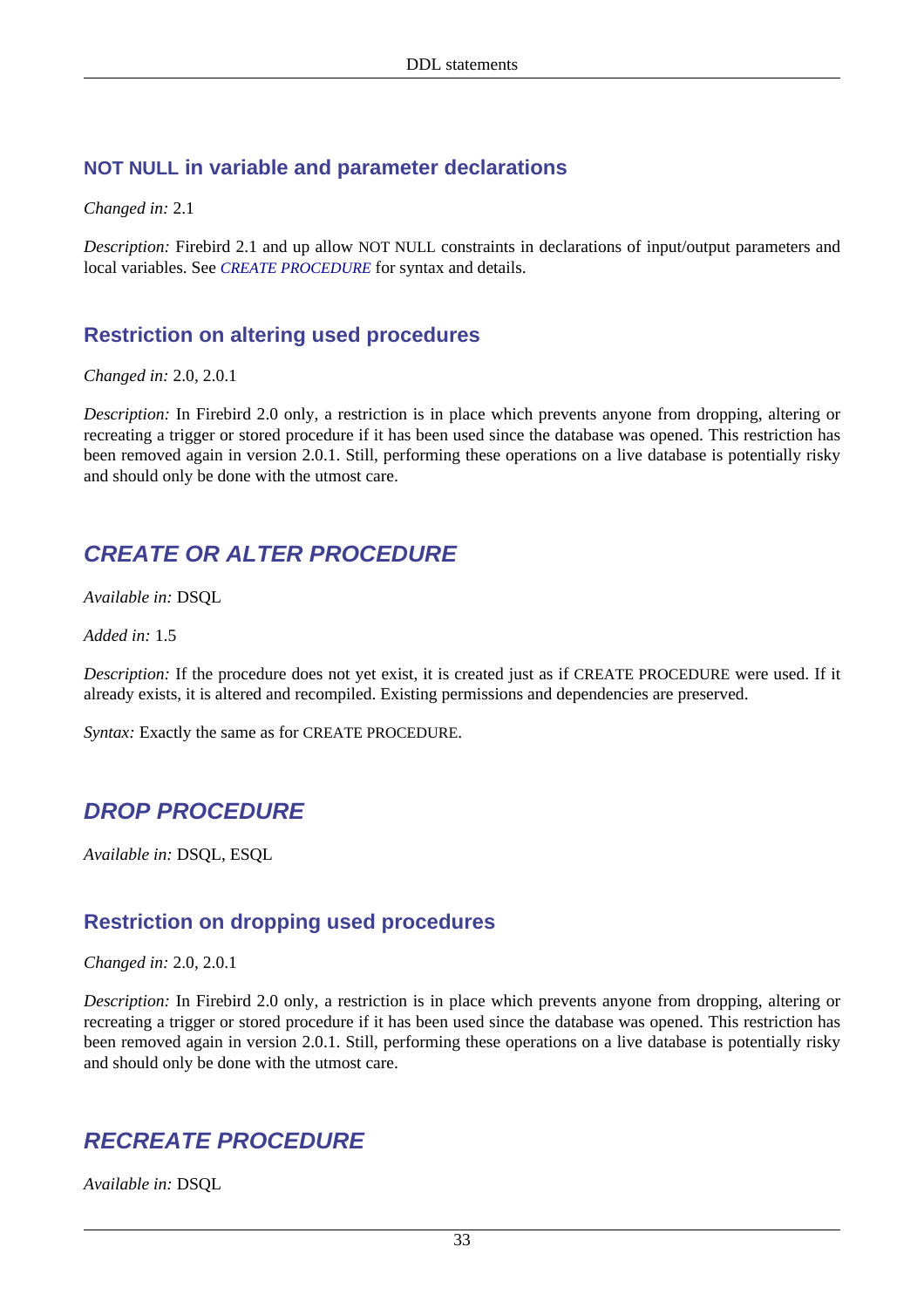#### **NOT NULL in variable and parameter declarations**

*Changed in:* 2.1

*Description:* Firebird 2.1 and up allow NOT NULL constraints in declarations of input/output parameters and local variables. See *[CREATE PROCEDURE](#page-39-0)* for syntax and details.

#### **Restriction on altering used procedures**

*Changed in:* 2.0, 2.0.1

*Description:* In Firebird 2.0 only, a restriction is in place which prevents anyone from dropping, altering or recreating a trigger or stored procedure if it has been used since the database was opened. This restriction has been removed again in version 2.0.1. Still, performing these operations on a live database is potentially risky and should only be done with the utmost care.

## **CREATE OR ALTER PROCEDURE**

*Available in:* DSQL

*Added in:* 1.5

*Description:* If the procedure does not yet exist, it is created just as if CREATE PROCEDURE were used. If it already exists, it is altered and recompiled. Existing permissions and dependencies are preserved.

*Syntax:* Exactly the same as for CREATE PROCEDURE.

# **DROP PROCEDURE**

*Available in:* DSQL, ESQL

## **Restriction on dropping used procedures**

*Changed in:* 2.0, 2.0.1

*Description:* In Firebird 2.0 only, a restriction is in place which prevents anyone from dropping, altering or recreating a trigger or stored procedure if it has been used since the database was opened. This restriction has been removed again in version 2.0.1. Still, performing these operations on a live database is potentially risky and should only be done with the utmost care.

# **RECREATE PROCEDURE**

*Available in:* DSQL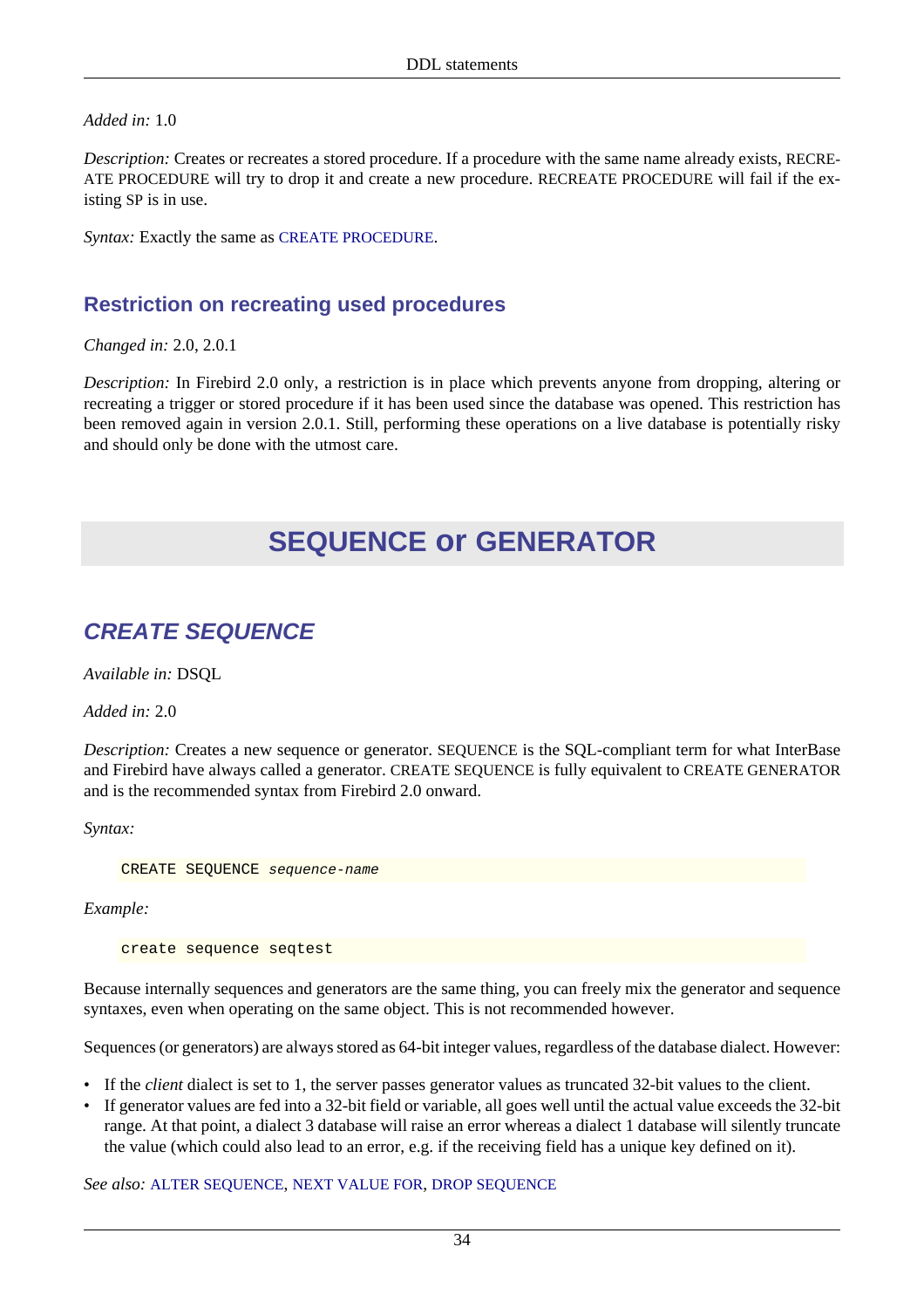*Added in:* 1.0

*Description:* Creates or recreates a stored procedure. If a procedure with the same name already exists, RECRE-ATE PROCEDURE will try to drop it and create a new procedure. RECREATE PROCEDURE will fail if the existing SP is in use.

*Syntax:* Exactly the same as [CREATE PROCEDURE](#page-39-0).

## **Restriction on recreating used procedures**

*Changed in:* 2.0, 2.0.1

*Description:* In Firebird 2.0 only, a restriction is in place which prevents anyone from dropping, altering or recreating a trigger or stored procedure if it has been used since the database was opened. This restriction has been removed again in version 2.0.1. Still, performing these operations on a live database is potentially risky and should only be done with the utmost care.

# **SEQUENCE or GENERATOR**

# <span id="page-44-0"></span>**CREATE SEQUENCE**

*Available in:* DSQL

*Added in:* 2.0

*Description:* Creates a new sequence or generator. SEQUENCE is the SQL-compliant term for what InterBase and Firebird have always called a generator. CREATE SEQUENCE is fully equivalent to CREATE GENERATOR and is the recommended syntax from Firebird 2.0 onward.

*Syntax:*

CREATE SEQUENCE sequence-name

*Example:*

create sequence seqtest

Because internally sequences and generators are the same thing, you can freely mix the generator and sequence syntaxes, even when operating on the same object. This is not recommended however.

Sequences (or generators) are always stored as 64-bit integer values, regardless of the database dialect. However:

- If the *client* dialect is set to 1, the server passes generator values as truncated 32-bit values to the client.
- If generator values are fed into a 32-bit field or variable, all goes well until the actual value exceeds the 32-bit range. At that point, a dialect 3 database will raise an error whereas a dialect 1 database will silently truncate the value (which could also lead to an error, e.g. if the receiving field has a unique key defined on it).

*See also:* [ALTER SEQUENCE](#page-45-0), [NEXT VALUE FOR](#page-130-0), [DROP SEQUENCE](#page-46-0)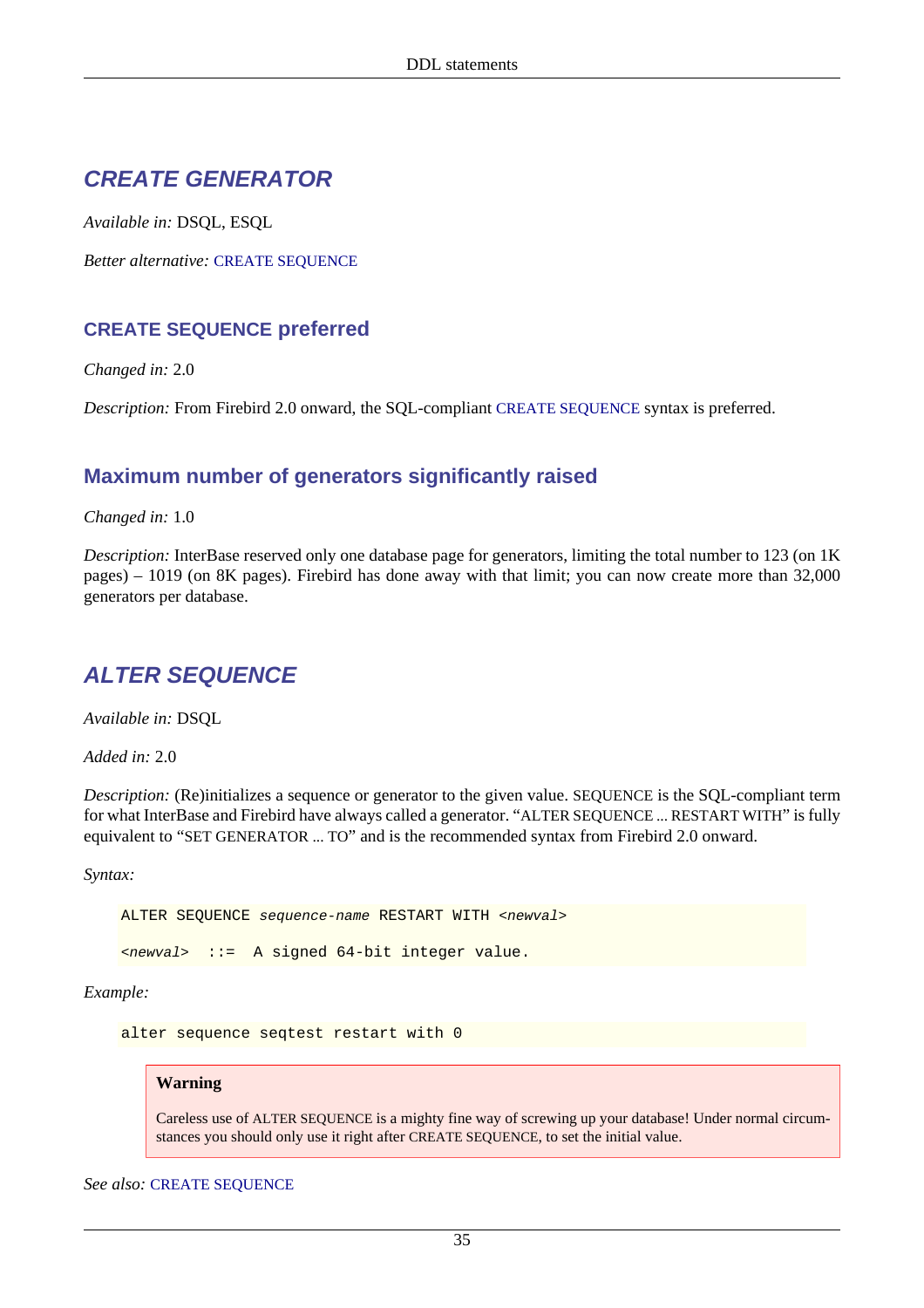## **CREATE GENERATOR**

*Available in:* DSQL, ESQL

*Better alternative:* [CREATE SEQUENCE](#page-44-0)

#### **CREATE SEQUENCE preferred**

*Changed in:* 2.0

*Description:* From Firebird 2.0 onward, the SQL-compliant [CREATE SEQUENCE](#page-44-0) syntax is preferred.

#### **Maximum number of generators significantly raised**

*Changed in:* 1.0

*Description:* InterBase reserved only one database page for generators, limiting the total number to 123 (on 1K pages) – 1019 (on 8K pages). Firebird has done away with that limit; you can now create more than 32,000 generators per database.

# <span id="page-45-0"></span>**ALTER SEQUENCE**

*Available in:* DSQL

*Added in:* 2.0

*Description:* (Re)initializes a sequence or generator to the given value. SEQUENCE is the SQL-compliant term for what InterBase and Firebird have always called a generator. "ALTER SEQUENCE ... RESTART WITH" is fully equivalent to "SET GENERATOR ... TO" and is the recommended syntax from Firebird 2.0 onward.

*Syntax:*

ALTER SEQUENCE sequence-name RESTART WITH <newval>

<newval> ::= A signed 64-bit integer value.

*Example:*

alter sequence seqtest restart with 0

#### **Warning**

Careless use of ALTER SEQUENCE is a mighty fine way of screwing up your database! Under normal circumstances you should only use it right after CREATE SEQUENCE, to set the initial value.

*See also:* [CREATE SEQUENCE](#page-44-0)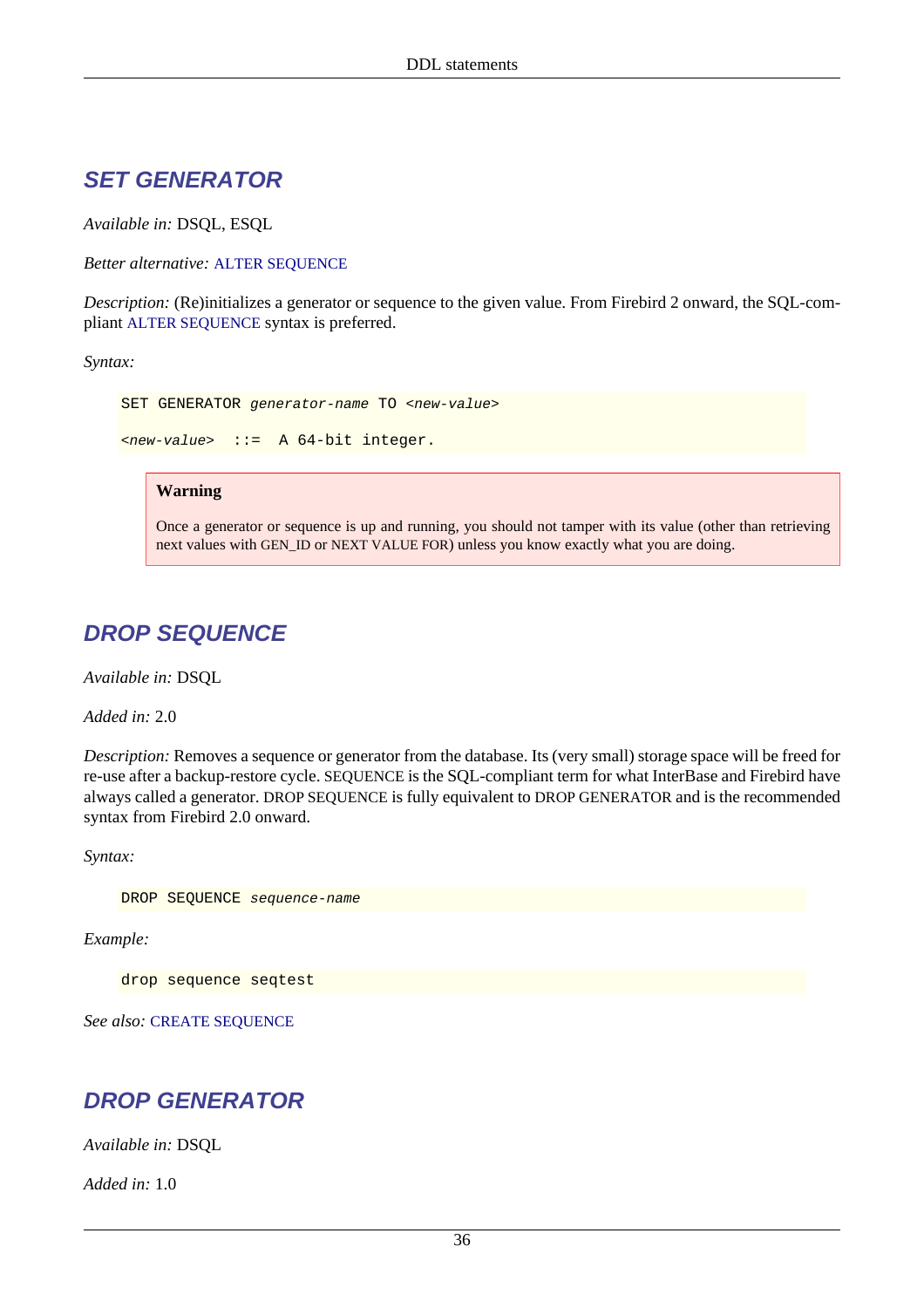## **SET GENERATOR**

*Available in:* DSQL, ESQL

*Better alternative:* [ALTER SEQUENCE](#page-45-0)

*Description:* (Re)initializes a generator or sequence to the given value. From Firebird 2 onward, the SQL-compliant [ALTER SEQUENCE](#page-45-0) syntax is preferred.

*Syntax:*

```
SET GENERATOR generator-name TO <new-value>
\langle new-value \rangle ::= A 64-bit integer.
```
#### **Warning**

Once a generator or sequence is up and running, you should not tamper with its value (other than retrieving next values with GEN\_ID or NEXT VALUE FOR) unless you know exactly what you are doing.

# <span id="page-46-0"></span>**DROP SEQUENCE**

*Available in:* DSQL

*Added in:* 2.0

*Description:* Removes a sequence or generator from the database. Its (very small) storage space will be freed for re-use after a backup-restore cycle. SEQUENCE is the SQL-compliant term for what InterBase and Firebird have always called a generator. DROP SEQUENCE is fully equivalent to DROP GENERATOR and is the recommended syntax from Firebird 2.0 onward.

*Syntax:*

DROP SEQUENCE sequence-name

*Example:*

drop sequence seqtest

*See also:* [CREATE SEQUENCE](#page-44-0)

## **DROP GENERATOR**

*Available in:* DSQL

*Added in:* 1.0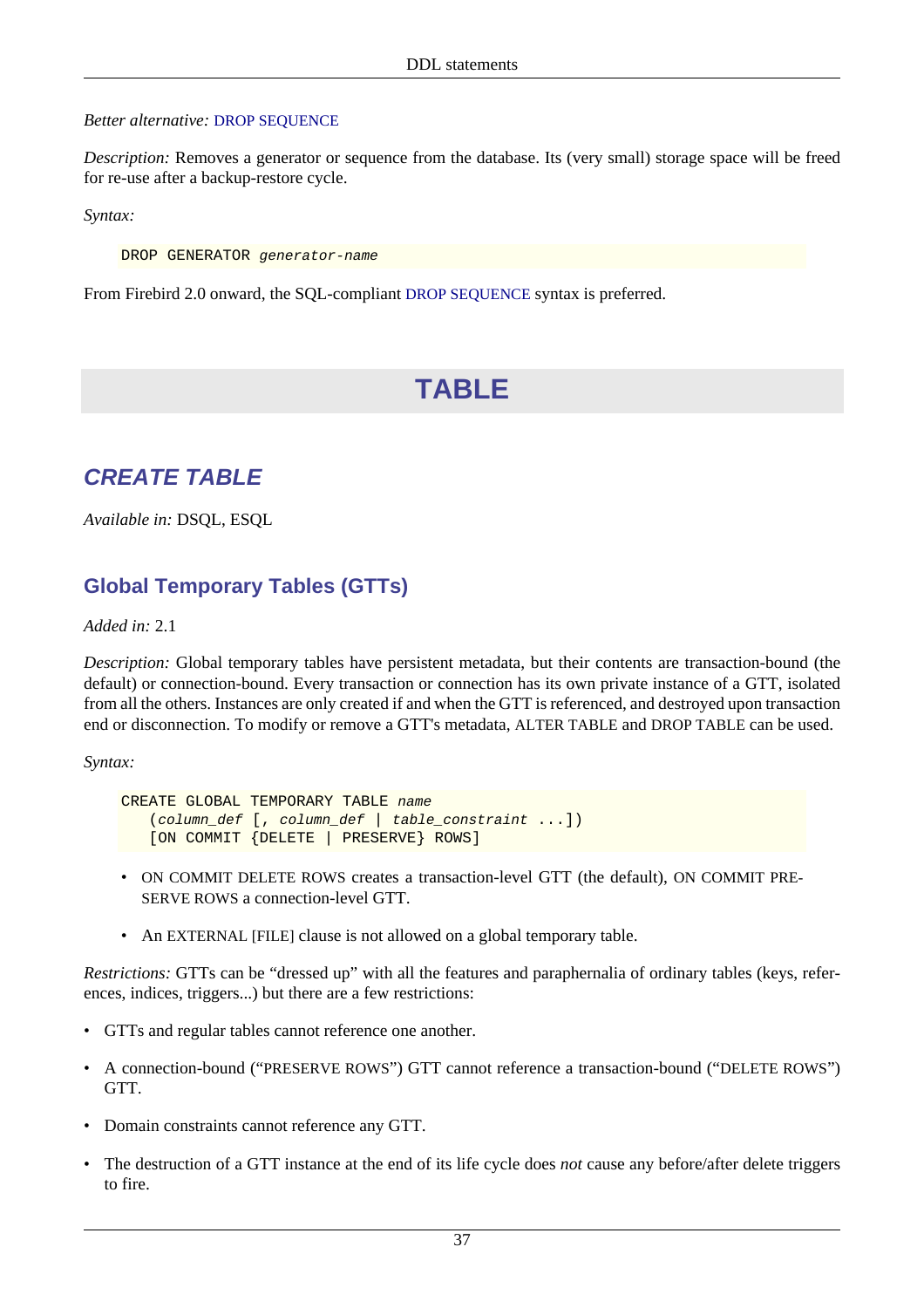#### *Better alternative:* [DROP SEQUENCE](#page-46-0)

*Description:* Removes a generator or sequence from the database. Its (very small) storage space will be freed for re-use after a backup-restore cycle.

*Syntax:*

DROP GENERATOR generator-name

From Firebird 2.0 onward, the SQL-compliant [DROP SEQUENCE](#page-46-0) syntax is preferred.

# **TABLE**

## <span id="page-47-0"></span>**CREATE TABLE**

*Available in:* DSQL, ESQL

## **Global Temporary Tables (GTTs)**

#### *Added in:* 2.1

*Description:* Global temporary tables have persistent metadata, but their contents are transaction-bound (the default) or connection-bound. Every transaction or connection has its own private instance of a GTT, isolated from all the others. Instances are only created if and when the GTT is referenced, and destroyed upon transaction end or disconnection. To modify or remove a GTT's metadata, ALTER TABLE and DROP TABLE can be used.

*Syntax:*

CREATE GLOBAL TEMPORARY TABLE name (column\_def [, column\_def | table\_constraint ...]) [ON COMMIT {DELETE | PRESERVE} ROWS]

- ON COMMIT DELETE ROWS creates a transaction-level GTT (the default), ON COMMIT PRE-SERVE ROWS a connection-level GTT.
- An EXTERNAL [FILE] clause is not allowed on a global temporary table.

*Restrictions:* GTTs can be "dressed up" with all the features and paraphernalia of ordinary tables (keys, references, indices, triggers...) but there are a few restrictions:

- GTTs and regular tables cannot reference one another.
- A connection-bound ("PRESERVE ROWS") GTT cannot reference a transaction-bound ("DELETE ROWS") GTT.
- Domain constraints cannot reference any GTT.
- The destruction of a GTT instance at the end of its life cycle does *not* cause any before/after delete triggers to fire.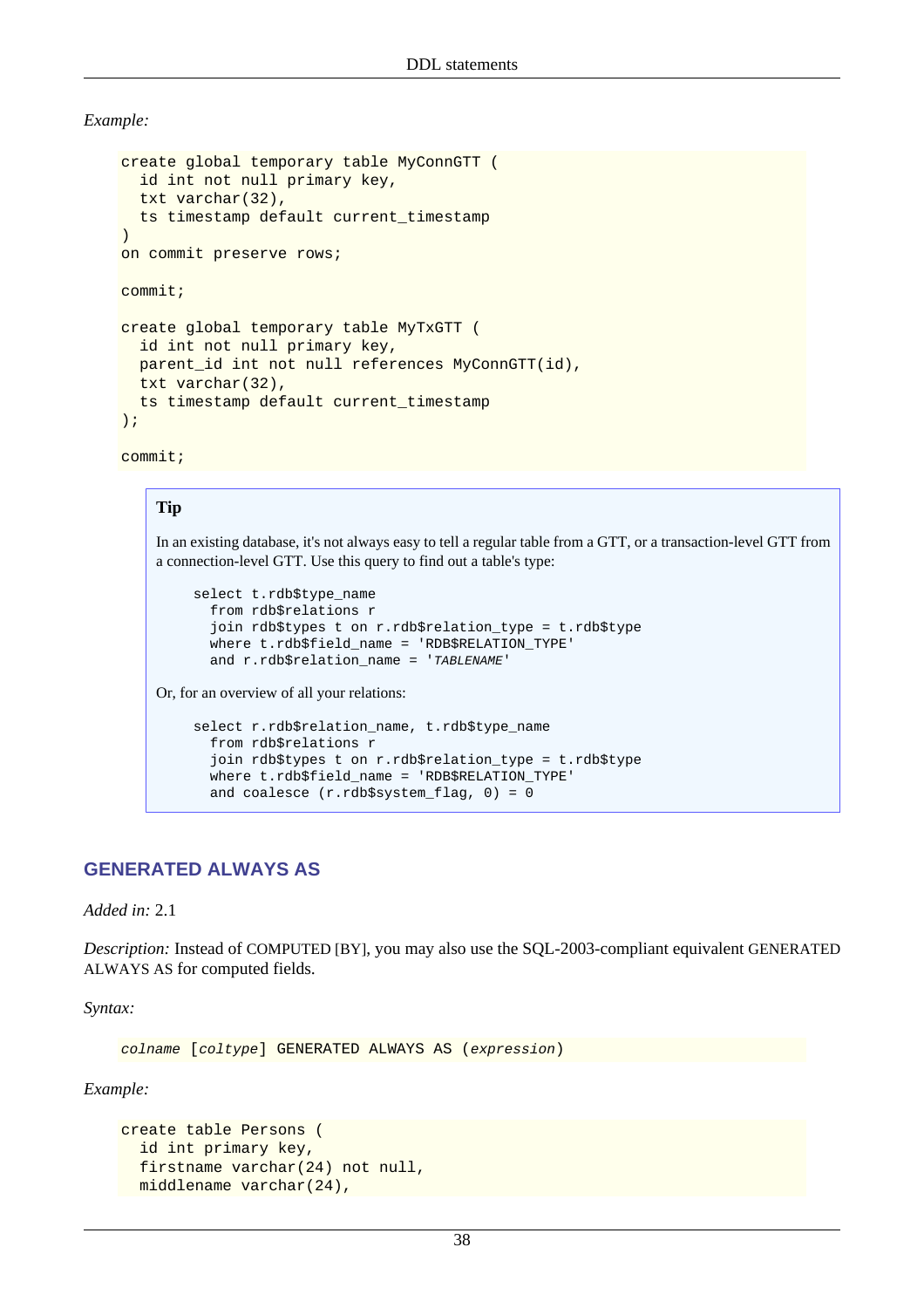*Example:*

```
create global temporary table MyConnGTT (
   id int not null primary key,
   txt varchar(32),
   ts timestamp default current_timestamp
\lambdaon commit preserve rows;
commit;
create global temporary table MyTxGTT (
   id int not null primary key,
   parent_id int not null references MyConnGTT(id),
   txt varchar(32),
   ts timestamp default current_timestamp
);
```
commit;

#### **Tip**

In an existing database, it's not always easy to tell a regular table from a GTT, or a transaction-level GTT from a connection-level GTT. Use this query to find out a table's type:

```
select t.rdb$type_name
   from rdb$relations r
   join rdb$types t on r.rdb$relation_type = t.rdb$type
   where t.rdb$field_name = 'RDB$RELATION_TYPE'
  and r.rdb$relation_name = 'TABLENAME'
```
Or, for an overview of all your relations:

```
select r.rdb$relation_name, t.rdb$type_name
   from rdb$relations r
   join rdb$types t on r.rdb$relation_type = t.rdb$type
  where t.rdb$field name = 'RDB$RELATION TYPE'
  and coalesce (r.rdb$system flag, 0) = 0
```
#### **GENERATED ALWAYS AS**

*Added in:* 2.1

*Description:* Instead of COMPUTED [BY], you may also use the SQL-2003-compliant equivalent GENERATED ALWAYS AS for computed fields.

*Syntax:*

colname [coltype] GENERATED ALWAYS AS (expression)

*Example:*

```
create table Persons (
  id int primary key,
  firstname varchar(24) not null,
  middlename varchar(24),
```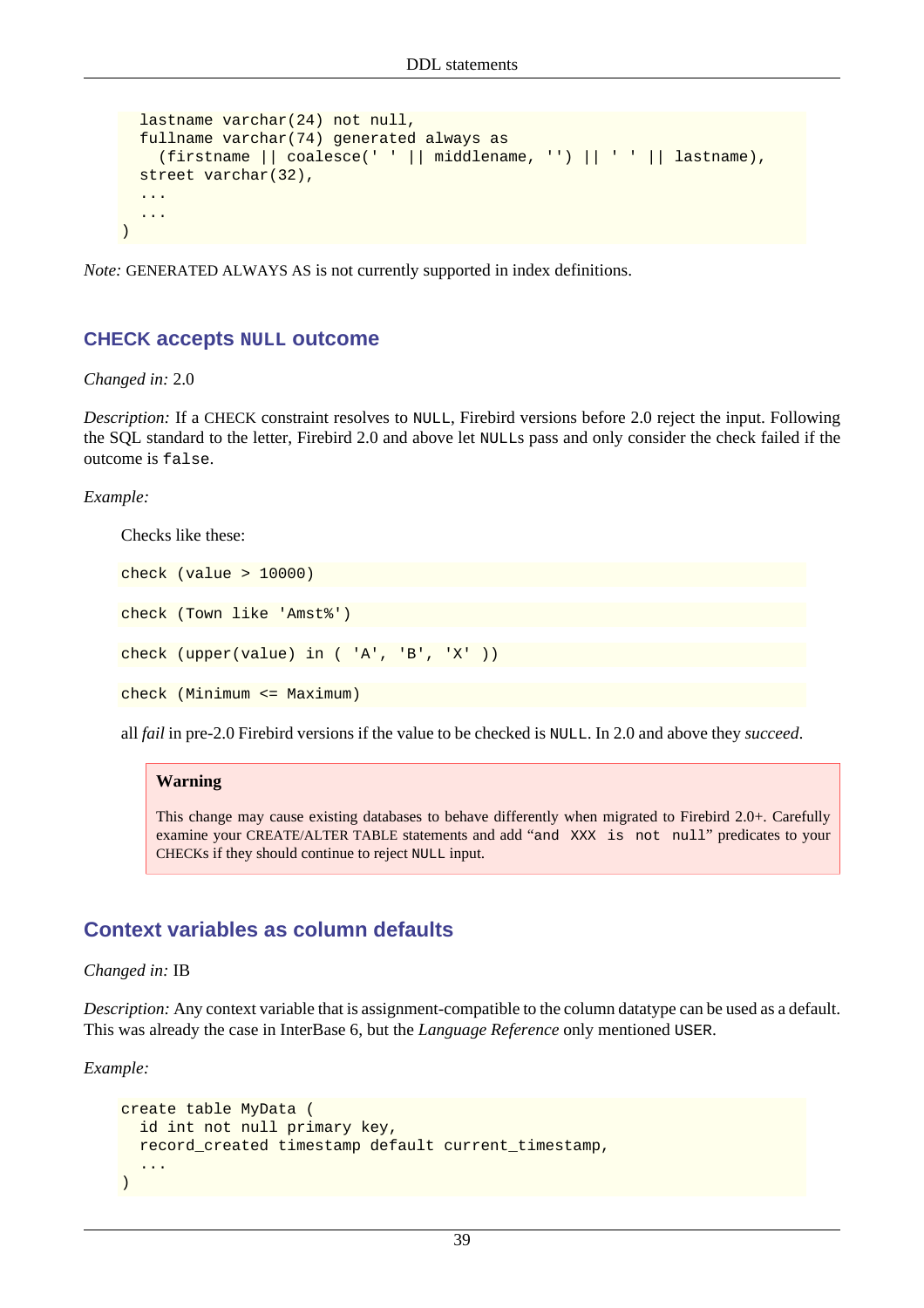```
lastname varchar(24) not null,
  fullname varchar(74) generated always as
     (firstname || coalesce(' ' || middlename, '') || ' ' || lastname),
  street varchar(32),
   ...
   ...
)
```
<span id="page-49-0"></span>*Note:* GENERATED ALWAYS AS is not currently supported in index definitions.

#### **CHECK accepts NULL outcome**

*Changed in:* 2.0

*Description:* If a CHECK constraint resolves to NULL, Firebird versions before 2.0 reject the input. Following the SQL standard to the letter, Firebird 2.0 and above let NULLs pass and only consider the check failed if the outcome is false.

*Example:*

Checks like these:

check (value > 10000) check (Town like 'Amst%') check (upper(value) in ( 'A', 'B', 'X' )) check (Minimum <= Maximum)

all *fail* in pre-2.0 Firebird versions if the value to be checked is NULL. In 2.0 and above they *succeed*.

#### **Warning**

This change may cause existing databases to behave differently when migrated to Firebird 2.0+. Carefully examine your CREATE/ALTER TABLE statements and add "and XXX is not null" predicates to your CHECKs if they should continue to reject NULL input.

#### **Context variables as column defaults**

*Changed in:* IB

*Description:* Any context variable that is assignment-compatible to the column datatype can be used as a default. This was already the case in InterBase 6, but the *Language Reference* only mentioned USER.

*Example:*

```
create table MyData (
  id int not null primary key,
  record_created timestamp default current_timestamp,
 ...
)
```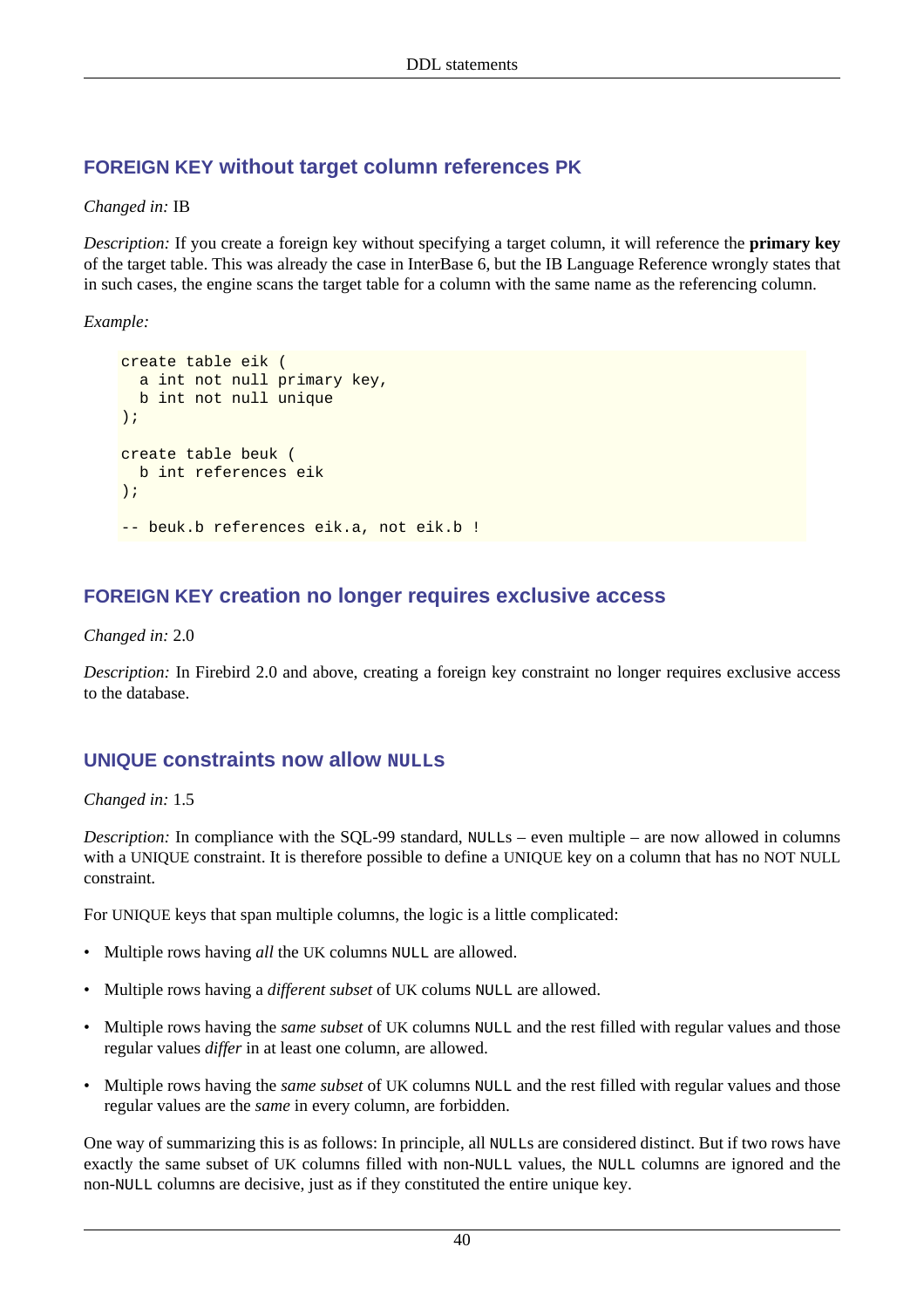## **FOREIGN KEY without target column references PK**

#### *Changed in:* IB

*Description:* If you create a foreign key without specifying a target column, it will reference the **primary key** of the target table. This was already the case in InterBase 6, but the IB Language Reference wrongly states that in such cases, the engine scans the target table for a column with the same name as the referencing column.

*Example:*

```
create table eik (
   a int not null primary key,
   b int not null unique
);
create table beuk (
  b int references eik
);
-- beuk.b references eik.a, not eik.b !
```
#### **FOREIGN KEY creation no longer requires exclusive access**

*Changed in:* 2.0

<span id="page-50-0"></span>*Description:* In Firebird 2.0 and above, creating a foreign key constraint no longer requires exclusive access to the database.

#### **UNIQUE** constraints now allow **NULLE**

*Changed in:* 1.5

*Description:* In compliance with the SQL-99 standard, NULLs – even multiple – are now allowed in columns with a UNIQUE constraint. It is therefore possible to define a UNIQUE key on a column that has no NOT NULL constraint.

For UNIQUE keys that span multiple columns, the logic is a little complicated:

- Multiple rows having *all* the UK columns NULL are allowed.
- Multiple rows having a *different subset* of UK colums NULL are allowed.
- Multiple rows having the *same subset* of UK columns NULL and the rest filled with regular values and those regular values *differ* in at least one column, are allowed.
- Multiple rows having the *same subset* of UK columns NULL and the rest filled with regular values and those regular values are the *same* in every column, are forbidden.

One way of summarizing this is as follows: In principle, all NULLs are considered distinct. But if two rows have exactly the same subset of UK columns filled with non-NULL values, the NULL columns are ignored and the non-NULL columns are decisive, just as if they constituted the entire unique key.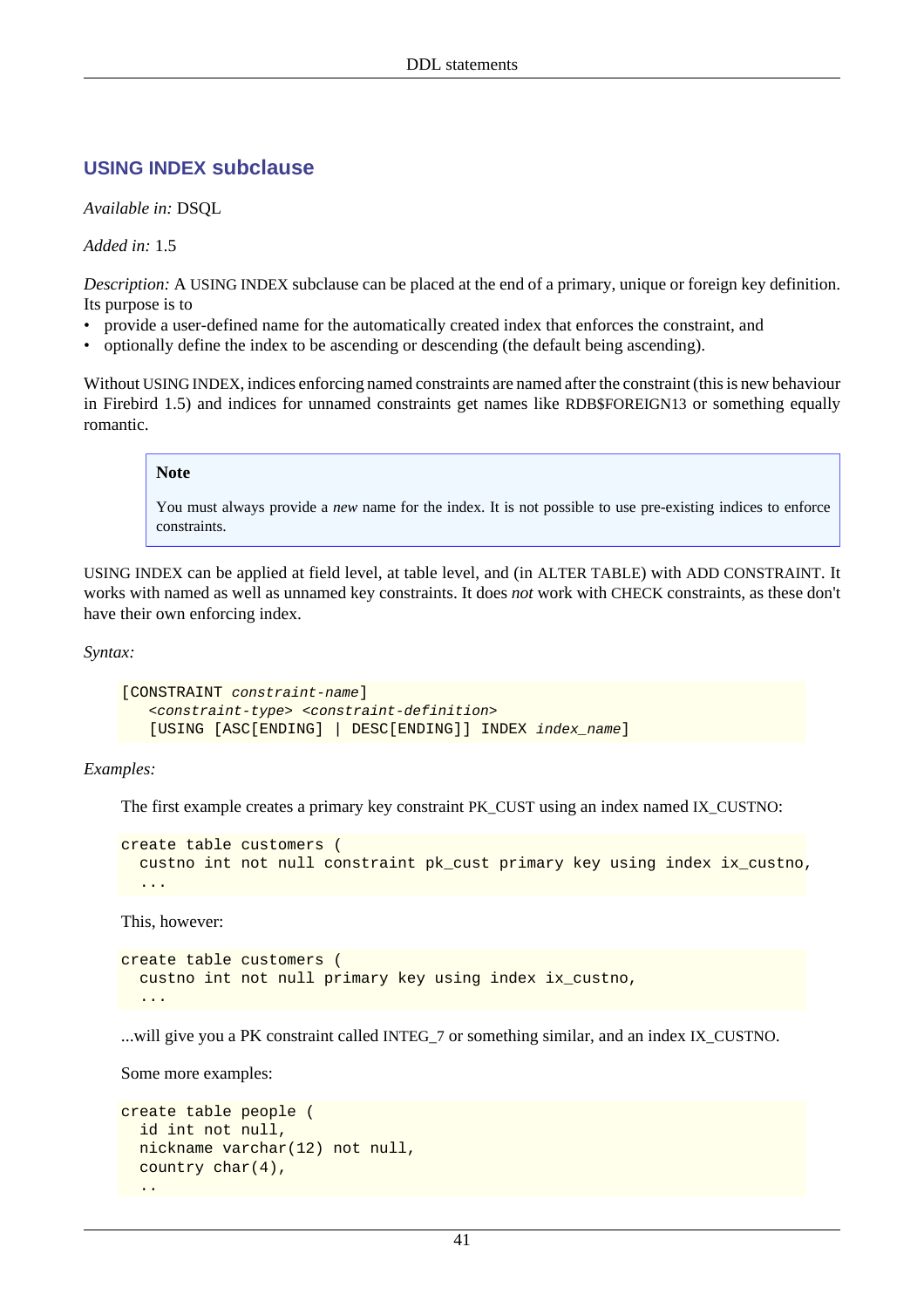#### <span id="page-51-0"></span>**USING INDEX subclause**

*Available in:* DSQL

*Added in:* 1.5

*Description:* A USING INDEX subclause can be placed at the end of a primary, unique or foreign key definition. Its purpose is to

- provide a user-defined name for the automatically created index that enforces the constraint, and
- optionally define the index to be ascending or descending (the default being ascending).

Without USING INDEX, indices enforcing named constraints are named after the constraint (this is new behaviour in Firebird 1.5) and indices for unnamed constraints get names like RDB\$FOREIGN13 or something equally romantic.

#### **Note**

You must always provide a *new* name for the index. It is not possible to use pre-existing indices to enforce constraints.

USING INDEX can be applied at field level, at table level, and (in ALTER TABLE) with ADD CONSTRAINT. It works with named as well as unnamed key constraints. It does *not* work with CHECK constraints, as these don't have their own enforcing index.

*Syntax:*

```
[CONSTRAINT constraint-name]
    <constraint-type> <constraint-definition>
    [USING [ASC[ENDING] | DESC[ENDING]] INDEX index_name]
```
#### *Examples:*

The first example creates a primary key constraint PK\_CUST using an index named IX\_CUSTNO:

```
create table customers (
   custno int not null constraint pk_cust primary key using index ix_custno,
   ...
```
This, however:

```
create table customers (
   custno int not null primary key using index ix_custno,
 ...
```
...will give you a PK constraint called INTEG\_7 or something similar, and an index IX\_CUSTNO.

Some more examples:

```
create table people (
   id int not null,
   nickname varchar(12) not null,
   country char(4),
  ..
```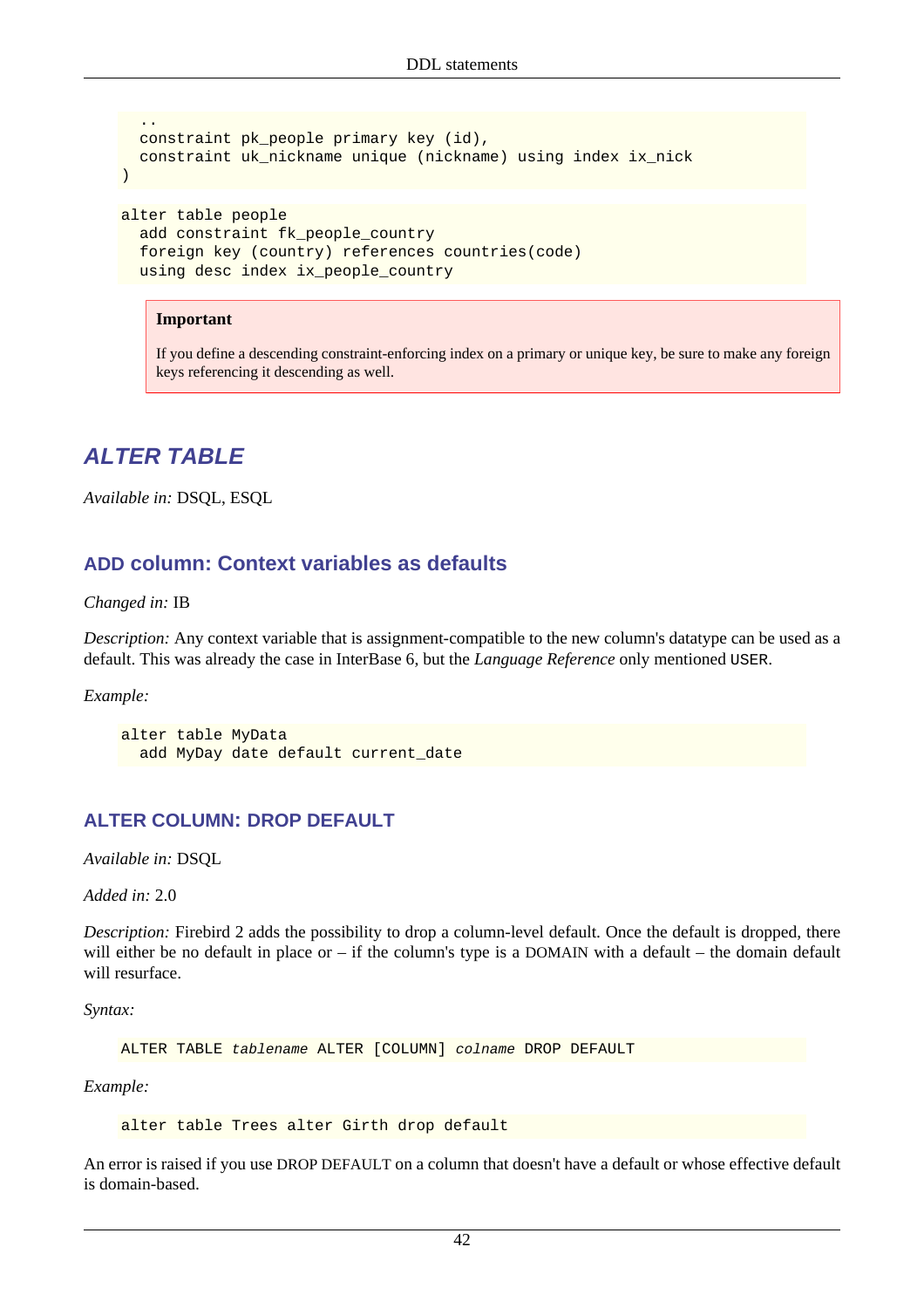```
 ..
  constraint pk_people primary key (id),
  constraint uk_nickname unique (nickname) using index ix_nick
)
alter table people
   add constraint fk_people_country
   foreign key (country) references countries(code)
  using desc index ix_people_country
```
#### **Important**

If you define a descending constraint-enforcing index on a primary or unique key, be sure to make any foreign keys referencing it descending as well.

## **ALTER TABLE**

*Available in:* DSQL, ESQL

#### **ADD column: Context variables as defaults**

*Changed in:* IB

*Description:* Any context variable that is assignment-compatible to the new column's datatype can be used as a default. This was already the case in InterBase 6, but the *Language Reference* only mentioned USER.

*Example:*

```
alter table MyData
  add MyDay date default current_date
```
#### **ALTER COLUMN: DROP DEFAULT**

*Available in:* DSQL

*Added in:* 2.0

*Description:* Firebird 2 adds the possibility to drop a column-level default. Once the default is dropped, there will either be no default in place or – if the column's type is a DOMAIN with a default – the domain default will resurface.

*Syntax:*

ALTER TABLE tablename ALTER [COLUMN] colname DROP DEFAULT

*Example:*

alter table Trees alter Girth drop default

An error is raised if you use DROP DEFAULT on a column that doesn't have a default or whose effective default is domain-based.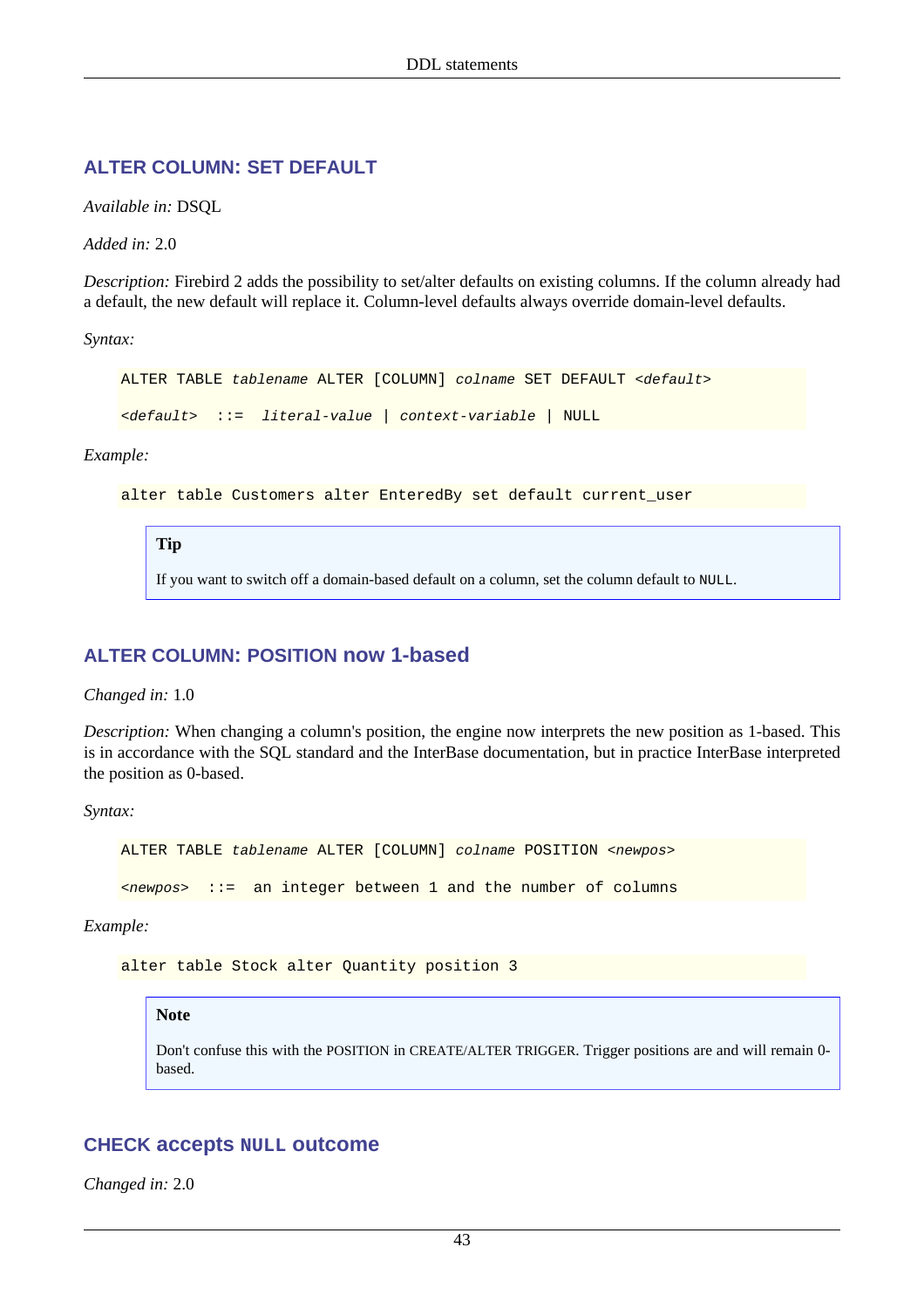#### **ALTER COLUMN: SET DEFAULT**

*Available in:* DSQL

*Added in:* 2.0

*Description:* Firebird 2 adds the possibility to set/alter defaults on existing columns. If the column already had a default, the new default will replace it. Column-level defaults always override domain-level defaults.

*Syntax:*

ALTER TABLE tablename ALTER [COLUMN] colname SET DEFAULT <default>

<default> ::= literal-value | context-variable | NULL

#### *Example:*

alter table Customers alter EnteredBy set default current\_user

#### **Tip**

If you want to switch off a domain-based default on a column, set the column default to NULL.

#### **ALTER COLUMN: POSITION now 1-based**

*Changed in:* 1.0

*Description:* When changing a column's position, the engine now interprets the new position as 1-based. This is in accordance with the SQL standard and the InterBase documentation, but in practice InterBase interpreted the position as 0-based.

*Syntax:*

ALTER TABLE tablename ALTER [COLUMN] colname POSITION <newpos>

 $\langle$ newpos> ::= an integer between 1 and the number of columns

*Example:*

alter table Stock alter Quantity position 3

#### **Note**

Don't confuse this with the POSITION in CREATE/ALTER TRIGGER. Trigger positions are and will remain 0 based.

#### **CHECK accepts NULL outcome**

*Changed in:* 2.0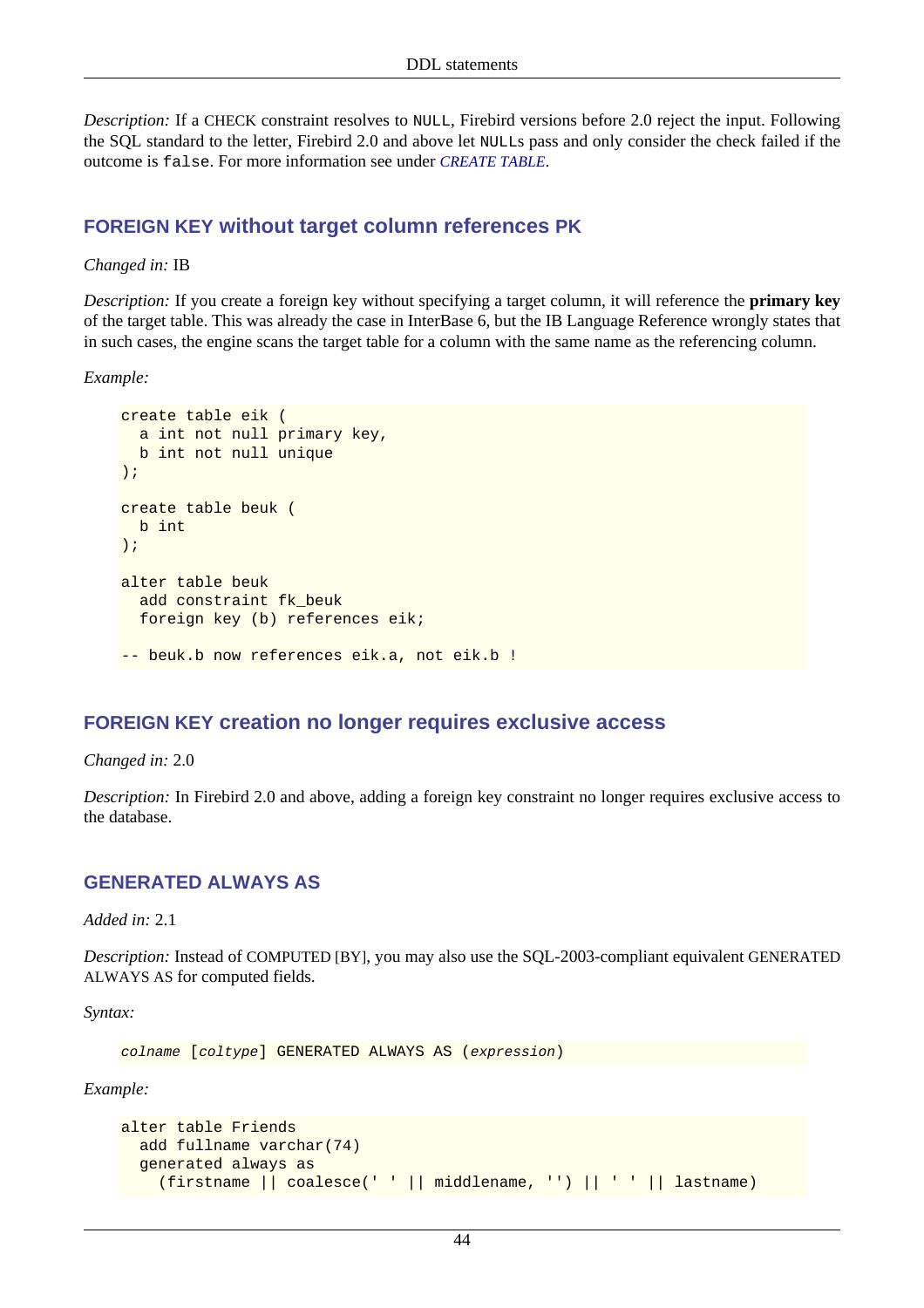*Description:* If a CHECK constraint resolves to NULL, Firebird versions before 2.0 reject the input. Following the SQL standard to the letter, Firebird 2.0 and above let NULLs pass and only consider the check failed if the outcome is false. For more information see under *[CREATE TABLE](#page-49-0)*.

#### **FOREIGN KEY without target column references PK**

#### *Changed in:* IB

*Description:* If you create a foreign key without specifying a target column, it will reference the **primary key** of the target table. This was already the case in InterBase 6, but the IB Language Reference wrongly states that in such cases, the engine scans the target table for a column with the same name as the referencing column.

*Example:*

```
create table eik (
  a int not null primary key,
  b int not null unique
);
create table beuk (
  b int
);
alter table beuk
  add constraint fk_beuk
  foreign key (b) references eik;
-- beuk.b now references eik.a, not eik.b !
```
#### **FOREIGN KEY creation no longer requires exclusive access**

*Changed in:* 2.0

*Description:* In Firebird 2.0 and above, adding a foreign key constraint no longer requires exclusive access to the database.

#### **GENERATED ALWAYS AS**

*Added in:* 2.1

*Description:* Instead of COMPUTED [BY], you may also use the SQL-2003-compliant equivalent GENERATED ALWAYS AS for computed fields.

*Syntax:*

colname [coltype] GENERATED ALWAYS AS (expression)

*Example:*

```
alter table Friends
  add fullname varchar(74)
  generated always as
     (firstname || coalesce(' ' || middlename, '') || ' ' || lastname)
```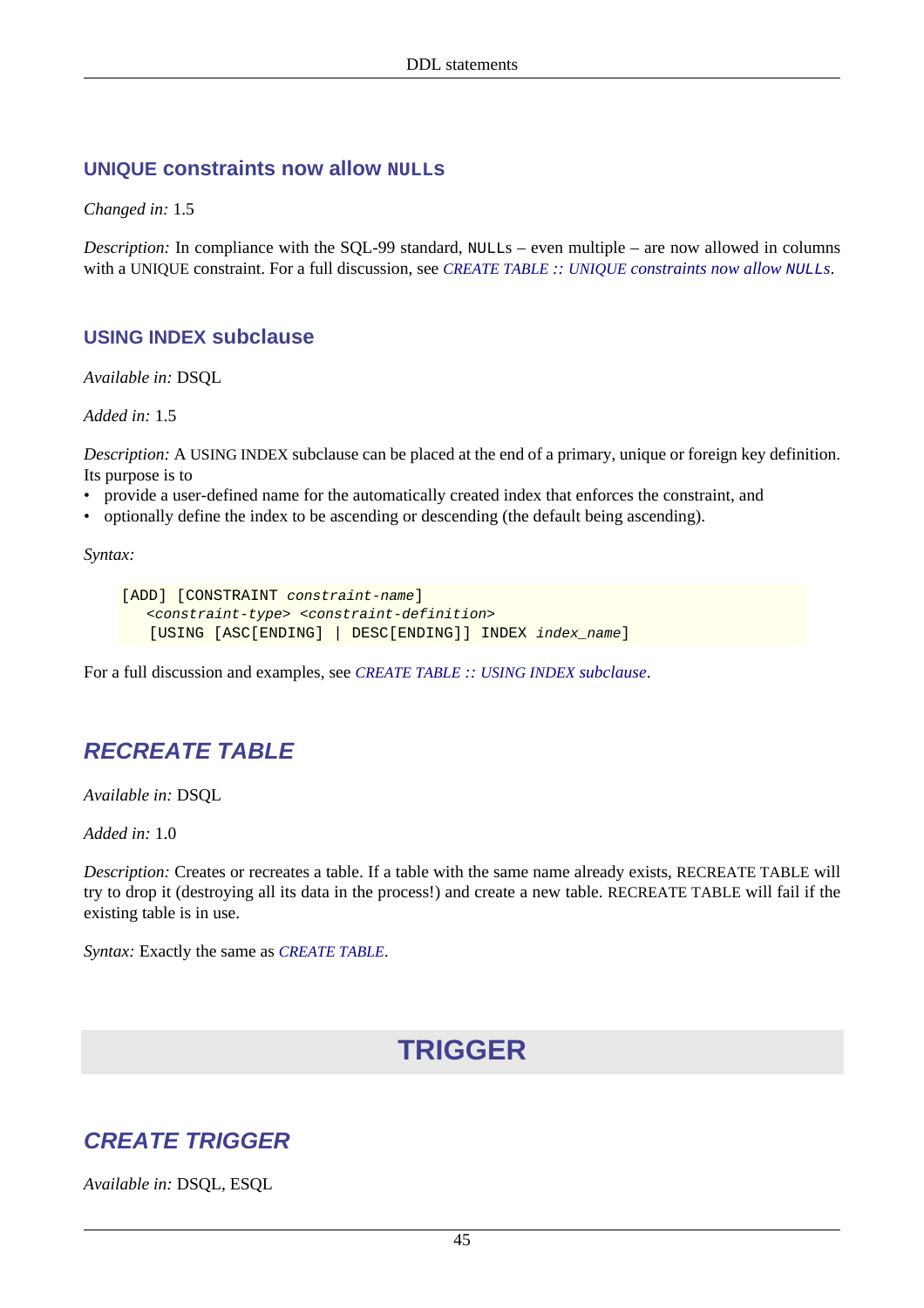#### **UNIQUE constraints now allow NULLs**

*Changed in:* 1.5

*Description:* In compliance with the SQL-99 standard, NULLs – even multiple – are now allowed in columns with a UNIQUE constraint. For a full discussion, see *CREATE TABLE :: UNIQUE [constraints now allow](#page-50-0)* NULL*s*.

#### **USING INDEX subclause**

*Available in:* DSQL

*Added in:* 1.5

*Description:* A USING INDEX subclause can be placed at the end of a primary, unique or foreign key definition. Its purpose is to

- provide a user-defined name for the automatically created index that enforces the constraint, and
- optionally define the index to be ascending or descending (the default being ascending).

*Syntax:*

```
[ADD] [CONSTRAINT constraint-name]
    <constraint-type> <constraint-definition>
    [USING [ASC[ENDING] | DESC[ENDING]] INDEX index_name]
```
For a full discussion and examples, see *[CREATE TABLE](#page-51-0) :: USING INDEX subclause*.

# **RECREATE TABLE**

*Available in:* DSQL

*Added in:* 1.0

*Description:* Creates or recreates a table. If a table with the same name already exists, RECREATE TABLE will try to drop it (destroying all its data in the process!) and create a new table. RECREATE TABLE will fail if the existing table is in use.

*Syntax:* Exactly the same as *[CREATE TABLE](#page-47-0)*.

# **TRIGGER**

## <span id="page-55-0"></span>**CREATE TRIGGER**

*Available in:* DSQL, ESQL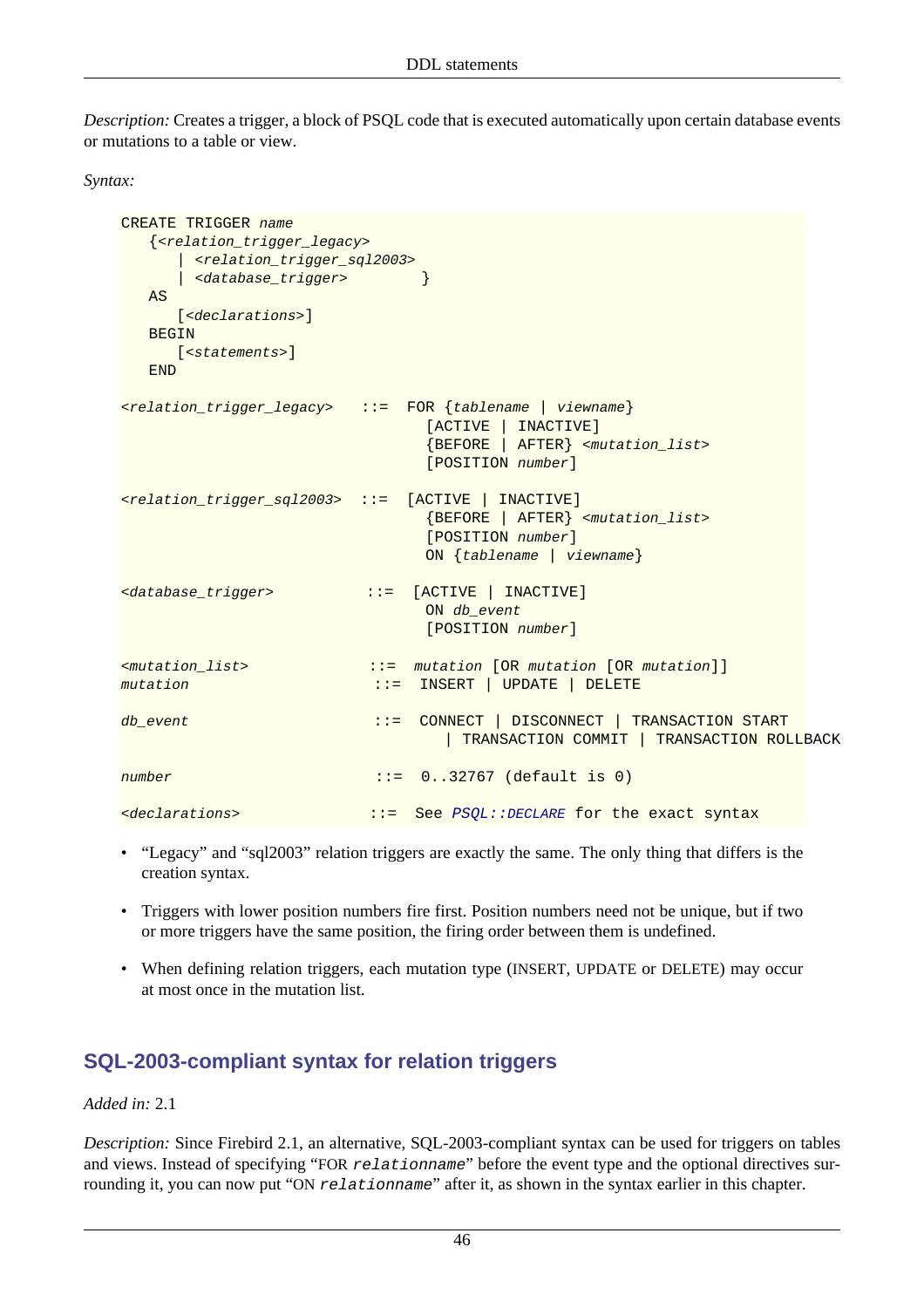*Description:* Creates a trigger, a block of PSQL code that is executed automatically upon certain database events or mutations to a table or view.

*Syntax:*

```
CREATE TRIGGER name
   {<relation_trigger_legacy>
     | <relation_trigger_sql2003>
      | <database_trigger> }
   AS
     [<declarations>]
   BEGIN
     [<statements>]
   END
<relation_trigger_legacy> ::= FOR {tablename | viewname}
                                [ACTIVE | INACTIVE]
                                {BEFORE | AFTER} <mutation_list>
                                [POSITION number]
<relation_trigger_sql2003> ::= [ACTIVE | INACTIVE]
                                {BEFORE | AFTER} <mutation_list>
                                [POSITION number]
                               ON {tablename | viewname}
<database_trigger> ::= [ACTIVE | INACTIVE]
                              ON db event
                                [POSITION number]
<mutation_list> ::= mutation [OR mutation [OR mutation]]
mutation ::= INSERT | UPDATE | DELETE
db_event ::= CONNECT | DISCONNECT | TRANSACTION START
                                  | TRANSACTION COMMIT | TRANSACTION ROLLBACK
number ::= 0..32767 (default is 0)
<declarations> ::= See PSQL::DECLARE for the exact syntax
```
- "Legacy" and "sql2003" relation triggers are exactly the same. The only thing that differs is the creation syntax.
- Triggers with lower position numbers fire first. Position numbers need not be unique, but if two or more triggers have the same position, the firing order between them is undefined.
- When defining relation triggers, each mutation type (INSERT, UPDATE or DELETE) may occur at most once in the mutation list.

## **SQL-2003-compliant syntax for relation triggers**

*Added in:* 2.1

*Description:* Since Firebird 2.1, an alternative, SQL-2003-compliant syntax can be used for triggers on tables and views. Instead of specifying "FOR relationname" before the event type and the optional directives surrounding it, you can now put "ON relationname" after it, as shown in the syntax earlier in this chapter.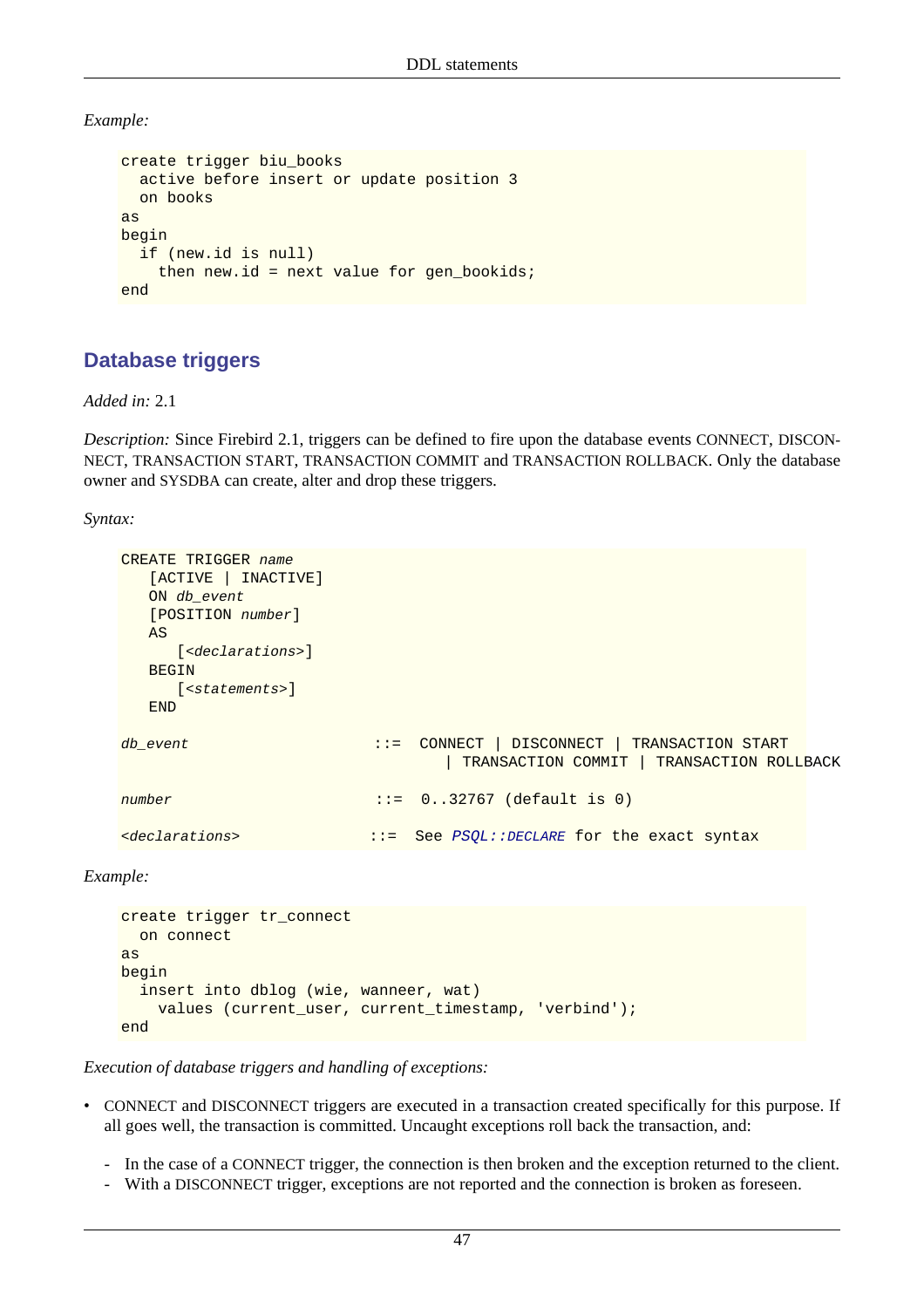*Example:*

```
create trigger biu_books
   active before insert or update position 3
   on books
as
begin
   if (new.id is null)
     then new.id = next value for gen_bookids;
end
```
## <span id="page-57-0"></span>**Database triggers**

*Added in:* 2.1

*Description:* Since Firebird 2.1, triggers can be defined to fire upon the database events CONNECT, DISCON-NECT, TRANSACTION START, TRANSACTION COMMIT and TRANSACTION ROLLBACK. Only the database owner and SYSDBA can create, alter and drop these triggers.

*Syntax:*

```
CREATE TRIGGER name
   [ACTIVE | INACTIVE]
   ON db_event
   [POSITION number]
   AS
      [<declarations>]
   BEGIN
     [<statements>]
   END
db_event ::= CONNECT | DISCONNECT | TRANSACTION START
                                | TRANSACTION COMMIT | TRANSACTION ROLLBACK
number ::= 0..32767 (default is 0)
<declarations> ::= See PSQL::DECLARE for the exact syntax
```
*Example:*

```
create trigger tr_connect
  on connect
as
begin
   insert into dblog (wie, wanneer, wat)
     values (current_user, current_timestamp, 'verbind');
end
```
*Execution of database triggers and handling of exceptions:*

- CONNECT and DISCONNECT triggers are executed in a transaction created specifically for this purpose. If all goes well, the transaction is committed. Uncaught exceptions roll back the transaction, and:
	- In the case of a CONNECT trigger, the connection is then broken and the exception returned to the client.
	- With a DISCONNECT trigger, exceptions are not reported and the connection is broken as foreseen.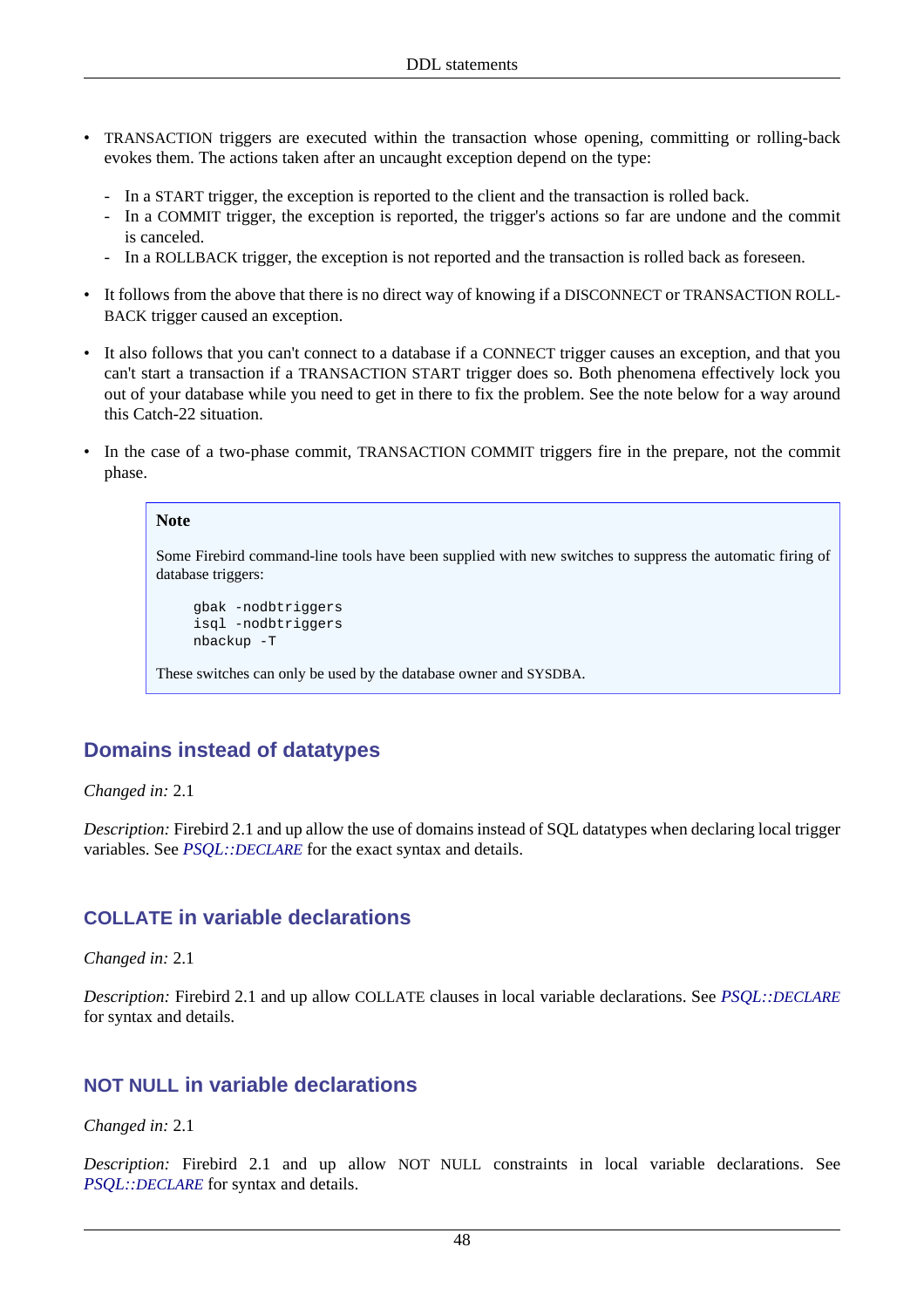- TRANSACTION triggers are executed within the transaction whose opening, committing or rolling-back evokes them. The actions taken after an uncaught exception depend on the type:
	- In a START trigger, the exception is reported to the client and the transaction is rolled back.
	- In a COMMIT trigger, the exception is reported, the trigger's actions so far are undone and the commit is canceled.
	- In a ROLLBACK trigger, the exception is not reported and the transaction is rolled back as foreseen.
- It follows from the above that there is no direct way of knowing if a DISCONNECT or TRANSACTION ROLL-BACK trigger caused an exception.
- It also follows that you can't connect to a database if a CONNECT trigger causes an exception, and that you can't start a transaction if a TRANSACTION START trigger does so. Both phenomena effectively lock you out of your database while you need to get in there to fix the problem. See the note below for a way around this Catch-22 situation.
- In the case of a two-phase commit, TRANSACTION COMMIT triggers fire in the prepare, not the commit phase.

#### **Note**

Some Firebird command-line tools have been supplied with new switches to suppress the automatic firing of database triggers:

```
gbak -nodbtriggers
isql -nodbtriggers
nbackup -T
```
These switches can only be used by the database owner and SYSDBA.

## **Domains instead of datatypes**

*Changed in:* 2.1

*Description:* Firebird 2.1 and up allow the use of domains instead of SQL datatypes when declaring local trigger variables. See *PSQL::[DECLARE](#page-106-0)* for the exact syntax and details.

#### **COLLATE in variable declarations**

*Changed in:* 2.1

*Description:* Firebird 2.1 and up allow COLLATE clauses in local variable declarations. See *PSQL::[DECLARE](#page-106-0)* for syntax and details.

#### **NOT NULL in variable declarations**

*Changed in:* 2.1

*Description:* Firebird 2.1 and up allow NOT NULL constraints in local variable declarations. See *PSQL::[DECLARE](#page-106-0)* for syntax and details.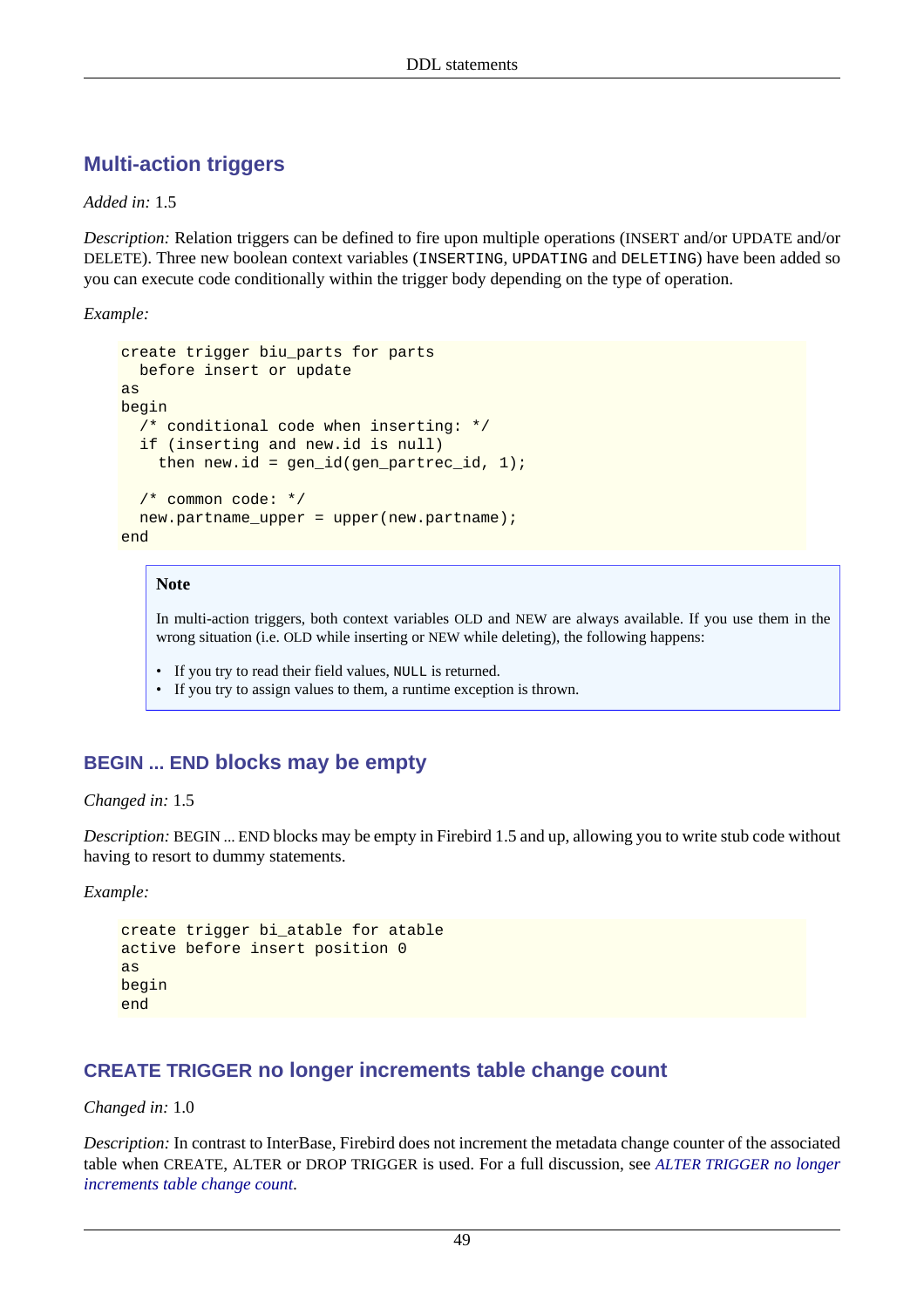## <span id="page-59-0"></span>**Multi-action triggers**

*Added in:* 1.5

*Description:* Relation triggers can be defined to fire upon multiple operations (INSERT and/or UPDATE and/or DELETE). Three new boolean context variables (INSERTING, UPDATING and DELETING) have been added so you can execute code conditionally within the trigger body depending on the type of operation.

*Example:*

```
create trigger biu parts for parts
  before insert or update
as
begin
   /* conditional code when inserting: */
   if (inserting and new.id is null)
    then new.id = gen_id(gen\_partrec_id, 1);
   /* common code: */
  new.partname_upper = upper(new.partname);
end
```
#### **Note**

In multi-action triggers, both context variables OLD and NEW are always available. If you use them in the wrong situation (i.e. OLD while inserting or NEW while deleting), the following happens:

• If you try to read their field values, NULL is returned.

• If you try to assign values to them, a runtime exception is thrown.

#### **BEGIN ... END blocks may be empty**

*Changed in:* 1.5

*Description:* BEGIN ... END blocks may be empty in Firebird 1.5 and up, allowing you to write stub code without having to resort to dummy statements.

*Example:*

```
create trigger bi_atable for atable
active before insert position 0
as
begin
end
```
#### **CREATE TRIGGER no longer increments table change count**

#### *Changed in:* 1.0

*Description:* In contrast to InterBase, Firebird does not increment the metadata change counter of the associated table when CREATE, ALTER or DROP TRIGGER is used. For a full discussion, see *[ALTER TRIGGER](#page-61-0) no longer [increments table change count](#page-61-0)*.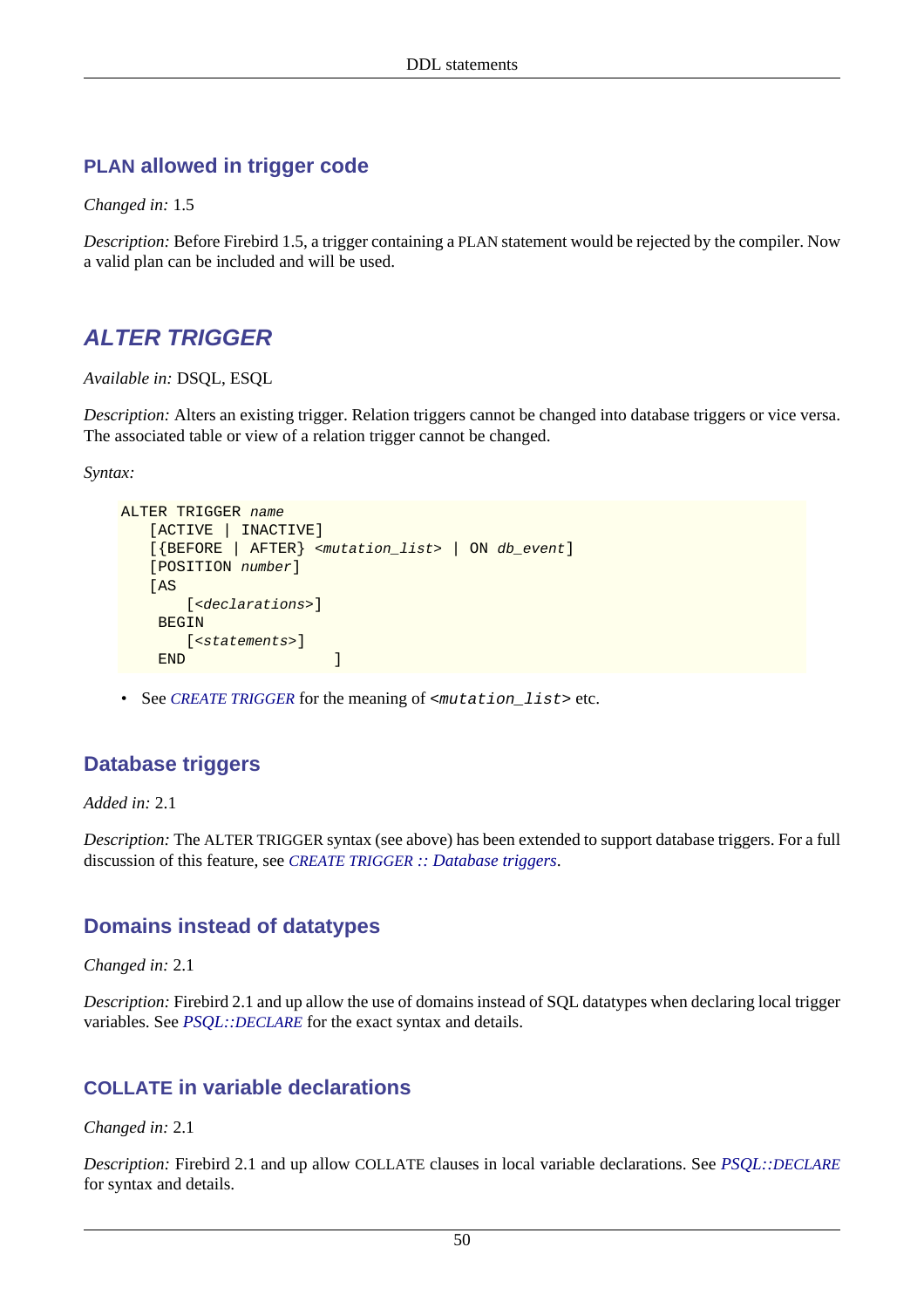#### **PLAN allowed in trigger code**

*Changed in:* 1.5

*Description:* Before Firebird 1.5, a trigger containing a PLAN statement would be rejected by the compiler. Now a valid plan can be included and will be used.

# **ALTER TRIGGER**

*Available in:* DSQL, ESQL

*Description:* Alters an existing trigger. Relation triggers cannot be changed into database triggers or vice versa. The associated table or view of a relation trigger cannot be changed.

*Syntax:*

```
ALTER TRIGGER name
    [ACTIVE | INACTIVE]
    [{BEFORE | AFTER} <mutation_list> | ON db_event]
    [POSITION number]
   [AS
        [<declarations>]
     BEGIN
       [<statements>]
    END
```
• See *[CREATE TRIGGER](#page-55-0)* for the meaning of <mutation\_list> etc.

## **Database triggers**

*Added in:* 2.1

*Description:* The ALTER TRIGGER syntax (see above) has been extended to support database triggers. For a full discussion of this feature, see *CREATE TRIGGER [:: Database triggers](#page-57-0)*.

## **Domains instead of datatypes**

*Changed in:* 2.1

*Description:* Firebird 2.1 and up allow the use of domains instead of SQL datatypes when declaring local trigger variables. See *PSQL::[DECLARE](#page-106-0)* for the exact syntax and details.

## **COLLATE in variable declarations**

*Changed in:* 2.1

*Description:* Firebird 2.1 and up allow COLLATE clauses in local variable declarations. See *PSQL::[DECLARE](#page-106-0)* for syntax and details.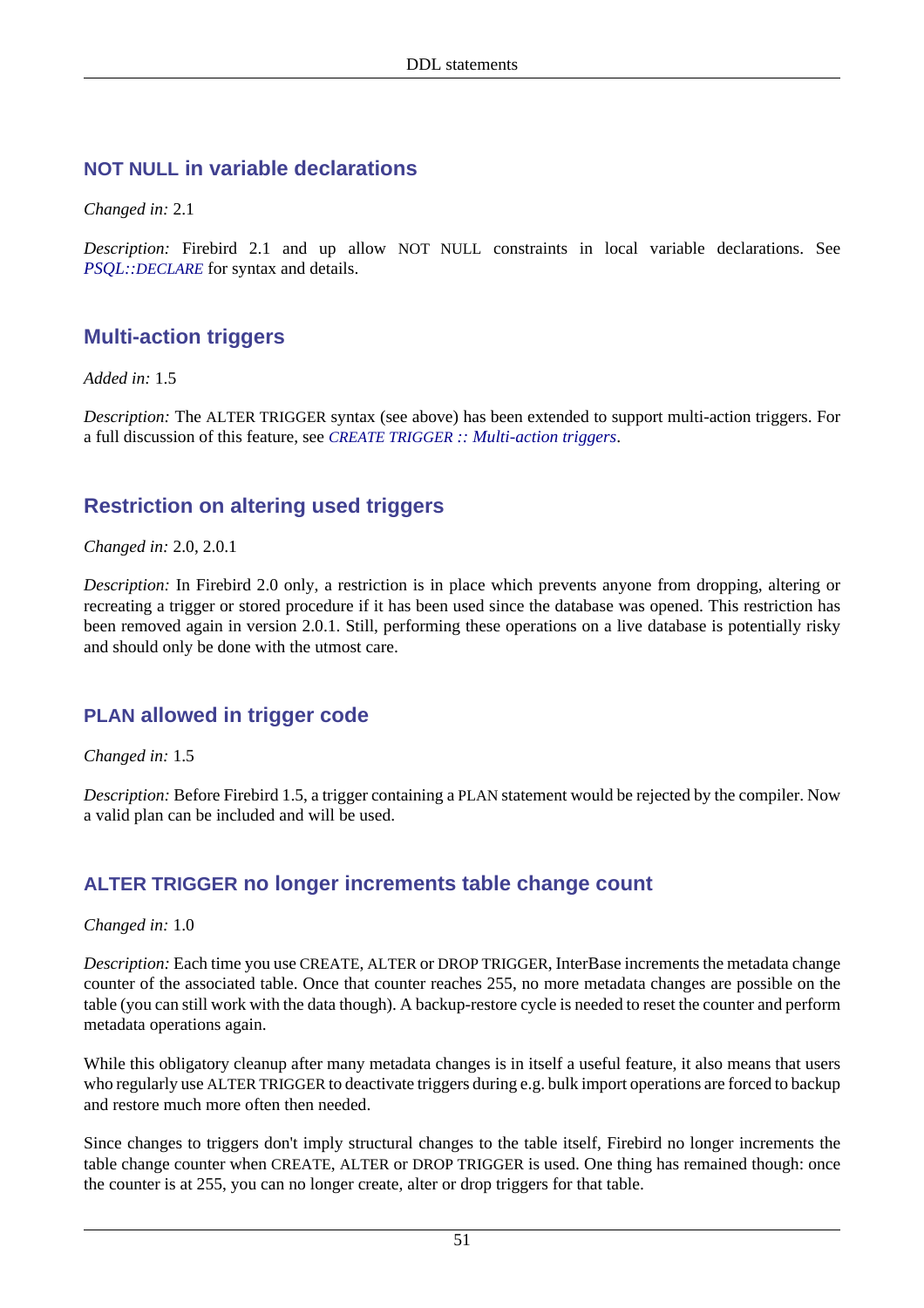#### **NOT NULL in variable declarations**

*Changed in:* 2.1

*Description:* Firebird 2.1 and up allow NOT NULL constraints in local variable declarations. See *PSQL::[DECLARE](#page-106-0)* for syntax and details.

## **Multi-action triggers**

*Added in:* 1.5

*Description:* The ALTER TRIGGER syntax (see above) has been extended to support multi-action triggers. For a full discussion of this feature, see *CREATE TRIGGER [:: Multi-action triggers](#page-59-0)*.

## **Restriction on altering used triggers**

#### *Changed in:* 2.0, 2.0.1

*Description:* In Firebird 2.0 only, a restriction is in place which prevents anyone from dropping, altering or recreating a trigger or stored procedure if it has been used since the database was opened. This restriction has been removed again in version 2.0.1. Still, performing these operations on a live database is potentially risky and should only be done with the utmost care.

#### **PLAN allowed in trigger code**

*Changed in:* 1.5

<span id="page-61-0"></span>*Description:* Before Firebird 1.5, a trigger containing a PLAN statement would be rejected by the compiler. Now a valid plan can be included and will be used.

#### **ALTER TRIGGER no longer increments table change count**

*Changed in:* 1.0

*Description:* Each time you use CREATE, ALTER or DROP TRIGGER, InterBase increments the metadata change counter of the associated table. Once that counter reaches 255, no more metadata changes are possible on the table (you can still work with the data though). A backup-restore cycle is needed to reset the counter and perform metadata operations again.

While this obligatory cleanup after many metadata changes is in itself a useful feature, it also means that users who regularly use ALTER TRIGGER to deactivate triggers during e.g. bulk import operations are forced to backup and restore much more often then needed.

Since changes to triggers don't imply structural changes to the table itself, Firebird no longer increments the table change counter when CREATE, ALTER or DROP TRIGGER is used. One thing has remained though: once the counter is at 255, you can no longer create, alter or drop triggers for that table.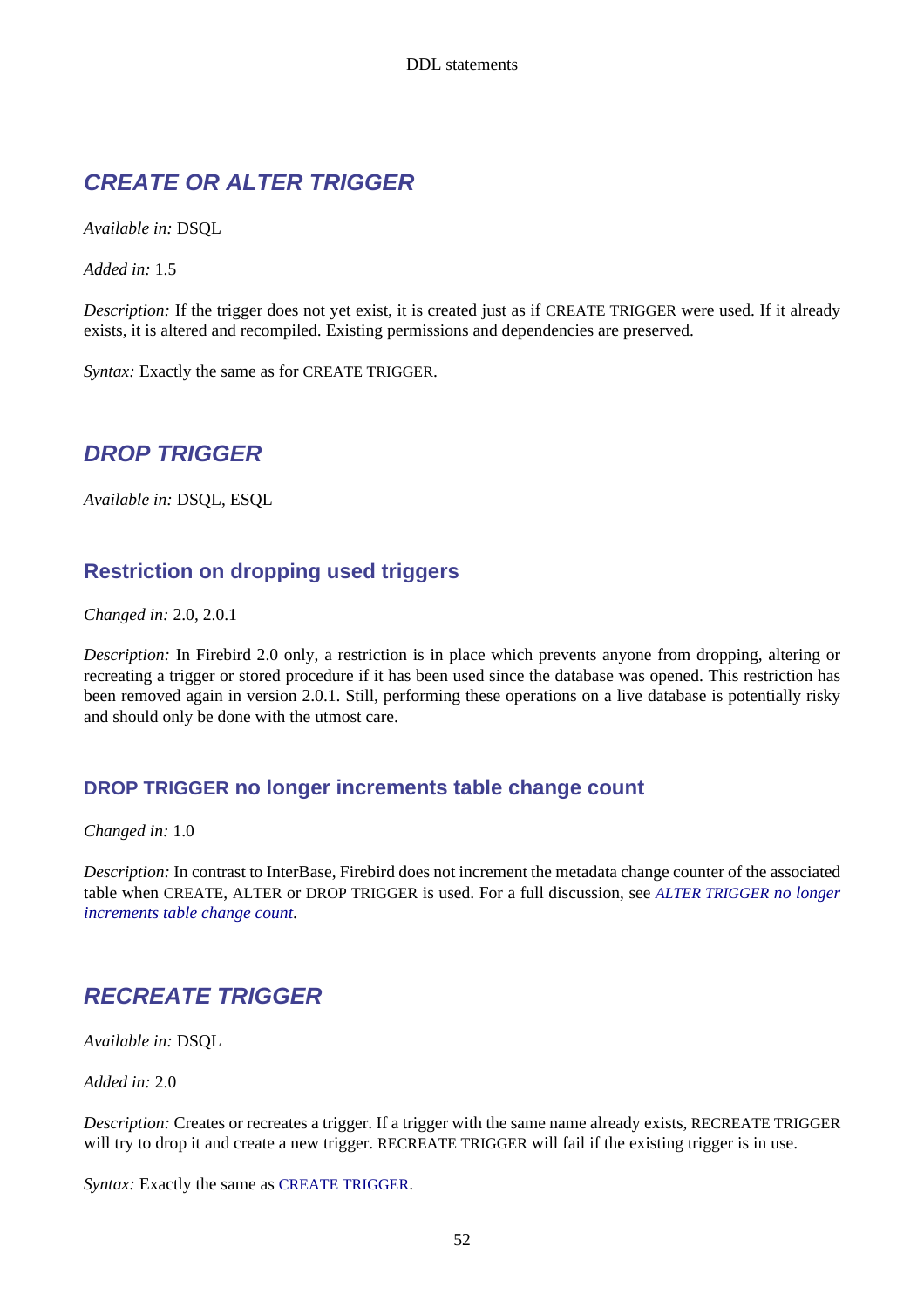# **CREATE OR ALTER TRIGGER**

*Available in:* DSQL

*Added in:* 1.5

*Description:* If the trigger does not yet exist, it is created just as if CREATE TRIGGER were used. If it already exists, it is altered and recompiled. Existing permissions and dependencies are preserved.

*Syntax:* Exactly the same as for CREATE TRIGGER.

## **DROP TRIGGER**

*Available in:* DSQL, ESQL

## **Restriction on dropping used triggers**

*Changed in:* 2.0, 2.0.1

*Description:* In Firebird 2.0 only, a restriction is in place which prevents anyone from dropping, altering or recreating a trigger or stored procedure if it has been used since the database was opened. This restriction has been removed again in version 2.0.1. Still, performing these operations on a live database is potentially risky and should only be done with the utmost care.

#### **DROP TRIGGER no longer increments table change count**

*Changed in:* 1.0

*Description:* In contrast to InterBase, Firebird does not increment the metadata change counter of the associated table when CREATE, ALTER or DROP TRIGGER is used. For a full discussion, see *[ALTER TRIGGER](#page-61-0) no longer [increments table change count](#page-61-0)*.

# **RECREATE TRIGGER**

*Available in:* DSQL

*Added in:* 2.0

*Description:* Creates or recreates a trigger. If a trigger with the same name already exists, RECREATE TRIGGER will try to drop it and create a new trigger. RECREATE TRIGGER will fail if the existing trigger is in use.

*Syntax:* Exactly the same as [CREATE TRIGGER](#page-55-0).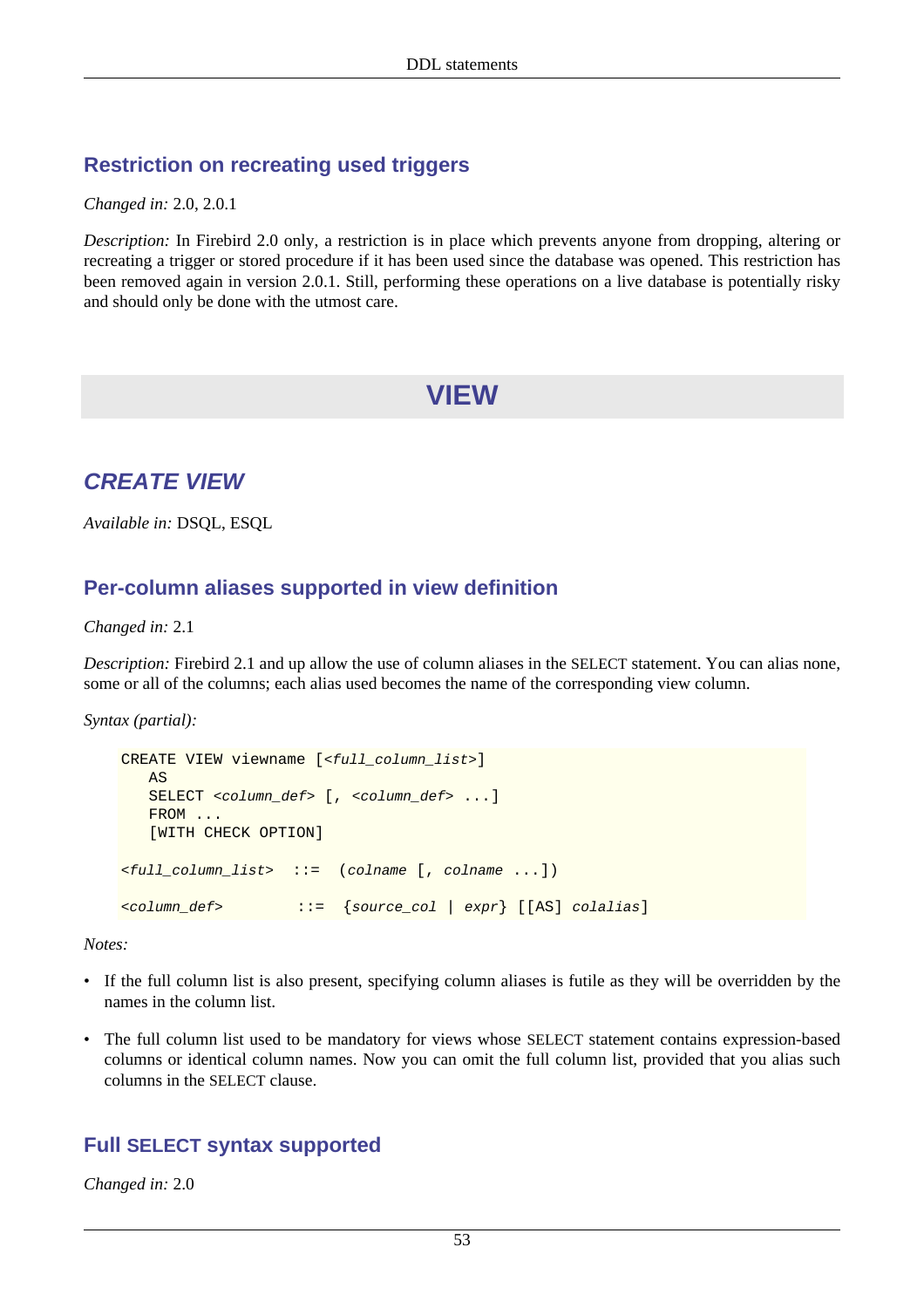#### **Restriction on recreating used triggers**

*Changed in:* 2.0, 2.0.1

*Description:* In Firebird 2.0 only, a restriction is in place which prevents anyone from dropping, altering or recreating a trigger or stored procedure if it has been used since the database was opened. This restriction has been removed again in version 2.0.1. Still, performing these operations on a live database is potentially risky and should only be done with the utmost care.

# **VIEW**

# <span id="page-63-0"></span>**CREATE VIEW**

*Available in:* DSQL, ESQL

#### **Per-column aliases supported in view definition**

*Changed in:* 2.1

*Description:* Firebird 2.1 and up allow the use of column aliases in the SELECT statement. You can alias none, some or all of the columns; each alias used becomes the name of the corresponding view column.

*Syntax (partial):*

```
CREATE VIEW viewname [<full_column_list>]
    AS
   SELECT <column_def> [, <column_def> ...]
    FROM ...
    [WITH CHECK OPTION]
\leqfull_column_list> ::= (colname [, colname ...])
<column_def> ::= {source_col | expr} [[AS] colalias]
```
*Notes:*

- If the full column list is also present, specifying column aliases is futile as they will be overridden by the names in the column list.
- The full column list used to be mandatory for views whose SELECT statement contains expression-based columns or identical column names. Now you can omit the full column list, provided that you alias such columns in the SELECT clause.

#### **Full SELECT syntax supported**

*Changed in:* 2.0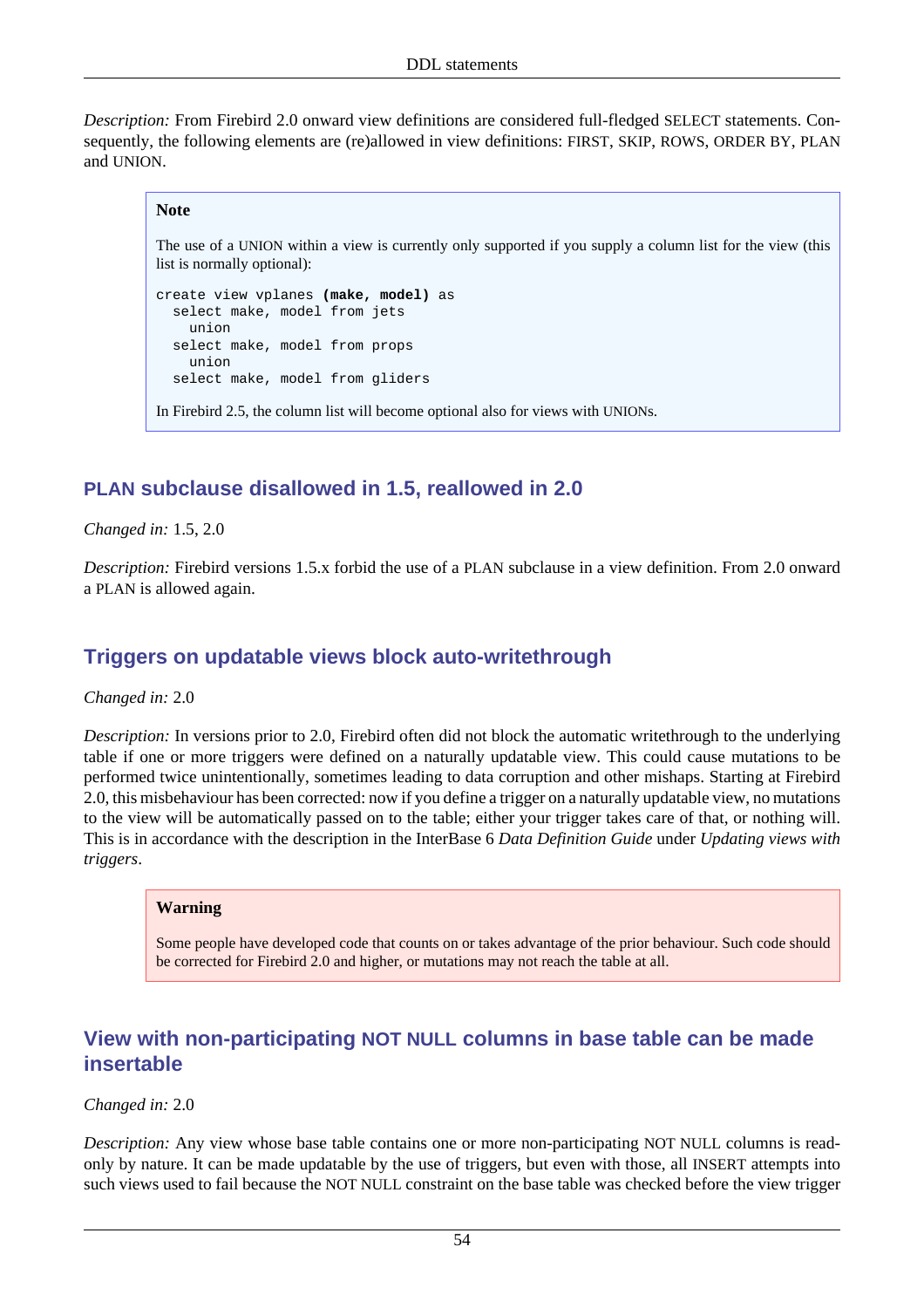*Description:* From Firebird 2.0 onward view definitions are considered full-fledged SELECT statements. Consequently, the following elements are (re)allowed in view definitions: FIRST, SKIP, ROWS, ORDER BY, PLAN and UNION.

#### **Note**

The use of a UNION within a view is currently only supported if you supply a column list for the view (this list is normally optional):

```
create view vplanes (make, model) as
   select make, model from jets
     union
   select make, model from props
     union
   select make, model from gliders
```
In Firebird 2.5, the column list will become optional also for views with UNIONs.

## **PLAN subclause disallowed in 1.5, reallowed in 2.0**

*Changed in:* 1.5, 2.0

<span id="page-64-0"></span>*Description:* Firebird versions 1.5.x forbid the use of a PLAN subclause in a view definition. From 2.0 onward a PLAN is allowed again.

## **Triggers on updatable views block auto-writethrough**

*Changed in:* 2.0

*Description:* In versions prior to 2.0, Firebird often did not block the automatic writethrough to the underlying table if one or more triggers were defined on a naturally updatable view. This could cause mutations to be performed twice unintentionally, sometimes leading to data corruption and other mishaps. Starting at Firebird 2.0, this misbehaviour has been corrected: now if you define a trigger on a naturally updatable view, no mutations to the view will be automatically passed on to the table; either your trigger takes care of that, or nothing will. This is in accordance with the description in the InterBase 6 *Data Definition Guide* under *Updating views with triggers*.

#### **Warning**

Some people have developed code that counts on or takes advantage of the prior behaviour. Such code should be corrected for Firebird 2.0 and higher, or mutations may not reach the table at all.

#### **View with non-participating NOT NULL columns in base table can be made insertable**

*Changed in:* 2.0

*Description:* Any view whose base table contains one or more non-participating NOT NULL columns is readonly by nature. It can be made updatable by the use of triggers, but even with those, all INSERT attempts into such views used to fail because the NOT NULL constraint on the base table was checked before the view trigger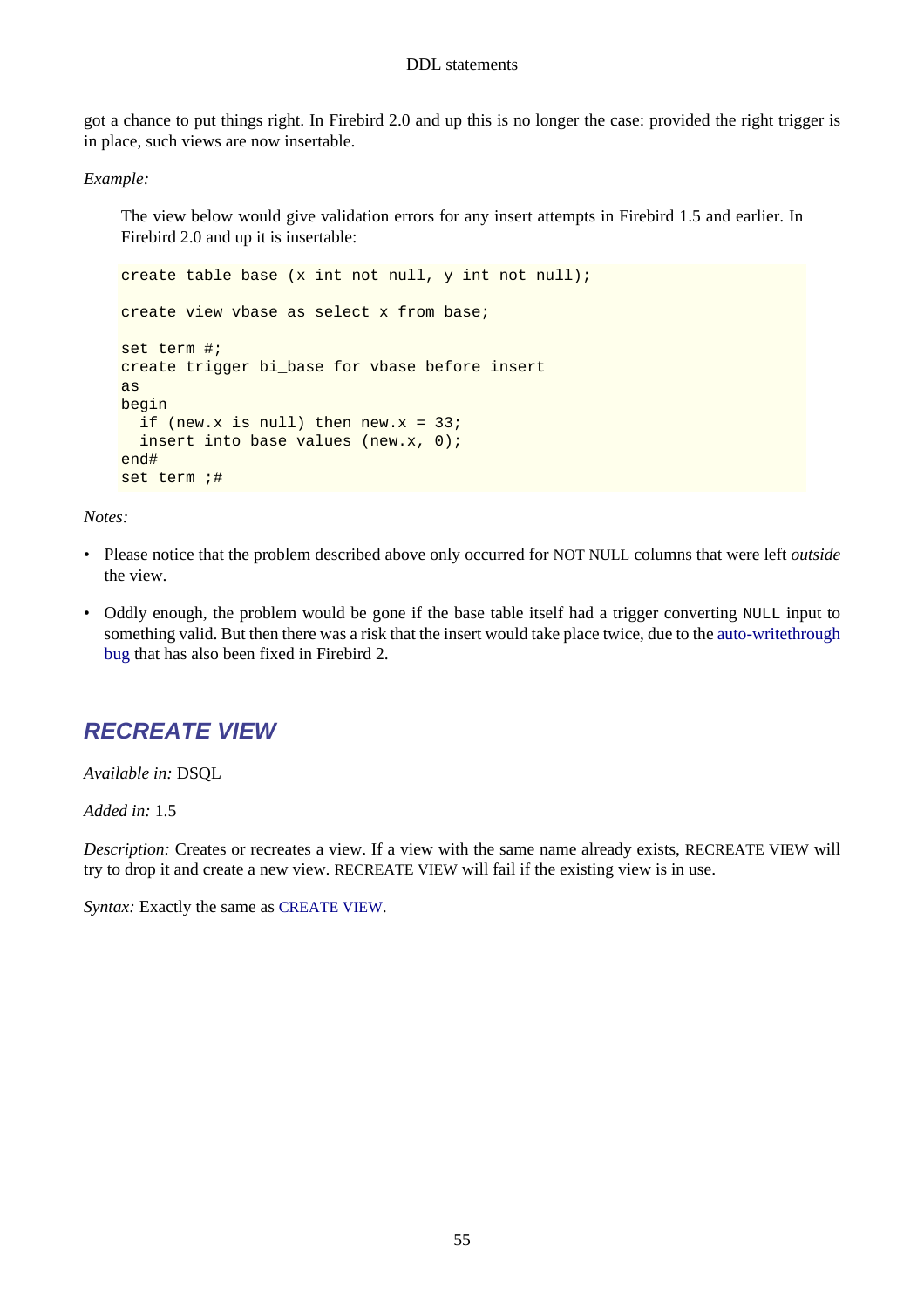got a chance to put things right. In Firebird 2.0 and up this is no longer the case: provided the right trigger is in place, such views are now insertable.

*Example:*

The view below would give validation errors for any insert attempts in Firebird 1.5 and earlier. In Firebird 2.0 and up it is insertable:

```
create table base (x int not null, y int not null);
create view vbase as select x from base;
set term #;
create trigger bi_base for vbase before insert
as
begin
  if (new.x is null) then new.x = 33;
   insert into base values (new.x, 0);
end#
set term ;#
```
*Notes:*

- Please notice that the problem described above only occurred for NOT NULL columns that were left *outside* the view.
- Oddly enough, the problem would be gone if the base table itself had a trigger converting NULL input to something valid. But then there was a risk that the insert would take place twice, due to the [auto-writethrough](#page-64-0) [bug](#page-64-0) that has also been fixed in Firebird 2.

# **RECREATE VIEW**

*Available in:* DSQL

*Added in:* 1.5

*Description:* Creates or recreates a view. If a view with the same name already exists, RECREATE VIEW will try to drop it and create a new view. RECREATE VIEW will fail if the existing view is in use.

*Syntax:* Exactly the same as [CREATE VIEW](#page-63-0).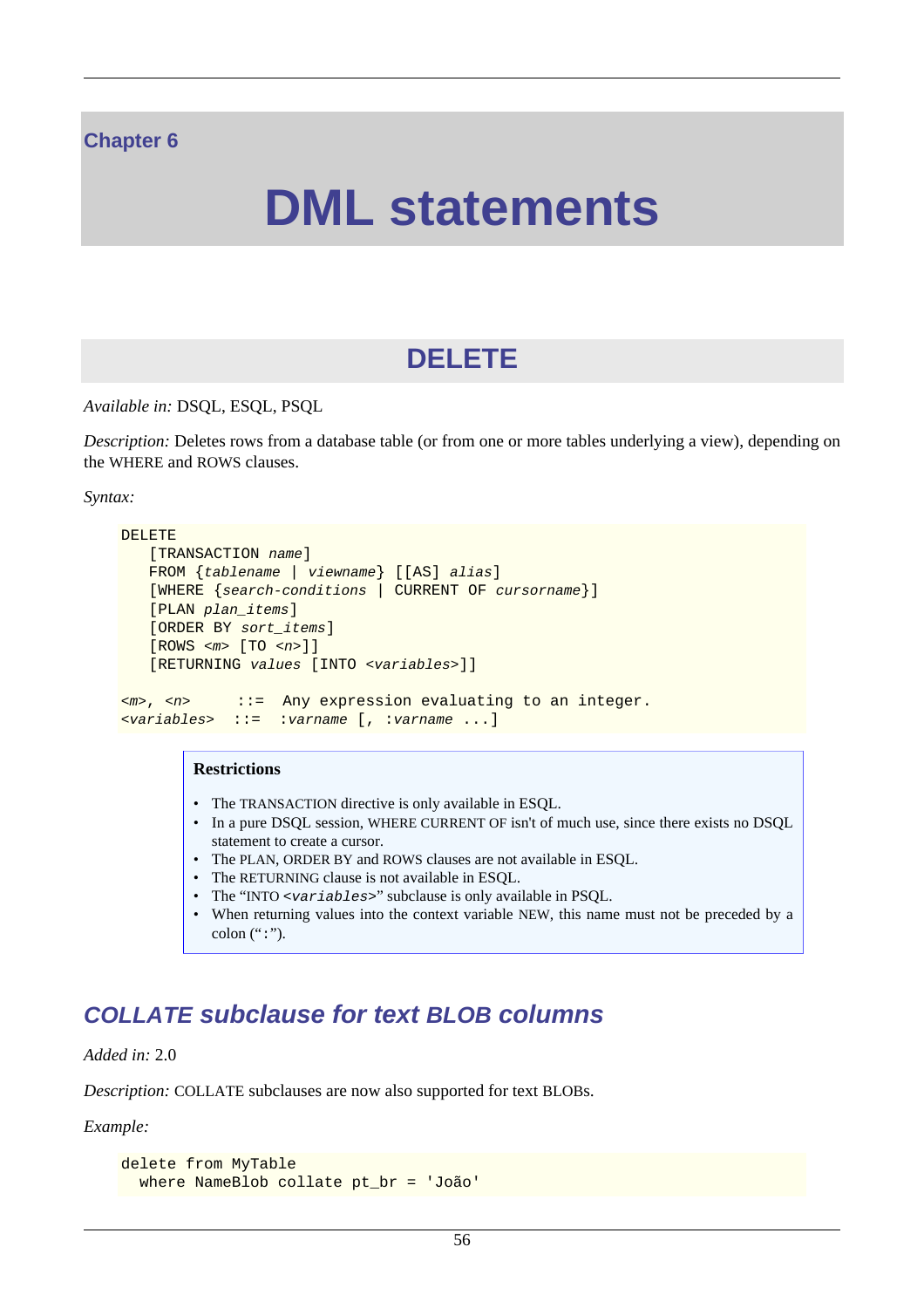#### **Chapter 6**

# **DML statements**

# **DELETE**

*Available in:* DSQL, ESQL, PSQL

*Description:* Deletes rows from a database table (or from one or more tables underlying a view), depending on the WHERE and ROWS clauses.

*Syntax:*

```
DELETE
    [TRANSACTION name]
    FROM {tablename | viewname} [[AS] alias]
    [WHERE {search-conditions | CURRENT OF cursorname}]
    [PLAN plan_items]
    [ORDER BY sort_items]
   [ROWS < m > [TO < n > ]] [RETURNING values [INTO <variables>]]
\langle m \rangle, \langle n \rangle ::= Any expression evaluating to an integer.
<variables> ::= :varname [, :varname ...]
```
#### **Restrictions**

- The TRANSACTION directive is only available in ESQL.
- In a pure DSQL session, WHERE CURRENT OF isn't of much use, since there exists no DSQL statement to create a cursor.
- The PLAN, ORDER BY and ROWS clauses are not available in ESOL.
- The RETURNING clause is not available in ESQL.
- The "INTO <variables>" subclause is only available in PSQL.
- When returning values into the context variable NEW, this name must not be preceded by a colon  $(":")$ .

# **COLLATE subclause for text BLOB columns**

*Added in:* 2.0

*Description:* COLLATE subclauses are now also supported for text BLOBs.

*Example:*

```
delete from MyTable
   where NameBlob collate pt_br = 'João'
```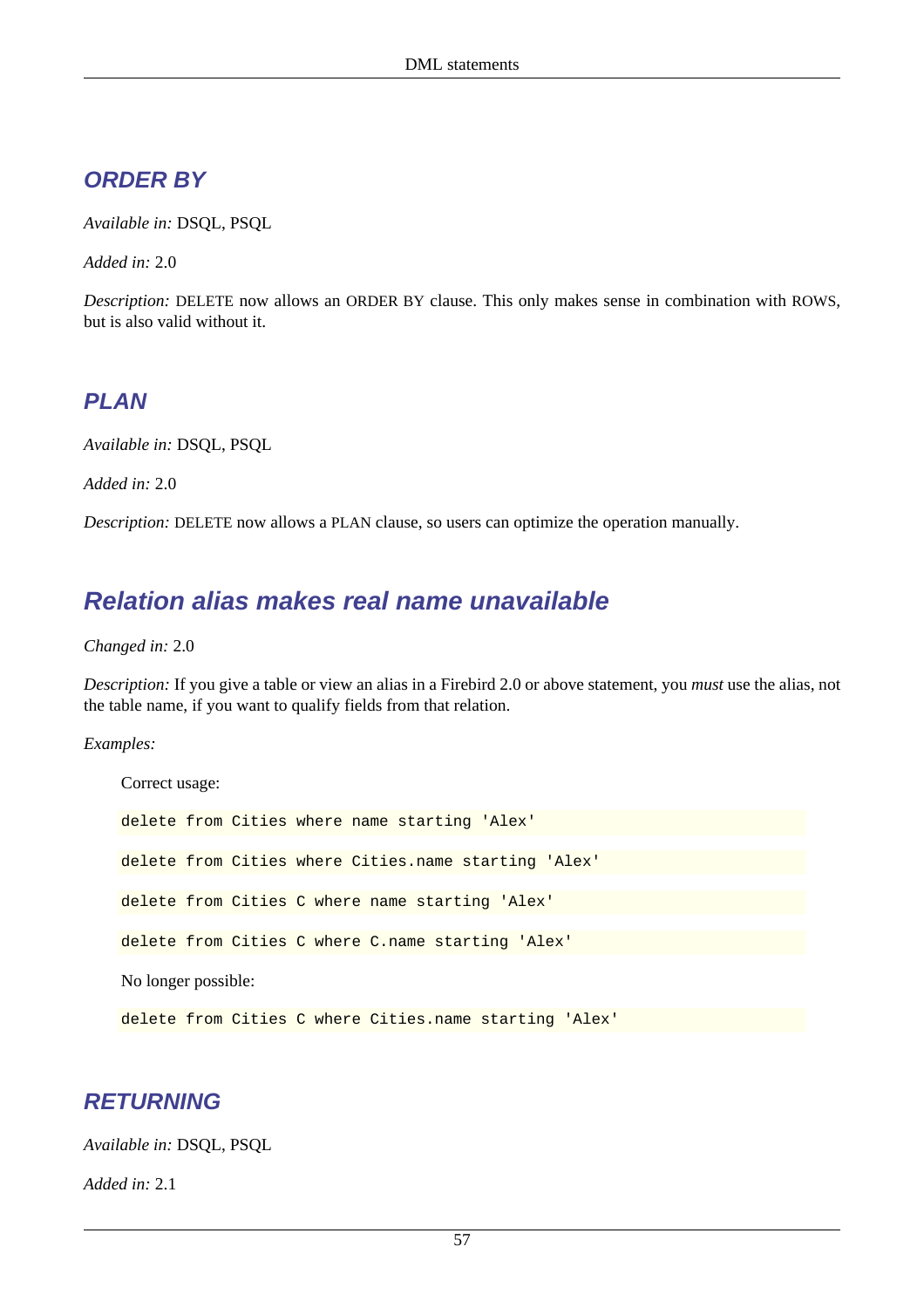## **ORDER BY**

*Available in:* DSQL, PSQL

*Added in:* 2.0

*Description:* DELETE now allows an ORDER BY clause. This only makes sense in combination with ROWS, but is also valid without it.

## **PLAN**

*Available in:* DSQL, PSQL

*Added in:* 2.0

*Description:* DELETE now allows a PLAN clause, so users can optimize the operation manually.

# **Relation alias makes real name unavailable**

*Changed in:* 2.0

*Description:* If you give a table or view an alias in a Firebird 2.0 or above statement, you *must* use the alias, not the table name, if you want to qualify fields from that relation.

*Examples:*

Correct usage: delete from Cities where name starting 'Alex' delete from Cities where Cities.name starting 'Alex' delete from Cities C where name starting 'Alex' delete from Cities C where C.name starting 'Alex' No longer possible: delete from Cities C where Cities.name starting 'Alex'

## **RETURNING**

*Available in:* DSQL, PSQL

*Added in:* 2.1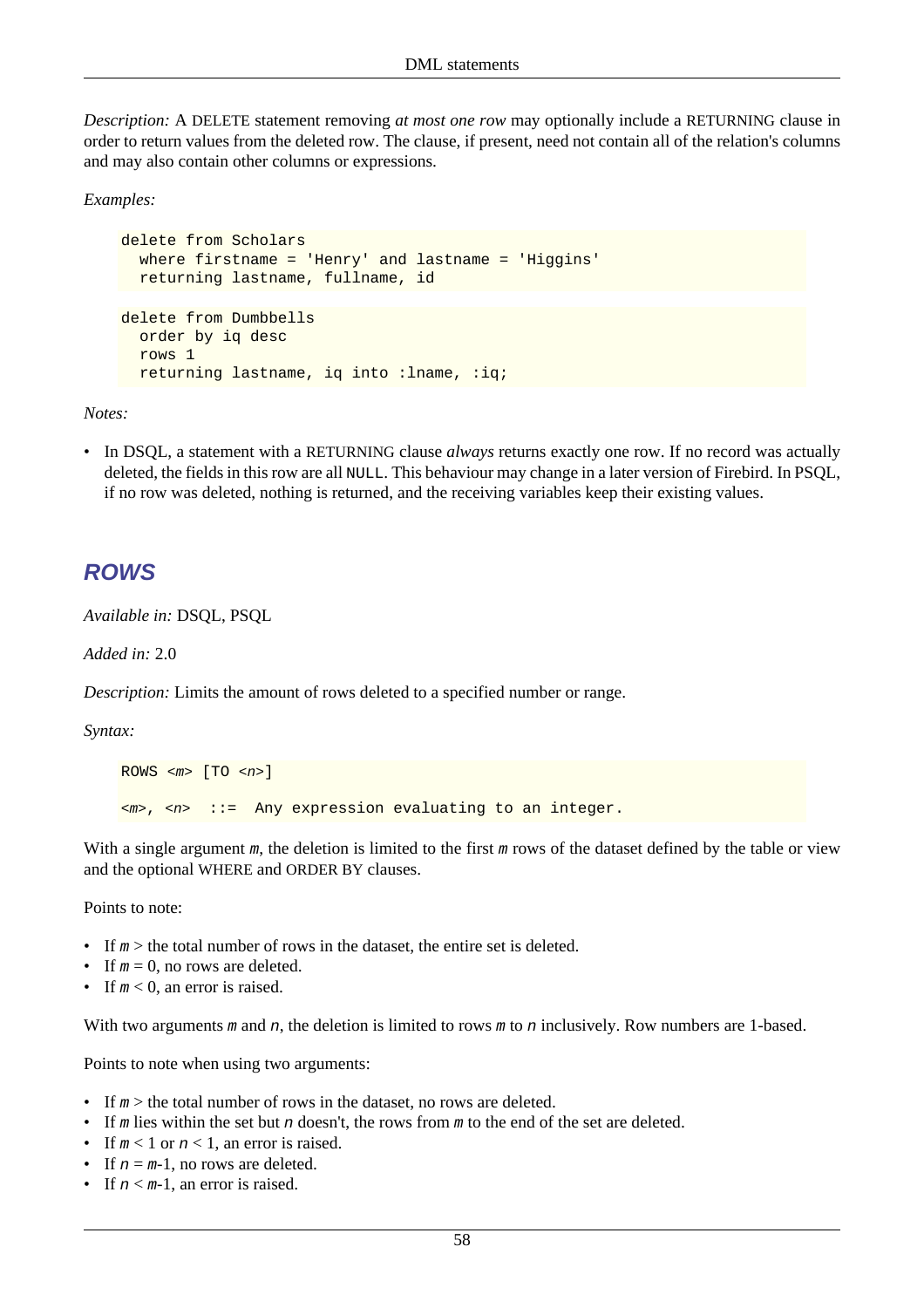*Description:* A DELETE statement removing *at most one row* may optionally include a RETURNING clause in order to return values from the deleted row. The clause, if present, need not contain all of the relation's columns and may also contain other columns or expressions.

*Examples:*

```
delete from Scholars
   where firstname = 'Henry' and lastname = 'Higgins'
   returning lastname, fullname, id
delete from Dumbbells
   order by iq desc
   rows 1
   returning lastname, iq into :lname, :iq;
```
*Notes:*

• In DSQL, a statement with a RETURNING clause *always* returns exactly one row. If no record was actually deleted, the fields in this row are all NULL. This behaviour may change in a later version of Firebird. In PSQL, if no row was deleted, nothing is returned, and the receiving variables keep their existing values.

#### **ROWS**

*Available in:* DSQL, PSQL

*Added in:* 2.0

*Description:* Limits the amount of rows deleted to a specified number or range.

*Syntax:*

```
ROWS \langle m \rangle [TO \langle n \rangle]
\langle m \rangle, \langle n \rangle ::= Any expression evaluating to an integer.
```
With a single argument  $m$ , the deletion is limited to the first  $m$  rows of the dataset defined by the table or view and the optional WHERE and ORDER BY clauses.

Points to note:

- If  $m >$  the total number of rows in the dataset, the entire set is deleted.
- If  $m = 0$ , no rows are deleted.
- If  $m < 0$ , an error is raised.

With two arguments  $m$  and  $n$ , the deletion is limited to rows  $m$  to  $n$  inclusively. Row numbers are 1-based.

Points to note when using two arguments:

- If  $m >$  the total number of rows in the dataset, no rows are deleted.
- If m lies within the set but n doesn't, the rows from m to the end of the set are deleted.
- If  $m < 1$  or  $n < 1$ , an error is raised.
- If  $n = m-1$ , no rows are deleted.
- If  $n < m-1$ , an error is raised.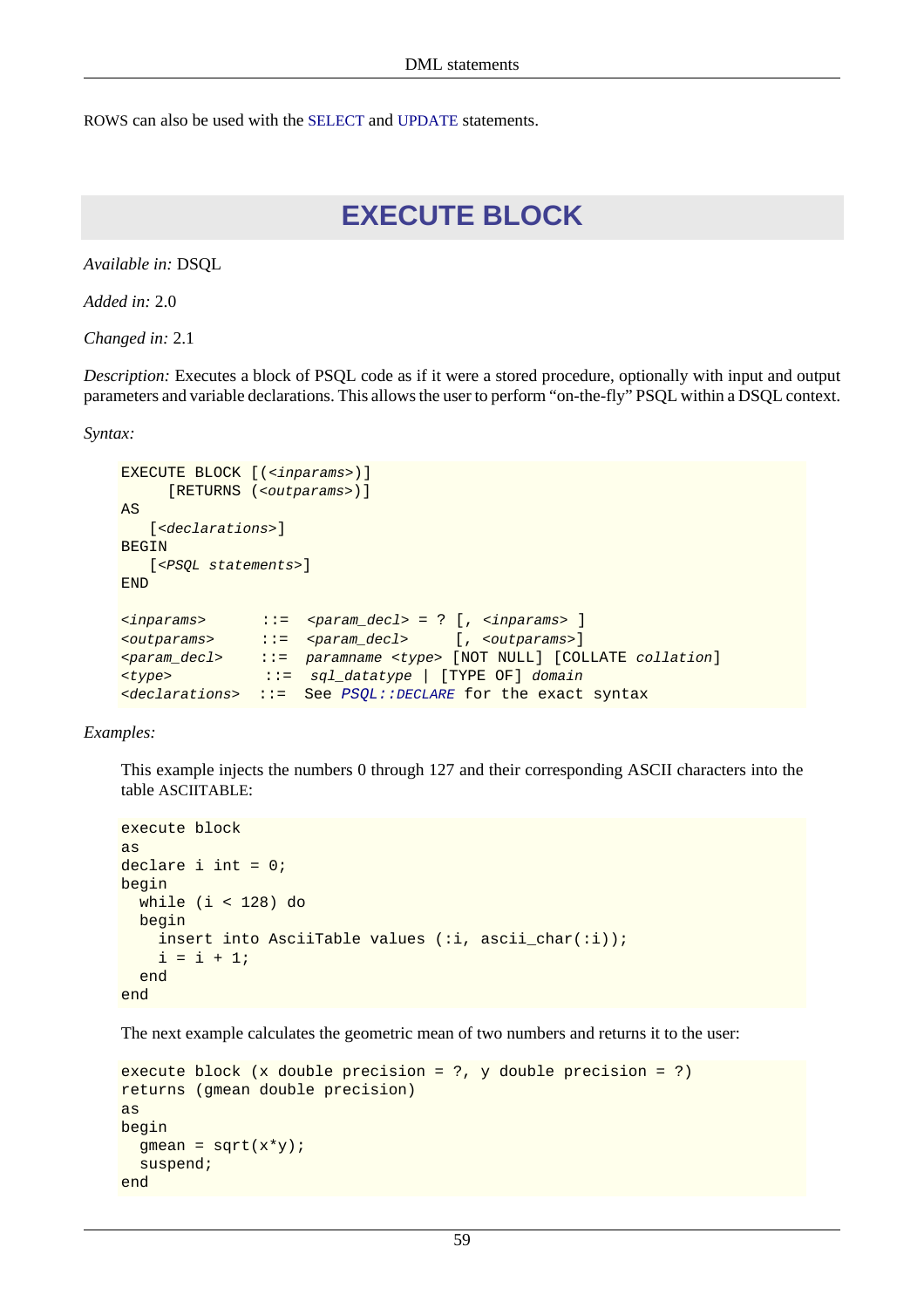ROWS can also be used with the [SELECT](#page-91-0) and [UPDATE](#page-96-0) statements.

# **EXECUTE BLOCK**

*Available in:* DSQL

*Added in:* 2.0

*Changed in:* 2.1

*Description:* Executes a block of PSQL code as if it were a stored procedure, optionally with input and output parameters and variable declarations. This allows the user to perform "on-the-fly" PSQL within a DSQL context.

*Syntax:*

```
EXECUTE BLOCK [(<inparams>)]
     [RETURNS (<outparams>)]
AS
   [<declarations>]
BEGIN
   [<PSQL statements>]
END
<inparams> ::= <param_decl> = ? [, <inparams> ]
<outparams> ::= <param_decl> [, <outparams>]
<param_decl> ::= paramname <type> [NOT NULL] [COLLATE collation]
<type> ::= sql_datatype | [TYPE OF] domain
<declarations> ::= See PSQL::DECLARE for the exact syntax
```
*Examples:*

This example injects the numbers 0 through 127 and their corresponding ASCII characters into the table ASCIITABLE:

```
execute block
as
declare i int = 0;
begin
   while (i < 128) do
   begin
    insert into AsciiTable values (:i, ascii_char(:i));
    i = i + 1; end
end
```
The next example calculates the geometric mean of two numbers and returns it to the user:

```
execute block (x double precision = ?, y double precision = ?)
returns (gmean double precision)
as
begin
  gmean = sqrt(x*y);
   suspend;
end
```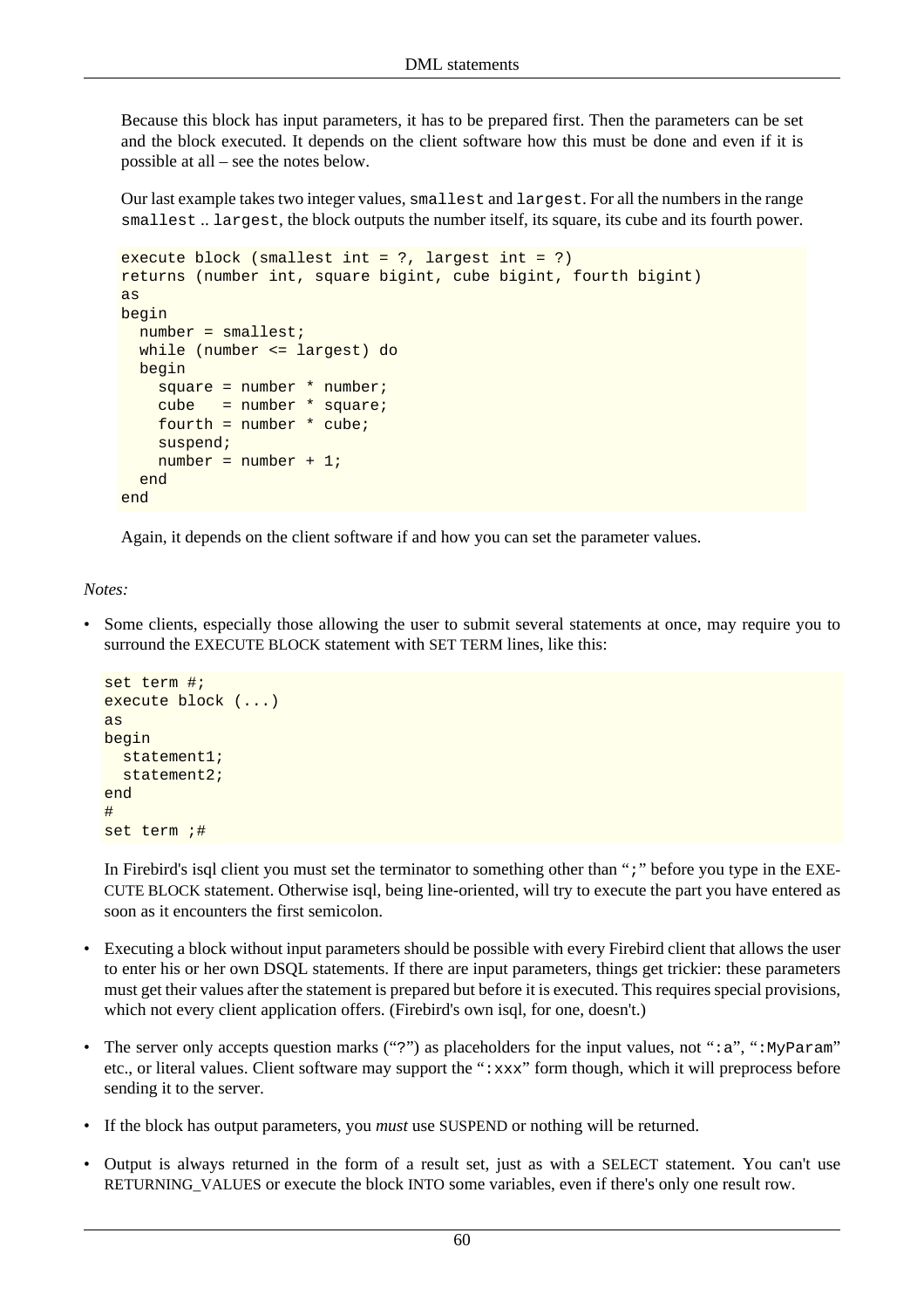Because this block has input parameters, it has to be prepared first. Then the parameters can be set and the block executed. It depends on the client software how this must be done and even if it is possible at all – see the notes below.

Our last example takes two integer values, smallest and largest. For all the numbers in the range smallest .. largest, the block outputs the number itself, its square, its cube and its fourth power.

```
execute block (smallest int = ?, largest int = ?)
returns (number int, square bigint, cube bigint, fourth bigint)
as
begin
  number = smallest;
 while (number <= largest) do
  begin
     square = number * number;
     cube = number * square;
    fourth = number * cube;
     suspend;
     number = number + 1;
   end
end
```
Again, it depends on the client software if and how you can set the parameter values.

#### *Notes:*

Some clients, especially those allowing the user to submit several statements at once, may require you to surround the EXECUTE BLOCK statement with SET TERM lines, like this:

```
set term #;
execute block (...)
as
begin
  statement1;
   statement2;
end
#
set term ;#
```
In Firebird's isql client you must set the terminator to something other than ";" before you type in the EXE-CUTE BLOCK statement. Otherwise isql, being line-oriented, will try to execute the part you have entered as soon as it encounters the first semicolon.

- Executing a block without input parameters should be possible with every Firebird client that allows the user to enter his or her own DSQL statements. If there are input parameters, things get trickier: these parameters must get their values after the statement is prepared but before it is executed. This requires special provisions, which not every client application offers. (Firebird's own isql, for one, doesn't.)
- The server only accepts question marks ("?") as placeholders for the input values, not " $:a$ ", ":MyParam" etc., or literal values. Client software may support the " $:xxx$ " form though, which it will preprocess before sending it to the server.
- If the block has output parameters, you *must* use SUSPEND or nothing will be returned.
- Output is always returned in the form of a result set, just as with a SELECT statement. You can't use RETURNING VALUES or execute the block INTO some variables, even if there's only one result row.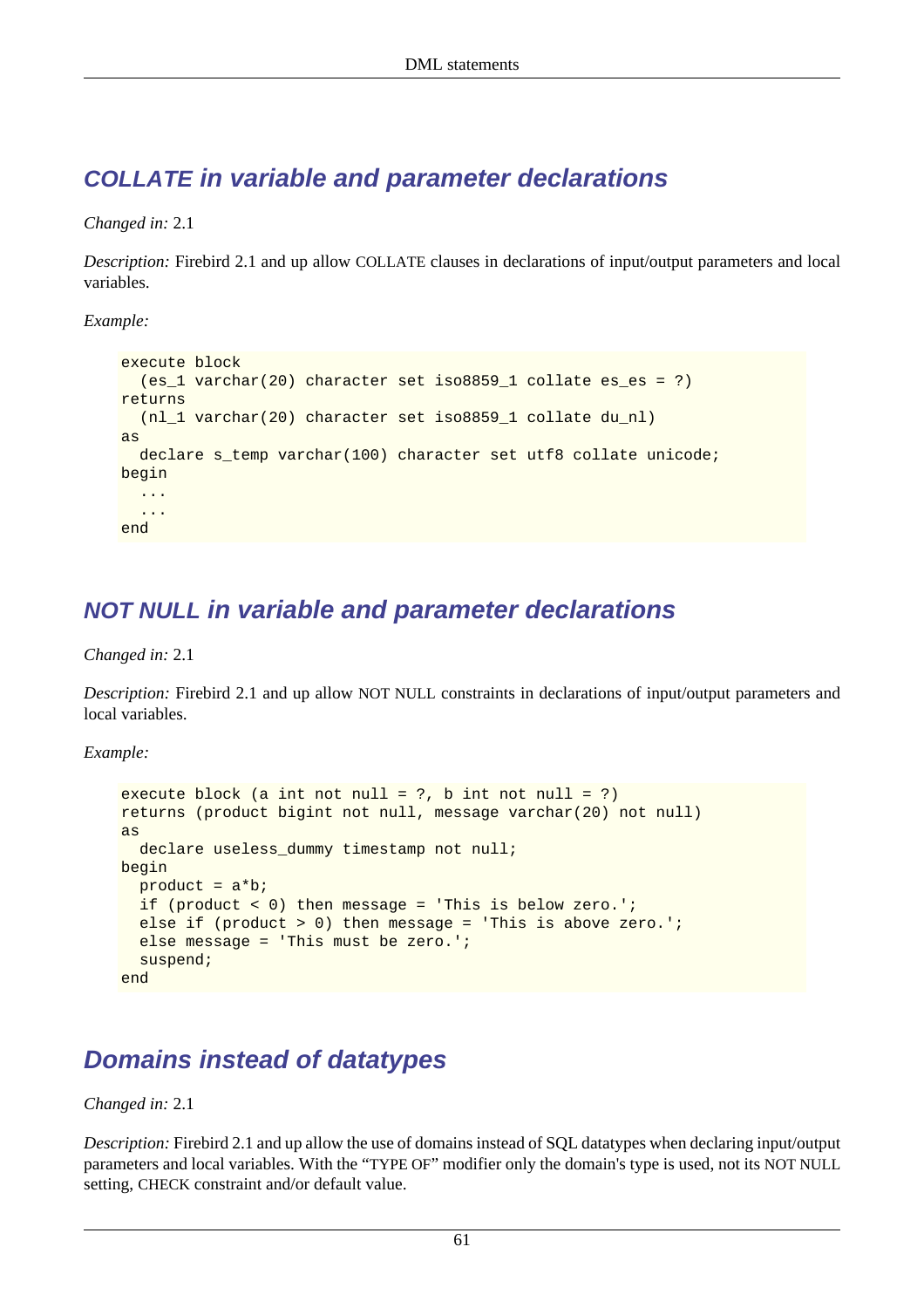# **COLLATE in variable and parameter declarations**

*Changed in:* 2.1

*Description:* Firebird 2.1 and up allow COLLATE clauses in declarations of input/output parameters and local variables.

*Example:*

```
execute block
   (es_1 varchar(20) character set iso8859_1 collate es_es = ?)
returns
 (nl 1 varchar(20) character set iso8859 1 collate du nl)
as
  declare s_temp varchar(100) character set utf8 collate unicode;
begin
   ...
   ...
end
```
# **NOT NULL in variable and parameter declarations**

*Changed in:* 2.1

*Description:* Firebird 2.1 and up allow NOT NULL constraints in declarations of input/output parameters and local variables.

*Example:*

```
execute block (a int not null = ?, b int not null = ?)returns (product bigint not null, message varchar(20) not null)
as
  declare useless dummy timestamp not null;
begin
  product = a * b; if (product < 0) then message = 'This is below zero.';
   else if (product > 0) then message = 'This is above zero.';
   else message = 'This must be zero.';
   suspend;
end
```
# **Domains instead of datatypes**

*Changed in:* 2.1

*Description:* Firebird 2.1 and up allow the use of domains instead of SQL datatypes when declaring input/output parameters and local variables. With the "TYPE OF" modifier only the domain's type is used, not its NOT NULL setting, CHECK constraint and/or default value.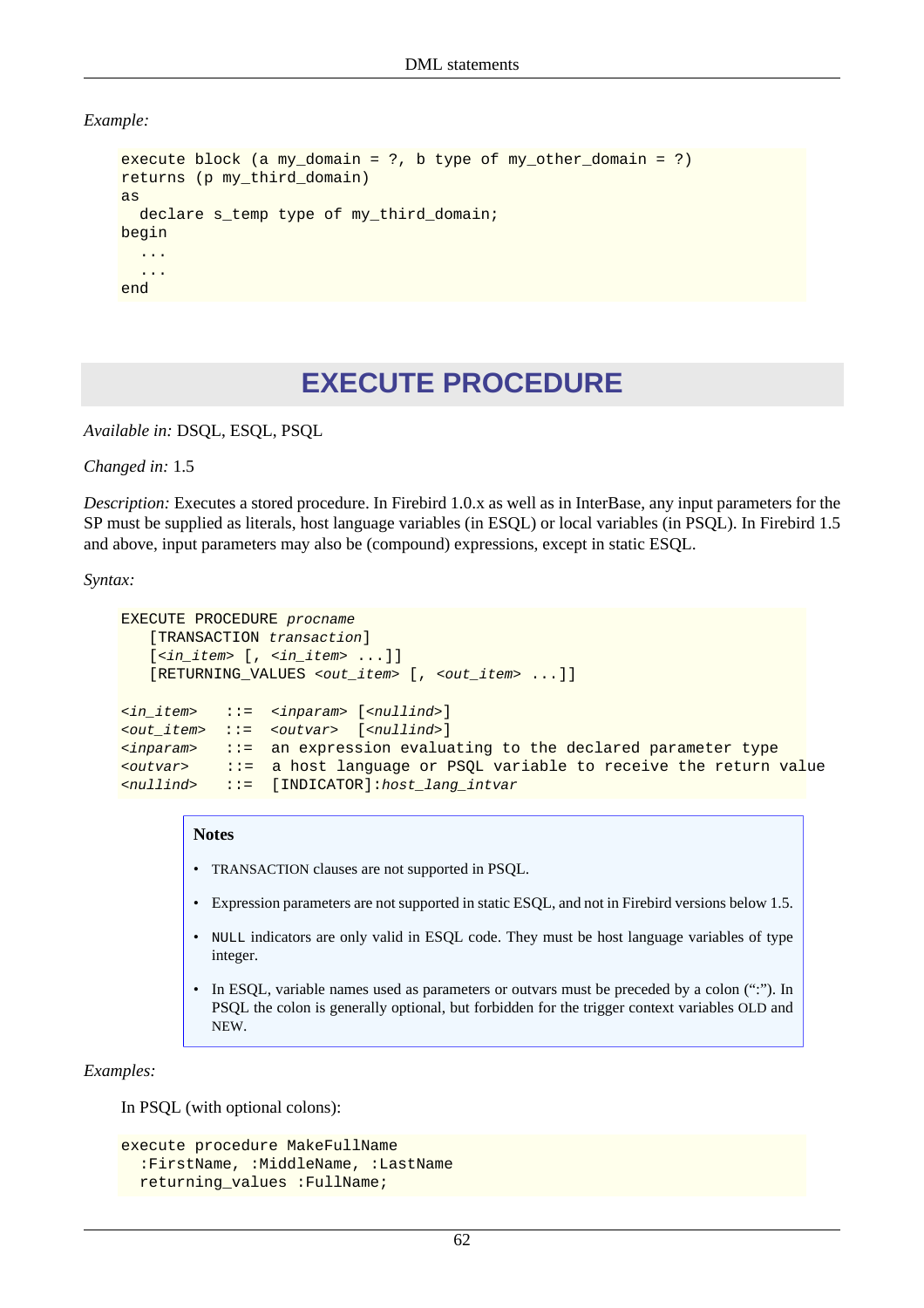*Example:*

```
execute block (a my_domain = ?, b type of my_other_domain = ?)
returns (p my_third_domain)
as
  declare s temp type of my third domain;
begin
   ...
   ...
end
```
# **EXECUTE PROCEDURE**

*Available in:* DSQL, ESQL, PSQL

*Changed in:* 1.5

*Description:* Executes a stored procedure. In Firebird 1.0.x as well as in InterBase, any input parameters for the SP must be supplied as literals, host language variables (in ESQL) or local variables (in PSQL). In Firebird 1.5 and above, input parameters may also be (compound) expressions, except in static ESQL.

*Syntax:*

```
EXECUTE PROCEDURE procname
   [TRANSACTION transaction]
   [<in_item> [, <in_item> ...]]
    [RETURNING_VALUES <out_item> [, <out_item> ...]]
<in_item> ::= <inparam> [<nullind>]
<out_item> ::= <outvar> [<nullind>]
<inparam> ::= an expression evaluating to the declared parameter type
<outvar> ::= a host language or PSQL variable to receive the return value
<nullind> ::= [INDICATOR]:host_lang_intvar
```
#### **Notes**

- TRANSACTION clauses are not supported in PSQL.
- Expression parameters are not supported in static ESQL, and not in Firebird versions below 1.5.
- NULL indicators are only valid in ESQL code. They must be host language variables of type integer.
- In ESQL, variable names used as parameters or outvars must be preceded by a colon (":"). In PSQL the colon is generally optional, but forbidden for the trigger context variables OLD and NEW.

*Examples:*

In PSQL (with optional colons):

```
execute procedure MakeFullName
   :FirstName, :MiddleName, :LastName
  returning_values :FullName;
```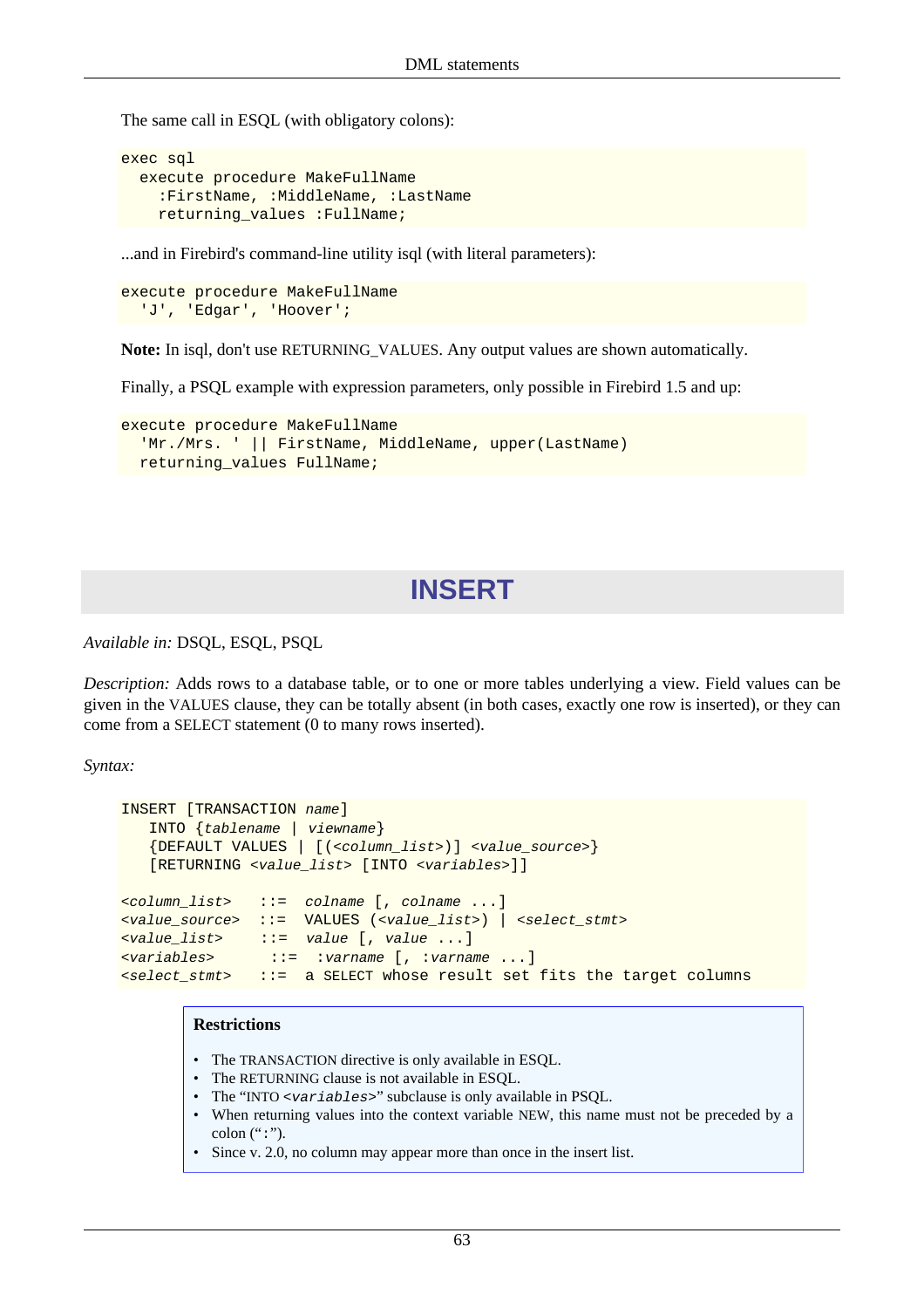The same call in ESQL (with obligatory colons):

```
exec sql
   execute procedure MakeFullName
     :FirstName, :MiddleName, :LastName
    returning values : FullName;
```
...and in Firebird's command-line utility isql (with literal parameters):

```
execute procedure MakeFullName
   'J', 'Edgar', 'Hoover';
```
**Note:** In isql, don't use RETURNING\_VALUES. Any output values are shown automatically.

Finally, a PSQL example with expression parameters, only possible in Firebird 1.5 and up:

```
execute procedure MakeFullName
  'Mr./Mrs. ' || FirstName, MiddleName, upper(LastName)
 returning values FullName;
```
# **INSERT**

*Available in:* DSQL, ESQL, PSQL

*Description:* Adds rows to a database table, or to one or more tables underlying a view. Field values can be given in the VALUES clause, they can be totally absent (in both cases, exactly one row is inserted), or they can come from a SELECT statement (0 to many rows inserted).

*Syntax:*

```
INSERT [TRANSACTION name]
    INTO {tablename | viewname}
    {DEFAULT VALUES | [(<column_list>)] <value_source>}
    [RETURNING <value_list> [INTO <variables>]]
<column_list> ::= colname [, colname ...]
<value_source> ::= VALUES (<value_list>) | <select_stmt>
<value_list> ::= value [, value ...]
<variables> ::= :varname [, :varname ...]
<select_stmt> ::= a SELECT whose result set fits the target columns
```
#### **Restrictions**

- The TRANSACTION directive is only available in ESQL.
- The RETURNING clause is not available in ESQL.
- The "INTO <variables>" subclause is only available in PSQL.
- When returning values into the context variable NEW, this name must not be preceded by a colon  $(":")$ .
- Since v. 2.0, no column may appear more than once in the insert list.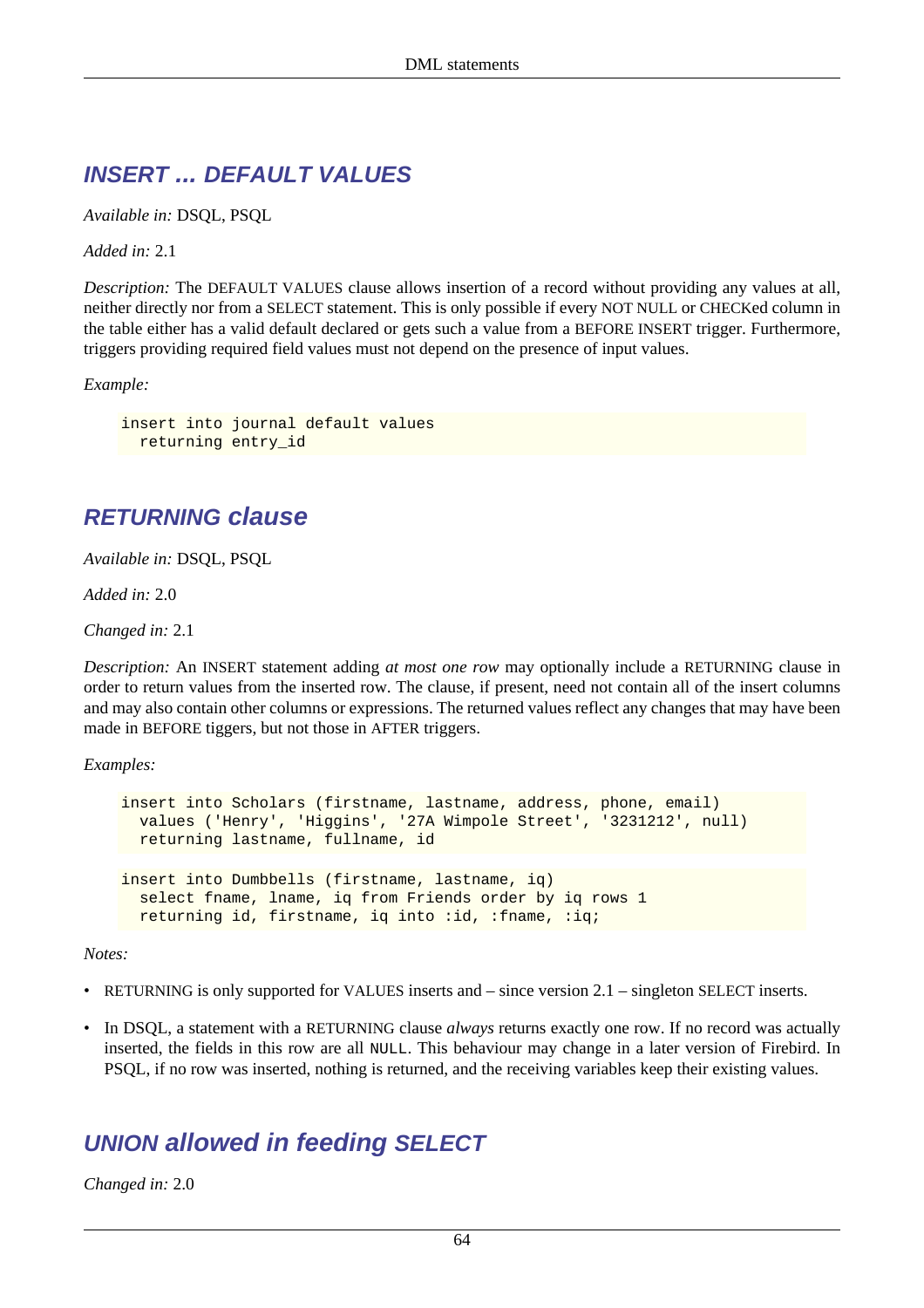# **INSERT ... DEFAULT VALUES**

*Available in:* DSQL, PSQL

*Added in:* 2.1

*Description:* The DEFAULT VALUES clause allows insertion of a record without providing any values at all, neither directly nor from a SELECT statement. This is only possible if every NOT NULL or CHECKed column in the table either has a valid default declared or gets such a value from a BEFORE INSERT trigger. Furthermore, triggers providing required field values must not depend on the presence of input values.

*Example:*

insert into journal default values returning entry\_id

# **RETURNING clause**

*Available in:* DSQL, PSQL

*Added in:* 2.0

*Changed in:* 2.1

*Description:* An INSERT statement adding *at most one row* may optionally include a RETURNING clause in order to return values from the inserted row. The clause, if present, need not contain all of the insert columns and may also contain other columns or expressions. The returned values reflect any changes that may have been made in BEFORE tiggers, but not those in AFTER triggers.

*Examples:*

```
insert into Scholars (firstname, lastname, address, phone, email)
  values ('Henry', 'Higgins', '27A Wimpole Street', '3231212', null)
  returning lastname, fullname, id
insert into Dumbbells (firstname, lastname, iq)
  select fname, lname, iq from Friends order by iq rows 1
  returning id, firstname, iq into :id, :fname, :iq;
```
*Notes:*

- RETURNING is only supported for VALUES inserts and since version 2.1 singleton SELECT inserts.
- In DSQL, a statement with a RETURNING clause *always* returns exactly one row. If no record was actually inserted, the fields in this row are all NULL. This behaviour may change in a later version of Firebird. In PSQL, if no row was inserted, nothing is returned, and the receiving variables keep their existing values.

# **UNION allowed in feeding SELECT**

*Changed in:* 2.0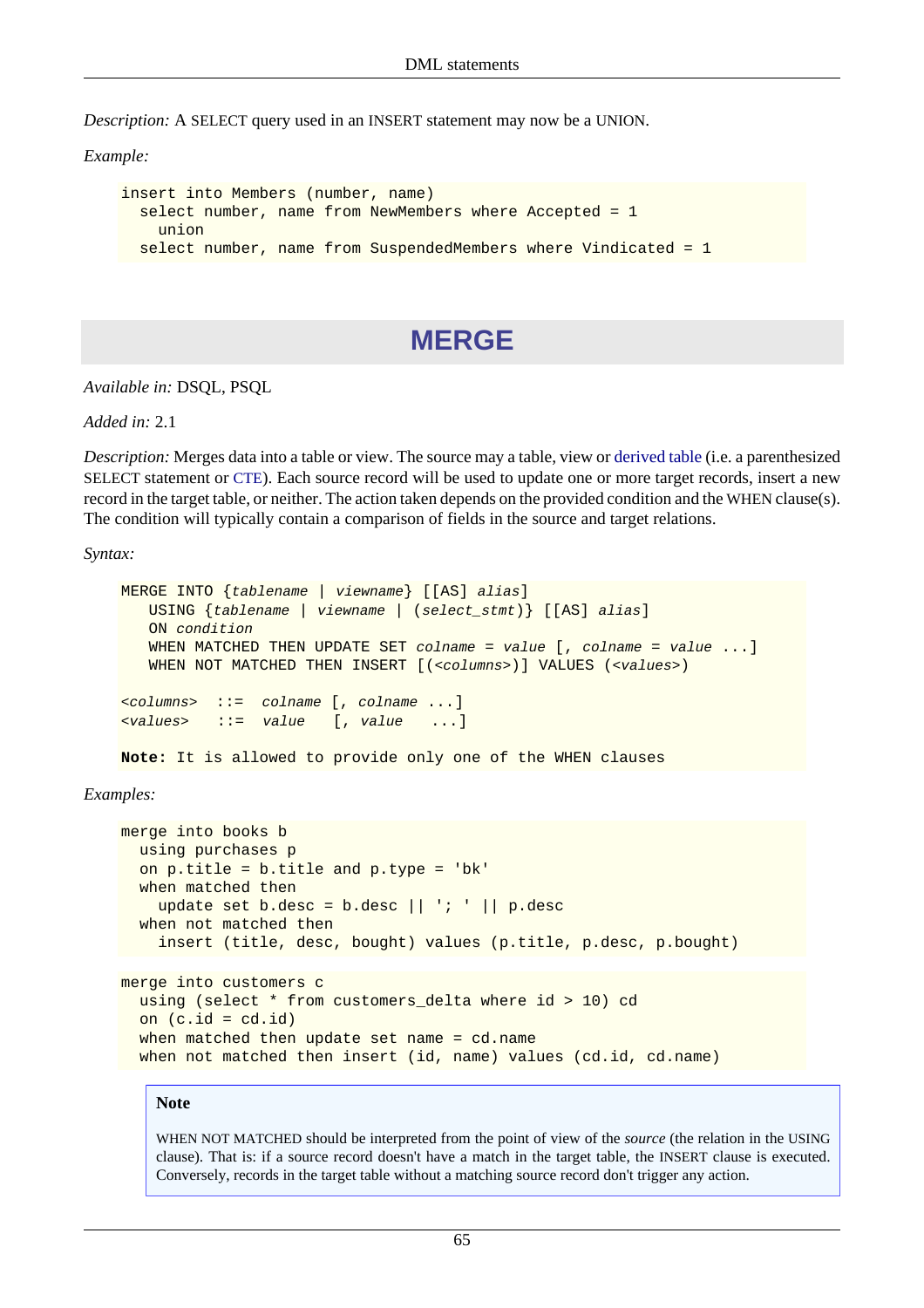*Description:* A SELECT query used in an INSERT statement may now be a UNION.

*Example:*

```
insert into Members (number, name)
  select number, name from NewMembers where Accepted = 1
    union
  select number, name from SuspendedMembers where Vindicated = 1
```
# **MERGE**

*Available in:* DSQL, PSQL

*Added in:* 2.1

*Description:* Merges data into a table or view. The source may a table, view or [derived table](#page-81-0) (i.e. a parenthesized SELECT statement or [CTE](#page-78-0)). Each source record will be used to update one or more target records, insert a new record in the target table, or neither. The action taken depends on the provided condition and the WHEN clause(s). The condition will typically contain a comparison of fields in the source and target relations.

*Syntax:*

```
MERGE INTO {tablename | viewname} [[AS] alias]
    USING {tablename | viewname | (select_stmt)} [[AS] alias]
    ON condition
   WHEN MATCHED THEN UPDATE SET column = value, column = value...
   WHEN NOT MATCHED THEN INSERT [(<columns>)] VALUES (<values>)
<columns> ::= colname [, colname ...]
<values> ::= value [, value ...]
```
**Note:** It is allowed to provide only one of the WHEN clauses

*Examples:*

```
merge into books b
   using purchases p
   on p.title = b.title and p.type = 'bk'
   when matched then
    update set b.desc = b.desc || \cdot | | p.desc
   when not matched then
     insert (title, desc, bought) values (p.title, p.desc, p.bought)
merge into customers c
   using (select * from customers_delta where id > 10) cd
  on (c.id = cd.id)when matched then update set name = cd.name
  when not matched then insert (id, name) values (cd.id, cd.name)
```
#### **Note**

WHEN NOT MATCHED should be interpreted from the point of view of the *source* (the relation in the USING clause). That is: if a source record doesn't have a match in the target table, the INSERT clause is executed. Conversely, records in the target table without a matching source record don't trigger any action.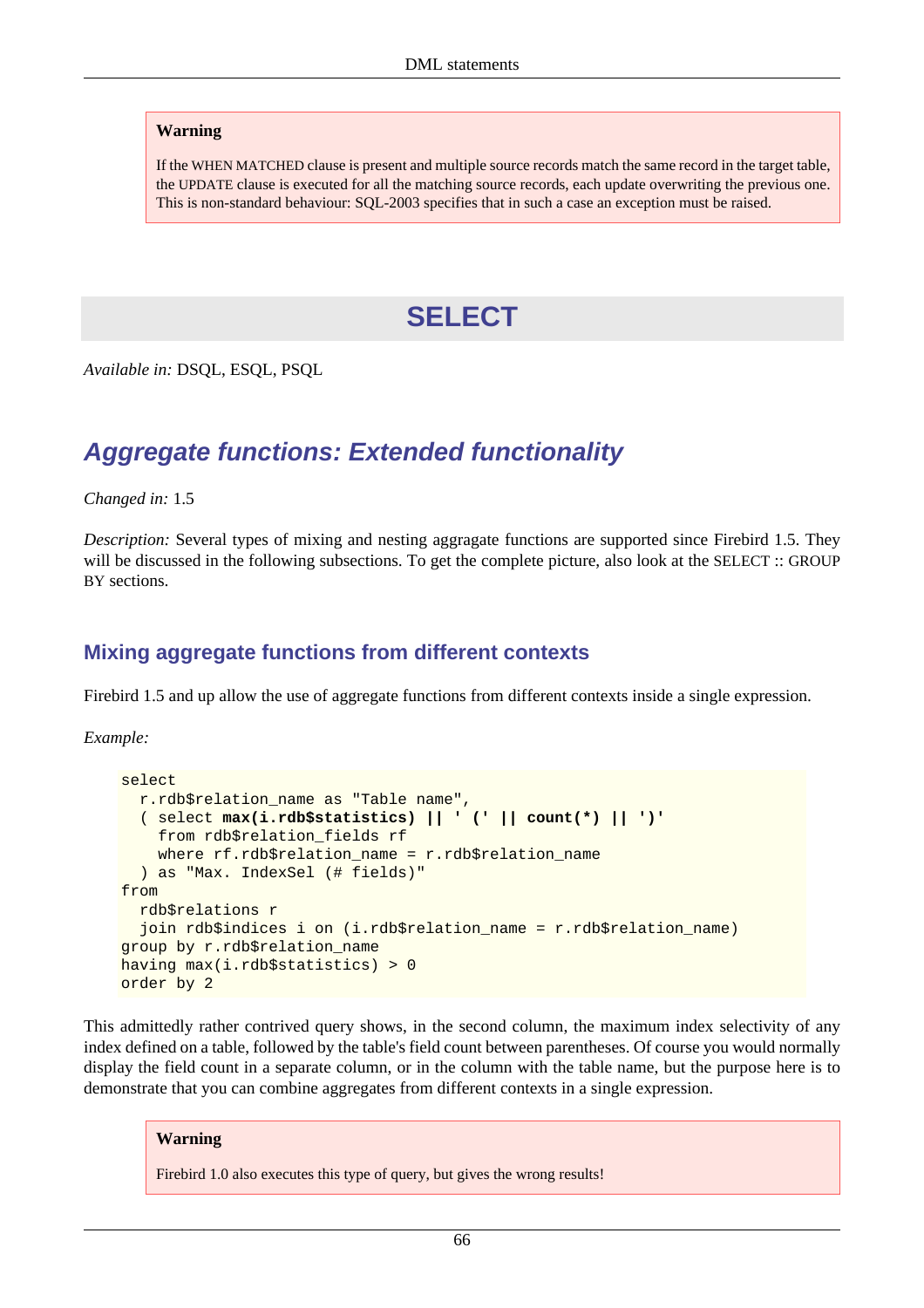#### **Warning**

If the WHEN MATCHED clause is present and multiple source records match the same record in the target table, the UPDATE clause is executed for all the matching source records, each update overwriting the previous one. This is non-standard behaviour: SQL-2003 specifies that in such a case an exception must be raised.

# **SELECT**

*Available in:* DSQL, ESQL, PSQL

# **Aggregate functions: Extended functionality**

*Changed in:* 1.5

*Description:* Several types of mixing and nesting aggragate functions are supported since Firebird 1.5. They will be discussed in the following subsections. To get the complete picture, also look at the SELECT :: GROUP BY sections.

### **Mixing aggregate functions from different contexts**

Firebird 1.5 and up allow the use of aggregate functions from different contexts inside a single expression.

*Example:*

```
select
  r.rdb$relation_name as "Table name",
   ( select max(i.rdb$statistics) || ' (' || count(*) || ')'
     from rdb$relation_fields rf
     where rf.rdb$relation_name = r.rdb$relation_name
   ) as "Max. IndexSel (# fields)"
from
  rdb$relations r
  join rdb$indices i on (i.rdb$relation name = r.rdb$relation name)
group by r.rdb$relation_name
having max(i.rdb$statistics) > 0
order by 2
```
This admittedly rather contrived query shows, in the second column, the maximum index selectivity of any index defined on a table, followed by the table's field count between parentheses. Of course you would normally display the field count in a separate column, or in the column with the table name, but the purpose here is to demonstrate that you can combine aggregates from different contexts in a single expression.

#### **Warning**

Firebird 1.0 also executes this type of query, but gives the wrong results!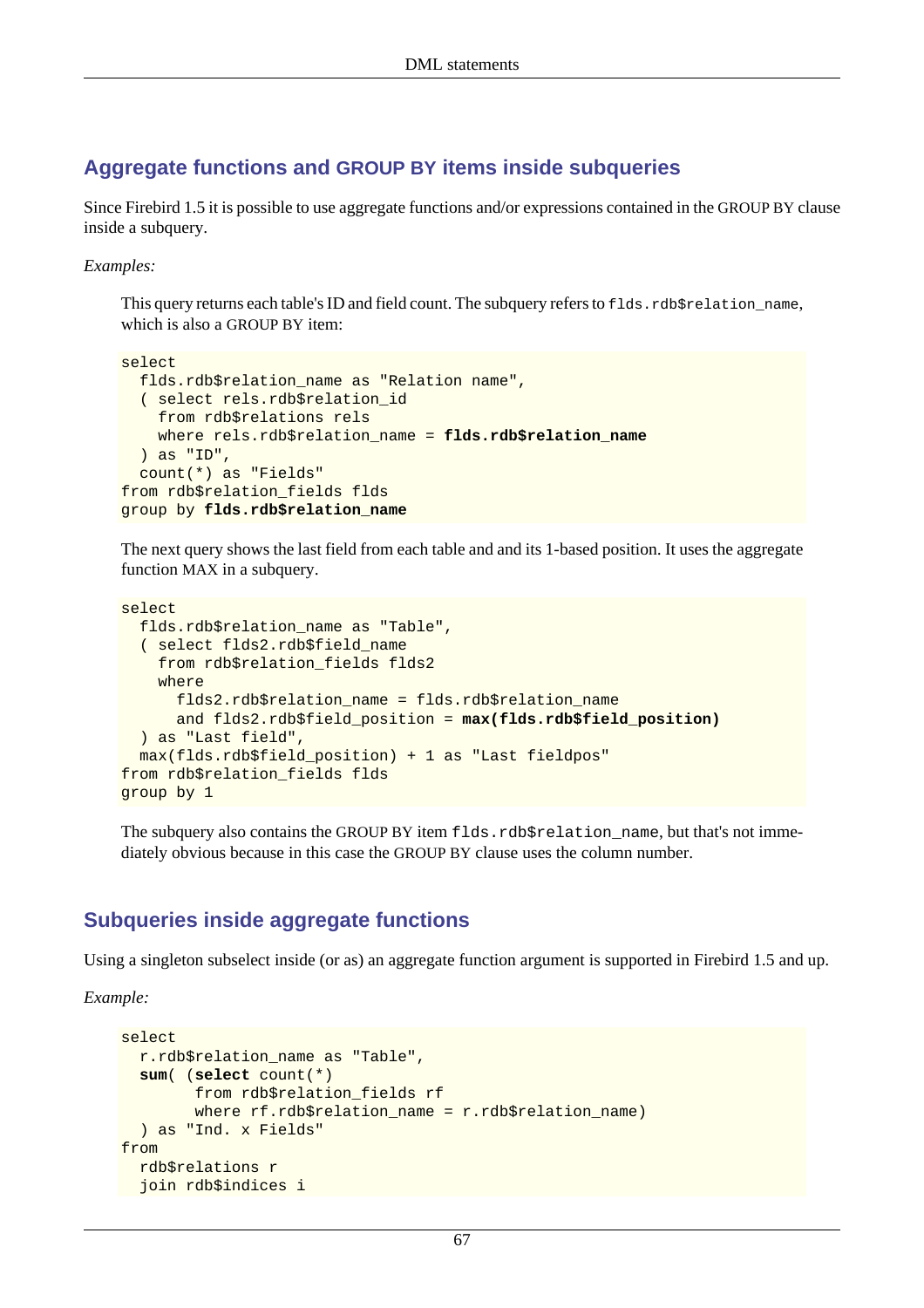### **Aggregate functions and GROUP BY items inside subqueries**

Since Firebird 1.5 it is possible to use aggregate functions and/or expressions contained in the GROUP BY clause inside a subquery.

#### *Examples:*

This query returns each table's ID and field count. The subquery refers to flds.rdb\$relation\_name, which is also a GROUP BY item:

```
select
  flds.rdb$relation_name as "Relation name",
   ( select rels.rdb$relation_id
     from rdb$relations rels
    where rels.rdb$relation name = flds.rdb$relation name
   ) as "ID",
   count(*) as "Fields"
from rdb$relation_fields flds
group by flds.rdb$relation_name
```
The next query shows the last field from each table and and its 1-based position. It uses the aggregate function MAX in a subquery.

```
select
   flds.rdb$relation_name as "Table",
   ( select flds2.rdb$field_name
     from rdb$relation_fields flds2
     where
       flds2.rdb$relation_name = flds.rdb$relation_name
       and flds2.rdb$field_position = max(flds.rdb$field_position)
   ) as "Last field",
  max(flds.rdb$field_position) + 1 as "Last fieldpos"
from rdb$relation_fields flds
group by 1
```
The subquery also contains the GROUP BY item flds.rdb\$relation\_name, but that's not immediately obvious because in this case the GROUP BY clause uses the column number.

### <span id="page-77-0"></span>**Subqueries inside aggregate functions**

Using a singleton subselect inside (or as) an aggregate function argument is supported in Firebird 1.5 and up.

*Example:*

```
select
   r.rdb$relation_name as "Table",
   sum( (select count(*)
         from rdb$relation_fields rf
         where rf.rdb$relation_name = r.rdb$relation_name)
   ) as "Ind. x Fields"
from
   rdb$relations r
   join rdb$indices i
```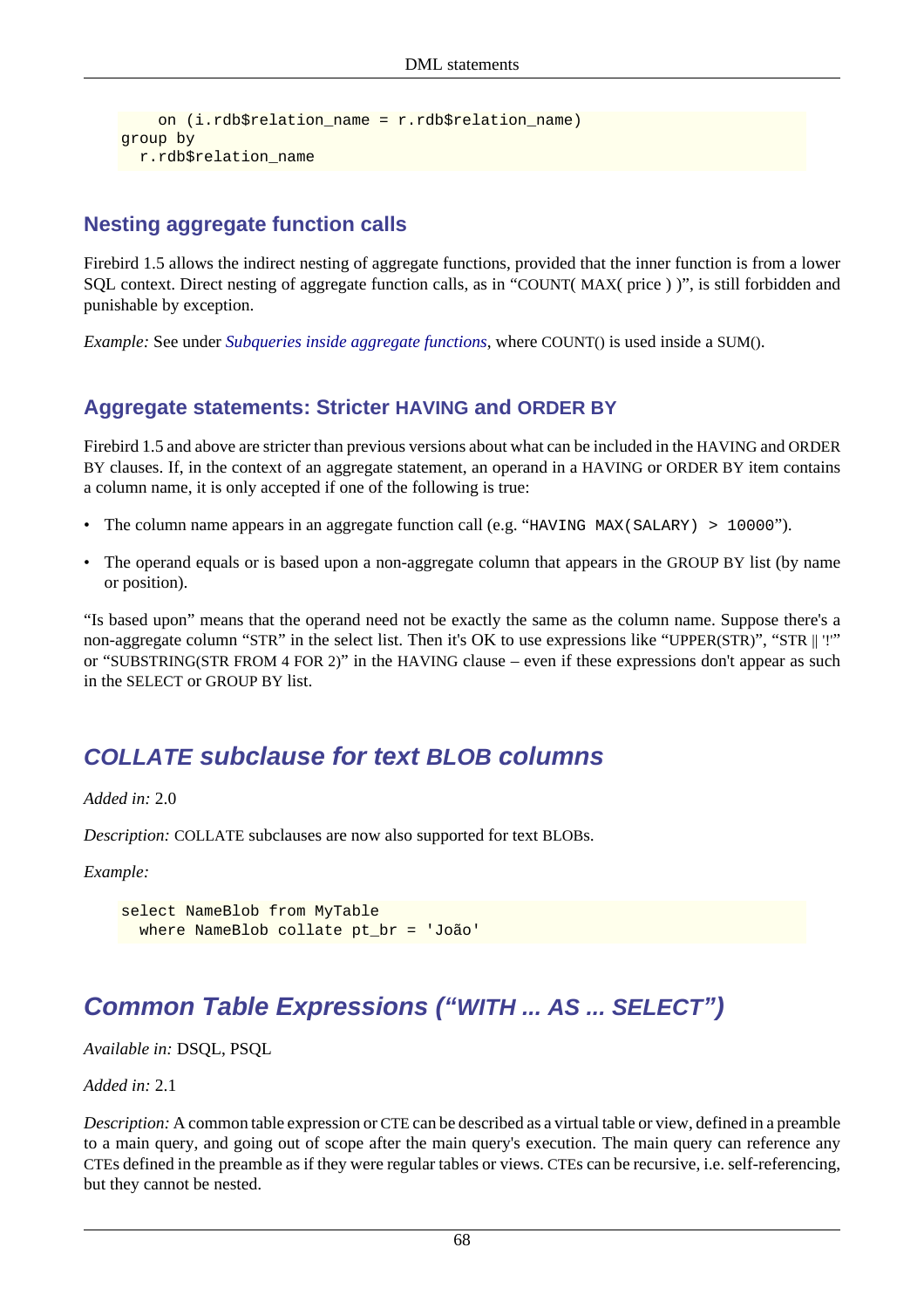```
 on (i.rdb$relation_name = r.rdb$relation_name)
group by
  r.rdb$relation_name
```
### **Nesting aggregate function calls**

Firebird 1.5 allows the indirect nesting of aggregate functions, provided that the inner function is from a lower SQL context. Direct nesting of aggregate function calls, as in "COUNT( MAX( price ) )", is still forbidden and punishable by exception.

<span id="page-78-1"></span>*Example:* See under *[Subqueries inside aggregate functions](#page-77-0)*, where COUNT() is used inside a SUM().

### **Aggregate statements: Stricter HAVING and ORDER BY**

Firebird 1.5 and above are stricter than previous versions about what can be included in the HAVING and ORDER BY clauses. If, in the context of an aggregate statement, an operand in a HAVING or ORDER BY item contains a column name, it is only accepted if one of the following is true:

- The column name appears in an aggregate function call (e.g. "HAVING MAX(SALARY) > 10000").
- The operand equals or is based upon a non-aggregate column that appears in the GROUP BY list (by name or position).

"Is based upon" means that the operand need not be exactly the same as the column name. Suppose there's a non-aggregate column "STR" in the select list. Then it's OK to use expressions like "UPPER(STR)", "STR || '!'" or "SUBSTRING(STR FROM 4 FOR 2)" in the HAVING clause – even if these expressions don't appear as such in the SELECT or GROUP BY list.

# **COLLATE subclause for text BLOB columns**

*Added in:* 2.0

*Description:* COLLATE subclauses are now also supported for text BLOBs.

*Example:*

```
select NameBlob from MyTable
   where NameBlob collate pt_br = 'João'
```
# <span id="page-78-0"></span>**Common Table Expressions ("WITH ... AS ... SELECT")**

*Available in:* DSQL, PSQL

*Added in:* 2.1

*Description:* A common table expression or CTE can be described as a virtual table or view, defined in a preamble to a main query, and going out of scope after the main query's execution. The main query can reference any CTEs defined in the preamble as if they were regular tables or views. CTEs can be recursive, i.e. self-referencing, but they cannot be nested.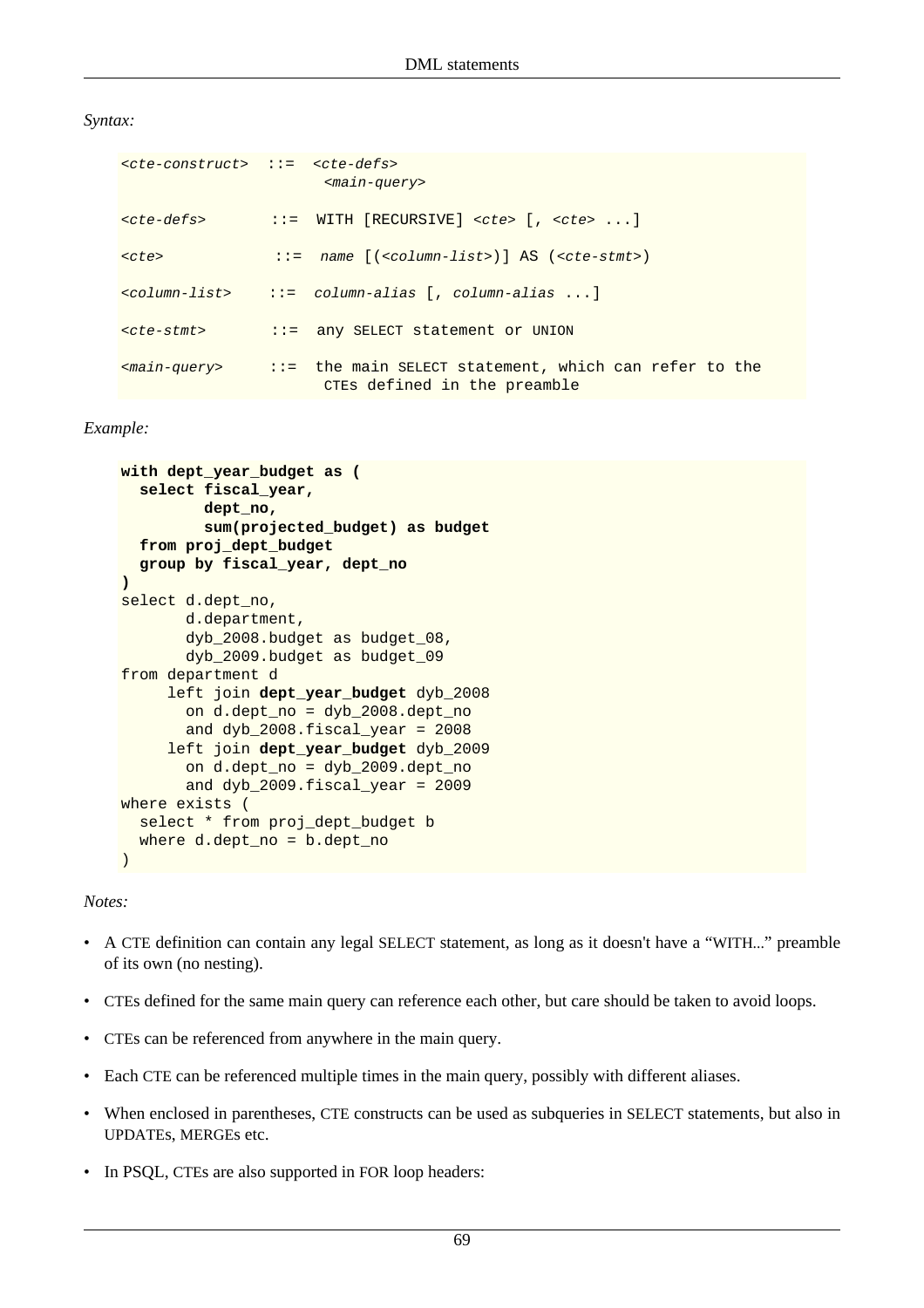#### *Syntax:*

| $\langle$ cte-construct> ::= $\langle$ cte-defs> | $<$ main-query>                                                                                                          |
|--------------------------------------------------|--------------------------------------------------------------------------------------------------------------------------|
| <cte-defs></cte-defs>                            | $\cdot :=$ WITH [RECURSIVE] <cte> [, <cte> <math>\dots</math>]</cte></cte>                                               |
| $<$ cte>                                         | $ ::=$ name $[ ( column-list > ) ]$ AS $(cte-stmt>)$                                                                     |
|                                                  | $\{column\{\text{list}\} \quad :: = \quad \text{column-alias} \quad \text{if} \quad \text{column-alias} \quad \ldots \}$ |
| $<$ cte-stmt>                                    | ::= any SELECT statement or UNION                                                                                        |
|                                                  | $<$ main-query> ::= the main SELECT statement, which can refer to the<br>CTEs defined in the preamble                    |

#### *Example:*

```
with dept_year_budget as (
   select fiscal_year,
          dept_no,
          sum(projected_budget) as budget
   from proj_dept_budget
   group by fiscal_year, dept_no
)
select d.dept_no,
        d.department,
        dyb_2008.budget as budget_08,
        dyb_2009.budget as budget_09
from department d
      left join dept_year_budget dyb_2008
        on d.dept_no = dyb_2008.dept_no
        and dyb_2008.fiscal_year = 2008
      left join dept_year_budget dyb_2009
        on d.dept_no = dyb_2009.dept_no
        and dyb_2009.fiscal_year = 2009
where exists (
   select * from proj_dept_budget b
   where d.dept_no = b.dept_no
)
```
#### *Notes:*

- A CTE definition can contain any legal SELECT statement, as long as it doesn't have a "WITH..." preamble of its own (no nesting).
- CTEs defined for the same main query can reference each other, but care should be taken to avoid loops.
- CTEs can be referenced from anywhere in the main query.
- Each CTE can be referenced multiple times in the main query, possibly with different aliases.
- When enclosed in parentheses, CTE constructs can be used as subqueries in SELECT statements, but also in UPDATEs, MERGEs etc.
- In PSQL, CTEs are also supported in FOR loop headers: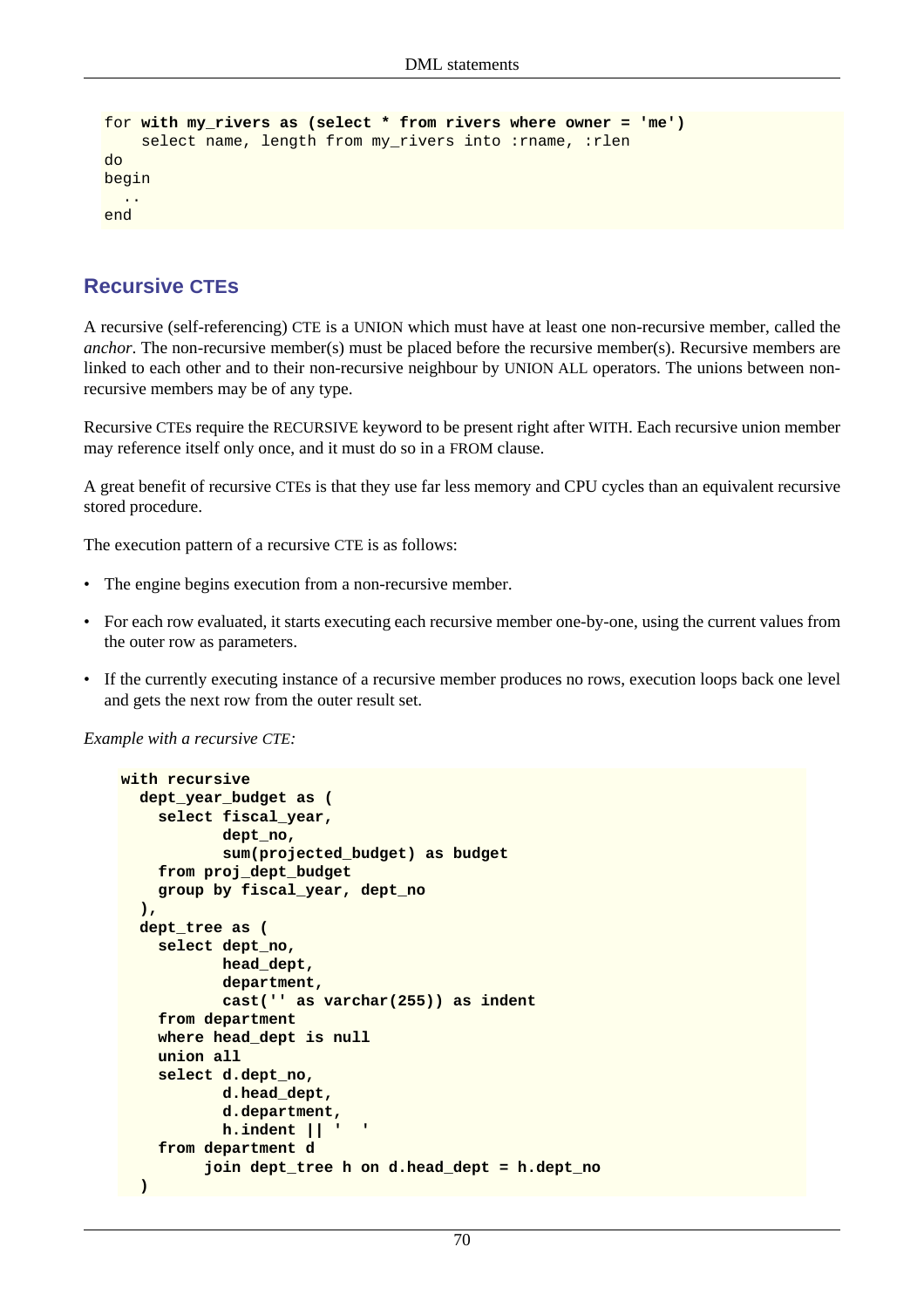```
for with my_rivers as (select * from rivers where owner = 'me')
    select name, length from my_rivers into : rname, : rlen
do
begin
   ..
end
```
### **Recursive CTEs**

A recursive (self-referencing) CTE is a UNION which must have at least one non-recursive member, called the *anchor*. The non-recursive member(s) must be placed before the recursive member(s). Recursive members are linked to each other and to their non-recursive neighbour by UNION ALL operators. The unions between nonrecursive members may be of any type.

Recursive CTEs require the RECURSIVE keyword to be present right after WITH. Each recursive union member may reference itself only once, and it must do so in a FROM clause.

A great benefit of recursive CTEs is that they use far less memory and CPU cycles than an equivalent recursive stored procedure.

The execution pattern of a recursive CTE is as follows:

- The engine begins execution from a non-recursive member.
- For each row evaluated, it starts executing each recursive member one-by-one, using the current values from the outer row as parameters.
- If the currently executing instance of a recursive member produces no rows, execution loops back one level and gets the next row from the outer result set.

*Example with a recursive CTE:*

```
with recursive
   dept_year_budget as (
     select fiscal_year,
             dept_no,
             sum(projected_budget) as budget
     from proj_dept_budget
     group by fiscal_year, dept_no
   ),
   dept_tree as (
     select dept_no,
            head_dept,
             department,
             cast('' as varchar(255)) as indent
     from department
     where head_dept is null
     union all
     select d.dept_no,
            d.head_dept,
             d.department,
            h.indent || ' '
     from department d
          join dept_tree h on d.head_dept = h.dept_no
 )
```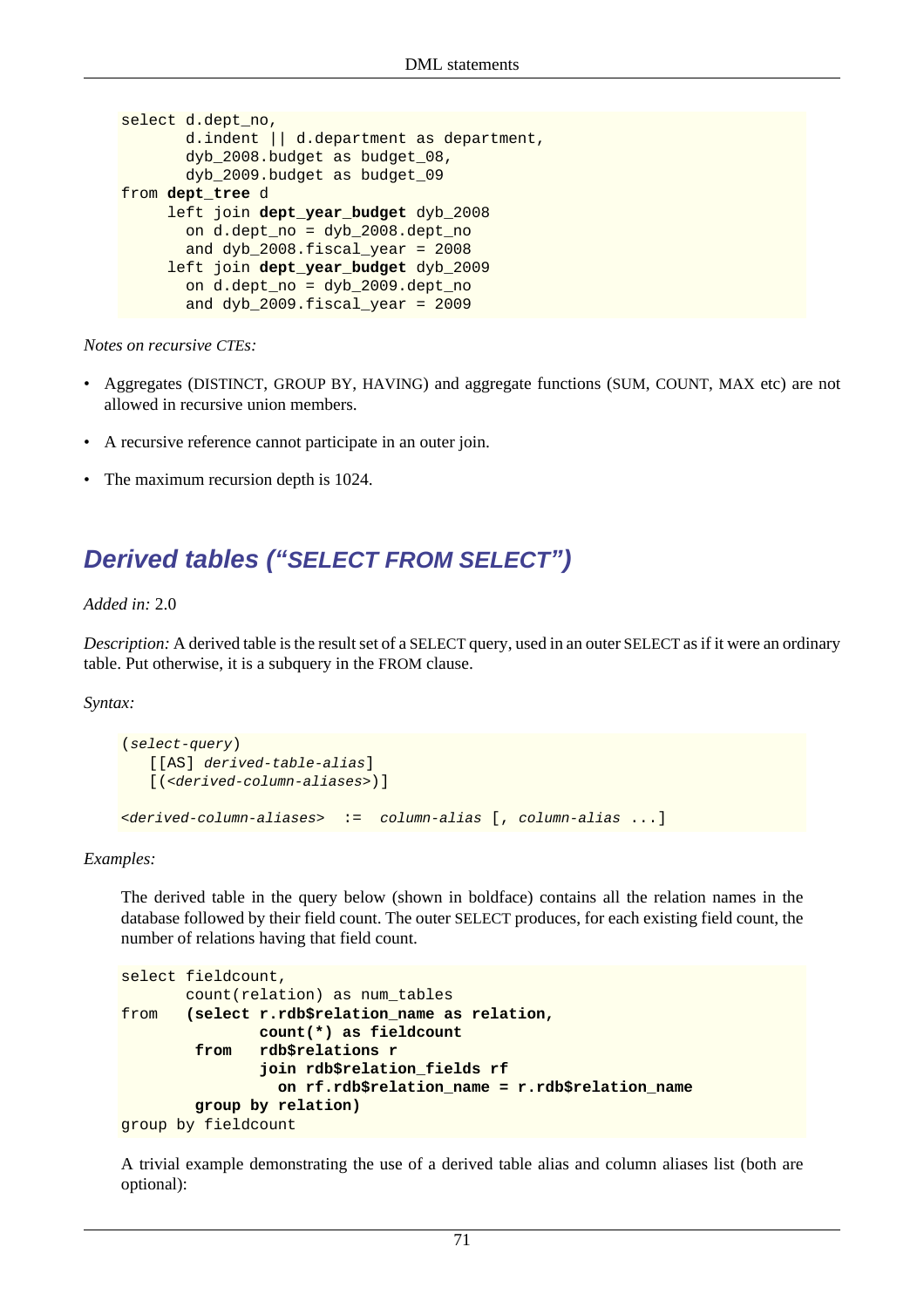```
select d.dept_no,
        d.indent || d.department as department,
        dyb_2008.budget as budget_08,
        dyb_2009.budget as budget_09
from dept_tree d
      left join dept_year_budget dyb_2008
        on d.dept_no = dyb_2008.dept_no
       and dyb 2008.fiscal year = 2008 left join dept_year_budget dyb_2009
        on d.dept_no = dyb_2009.dept_no
        and dyb_2009.fiscal_year = 2009
```
#### *Notes on recursive CTEs:*

- Aggregates (DISTINCT, GROUP BY, HAVING) and aggregate functions (SUM, COUNT, MAX etc) are not allowed in recursive union members.
- A recursive reference cannot participate in an outer join.
- <span id="page-81-0"></span>• The maximum recursion depth is 1024.

# **Derived tables ("SELECT FROM SELECT")**

#### *Added in:* 2.0

*Description:* A derived table is the result set of a SELECT query, used in an outer SELECT as if it were an ordinary table. Put otherwise, it is a subquery in the FROM clause.

*Syntax:*

```
(select-query)
    [[AS] derived-table-alias]
   [(<derived-column-aliases>)]
<derived-column-aliases> := column-alias [, column-alias ...]
```
*Examples:*

The derived table in the query below (shown in boldface) contains all the relation names in the database followed by their field count. The outer SELECT produces, for each existing field count, the number of relations having that field count.

```
select fieldcount,
        count(relation) as num_tables
from (select r.rdb$relation_name as relation,
                count(*) as fieldcount
         from rdb$relations r
                join rdb$relation_fields rf
                  on rf.rdb$relation_name = r.rdb$relation_name
         group by relation)
group by fieldcount
```
A trivial example demonstrating the use of a derived table alias and column aliases list (both are optional):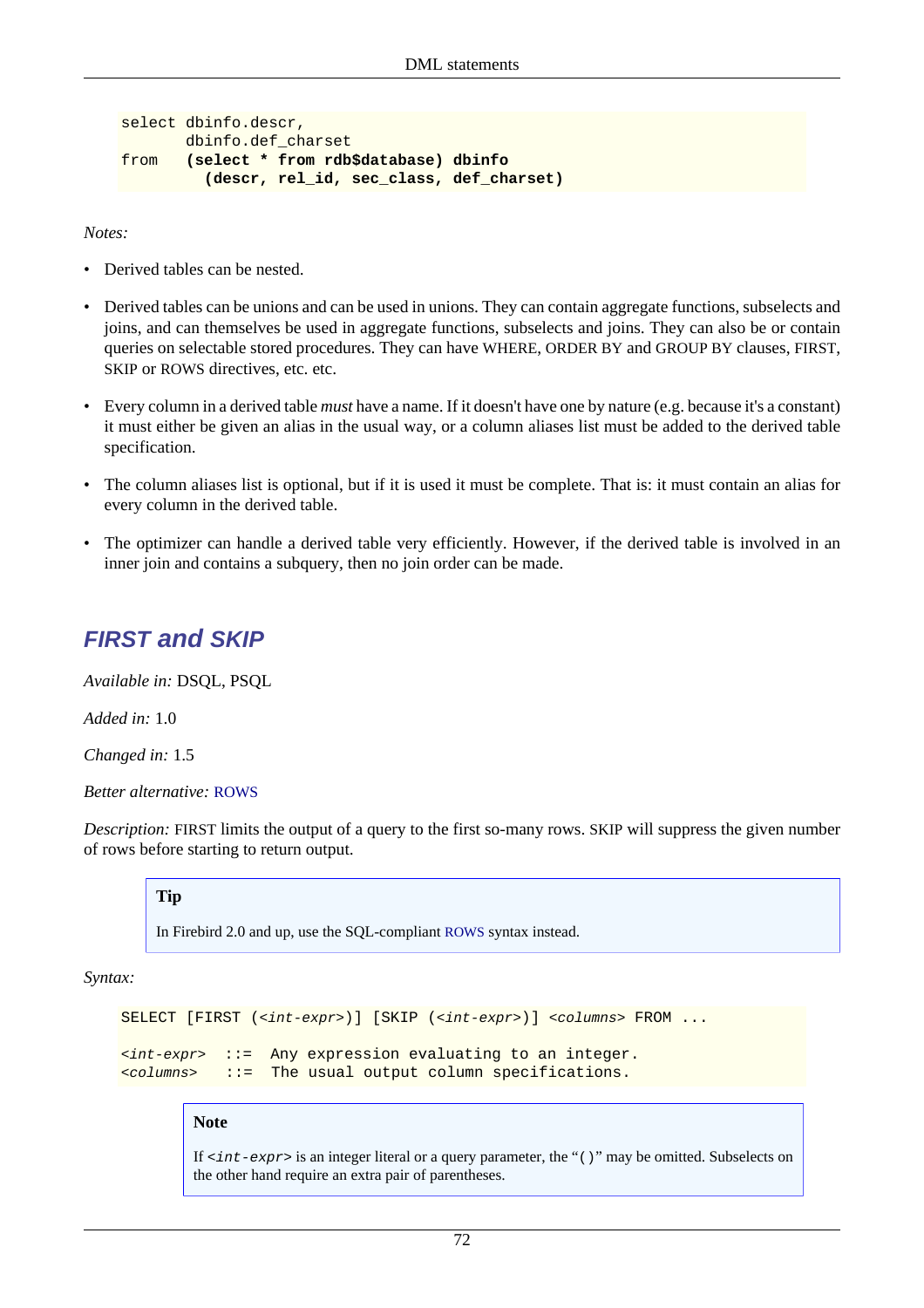```
select dbinfo.descr,
       dbinfo.def_charset
from (select * from rdb$database) dbinfo
          (descr, rel_id, sec_class, def_charset)
```
*Notes:*

- Derived tables can be nested.
- Derived tables can be unions and can be used in unions. They can contain aggregate functions, subselects and joins, and can themselves be used in aggregate functions, subselects and joins. They can also be or contain queries on selectable stored procedures. They can have WHERE, ORDER BY and GROUP BY clauses, FIRST, SKIP or ROWS directives, etc. etc.
- Every column in a derived table *must* have a name. If it doesn't have one by nature (e.g. because it's a constant) it must either be given an alias in the usual way, or a column aliases list must be added to the derived table specification.
- The column aliases list is optional, but if it is used it must be complete. That is: it must contain an alias for every column in the derived table.
- <span id="page-82-0"></span>• The optimizer can handle a derived table very efficiently. However, if the derived table is involved in an inner join and contains a subquery, then no join order can be made.

### **FIRST and SKIP**

*Available in:* DSQL, PSQL

*Added in:* 1.0

*Changed in:* 1.5

*Better alternative:* [ROWS](#page-91-0)

*Description:* FIRST limits the output of a query to the first so-many rows. SKIP will suppress the given number of rows before starting to return output.

#### **Tip**

In Firebird 2.0 and up, use the SQL-compliant [ROWS](#page-91-0) syntax instead.

*Syntax:*

```
SELECT [FIRST (<int-expr>)] [SKIP (<int-expr>)] <columns> FROM ...
```

```
\langleint-expr> ::= Any expression evaluating to an integer.
<columns> ::= The usual output column specifications.
```
#### **Note**

If  $\langle$  int-expr> is an integer literal or a query parameter, the "()" may be omitted. Subselects on the other hand require an extra pair of parentheses.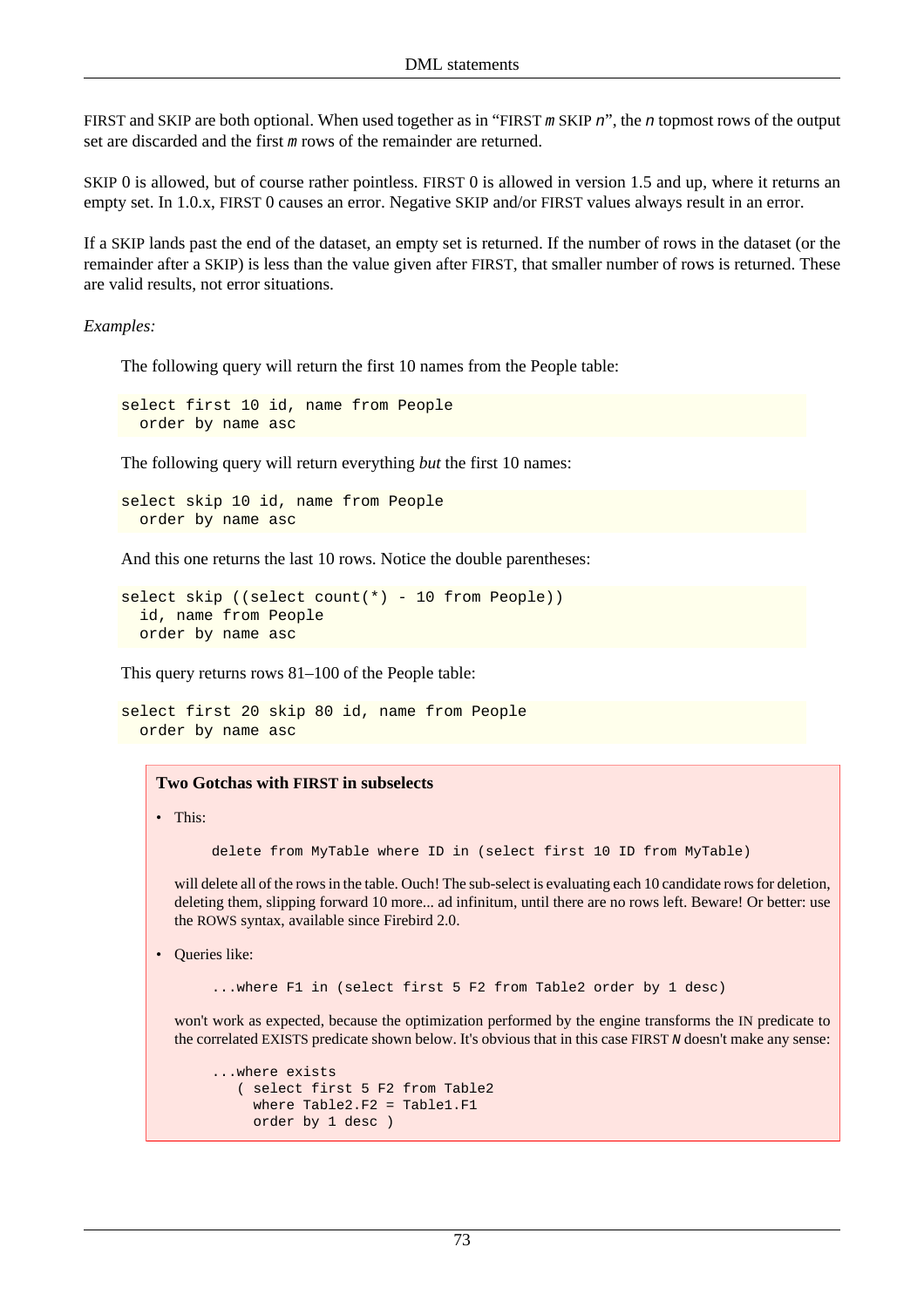FIRST and SKIP are both optional. When used together as in "FIRST m SKIP n", the n topmost rows of the output set are discarded and the first m rows of the remainder are returned.

SKIP 0 is allowed, but of course rather pointless. FIRST 0 is allowed in version 1.5 and up, where it returns an empty set. In 1.0.x, FIRST 0 causes an error. Negative SKIP and/or FIRST values always result in an error.

If a SKIP lands past the end of the dataset, an empty set is returned. If the number of rows in the dataset (or the remainder after a SKIP) is less than the value given after FIRST, that smaller number of rows is returned. These are valid results, not error situations.

*Examples:*

The following query will return the first 10 names from the People table:

select first 10 id, name from People order by name asc

The following query will return everything *but* the first 10 names:

select skip 10 id, name from People order by name asc

And this one returns the last 10 rows. Notice the double parentheses:

```
select skip ((select count(*) - 10 from People))
   id, name from People
   order by name asc
```
This query returns rows 81–100 of the People table:

```
select first 20 skip 80 id, name from People
   order by name asc
```
#### **Two Gotchas with FIRST in subselects**

• This:

delete from MyTable where ID in (select first 10 ID from MyTable)

will delete all of the rows in the table. Ouch! The sub-select is evaluating each 10 candidate rows for deletion, deleting them, slipping forward 10 more... ad infinitum, until there are no rows left. Beware! Or better: use the ROWS syntax, available since Firebird 2.0.

• Queries like:

...where F1 in (select first 5 F2 from Table2 order by 1 desc)

won't work as expected, because the optimization performed by the engine transforms the IN predicate to the correlated EXISTS predicate shown below. It's obvious that in this case FIRST N doesn't make any sense:

```
...where exists
    ( select first 5 F2 from Table2
     where Table2.F2 = Table1.F1
     order by 1 desc )
```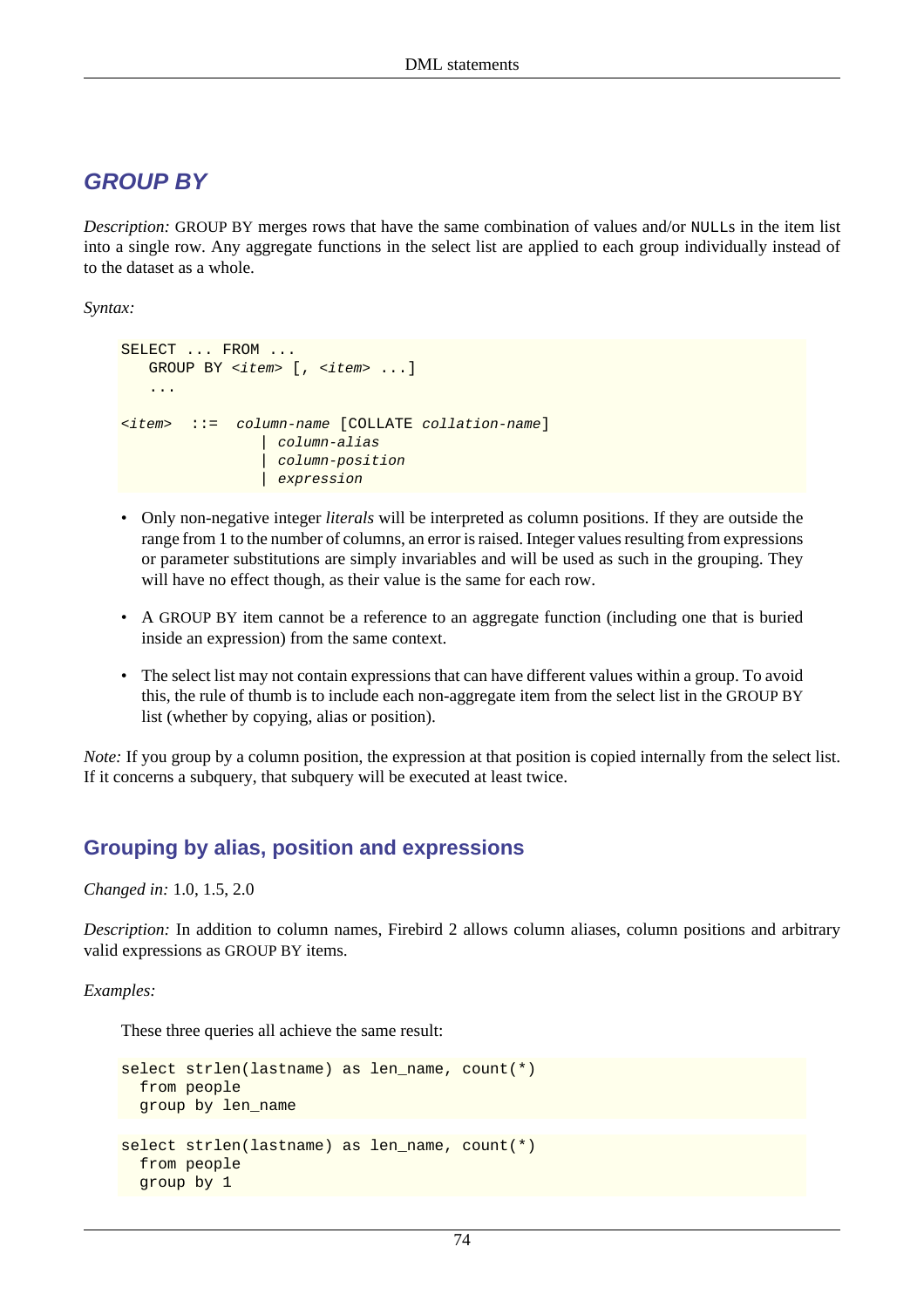# **GROUP BY**

*Description:* GROUP BY merges rows that have the same combination of values and/or NULLs in the item list into a single row. Any aggregate functions in the select list are applied to each group individually instead of to the dataset as a whole.

*Syntax:*

```
SELECT ... FROM ...
   GROUP BY <item> [, <item> ...]
    ...
\langleitem> ::= column-name [COLLATE collation-name
                   | column-alias
                    | column-position
                   expression
```
- Only non-negative integer *literals* will be interpreted as column positions. If they are outside the range from 1 to the number of columns, an error is raised. Integer values resulting from expressions or parameter substitutions are simply invariables and will be used as such in the grouping. They will have no effect though, as their value is the same for each row.
- A GROUP BY item cannot be a reference to an aggregate function (including one that is buried inside an expression) from the same context.
- The select list may not contain expressions that can have different values within a group. To avoid this, the rule of thumb is to include each non-aggregate item from the select list in the GROUP BY list (whether by copying, alias or position).

*Note:* If you group by a column position, the expression at that position is copied internally from the select list. If it concerns a subquery, that subquery will be executed at least twice.

### **Grouping by alias, position and expressions**

*Changed in:* 1.0, 1.5, 2.0

*Description:* In addition to column names, Firebird 2 allows column aliases, column positions and arbitrary valid expressions as GROUP BY items.

*Examples:*

These three queries all achieve the same result:

```
select strlen(lastname) as len_name, count(*)
   from people
  group by len_name
select strlen(lastname) as len_name, count(*)
   from people
  group by 1
```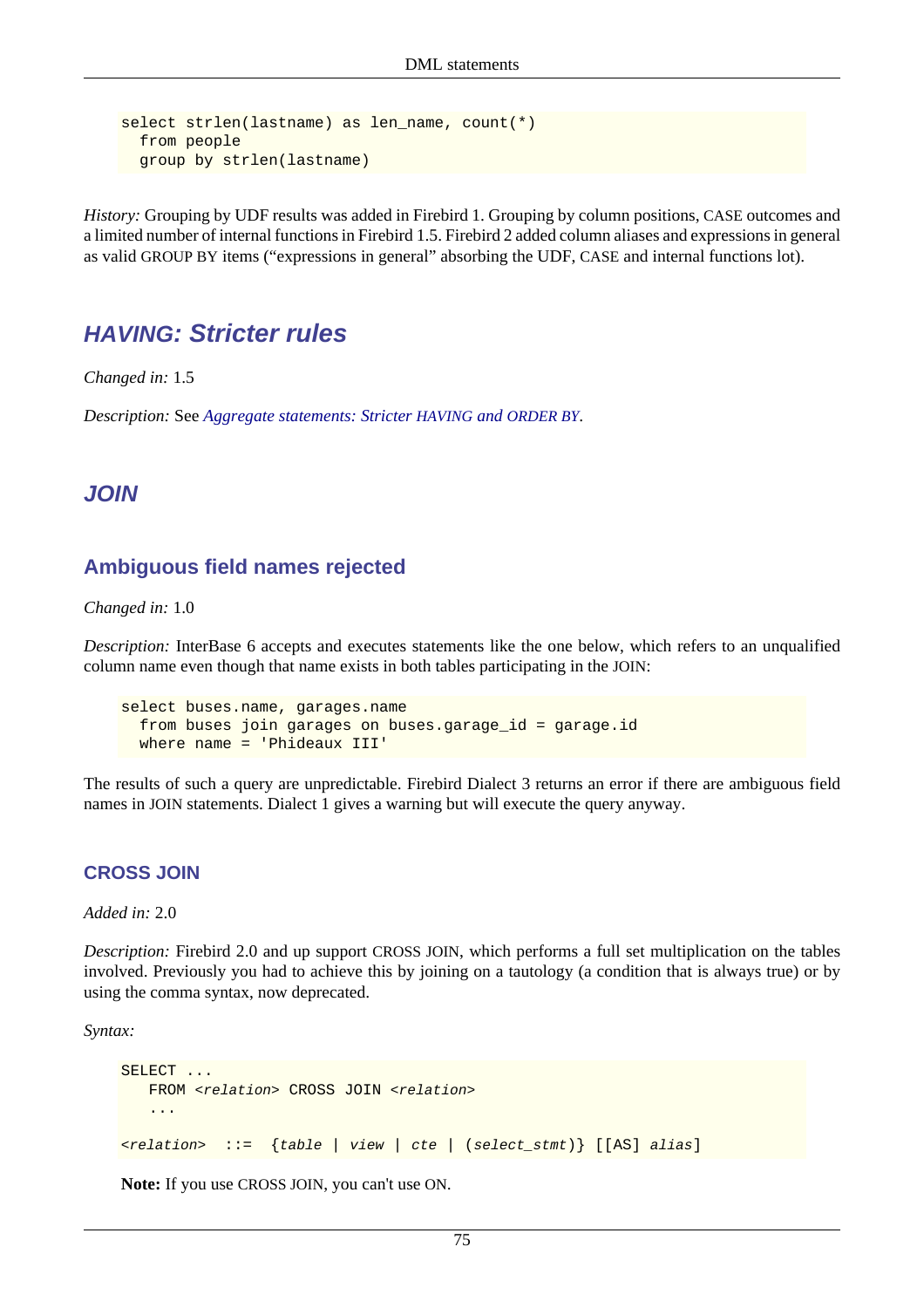```
select strlen(lastname) as len_name, count(*)
   from people
  group by strlen(lastname)
```
*History:* Grouping by UDF results was added in Firebird 1. Grouping by column positions, CASE outcomes and a limited number of internal functions in Firebird 1.5. Firebird 2 added column aliases and expressions in general as valid GROUP BY items ("expressions in general" absorbing the UDF, CASE and internal functions lot).

### **HAVING: Stricter rules**

*Changed in:* 1.5

*Description:* See *[Aggregate statements: Stricter](#page-78-1) HAVING and ORDER BY*.

### **JOIN**

### **Ambiguous field names rejected**

#### *Changed in:* 1.0

*Description:* InterBase 6 accepts and executes statements like the one below, which refers to an unqualified column name even though that name exists in both tables participating in the JOIN:

```
select buses.name, garages.name
   from buses join garages on buses.garage_id = garage.id
   where name = 'Phideaux III'
```
<span id="page-85-0"></span>The results of such a query are unpredictable. Firebird Dialect 3 returns an error if there are ambiguous field names in JOIN statements. Dialect 1 gives a warning but will execute the query anyway.

### **CROSS JOIN**

*Added in:* 2.0

*Description:* Firebird 2.0 and up support CROSS JOIN, which performs a full set multiplication on the tables involved. Previously you had to achieve this by joining on a tautology (a condition that is always true) or by using the comma syntax, now deprecated.

*Syntax:*

```
SELECT ...
   FROM <relation> CROSS JOIN <relation>
    ...
<relation> ::= {table | view | cte | (select_stmt)} [[AS] alias]
```
**Note:** If you use CROSS JOIN, you can't use ON.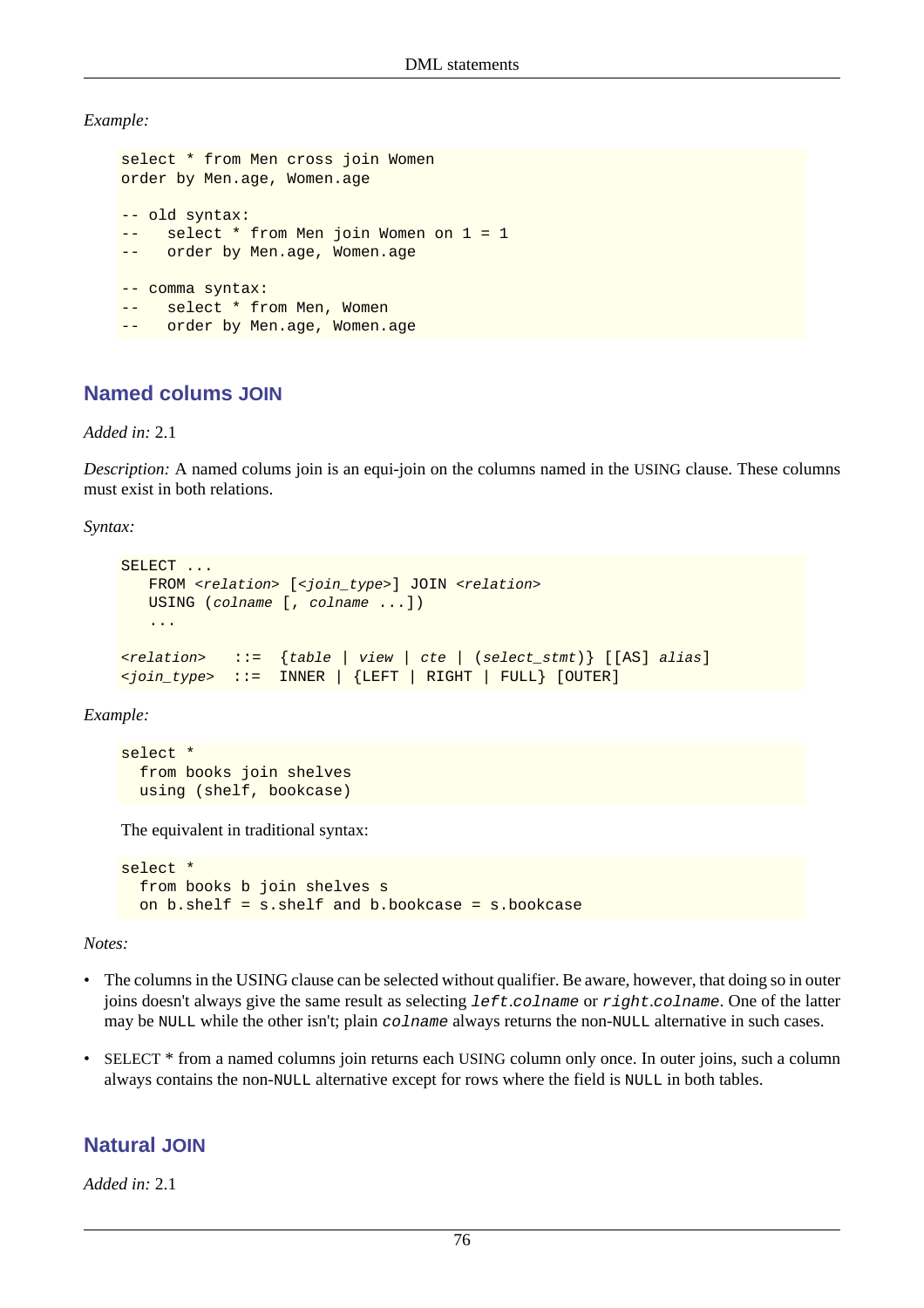*Example:*

```
select * from Men cross join Women
order by Men.age, Women.age
-- old syntax:
-- select * from Men join Women on 1 = 1
     order by Men.age, Women.age
-- comma syntax:
-- select * from Men, Women
   order by Men.age, Women.age
```
### **Named colums JOIN**

*Added in:* 2.1

*Description:* A named colums join is an equi-join on the columns named in the USING clause. These columns must exist in both relations.

*Syntax:*

```
SELECT ...
   FROM <relation> [<join_type>] JOIN <relation>
    USING (colname [, colname ...])
    ...
\{[AS] alias] \{ := \{ table | view | cte | (select_stmt) \} [[AS] alias]
\langlejoin_type> ::= INNER | {LEFT | RIGHT | FULL} [OUTER]
```
*Example:*

```
select *
   from books join shelves
   using (shelf, bookcase)
```
The equivalent in traditional syntax:

```
select *
  from books b join shelves s
  on b.shelf = s.shelf and b.bookcase = s.bookcase
```
*Notes:*

- The columns in the USING clause can be selected without qualifier. Be aware, however, that doing so in outer joins doesn't always give the same result as selecting left.colname or right.colname. One of the latter may be NULL while the other isn't; plain colname always returns the non-NULL alternative in such cases.
- SELECT \* from a named columns join returns each USING column only once. In outer joins, such a column always contains the non-NULL alternative except for rows where the field is NULL in both tables.

### **Natural JOIN**

*Added in:* 2.1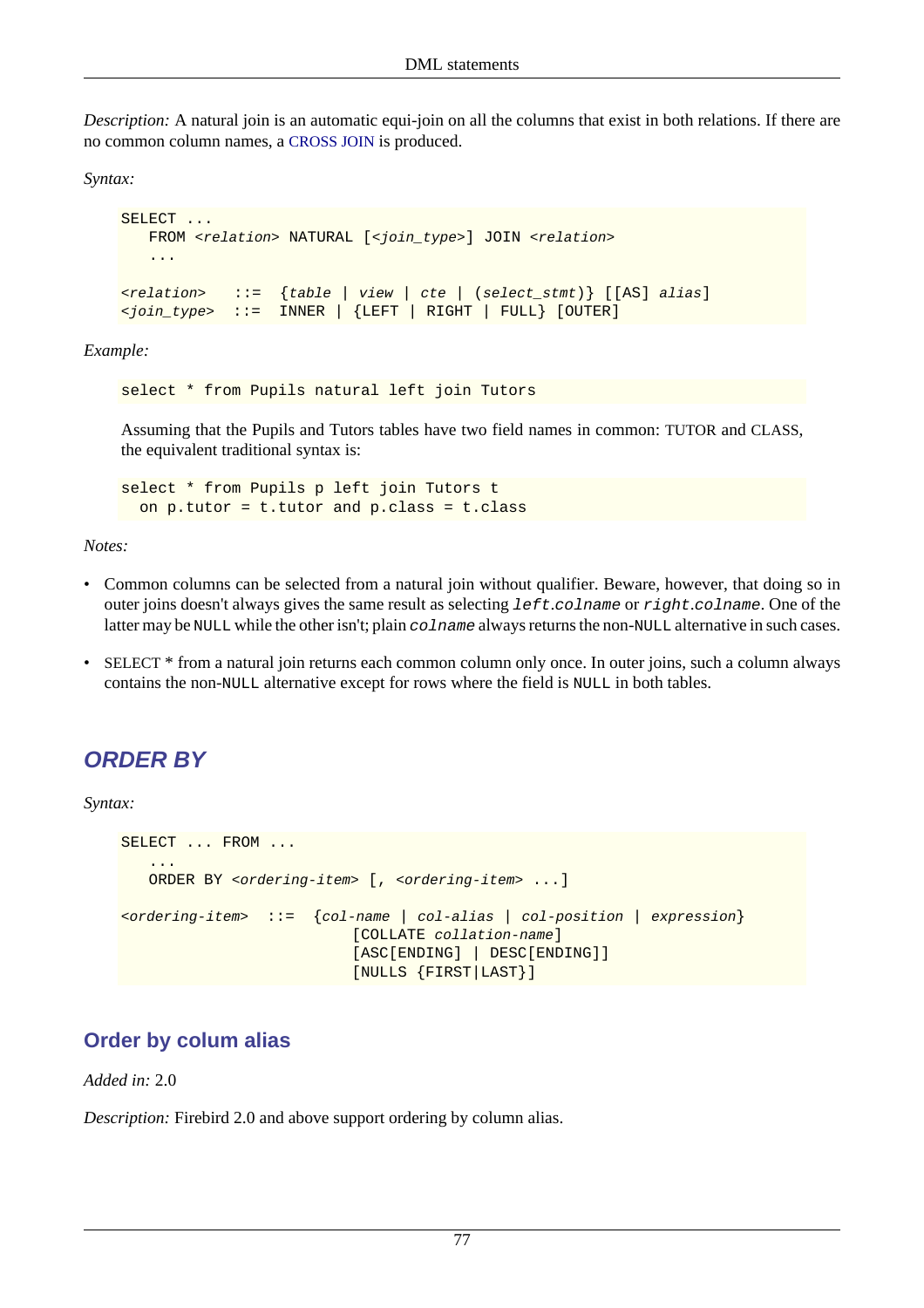*Description:* A natural join is an automatic equi-join on all the columns that exist in both relations. If there are no common column names, a [CROSS JOIN](#page-85-0) is produced.

*Syntax:*

```
SELECT ...
   FROM <relation> NATURAL [<join_type>] JOIN <relation>
    ...
\{[AS] alias] \{ := \{ table | view | cte | (select_stmt) \} [[AS] alias]
\langlejoin_type> ::= INNER | {LEFT | RIGHT | FULL} [OUTER]
```
*Example:*

select \* from Pupils natural left join Tutors

Assuming that the Pupils and Tutors tables have two field names in common: TUTOR and CLASS, the equivalent traditional syntax is:

select \* from Pupils p left join Tutors t on p.tutor = t.tutor and p.class = t.class

*Notes:*

- Common columns can be selected from a natural join without qualifier. Beware, however, that doing so in outer joins doesn't always gives the same result as selecting left.colname or right.colname. One of the latter may be NULL while the other isn't; plain colname always returns the non-NULL alternative in such cases.
- SELECT \* from a natural join returns each common column only once. In outer joins, such a column always contains the non-NULL alternative except for rows where the field is NULL in both tables.

# **ORDER BY**

*Syntax:*

```
SELECT ... FROM ...
 ...
         ORDER BY <ordering-item> [, <ordering-item> ...]
\left\{\text{cot} - \text{cot} \mid \text{cot} - \text{dhat} \mid \text{cot} - \text{cot} \mid \text{cot} - \text{cot} \mid \text{cot} \mid \text{cdot} \mid \text{cdot} \mid \text{cdot} \mid \text{cdot} \mid \text{cdot} \mid \text{cdot} \mid \text{cdot} \mid \text{cdot} \mid \text{cdot} \mid \text{cdot} \mid \text{cdot} \mid \text{cdot} \mid \text{cdot} \mid \text{cdot} \mid \text{cdot} \mid \text{cdot} \mid \text{cdot} \mid \text{cdot} \mid \text{cdot [COLLATE collation-name]
                                                                         [ASC[ENDING] | DESC[ENDING]]
                                                                         [NULLS {FIRST|LAST}]
```
### **Order by colum alias**

*Added in:* 2.0

*Description:* Firebird 2.0 and above support ordering by column alias.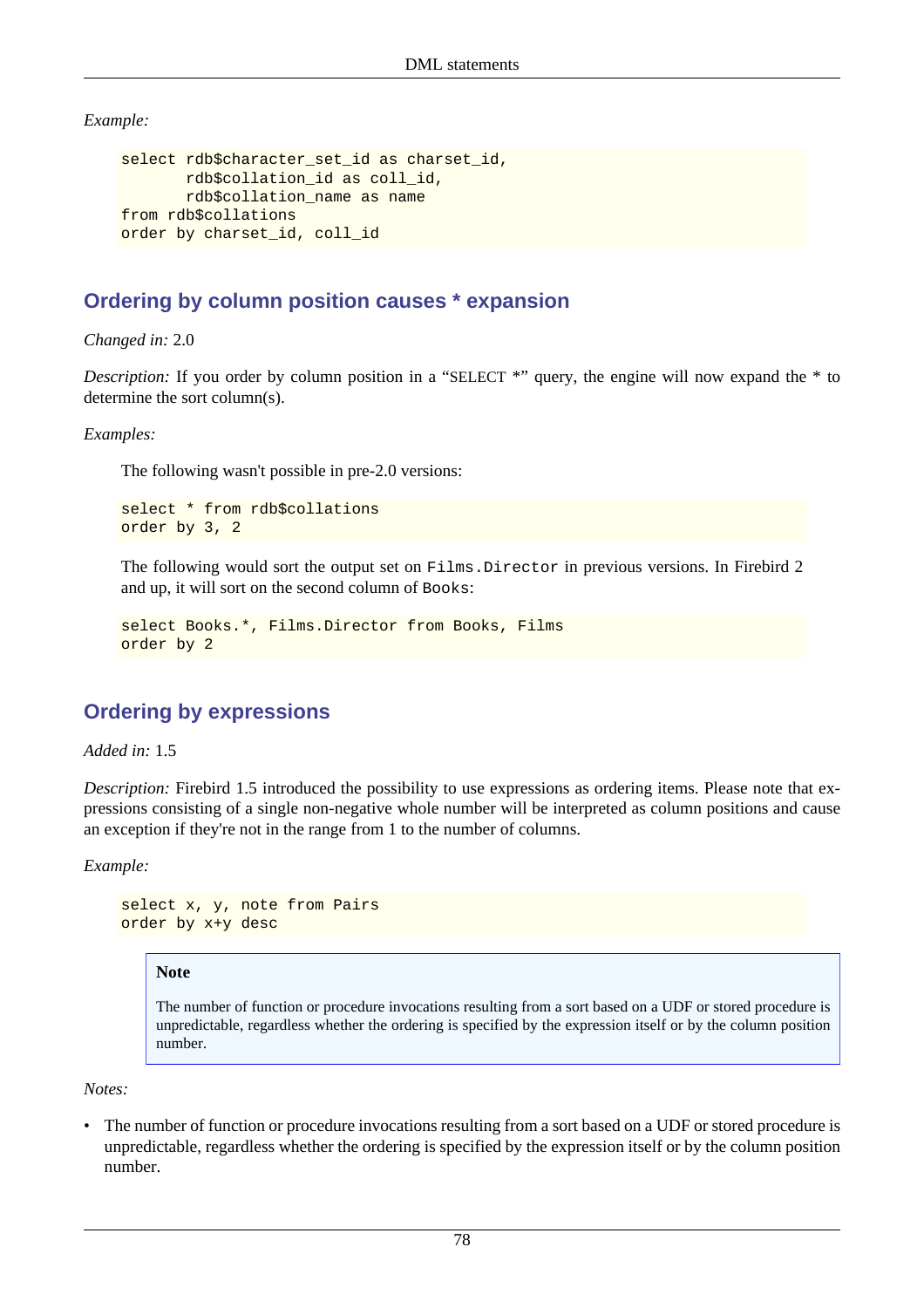*Example:*

```
select rdb$character_set_id as charset_id,
        rdb$collation_id as coll_id,
        rdb$collation_name as name
from rdb$collations
order by charset_id, coll_id
```
### **Ordering by column position causes \* expansion**

*Changed in:* 2.0

*Description:* If you order by column position in a "SELECT \*" query, the engine will now expand the \* to determine the sort column(s).

*Examples:*

The following wasn't possible in pre-2.0 versions:

```
select * from rdb$collations
order by 3, 2
```
The following would sort the output set on Films. Director in previous versions. In Firebird 2 and up, it will sort on the second column of Books:

```
select Books.*, Films.Director from Books, Films
order by 2
```
### **Ordering by expressions**

*Added in:* 1.5

*Description:* Firebird 1.5 introduced the possibility to use expressions as ordering items. Please note that expressions consisting of a single non-negative whole number will be interpreted as column positions and cause an exception if they're not in the range from 1 to the number of columns.

*Example:*

```
select x, y, note from Pairs
order by x+y desc
```
#### **Note**

The number of function or procedure invocations resulting from a sort based on a UDF or stored procedure is unpredictable, regardless whether the ordering is specified by the expression itself or by the column position number.

*Notes:*

The number of function or procedure invocations resulting from a sort based on a UDF or stored procedure is unpredictable, regardless whether the ordering is specified by the expression itself or by the column position number.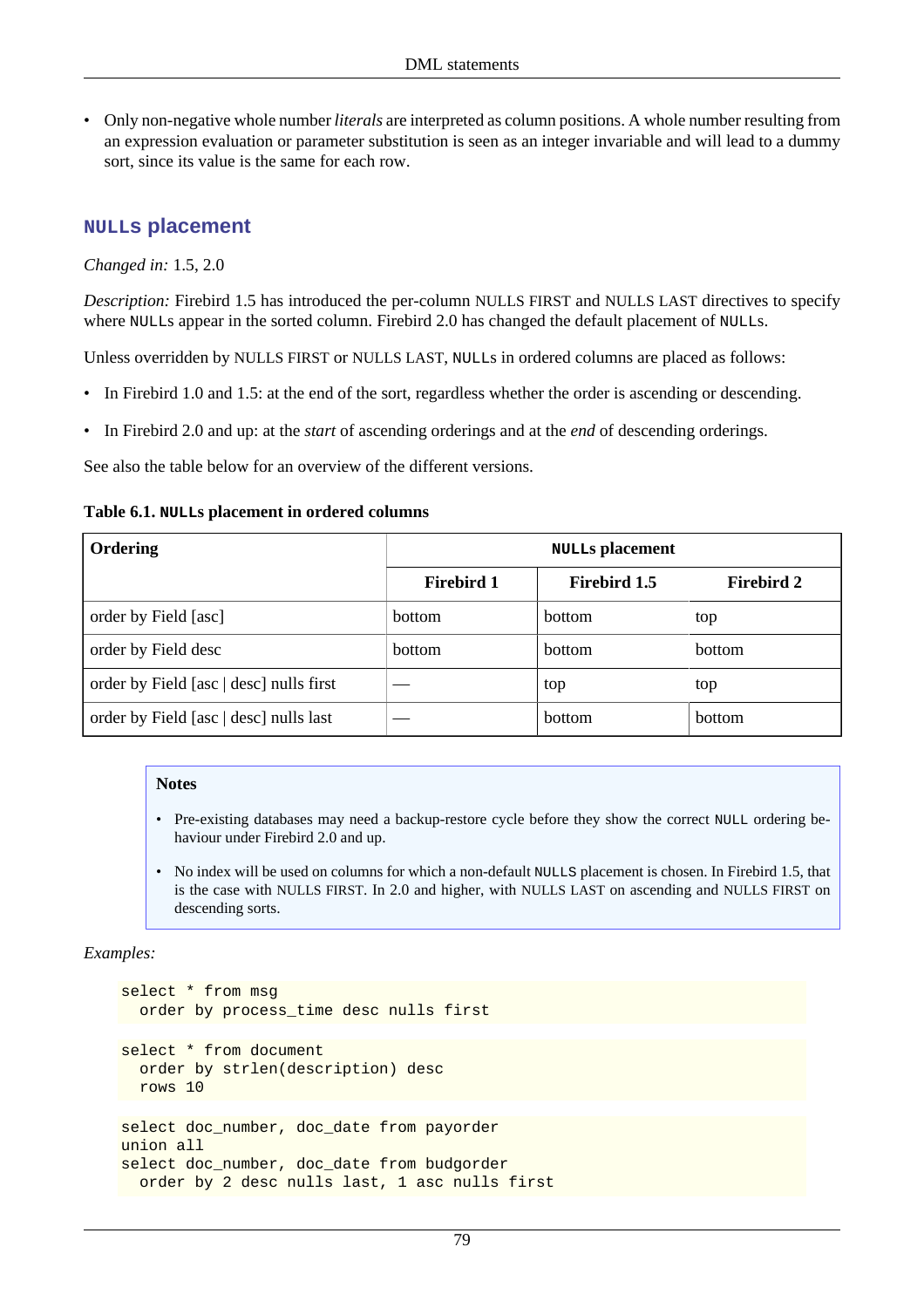• Only non-negative whole number *literals* are interpreted as column positions. A whole number resulting from an expression evaluation or parameter substitution is seen as an integer invariable and will lead to a dummy sort, since its value is the same for each row.

### **NULLs placement**

*Changed in:* 1.5, 2.0

*Description:* Firebird 1.5 has introduced the per-column NULLS FIRST and NULLS LAST directives to specify where NULLs appear in the sorted column. Firebird 2.0 has changed the default placement of NULLs.

Unless overridden by NULLS FIRST or NULLS LAST, NULLs in ordered columns are placed as follows:

- In Firebird 1.0 and 1.5: at the end of the sort, regardless whether the order is ascending or descending.
- In Firebird 2.0 and up: at the *start* of ascending orderings and at the *end* of descending orderings.

See also the table below for an overview of the different versions.

#### **Table 6.1. NULLs placement in ordered columns**

| Ordering                                | <b>NULLS</b> placement |                     |                   |
|-----------------------------------------|------------------------|---------------------|-------------------|
|                                         | <b>Firebird 1</b>      | <b>Firebird 1.5</b> | <b>Firebird 2</b> |
| order by Field [asc]                    | bottom                 | <b>bottom</b>       | top               |
| order by Field desc                     | bottom                 | bottom              | bottom            |
| order by Field [asc   desc] nulls first |                        | top                 | top               |
| order by Field [asc   desc] nulls last  |                        | bottom              | bottom            |

#### **Notes**

- Pre-existing databases may need a backup-restore cycle before they show the correct NULL ordering behaviour under Firebird 2.0 and up.
- No index will be used on columns for which a non-default NULLS placement is chosen. In Firebird 1.5, that is the case with NULLS FIRST. In 2.0 and higher, with NULLS LAST on ascending and NULLS FIRST on descending sorts.

#### *Examples:*

```
select * from msg
  order by process_time desc nulls first
select * from document
   order by strlen(description) desc
  rows 10
select doc_number, doc_date from payorder
union all
select doc_number, doc_date from budgorder
   order by 2 desc nulls last, 1 asc nulls first
```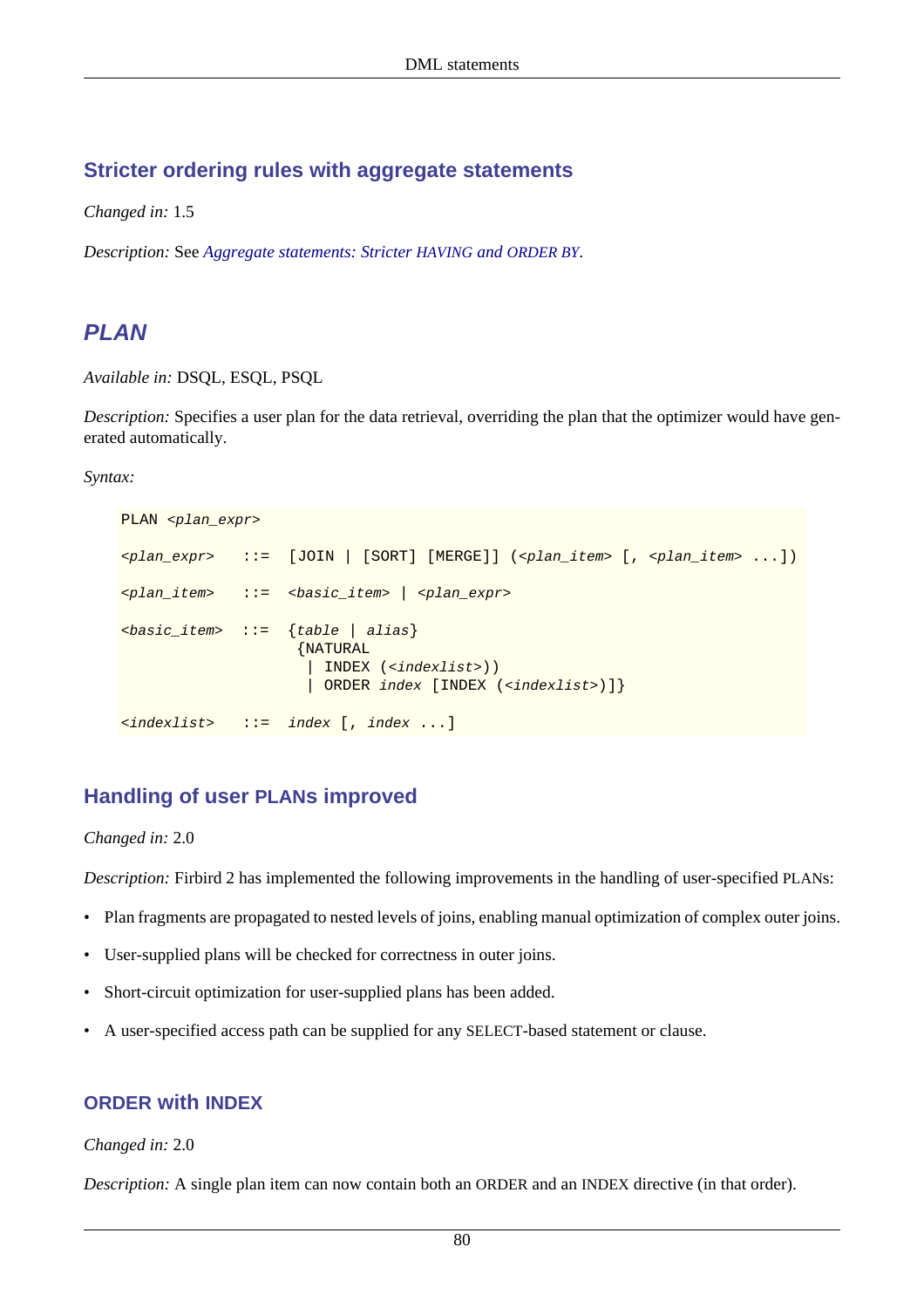### **Stricter ordering rules with aggregate statements**

*Changed in:* 1.5

*Description:* See *[Aggregate statements: Stricter](#page-78-1) HAVING and ORDER BY*.

# **PLAN**

*Available in:* DSQL, ESQL, PSQL

*Description:* Specifies a user plan for the data retrieval, overriding the plan that the optimizer would have generated automatically.

#### *Syntax:*

```
PLAN <plan_expr>
\langle \varphi \rangle \langle \rangle \langle \rangle \langle \rangle \langle \rangle \langle \rangle \langle \rangle \langle \rangle \langle \rangle \langle \rangle \langle \rangle \langle \rangle \langle \rangle \langle \rangle \langle \rangle \langle \rangle \langle \rangle \langle \rangle \langle \rangle \langle \rangle \langle \rangle \langle 
\langle \langle \rangle \langle \rangle \langle \rangle \langle \langle \rangle \langle \rangle \langle \langle \rangle \langle \rangle \langle \rangle \langle \rangle \langle \rangle \langle \rangle \langle \rangle \langle \rangle \langle \rangle \langle \rangle \langle \rangle \langle \rangle \langle \rangle \langle \rangle \langle \rangle \langle \langle basic\_item \rangle ::= \{table | alias\} {NATURAL
                                                                       | INDEX (<indexlist>))
                                                                     | ORDER index [INDEX (<indexlist>)]}
<indexlist> ::= index [, index ...]
```
### **Handling of user PLANs improved**

### *Changed in:* 2.0

*Description:* Firbird 2 has implemented the following improvements in the handling of user-specified PLANs:

- Plan fragments are propagated to nested levels of joins, enabling manual optimization of complex outer joins.
- User-supplied plans will be checked for correctness in outer joins.
- Short-circuit optimization for user-supplied plans has been added.
- A user-specified access path can be supplied for any SELECT-based statement or clause.

### **ORDER with INDEX**

#### *Changed in:* 2.0

*Description:* A single plan item can now contain both an ORDER and an INDEX directive (in that order).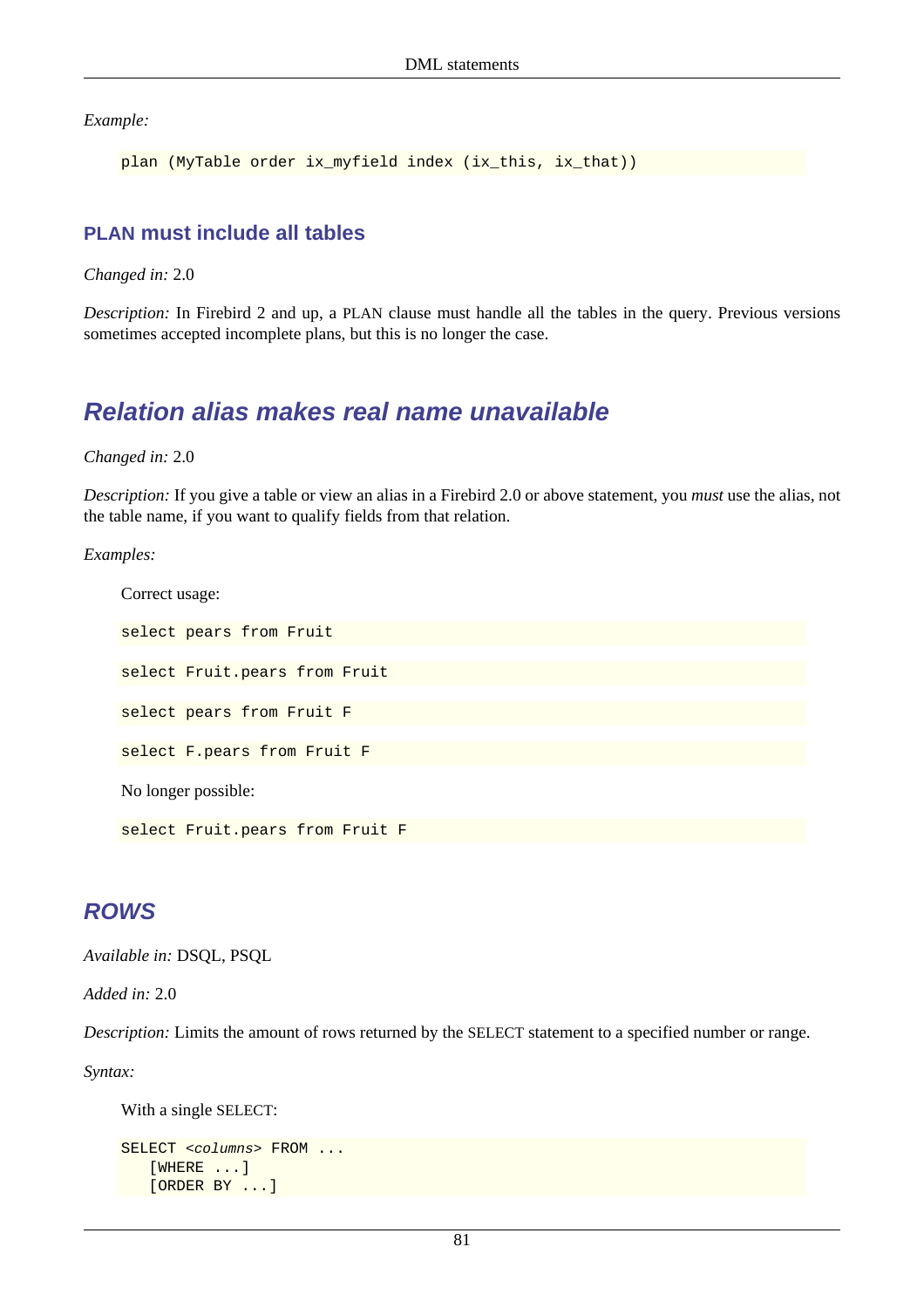*Example:*

```
plan (MyTable order ix_myfield index (ix_this, ix_that))
```
### **PLAN must include all tables**

*Changed in:* 2.0

*Description:* In Firebird 2 and up, a PLAN clause must handle all the tables in the query. Previous versions sometimes accepted incomplete plans, but this is no longer the case.

# **Relation alias makes real name unavailable**

### *Changed in:* 2.0

*Description:* If you give a table or view an alias in a Firebird 2.0 or above statement, you *must* use the alias, not the table name, if you want to qualify fields from that relation.

### *Examples:*

```
Correct usage:
select pears from Fruit
select Fruit.pears from Fruit
select pears from Fruit F
select F.pears from Fruit F
No longer possible:
select Fruit.pears from Fruit F
```
### <span id="page-91-0"></span>**ROWS**

*Available in:* DSQL, PSQL

*Added in:* 2.0

*Description:* Limits the amount of rows returned by the SELECT statement to a specified number or range.

*Syntax:*

With a single SELECT:

```
SELECT <columns> FROM ...
    [WHERE ...]
    [ORDER BY ...]
```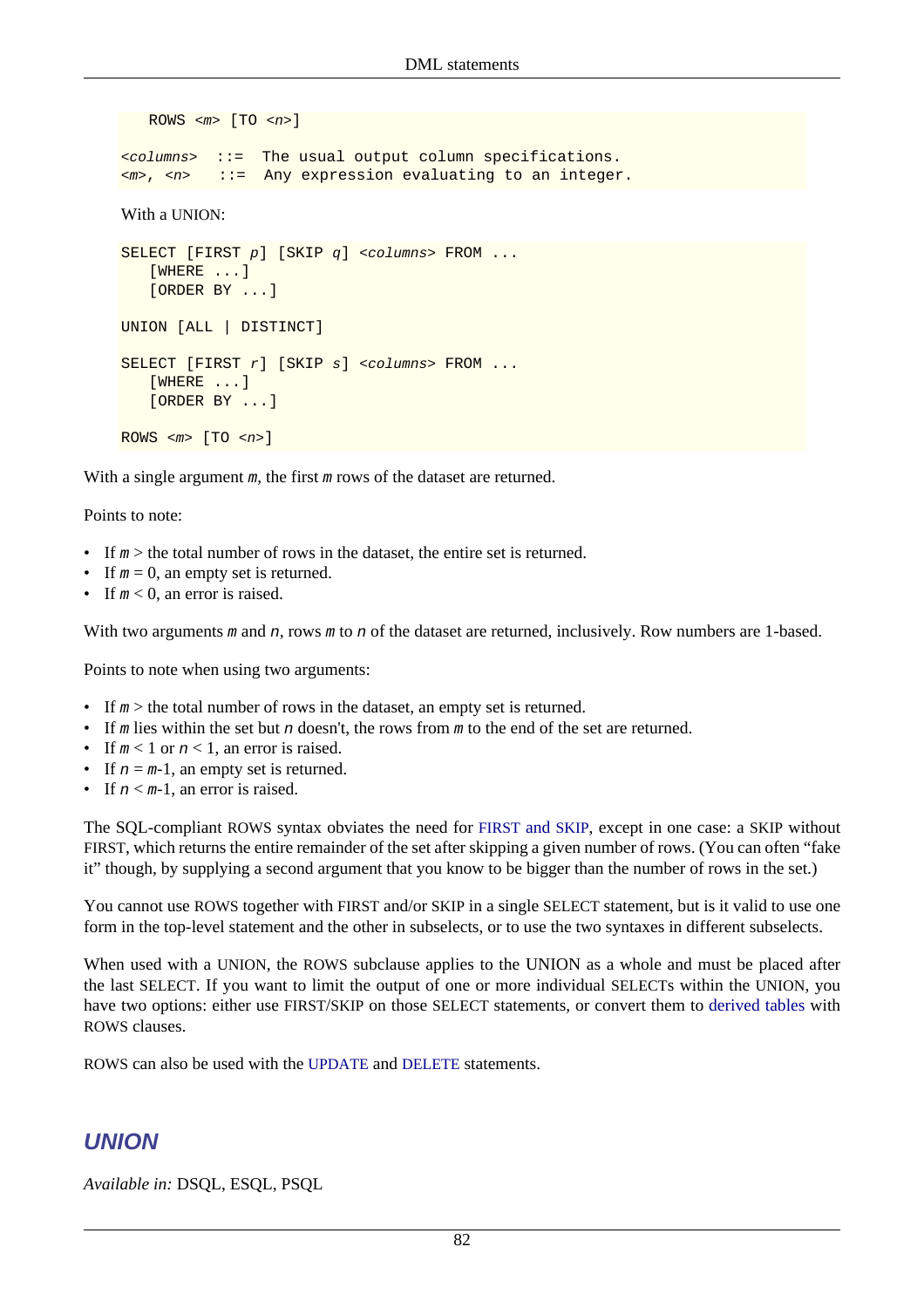```
ROWS \langle m \rangle [TO \langle n \rangle]
<columns> ::= The usual output column specifications.
<m>, <n> ::= Any expression evaluating to an integer.
With a UNION:
SELECT [FIRST\ p] [SKIP\ q] <columns> FROM ...
     [WHERE ...]
    [ORDER BY ...]
UNION [ALL | DISTINCT]
SELECT [FIRST r] [SKIP s] <columns> FROM ...
    [WHERE ...]
    [ORDER BY ...]
ROWS \langle m \rangle [TO \langle n \rangle]
```
With a single argument m, the first m rows of the dataset are returned.

Points to note:

- If  $m >$  the total number of rows in the dataset, the entire set is returned.
- If  $m = 0$ , an empty set is returned.
- If  $m < 0$ , an error is raised.

With two arguments m and n, rows m to n of the dataset are returned, inclusively. Row numbers are 1-based.

Points to note when using two arguments:

- If  $m >$  the total number of rows in the dataset, an empty set is returned.
- If m lies within the set but n doesn't, the rows from m to the end of the set are returned.
- If  $m < 1$  or  $n < 1$ , an error is raised.
- If  $n = m-1$ , an empty set is returned.
- If  $n \leq m-1$ , an error is raised.

The SQL-compliant ROWS syntax obviates the need for [FIRST](#page-82-0) and SKIP, except in one case: a SKIP without FIRST, which returns the entire remainder of the set after skipping a given number of rows. (You can often "fake it" though, by supplying a second argument that you know to be bigger than the number of rows in the set.)

You cannot use ROWS together with FIRST and/or SKIP in a single SELECT statement, but is it valid to use one form in the top-level statement and the other in subselects, or to use the two syntaxes in different subselects.

When used with a UNION, the ROWS subclause applies to the UNION as a whole and must be placed after the last SELECT. If you want to limit the output of one or more individual SELECTs within the UNION, you have two options: either use FIRST/SKIP on those SELECT statements, or convert them to [derived tables](#page-81-0) with ROWS clauses.

ROWS can also be used with the [UPDATE](#page-96-0) and [DELETE](#page-68-0) statements.

## **UNION**

*Available in:* DSQL, ESQL, PSQL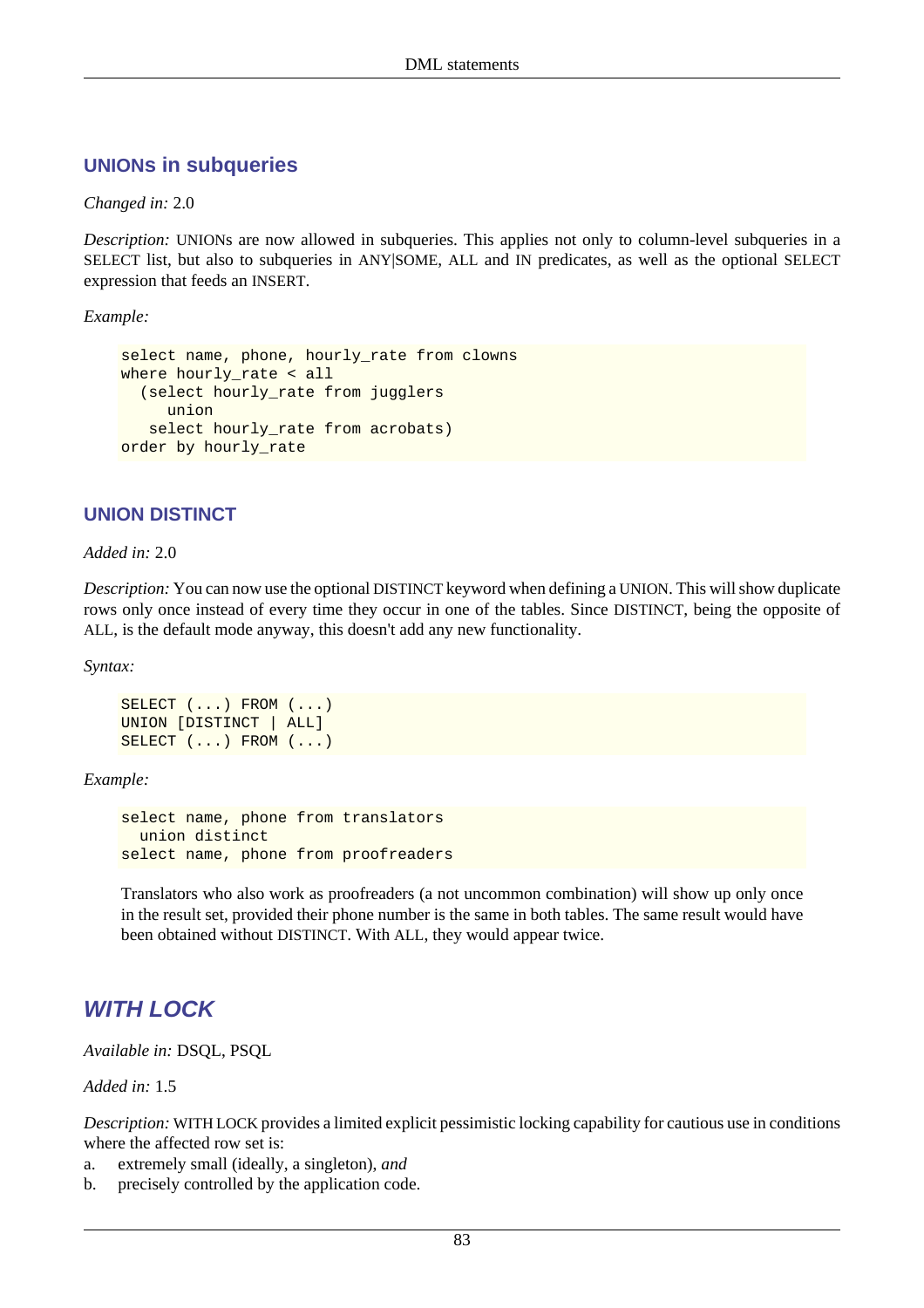### **UNIONs in subqueries**

#### *Changed in:* 2.0

*Description:* UNIONs are now allowed in subqueries. This applies not only to column-level subqueries in a SELECT list, but also to subqueries in ANY|SOME, ALL and IN predicates, as well as the optional SELECT expression that feeds an INSERT.

*Example:*

```
select name, phone, hourly_rate from clowns
where hourly_rate < all
   (select hourly_rate from jugglers
      union
    select hourly_rate from acrobats)
order by hourly_rate
```
### **UNION DISTINCT**

*Added in:* 2.0

*Description:* You can now use the optional DISTINCT keyword when defining a UNION. This will show duplicate rows only once instead of every time they occur in one of the tables. Since DISTINCT, being the opposite of ALL, is the default mode anyway, this doesn't add any new functionality.

*Syntax:*

SELECT (...) FROM (...) UNION [DISTINCT | ALL] SELECT (...) FROM (...)

*Example:*

```
select name, phone from translators
  union distinct
select name, phone from proofreaders
```
Translators who also work as proofreaders (a not uncommon combination) will show up only once in the result set, provided their phone number is the same in both tables. The same result would have been obtained without DISTINCT. With ALL, they would appear twice.

# **WITH LOCK**

*Available in:* DSQL, PSQL

*Added in:* 1.5

*Description:* WITH LOCK provides a limited explicit pessimistic locking capability for cautious use in conditions where the affected row set is:

- a. extremely small (ideally, a singleton), *and*
- b. precisely controlled by the application code.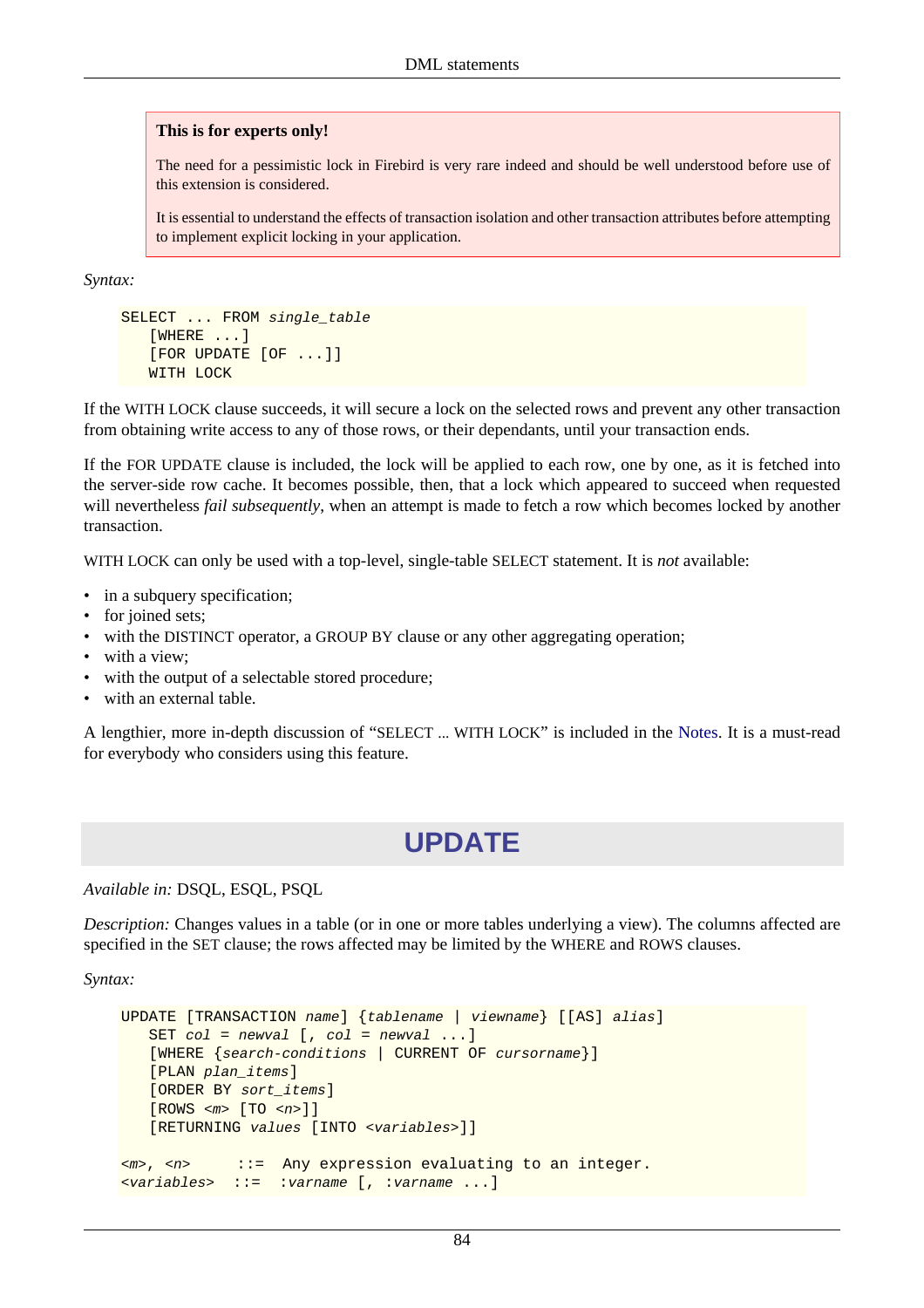#### **This is for experts only!**

The need for a pessimistic lock in Firebird is very rare indeed and should be well understood before use of this extension is considered.

It is essential to understand the effects of transaction isolation and other transaction attributes before attempting to implement explicit locking in your application.

*Syntax:*

```
SELECT ... FROM single_table
    [WHERE ...]
    [FOR UPDATE [OF ...]]
    WITH LOCK
```
If the WITH LOCK clause succeeds, it will secure a lock on the selected rows and prevent any other transaction from obtaining write access to any of those rows, or their dependants, until your transaction ends.

If the FOR UPDATE clause is included, the lock will be applied to each row, one by one, as it is fetched into the server-side row cache. It becomes possible, then, that a lock which appeared to succeed when requested will nevertheless *fail subsequently*, when an attempt is made to fetch a row which becomes locked by another transaction.

WITH LOCK can only be used with a top-level, single-table SELECT statement. It is *not* available:

- in a subquery specification;
- for joined sets;
- with the DISTINCT operator, a GROUP BY clause or any other aggregating operation;
- with a view:
- with the output of a selectable stored procedure;
- with an external table.

A lengthier, more in-depth discussion of "SELECT ... WITH LOCK" is included in the [Notes](#page-208-0). It is a must-read for everybody who considers using this feature.

# **UPDATE**

*Available in:* DSQL, ESQL, PSQL

*Description:* Changes values in a table (or in one or more tables underlying a view). The columns affected are specified in the SET clause; the rows affected may be limited by the WHERE and ROWS clauses.

*Syntax:*

```
UPDATE [TRANSACTION name] {tablename | viewname} [[AS] alias]
   SET col = newval [, col = newval ...]
    [WHERE {search-conditions | CURRENT OF cursorname}]
    [PLAN plan_items]
    [ORDER BY sort_items]
    [ROWS <m> [TO <n>]]
    [RETURNING values [INTO <variables>]]
<m>, <n> ::= Any expression evaluating to an integer.
<variables> ::= :varname [, :varname ...]
```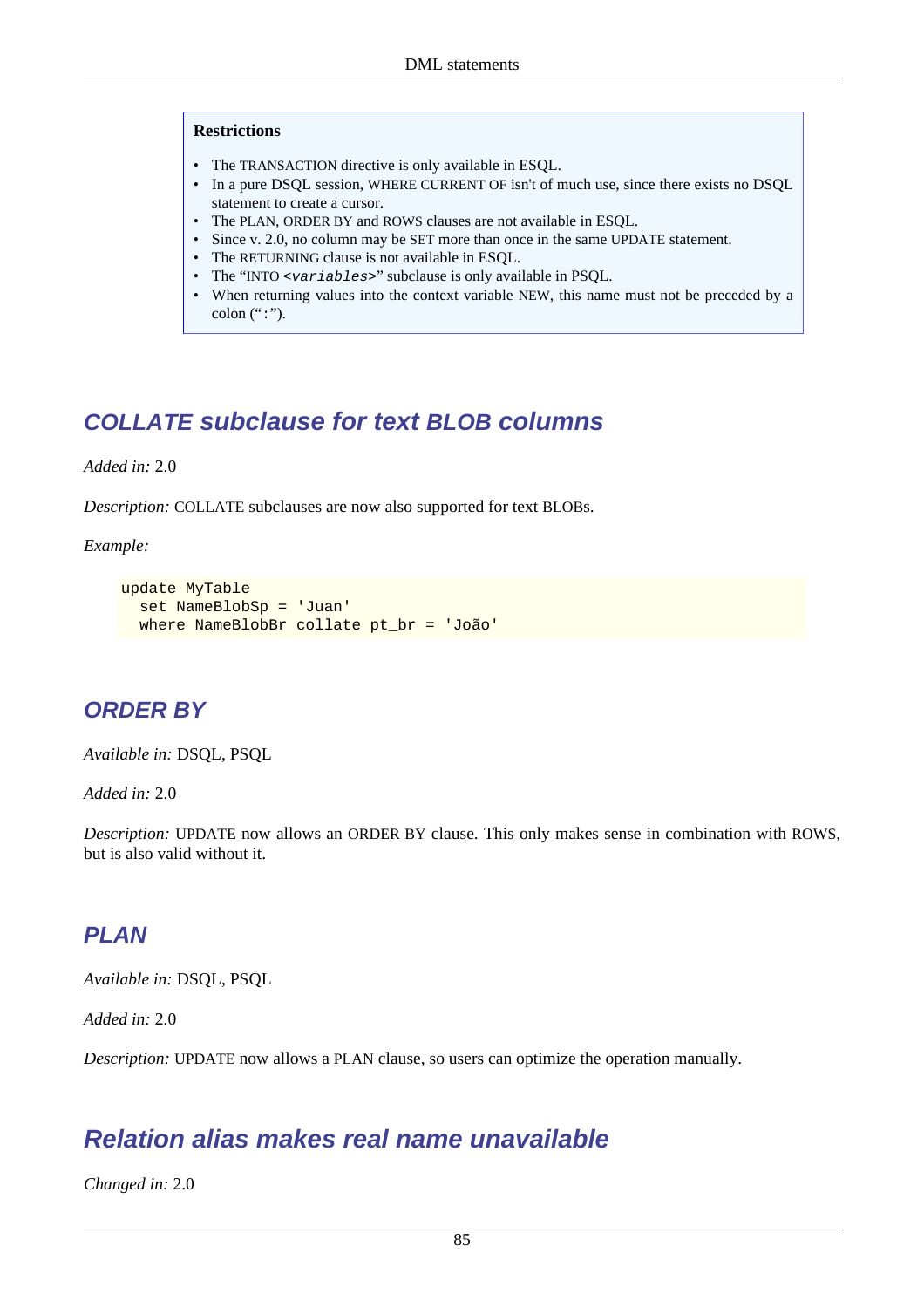#### **Restrictions**

- The TRANSACTION directive is only available in ESQL.
- In a pure DSQL session, WHERE CURRENT OF isn't of much use, since there exists no DSQL statement to create a cursor.
- The PLAN, ORDER BY and ROWS clauses are not available in ESQL.
- Since y. 2.0, no column may be SET more than once in the same UPDATE statement.
- The RETURNING clause is not available in ESQL.
- The "INTO <variables>" subclause is only available in PSQL.
- When returning values into the context variable NEW, this name must not be preceded by a colon  $(":")$ .

# **COLLATE subclause for text BLOB columns**

*Added in:* 2.0

*Description:* COLLATE subclauses are now also supported for text BLOBs.

*Example:*

```
update MyTable
  set NameBlobSp = 'Juan'
  where NameBlobBr collate pt_br = 'João'
```
## **ORDER BY**

*Available in:* DSQL, PSQL

*Added in:* 2.0

*Description:* UPDATE now allows an ORDER BY clause. This only makes sense in combination with ROWS, but is also valid without it.

## **PLAN**

*Available in:* DSQL, PSQL

*Added in:* 2.0

*Description:* UPDATE now allows a PLAN clause, so users can optimize the operation manually.

# **Relation alias makes real name unavailable**

*Changed in:* 2.0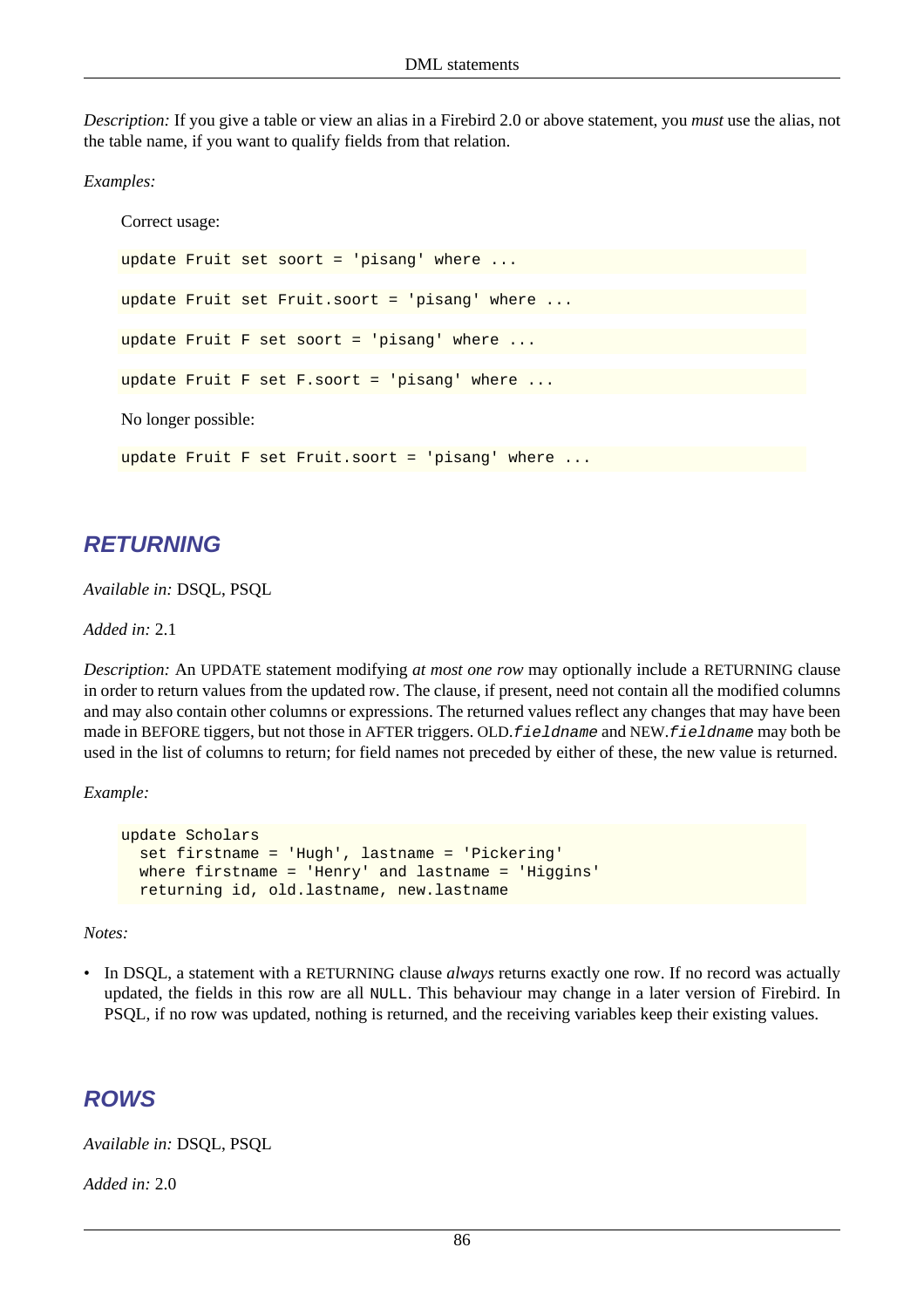*Description:* If you give a table or view an alias in a Firebird 2.0 or above statement, you *must* use the alias, not the table name, if you want to qualify fields from that relation.

*Examples:*

Correct usage: update Fruit set soort = 'pisang' where update Fruit set Fruit.soort = 'pisang' where update Fruit F set soort = 'pisang' where ... update Fruit F set F.soort = 'pisang' where . No longer possible: update Fruit F set Fruit.soort = 'pisang' where ...

### **RETURNING**

*Available in:* DSQL, PSQL

*Added in:* 2.1

*Description:* An UPDATE statement modifying *at most one row* may optionally include a RETURNING clause in order to return values from the updated row. The clause, if present, need not contain all the modified columns and may also contain other columns or expressions. The returned values reflect any changes that may have been made in BEFORE tiggers, but not those in AFTER triggers. OLD.*f* i eldname and NEW.*f* i eldname may both be used in the list of columns to return; for field names not preceded by either of these, the new value is returned.

*Example:*

```
update Scholars
   set firstname = 'Hugh', lastname = 'Pickering'
   where firstname = 'Henry' and lastname = 'Higgins'
  returning id, old.lastname, new.lastname
```
*Notes:*

• In DSQL, a statement with a RETURNING clause *always* returns exactly one row. If no record was actually updated, the fields in this row are all NULL. This behaviour may change in a later version of Firebird. In PSQL, if no row was updated, nothing is returned, and the receiving variables keep their existing values.

### <span id="page-96-0"></span>**ROWS**

*Available in:* DSQL, PSQL

*Added in:* 2.0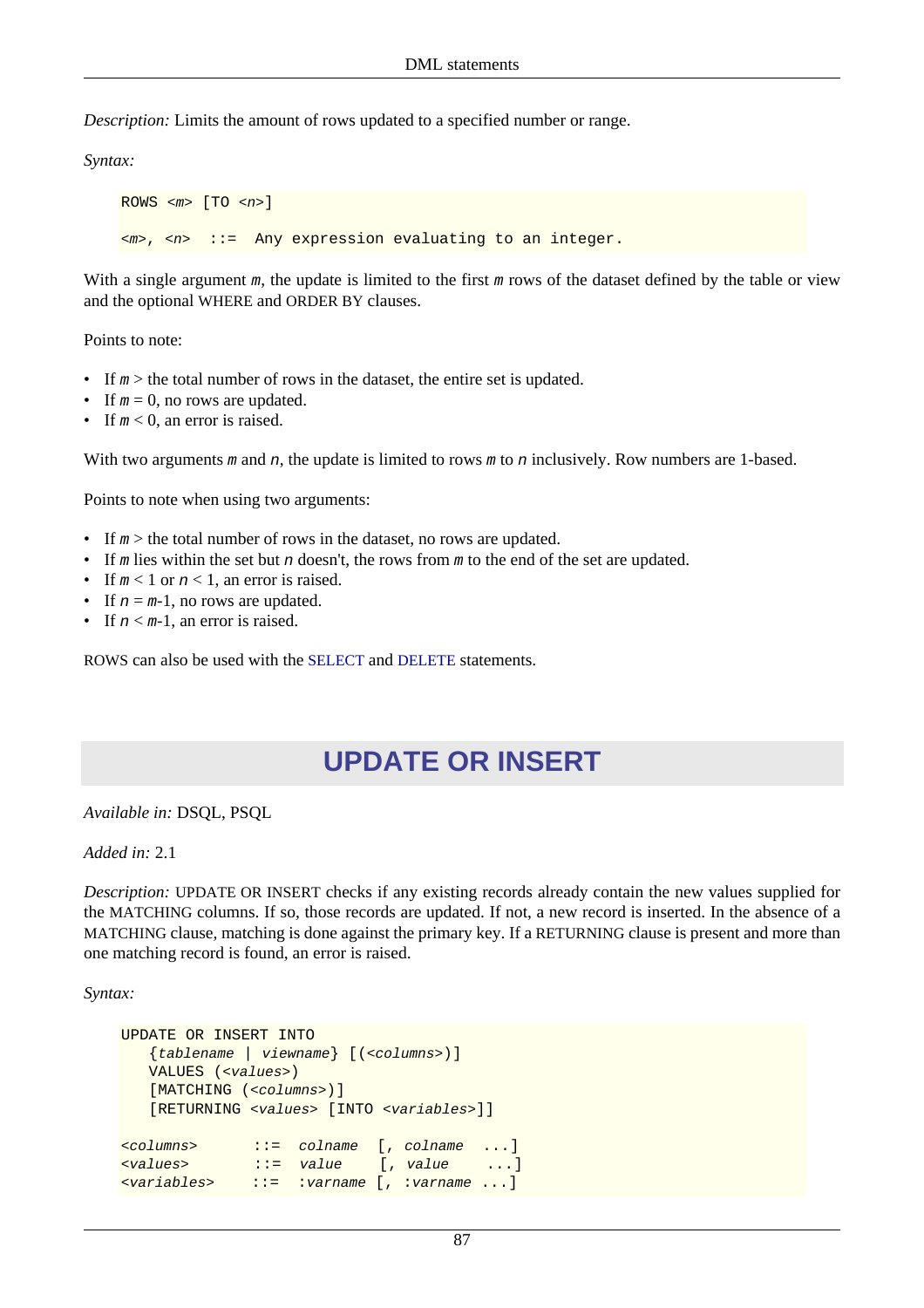*Description:* Limits the amount of rows updated to a specified number or range.

*Syntax:*

 $ROWS$  < $m$ >  $[TO$  < $n$ >]  $\langle m \rangle$ ,  $\langle n \rangle$  ::= Any expression evaluating to an integer.

With a single argument  $m$ , the update is limited to the first  $m$  rows of the dataset defined by the table or view and the optional WHERE and ORDER BY clauses.

Points to note:

- If  $m >$  the total number of rows in the dataset, the entire set is updated.
- If  $m = 0$ , no rows are updated.
- If  $m < 0$ , an error is raised.

With two arguments m and n, the update is limited to rows m to n inclusively. Row numbers are 1-based.

Points to note when using two arguments:

- If  $m >$  the total number of rows in the dataset, no rows are updated.
- If m lies within the set but n doesn't, the rows from m to the end of the set are updated.
- If  $m < 1$  or  $n < 1$ , an error is raised.
- If  $n = m-1$ , no rows are updated.
- If  $n < m-1$ , an error is raised.

ROWS can also be used with the [SELECT](#page-91-0) and [DELETE](#page-68-0) statements.

# **UPDATE OR INSERT**

*Available in:* DSQL, PSQL

*Added in:* 2.1

*Description:* UPDATE OR INSERT checks if any existing records already contain the new values supplied for the MATCHING columns. If so, those records are updated. If not, a new record is inserted. In the absence of a MATCHING clause, matching is done against the primary key. If a RETURNING clause is present and more than one matching record is found, an error is raised.

*Syntax:*

```
UPDATE OR INSERT INTO
    {tablename | viewname} [(<columns>)]
   VALUES (<values>)
   [MATCHING (<columns>)]
    [RETURNING <values> [INTO <variables>]]
<columns> ::= colname [, colname ...]
<values> ::= value [, value ...]
<variables> ::= :varname [, :varname ...]
```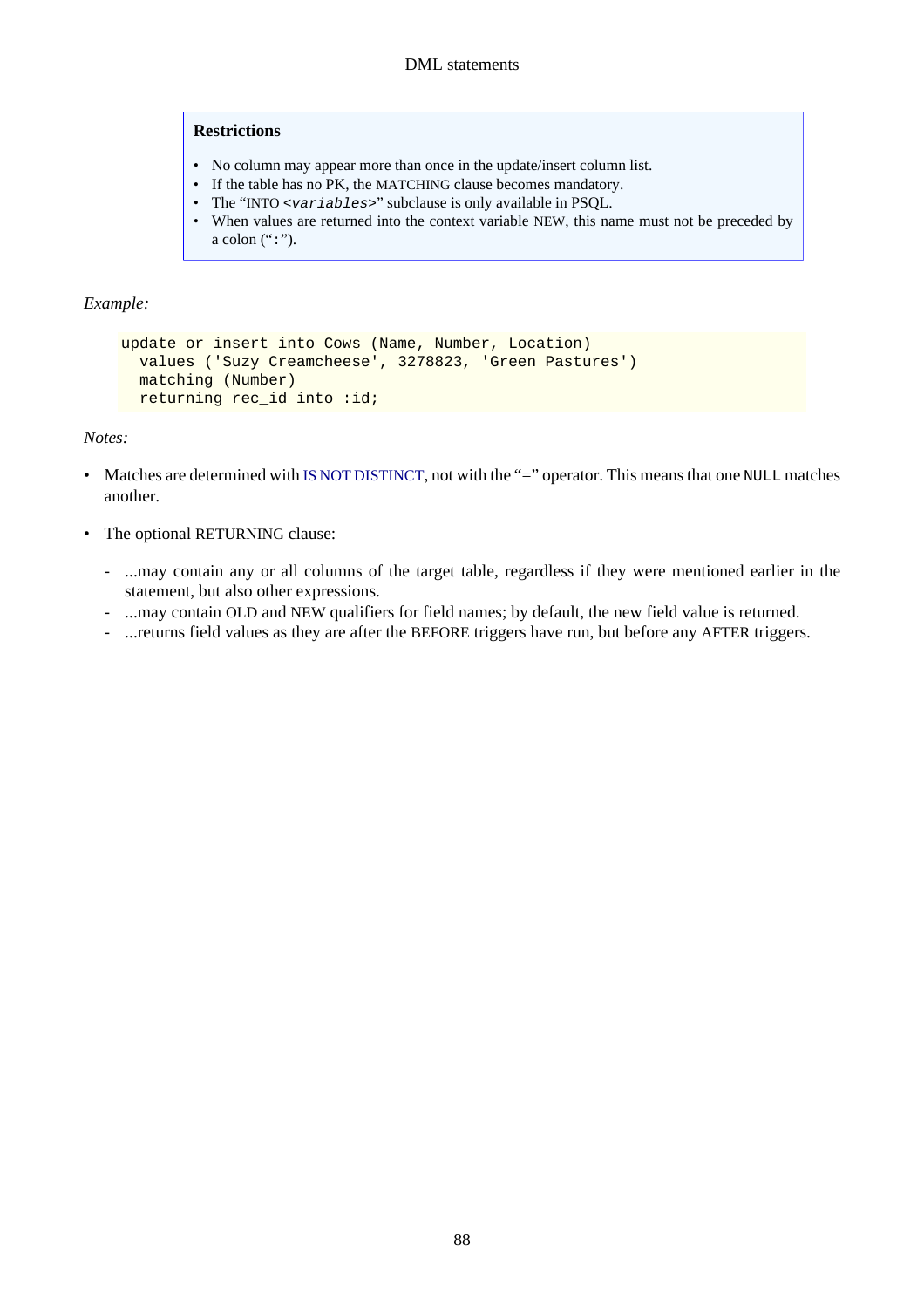#### **Restrictions**

- No column may appear more than once in the update/insert column list.
- If the table has no PK, the MATCHING clause becomes mandatory.
- The "INTO <variables>" subclause is only available in PSQL.
- When values are returned into the context variable NEW, this name must not be preceded by a colon  $(":")$ .

### *Example:*

```
update or insert into Cows (Name, Number, Location)
  values ('Suzy Creamcheese', 3278823, 'Green Pastures')
  matching (Number)
 returning rec_id into :id;
```
### *Notes:*

- Matches are determined with [IS NOT DISTINCT](#page-129-0), not with the "=" operator. This means that one NULL matches another.
- The optional RETURNING clause:
	- ...may contain any or all columns of the target table, regardless if they were mentioned earlier in the statement, but also other expressions.
	- ...may contain OLD and NEW qualifiers for field names; by default, the new field value is returned.
	- ...returns field values as they are after the BEFORE triggers have run, but before any AFTER triggers.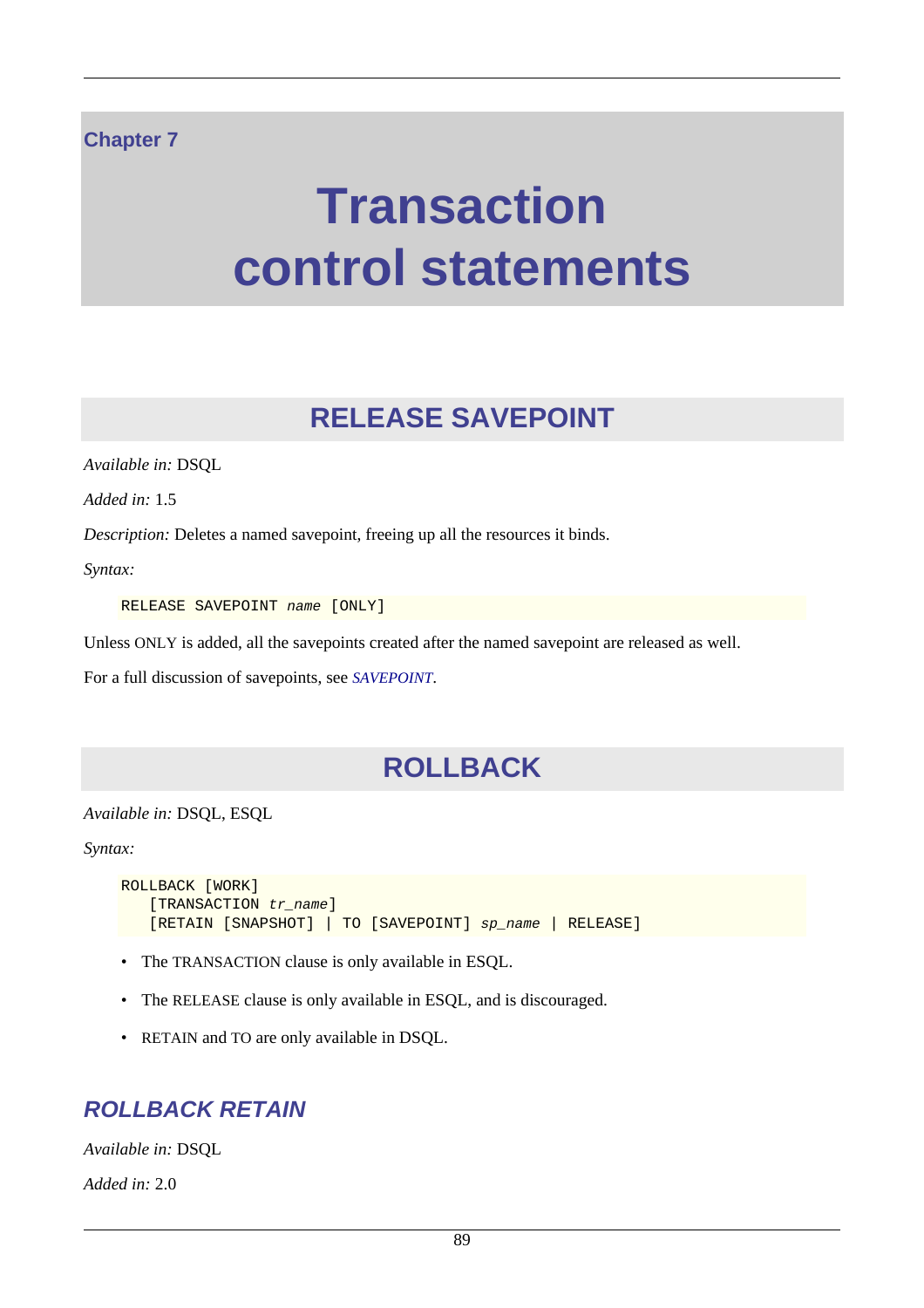### **Chapter 7**

# **Transaction control statements**

# **RELEASE SAVEPOINT**

*Available in:* DSQL

*Added in:* 1.5

*Description:* Deletes a named savepoint, freeing up all the resources it binds.

*Syntax:*

RELEASE SAVEPOINT name [ONLY]

Unless ONLY is added, all the savepoints created after the named savepoint are released as well.

For a full discussion of savepoints, see *[SAVEPOINT](#page-100-0)*.

# **ROLLBACK**

*Available in:* DSQL, ESQL

*Syntax:*

```
ROLLBACK [WORK]
   [TRANSACTION tr\_name]
    [RETAIN [SNAPSHOT] | TO [SAVEPOINT] sp_name | RELEASE]
```
- The TRANSACTION clause is only available in ESQL.
- The RELEASE clause is only available in ESQL, and is discouraged.
- RETAIN and TO are only available in DSQL.

## **ROLLBACK RETAIN**

*Available in:* DSQL

*Added in:* 2.0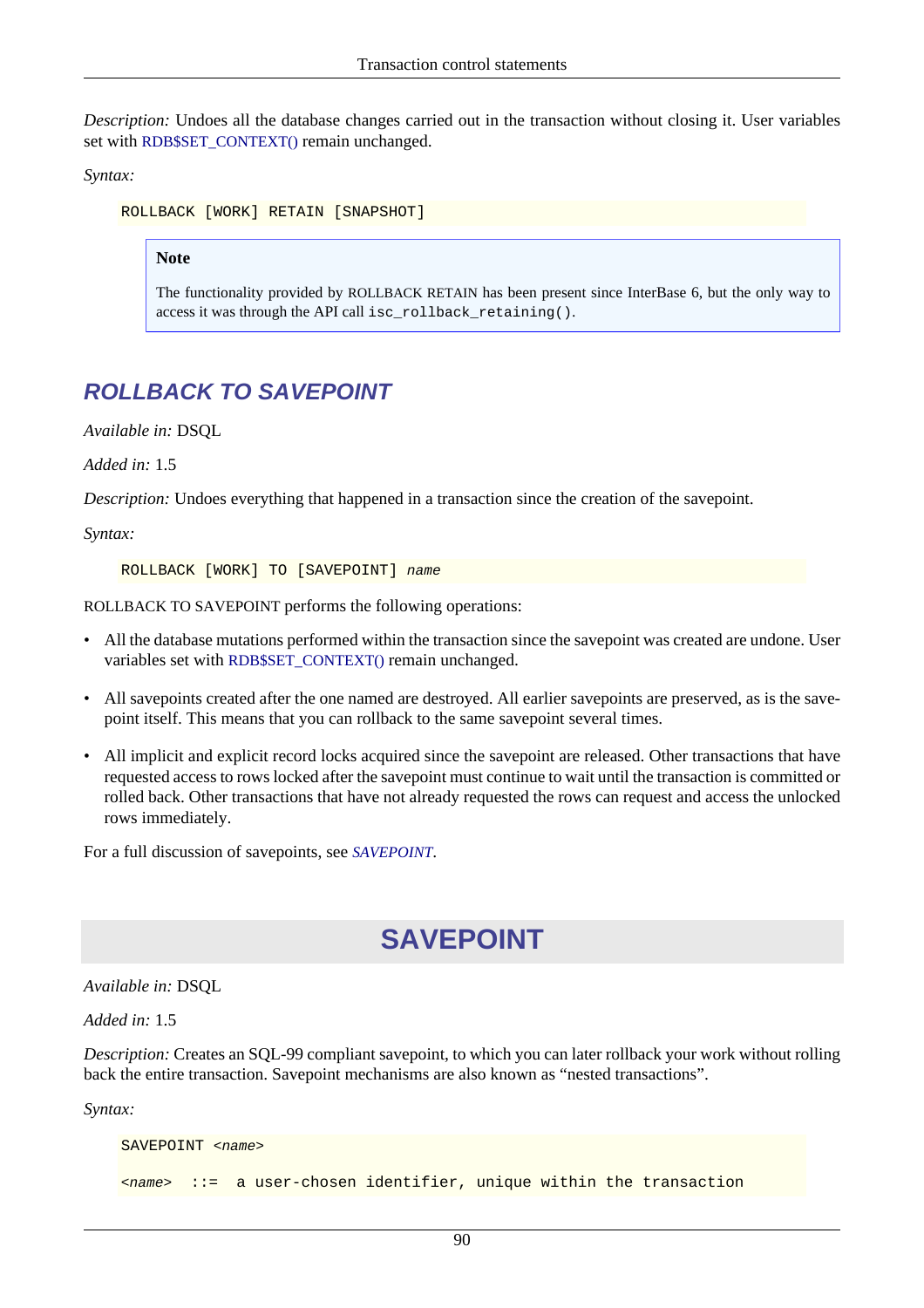*Description:* Undoes all the database changes carried out in the transaction without closing it. User variables set with [RDB\\$SET\\_CONTEXT\(\)](#page-162-0) remain unchanged.

*Syntax:*

ROLLBACK [WORK] RETAIN [SNAPSHOT]

#### **Note**

The functionality provided by ROLLBACK RETAIN has been present since InterBase 6, but the only way to access it was through the API call isc\_rollback\_retaining().

# **ROLLBACK TO SAVEPOINT**

*Available in:* DSQL

*Added in:* 1.5

*Description:* Undoes everything that happened in a transaction since the creation of the savepoint.

*Syntax:*

ROLLBACK [WORK] TO [SAVEPOINT] name

ROLLBACK TO SAVEPOINT performs the following operations:

- All the database mutations performed within the transaction since the savepoint was created are undone. User variables set with [RDB\\$SET\\_CONTEXT\(\)](#page-162-0) remain unchanged.
- All savepoints created after the one named are destroyed. All earlier savepoints are preserved, as is the savepoint itself. This means that you can rollback to the same savepoint several times.
- All implicit and explicit record locks acquired since the savepoint are released. Other transactions that have requested access to rows locked after the savepoint must continue to wait until the transaction is committed or rolled back. Other transactions that have not already requested the rows can request and access the unlocked rows immediately.

<span id="page-100-0"></span>For a full discussion of savepoints, see *[SAVEPOINT](#page-100-0)*.

# **SAVEPOINT**

*Available in:* DSQL

*Added in:* 1.5

*Description:* Creates an SQL-99 compliant savepoint, to which you can later rollback your work without rolling back the entire transaction. Savepoint mechanisms are also known as "nested transactions".

*Syntax:*

```
SAVEPOINT < name>
<name> ::= a user-chosen identifier, unique within the transaction
```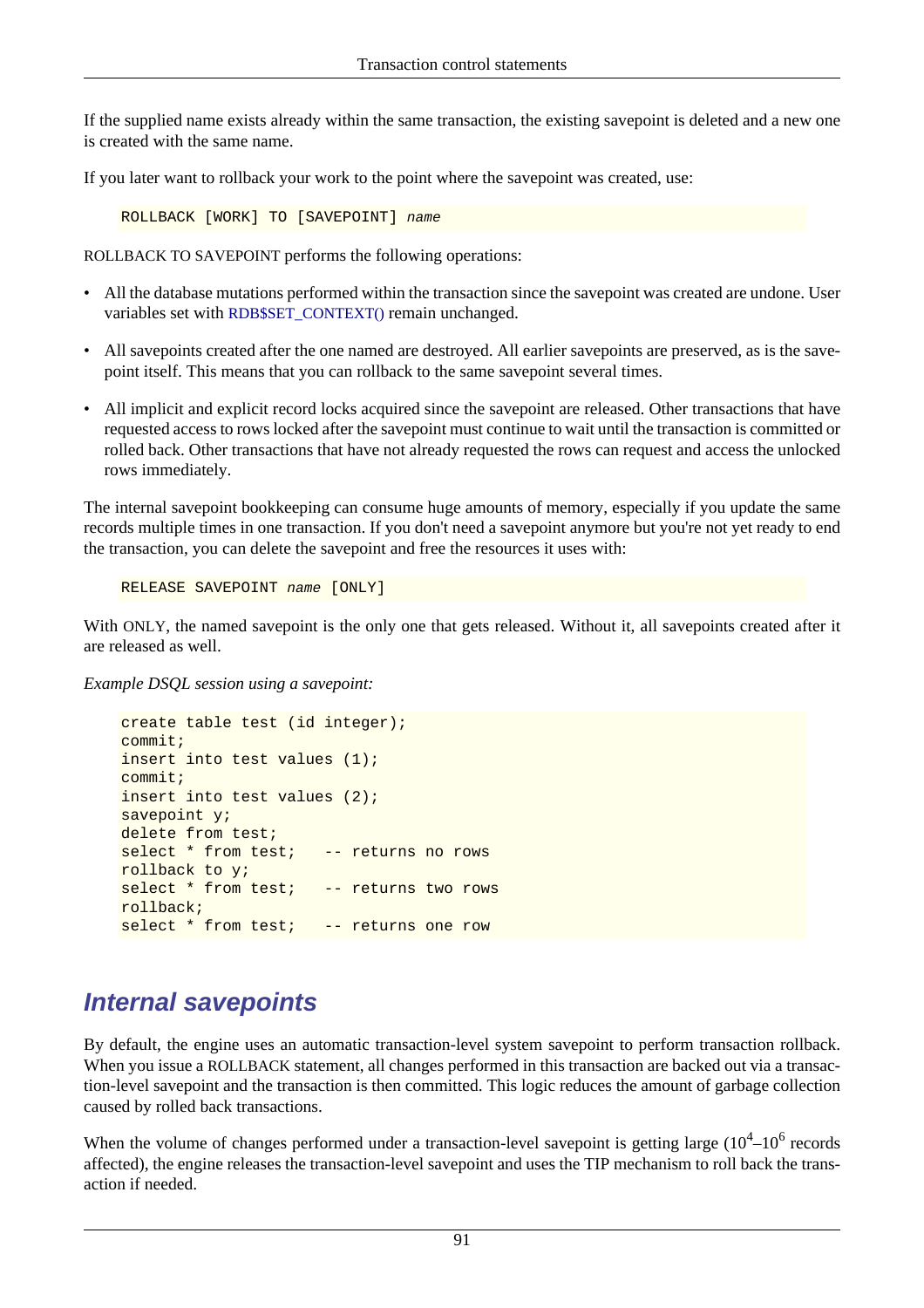If the supplied name exists already within the same transaction, the existing savepoint is deleted and a new one is created with the same name.

If you later want to rollback your work to the point where the savepoint was created, use:

ROLLBACK [WORK] TO [SAVEPOINT] name

ROLLBACK TO SAVEPOINT performs the following operations:

- All the database mutations performed within the transaction since the savepoint was created are undone. User variables set with [RDB\\$SET\\_CONTEXT\(\)](#page-162-0) remain unchanged.
- All savepoints created after the one named are destroyed. All earlier savepoints are preserved, as is the savepoint itself. This means that you can rollback to the same savepoint several times.
- All implicit and explicit record locks acquired since the savepoint are released. Other transactions that have requested access to rows locked after the savepoint must continue to wait until the transaction is committed or rolled back. Other transactions that have not already requested the rows can request and access the unlocked rows immediately.

The internal savepoint bookkeeping can consume huge amounts of memory, especially if you update the same records multiple times in one transaction. If you don't need a savepoint anymore but you're not yet ready to end the transaction, you can delete the savepoint and free the resources it uses with:

RELEASE SAVEPOINT name [ONLY]

With ONLY, the named savepoint is the only one that gets released. Without it, all savepoints created after it are released as well.

*Example DSQL session using a savepoint:*

```
create table test (id integer);
commit;
insert into test values (1);
commit;
insert into test values (2);
savepoint y;
delete from test;
select * from test; -- returns no rows
rollback to y;
select * from test; -- returns two rows
rollback;
select * from test; -- returns one row
```
# **Internal savepoints**

By default, the engine uses an automatic transaction-level system savepoint to perform transaction rollback. When you issue a ROLLBACK statement, all changes performed in this transaction are backed out via a transaction-level savepoint and the transaction is then committed. This logic reduces the amount of garbage collection caused by rolled back transactions.

When the volume of changes performed under a transaction-level savepoint is getting large  $(10^4 - 10^6$  records affected), the engine releases the transaction-level savepoint and uses the TIP mechanism to roll back the transaction if needed.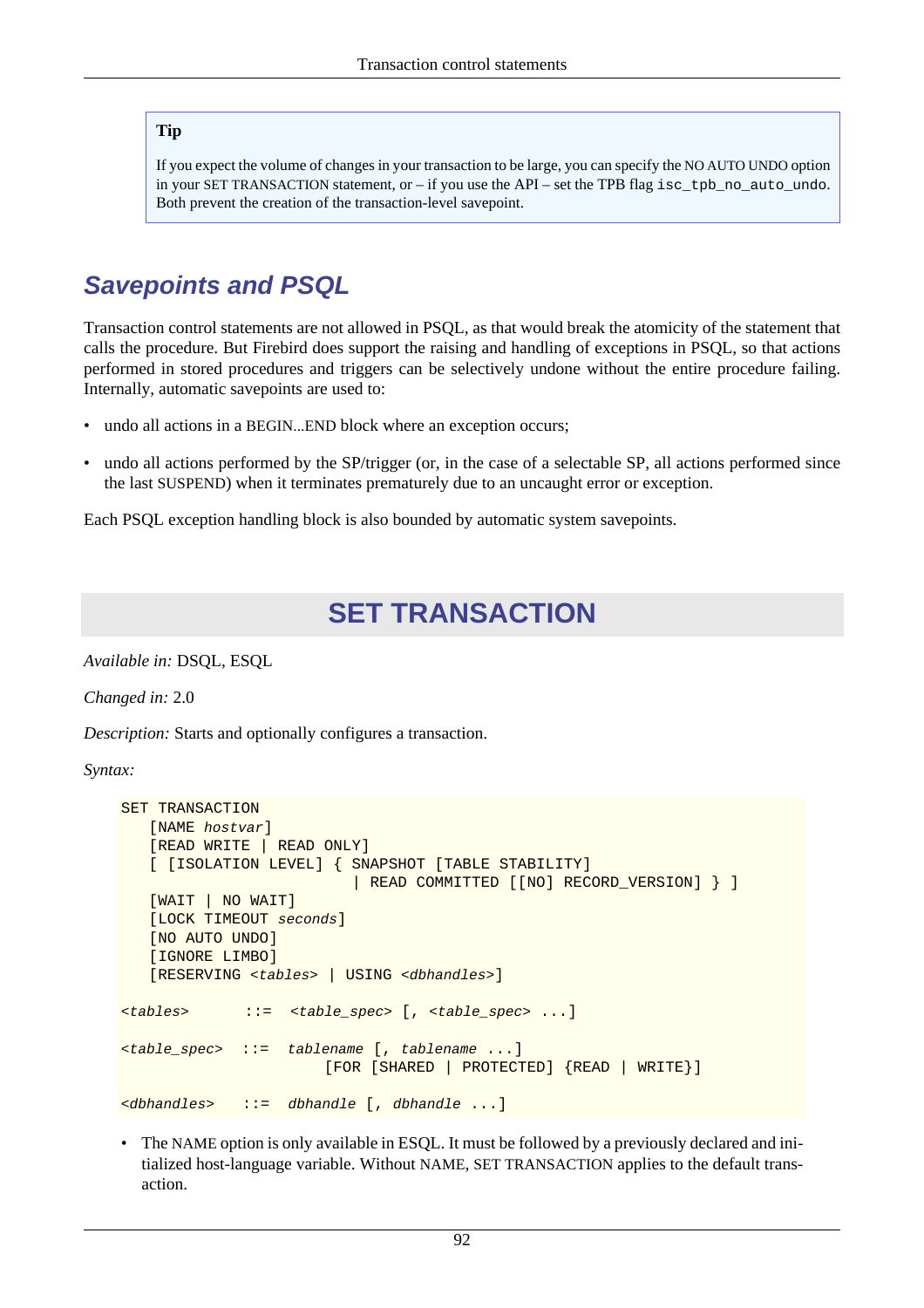### **Tip**

If you expect the volume of changes in your transaction to be large, you can specify the NO AUTO UNDO option in your SET TRANSACTION statement, or – if you use the API – set the TPB flag isc\_tpb\_no\_auto\_undo. Both prevent the creation of the transaction-level savepoint.

# **Savepoints and PSQL**

Transaction control statements are not allowed in PSQL, as that would break the atomicity of the statement that calls the procedure. But Firebird does support the raising and handling of exceptions in PSQL, so that actions performed in stored procedures and triggers can be selectively undone without the entire procedure failing. Internally, automatic savepoints are used to:

- undo all actions in a BEGIN...END block where an exception occurs;
- undo all actions performed by the SP/trigger (or, in the case of a selectable SP, all actions performed since the last SUSPEND) when it terminates prematurely due to an uncaught error or exception.

Each PSQL exception handling block is also bounded by automatic system savepoints.

# **SET TRANSACTION**

*Available in:* DSQL, ESQL

*Changed in:* 2.0

*Description:* Starts and optionally configures a transaction.

*Syntax:*

```
SET TRANSACTION
   [NAME hostvar]
    [READ WRITE | READ ONLY]
    [ [ISOLATION LEVEL] { SNAPSHOT [TABLE STABILITY]
                           | READ COMMITTED [[NO] RECORD_VERSION] } ]
    [WAIT | NO WAIT]
    [LOCK TIMEOUT seconds]
    [NO AUTO UNDO]
    [IGNORE LIMBO]
    [RESERVING <tables> | USING <dbhandles>]
<tables> ::= <table_spec> [, <table_spec> ...]
<table_spec> ::= tablename [, tablename ...]
                        [FOR [SHARED | PROTECTED] {READ | WRITE}]
<dbhandles> ::= dbhandle [, dbhandle ...]
```
• The NAME option is only available in ESQL. It must be followed by a previously declared and initialized host-language variable. Without NAME, SET TRANSACTION applies to the default transaction.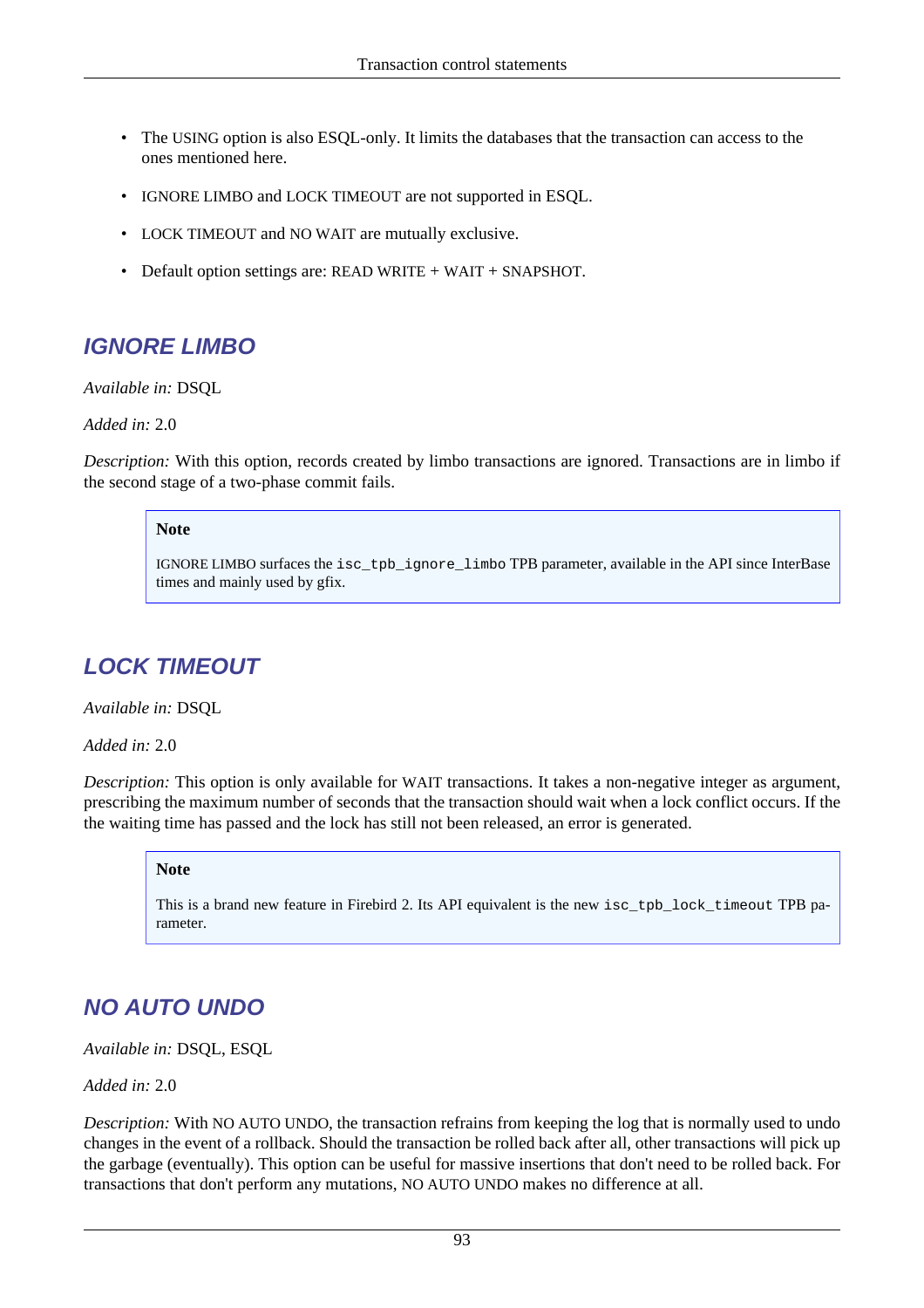- The USING option is also ESQL-only. It limits the databases that the transaction can access to the ones mentioned here.
- IGNORE LIMBO and LOCK TIMEOUT are not supported in ESQL.
- LOCK TIMEOUT and NO WAIT are mutually exclusive.
- Default option settings are: READ WRITE + WAIT + SNAPSHOT.

# **IGNORE LIMBO**

*Available in:* DSQL

*Added in:* 2.0

*Description:* With this option, records created by limbo transactions are ignored. Transactions are in limbo if the second stage of a two-phase commit fails.

### **Note**

IGNORE LIMBO surfaces the isc\_tpb\_ignore\_limbo TPB parameter, available in the API since InterBase times and mainly used by gfix.

# **LOCK TIMEOUT**

*Available in:* DSQL

*Added in:* 2.0

*Description:* This option is only available for WAIT transactions. It takes a non-negative integer as argument, prescribing the maximum number of seconds that the transaction should wait when a lock conflict occurs. If the the waiting time has passed and the lock has still not been released, an error is generated.

#### **Note**

This is a brand new feature in Firebird 2. Its API equivalent is the new isc\_tpb\_lock\_timeout TPB parameter.

# **NO AUTO UNDO**

*Available in:* DSQL, ESQL

*Added in:* 2.0

*Description:* With NO AUTO UNDO, the transaction refrains from keeping the log that is normally used to undo changes in the event of a rollback. Should the transaction be rolled back after all, other transactions will pick up the garbage (eventually). This option can be useful for massive insertions that don't need to be rolled back. For transactions that don't perform any mutations, NO AUTO UNDO makes no difference at all.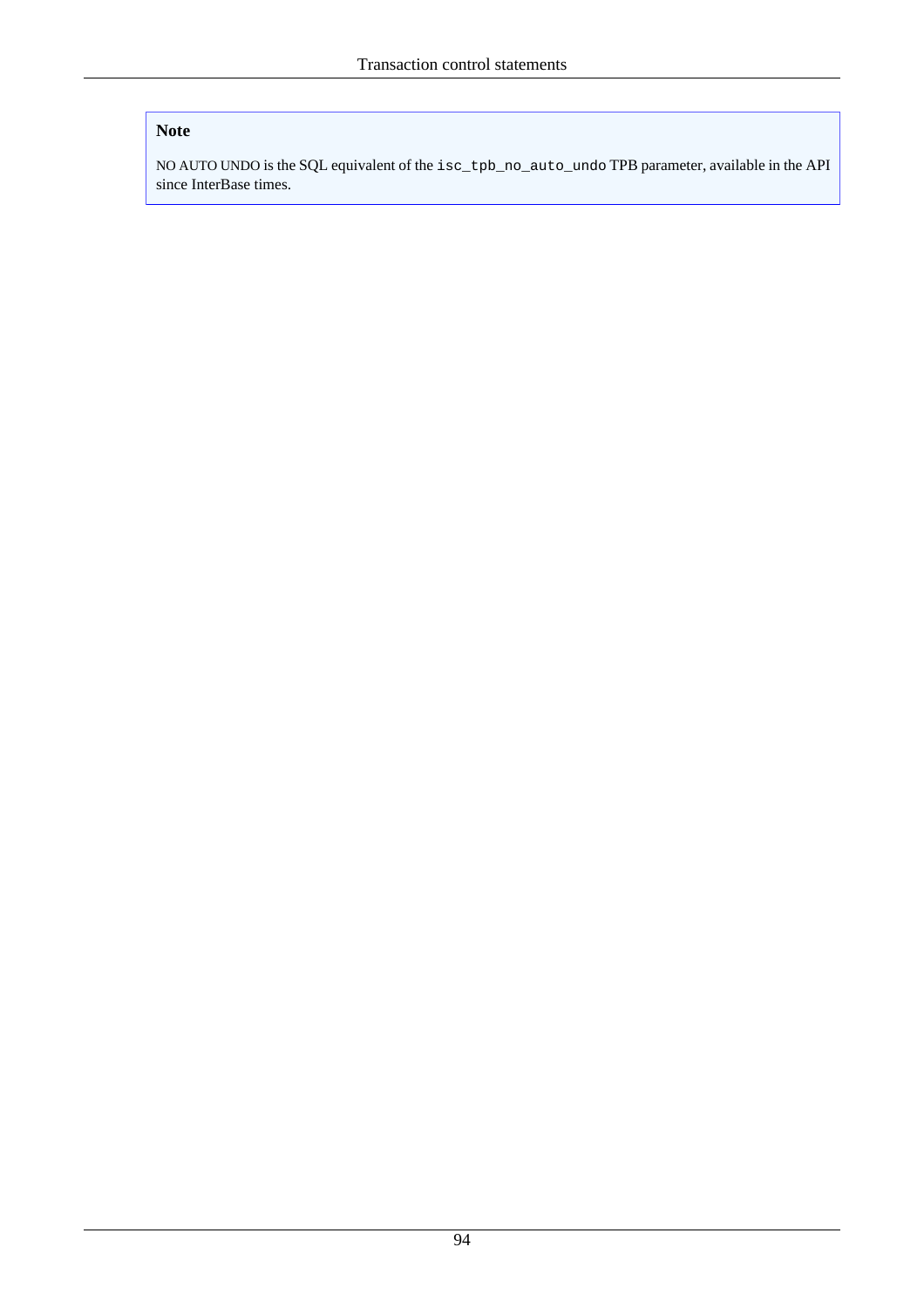### **Note**

NO AUTO UNDO is the SQL equivalent of the isc\_tpb\_no\_auto\_undo TPB parameter, available in the API since InterBase times.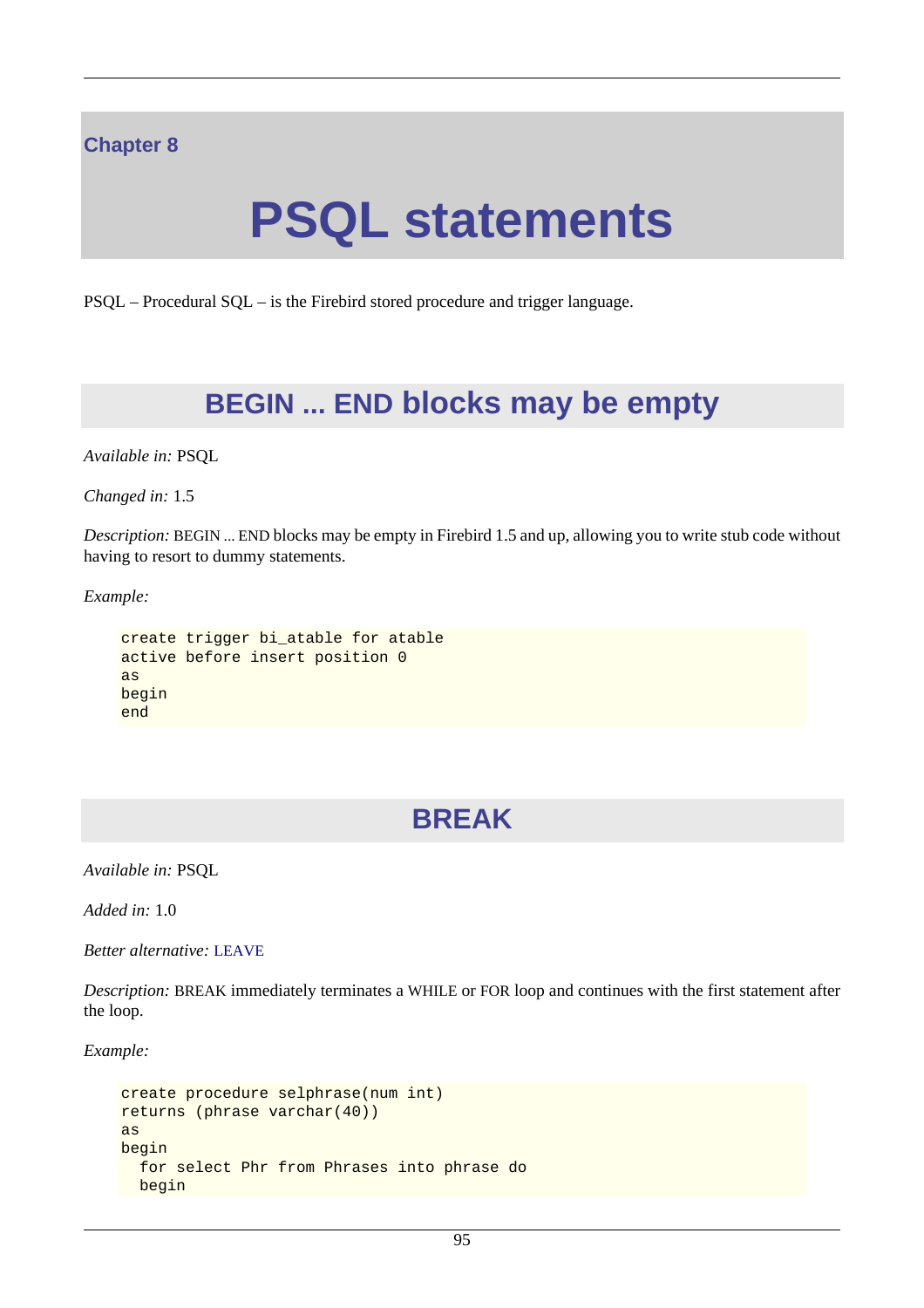### **Chapter 8**

# **PSQL statements**

PSQL – Procedural SQL – is the Firebird stored procedure and trigger language.

# **BEGIN ... END blocks may be empty**

*Available in:* PSQL

*Changed in:* 1.5

*Description:* BEGIN ... END blocks may be empty in Firebird 1.5 and up, allowing you to write stub code without having to resort to dummy statements.

*Example:*

```
create trigger bi atable for atable
active before insert position 0
as
begin
end
```
# **BREAK**

*Available in:* PSQL

*Added in:* 1.0

*Better alternative:* [LEAVE](#page-116-0)

*Description:* BREAK immediately terminates a WHILE or FOR loop and continues with the first statement after the loop.

*Example:*

```
create procedure selphrase(num int)
returns (phrase varchar(40))
as
begin
   for select Phr from Phrases into phrase do
 begin
```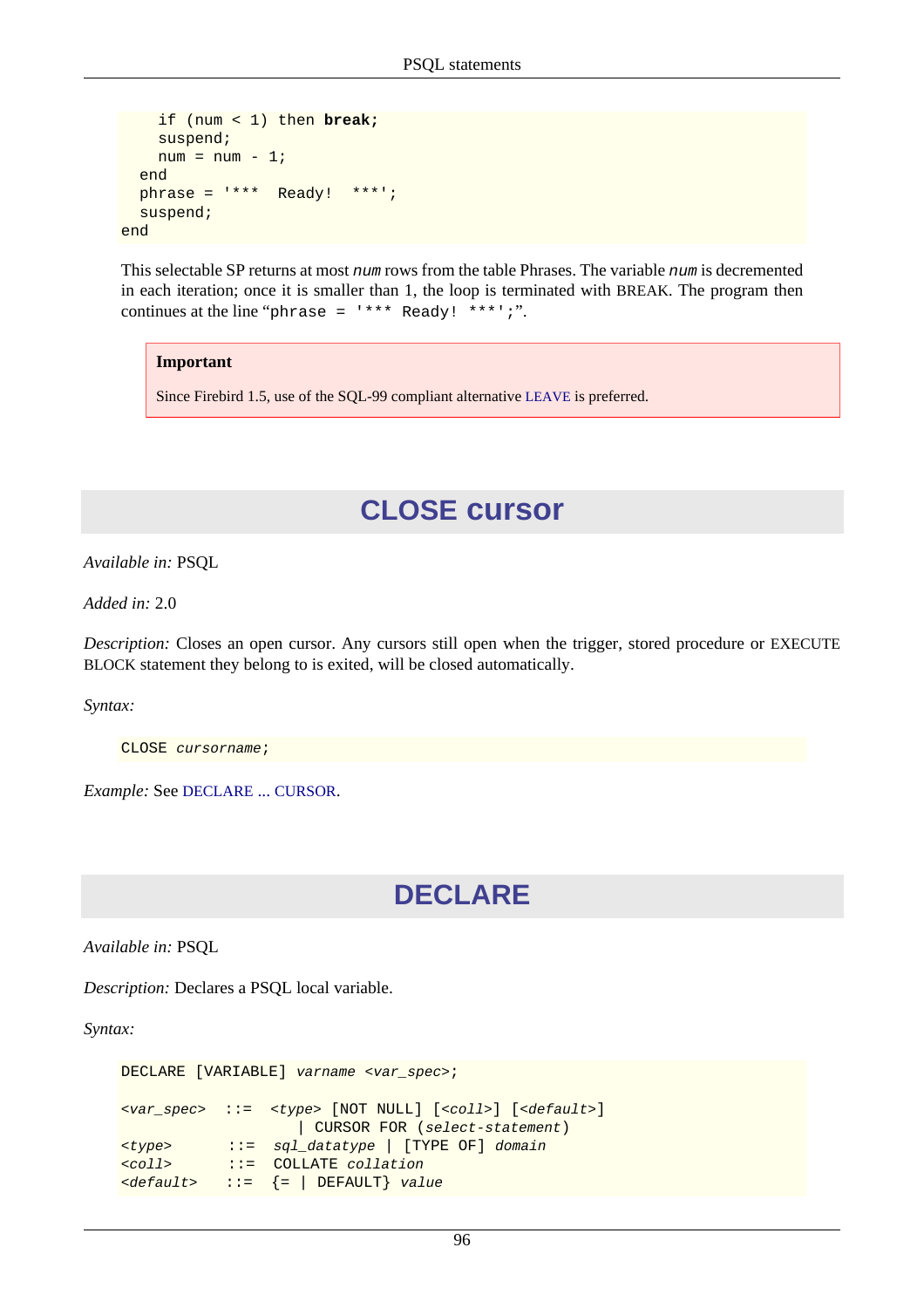```
 if (num < 1) then break;
     suspend;
    num = num - 1; end
   phrase = '*** Ready! ***';
   suspend;
end
```
This selectable SP returns at most num rows from the table Phrases. The variable num is decremented in each iteration; once it is smaller than 1, the loop is terminated with BREAK. The program then continues at the line "phrase =  $***$  Ready! \*\*\*';".

#### **Important**

Since Firebird 1.5, use of the SQL-99 compliant alternative [LEAVE](#page-116-0) is preferred.

# **CLOSE cursor**

*Available in:* PSQL

*Added in:* 2.0

*Description:* Closes an open cursor. Any cursors still open when the trigger, stored procedure or EXECUTE BLOCK statement they belong to is exited, will be closed automatically.

*Syntax:*

CLOSE cursorname;

*Example:* See [DECLARE](#page-107-0) ... CURSOR.

# **DECLARE**

*Available in:* PSQL

*Description:* Declares a PSQL local variable.

*Syntax:*

```
DECLARE [VARIABLE] varname <var_spec>;
<var_spec> ::= <type> [NOT NULL] [<coll>] [<default>]
                     | CURSOR FOR (select-statement)
<type> ::= sql_datatype | [TYPE OF] domain
<coll> ::= COLLATE collation
\langle \text{default} \rangle ::= \{ = \} DEFAULT} value
```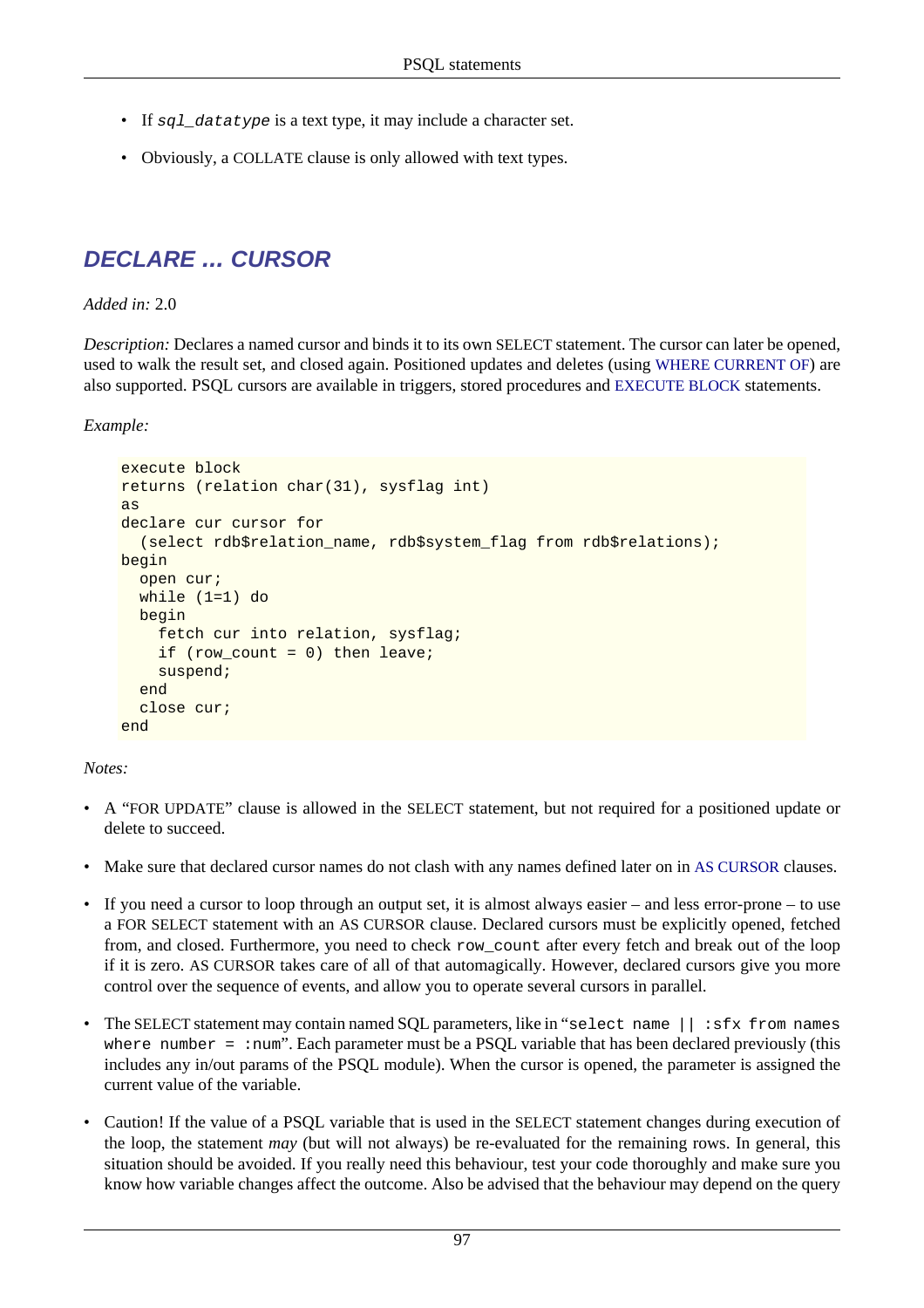- If sql\_datatype is a text type, it may include a character set.
- <span id="page-107-0"></span>• Obviously, a COLLATE clause is only allowed with text types.

# **DECLARE ... CURSOR**

### *Added in:* 2.0

*Description:* Declares a named cursor and binds it to its own SELECT statement. The cursor can later be opened, used to walk the result set, and closed again. Positioned updates and deletes (using [WHERE CURRENT OF](#page-118-0)) are also supported. PSQL cursors are available in triggers, stored procedures and [EXECUTE BLOCK](#page-69-0) statements.

*Example:*

```
execute block
returns (relation char(31), sysflag int)
as
declare cur cursor for 
   (select rdb$relation_name, rdb$system_flag from rdb$relations);
begin
   open cur;
   while (1=1) do
   begin
     fetch cur into relation, sysflag;
     if (row_count = 0) then leave;
     suspend;
   end
   close cur;
end
```
*Notes:*

- A "FOR UPDATE" clause is allowed in the SELECT statement, but not required for a positioned update or delete to succeed.
- Make sure that declared cursor names do not clash with any names defined later on in [AS CURSOR](#page-115-0) clauses.
- If you need a cursor to loop through an output set, it is almost always easier and less error-prone to use a FOR SELECT statement with an AS CURSOR clause. Declared cursors must be explicitly opened, fetched from, and closed. Furthermore, you need to check row\_count after every fetch and break out of the loop if it is zero. AS CURSOR takes care of all of that automagically. However, declared cursors give you more control over the sequence of events, and allow you to operate several cursors in parallel.
- The SELECT statement may contain named SQL parameters, like in "select name  $|| \cdot s$  fx from names where number =  $:$  num". Each parameter must be a PSQL variable that has been declared previously (this includes any in/out params of the PSQL module). When the cursor is opened, the parameter is assigned the current value of the variable.
- Caution! If the value of a PSQL variable that is used in the SELECT statement changes during execution of the loop, the statement *may* (but will not always) be re-evaluated for the remaining rows. In general, this situation should be avoided. If you really need this behaviour, test your code thoroughly and make sure you know how variable changes affect the outcome. Also be advised that the behaviour may depend on the query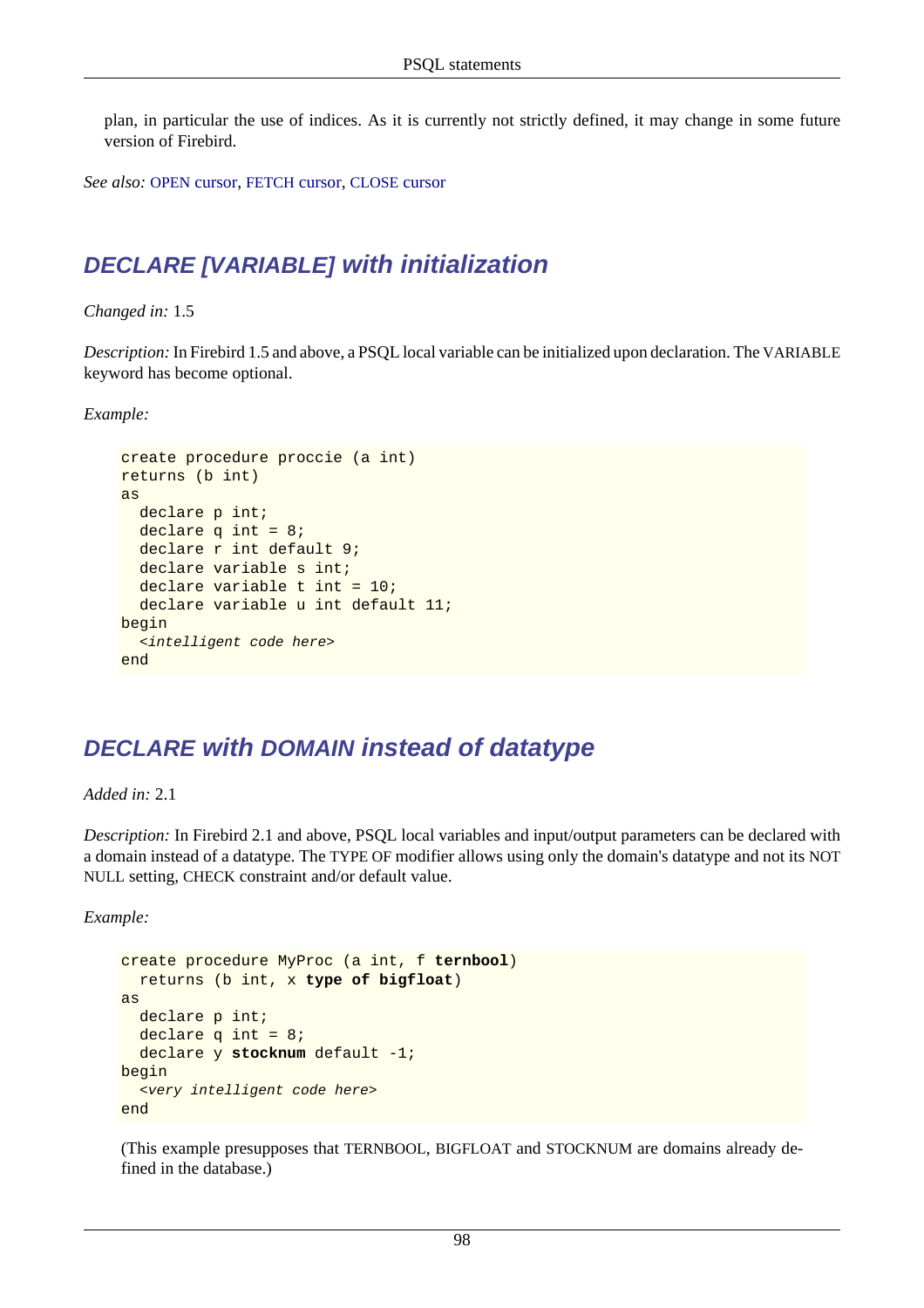plan, in particular the use of indices. As it is currently not strictly defined, it may change in some future version of Firebird.

*See also:* OPEN [cursor,](#page-117-0) [FETCH](#page-113-0) cursor, [CLOSE](#page-106-0) cursor

## **DECLARE [VARIABLE] with initialization**

*Changed in:* 1.5

*Description:* In Firebird 1.5 and above, a PSQL local variable can be initialized upon declaration. The VARIABLE keyword has become optional.

*Example:*

```
create procedure proccie (a int)
returns (b int)
as
  declare p int;
  declare q int = 8;
  declare r int default 9;
  declare variable s int;
  declare variable t int = 10;
   declare variable u int default 11;
begin
   <intelligent code here>
end
```
## **DECLARE with DOMAIN instead of datatype**

*Added in:* 2.1

*Description:* In Firebird 2.1 and above, PSQL local variables and input/output parameters can be declared with a domain instead of a datatype. The TYPE OF modifier allows using only the domain's datatype and not its NOT NULL setting, CHECK constraint and/or default value.

*Example:*

```
create procedure MyProc (a int, f ternbool)
   returns (b int, x type of bigfloat)
as
  declare p int;
  declare q int = 8;
   declare y stocknum default -1;
begin
   <very intelligent code here>
end
```
(This example presupposes that TERNBOOL, BIGFLOAT and STOCKNUM are domains already defined in the database.)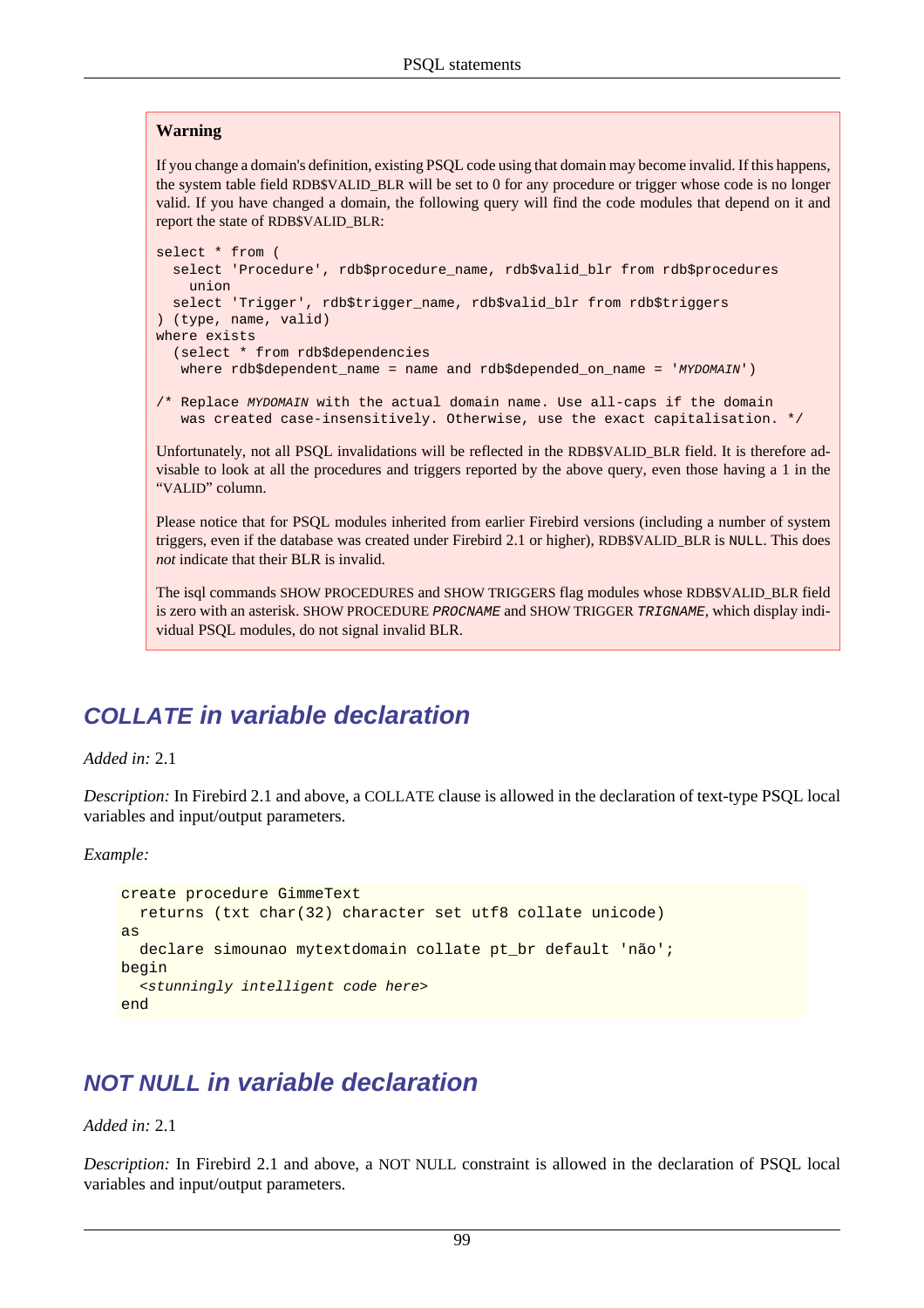#### **Warning**

If you change a domain's definition, existing PSQL code using that domain may become invalid. If this happens, the system table field RDB\$VALID\_BLR will be set to 0 for any procedure or trigger whose code is no longer valid. If you have changed a domain, the following query will find the code modules that depend on it and report the state of RDB\$VALID\_BLR:

```
select * from (
   select 'Procedure', rdb$procedure_name, rdb$valid_blr from rdb$procedures
     union
   select 'Trigger', rdb$trigger_name, rdb$valid_blr from rdb$triggers
) (type, name, valid)
where exists
   (select * from rdb$dependencies
  where rdb$dependent_name = name and rdb$depended_on_name = 'MYDOMAIN')
/* Replace MYDOMAIN with the actual domain name. Use all-caps if the domain
    was created case-insensitively. Otherwise, use the exact capitalisation. */
```
Unfortunately, not all PSOL invalidations will be reflected in the RDB\$VALID BLR field. It is therefore advisable to look at all the procedures and triggers reported by the above query, even those having a 1 in the "VALID" column.

Please notice that for PSQL modules inherited from earlier Firebird versions (including a number of system triggers, even if the database was created under Firebird 2.1 or higher), RDB\$VALID\_BLR is NULL. This does *not* indicate that their BLR is invalid.

The isql commands SHOW PROCEDURES and SHOW TRIGGERS flag modules whose RDB\$VALID\_BLR field is zero with an asterisk. SHOW PROCEDURE PROCNAME and SHOW TRIGGER TRIGNAME, which display individual PSQL modules, do not signal invalid BLR.

## **COLLATE in variable declaration**

*Added in:* 2.1

*Description:* In Firebird 2.1 and above, a COLLATE clause is allowed in the declaration of text-type PSQL local variables and input/output parameters.

*Example:*

```
create procedure GimmeText
  returns (txt char(32) character set utf8 collate unicode)
as
   declare simounao mytextdomain collate pt_br default 'não';
begin
   <stunningly intelligent code here>
end
```
## **NOT NULL in variable declaration**

#### *Added in:* 2.1

*Description:* In Firebird 2.1 and above, a NOT NULL constraint is allowed in the declaration of PSQL local variables and input/output parameters.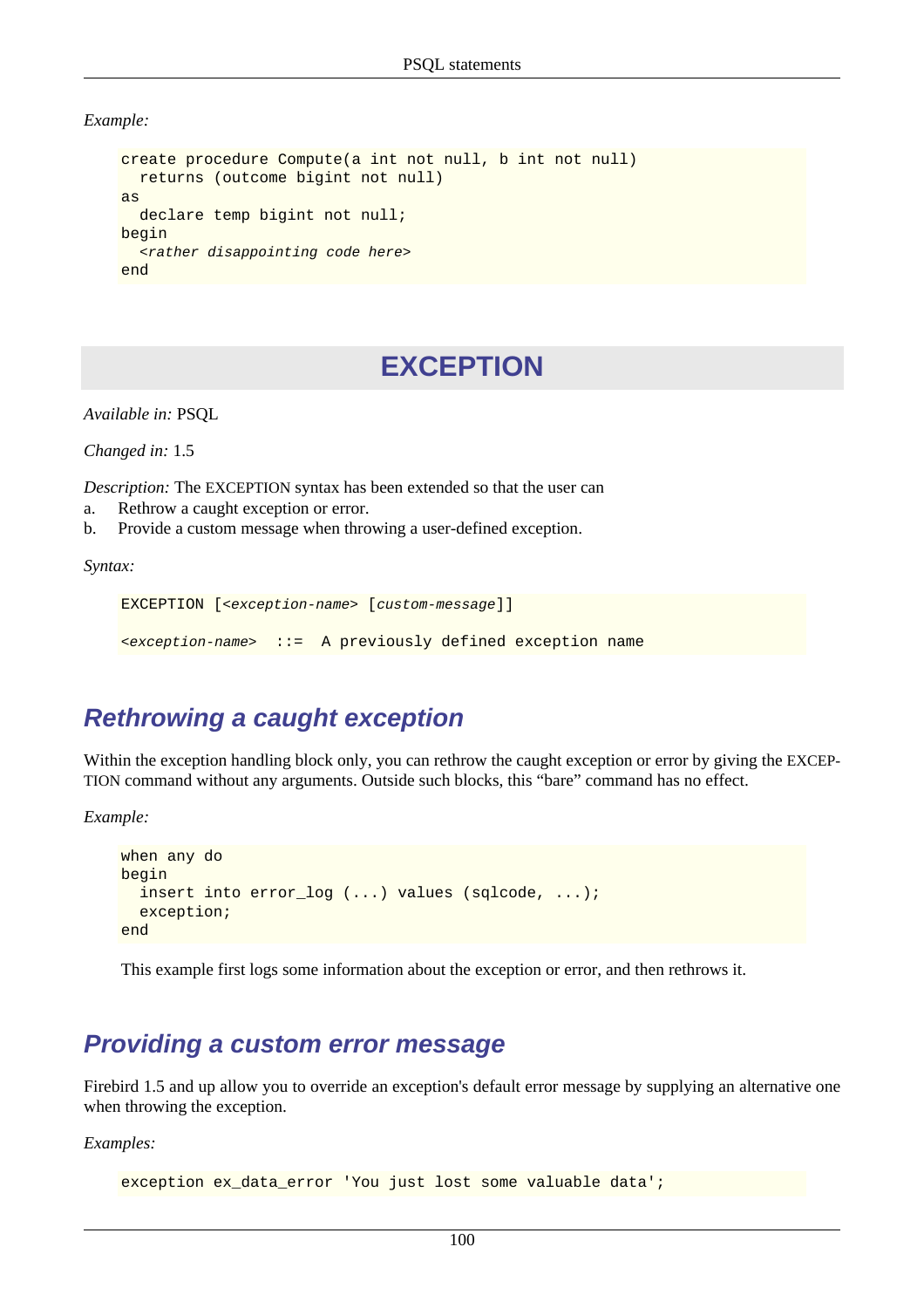*Example:*

```
create procedure Compute(a int not null, b int not null)
   returns (outcome bigint not null)
as
   declare temp bigint not null;
begin
   <rather disappointing code here>
end
```
## **EXCEPTION**

*Available in:* PSQL

*Changed in:* 1.5

*Description:* The EXCEPTION syntax has been extended so that the user can

- a. Rethrow a caught exception or error.
- b. Provide a custom message when throwing a user-defined exception.

*Syntax:*

```
EXCEPTION [<exception-name> [custom-message]]
```
<exception-name> ::= A previously defined exception name

## **Rethrowing a caught exception**

Within the exception handling block only, you can rethrow the caught exception or error by giving the EXCEP-TION command without any arguments. Outside such blocks, this "bare" command has no effect.

*Example:*

```
when any do
begin
   insert into error_log (...) values (sqlcode, ...);
   exception;
end
```
This example first logs some information about the exception or error, and then rethrows it.

## **Providing a custom error message**

Firebird 1.5 and up allow you to override an exception's default error message by supplying an alternative one when throwing the exception.

*Examples:*

```
exception ex_data_error 'You just lost some valuable data';
```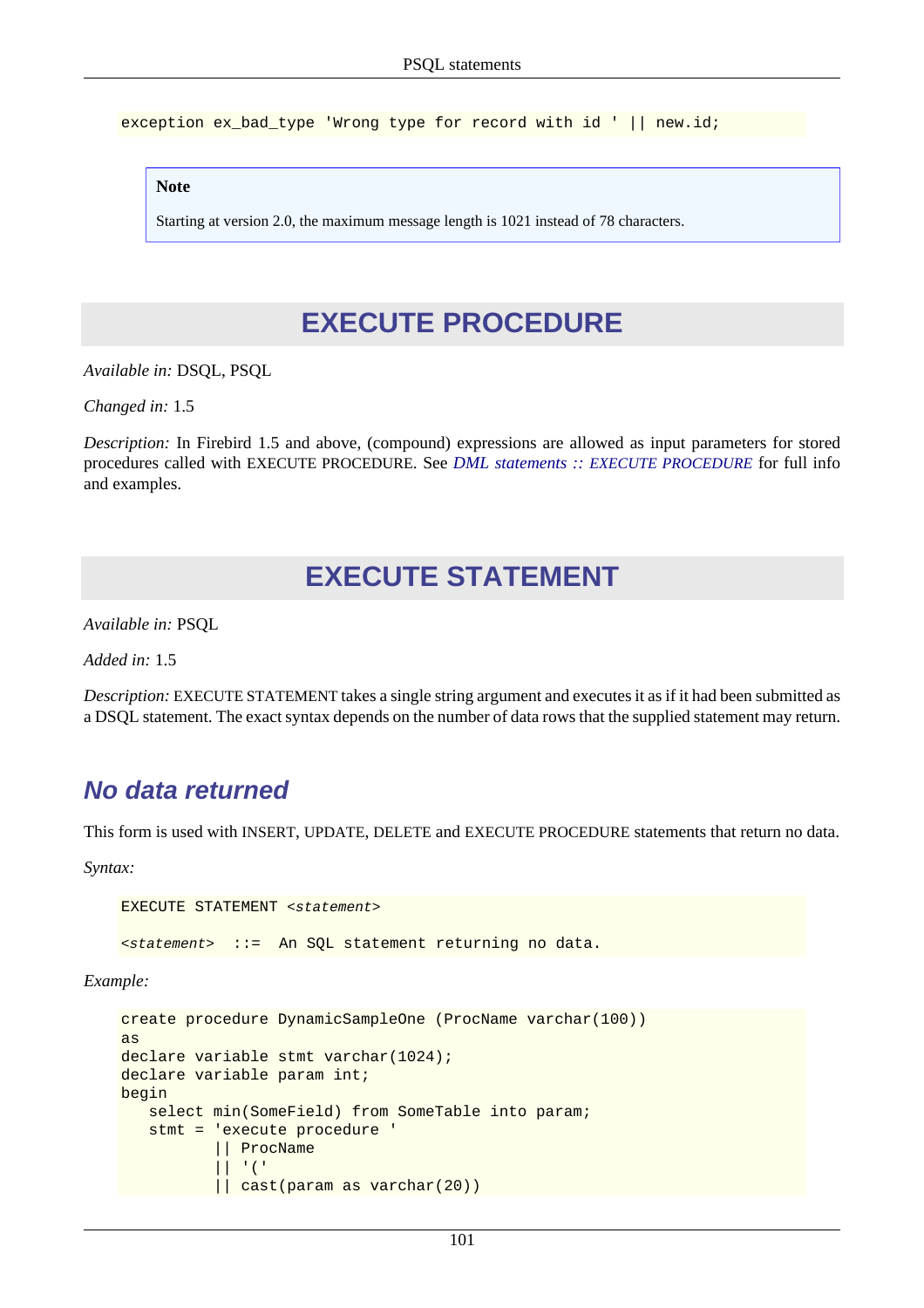exception ex\_bad\_type 'Wrong type for record with id ' || new.id;

#### **Note**

Starting at version 2.0, the maximum message length is 1021 instead of 78 characters.

## **EXECUTE PROCEDURE**

*Available in:* DSQL, PSQL

*Changed in:* 1.5

*Description:* In Firebird 1.5 and above, (compound) expressions are allowed as input parameters for stored procedures called with EXECUTE PROCEDURE. See *DML statements :: [EXECUTE PROCEDURE](#page-72-0)* for full info and examples.

## **EXECUTE STATEMENT**

*Available in:* PSQL

*Added in:* 1.5

*Description:* EXECUTE STATEMENT takes a single string argument and executes it as if it had been submitted as a DSQL statement. The exact syntax depends on the number of data rows that the supplied statement may return.

## **No data returned**

This form is used with INSERT, UPDATE, DELETE and EXECUTE PROCEDURE statements that return no data.

*Syntax:*

```
EXECUTE STATEMENT <statement>
<statement> ::= An SQL statement returning no data.
```
*Example:*

```
create procedure DynamicSampleOne (ProcName varchar(100))
as
declare variable stmt varchar(1024);
declare variable param int;
begin
   select min(SomeField) from SomeTable into param;
    stmt = 'execute procedure ' 
            || ProcName 
             | \cdot | | || cast(param as varchar(20))
```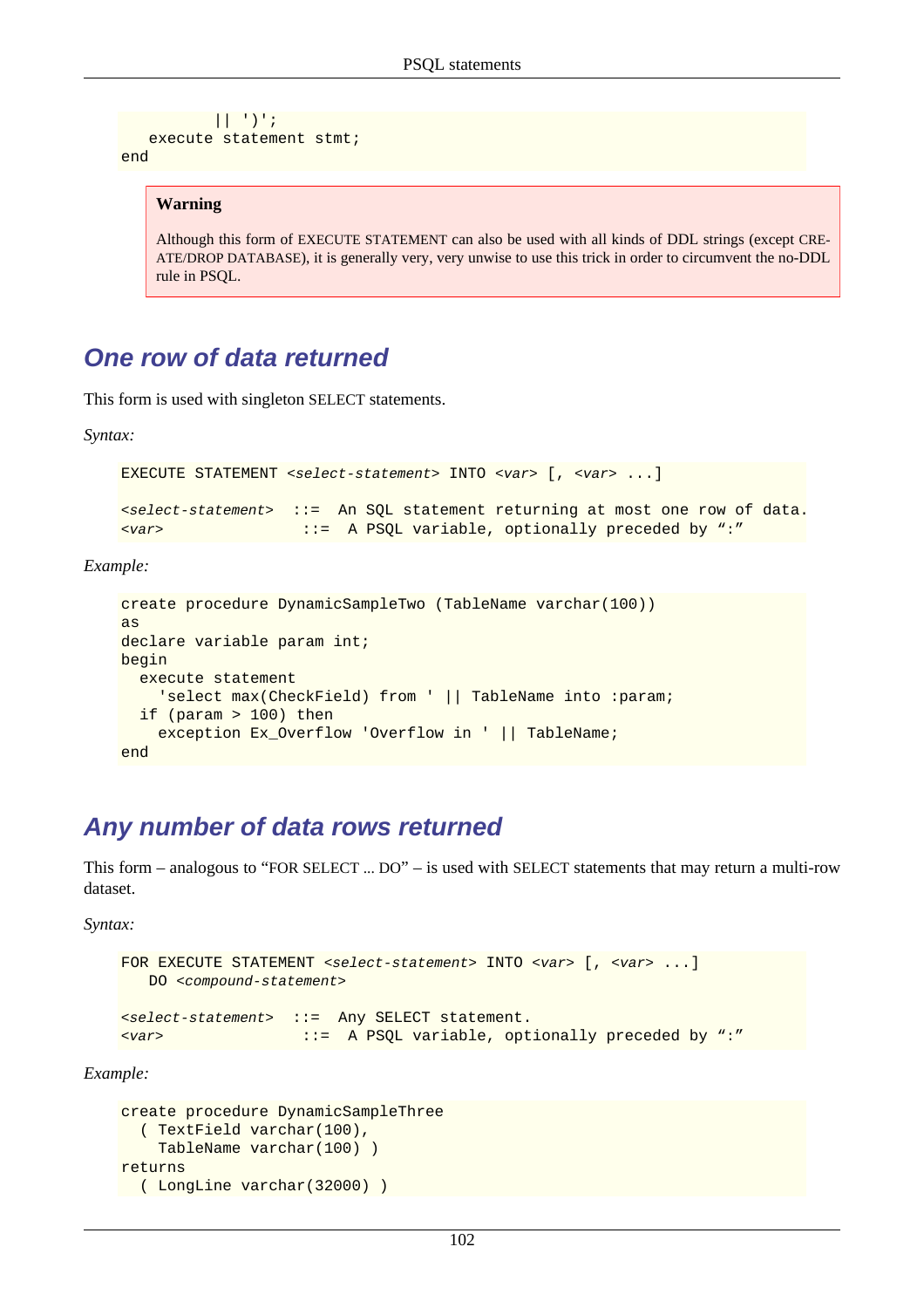```
 || ')';
   execute statement stmt;
end
```
#### **Warning**

Although this form of EXECUTE STATEMENT can also be used with all kinds of DDL strings (except CRE-ATE/DROP DATABASE), it is generally very, very unwise to use this trick in order to circumvent the no-DDL rule in PSQL.

## **One row of data returned**

This form is used with singleton SELECT statements.

*Syntax:*

```
EXECUTE STATEMENT <select-statement> INTO <var> [, <var> ...]
<select-statement> ::= An SQL statement returning at most one row of data.
<var> ::= A PSQL variable, optionally preceded by ":"
```
*Example:*

```
create procedure DynamicSampleTwo (TableName varchar(100))
as
declare variable param int;
begin
   execute statement
     'select max(CheckField) from ' || TableName into :param;
   if (param > 100) then
     exception Ex_Overflow 'Overflow in ' || TableName;
end
```
## <span id="page-112-0"></span>**Any number of data rows returned**

This form – analogous to "FOR SELECT ... DO" – is used with SELECT statements that may return a multi-row dataset.

*Syntax:*

```
FOR EXECUTE STATEMENT <select-statement> INTO <var> [, <var> ...]
   DO <compound-statement>
<select-statement> ::= Any SELECT statement.
<var> ::= A PSQL variable, optionally preceded by ":"
```
*Example:*

```
create procedure DynamicSampleThree 
   ( TextField varchar(100),
     TableName varchar(100) )
returns 
 ( LongLine varchar(32000) )
```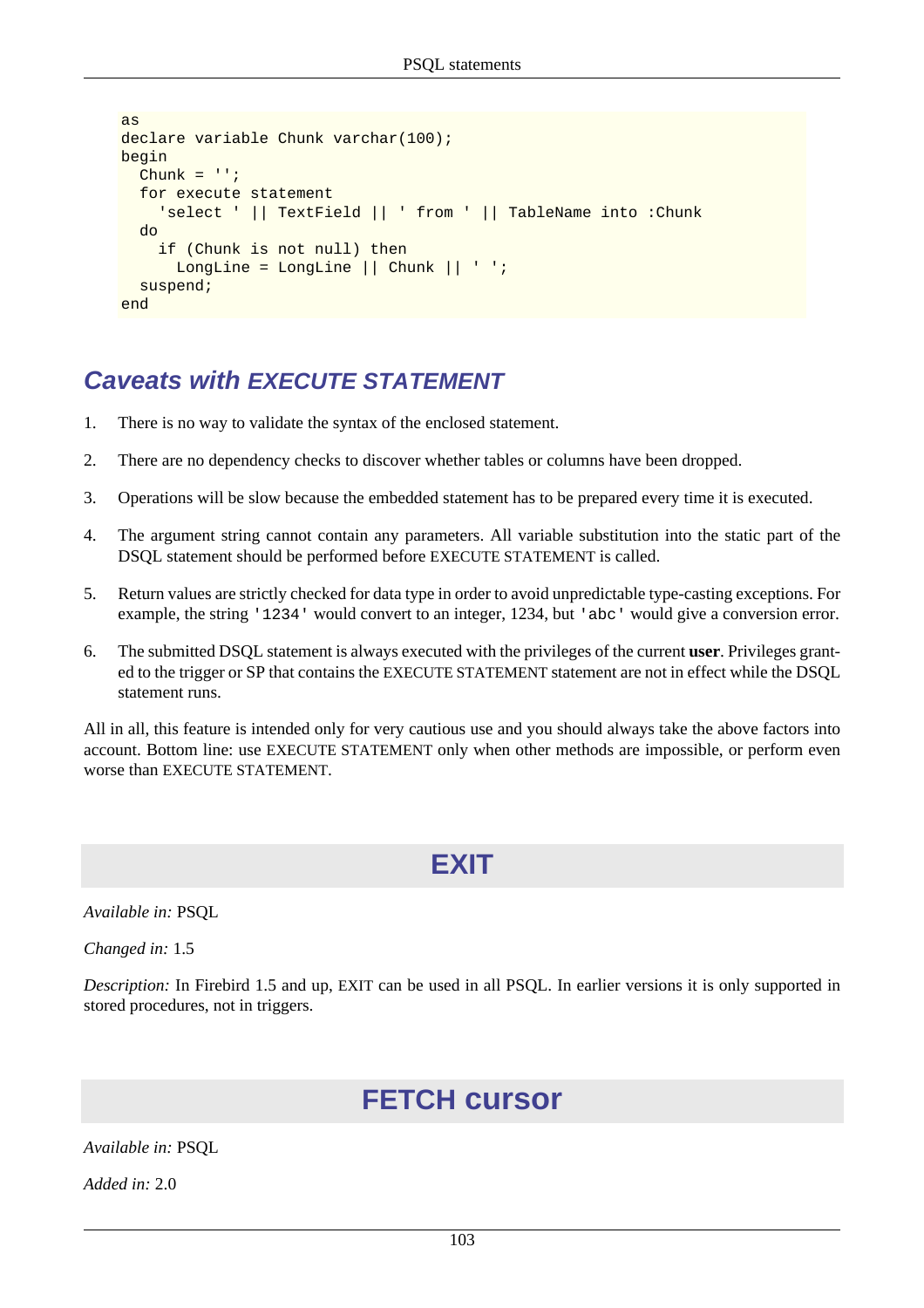```
as
declare variable Chunk varchar(100);
begin
  Chunk = ''': for execute statement
     'select ' || TextField || ' from ' || TableName into :Chunk
   do
     if (Chunk is not null) then
      LongLine = LongLine || Chunk || ' ';
   suspend;
end
```
## **Caveats with EXECUTE STATEMENT**

- 1. There is no way to validate the syntax of the enclosed statement.
- 2. There are no dependency checks to discover whether tables or columns have been dropped.
- 3. Operations will be slow because the embedded statement has to be prepared every time it is executed.
- 4. The argument string cannot contain any parameters. All variable substitution into the static part of the DSQL statement should be performed before EXECUTE STATEMENT is called.
- 5. Return values are strictly checked for data type in order to avoid unpredictable type-casting exceptions. For example, the string '1234' would convert to an integer, 1234, but 'abc' would give a conversion error.
- 6. The submitted DSQL statement is always executed with the privileges of the current **user**. Privileges granted to the trigger or SP that contains the EXECUTE STATEMENT statement are not in effect while the DSQL statement runs.

All in all, this feature is intended only for very cautious use and you should always take the above factors into account. Bottom line: use EXECUTE STATEMENT only when other methods are impossible, or perform even worse than EXECUTE STATEMENT.

## **EXIT**

*Available in:* PSQL

*Changed in:* 1.5

<span id="page-113-0"></span>*Description:* In Firebird 1.5 and up, EXIT can be used in all PSQL. In earlier versions it is only supported in stored procedures, not in triggers.

# **FETCH cursor**

*Available in:* PSQL

*Added in:* 2.0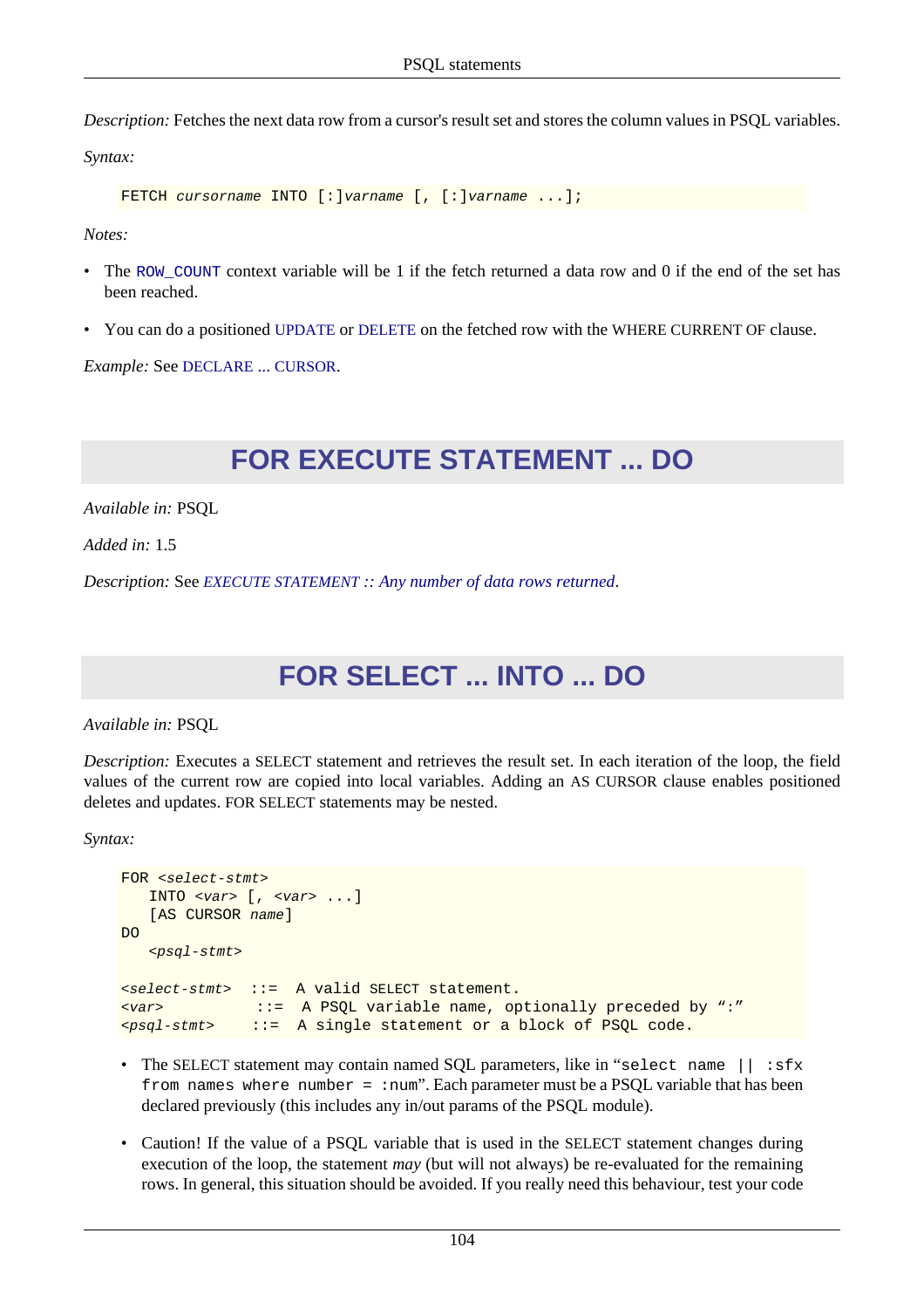*Description:* Fetches the next data row from a cursor's result set and stores the column values in PSQL variables.

*Syntax:*

```
FETCH cursorname INTO [:]varname [, [:]varname ...];
```
*Notes:*

- The ROW COUNT context variable will be 1 if the fetch returned a data row and 0 if the end of the set has been reached.
- You can do a positioned [UPDATE](#page-94-0) or [DELETE](#page-66-0) on the fetched row with the WHERE CURRENT OF clause.

*Example:* See [DECLARE](#page-107-0) ... CURSOR.

# **FOR EXECUTE STATEMENT ... DO**

*Available in:* PSQL

*Added in:* 1.5

*Description:* See *EXECUTE STATEMENT [:: Any number of data rows returned](#page-112-0)*.

# **FOR SELECT ... INTO ... DO**

*Available in:* PSQL

*Description:* Executes a SELECT statement and retrieves the result set. In each iteration of the loop, the field values of the current row are copied into local variables. Adding an AS CURSOR clause enables positioned deletes and updates. FOR SELECT statements may be nested.

*Syntax:*

```
FOR <select-stmt>
   INTO \langle var \rangle [, \langle var \rangle ...]
   [AS CURSOR name]
D<sub>O</sub><psql-stmt>
<select-stmt> ::= A valid SELECT statement.
<var> ::= A PSQL variable name, optionally preceded by ":"
<psql-stmt> ::= A single statement or a block of PSQL code.
```
- The SELECT statement may contain named SQL parameters, like in "select name  $||$ : sfx from names where number =  $:num$ . Each parameter must be a PSQL variable that has been declared previously (this includes any in/out params of the PSQL module).
- Caution! If the value of a PSQL variable that is used in the SELECT statement changes during execution of the loop, the statement *may* (but will not always) be re-evaluated for the remaining rows. In general, this situation should be avoided. If you really need this behaviour, test your code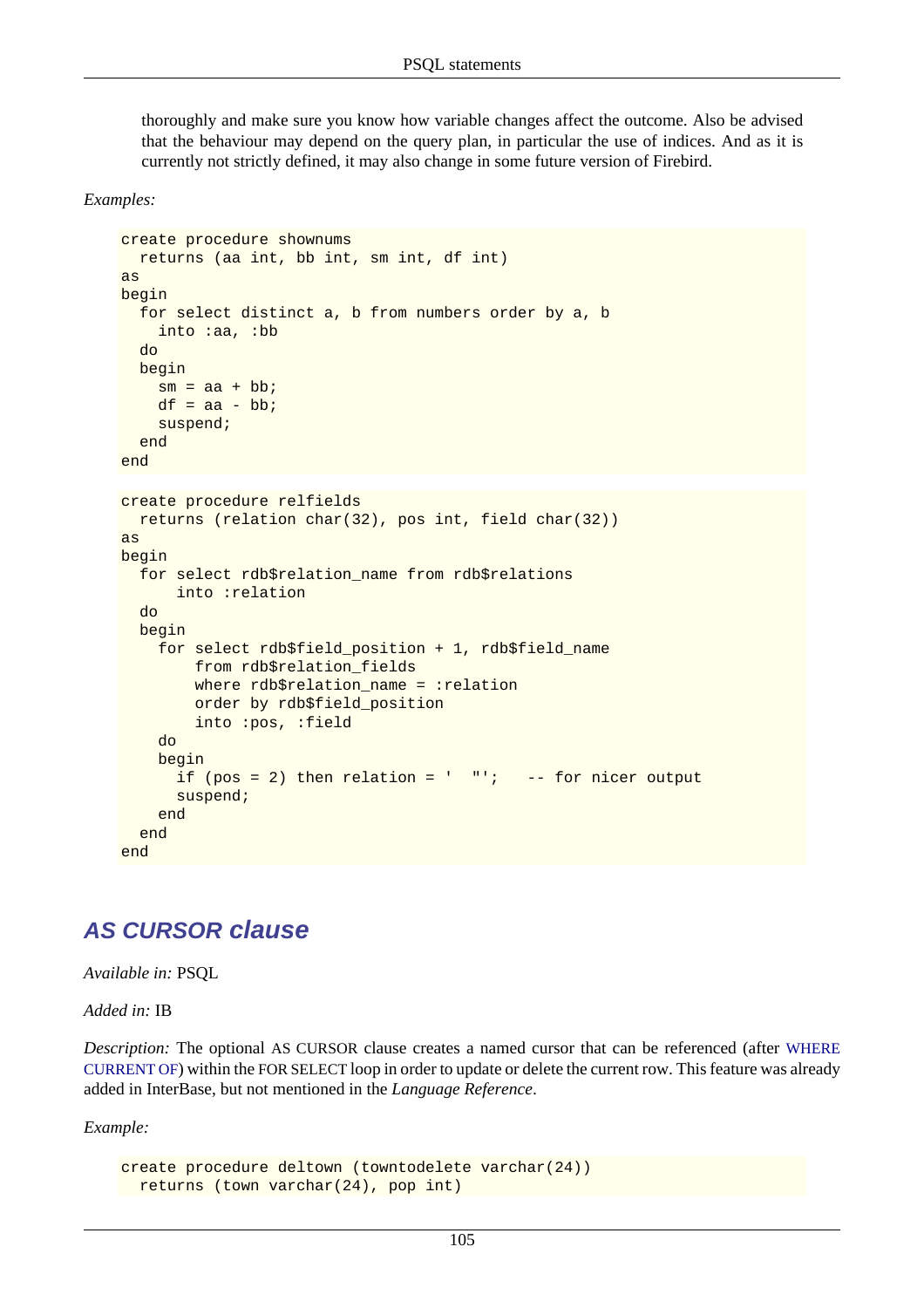thoroughly and make sure you know how variable changes affect the outcome. Also be advised that the behaviour may depend on the query plan, in particular the use of indices. And as it is currently not strictly defined, it may also change in some future version of Firebird.

*Examples:*

```
create procedure shownums
  returns (aa int, bb int, sm int, df int)
as
begin
   for select distinct a, b from numbers order by a, b
     into :aa, :bb
   do
   begin
    sm = aa + bb;
    df = aa - bb;
     suspend;
   end
end
create procedure relfields
   returns (relation char(32), pos int, field char(32))
as
begin
   for select rdb$relation_name from rdb$relations
       into :relation
   do
   begin
     for select rdb$field_position + 1, rdb$field_name
         from rdb$relation_fields
         where rdb$relation_name = :relation
         order by rdb$field_position
         into :pos, :field
     do
     begin
      if (pos = 2) then relation = ' "'; -- for nicer output
       suspend;
     end
   end
end
```
#### **AS CURSOR clause**

*Available in:* PSQL

*Added in:* IB

*Description:* The optional AS CURSOR clause creates a named cursor that can be referenced (after [WHERE](#page-118-0) [CURRENT OF](#page-118-0)) within the FOR SELECT loop in order to update or delete the current row. This feature was already added in InterBase, but not mentioned in the *Language Reference*.

*Example:*

```
create procedure deltown (towntodelete varchar(24))
 returns (town varchar(24), pop int)
```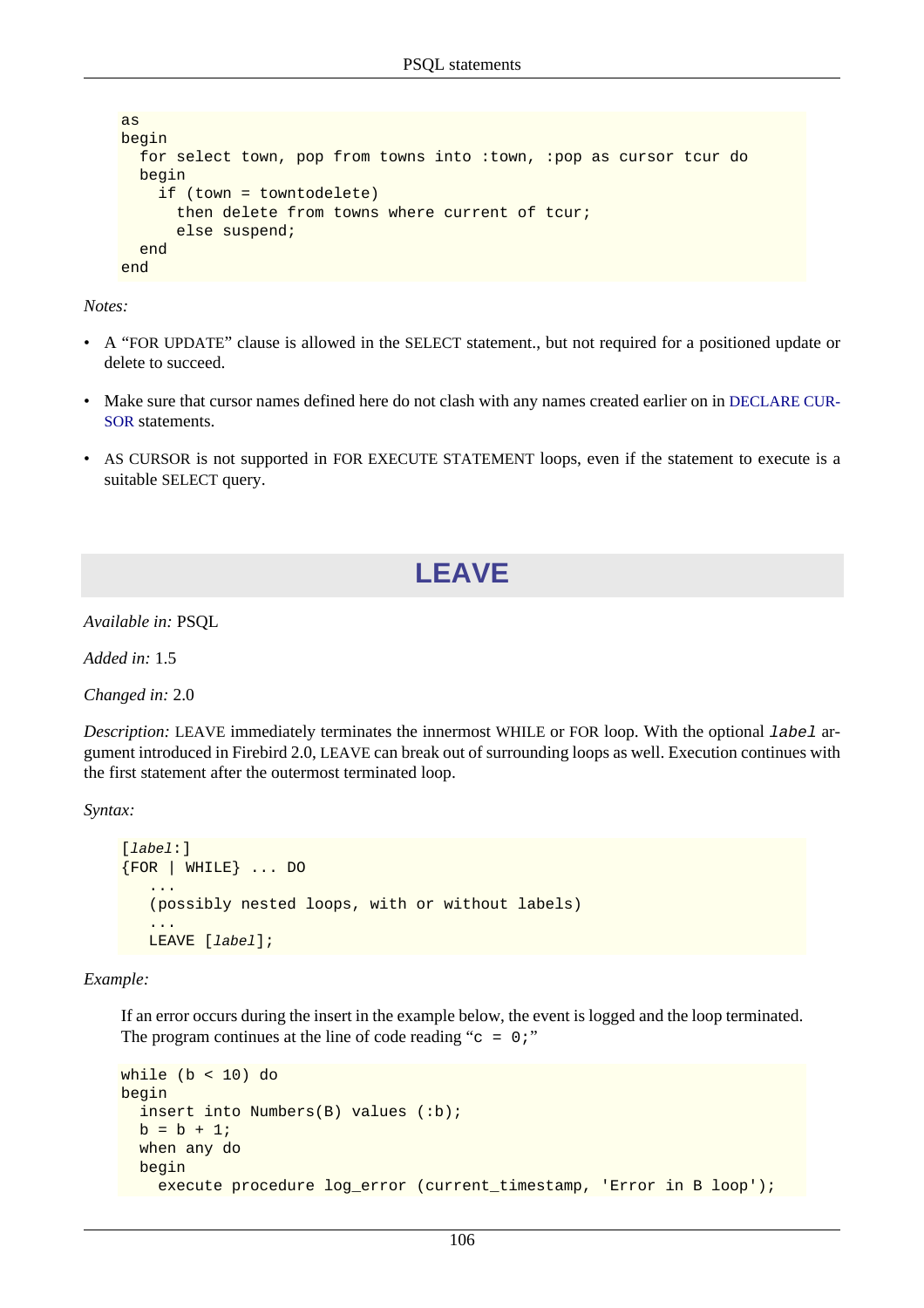```
as
begin
   for select town, pop from towns into :town, :pop as cursor tcur do
   begin
     if (town = towntodelete)
       then delete from towns where current of tcur;
       else suspend;
   end
end
```
*Notes:*

- A "FOR UPDATE" clause is allowed in the SELECT statement., but not required for a positioned update or delete to succeed.
- Make sure that cursor names defined here do not clash with any names created earlier on in [DECLARE CUR-](#page-107-0)[SOR](#page-107-0) statements.
- AS CURSOR is not supported in FOR EXECUTE STATEMENT loops, even if the statement to execute is a suitable SELECT query.

# **LEAVE**

*Available in:* PSQL

*Added in:* 1.5

*Changed in:* 2.0

*Description:* LEAVE immediately terminates the innermost WHILE or FOR loop. With the optional label argument introduced in Firebird 2.0, LEAVE can break out of surrounding loops as well. Execution continues with the first statement after the outermost terminated loop.

*Syntax:*

```
[label:]
{FOR | WHILE} ... DO
 ...
    (possibly nested loops, with or without labels)
 ...
  LEAVE [label];
```
*Example:*

If an error occurs during the insert in the example below, the event is logged and the loop terminated. The program continues at the line of code reading " $c = 0$ ;"

```
while (b < 10) do
begin
   insert into Numbers(B) values (:b);
  b = b + 1; when any do
  begin
     execute procedure log_error (current_timestamp, 'Error in B loop');
```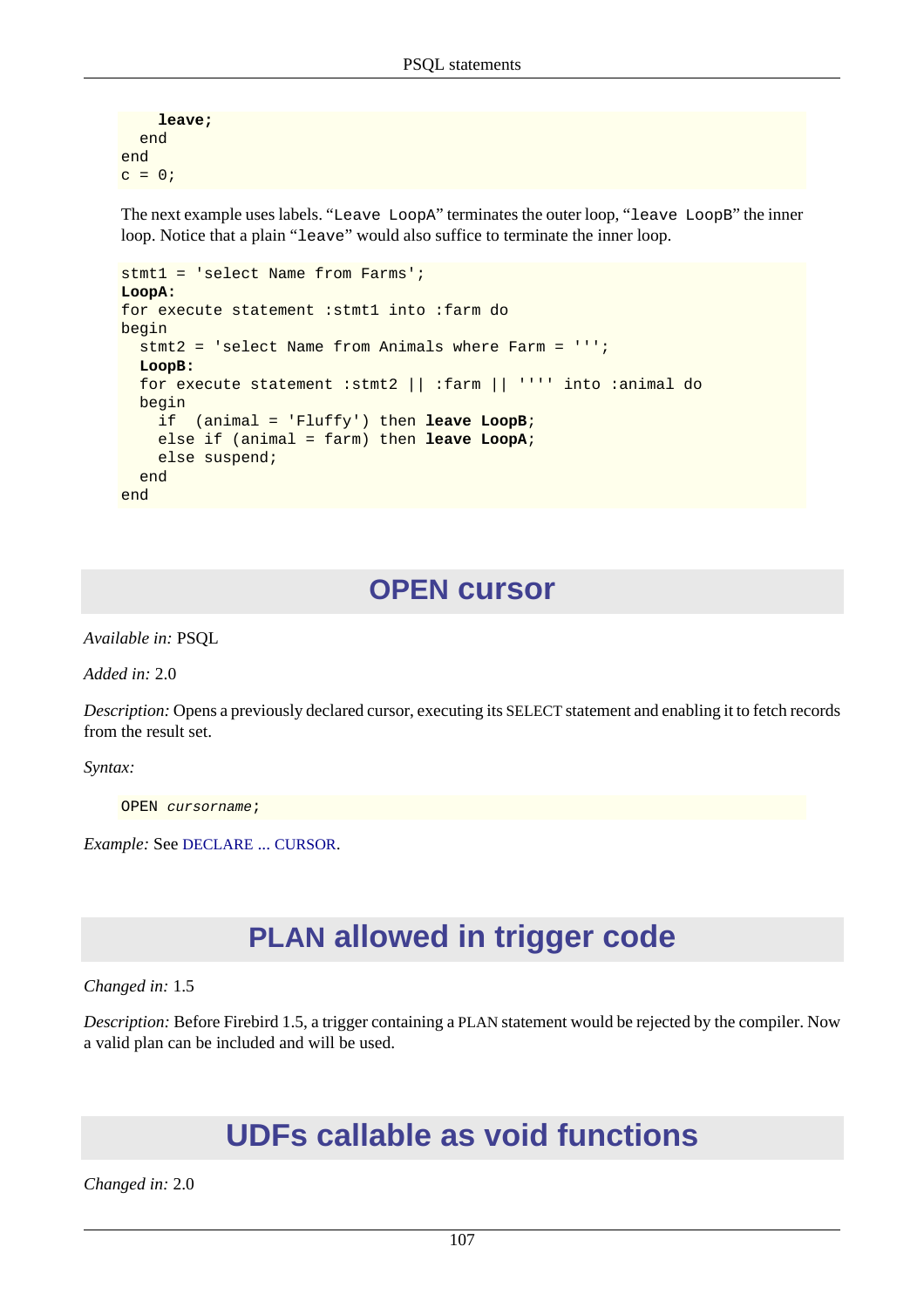```
 leave;
   end
end
c = 0;
```
The next example uses labels. "Leave LoopA" terminates the outer loop, "leave LoopB" the inner loop. Notice that a plain "leave" would also suffice to terminate the inner loop.

```
stmt1 = 'select Name from Farms';
LoopA:
for execute statement :stmt1 into :farm do
begin
   stmt2 = 'select Name from Animals where Farm = ''';
  LoopB:
  for execute statement :stmt2 || :farm || '''' into :animal do
  begin
     if (animal = 'Fluffy') then leave LoopB;
     else if (animal = farm) then leave LoopA;
     else suspend;
   end
end
```
## **OPEN cursor**

<span id="page-117-0"></span>*Available in:* PSQL

*Added in:* 2.0

*Description:* Opens a previously declared cursor, executing its SELECT statement and enabling it to fetch records from the result set.

*Syntax:*

OPEN cursorname;

*Example:* See [DECLARE](#page-107-0) ... CURSOR.

# **PLAN allowed in trigger code**

*Changed in:* 1.5

*Description:* Before Firebird 1.5, a trigger containing a PLAN statement would be rejected by the compiler. Now a valid plan can be included and will be used.

# **UDFs callable as void functions**

*Changed in:* 2.0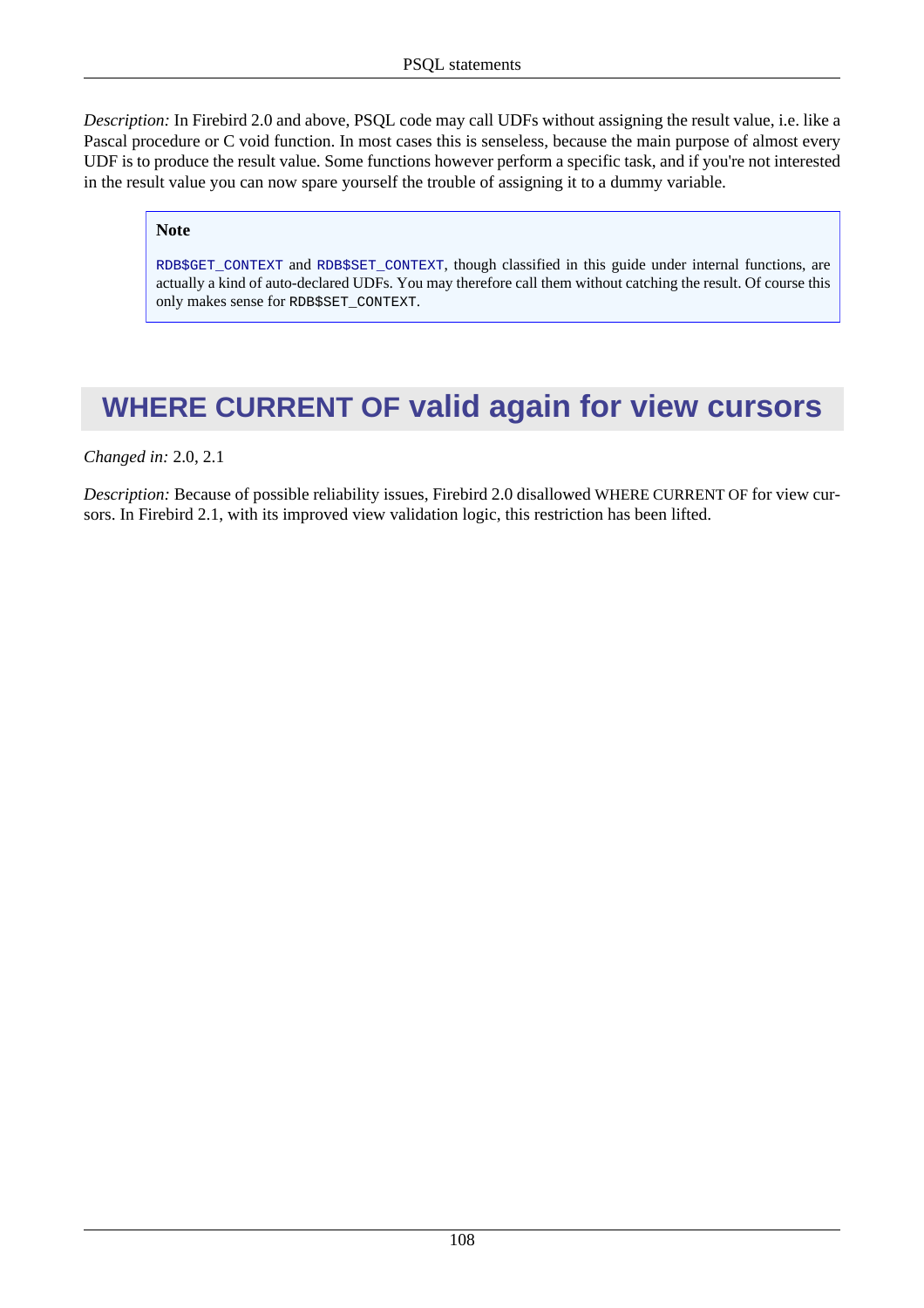*Description:* In Firebird 2.0 and above, PSQL code may call UDFs without assigning the result value, i.e. like a Pascal procedure or C void function. In most cases this is senseless, because the main purpose of almost every UDF is to produce the result value. Some functions however perform a specific task, and if you're not interested in the result value you can now spare yourself the trouble of assigning it to a dummy variable.

#### **Note**

[RDB\\$GET\\_CONTEXT](#page-161-0) and [RDB\\$SET\\_CONTEXT](#page-162-0), though classified in this guide under internal functions, are actually a kind of auto-declared UDFs. You may therefore call them without catching the result. Of course this only makes sense for RDB\$SET\_CONTEXT.

# <span id="page-118-0"></span>**WHERE CURRENT OF valid again for view cursors**

*Changed in:* 2.0, 2.1

*Description:* Because of possible reliability issues, Firebird 2.0 disallowed WHERE CURRENT OF for view cursors. In Firebird 2.1, with its improved view validation logic, this restriction has been lifted.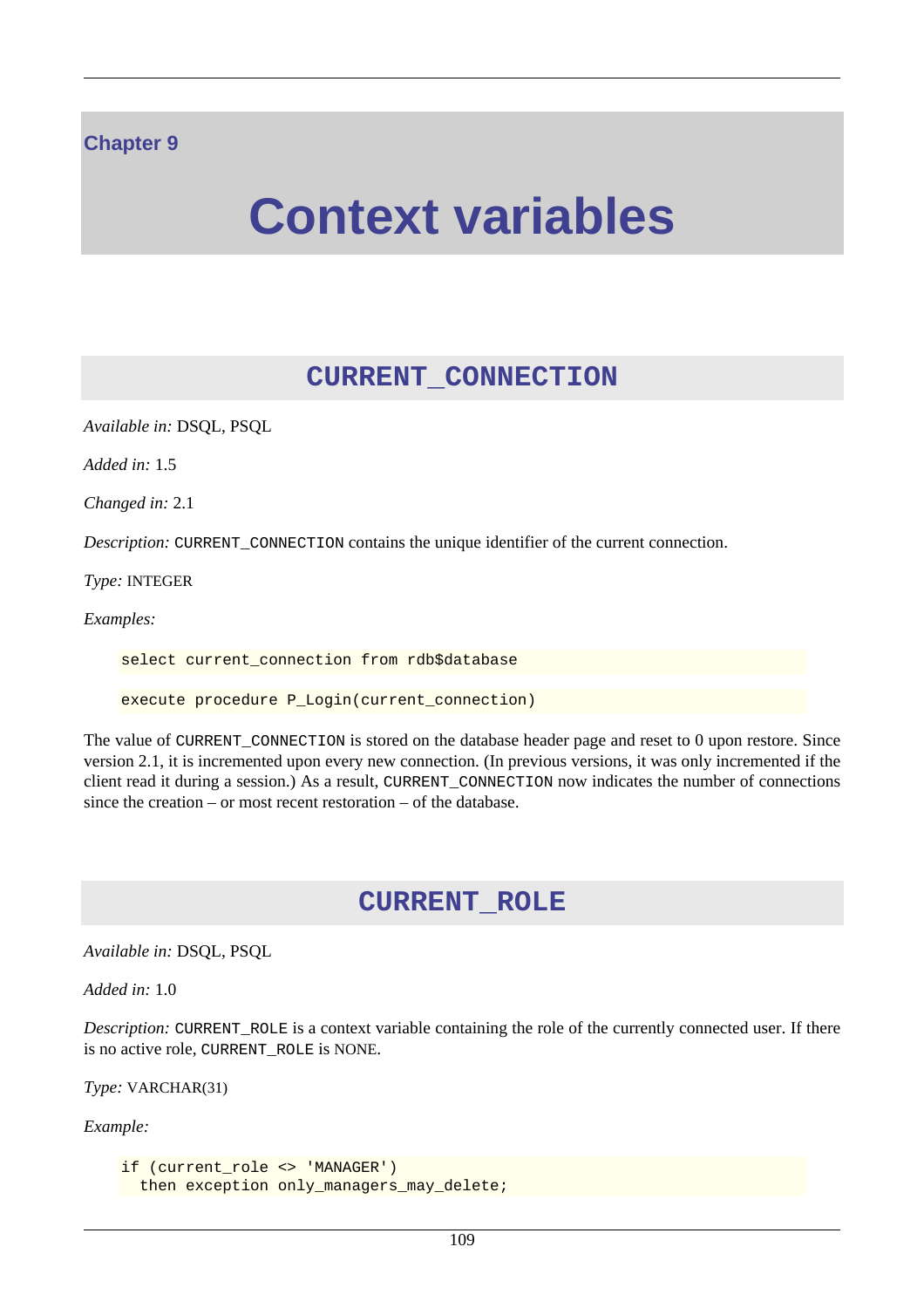#### **Chapter 9**

# **Context variables**

## **CURRENT\_CONNECTION**

*Available in:* DSQL, PSQL

*Added in:* 1.5

*Changed in:* 2.1

*Description:* CURRENT CONNECTION contains the unique identifier of the current connection.

*Type:* INTEGER

*Examples:*

select current\_connection from rdb\$database

execute procedure P\_Login(current\_connection)

The value of CURRENT\_CONNECTION is stored on the database header page and reset to 0 upon restore. Since version 2.1, it is incremented upon every new connection. (In previous versions, it was only incremented if the client read it during a session.) As a result, CURRENT\_CONNECTION now indicates the number of connections since the creation – or most recent restoration – of the database.

## **CURRENT\_ROLE**

*Available in:* DSQL, PSQL

*Added in:* 1.0

*Description:* CURRENT\_ROLE is a context variable containing the role of the currently connected user. If there is no active role, CURRENT\_ROLE is NONE.

*Type:* VARCHAR(31)

*Example:*

```
if (current_role <> 'MANAGER')
 then exception only_managers_may_delete;
```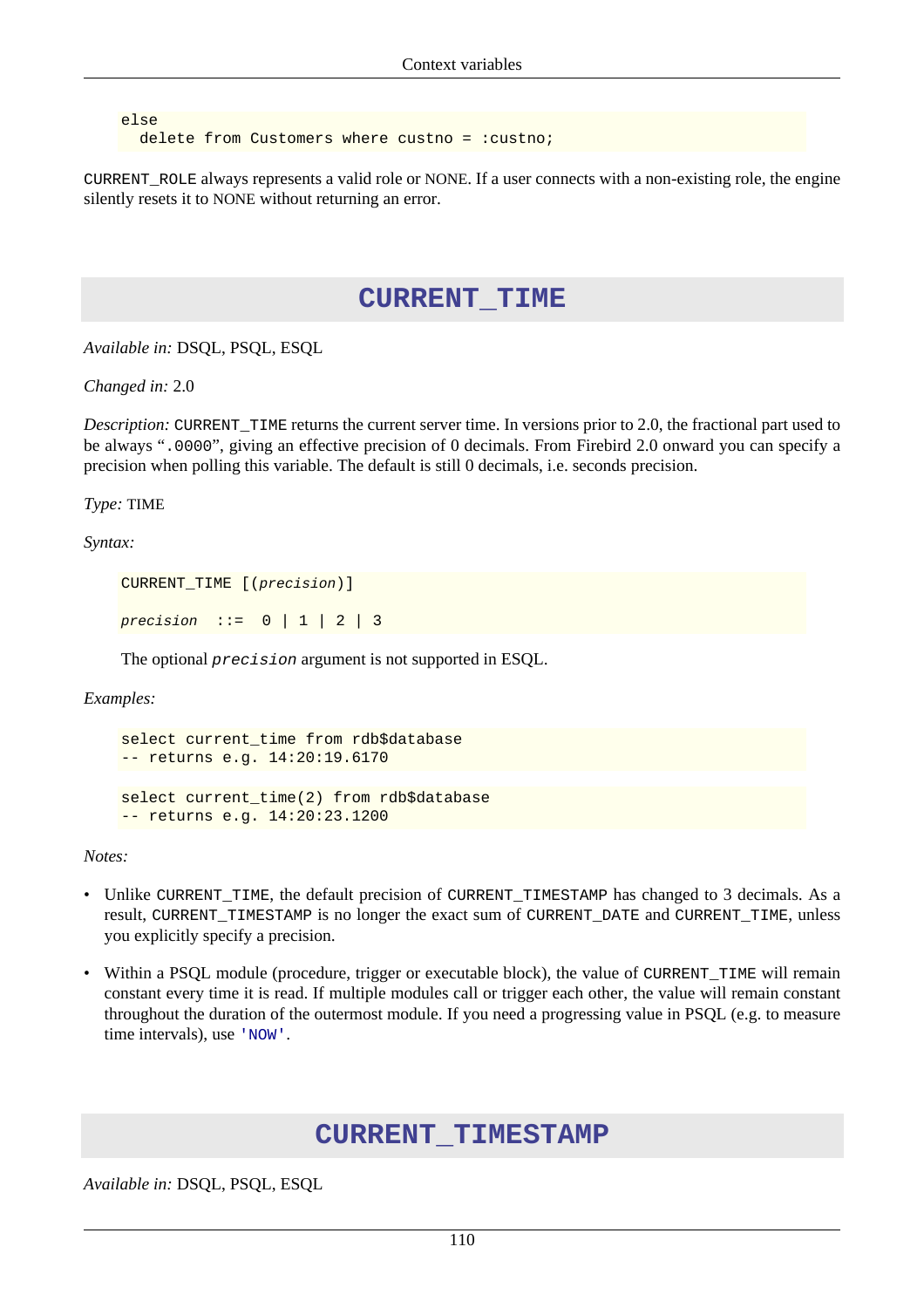else delete from Customers where custno =  $:$  custno;

<span id="page-120-0"></span>CURRENT\_ROLE always represents a valid role or NONE. If a user connects with a non-existing role, the engine silently resets it to NONE without returning an error.

#### **CURRENT\_TIME**

*Available in:* DSQL, PSQL, ESQL

*Changed in:* 2.0

*Description:* CURRENT\_TIME returns the current server time. In versions prior to 2.0, the fractional part used to be always ".0000", giving an effective precision of 0 decimals. From Firebird 2.0 onward you can specify a precision when polling this variable. The default is still 0 decimals, i.e. seconds precision.

*Type:* TIME

*Syntax:*

CURRENT\_TIME [(precision)]

precision  $::= 0 | 1 | 2 | 3$ 

-- returns e.g. 14:20:23.1200

The optional precision argument is not supported in ESQL.

*Examples:*

```
select current_time from rdb$database
-- returns e.g. 14:20:19.6170
select current_time(2) from rdb$database
```
*Notes:*

- Unlike CURRENT\_TIME, the default precision of CURRENT\_TIMESTAMP has changed to 3 decimals. As a result, CURRENT\_TIMESTAMP is no longer the exact sum of CURRENT\_DATE and CURRENT\_TIME, unless you explicitly specify a precision.
- <span id="page-120-1"></span>• Within a PSQL module (procedure, trigger or executable block), the value of CURRENT\_TIME will remain constant every time it is read. If multiple modules call or trigger each other, the value will remain constant throughout the duration of the outermost module. If you need a progressing value in PSQL (e.g. to measure time intervals), use ['NOW'](#page-124-0).

#### **CURRENT\_TIMESTAMP**

*Available in:* DSQL, PSQL, ESQL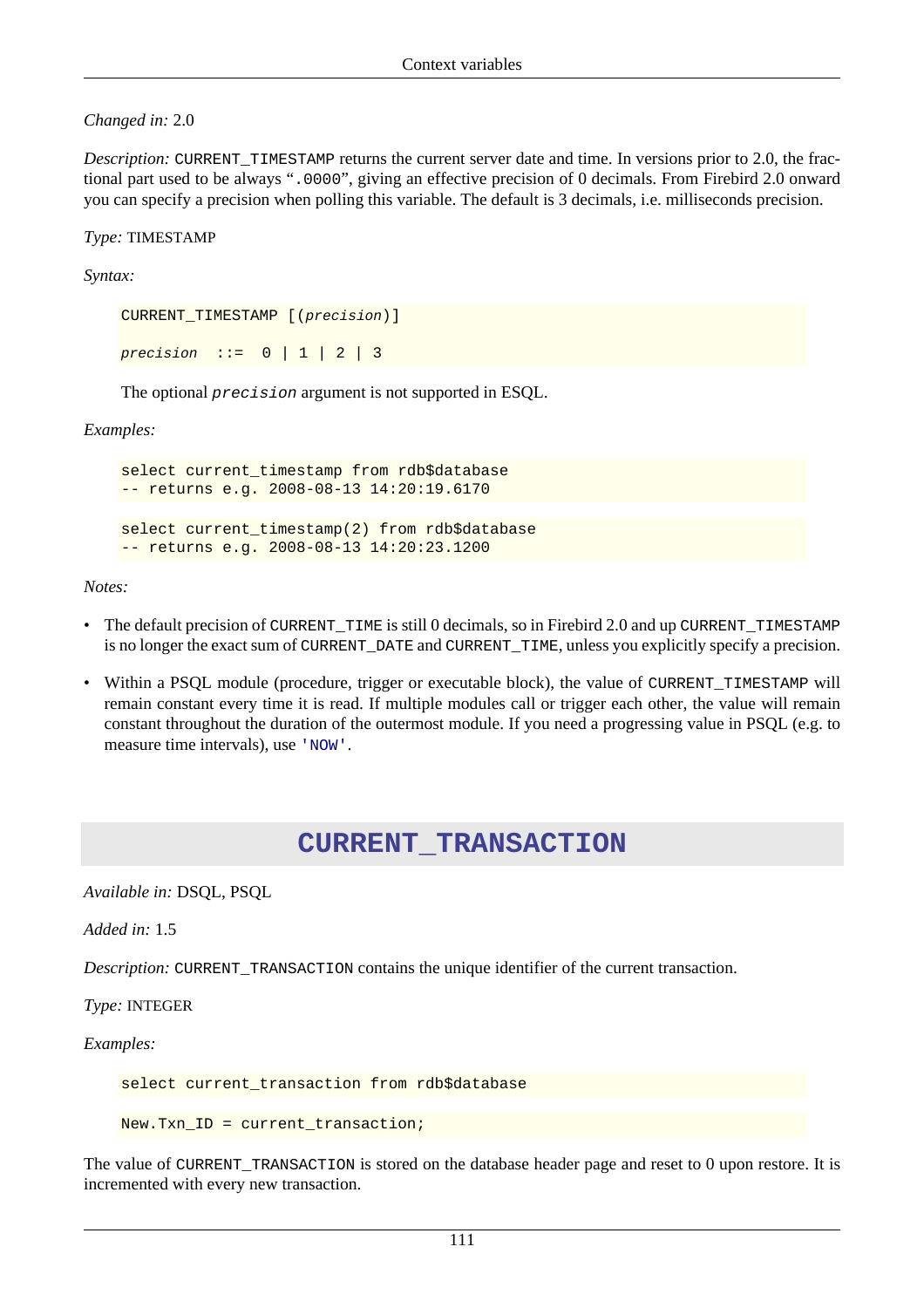*Changed in:* 2.0

*Description:* CURRENT\_TIMESTAMP returns the current server date and time. In versions prior to 2.0, the fractional part used to be always ".0000", giving an effective precision of 0 decimals. From Firebird 2.0 onward you can specify a precision when polling this variable. The default is 3 decimals, i.e. milliseconds precision.

*Type:* TIMESTAMP

*Syntax:*

CURRENT\_TIMESTAMP [(precision)] precision  $::= 0 | 1 | 2 | 3$ 

The optional precision argument is not supported in ESQL.

*Examples:*

```
select current timestamp from rdb$database
-- returns e.g. 2008-08-13 14:20:19.6170
select current timestamp(2) from rdb$database
-- returns e.g. 2008-08-13 14:20:23.1200
```
*Notes:*

- The default precision of CURRENT\_TIME is still 0 decimals, so in Firebird 2.0 and up CURRENT\_TIMESTAMP is no longer the exact sum of CURRENT\_DATE and CURRENT\_TIME, unless you explicitly specify a precision.
- Within a PSQL module (procedure, trigger or executable block), the value of CURRENT\_TIMESTAMP will remain constant every time it is read. If multiple modules call or trigger each other, the value will remain constant throughout the duration of the outermost module. If you need a progressing value in PSQL (e.g. to measure time intervals), use ['NOW'](#page-124-0).

## **CURRENT\_TRANSACTION**

*Available in:* DSQL, PSQL

*Added in:* 1.5

*Description:* CURRENT\_TRANSACTION contains the unique identifier of the current transaction.

*Type:* INTEGER

*Examples:*

select current\_transaction from rdb\$database

New.Txn ID = current transaction;

The value of CURRENT\_TRANSACTION is stored on the database header page and reset to 0 upon restore. It is incremented with every new transaction.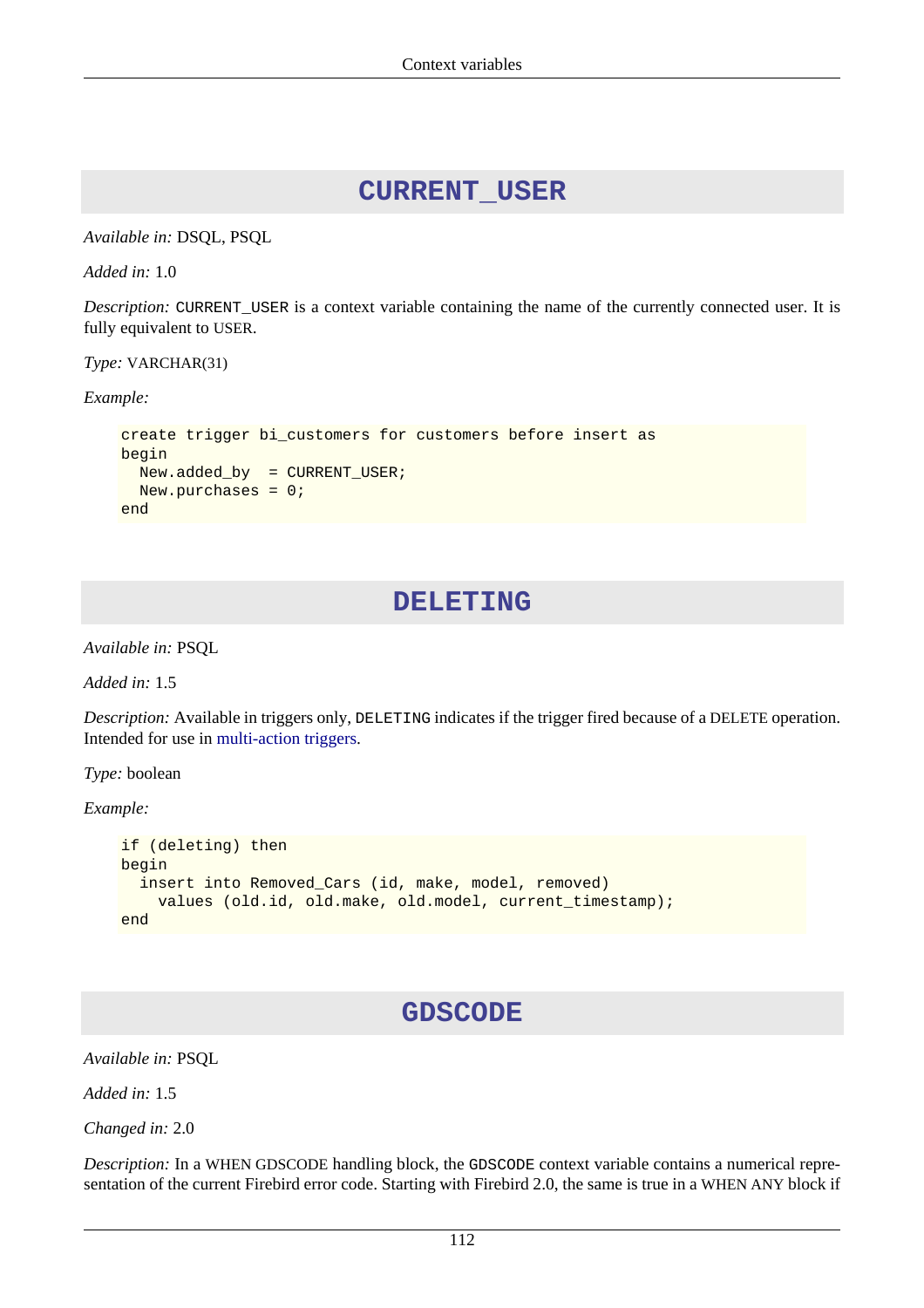### **CURRENT\_USER**

*Available in:* DSQL, PSQL

*Added in:* 1.0

*Description:* CURRENT\_USER is a context variable containing the name of the currently connected user. It is fully equivalent to USER.

*Type:* VARCHAR(31)

*Example:*

```
create trigger bi_customers for customers before insert as
begin
   New.added_by = CURRENT_USER;
   New.purchases = 0;
end
```
#### **DELETING**

*Available in:* PSQL

*Added in:* 1.5

*Description:* Available in triggers only, DELETING indicates if the trigger fired because of a DELETE operation. Intended for use in [multi-action triggers.](#page-59-0)

*Type:* boolean

*Example:*

```
if (deleting) then
begin
   insert into Removed_Cars (id, make, model, removed)
     values (old.id, old.make, old.model, current_timestamp);
end
```
## **GDSCODE**

*Available in:* PSQL

*Added in:* 1.5

*Changed in:* 2.0

*Description:* In a WHEN GDSCODE handling block, the GDSCODE context variable contains a numerical representation of the current Firebird error code. Starting with Firebird 2.0, the same is true in a WHEN ANY block if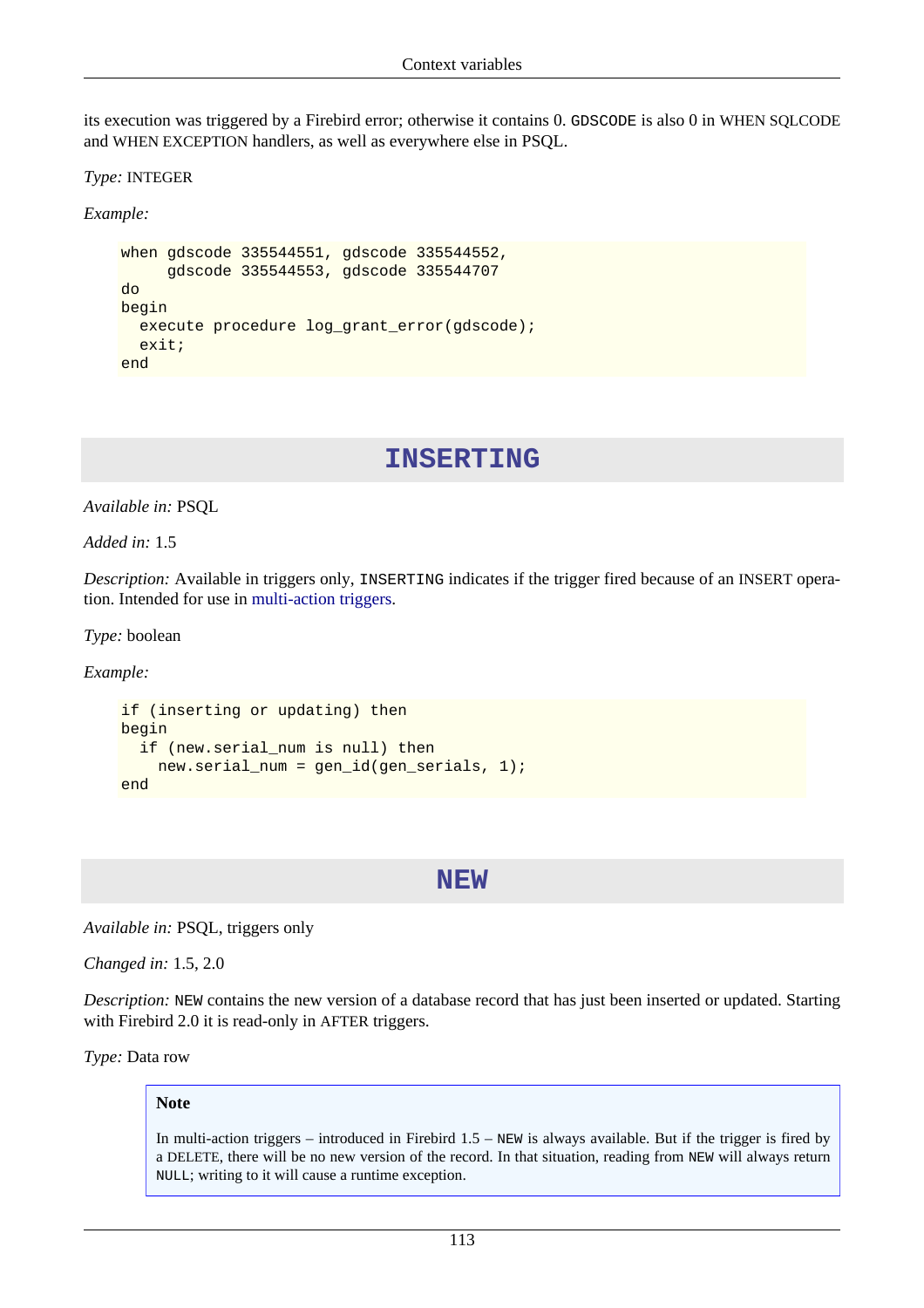its execution was triggered by a Firebird error; otherwise it contains 0. GDSCODE is also 0 in WHEN SQLCODE and WHEN EXCEPTION handlers, as well as everywhere else in PSQL.

*Type:* INTEGER

*Example:*

```
when gdscode 335544551, gdscode 335544552,
      gdscode 335544553, gdscode 335544707
do
begin
  execute procedure log_grant_error(gdscode);
  exit;
end
```
#### **INSERTING**

*Available in:* PSQL

*Added in:* 1.5

*Description:* Available in triggers only, INSERTING indicates if the trigger fired because of an INSERT operation. Intended for use in [multi-action triggers](#page-59-0).

*Type:* boolean

*Example:*

```
if (inserting or updating) then
begin
   if (new.serial_num is null) then
     new.serial_num = gen_id(gen_serials, 1);
end
```
#### **NEW**

*Available in:* PSQL, triggers only

*Changed in:* 1.5, 2.0

*Description:* NEW contains the new version of a database record that has just been inserted or updated. Starting with Firebird 2.0 it is read-only in AFTER triggers.

*Type:* Data row

#### **Note**

In multi-action triggers – introduced in Firebird 1.5 – NEW is always available. But if the trigger is fired by a DELETE, there will be no new version of the record. In that situation, reading from NEW will always return NULL; writing to it will cause a runtime exception.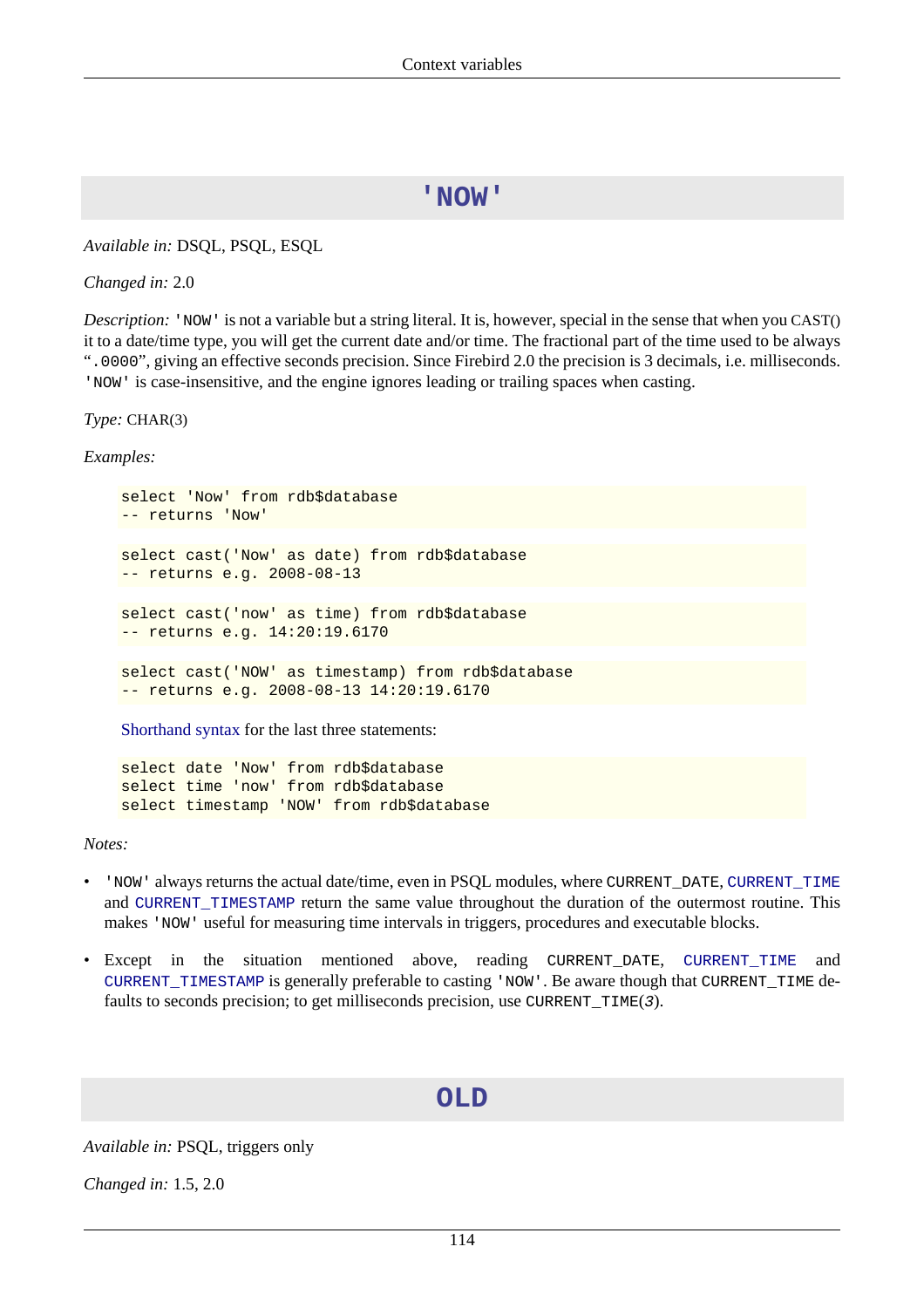### **'NOW'**

<span id="page-124-0"></span>*Available in:* DSQL, PSQL, ESQL

*Changed in:* 2.0

*Description:* 'NOW' is not a variable but a string literal. It is, however, special in the sense that when you CAST() it to a date/time type, you will get the current date and/or time. The fractional part of the time used to be always ".0000", giving an effective seconds precision. Since Firebird 2.0 the precision is 3 decimals, i.e. milliseconds. 'NOW' is case-insensitive, and the engine ignores leading or trailing spaces when casting.

*Type:* CHAR(3)

*Examples:*

```
select 'Now' from rdb$database
-- returns 'Now'
select cast('Now' as date) from rdb$database
-- returns e.g. 2008-08-13
select cast('now' as time) from rdb$database
-- returns e.g. 14:20:19.6170
select cast('NOW' as timestamp) from rdb$database
-- returns e.g. 2008-08-13 14:20:19.6170
```
[Shorthand syntax](#page-17-0) for the last three statements:

select date 'Now' from rdb\$database select time 'now' from rdb\$database select timestamp 'NOW' from rdb\$database

*Notes:*

- 'NOW' always returns the actual date/time, even in PSQL modules, where CURRENT\_DATE, [CURRENT\\_TIME](#page-120-0) and [CURRENT\\_TIMESTAMP](#page-120-1) return the same value throughout the duration of the outermost routine. This makes 'NOW' useful for measuring time intervals in triggers, procedures and executable blocks.
- Except in the situation mentioned above, reading CURRENT\_DATE, [CURRENT\\_TIME](#page-120-0) and [CURRENT\\_TIMESTAMP](#page-120-1) is generally preferable to casting 'NOW'. Be aware though that CURRENT\_TIME defaults to seconds precision; to get milliseconds precision, use CURRENT\_TIME(3).

#### **OLD**

*Available in:* PSQL, triggers only

*Changed in:* 1.5, 2.0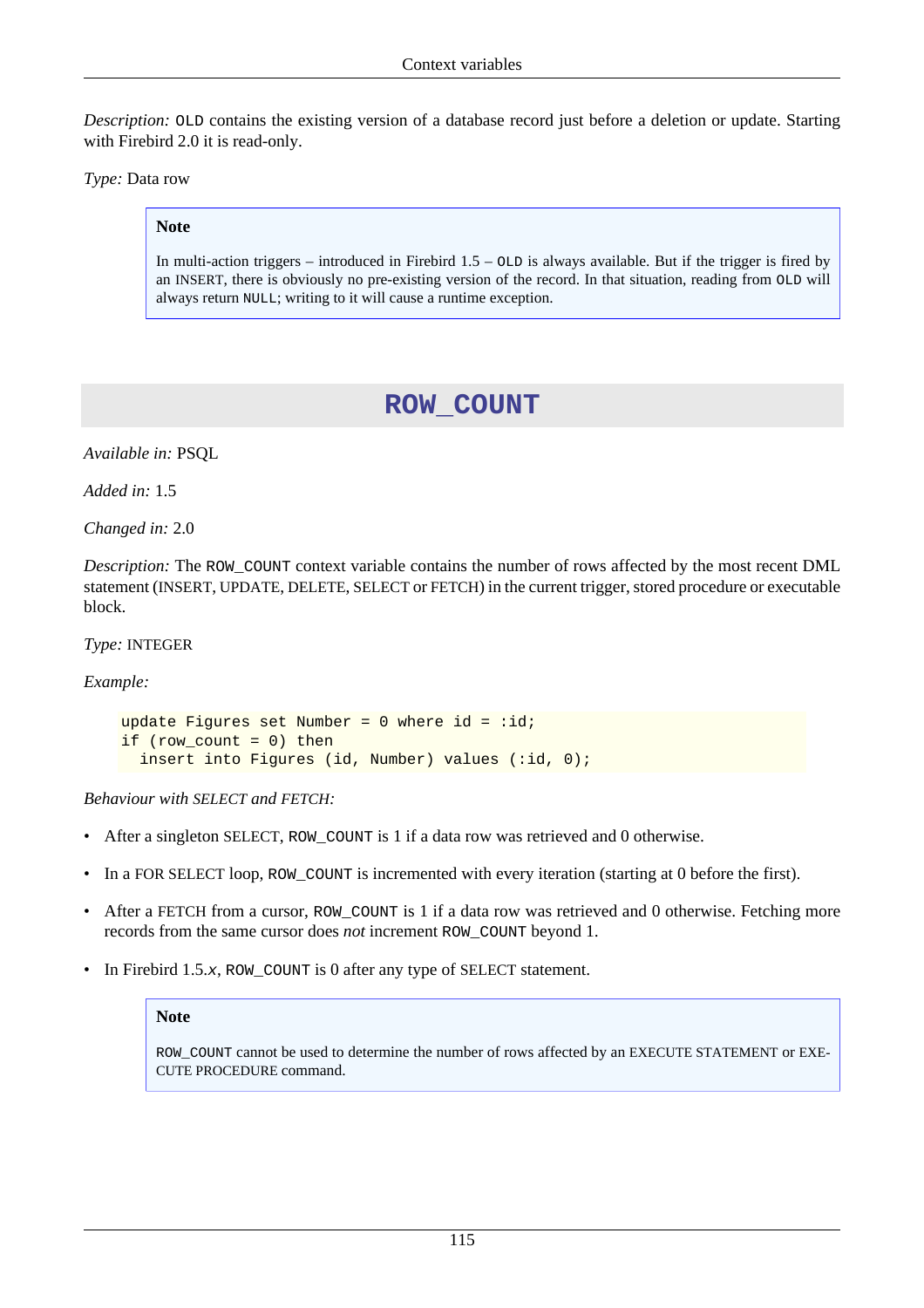*Description:* OLD contains the existing version of a database record just before a deletion or update. Starting with Firebird 2.0 it is read-only.

*Type:* Data row

#### **Note**

<span id="page-125-0"></span>In multi-action triggers – introduced in Firebird  $1.5 - OLD$  is always available. But if the trigger is fired by an INSERT, there is obviously no pre-existing version of the record. In that situation, reading from OLD will always return NULL; writing to it will cause a runtime exception.

## **ROW\_COUNT**

*Available in:* PSQL

*Added in:* 1.5

*Changed in:* 2.0

*Description:* The ROW\_COUNT context variable contains the number of rows affected by the most recent DML statement (INSERT, UPDATE, DELETE, SELECT or FETCH) in the current trigger, stored procedure or executable block.

*Type:* INTEGER

*Example:*

```
update Figures set Number = 0 where id = :id;if (row count = 0) then
  insert into Figures (id, Number) values (:id, 0);
```
*Behaviour with SELECT and FETCH:*

- After a singleton SELECT, ROW\_COUNT is 1 if a data row was retrieved and 0 otherwise.
- In a FOR SELECT loop, ROW\_COUNT is incremented with every iteration (starting at 0 before the first).
- After a FETCH from a cursor, ROW COUNT is 1 if a data row was retrieved and 0 otherwise. Fetching more records from the same cursor does *not* increment ROW\_COUNT beyond 1.
- In Firebird 1.5.x, ROW\_COUNT is 0 after any type of SELECT statement.

#### **Note**

ROW\_COUNT cannot be used to determine the number of rows affected by an EXECUTE STATEMENT or EXE-CUTE PROCEDURE command.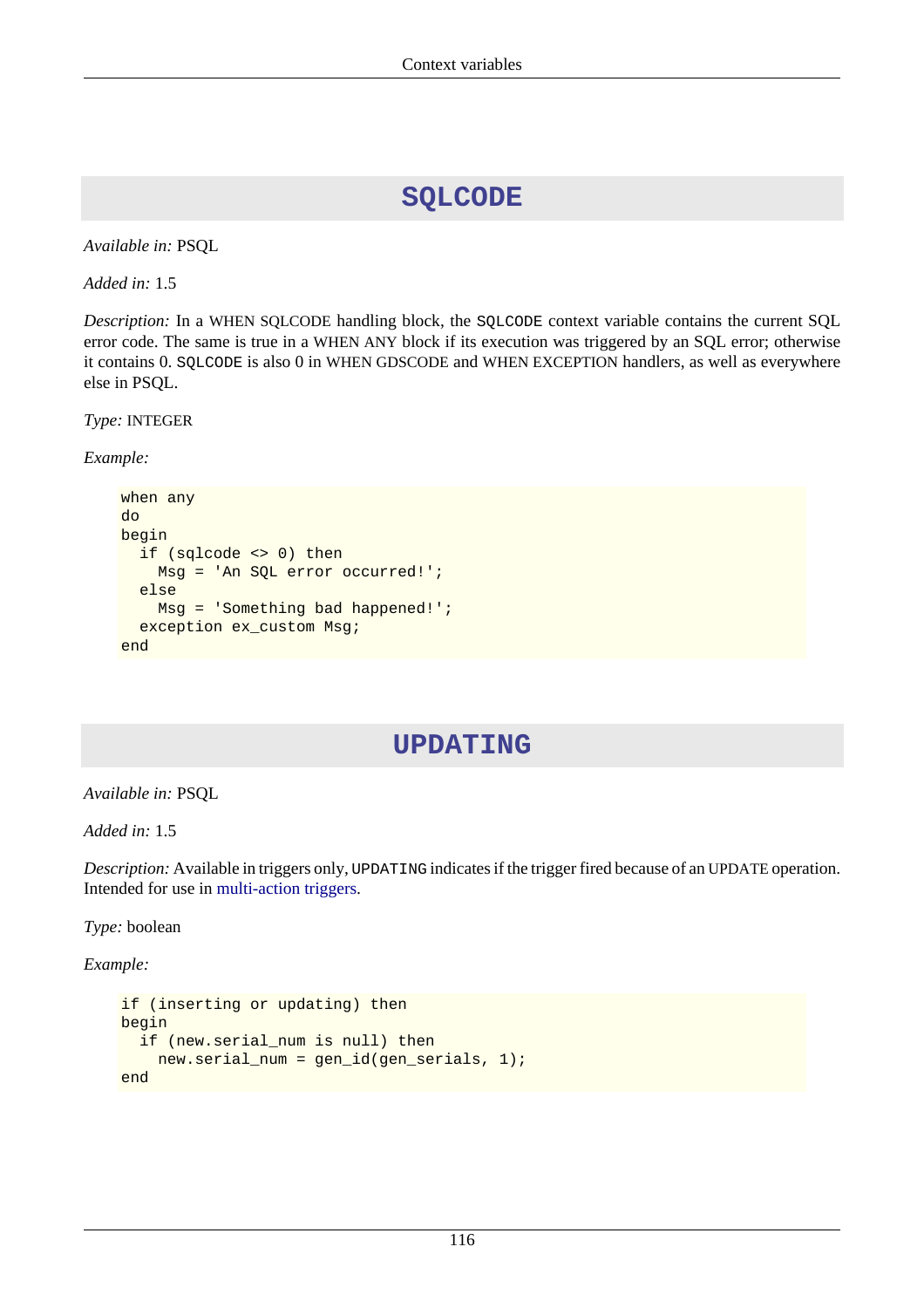## **SQLCODE**

*Available in:* PSQL

*Added in:* 1.5

*Description:* In a WHEN SQLCODE handling block, the SQLCODE context variable contains the current SQL error code. The same is true in a WHEN ANY block if its execution was triggered by an SQL error; otherwise it contains 0. SQLCODE is also 0 in WHEN GDSCODE and WHEN EXCEPTION handlers, as well as everywhere else in PSQL.

*Type:* INTEGER

*Example:*

```
when any
do
begin
   if (sqlcode <> 0) then
     Msg = 'An SQL error occurred!';
   else
     Msg = 'Something bad happened!';
   exception ex_custom Msg;
end
```
## **UPDATING**

*Available in:* PSQL

*Added in:* 1.5

*Description:* Available in triggers only, UPDATING indicates if the trigger fired because of an UPDATE operation. Intended for use in [multi-action triggers.](#page-59-0)

*Type:* boolean

*Example:*

```
if (inserting or updating) then
begin
   if (new.serial_num is null) then
     new.serial_num = gen_id(gen_serials, 1);
end
```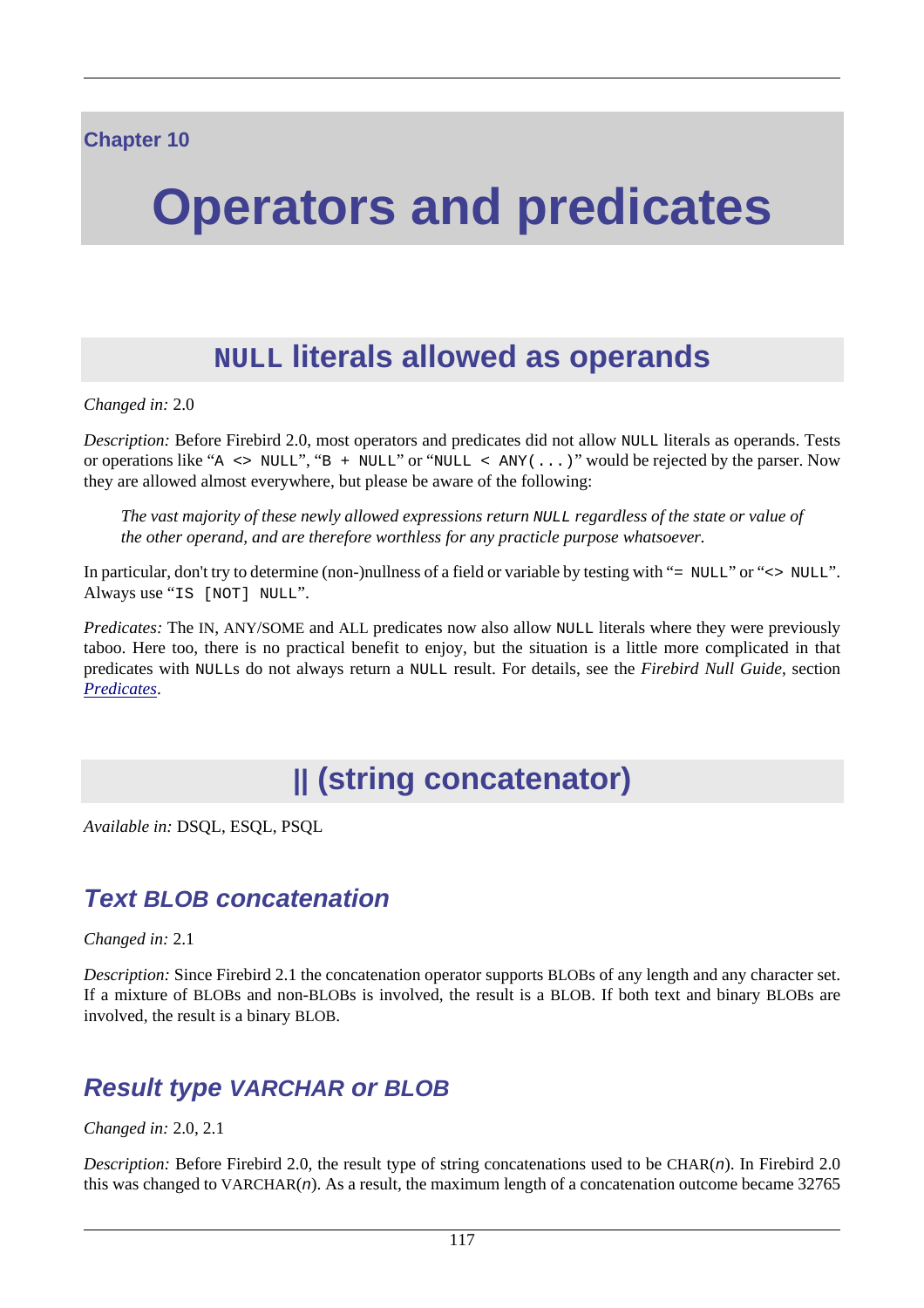# **Operators and predicates**

# **NULL literals allowed as operands**

*Changed in:* 2.0

*Description:* Before Firebird 2.0, most operators and predicates did not allow NULL literals as operands. Tests or operations like "A  $\leq$  NULL", "B + NULL" or "NULL  $\leq$  ANY(...)" would be rejected by the parser. Now they are allowed almost everywhere, but please be aware of the following:

*The vast majority of these newly allowed expressions return* NULL *regardless of the state or value of the other operand, and are therefore worthless for any practicle purpose whatsoever.*

In particular, don't try to determine (non-)nullness of a field or variable by testing with "= NULL" or "<> NULL". Always use "IS [NOT] NULL".

*Predicates:* The IN, ANY/SOME and ALL predicates now also allow NULL literals where they were previously taboo. Here too, there is no practical benefit to enjoy, but the situation is a little more complicated in that predicates with NULLs do not always return a NULL result. For details, see the *Firebird Null Guide*, section *[Predicates](http://www.firebirdsql.org/manual/nullguide-predicates.html)*.

# **|| (string concatenator)**

*Available in:* DSQL, ESQL, PSQL

## **Text BLOB concatenation**

*Changed in:* 2.1

*Description:* Since Firebird 2.1 the concatenation operator supports BLOBs of any length and any character set. If a mixture of BLOBs and non-BLOBs is involved, the result is a BLOB. If both text and binary BLOBs are involved, the result is a binary BLOB.

## **Result type VARCHAR or BLOB**

*Changed in:* 2.0, 2.1

*Description:* Before Firebird 2.0, the result type of string concatenations used to be CHAR(n). In Firebird 2.0 this was changed to  $VARCHAR(n)$ . As a result, the maximum length of a concatenation outcome became 32765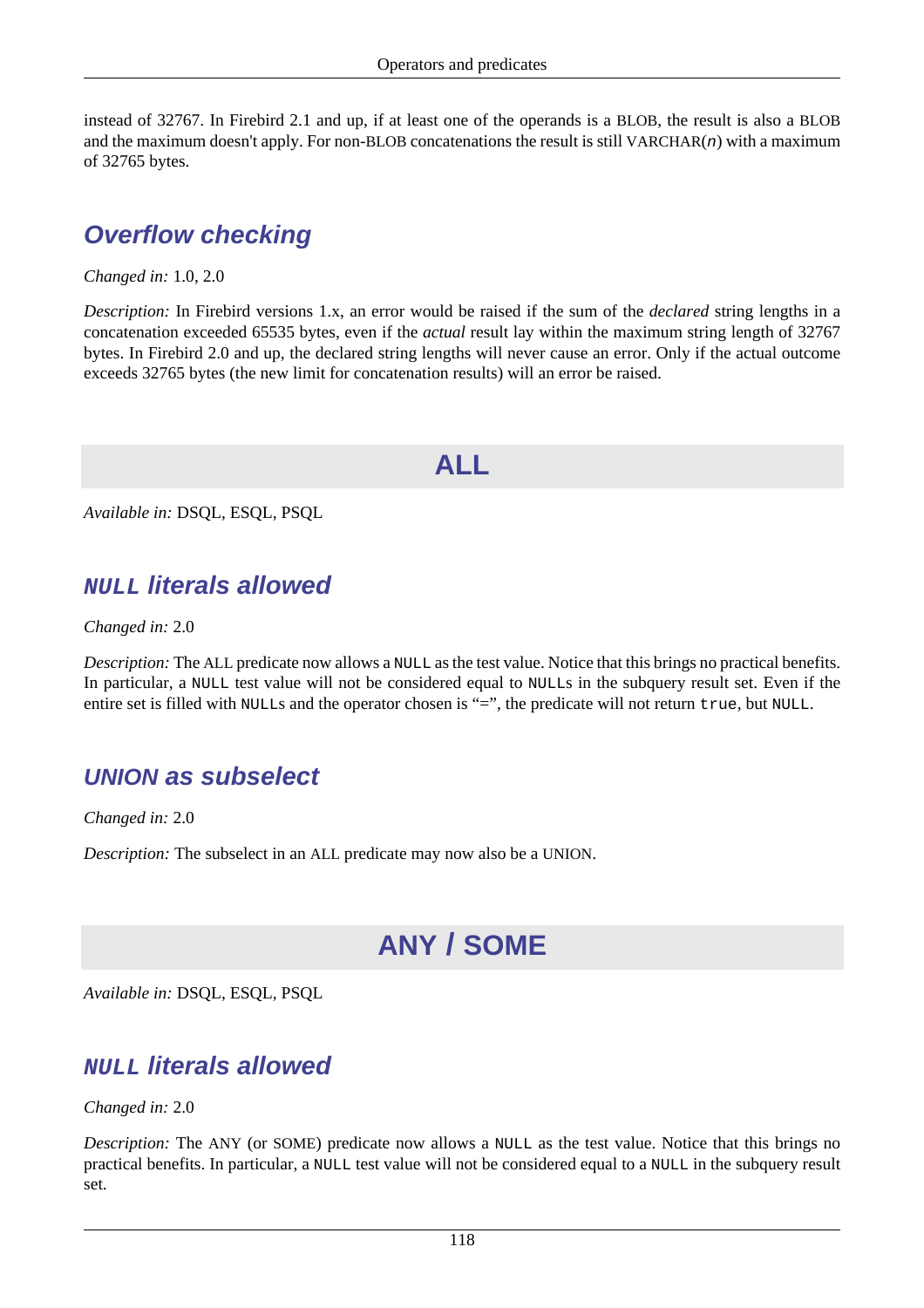instead of 32767. In Firebird 2.1 and up, if at least one of the operands is a BLOB, the result is also a BLOB and the maximum doesn't apply. For non-BLOB concatenations the result is still VARCHAR $(n)$  with a maximum of 32765 bytes.

## **Overflow checking**

*Changed in:* 1.0, 2.0

*Description:* In Firebird versions 1.x, an error would be raised if the sum of the *declared* string lengths in a concatenation exceeded 65535 bytes, even if the *actual* result lay within the maximum string length of 32767 bytes. In Firebird 2.0 and up, the declared string lengths will never cause an error. Only if the actual outcome exceeds 32765 bytes (the new limit for concatenation results) will an error be raised.

## **ALL**

*Available in:* DSQL, ESQL, PSQL

## **NULL literals allowed**

*Changed in:* 2.0

*Description:* The ALL predicate now allows a NULL as the test value. Notice that this brings no practical benefits. In particular, a NULL test value will not be considered equal to NULLs in the subquery result set. Even if the entire set is filled with NULLs and the operator chosen is "=", the predicate will not return true, but NULL.

## **UNION as subselect**

*Changed in:* 2.0

<span id="page-128-0"></span>*Description:* The subselect in an ALL predicate may now also be a UNION.

# **ANY / SOME**

*Available in:* DSQL, ESQL, PSQL

## **NULL literals allowed**

*Changed in:* 2.0

*Description:* The ANY (or SOME) predicate now allows a NULL as the test value. Notice that this brings no practical benefits. In particular, a NULL test value will not be considered equal to a NULL in the subquery result set.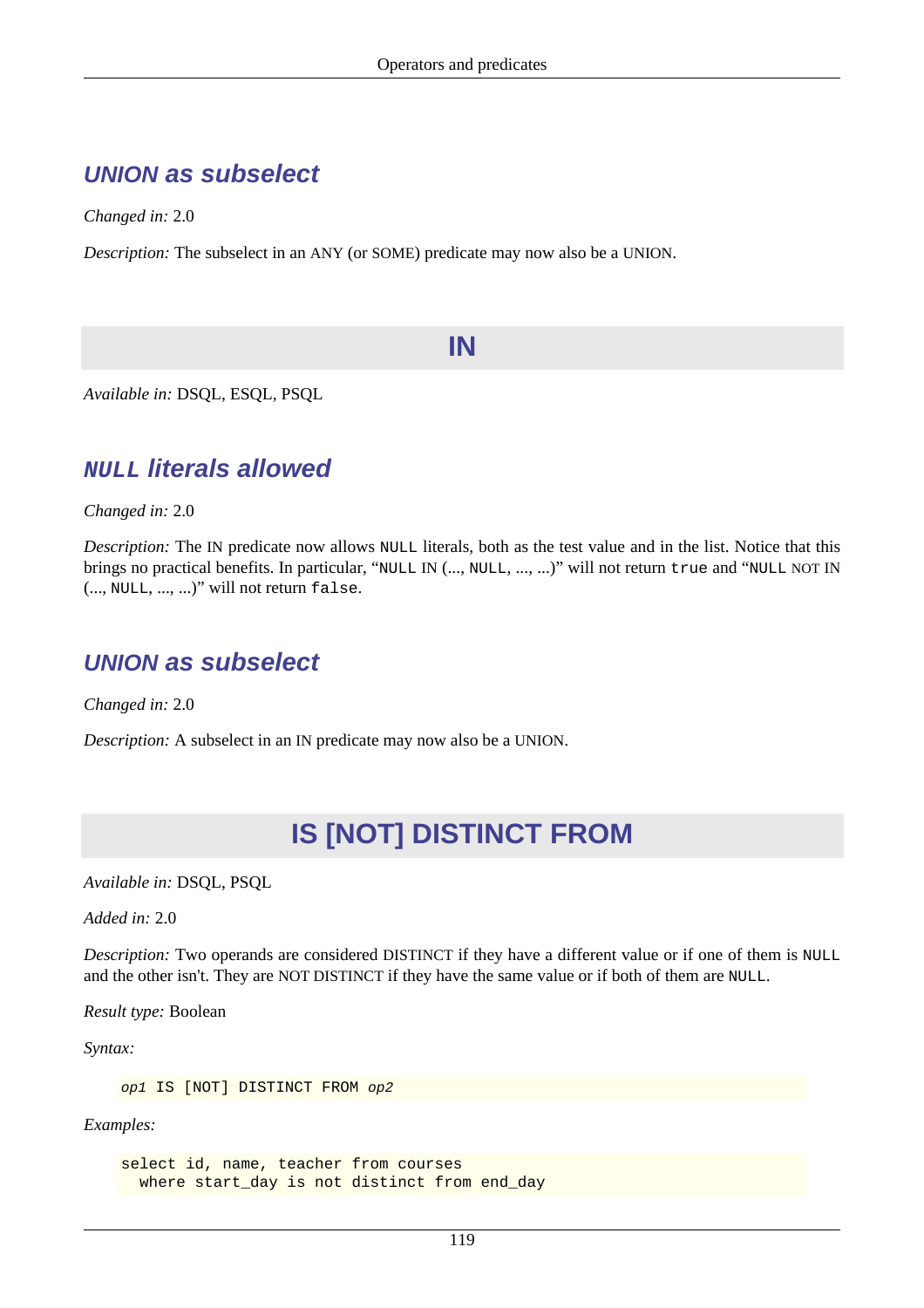## **UNION as subselect**

*Changed in:* 2.0

*Description:* The subselect in an ANY (or SOME) predicate may now also be a UNION.

## **IN**

*Available in:* DSQL, ESQL, PSQL

## **NULL literals allowed**

*Changed in:* 2.0

*Description:* The IN predicate now allows NULL literals, both as the test value and in the list. Notice that this brings no practical benefits. In particular, "NULL IN (..., NULL, ..., ...)" will not return true and "NULL NOT IN (..., NULL, ..., ...)" will not return false.

## **UNION as subselect**

*Changed in:* 2.0

*Description:* A subselect in an IN predicate may now also be a UNION.

# **IS [NOT] DISTINCT FROM**

*Available in:* DSQL, PSQL

*Added in:* 2.0

*Description:* Two operands are considered DISTINCT if they have a different value or if one of them is NULL and the other isn't. They are NOT DISTINCT if they have the same value or if both of them are NULL.

*Result type:* Boolean

*Syntax:*

op1 IS [NOT] DISTINCT FROM op2

*Examples:*

select id, name, teacher from courses where start day is not distinct from end day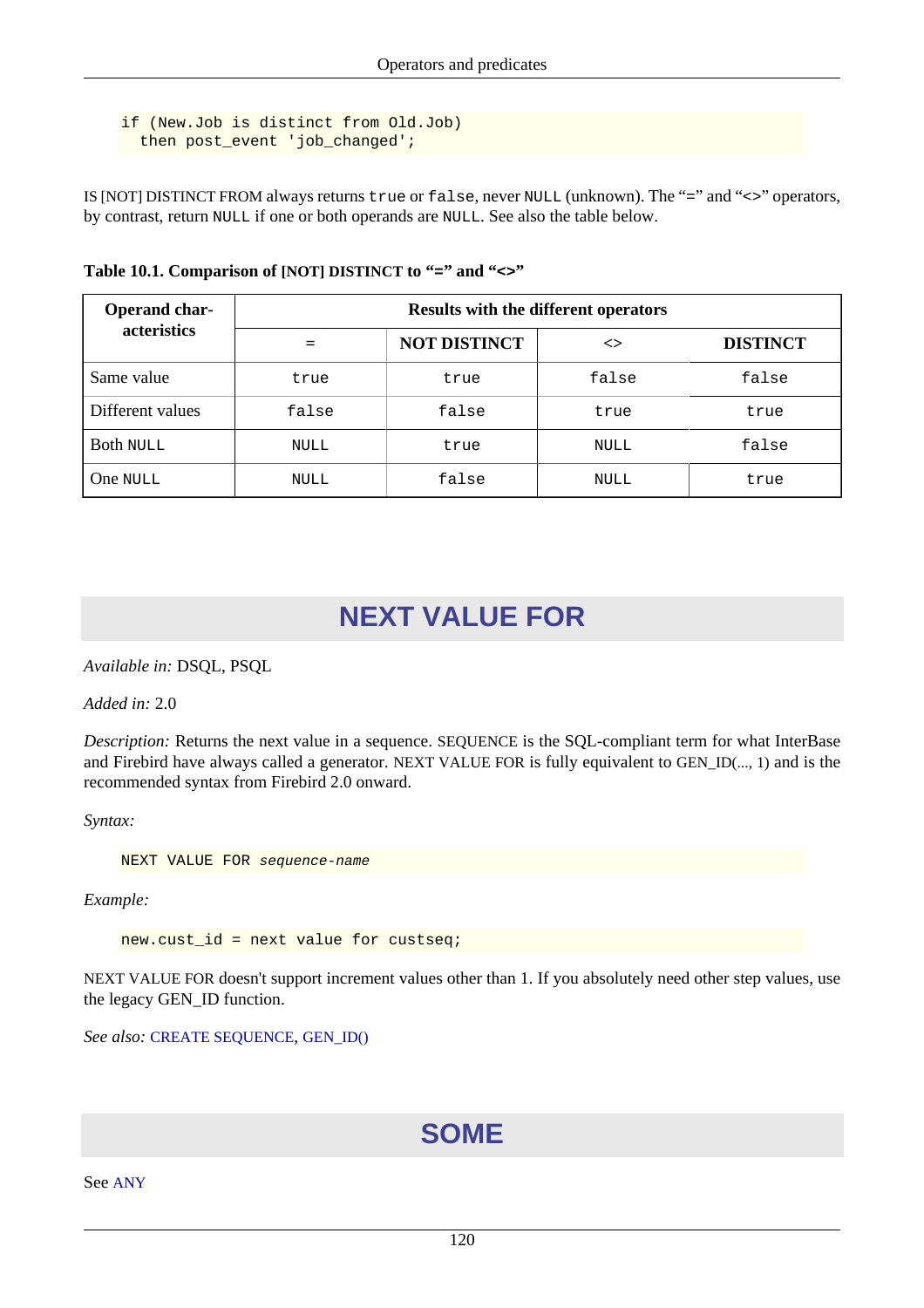```
if (New.Job is distinct from Old.Job)
   then post_event 'job_changed';
```
IS [NOT] DISTINCT FROM always returns true or false, never NULL (unknown). The "=" and "<>" operators, by contrast, return NULL if one or both operands are NULL. See also the table below.

| Operand char-<br>acteristics | <b>Results with the different operators</b> |                     |       |                 |
|------------------------------|---------------------------------------------|---------------------|-------|-----------------|
|                              |                                             | <b>NOT DISTINCT</b> | <>    | <b>DISTINCT</b> |
| Same value                   | true                                        | true                | false | false           |
| Different values             | false                                       | false               | true  | true            |
| <b>Both NULL</b>             | <b>NULL</b>                                 | true                | NULL  | false           |
| One NULL                     | <b>NULL</b>                                 | false               | NULL  | true            |

**Table 10.1. Comparison of [NOT] DISTINCT to "=" and "<>"**

## **NEXT VALUE FOR**

*Available in:* DSQL, PSQL

*Added in:* 2.0

*Description:* Returns the next value in a sequence. SEQUENCE is the SQL-compliant term for what InterBase and Firebird have always called a generator. NEXT VALUE FOR is fully equivalent to GEN\_ID(..., 1) and is the recommended syntax from Firebird 2.0 onward.

*Syntax:*

NEXT VALUE FOR sequence-name

*Example:*

new.cust\_id = next value for custseq;

NEXT VALUE FOR doesn't support increment values other than 1. If you absolutely need other step values, use the legacy GEN\_ID function.

*See also:* [CREATE SEQUENCE](#page-44-0), [GEN\\_ID\(\)](#page-150-0)

## **SOME**

See [ANY](#page-128-0)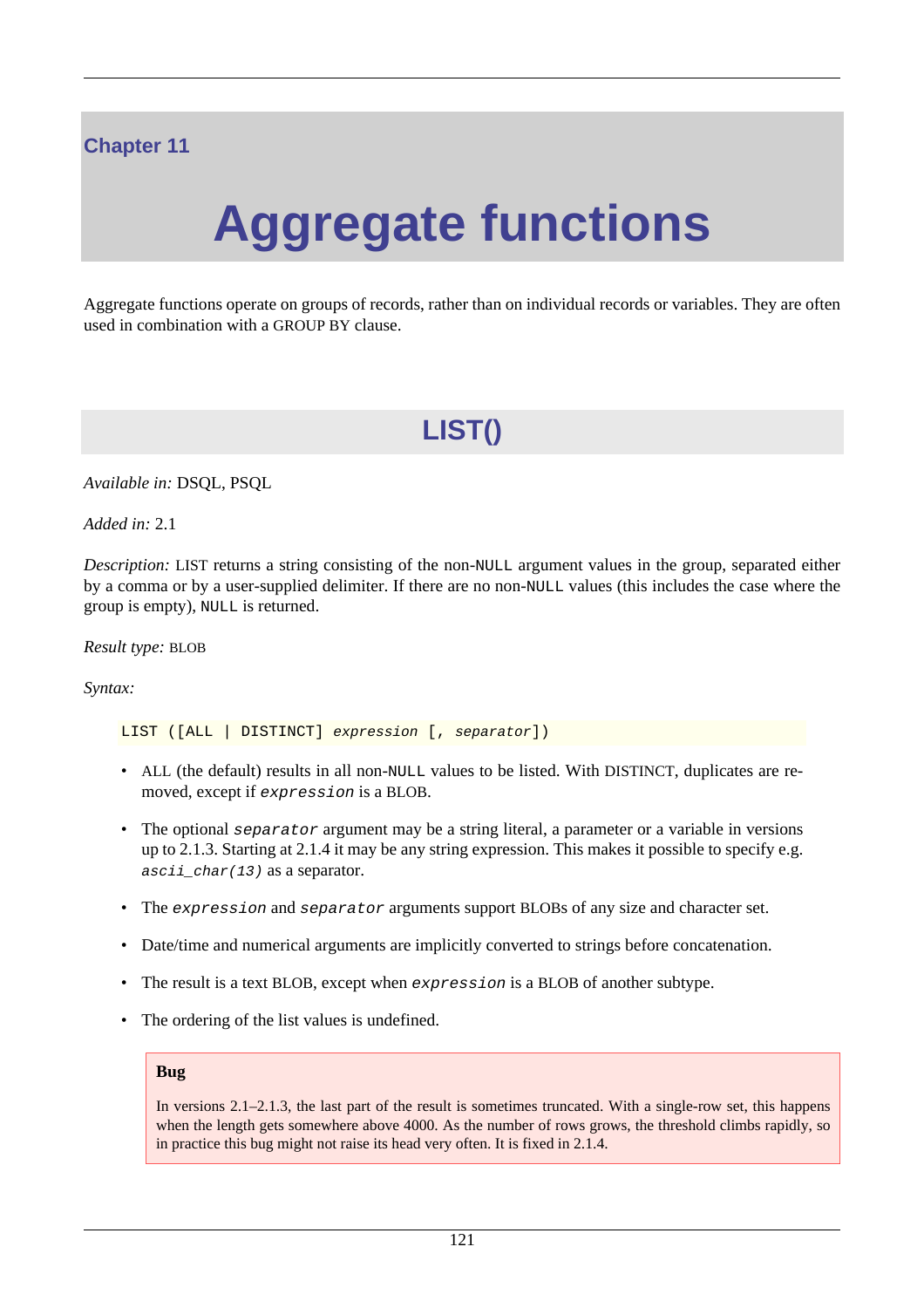## **Chapter 11**

# **Aggregate functions**

Aggregate functions operate on groups of records, rather than on individual records or variables. They are often used in combination with a GROUP BY clause.

# **LIST()**

*Available in:* DSQL, PSQL

*Added in:* 2.1

*Description:* LIST returns a string consisting of the non-NULL argument values in the group, separated either by a comma or by a user-supplied delimiter. If there are no non-NULL values (this includes the case where the group is empty), NULL is returned.

*Result type:* BLOB

*Syntax:*

LIST ([ALL | DISTINCT] expression [, separator])

- ALL (the default) results in all non-NULL values to be listed. With DISTINCT, duplicates are removed, except if expression is a BLOB.
- The optional separator argument may be a string literal, a parameter or a variable in versions up to 2.1.3. Starting at 2.1.4 it may be any string expression. This makes it possible to specify e.g.  $ascii_{char}(13)$  as a separator.
- The expression and separator arguments support BLOBs of any size and character set.
- Date/time and numerical arguments are implicitly converted to strings before concatenation.
- The result is a text BLOB, except when expression is a BLOB of another subtype.
- The ordering of the list values is undefined.

#### **Bug**

In versions 2.1–2.1.3, the last part of the result is sometimes truncated. With a single-row set, this happens when the length gets somewhere above 4000. As the number of rows grows, the threshold climbs rapidly, so in practice this bug might not raise its head very often. It is fixed in 2.1.4.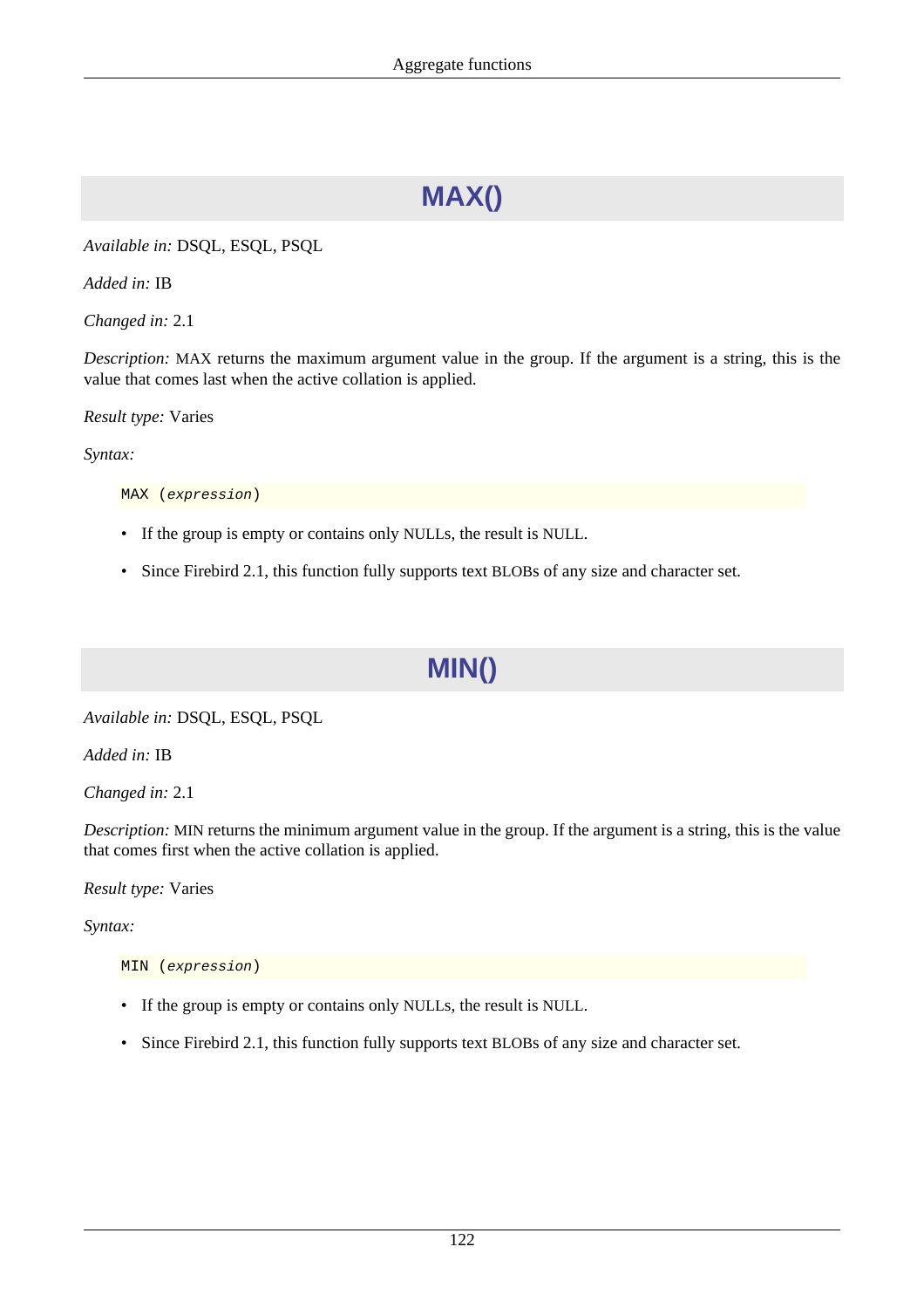# **MAX()**

*Available in:* DSQL, ESQL, PSQL

*Added in:* IB

*Changed in:* 2.1

*Description:* MAX returns the maximum argument value in the group. If the argument is a string, this is the value that comes last when the active collation is applied.

*Result type:* Varies

*Syntax:*

MAX (expression)

- If the group is empty or contains only NULLs, the result is NULL.
- Since Firebird 2.1, this function fully supports text BLOBs of any size and character set.

## **MIN()**

*Available in:* DSQL, ESQL, PSQL

*Added in:* IB

*Changed in:* 2.1

*Description:* MIN returns the minimum argument value in the group. If the argument is a string, this is the value that comes first when the active collation is applied.

*Result type:* Varies

*Syntax:*

MIN (expression)

- If the group is empty or contains only NULLs, the result is NULL.
- Since Firebird 2.1, this function fully supports text BLOBs of any size and character set.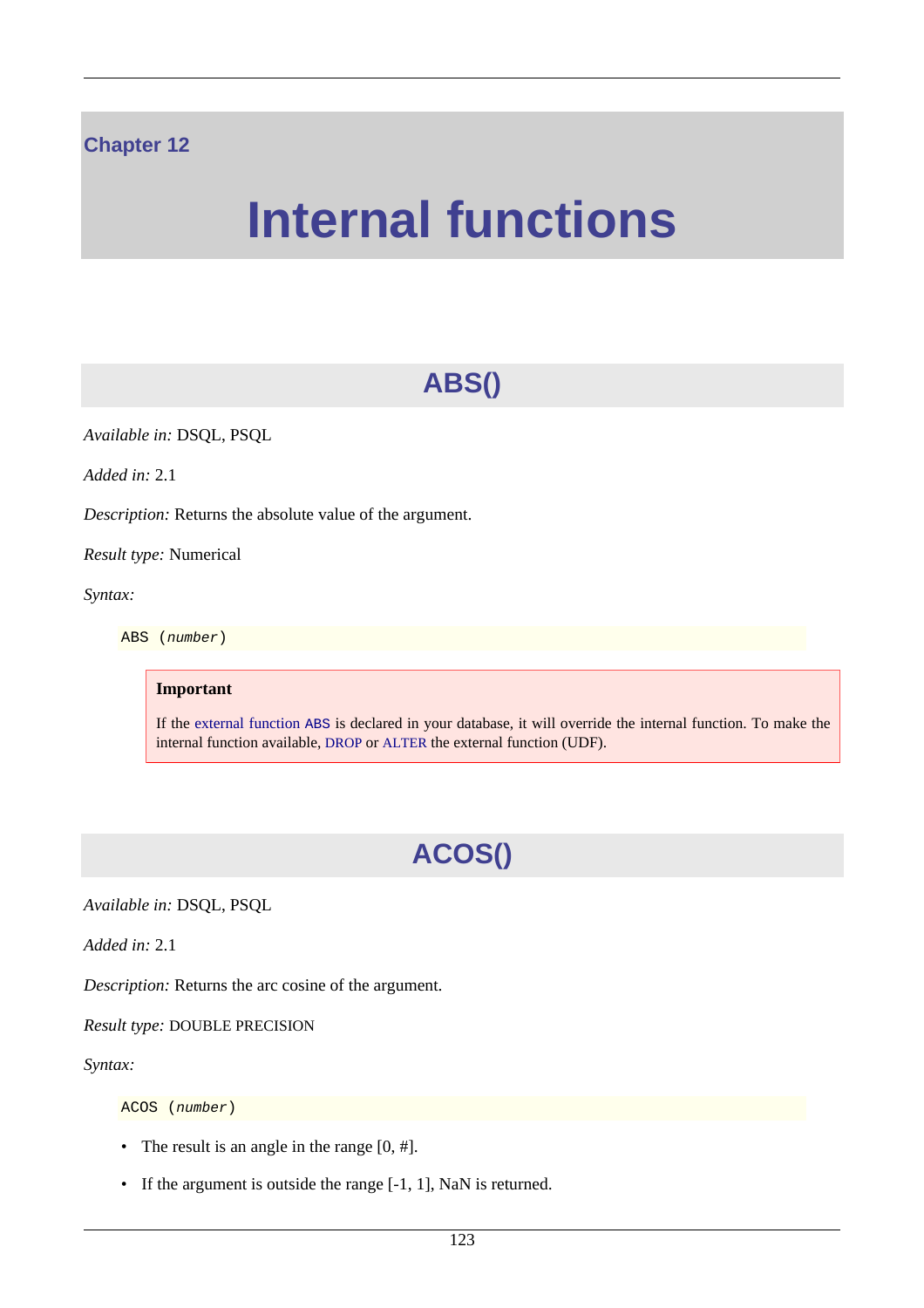#### **Chapter 12**

# **Internal functions**

# **ABS()**

*Available in:* DSQL, PSQL

*Added in:* 2.1

*Description:* Returns the absolute value of the argument.

*Result type:* Numerical

*Syntax:*

ABS (number)

#### **Important**

If the [external function](#page-174-0) ABS is declared in your database, it will override the internal function. To make the internal function available, [DROP](#page-33-0) or [ALTER](#page-34-0) the external function (UDF).

# **ACOS()**

*Available in:* DSQL, PSQL

*Added in:* 2.1

*Description:* Returns the arc cosine of the argument.

*Result type:* DOUBLE PRECISION

*Syntax:*

ACOS (number)

- The result is an angle in the range  $[0, \text{\#}]$ .
- If the argument is outside the range [-1, 1], NaN is returned.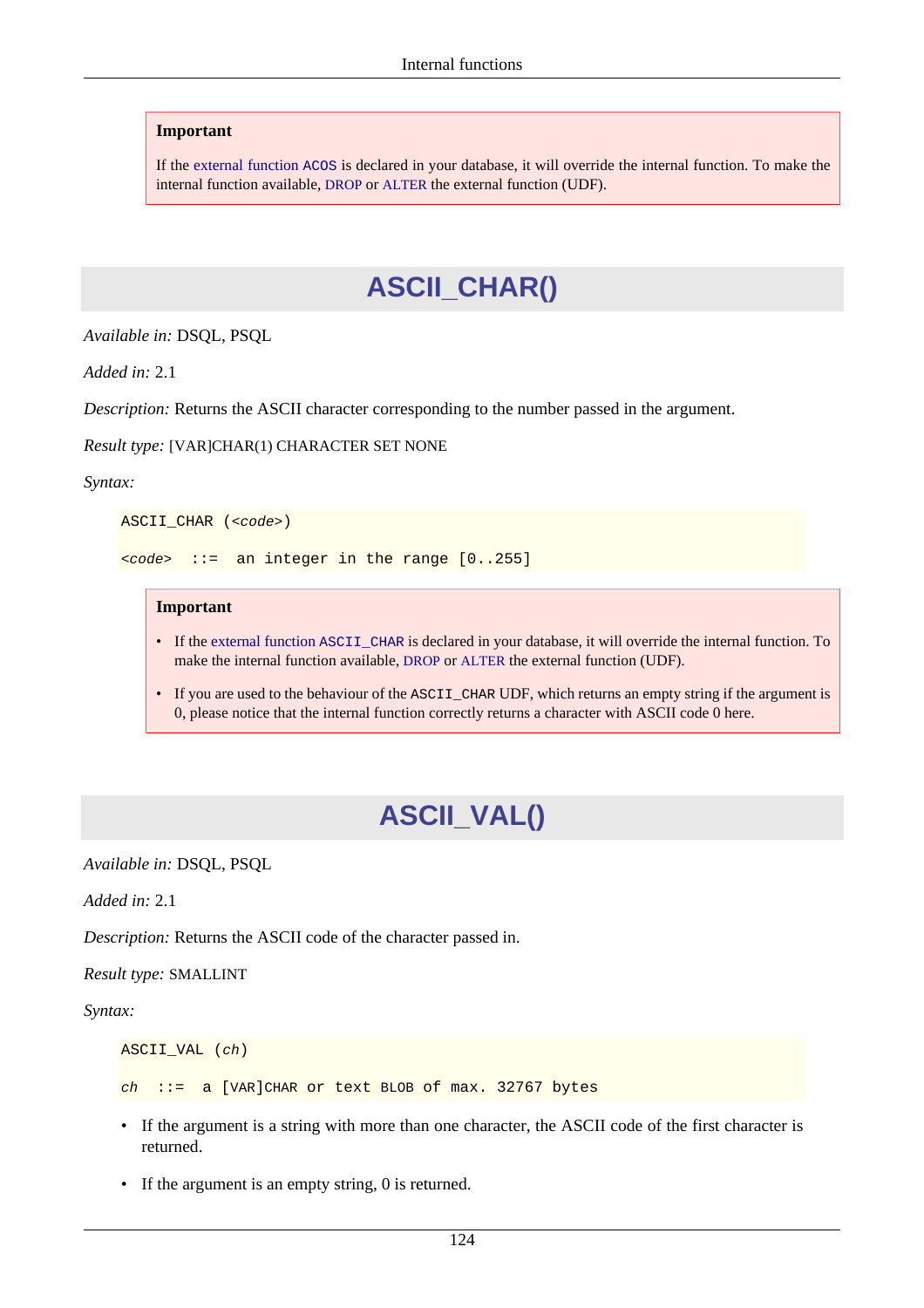If the [external function](#page-174-1) ACOS is declared in your database, it will override the internal function. To make the internal function available, [DROP](#page-33-0) or [ALTER](#page-34-0) the external function (UDF).

## **ASCII\_CHAR()**

*Available in:* DSQL, PSQL

*Added in:* 2.1

*Description:* Returns the ASCII character corresponding to the number passed in the argument.

*Result type:* [VAR]CHAR(1) CHARACTER SET NONE

*Syntax:*

```
ASCII_CHAR (<code>)</sub>
```
<code> ::= an integer in the range [0..255]</code>

#### **Important**

- If the [external function](#page-179-0) ASCII\_CHAR is declared in your database, it will override the internal function. To make the internal function available, [DROP](#page-33-0) or [ALTER](#page-34-0) the external function (UDF).
- If you are used to the behaviour of the ASCII\_CHAR UDF, which returns an empty string if the argument is 0, please notice that the internal function correctly returns a character with ASCII code 0 here.

## **ASCII\_VAL()**

*Available in:* DSQL, PSQL

*Added in:* 2.1

*Description:* Returns the ASCII code of the character passed in.

*Result type:* SMALLINT

*Syntax:*

```
ASCII_VAL (ch)
ch ::= a [VAR]CHAR or text BLOB of max. 32767 bytes
```
- If the argument is a string with more than one character, the ASCII code of the first character is returned.
- If the argument is an empty string, 0 is returned.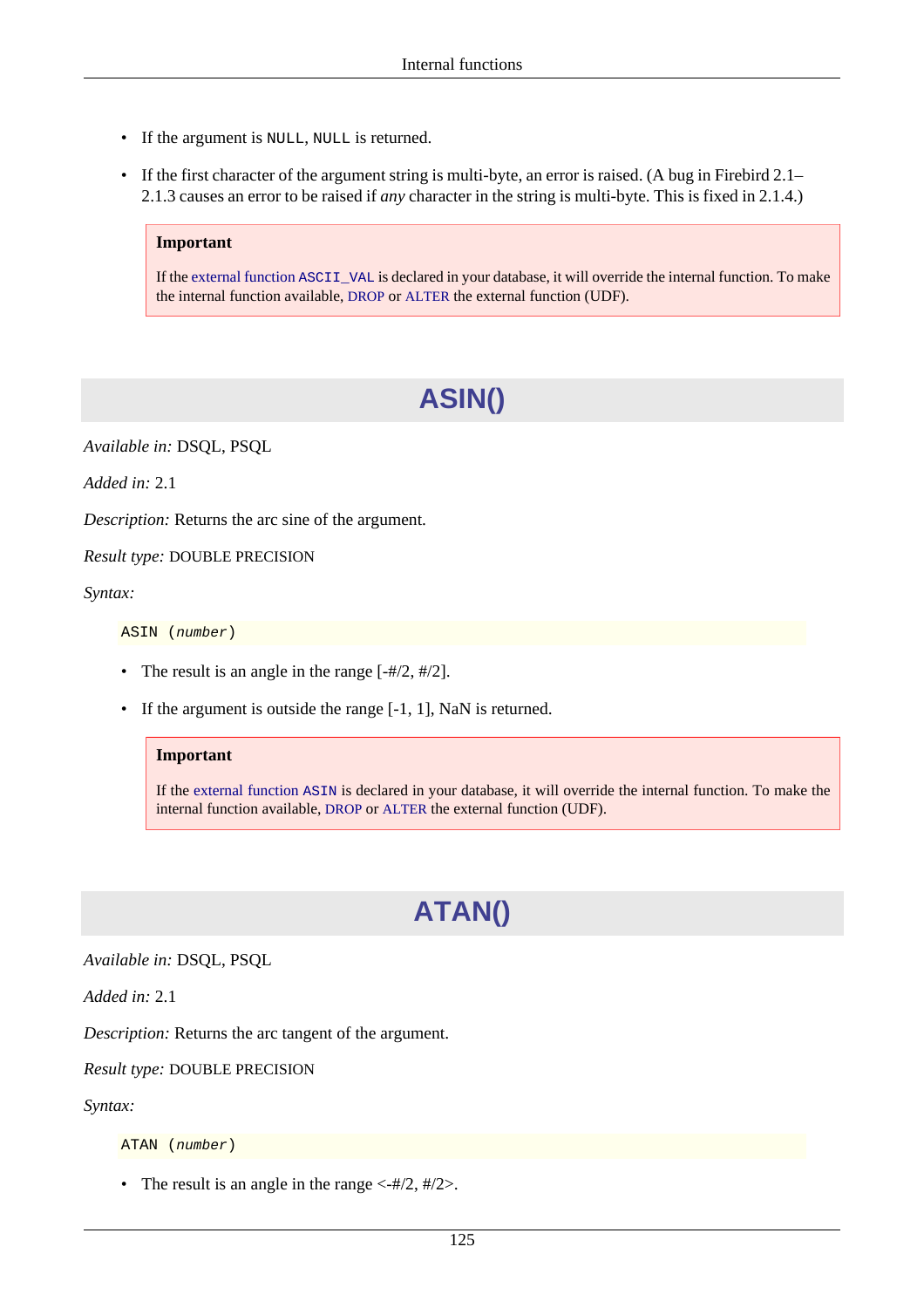- If the argument is NULL, NULL is returned.
- If the first character of the argument string is multi-byte, an error is raised. (A bug in Firebird 2.1– 2.1.3 causes an error to be raised if *any* character in the string is multi-byte. This is fixed in 2.1.4.)

If the [external function](#page-179-1) ASCII\_VAL is declared in your database, it will override the internal function. To make the internal function available, [DROP](#page-33-0) or [ALTER](#page-34-0) the external function (UDF).

# **ASIN()**

*Available in:* DSQL, PSQL

*Added in:* 2.1

*Description:* Returns the arc sine of the argument.

*Result type:* DOUBLE PRECISION

*Syntax:*

ASIN (number)

- The result is an angle in the range  $[-#/2, #/2]$ .
- If the argument is outside the range [-1, 1], NaN is returned.

#### **Important**

If the [external function](#page-180-0) ASIN is declared in your database, it will override the internal function. To make the internal function available, [DROP](#page-33-0) or [ALTER](#page-34-0) the external function (UDF).

# **ATAN()**

*Available in:* DSQL, PSQL

*Added in:* 2.1

*Description:* Returns the arc tangent of the argument.

*Result type:* DOUBLE PRECISION

*Syntax:*

ATAN (number)

• The result is an angle in the range  $\langle -\frac{\text{#}}{2}, \frac{\text{#}}{2} \rangle$ .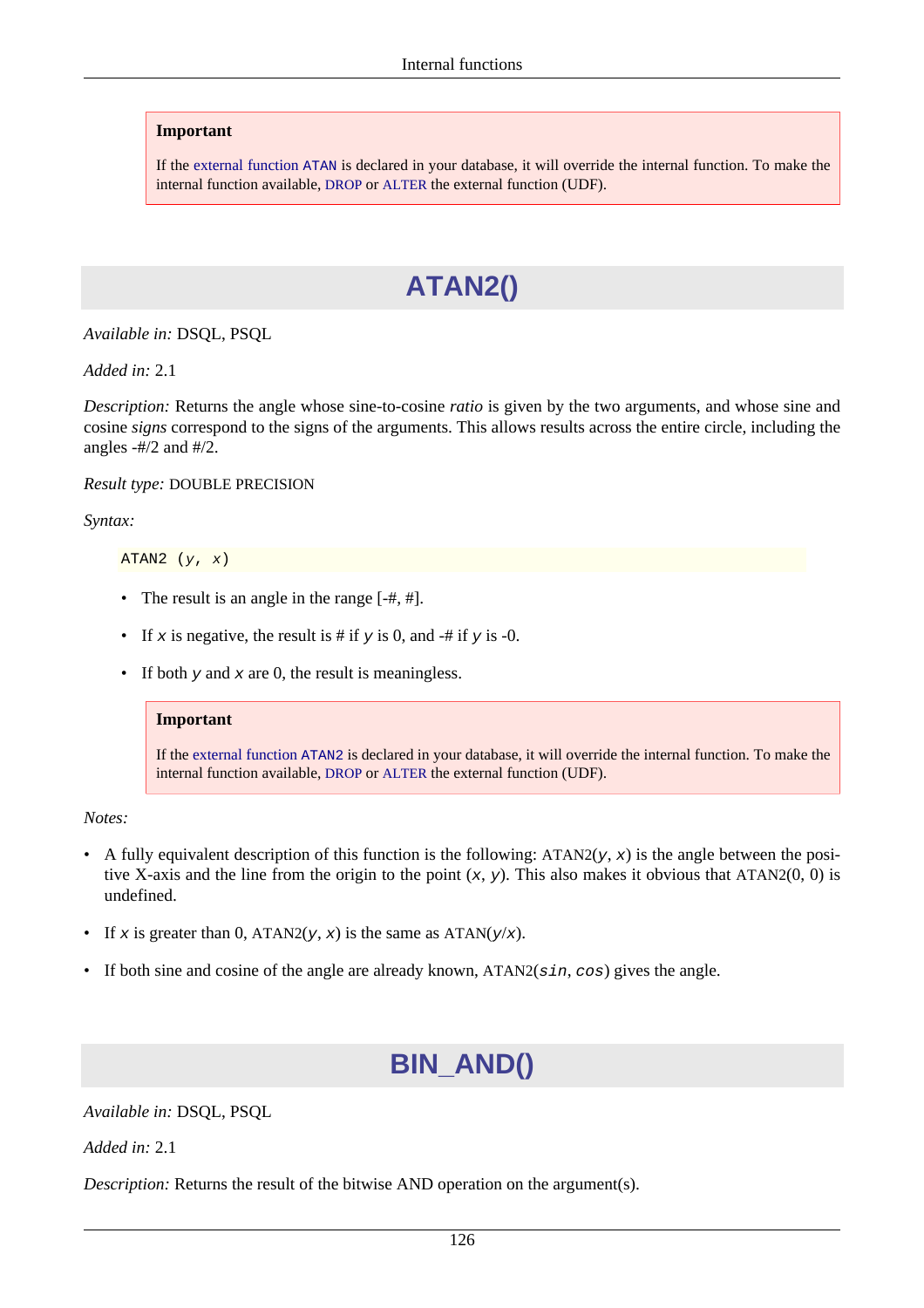If the [external function](#page-180-1) ATAN is declared in your database, it will override the internal function. To make the internal function available, [DROP](#page-33-0) or [ALTER](#page-34-0) the external function (UDF).

# **ATAN2()**

*Available in:* DSQL, PSQL

*Added in:* 2.1

*Description:* Returns the angle whose sine-to-cosine *ratio* is given by the two arguments, and whose sine and cosine *signs* correspond to the signs of the arguments. This allows results across the entire circle, including the angles  $-#/2$  and  $#/2$ .

*Result type:* DOUBLE PRECISION

*Syntax:*

ATAN2  $(y, x)$ 

- The result is an angle in the range  $[-#, #]$ .
- If x is negative, the result is # if y is 0, and -# if y is -0.
- If both  $y$  and  $x$  are 0, the result is meaningless.

#### **Important**

If the [external function](#page-181-0) ATAN2 is declared in your database, it will override the internal function. To make the internal function available, [DROP](#page-33-0) or [ALTER](#page-34-0) the external function (UDF).

*Notes:*

- A fully equivalent description of this function is the following:  $ATAN2(y, x)$  is the angle between the positive X-axis and the line from the origin to the point  $(x, y)$ . This also makes it obvious that ATAN2(0, 0) is undefined.
- If x is greater than 0, ATAN2(y, x) is the same as ATAN(y/x).
- If both sine and cosine of the angle are already known,  $ATAN2(sin, cos)$  gives the angle.

# **BIN\_AND()**

*Available in:* DSQL, PSQL

*Added in:* 2.1

*Description:* Returns the result of the bitwise AND operation on the argument(s).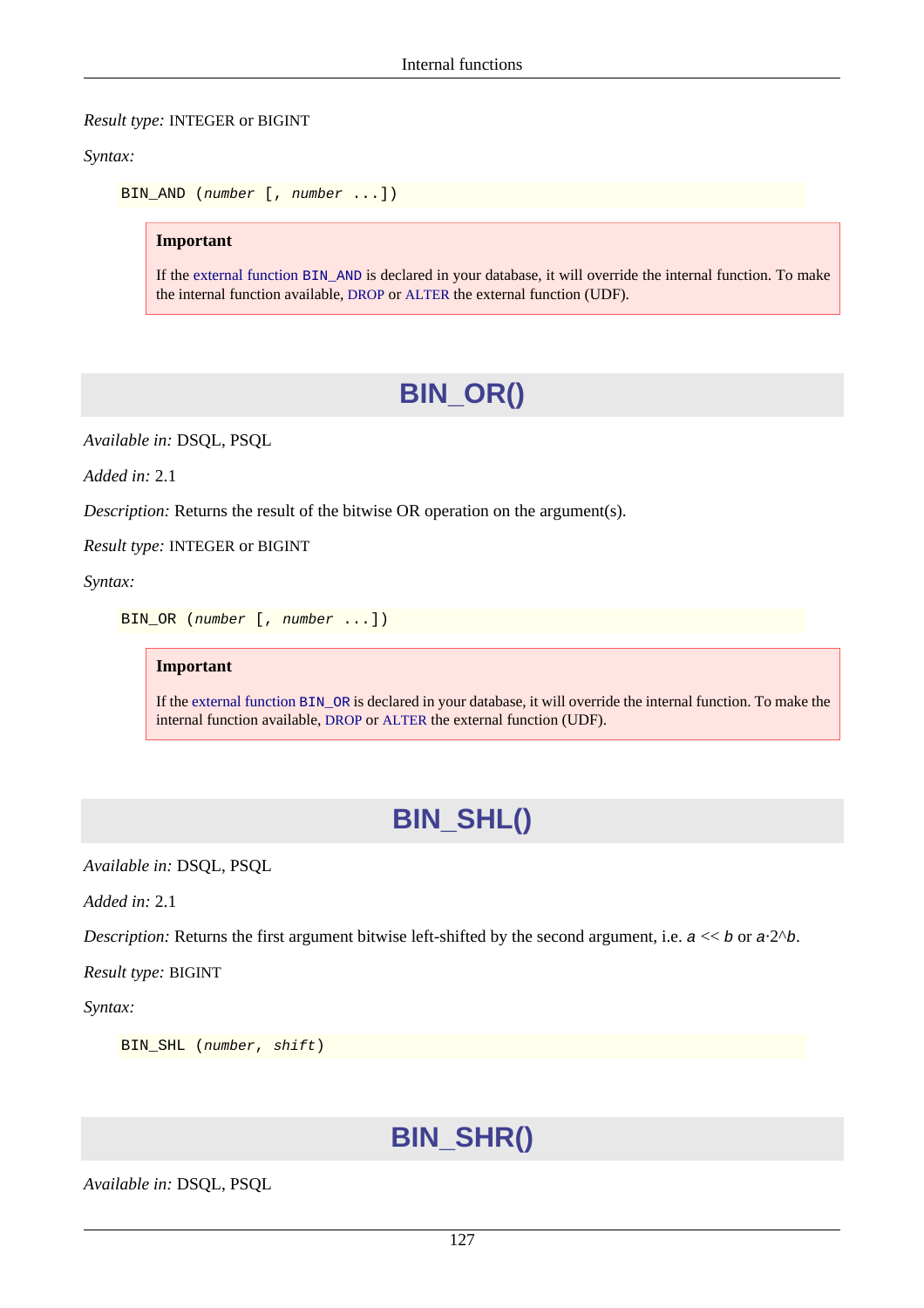#### *Result type:* INTEGER or BIGINT

*Syntax:*

```
BIN_AND (number [, number ...])
```
**Important**

If the [external function](#page-181-1) BIN\_AND is declared in your database, it will override the internal function. To make the internal function available, [DROP](#page-33-0) or [ALTER](#page-34-0) the external function (UDF).

# **BIN\_OR()**

*Available in:* DSQL, PSQL

*Added in:* 2.1

*Description:* Returns the result of the bitwise OR operation on the argument(s).

*Result type:* INTEGER or BIGINT

*Syntax:*

BIN\_OR (number [, number ...])

#### **Important**

If the [external function](#page-182-0) BIN\_OR is declared in your database, it will override the internal function. To make the internal function available, [DROP](#page-33-0) or [ALTER](#page-34-0) the external function (UDF).

# **BIN\_SHL()**

*Available in:* DSQL, PSQL

*Added in:* 2.1

*Description:* Returns the first argument bitwise left-shifted by the second argument, i.e.  $a \ll b$  or  $a \cdot 2^b$ .

*Result type:* BIGINT

*Syntax:*

```
BIN_SHL (number, shift)
```
# **BIN\_SHR()**

*Available in:* DSQL, PSQL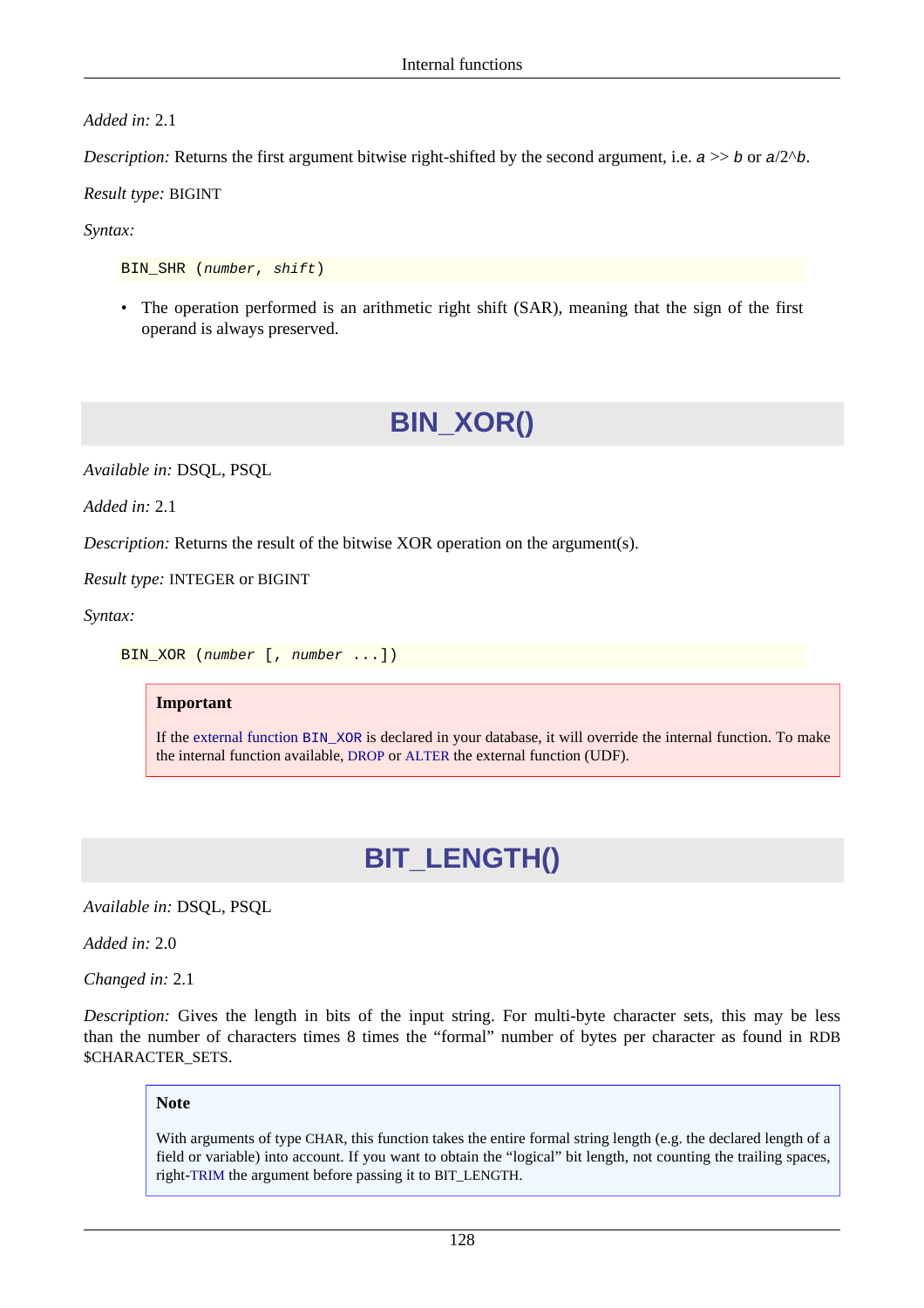#### *Added in:* 2.1

*Description:* Returns the first argument bitwise right-shifted by the second argument, i.e.  $a \gg b$  or  $a/2^b$ .

*Result type:* BIGINT

#### *Syntax:*

BIN\_SHR (number, shift)

• The operation performed is an arithmetic right shift (SAR), meaning that the sign of the first operand is always preserved.

# **BIN\_XOR()**

*Available in:* DSQL, PSQL

*Added in:* 2.1

*Description:* Returns the result of the bitwise XOR operation on the argument(s).

*Result type:* INTEGER or BIGINT

*Syntax:*

BIN\_XOR (number [, number ...])

#### **Important**

<span id="page-138-0"></span>If the [external function](#page-182-1) BIN\_XOR is declared in your database, it will override the internal function. To make the internal function available, [DROP](#page-33-0) or [ALTER](#page-34-0) the external function (UDF).

## **BIT\_LENGTH()**

*Available in:* DSQL, PSQL

*Added in:* 2.0

*Changed in:* 2.1

*Description:* Gives the length in bits of the input string. For multi-byte character sets, this may be less than the number of characters times 8 times the "formal" number of bytes per character as found in RDB \$CHARACTER\_SETS.

#### **Note**

With arguments of type CHAR, this function takes the entire formal string length (e.g. the declared length of a field or variable) into account. If you want to obtain the "logical" bit length, not counting the trailing spaces, right-[TRIM](#page-171-0) the argument before passing it to BIT\_LENGTH.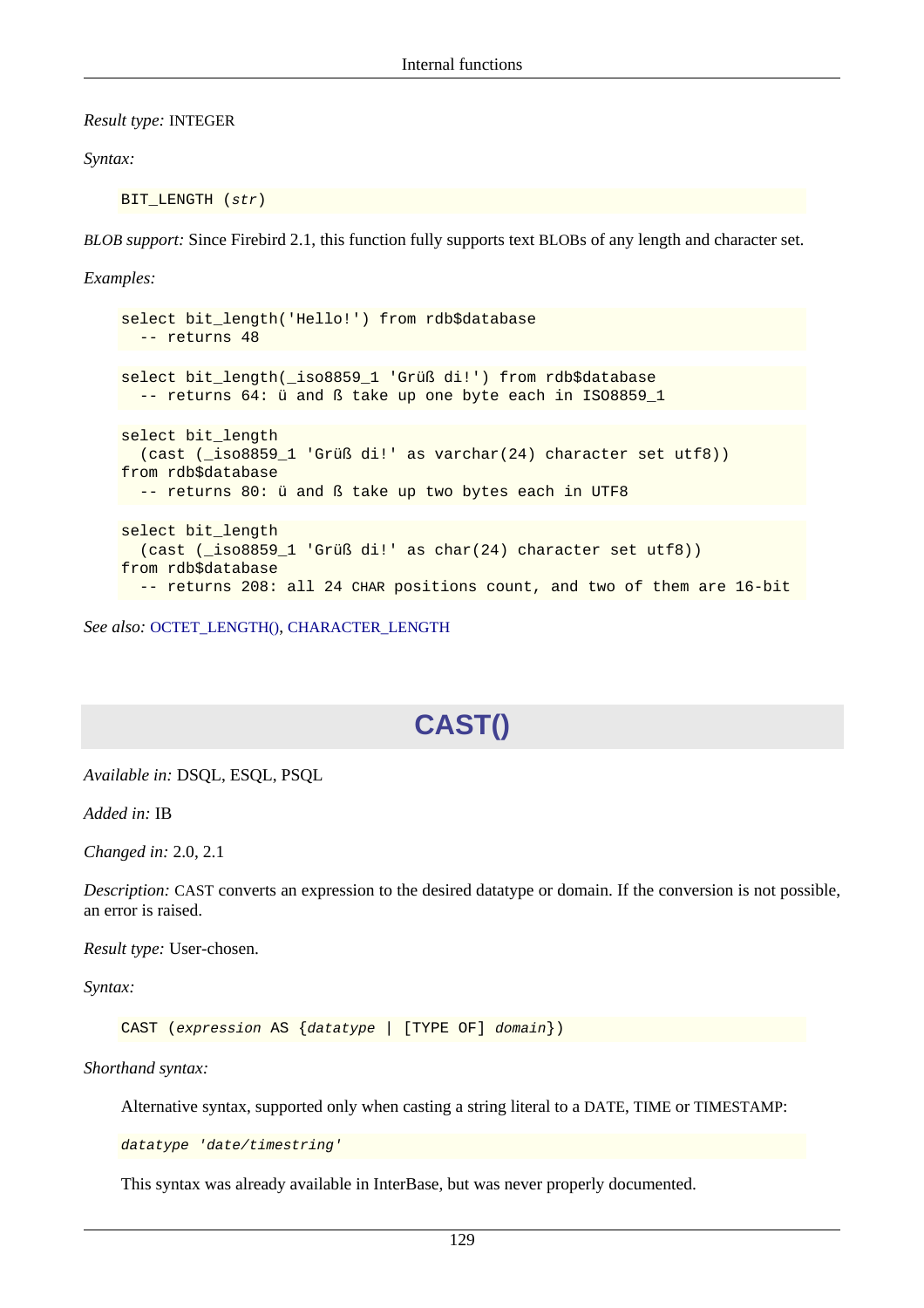*Result type:* INTEGER

*Syntax:*

BIT LENGTH (str)

*BLOB support:* Since Firebird 2.1, this function fully supports text BLOBs of any length and character set.

*Examples:*

```
select bit_length('Hello!') from rdb$database
  -- returns 48
select bit_length(_iso8859_1 'Grüß di!') from rdb$database
  -- returns 64: ü and ß take up one byte each in ISO8859_1
select bit length
   (cast (_iso8859_1 'Grüß di!' as varchar(24) character set utf8))
from rdb$database
 -- returns 80: ü and ß take up two bytes each in UTF8
select bit length
   (cast (_iso8859_1 'Grüß di!' as char(24) character set utf8))
from rdb$database
   -- returns 208: all 24 CHAR positions count, and two of them are 16-bit
```
*See also:* [OCTET\\_LENGTH\(\)](#page-157-0), [CHARACTER\\_LENGTH](#page-142-0)

# **CAST()**

*Available in:* DSQL, ESQL, PSQL

*Added in:* IB

*Changed in:* 2.0, 2.1

*Description:* CAST converts an expression to the desired datatype or domain. If the conversion is not possible, an error is raised.

*Result type:* User-chosen.

*Syntax:*

CAST (expression AS {datatype | [TYPE OF] domain})

*Shorthand syntax:*

Alternative syntax, supported only when casting a string literal to a DATE, TIME or TIMESTAMP:

datatype 'date/timestring'

This syntax was already available in InterBase, but was never properly documented.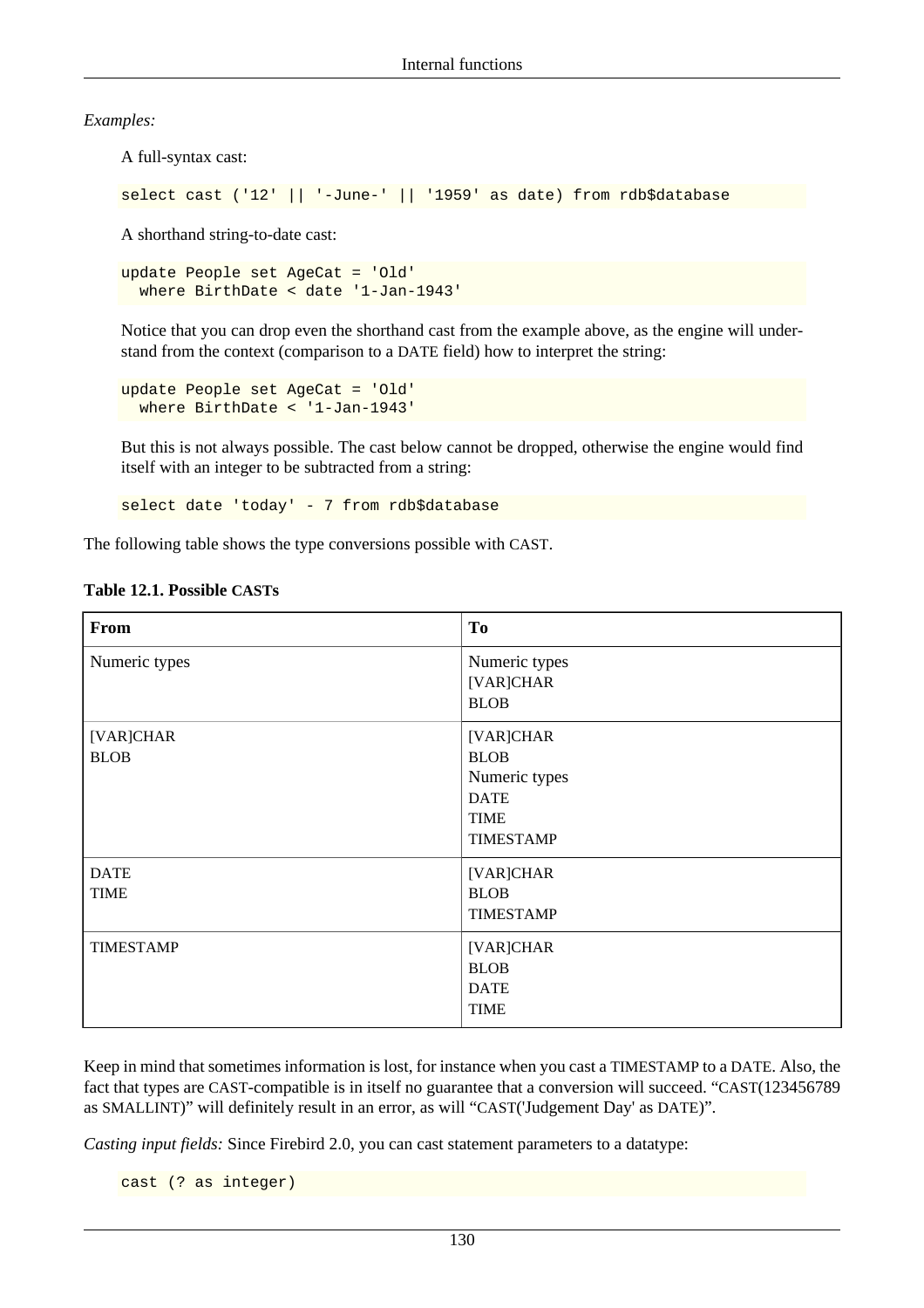*Examples:*

A full-syntax cast:

select cast ('12' || '-June-' || '1959' as date) from rdb\$database

A shorthand string-to-date cast:

update People set AgeCat = 'Old' where BirthDate < date '1-Jan-1943'

Notice that you can drop even the shorthand cast from the example above, as the engine will understand from the context (comparison to a DATE field) how to interpret the string:

```
update People set AgeCat = 'Old'
  where BirthDate < '1-Jan-1943'
```
But this is not always possible. The cast below cannot be dropped, otherwise the engine would find itself with an integer to be subtracted from a string:

select date 'today' - 7 from rdb\$database

The following table shows the type conversions possible with CAST.

| <b>From</b>                | <b>To</b>                                                                                   |
|----------------------------|---------------------------------------------------------------------------------------------|
| Numeric types              | Numeric types<br>[VAR]CHAR<br><b>BLOB</b>                                                   |
| [VAR]CHAR<br><b>BLOB</b>   | [VAR]CHAR<br><b>BLOB</b><br>Numeric types<br><b>DATE</b><br><b>TIME</b><br><b>TIMESTAMP</b> |
| <b>DATE</b><br><b>TIME</b> | [VAR]CHAR<br><b>BLOB</b><br><b>TIMESTAMP</b>                                                |
| <b>TIMESTAMP</b>           | [VAR]CHAR<br><b>BLOB</b><br><b>DATE</b><br><b>TIME</b>                                      |

#### **Table 12.1. Possible CASTs**

Keep in mind that sometimes information is lost, for instance when you cast a TIMESTAMP to a DATE. Also, the fact that types are CAST-compatible is in itself no guarantee that a conversion will succeed. "CAST(123456789 as SMALLINT)" will definitely result in an error, as will "CAST('Judgement Day' as DATE)".

*Casting input fields:* Since Firebird 2.0, you can cast statement parameters to a datatype:

cast (? as integer)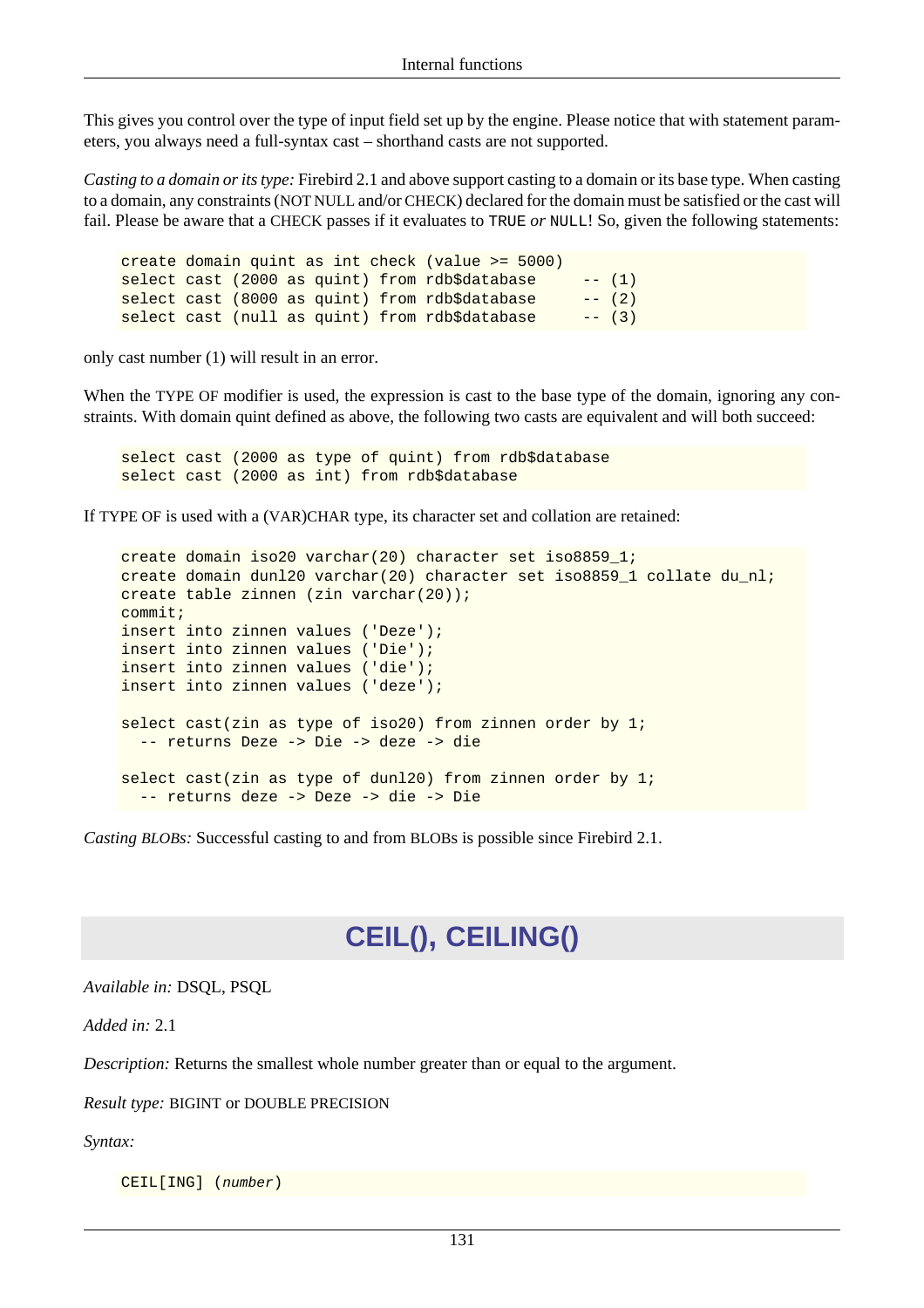This gives you control over the type of input field set up by the engine. Please notice that with statement parameters, you always need a full-syntax cast – shorthand casts are not supported.

*Casting to a domain or its type:* Firebird 2.1 and above support casting to a domain or its base type. When casting to a domain, any constraints (NOT NULL and/or CHECK) declared for the domain must be satisfied or the cast will fail. Please be aware that a CHECK passes if it evaluates to TRUE *or* NULL! So, given the following statements:

create domain quint as int check (value >= 5000) select cast (2000 as quint) from rdb\$database  $-(-1)$ select cast (8000 as quint) from rdb\$database -- (2) select cast (null as quint) from rdb\$database  $-(-3)$ 

only cast number (1) will result in an error.

When the TYPE OF modifier is used, the expression is cast to the base type of the domain, ignoring any constraints. With domain quint defined as above, the following two casts are equivalent and will both succeed:

select cast (2000 as type of quint) from rdb\$database select cast (2000 as int) from rdb\$database

If TYPE OF is used with a (VAR)CHAR type, its character set and collation are retained:

create domain iso20 varchar(20) character set iso8859\_1; create domain dunl20 varchar(20) character set iso8859\_1 collate du\_nl; create table zinnen (zin varchar(20)); commit; insert into zinnen values ('Deze'); insert into zinnen values ('Die'); insert into zinnen values ('die'); insert into zinnen values ('deze'); select cast(zin as type of iso20) from zinnen order by 1; -- returns Deze -> Die -> deze -> die select cast(zin as type of dunl20) from zinnen order by 1; -- returns deze -> Deze -> die -> Die

*Casting BLOBs:* Successful casting to and from BLOBs is possible since Firebird 2.1.

## **CEIL(), CEILING()**

*Available in:* DSQL, PSQL

*Added in:* 2.1

*Description:* Returns the smallest whole number greater than or equal to the argument.

*Result type:* BIGINT or DOUBLE PRECISION

*Syntax:*

CEIL[ING] (number)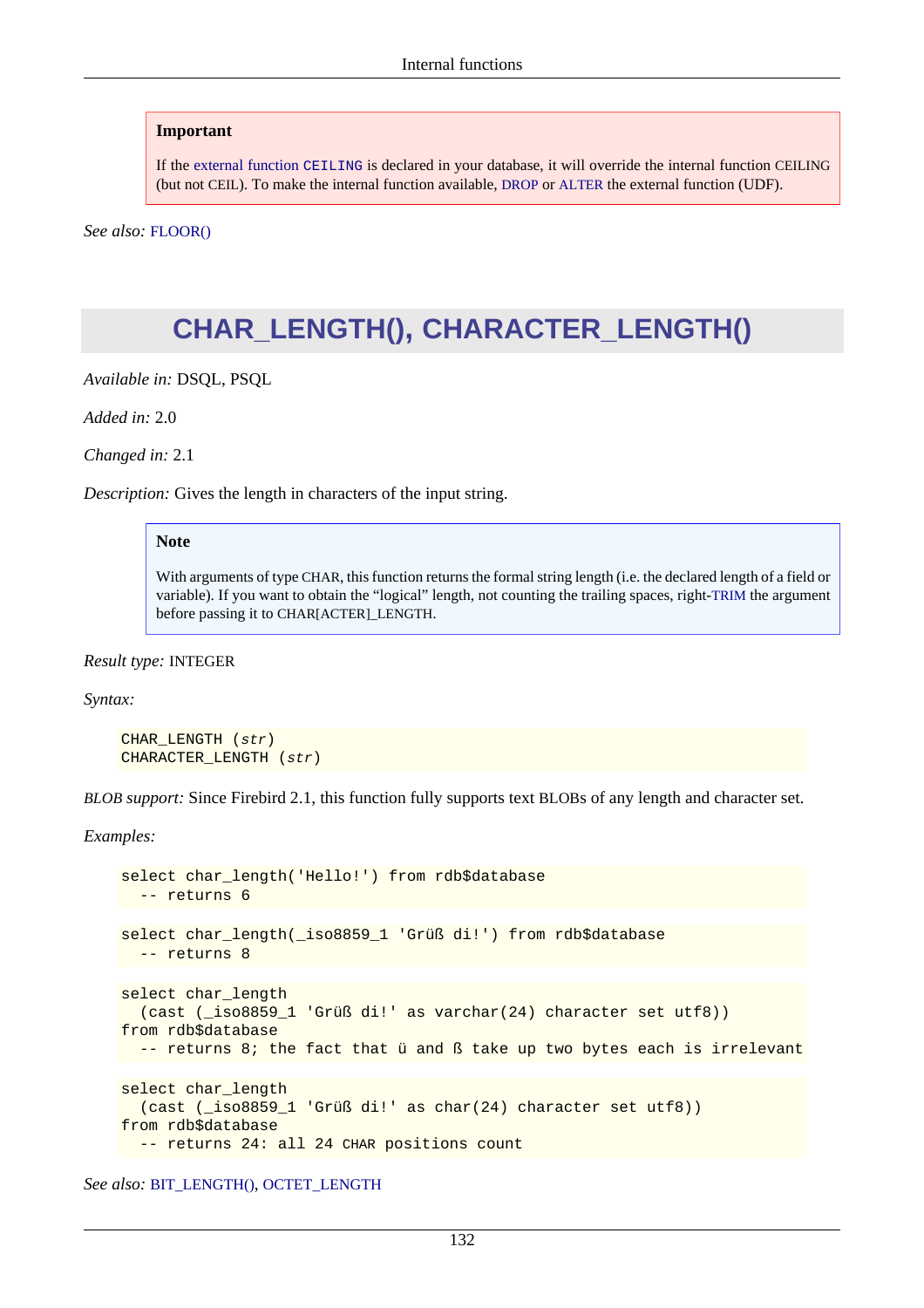If the [external function](#page-183-0) CEILING is declared in your database, it will override the internal function CEILING (but not CEIL). To make the internal function available, [DROP](#page-33-0) or [ALTER](#page-34-0) the external function (UDF).

<span id="page-142-0"></span>*See also:* [FLOOR\(\)](#page-149-0)

## **CHAR\_LENGTH(), CHARACTER\_LENGTH()**

*Available in:* DSQL, PSQL

*Added in:* 2.0

*Changed in:* 2.1

*Description:* Gives the length in characters of the input string.

#### **Note**

With arguments of type CHAR, this function returns the formal string length (i.e. the declared length of a field or variable). If you want to obtain the "logical" length, not counting the trailing spaces, right-[TRIM](#page-171-0) the argument before passing it to CHAR[ACTER]\_LENGTH.

*Result type:* INTEGER

*Syntax:*

```
CHAR_LENGTH (str)
CHARACTER_LENGTH (str)
```
*BLOB support:* Since Firebird 2.1, this function fully supports text BLOBs of any length and character set.

*Examples:*

```
select char_length('Hello!') from rdb$database
  -- returns 6
select char_length(_iso8859_1 'Grüß di!') from rdb$database
  -- returns 8
select char_length
   (cast (_iso8859_1 'Grüß di!' as varchar(24) character set utf8))
from rdb$database
   -- returns 8; the fact that ü and ß take up two bytes each is irrelevant
select char_length
   (cast (_iso8859_1 'Grüß di!' as char(24) character set utf8))
from rdb$database
   -- returns 24: all 24 CHAR positions count
```
*See also:* [BIT\\_LENGTH\(\)](#page-138-0), [OCTET\\_LENGTH](#page-157-0)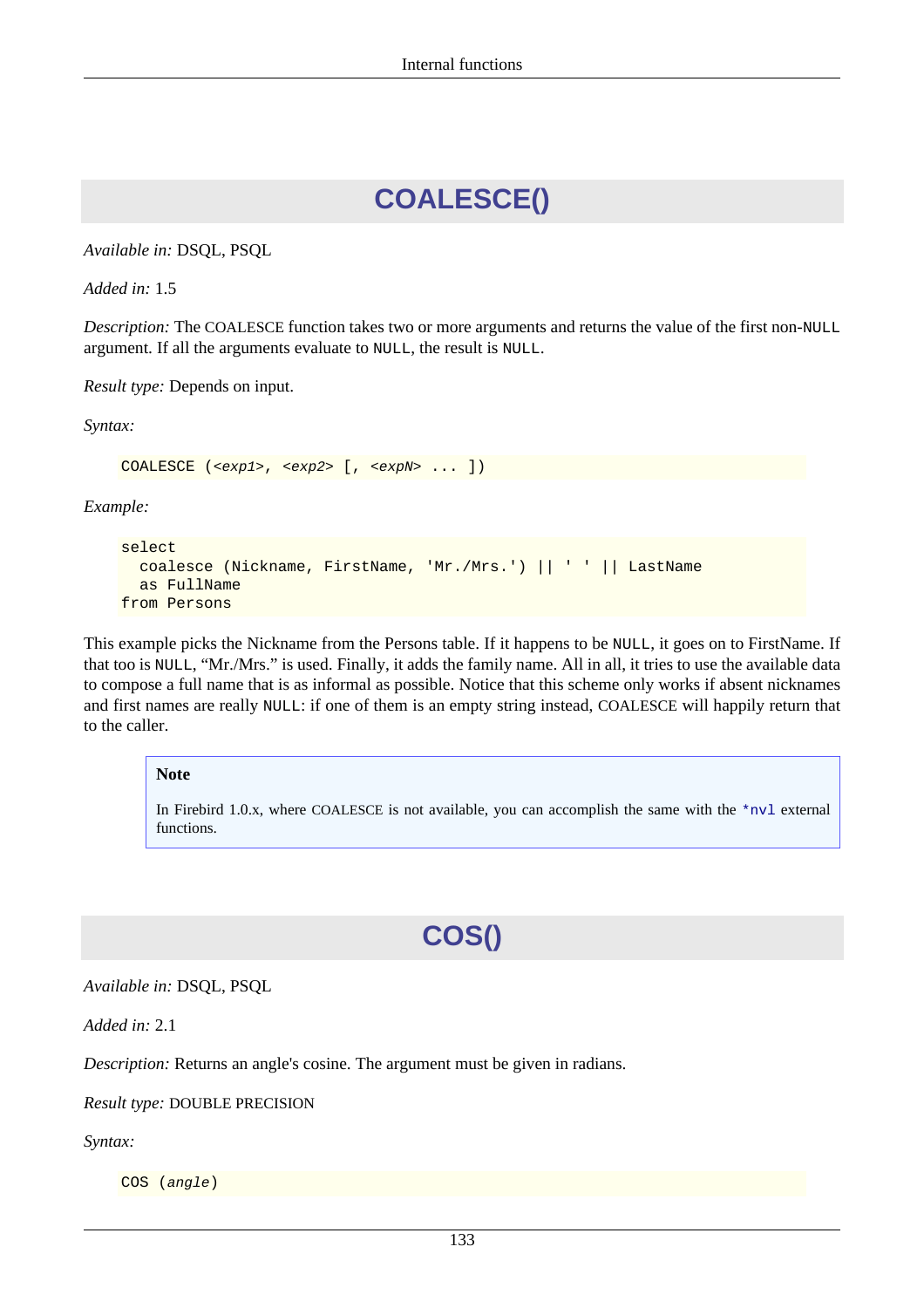# **COALESCE()**

*Available in:* DSQL, PSQL

*Added in:* 1.5

*Description:* The COALESCE function takes two or more arguments and returns the value of the first non-NULL argument. If all the arguments evaluate to NULL, the result is NULL.

*Result type:* Depends on input.

*Syntax:*

COALESCE (<exp1>, <exp2> [, <expN> ... ])

*Example:*

```
select 
   coalesce (Nickname, FirstName, 'Mr./Mrs.') || ' ' || LastName
   as FullName
from Persons
```
This example picks the Nickname from the Persons table. If it happens to be NULL, it goes on to FirstName. If that too is NULL, "Mr./Mrs." is used. Finally, it adds the family name. All in all, it tries to use the available data to compose a full name that is as informal as possible. Notice that this scheme only works if absent nicknames and first names are really NULL: if one of them is an empty string instead, COALESCE will happily return that to the caller.

#### **Note**

In Firebird 1.0.x, where COALESCE is not available, you can accomplish the same with the [\\*nvl](#page-193-0) external functions.

# **COS()**

*Available in:* DSQL, PSQL

*Added in:* 2.1

*Description:* Returns an angle's cosine. The argument must be given in radians.

#### *Result type:* DOUBLE PRECISION

*Syntax:*

COS (angle)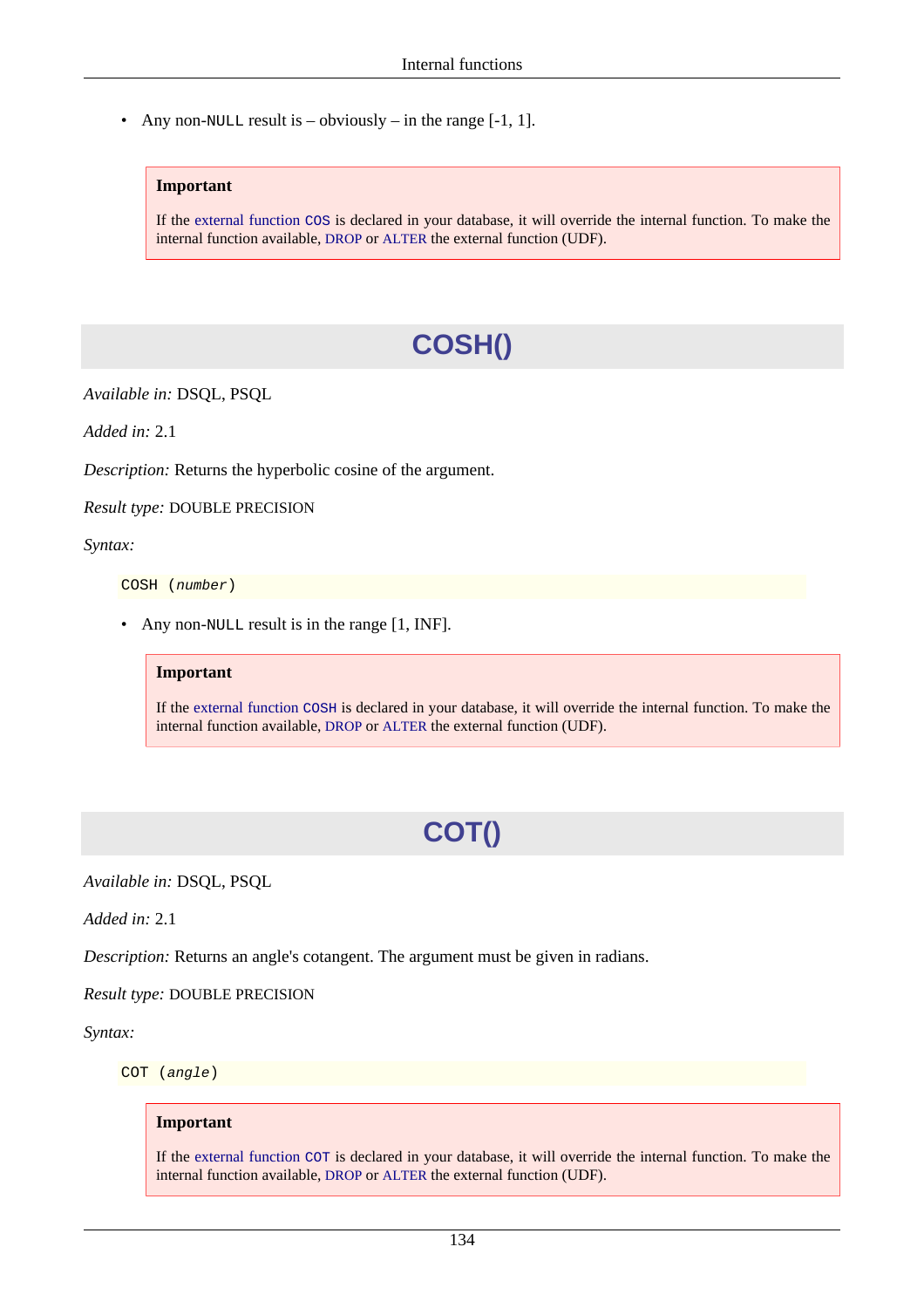• Any non-NULL result is – obviously – in the range  $[-1, 1]$ .

#### **Important**

If the [external function](#page-183-0) COS is declared in your database, it will override the internal function. To make the internal function available, [DROP](#page-33-0) or [ALTER](#page-34-0) the external function (UDF).

# **COSH()**

*Available in:* DSQL, PSQL

*Added in:* 2.1

*Description:* Returns the hyperbolic cosine of the argument.

*Result type:* DOUBLE PRECISION

*Syntax:*

COSH (number)

• Any non-NULL result is in the range [1, INF].

#### **Important**

If the [external function](#page-184-0) COSH is declared in your database, it will override the internal function. To make the internal function available, [DROP](#page-33-0) or [ALTER](#page-34-0) the external function (UDF).

# **COT()**

*Available in:* DSQL, PSQL

*Added in:* 2.1

*Description:* Returns an angle's cotangent. The argument must be given in radians.

*Result type:* DOUBLE PRECISION

*Syntax:*

COT (angle)

#### **Important**

If the [external function](#page-184-1) COT is declared in your database, it will override the internal function. To make the internal function available, [DROP](#page-33-0) or [ALTER](#page-34-0) the external function (UDF).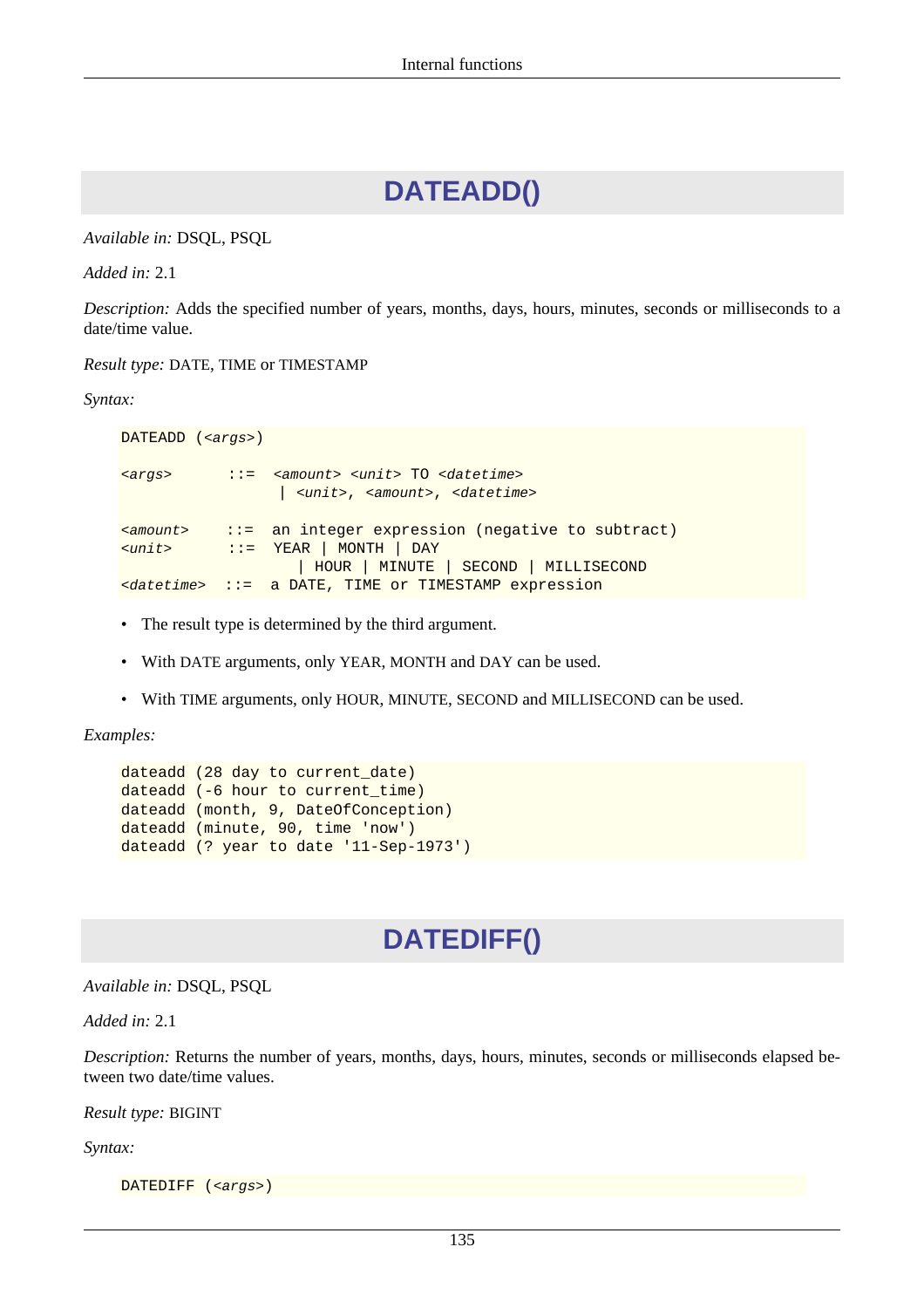### **DATEADD()**

<span id="page-145-0"></span>*Available in:* DSQL, PSQL

*Added in:* 2.1

*Description:* Adds the specified number of years, months, days, hours, minutes, seconds or milliseconds to a date/time value.

*Result type:* DATE, TIME or TIMESTAMP

*Syntax:*

DATEADD (<args>) <args> ::= <amount> <unit> TO <datetime> | <unit>, <amount>, <datetime> <amount> ::= an integer expression (negative to subtract) <unit> ::= YEAR | MONTH | DAY | HOUR | MINUTE | SECOND | MILLISECOND <datetime> ::= a DATE, TIME or TIMESTAMP expression

- The result type is determined by the third argument.
- With DATE arguments, only YEAR, MONTH and DAY can be used.
- With TIME arguments, only HOUR, MINUTE, SECOND and MILLISECOND can be used.

*Examples:*

```
dateadd (28 day to current_date)
dateadd (-6 hour to current_time)
dateadd (month, 9, DateOfConception)
dateadd (minute, 90, time 'now')
dateadd (? year to date '11-Sep-1973')
```
### **DATEDIFF()**

*Available in:* DSQL, PSQL

*Added in:* 2.1

*Description:* Returns the number of years, months, days, hours, minutes, seconds or milliseconds elapsed between two date/time values.

*Result type:* BIGINT

*Syntax:*

DATEDIFF (<args>)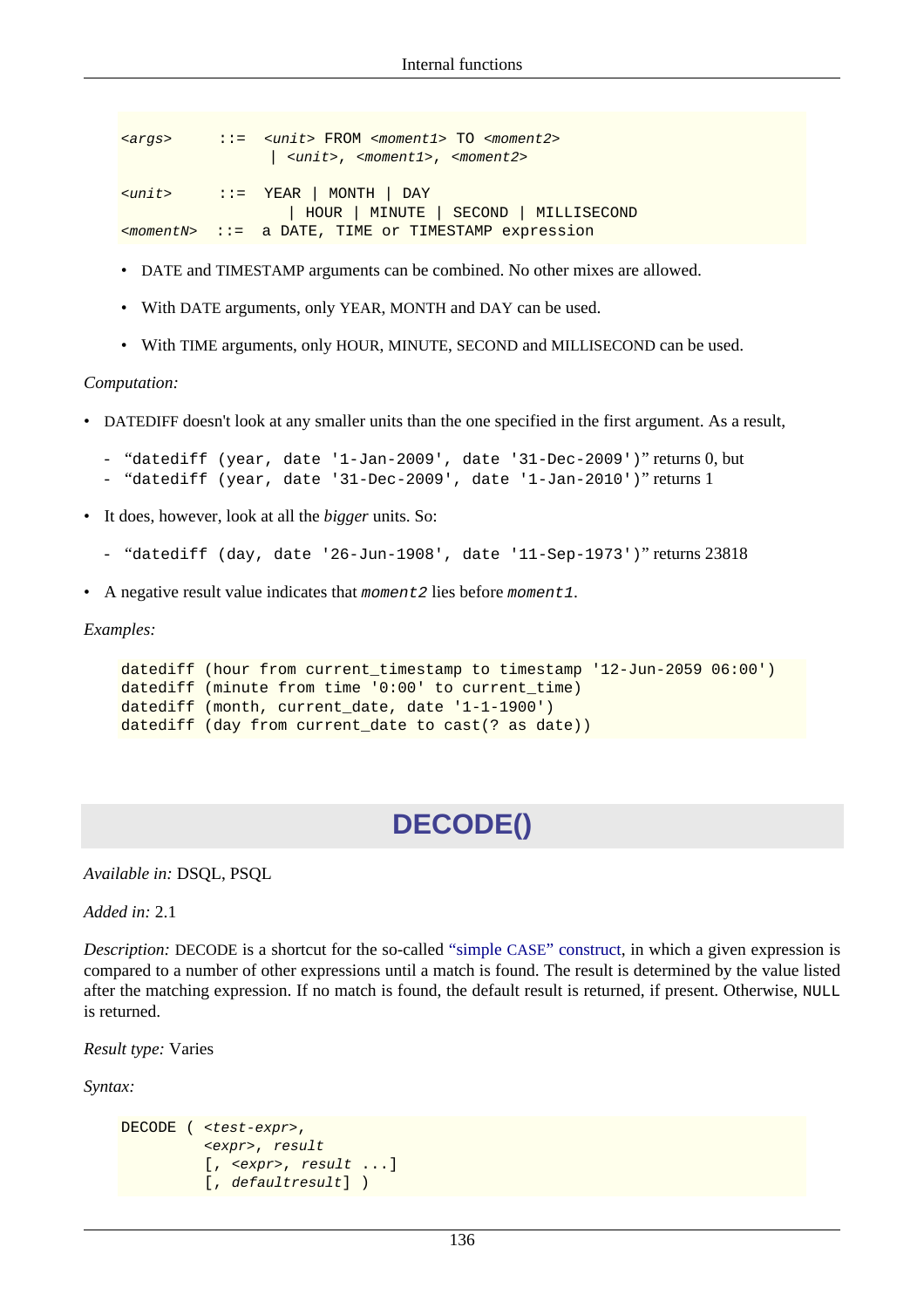```
<args> ::= <unit> FROM <moment1> TO <moment2>
                 | <unit>, <moment1>, <moment2>
<unit> ::= YEAR | MONTH | DAY
                   | HOUR | MINUTE | SECOND | MILLISECOND
<momentN> ::= a DATE, TIME or TIMESTAMP expression
```
- DATE and TIMESTAMP arguments can be combined. No other mixes are allowed.
- With DATE arguments, only YEAR, MONTH and DAY can be used.
- With TIME arguments, only HOUR, MINUTE, SECOND and MILLISECOND can be used.

#### *Computation:*

- DATEDIFF doesn't look at any smaller units than the one specified in the first argument. As a result,
	- "datediff (year, date '1-Jan-2009', date '31-Dec-2009')" returns 0, but
	- "datediff (year, date '31-Dec-2009', date '1-Jan-2010')" returns 1
- It does, however, look at all the *bigger* units. So:
	- "datediff (day, date '26-Jun-1908', date '11-Sep-1973')" returns 23818
- A negative result value indicates that moment 2 lies before moment 1.

*Examples:*

```
datediff (hour from current_timestamp to timestamp '12-Jun-2059 06:00')
datediff (minute from time '0:00' to current_time)
datediff (month, current_date, date '1-1-1900')
datediff (day from current_date to cast(? as date))
```
### **DECODE()**

*Available in:* DSQL, PSQL

*Added in:* 2.1

*Description:* DECODE is a shortcut for the so-called "simple CASE[" construct](#page-18-0), in which a given expression is compared to a number of other expressions until a match is found. The result is determined by the value listed after the matching expression. If no match is found, the default result is returned, if present. Otherwise, NULL is returned.

*Result type:* Varies

*Syntax:*

```
DECODE ( <test-expr>,
           <expr>, result
           [, <expr>, result ...]
          [, defaultresult])
```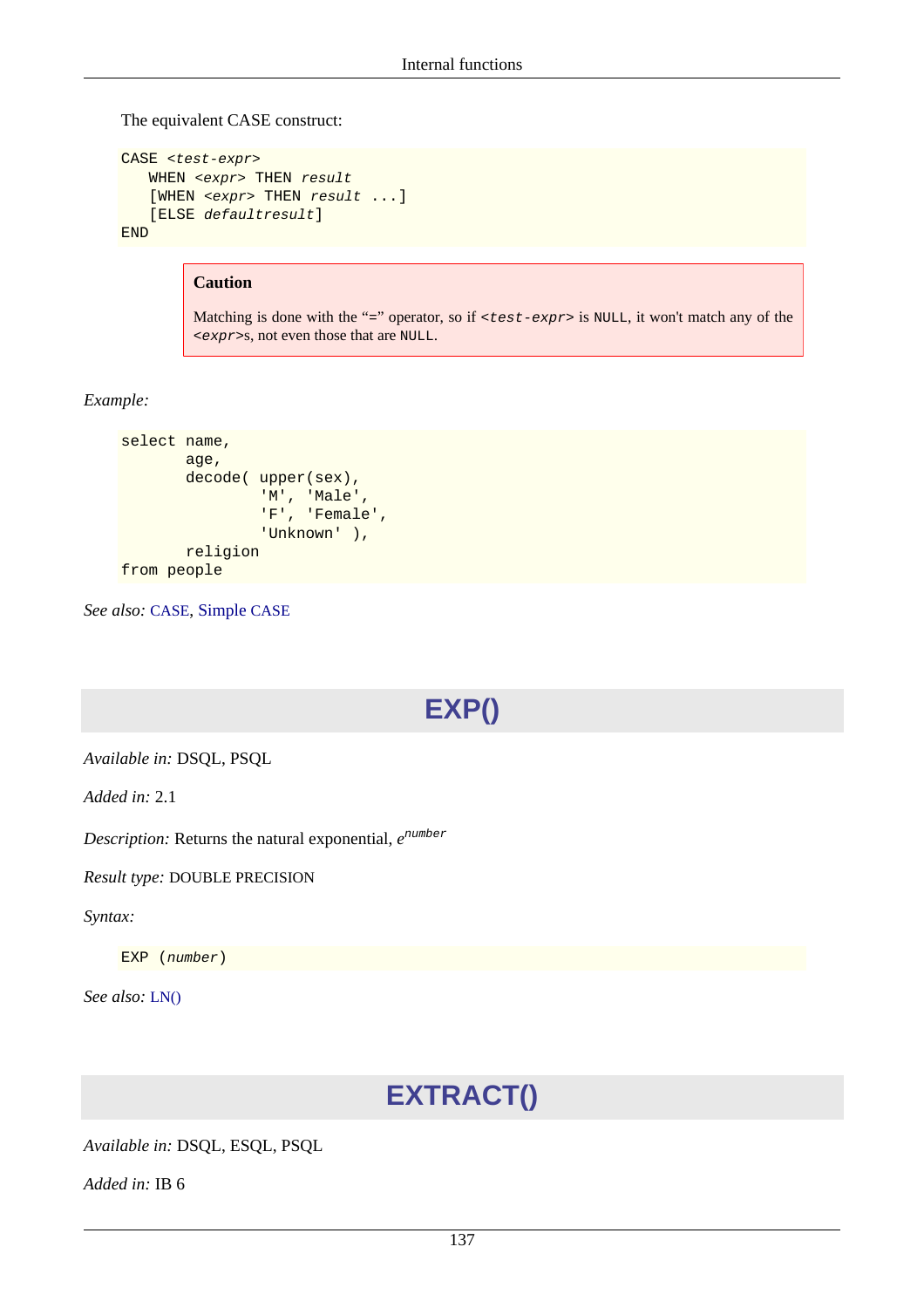The equivalent CASE construct:

```
CASE <test-expr>
   WHEN <expr> THEN result
   [WHEN <expr> THEN result ...]
    [ELSE defaultresult]
END
```
#### **Caution**

Matching is done with the "=" operator, so if <test-expr> is NULL, it won't match any of the <expr>s, not even those that are NULL.

#### *Example:*

```
select name,
        age,
       decode( upper(sex),
                'M', 'Male',
                 'F', 'Female',
                 'Unknown' ),
        religion
from people
```
<span id="page-147-0"></span>*See also:* [CASE](#page-18-1), [Simple](#page-18-0) CASE

# **EXP()**

*Available in:* DSQL, PSQL

*Added in:* 2.1

*Description:* Returns the natural exponential,  $e^{number}$ 

#### *Result type:* DOUBLE PRECISION

*Syntax:*

EXP (number)

*See also:* [LN\(\)](#page-152-0)

# **EXTRACT()**

*Available in:* DSQL, ESQL, PSQL

*Added in:* IB 6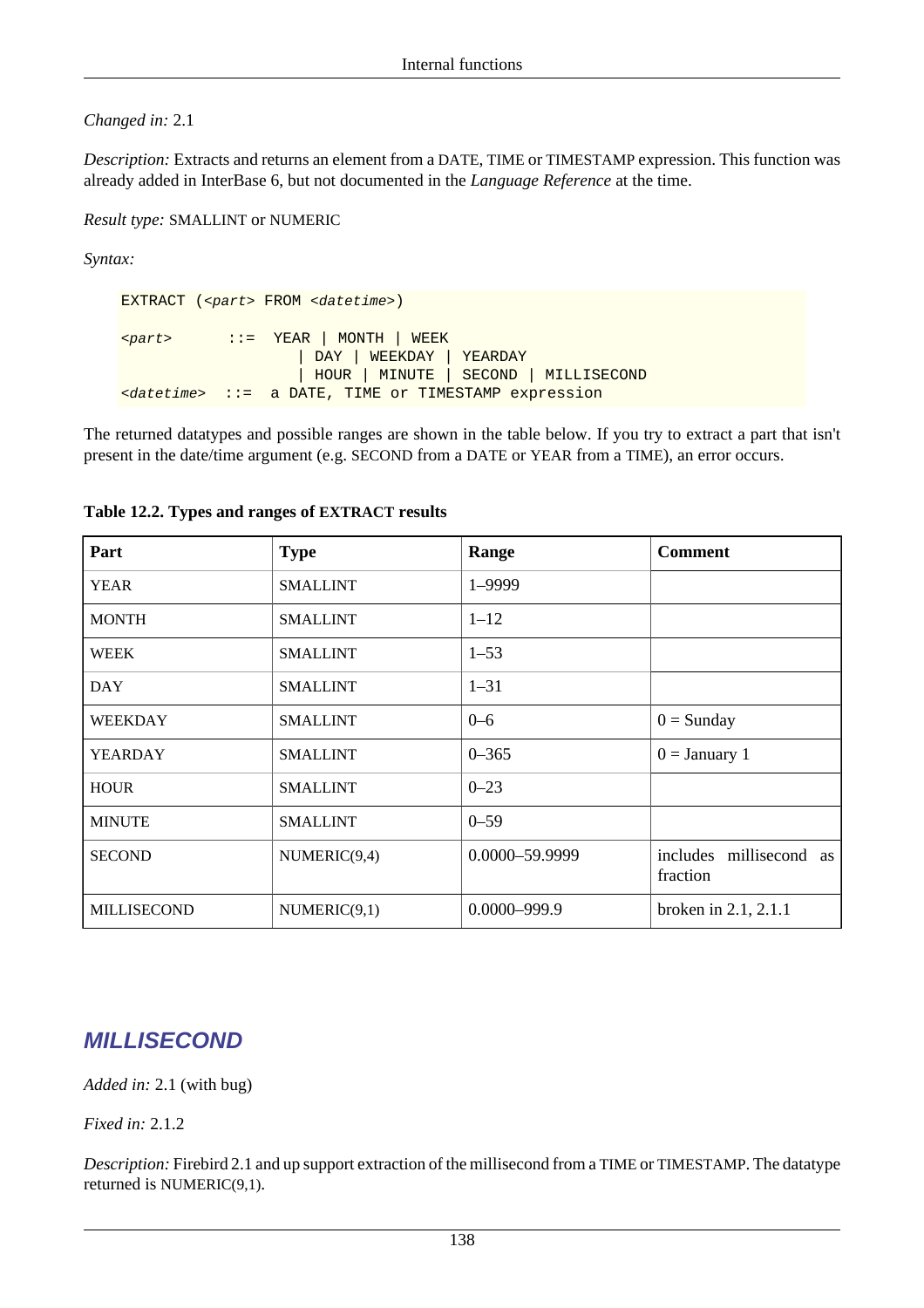#### *Changed in:* 2.1

*Description:* Extracts and returns an element from a DATE, TIME or TIMESTAMP expression. This function was already added in InterBase 6, but not documented in the *Language Reference* at the time.

*Result type:* SMALLINT or NUMERIC

*Syntax:*

EXTRACT (<part> FROM <datetime>) <part> ::= YEAR | MONTH | WEEK | DAY | WEEKDAY | YEARDAY | HOUR | MINUTE | SECOND | MILLISECOND <datetime> ::= a DATE, TIME or TIMESTAMP expression

The returned datatypes and possible ranges are shown in the table below. If you try to extract a part that isn't present in the date/time argument (e.g. SECOND from a DATE or YEAR from a TIME), an error occurs.

| Part               | <b>Type</b>     | Range            | <b>Comment</b>                      |
|--------------------|-----------------|------------------|-------------------------------------|
| <b>YEAR</b>        | <b>SMALLINT</b> | 1-9999           |                                     |
| <b>MONTH</b>       | <b>SMALLINT</b> | $1 - 12$         |                                     |
| <b>WEEK</b>        | <b>SMALLINT</b> | $1 - 53$         |                                     |
| <b>DAY</b>         | <b>SMALLINT</b> | $1 - 31$         |                                     |
| <b>WEEKDAY</b>     | <b>SMALLINT</b> | $0 - 6$          | $0 =$ Sunday                        |
| <b>YEARDAY</b>     | <b>SMALLINT</b> | $0 - 365$        | $0 =$ January 1                     |
| <b>HOUR</b>        | <b>SMALLINT</b> | $0 - 23$         |                                     |
| <b>MINUTE</b>      | <b>SMALLINT</b> | $0 - 59$         |                                     |
| <b>SECOND</b>      | NUMERIC(9,4)    | 0.0000-59.9999   | includes millisecond as<br>fraction |
| <b>MILLISECOND</b> | NUMERIC(9,1)    | $0.0000 - 999.9$ | broken in $2.1$ , $2.1.1$           |

#### **Table 12.2. Types and ranges of EXTRACT results**

### **MILLISECOND**

*Added in:* 2.1 (with bug)

*Fixed in:* 2.1.2

*Description:* Firebird 2.1 and up support extraction of the millisecond from a TIME or TIMESTAMP. The datatype returned is NUMERIC(9,1).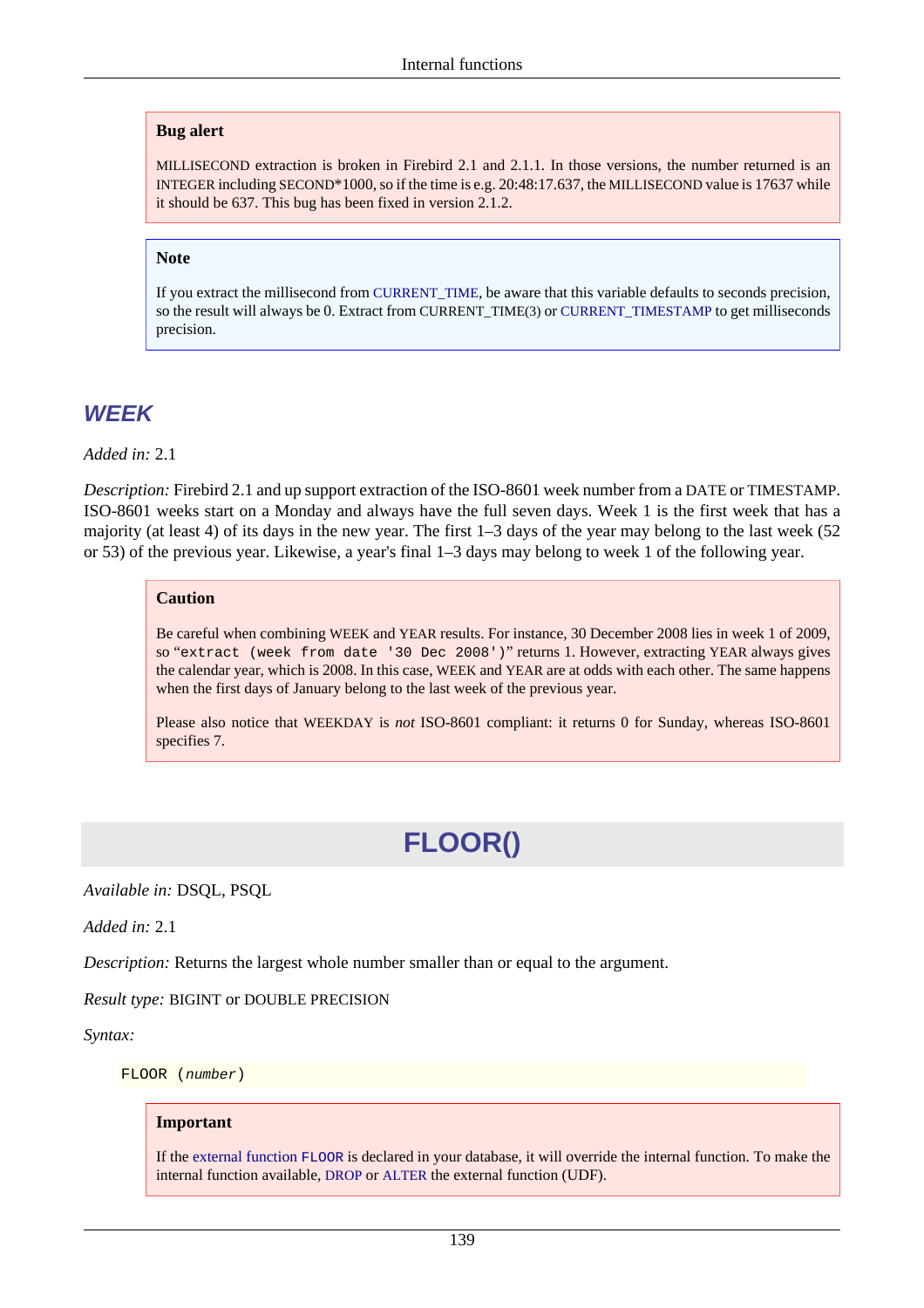#### **Bug alert**

MILLISECOND extraction is broken in Firebird 2.1 and 2.1.1. In those versions, the number returned is an INTEGER including SECOND\*1000, so if the time is e.g. 20:48:17.637, the MILLISECOND value is 17637 while it should be 637. This bug has been fixed in version 2.1.2.

#### **Note**

If you extract the millisecond from [CURRENT\\_TIME](#page-120-0), be aware that this variable defaults to seconds precision, so the result will always be 0. Extract from CURRENT\_TIME(3) or [CURRENT\\_TIMESTAMP](#page-120-1) to get milliseconds precision.

### **WEEK**

*Added in:* 2.1

*Description:* Firebird 2.1 and up support extraction of the ISO-8601 week number from a DATE or TIMESTAMP. ISO-8601 weeks start on a Monday and always have the full seven days. Week 1 is the first week that has a majority (at least 4) of its days in the new year. The first 1–3 days of the year may belong to the last week (52 or 53) of the previous year. Likewise, a year's final 1–3 days may belong to week 1 of the following year.

#### **Caution**

Be careful when combining WEEK and YEAR results. For instance, 30 December 2008 lies in week 1 of 2009, so "extract (week from date '30 Dec 2008')" returns 1. However, extracting YEAR always gives the calendar year, which is 2008. In this case, WEEK and YEAR are at odds with each other. The same happens when the first days of January belong to the last week of the previous year.

Please also notice that WEEKDAY is *not* ISO-8601 compliant: it returns 0 for Sunday, whereas ISO-8601 specifies 7.

# **FLOOR()**

*Available in:* DSQL, PSQL

*Added in:* 2.1

*Description:* Returns the largest whole number smaller than or equal to the argument.

#### *Result type:* BIGINT or DOUBLE PRECISION

*Syntax:*

FLOOR (number)

#### **Important**

If the [external function](#page-186-0) FLOOR is declared in your database, it will override the internal function. To make the internal function available, [DROP](#page-33-0) or [ALTER](#page-34-0) the external function (UDF).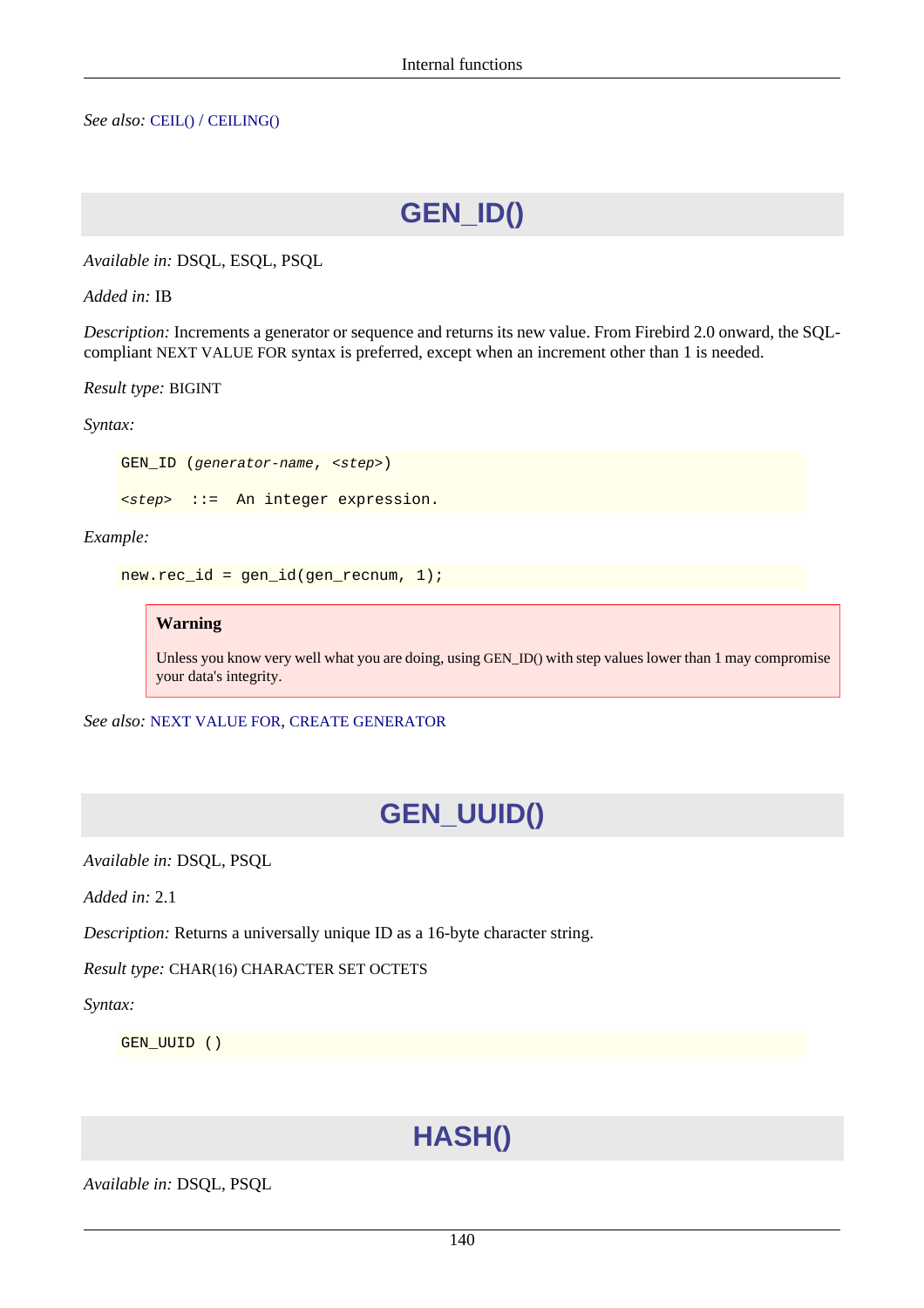*See also:* CEIL() / [CEILING\(\)](#page-141-0)

**GEN\_ID()**

*Available in:* DSQL, ESQL, PSQL

*Added in:* IB

*Description:* Increments a generator or sequence and returns its new value. From Firebird 2.0 onward, the SQLcompliant NEXT VALUE FOR syntax is preferred, except when an increment other than 1 is needed.

*Result type:* BIGINT

*Syntax:*

GEN ID (generator-name, <step>)

<step> ::= An integer expression.

*Example:*

 $new-rec_id = gen_id(gen\_recnum, 1);$ 

#### **Warning**

Unless you know very well what you are doing, using GEN\_ID() with step values lower than 1 may compromise your data's integrity.

*See also:* [NEXT VALUE FOR](#page-130-0), [CREATE GENERATOR](#page-45-0)

### **GEN\_UUID()**

*Available in:* DSQL, PSQL

*Added in:* 2.1

*Description:* Returns a universally unique ID as a 16-byte character string.

*Result type:* CHAR(16) CHARACTER SET OCTETS

*Syntax:*

GEN\_UUID ()

# **HASH()**

*Available in:* DSQL, PSQL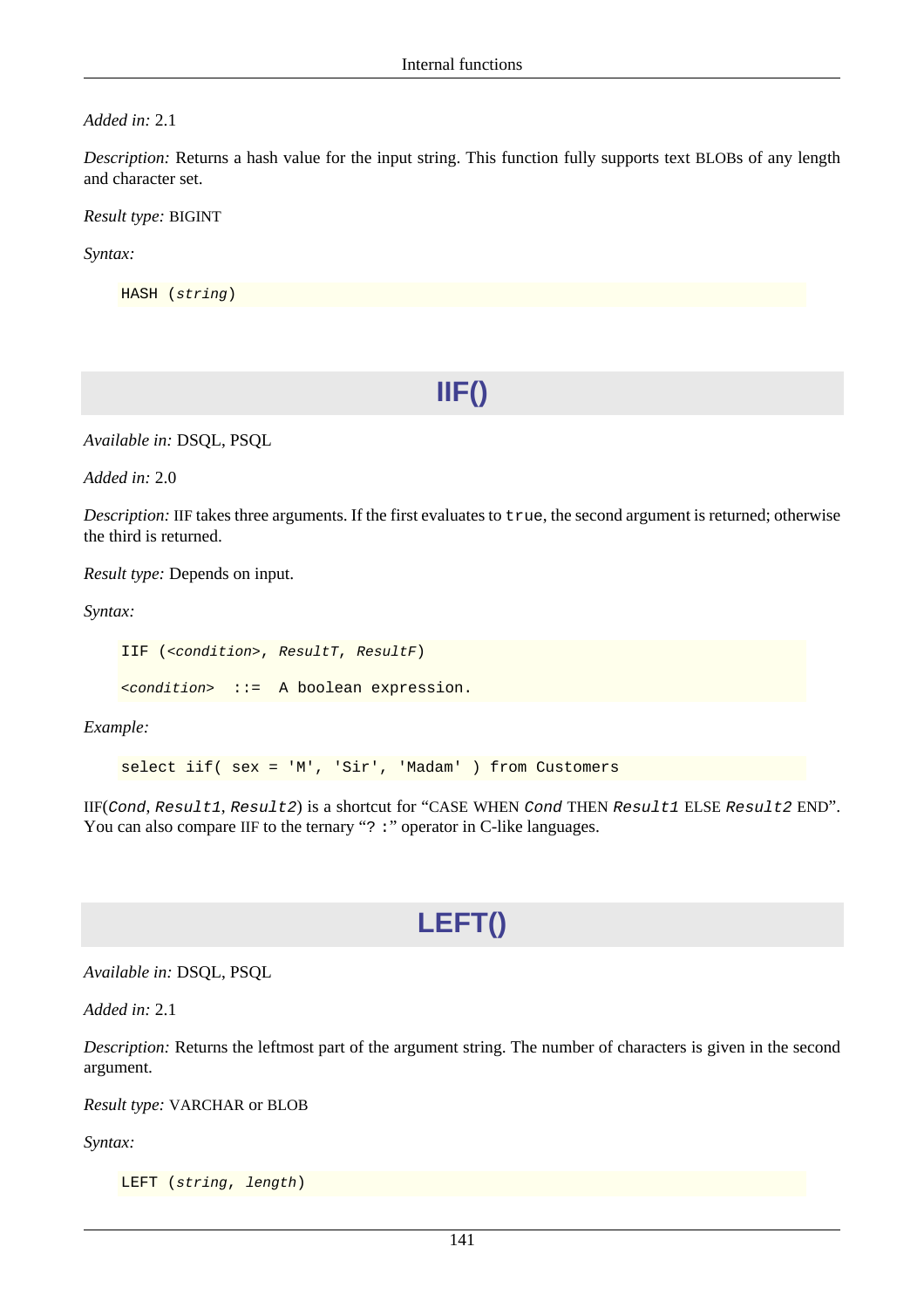#### *Added in:* 2.1

*Description:* Returns a hash value for the input string. This function fully supports text BLOBs of any length and character set.

*Result type:* BIGINT

*Syntax:*

HASH (string)

**IIF()**

*Available in:* DSQL, PSQL

*Added in:* 2.0

*Description:* IIF takes three arguments. If the first evaluates to true, the second argument is returned; otherwise the third is returned.

*Result type:* Depends on input.

*Syntax:*

IIF (<condition>, ResultT, ResultF)

<condition> ::= A boolean expression.

*Example:*

select iif( sex = 'M', 'Sir', 'Madam' ) from Customers

<span id="page-151-0"></span>IIF(Cond, Result1, Result2) is a shortcut for "CASE WHEN Cond THEN Result1 ELSE Result2 END". You can also compare IIF to the ternary "? :" operator in C-like languages.

### **LEFT()**

*Available in:* DSQL, PSQL

*Added in:* 2.1

*Description:* Returns the leftmost part of the argument string. The number of characters is given in the second argument.

*Result type:* VARCHAR or BLOB

*Syntax:*

LEFT (string, length)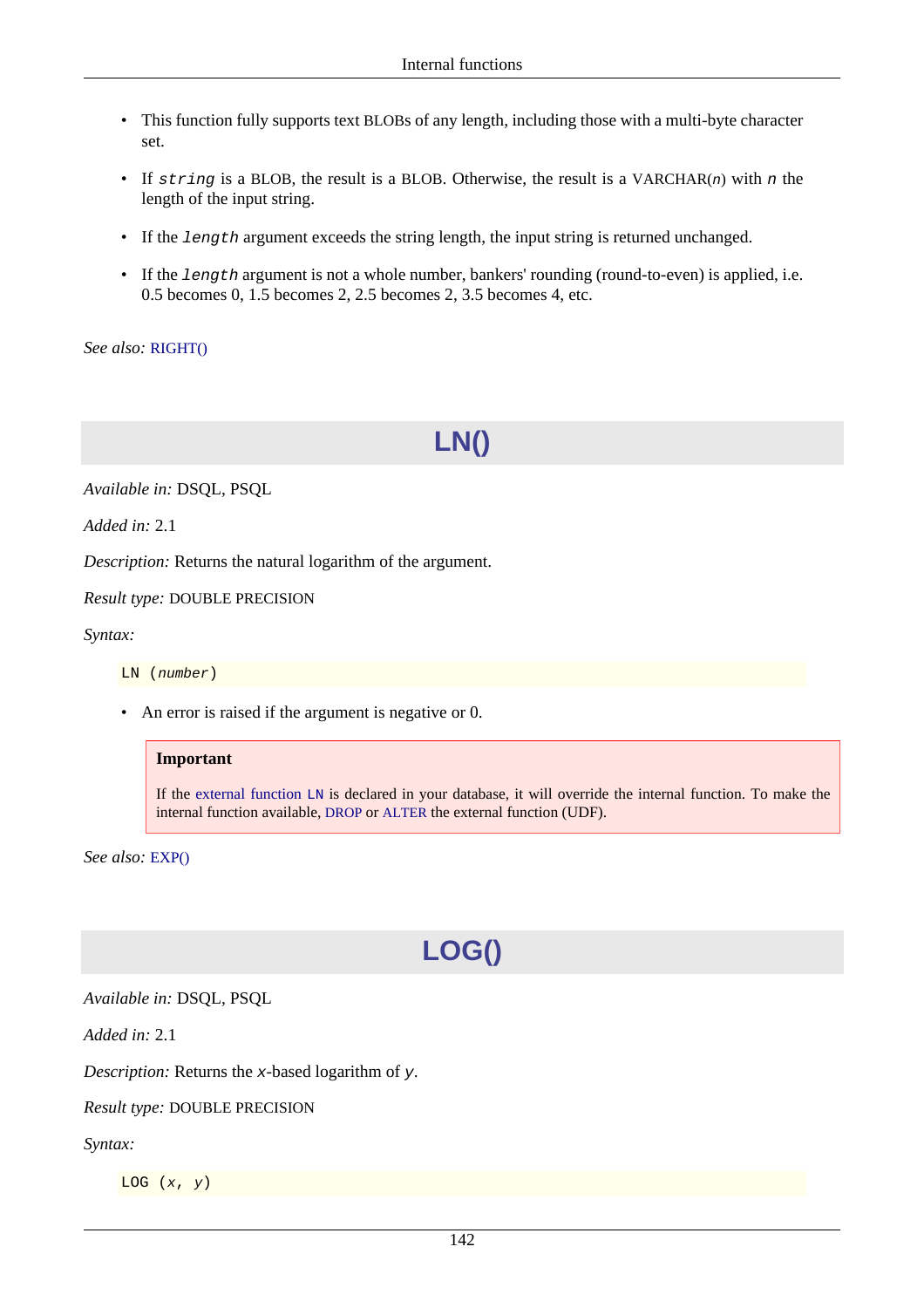- This function fully supports text BLOBs of any length, including those with a multi-byte character set.
- If string is a BLOB, the result is a BLOB. Otherwise, the result is a VARCHAR(n) with n the length of the input string.
- If the length argument exceeds the string length, the input string is returned unchanged.
- If the length argument is not a whole number, bankers' rounding (round-to-even) is applied, i.e. 0.5 becomes 0, 1.5 becomes 2, 2.5 becomes 2, 3.5 becomes 4, etc.

<span id="page-152-0"></span>*See also:* [RIGHT\(\)](#page-165-0)

# **LN()**

*Available in:* DSQL, PSQL

*Added in:* 2.1

*Description:* Returns the natural logarithm of the argument.

*Result type:* DOUBLE PRECISION

*Syntax:*

LN (number)

• An error is raised if the argument is negative or 0.

#### **Important**

If the [external function](#page-187-0) LN is declared in your database, it will override the internal function. To make the internal function available, [DROP](#page-33-0) or [ALTER](#page-34-0) the external function (UDF).

*See also:* [EXP\(\)](#page-147-0)

# **LOG()**

*Available in:* DSQL, PSQL

*Added in:* 2.1

*Description:* Returns the x-based logarithm of y.

#### *Result type:* DOUBLE PRECISION

*Syntax:*

LOG  $(x, y)$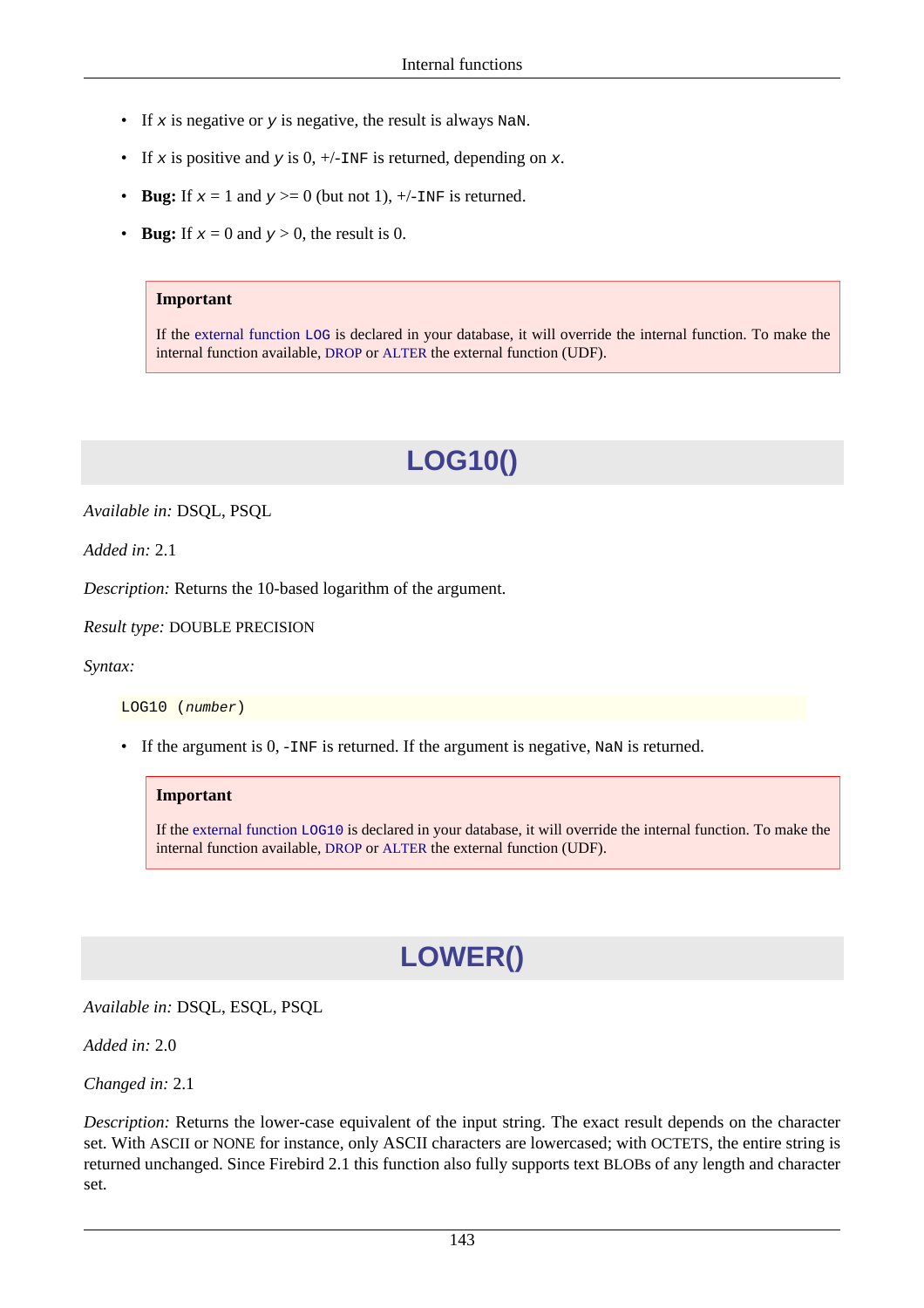- If x is negative or y is negative, the result is always NaN.
- If x is positive and y is  $0, +/-$ INF is returned, depending on x.
- **Bug:** If  $x = 1$  and  $y \ge 0$  (but not 1),  $\frac{+}{\text{N}}$  is returned.
- **Bug:** If  $x = 0$  and  $y > 0$ , the result is 0.

#### **Important**

If the [external function](#page-187-1) LOG is declared in your database, it will override the internal function. To make the internal function available, [DROP](#page-33-0) or [ALTER](#page-34-0) the external function (UDF).

# **LOG10()**

*Available in:* DSQL, PSQL

*Added in:* 2.1

*Description:* Returns the 10-based logarithm of the argument.

*Result type:* DOUBLE PRECISION

*Syntax:*

LOG10 (number)

• If the argument is 0, -INF is returned. If the argument is negative, NaN is returned.

#### **Important**

<span id="page-153-0"></span>If the [external function](#page-188-0) LOG10 is declared in your database, it will override the internal function. To make the internal function available, [DROP](#page-33-0) or [ALTER](#page-34-0) the external function (UDF).

# **LOWER()**

*Available in:* DSQL, ESQL, PSQL

*Added in:* 2.0

*Changed in:* 2.1

*Description:* Returns the lower-case equivalent of the input string. The exact result depends on the character set. With ASCII or NONE for instance, only ASCII characters are lowercased; with OCTETS, the entire string is returned unchanged. Since Firebird 2.1 this function also fully supports text BLOBs of any length and character set.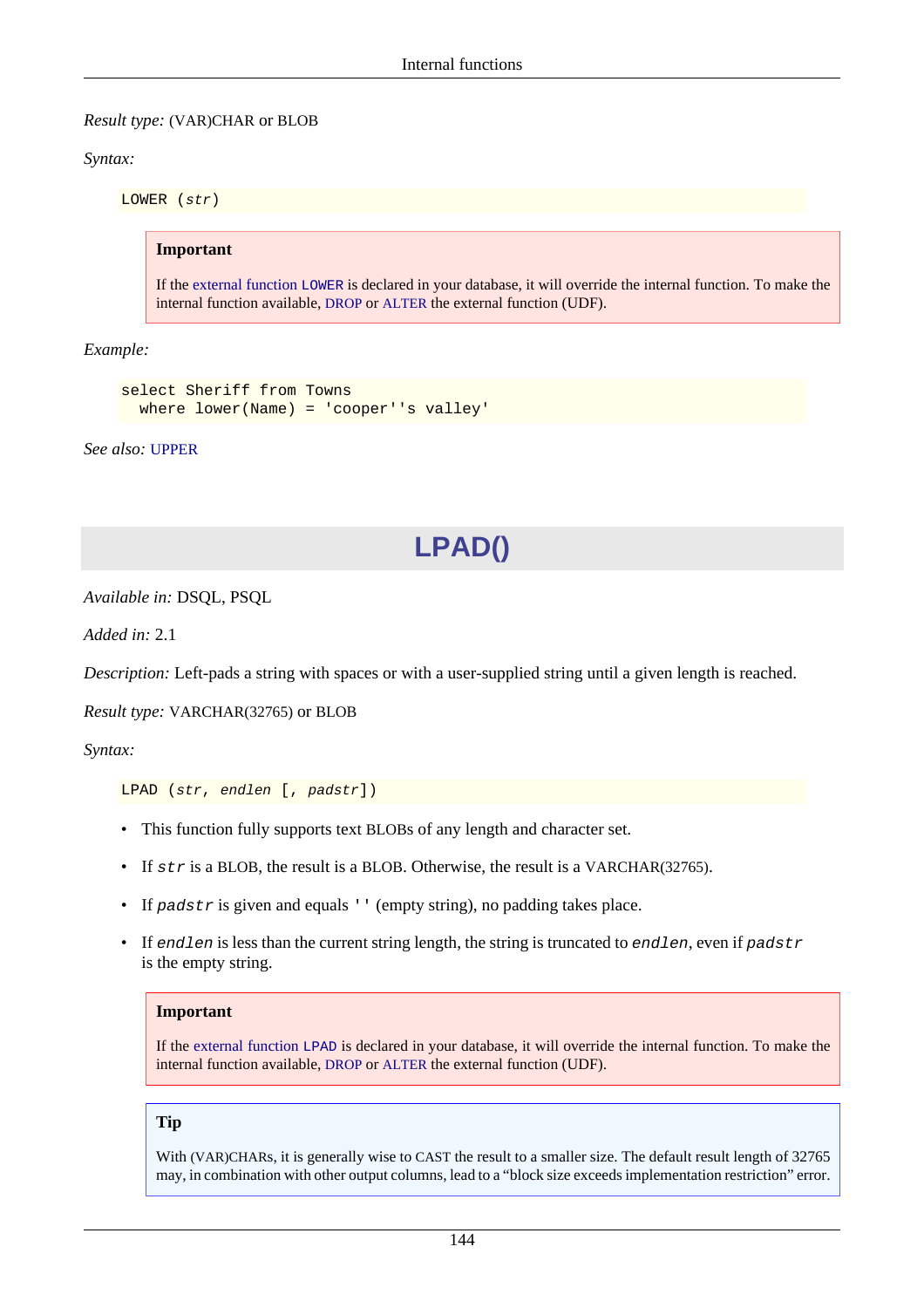#### *Result type:* (VAR)CHAR or BLOB

*Syntax:*

LOWER (str)

#### **Important**

If the [external function](#page-189-0) LOWER is declared in your database, it will override the internal function. To make the internal function available, [DROP](#page-33-0) or [ALTER](#page-34-0) the external function (UDF).

*Example:*

```
select Sheriff from Towns
  where lower(Name) = 'cooper''s valley'
```
<span id="page-154-0"></span>*See also:* [UPPER](#page-173-0)

### **LPAD()**

*Available in:* DSQL, PSQL

*Added in:* 2.1

*Description:* Left-pads a string with spaces or with a user-supplied string until a given length is reached.

*Result type:* VARCHAR(32765) or BLOB

*Syntax:*

LPAD (str, endlen [, padstr])

- This function fully supports text BLOBs of any length and character set.
- If str is a BLOB, the result is a BLOB. Otherwise, the result is a VARCHAR(32765).
- If padstr is given and equals '' (empty string), no padding takes place.
- If endlen is less than the current string length, the string is truncated to endlen, even if padstr is the empty string.

#### **Important**

If the [external function](#page-189-1) LPAD is declared in your database, it will override the internal function. To make the internal function available, [DROP](#page-33-0) or [ALTER](#page-34-0) the external function (UDF).

#### **Tip**

With (VAR)CHARs, it is generally wise to CAST the result to a smaller size. The default result length of 32765 may, in combination with other output columns, lead to a "block size exceeds implementation restriction" error.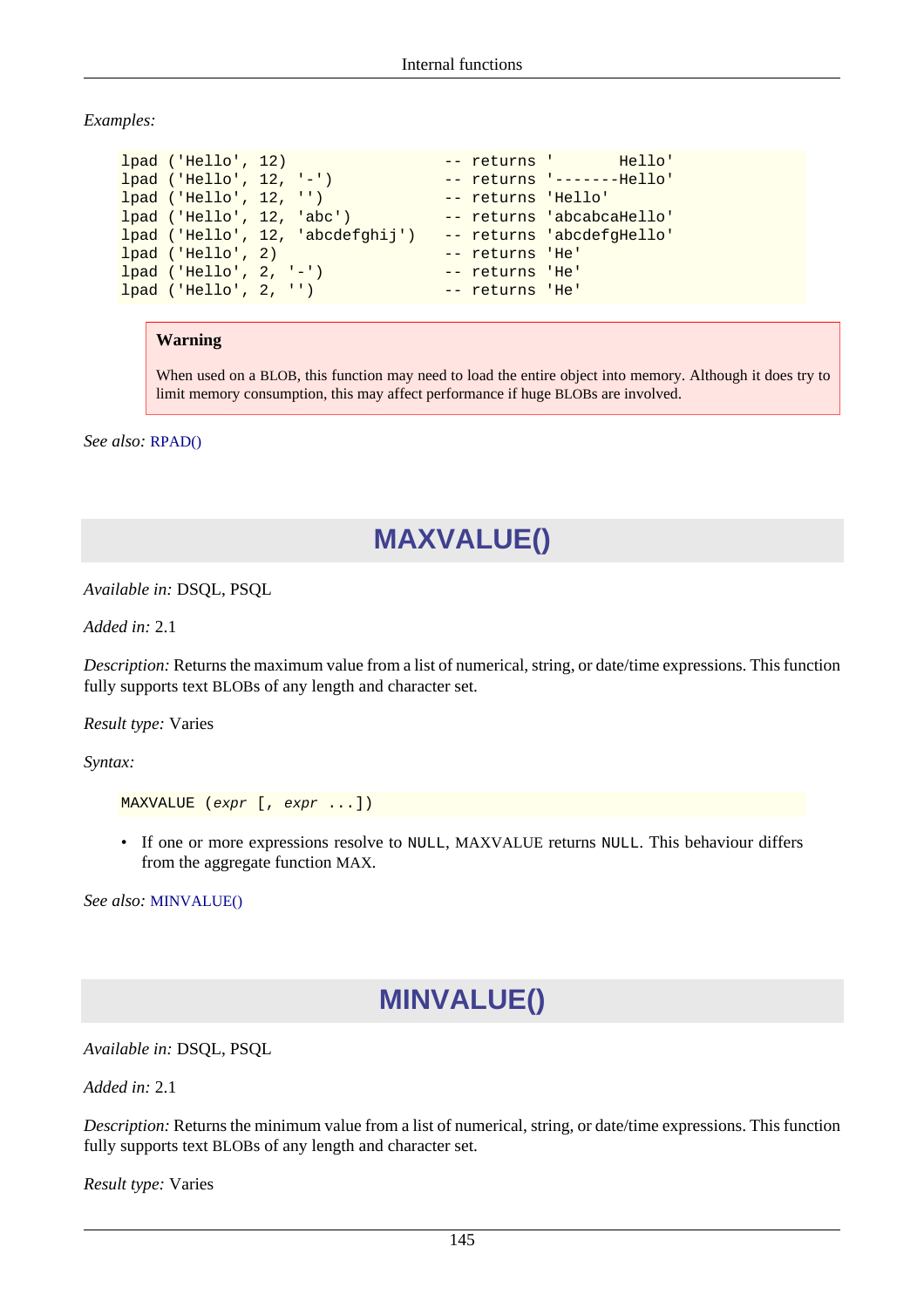*Examples:*

```
lpad ('Hello', 12) -- returns ' Hello'
lpad ('Hello', 12, '-') -- returns '-------Hello'
lpad ('Hello', 12, '') -- returns 'Hello'
lpad ('Hello', 12, 'abc') -- returns 'abcabcaHello'
lpad ('Hello', 12, 'abcdefghij') -- returns 'abcdefgHello'
lpad ('Hello', 2) -- returns 'He'
lpad ('Hello', 2, '-') -- returns 'He'
lpad ('Hello', 2, '') -- returns 'He'
```
#### **Warning**

When used on a BLOB, this function may need to load the entire object into memory. Although it does try to limit memory consumption, this may affect performance if huge BLOBs are involved.

<span id="page-155-1"></span>*See also:* [RPAD\(\)](#page-166-0)

### **MAXVALUE()**

*Available in:* DSQL, PSQL

*Added in:* 2.1

*Description:* Returns the maximum value from a list of numerical, string, or date/time expressions. This function fully supports text BLOBs of any length and character set.

*Result type:* Varies

*Syntax:*

```
MAXVALUE (expr [, expr ...])
```
• If one or more expressions resolve to NULL, MAXVALUE returns NULL. This behaviour differs from the aggregate function MAX.

<span id="page-155-0"></span>*See also:* [MINVALUE\(\)](#page-155-0)

### **MINVALUE()**

*Available in:* DSQL, PSQL

*Added in:* 2.1

*Description:* Returns the minimum value from a list of numerical, string, or date/time expressions. This function fully supports text BLOBs of any length and character set.

*Result type:* Varies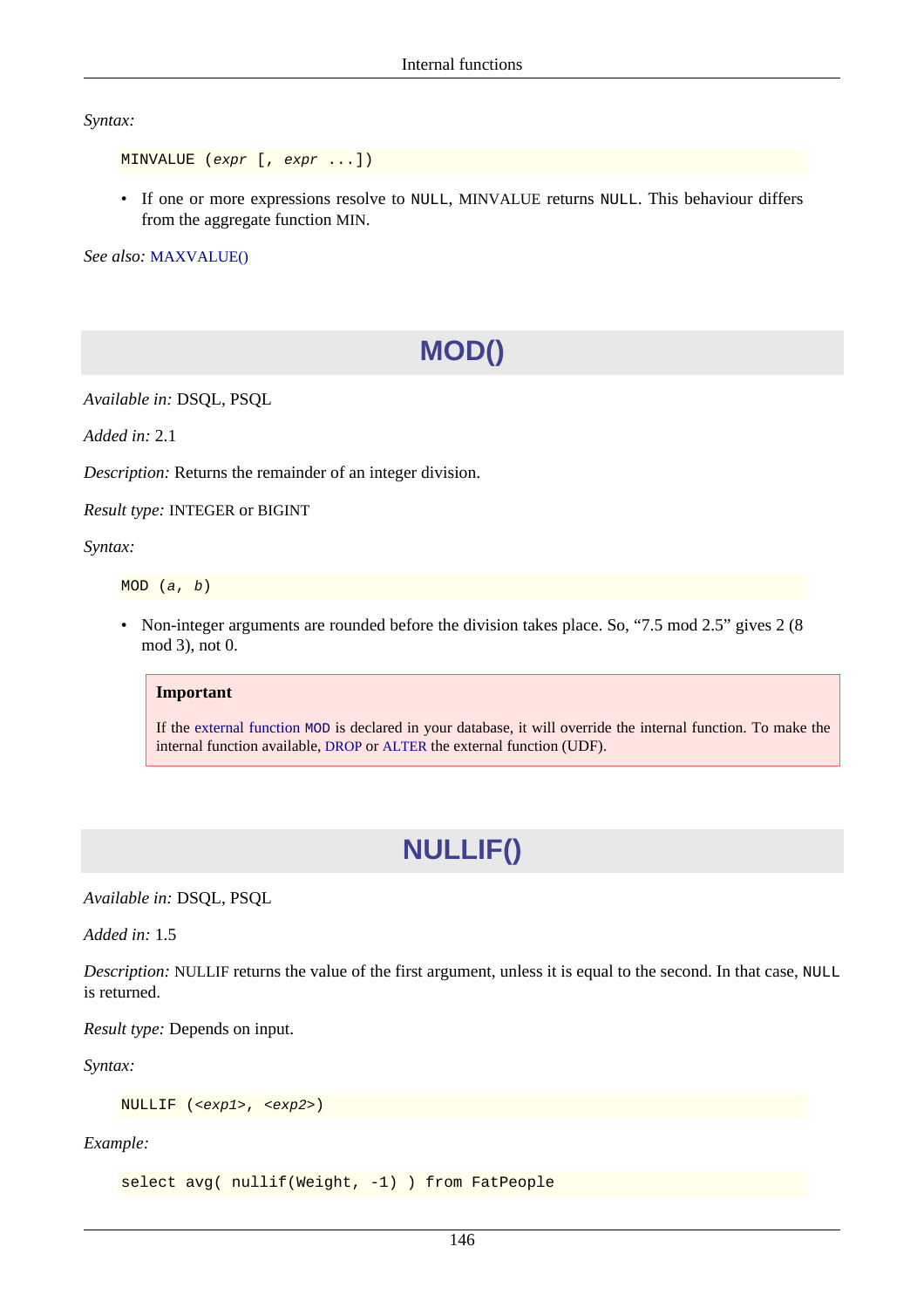*Syntax:*

```
MINVALUE (expr [, expr ...])
```
• If one or more expressions resolve to NULL, MINVALUE returns NULL. This behaviour differs from the aggregate function MIN.

*See also:* [MAXVALUE\(\)](#page-155-1)

# **MOD()**

*Available in:* DSQL, PSQL

*Added in:* 2.1

*Description:* Returns the remainder of an integer division.

*Result type:* INTEGER or BIGINT

*Syntax:*

MOD (a, b)

• Non-integer arguments are rounded before the division takes place. So, "7.5 mod 2.5" gives 2 (8) mod 3), not 0.

#### **Important**

If the [external function](#page-191-0) MOD is declared in your database, it will override the internal function. To make the internal function available, [DROP](#page-33-0) or [ALTER](#page-34-0) the external function (UDF).

# **NULLIF()**

*Available in:* DSQL, PSQL

*Added in:* 1.5

*Description:* NULLIF returns the value of the first argument, unless it is equal to the second. In that case, NULL is returned.

*Result type:* Depends on input.

*Syntax:*

NULLIF (<exp1>, <exp2>)

*Example:*

select avg( nullif(Weight, -1) ) from FatPeople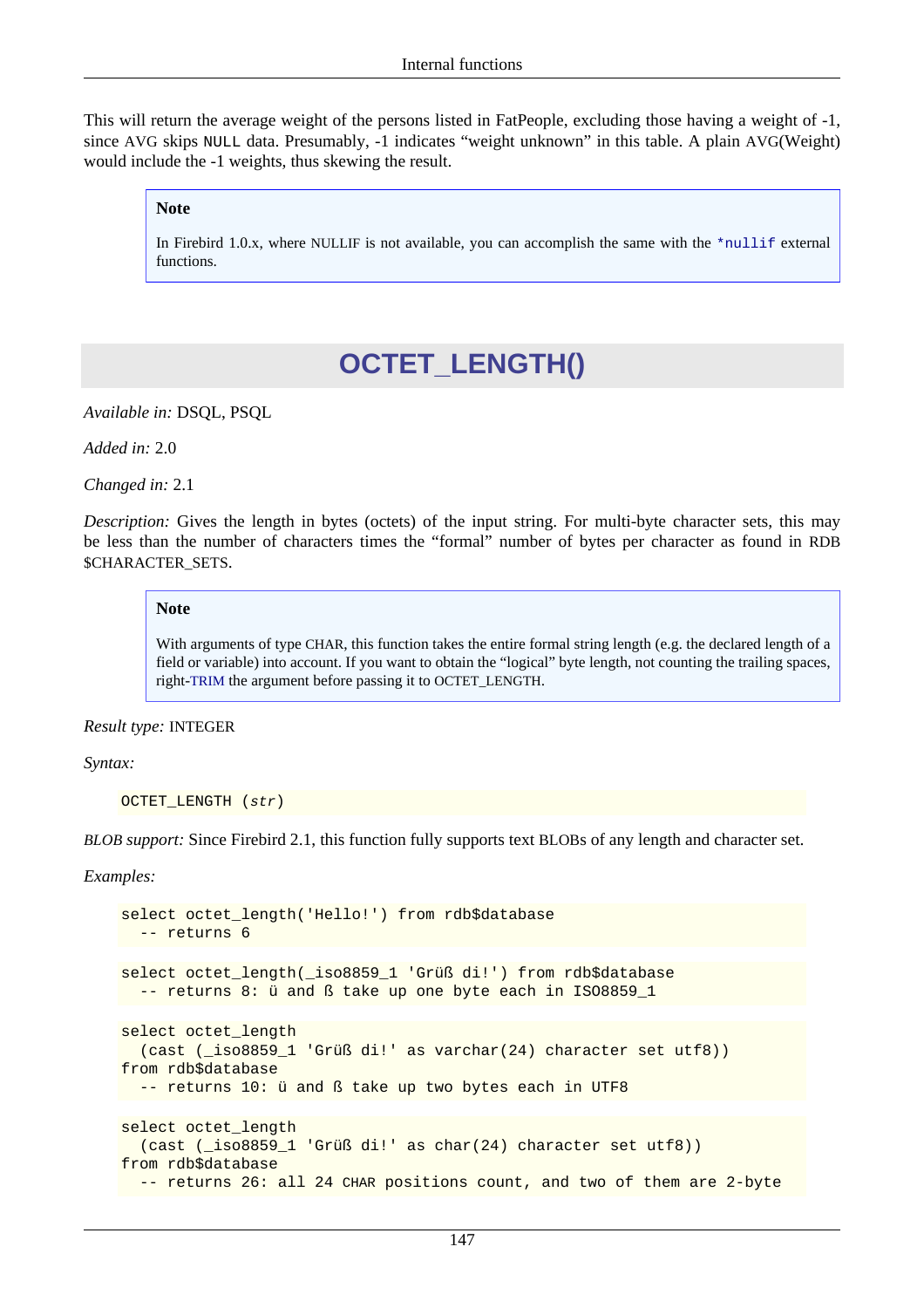This will return the average weight of the persons listed in FatPeople, excluding those having a weight of -1, since AVG skips NULL data. Presumably, -1 indicates "weight unknown" in this table. A plain AVG(Weight) would include the -1 weights, thus skewing the result.

#### **Note**

In Firebird 1.0.x, where NULLIF is not available, you can accomplish the same with the  $*$ nullif external functions.

### **OCTET\_LENGTH()**

*Available in:* DSQL, PSQL

*Added in:* 2.0

*Changed in:* 2.1

*Description:* Gives the length in bytes (octets) of the input string. For multi-byte character sets, this may be less than the number of characters times the "formal" number of bytes per character as found in RDB \$CHARACTER\_SETS.

#### **Note**

With arguments of type CHAR, this function takes the entire formal string length (e.g. the declared length of a field or variable) into account. If you want to obtain the "logical" byte length, not counting the trailing spaces, right-[TRIM](#page-171-0) the argument before passing it to OCTET\_LENGTH.

#### *Result type:* INTEGER

*Syntax:*

```
OCTET_LENGTH (str)
```
*BLOB support:* Since Firebird 2.1, this function fully supports text BLOBs of any length and character set.

*Examples:*

```
select octet_length('Hello!') from rdb$database
  -- returns 6
select octet_length(_iso8859_1 'Grüß di!') from rdb$database
  -- returns 8: ü and ß take up one byte each in ISO8859_1
select octet_length
   (cast (_iso8859_1 'Grüß di!' as varchar(24) character set utf8))
from rdb$database
  -- returns 10: ü and ß take up two bytes each in UTF8
select octet_length
  (cast (_iso8859_1 'Grüß di!' as char(24) character set utf8))
from rdb$database
  -- returns 26: all 24 CHAR positions count, and two of them are 2-byte
```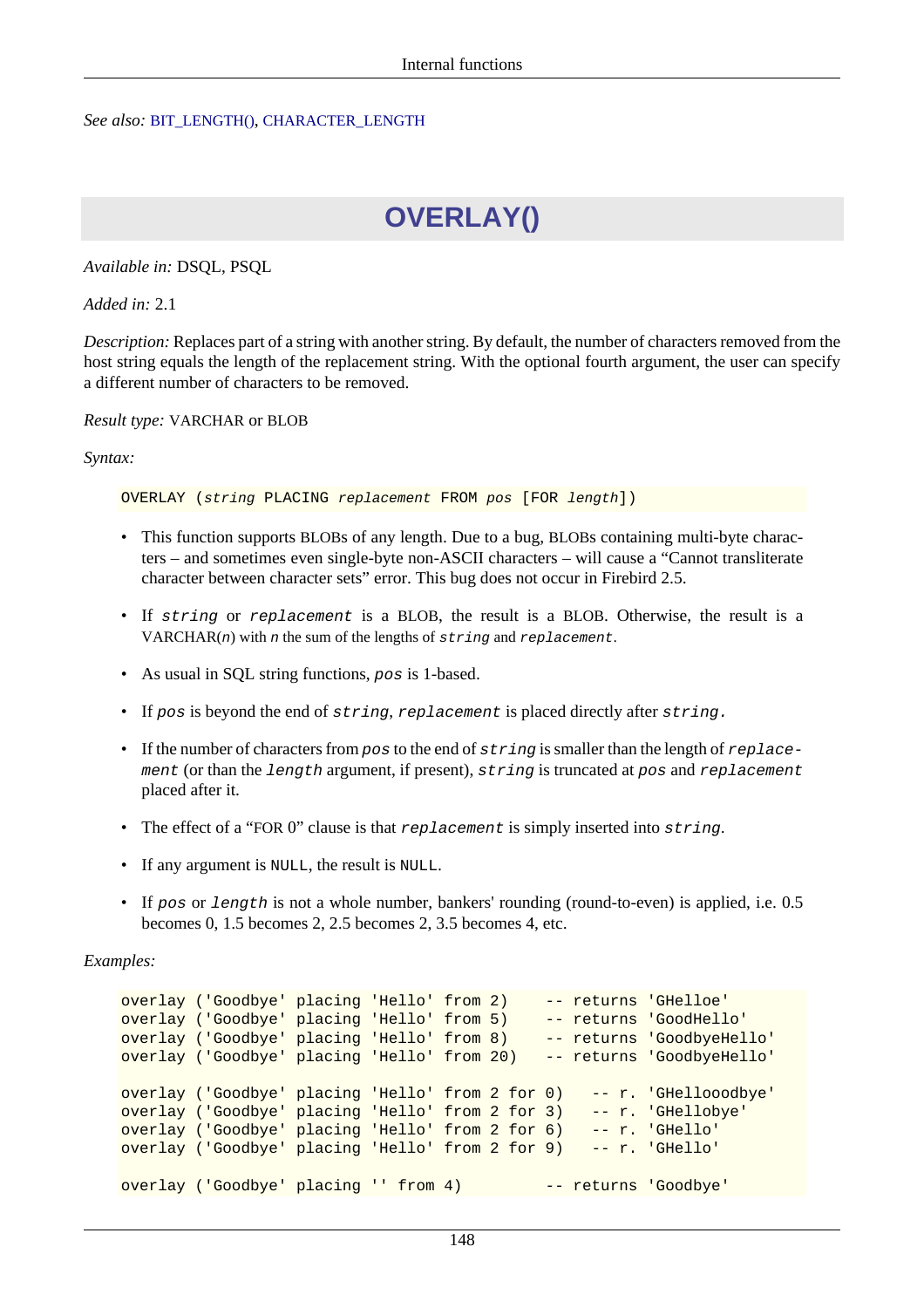#### <span id="page-158-0"></span>*See also:* [BIT\\_LENGTH\(\)](#page-138-0), [CHARACTER\\_LENGTH](#page-142-0)

# **OVERLAY()**

*Available in:* DSQL, PSQL

*Added in:* 2.1

*Description:* Replaces part of a string with another string. By default, the number of characters removed from the host string equals the length of the replacement string. With the optional fourth argument, the user can specify a different number of characters to be removed.

*Result type:* VARCHAR or BLOB

*Syntax:*

OVERLAY (string PLACING replacement FROM pos [FOR length])

- This function supports BLOBs of any length. Due to a bug, BLOBs containing multi-byte characters – and sometimes even single-byte non-ASCII characters – will cause a "Cannot transliterate character between character sets" error. This bug does not occur in Firebird 2.5.
- If string or replacement is a BLOB, the result is a BLOB. Otherwise, the result is a  $VARCHAR(n)$  with *n* the sum of the lengths of string and replacement.
- As usual in SQL string functions, pos is 1-based.
- If pos is beyond the end of string, replacement is placed directly after string.
- If the number of characters from  $pos$  to the end of  $string$  is smaller than the length of replacement (or than the length argument, if present), string is truncated at pos and replacement placed after it.
- The effect of a "FOR 0" clause is that replacement is simply inserted into string.
- If any argument is NULL, the result is NULL.
- If pos or length is not a whole number, bankers' rounding (round-to-even) is applied, i.e. 0.5 becomes 0, 1.5 becomes 2, 2.5 becomes 2, 3.5 becomes 4, etc.

*Examples:*

```
overlay ('Goodbye' placing 'Hello' from 2) -- returns 'GHelloe'
overlay ('Goodbye' placing 'Hello' from 5) -- returns 'GoodHello'
overlay ('Goodbye' placing 'Hello' from 8) -- returns 'GoodbyeHello'
overlay ('Goodbye' placing 'Hello' from 20) -- returns 'GoodbyeHello'
overlay ('Goodbye' placing 'Hello' from 2 for 0) -- r. 'GHellooodbye'
overlay ('Goodbye' placing 'Hello' from 2 for 3) -- r. 'GHellobye'
overlay ('Goodbye' placing 'Hello' from 2 for 6) -- r. 'GHello'<br>overlay ('Goodbye' placing 'Hello' from 2 for 9) -- r. 'GHello'
overlay ('Goodbye' placing 'Hello' from 2 for 9)
overlay ('Goodbye' placing '' from 4) -- returns 'Goodbye'
```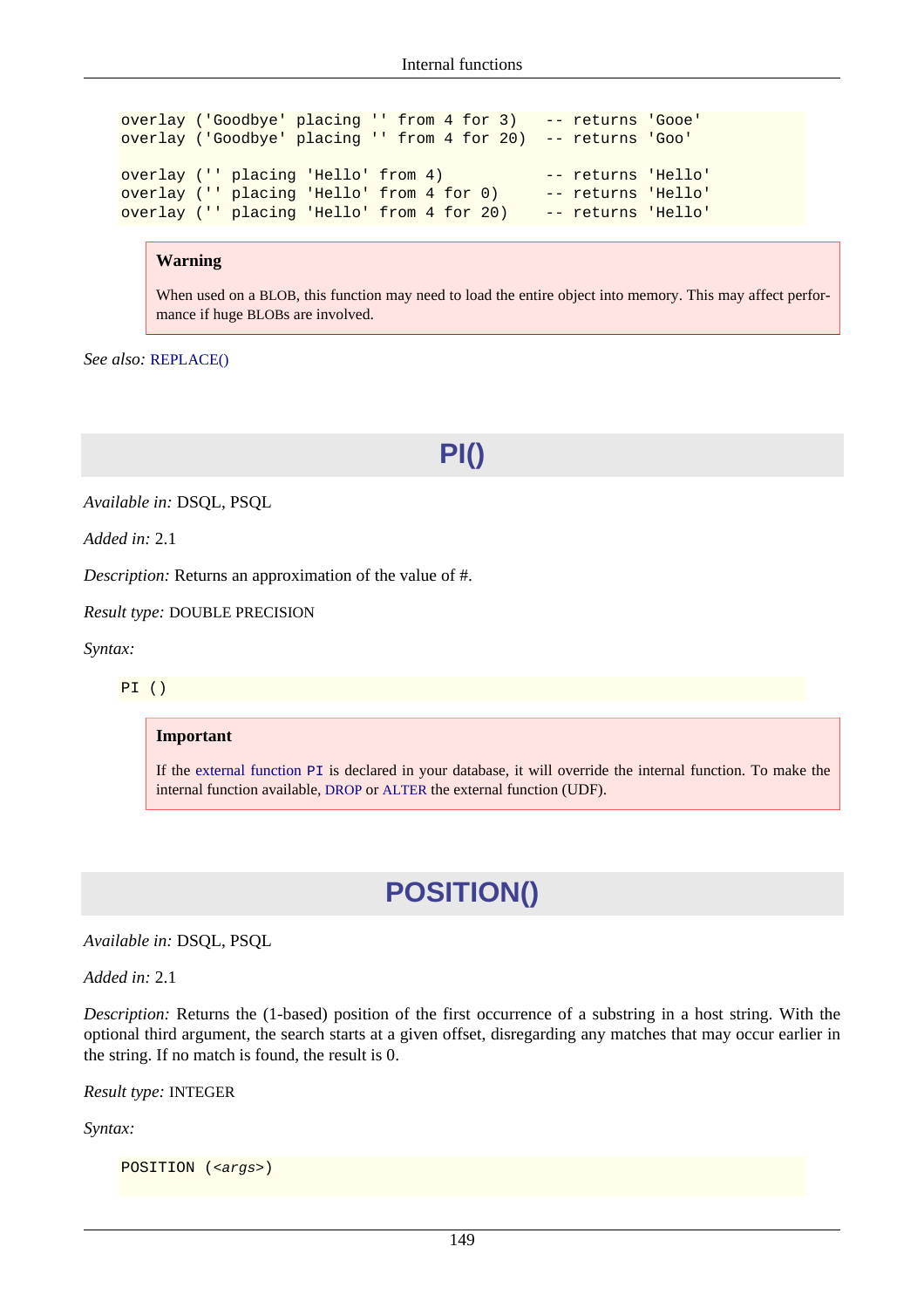overlay ('Goodbye' placing '' from 4 for 3) -- returns 'Gooe' overlay ('Goodbye' placing '' from 4 for 20) -- returns 'Goo' overlay ('' placing 'Hello' from 4) -- returns 'Hello' overlay ('' placing 'Hello' from 4 for 0) -- returns 'Hello' overlay ('' placing 'Hello' from 4 for 20) -- returns 'Hello'

#### **Warning**

When used on a BLOB, this function may need to load the entire object into memory. This may affect performance if huge BLOBs are involved.

*See also:* [REPLACE\(\)](#page-163-0)

### **PI()**

*Available in:* DSQL, PSQL

*Added in:* 2.1

*Description:* Returns an approximation of the value of #.

*Result type:* DOUBLE PRECISION

*Syntax:*

PI ()

#### **Important**

If the [external function](#page-194-0) PI is declared in your database, it will override the internal function. To make the internal function available, [DROP](#page-33-0) or [ALTER](#page-34-0) the external function (UDF).

### **POSITION()**

*Available in:* DSQL, PSQL

*Added in:* 2.1

*Description:* Returns the (1-based) position of the first occurrence of a substring in a host string. With the optional third argument, the search starts at a given offset, disregarding any matches that may occur earlier in the string. If no match is found, the result is 0.

*Result type:* INTEGER

*Syntax:*

POSITION (<args>)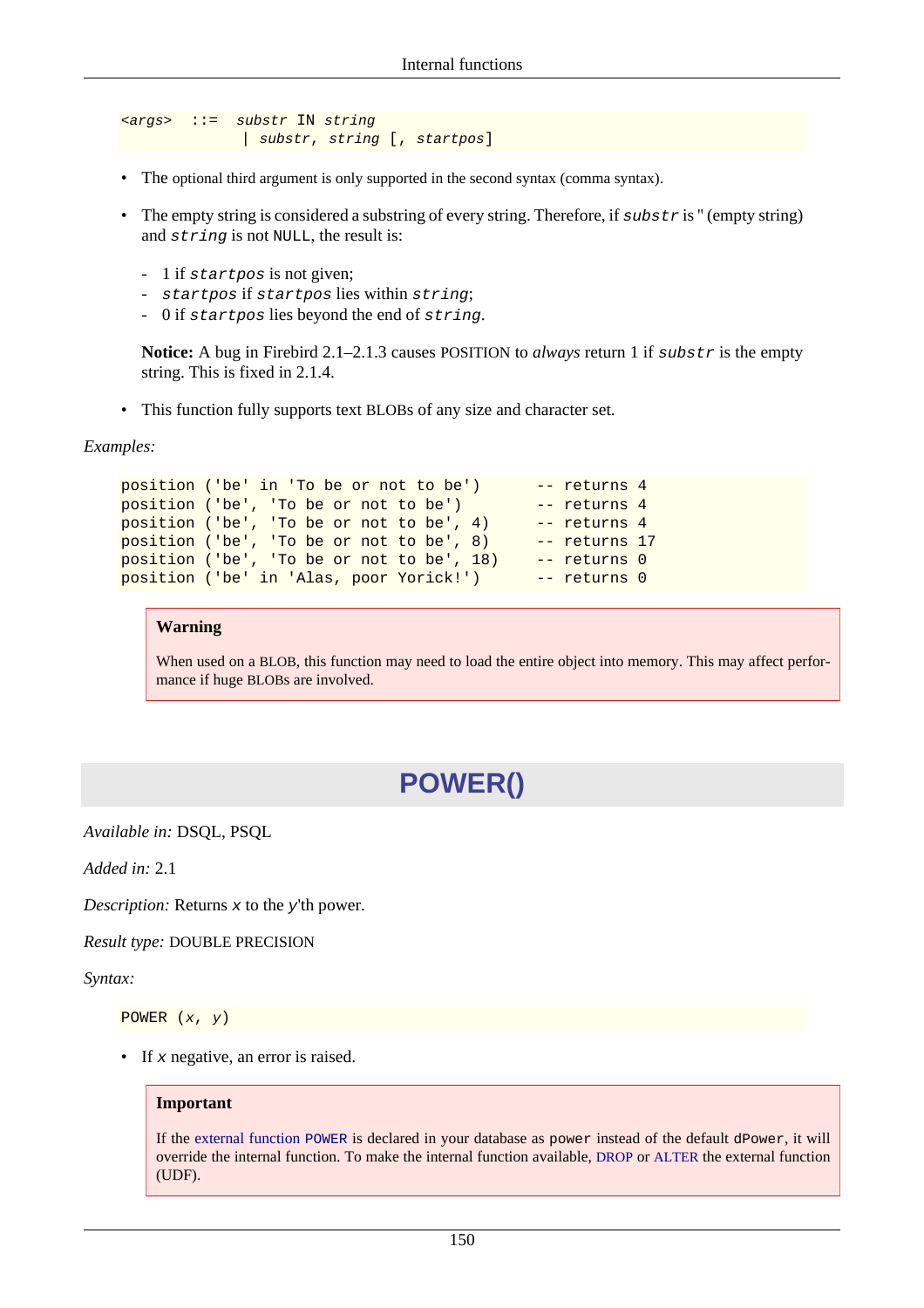```
<args> ::= substr IN string
               | substr, string [, startpos]
```
- The optional third argument is only supported in the second syntax (comma syntax).
- The empty string is considered a substring of every string. Therefore, if substr is " (empty string) and string is not NULL, the result is:
	- 1 if startpos is not given;
	- startpos if startpos lies within string;
	- 0 if startpos lies beyond the end of string.

**Notice:** A bug in Firebird 2.1–2.1.3 causes POSITION to *always* return 1 if substr is the empty string. This is fixed in 2.1.4.

• This function fully supports text BLOBs of any size and character set.

*Examples:*

```
position ('be' in 'To be or not to be') -- returns 4
position ('be', 'To be or not to be') -- returns 4
position ('be', 'To be or not to be', 4) -- returns 4position ('be', 'To be or not to be', 8) -- returns 17
position ('be', 'To be or not to be', 18) -- returns 0
position ('be' in 'Alas, poor Yorick!') -- returns 0
```
#### **Warning**

When used on a BLOB, this function may need to load the entire object into memory. This may affect performance if huge BLOBs are involved.

### **POWER()**

*Available in:* DSQL, PSQL

*Added in:* 2.1

*Description:* Returns x to the y'th power.

*Result type:* DOUBLE PRECISION

*Syntax:*

POWER (x, y)

• If  $x$  negative, an error is raised.

#### **Important**

If the [external function](#page-185-0) POWER is declared in your database as power instead of the default dPower, it will override the internal function. To make the internal function available, [DROP](#page-33-0) or [ALTER](#page-34-0) the external function (UDF).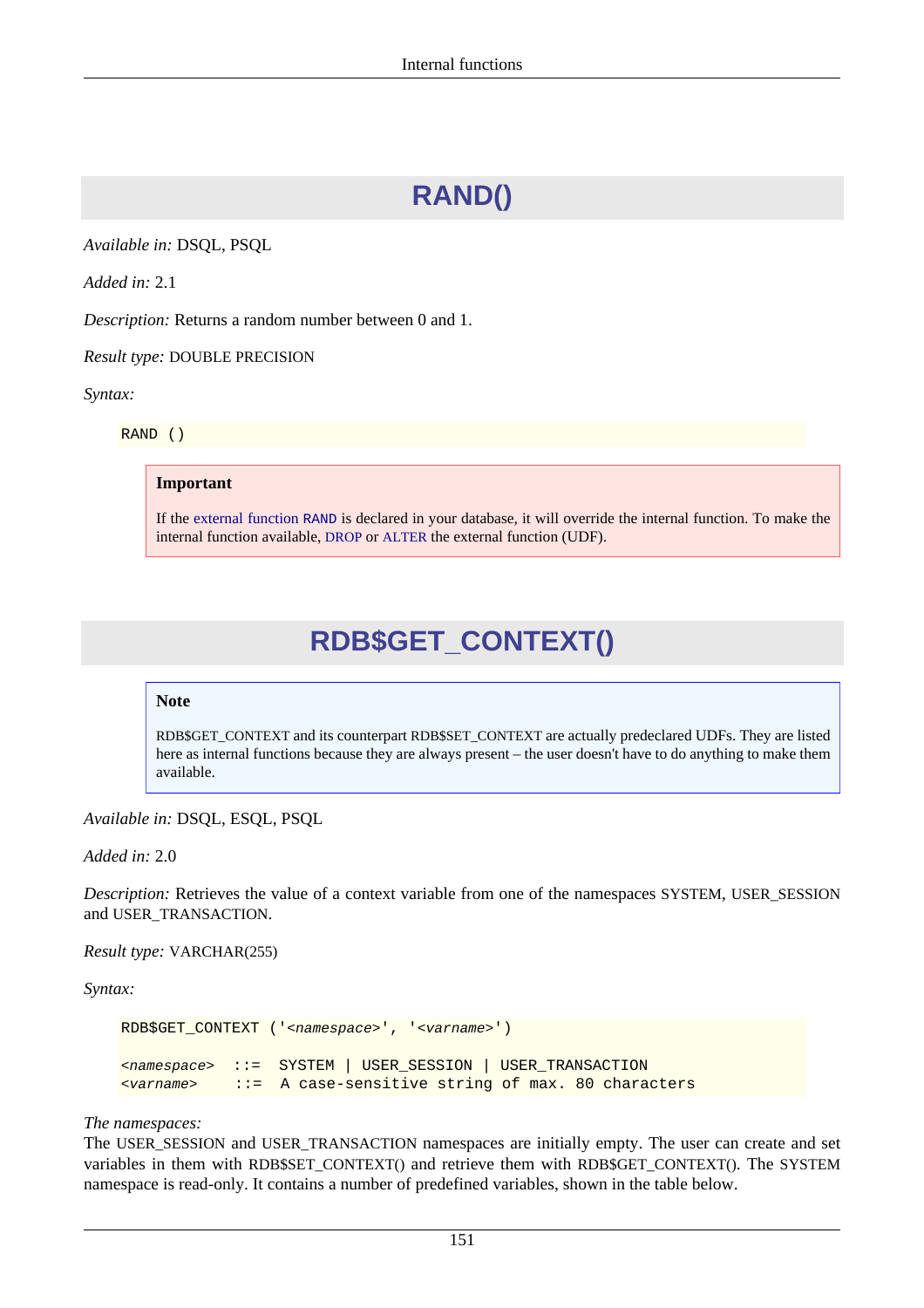# **RAND()**

*Available in:* DSQL, PSQL

*Added in:* 2.1

*Description:* Returns a random number between 0 and 1.

*Result type:* DOUBLE PRECISION

*Syntax:*

RAND ()

#### **Important**

<span id="page-161-0"></span>If the [external function](#page-194-1) RAND is declared in your database, it will override the internal function. To make the internal function available, [DROP](#page-33-0) or [ALTER](#page-34-0) the external function (UDF).

### **RDB\$GET\_CONTEXT()**

#### **Note**

RDB\$GET\_CONTEXT and its counterpart RDB\$SET\_CONTEXT are actually predeclared UDFs. They are listed here as internal functions because they are always present – the user doesn't have to do anything to make them available.

*Available in:* DSQL, ESQL, PSQL

*Added in:* 2.0

*Description:* Retrieves the value of a context variable from one of the namespaces SYSTEM, USER SESSION and USER\_TRANSACTION.

*Result type:* VARCHAR(255)

*Syntax:*

```
RDB$GET_CONTEXT ('<namespace>', '<varname>')
<namespace> ::= SYSTEM | USER_SESSION | USER_TRANSACTION
<varname> ::= A case-sensitive string of max. 80 characters
```
#### *The namespaces:*

The USER\_SESSION and USER\_TRANSACTION namespaces are initially empty. The user can create and set variables in them with RDB\$SET\_CONTEXT() and retrieve them with RDB\$GET\_CONTEXT(). The SYSTEM namespace is read-only. It contains a number of predefined variables, shown in the table below.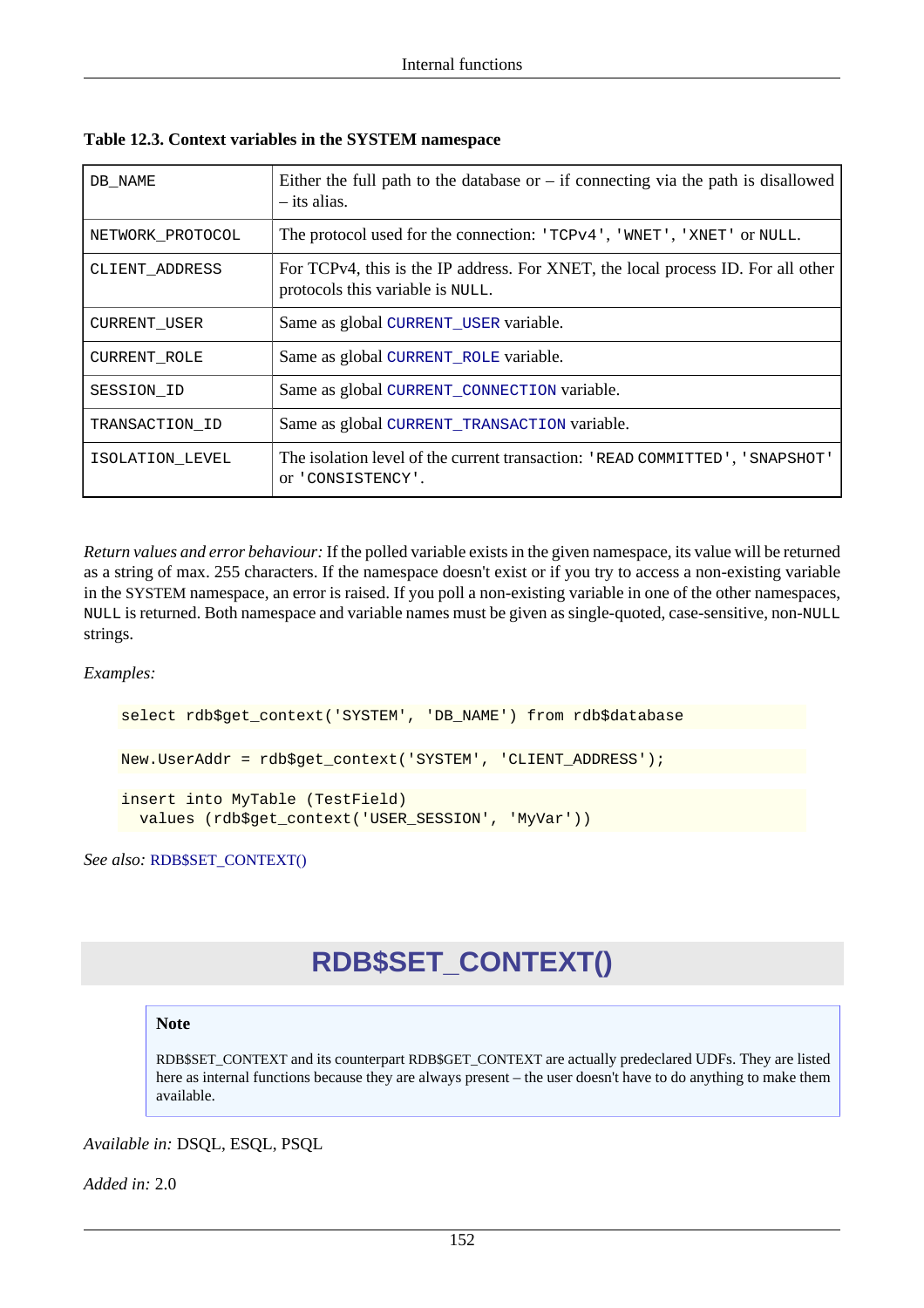| DB NAME          | Either the full path to the database or $-$ if connecting via the path is disallowed<br>$-$ its alias.               |
|------------------|----------------------------------------------------------------------------------------------------------------------|
| NETWORK PROTOCOL | The protocol used for the connection: 'TCPv4', 'WNET', 'XNET' or NULL.                                               |
| CLIENT ADDRESS   | For TCPv4, this is the IP address. For XNET, the local process ID. For all other<br>protocols this variable is NULL. |
| CURRENT_USER     | Same as global CURRENT_USER variable.                                                                                |
| CURRENT ROLE     | Same as global CURRENT_ROLE variable.                                                                                |
| SESSION ID       | Same as global CURRENT_CONNECTION variable.                                                                          |
| TRANSACTION ID   | Same as global CURRENT_TRANSACTION variable.                                                                         |
| ISOLATION LEVEL  | The isolation level of the current transaction: 'READ COMMITTED', 'SNAPSHOT'<br>or 'CONSISTENCY'.                    |

**Table 12.3. Context variables in the SYSTEM namespace**

*Return values and error behaviour:* If the polled variable exists in the given namespace, its value will be returned as a string of max. 255 characters. If the namespace doesn't exist or if you try to access a non-existing variable in the SYSTEM namespace, an error is raised. If you poll a non-existing variable in one of the other namespaces, NULL is returned. Both namespace and variable names must be given as single-quoted, case-sensitive, non-NULL strings.

*Examples:*

```
select rdb$get_context('SYSTEM', 'DB_NAME') from rdb$database
New.UserAddr = rdb$get_context('SYSTEM', 'CLIENT_ADDRESS');
insert into MyTable (TestField)
   values (rdb$get_context('USER_SESSION', 'MyVar'))
```
<span id="page-162-0"></span>*See also:* [RDB\\$SET\\_CONTEXT\(\)](#page-162-0)

# **RDB\$SET\_CONTEXT()**

#### **Note**

RDB\$SET\_CONTEXT and its counterpart RDB\$GET\_CONTEXT are actually predeclared UDFs. They are listed here as internal functions because they are always present – the user doesn't have to do anything to make them available.

*Available in:* DSQL, ESQL, PSQL

*Added in:* 2.0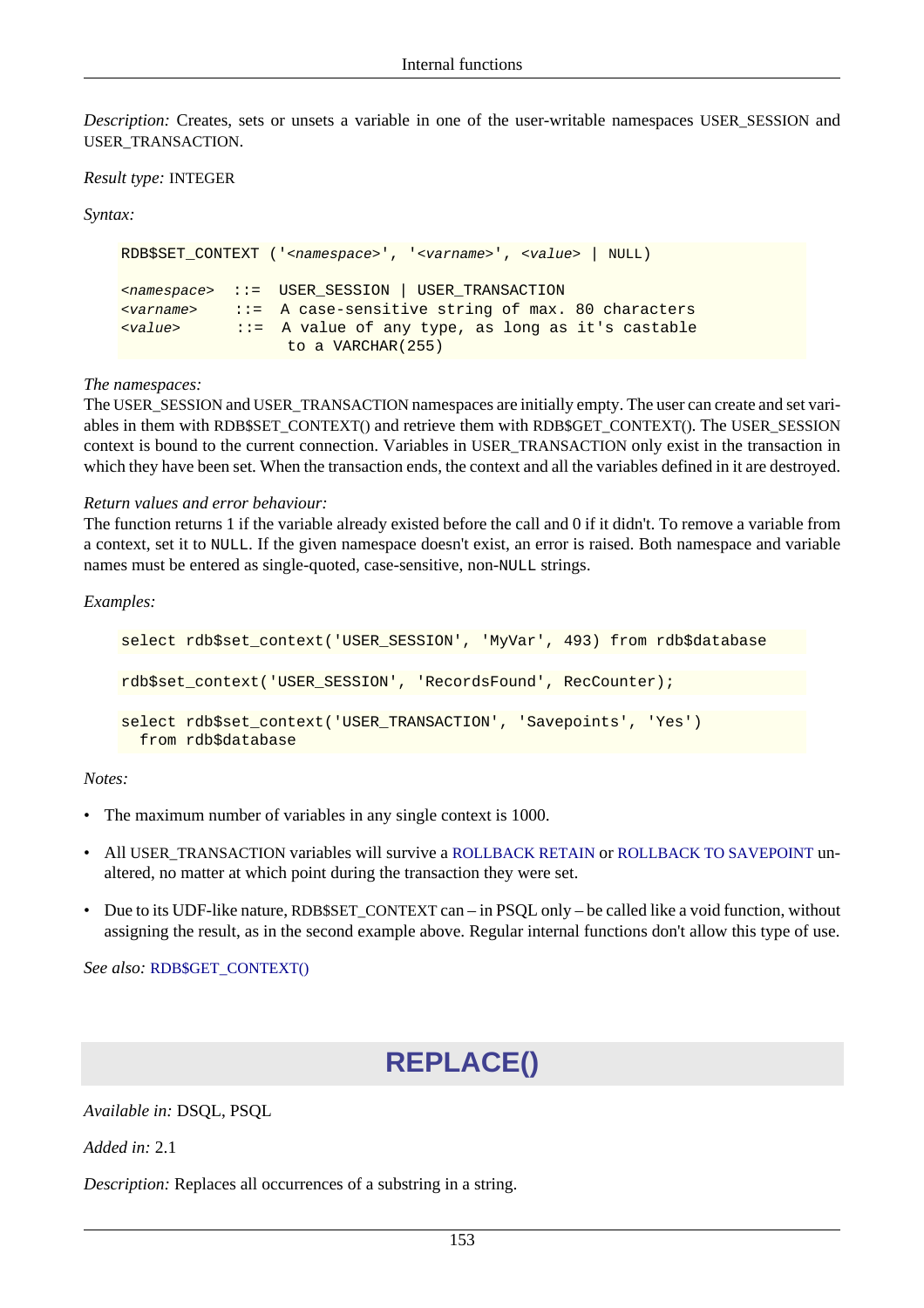*Description:* Creates, sets or unsets a variable in one of the user-writable namespaces USER\_SESSION and USER\_TRANSACTION.

#### *Result type:* INTEGER

*Syntax:*

```
RDB$SET_CONTEXT ('<namespace>', '<varname>', <value> | NULL)
<namespace> ::= USER_SESSION | USER_TRANSACTION
<varname> ::= A case-sensitive string of max. 80 characters
<value> ::= A value of any type, as long as it's castable
                  to a VARCHAR(255)
```
#### *The namespaces:*

The USER\_SESSION and USER\_TRANSACTION namespaces are initially empty. The user can create and set variables in them with RDB\$SET\_CONTEXT() and retrieve them with RDB\$GET\_CONTEXT(). The USER\_SESSION context is bound to the current connection. Variables in USER\_TRANSACTION only exist in the transaction in which they have been set. When the transaction ends, the context and all the variables defined in it are destroyed.

#### *Return values and error behaviour:*

The function returns 1 if the variable already existed before the call and 0 if it didn't. To remove a variable from a context, set it to NULL. If the given namespace doesn't exist, an error is raised. Both namespace and variable names must be entered as single-quoted, case-sensitive, non-NULL strings.

*Examples:*

```
select rdb$set_context('USER_SESSION', 'MyVar', 493) from rdb$database
rdb$set_context('USER_SESSION', 'RecordsFound', RecCounter);
select rdb$set_context('USER_TRANSACTION', 'Savepoints', 'Yes')
   from rdb$database
```
#### *Notes:*

- The maximum number of variables in any single context is 1000.
- All USER\_TRANSACTION variables will survive a [ROLLBACK RETAIN](#page-99-0) or [ROLLBACK TO SAVEPOINT](#page-100-0) unaltered, no matter at which point during the transaction they were set.
- Due to its UDF-like nature, RDB\$SET\_CONTEXT can in PSQL only be called like a void function, without assigning the result, as in the second example above. Regular internal functions don't allow this type of use.

<span id="page-163-0"></span>*See also:* [RDB\\$GET\\_CONTEXT\(\)](#page-161-0)

# **REPLACE()**

*Available in:* DSQL, PSQL

*Added in:* 2.1

*Description:* Replaces all occurrences of a substring in a string.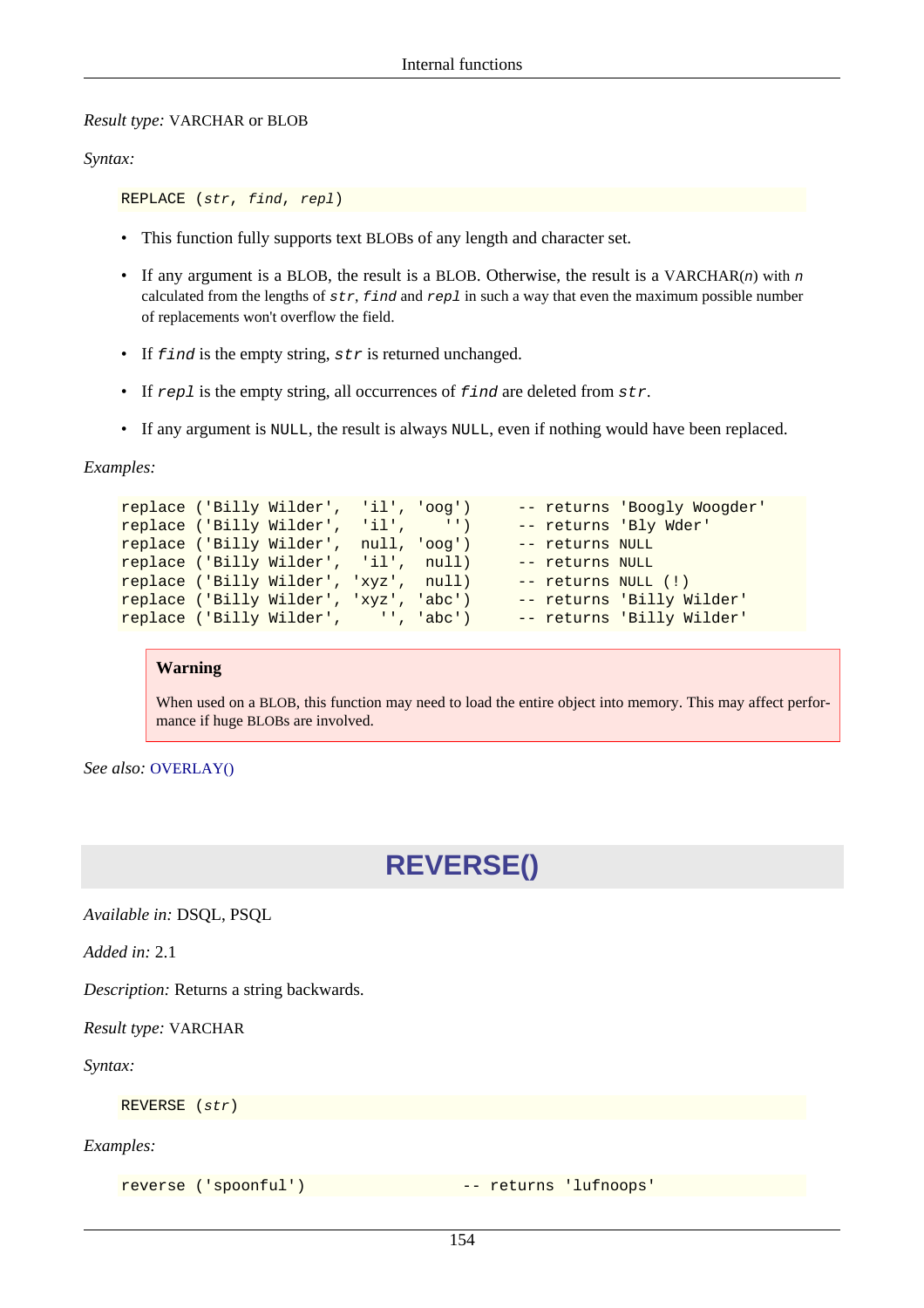#### *Result type:* VARCHAR or BLOB

#### *Syntax:*

REPLACE (str, find, repl)

- This function fully supports text BLOBs of any length and character set.
- If any argument is a BLOB, the result is a BLOB. Otherwise, the result is a VARCHAR(n) with n calculated from the lengths of  $str$ ,  $find$  and  $rep$  in such a way that even the maximum possible number of replacements won't overflow the field.
- If  $find$  is the empty string,  $str$  is returned unchanged.
- If  $rep1$  is the empty string, all occurrences of  $find$  are deleted from  $str.$
- If any argument is NULL, the result is always NULL, even if nothing would have been replaced.

*Examples:*

```
replace ('Billy Wilder', 'il', 'oog') -- returns 'Boogly Woogder'
replace ('Billy Wilder', 'il', '') -- returns 'Bly Wder'
replace ('Billy Wilder', null, 'oog') -- returns NULL
replace ('Billy Wilder', 'il', null) -- returns NULL
replace ('Billy Wilder', 'xyz', null) -- returns NULL (!)
replace ('Billy Wilder', 'xyz', 'abc') -- returns 'Billy Wilder'
replace ('Billy Wilder', '', 'abc') -- returns 'Billy Wilder'
```
#### **Warning**

When used on a BLOB, this function may need to load the entire object into memory. This may affect performance if huge BLOBs are involved.

*See also:* [OVERLAY\(\)](#page-158-0)

### **REVERSE()**

*Available in:* DSQL, PSQL

*Added in:* 2.1

*Description:* Returns a string backwards.

*Result type:* VARCHAR

*Syntax:*

REVERSE (str)

*Examples:*

reverse ('spoonful') -- returns 'lufnoops'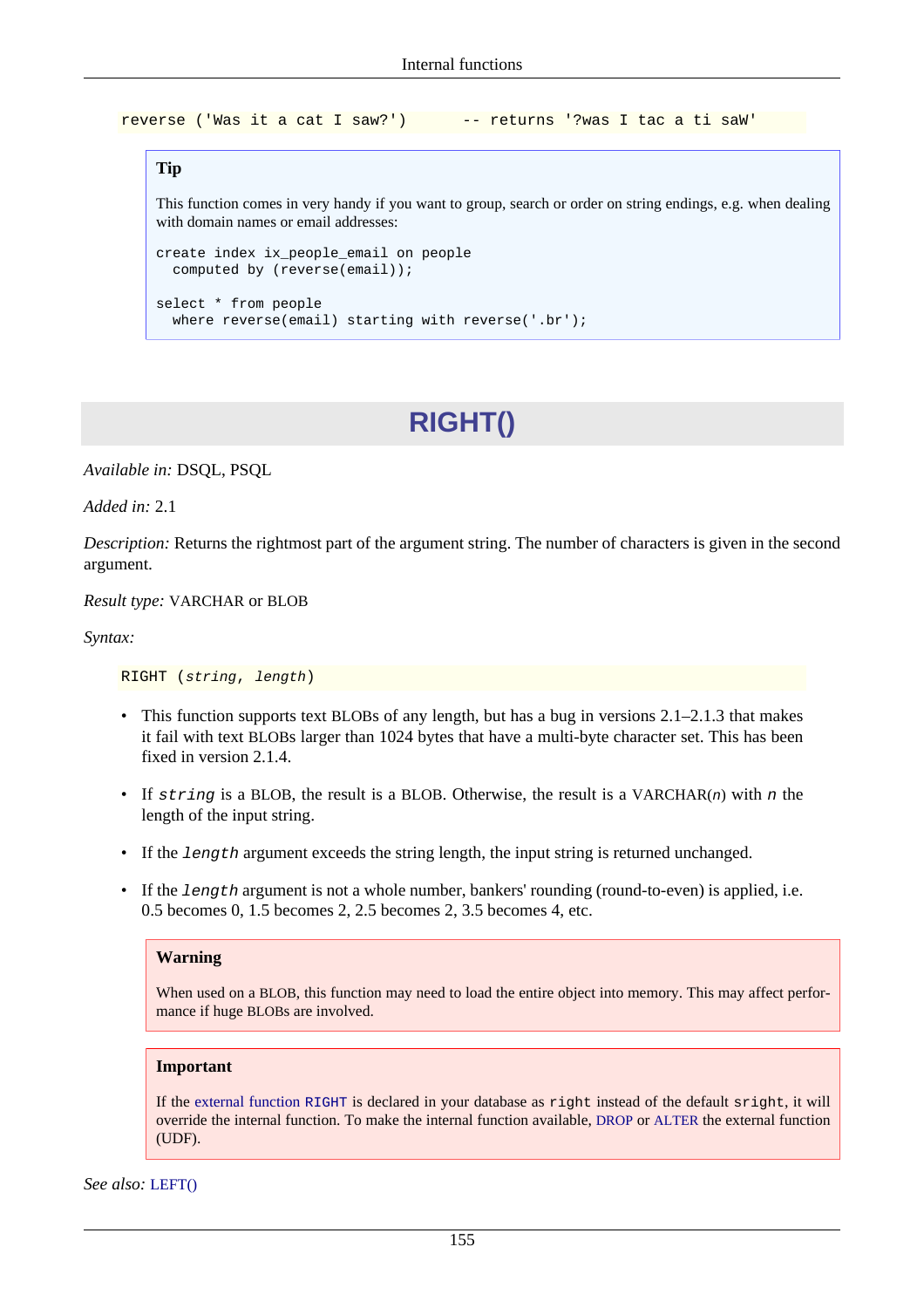reverse ('Was it a cat I saw?') -- returns '?was I tac a ti saW'

#### **Tip**

This function comes in very handy if you want to group, search or order on string endings, e.g. when dealing with domain names or email addresses:

```
create index ix_people_email on people
   computed by (reverse(email));
select * from people
  where reverse(email) starting with reverse('.br');
```
# **RIGHT()**

*Available in:* DSQL, PSQL

*Added in:* 2.1

*Description:* Returns the rightmost part of the argument string. The number of characters is given in the second argument.

*Result type:* VARCHAR or BLOB

*Syntax:*

RIGHT (string, length)

- This function supports text BLOBs of any length, but has a bug in versions 2.1–2.1.3 that makes it fail with text BLOBs larger than 1024 bytes that have a multi-byte character set. This has been fixed in version 2.1.4.
- If string is a BLOB, the result is a BLOB. Otherwise, the result is a VARCHAR(n) with n the length of the input string.
- If the length argument exceeds the string length, the input string is returned unchanged.
- If the length argument is not a whole number, bankers' rounding (round-to-even) is applied, i.e. 0.5 becomes 0, 1.5 becomes 2, 2.5 becomes 2, 3.5 becomes 4, etc.

#### **Warning**

When used on a BLOB, this function may need to load the entire object into memory. This may affect performance if huge BLOBs are involved.

#### **Important**

If the [external function](#page-201-0) RIGHT is declared in your database as right instead of the default sright, it will override the internal function. To make the internal function available, [DROP](#page-33-0) or [ALTER](#page-34-0) the external function (UDF).

*See also:* [LEFT\(\)](#page-151-0)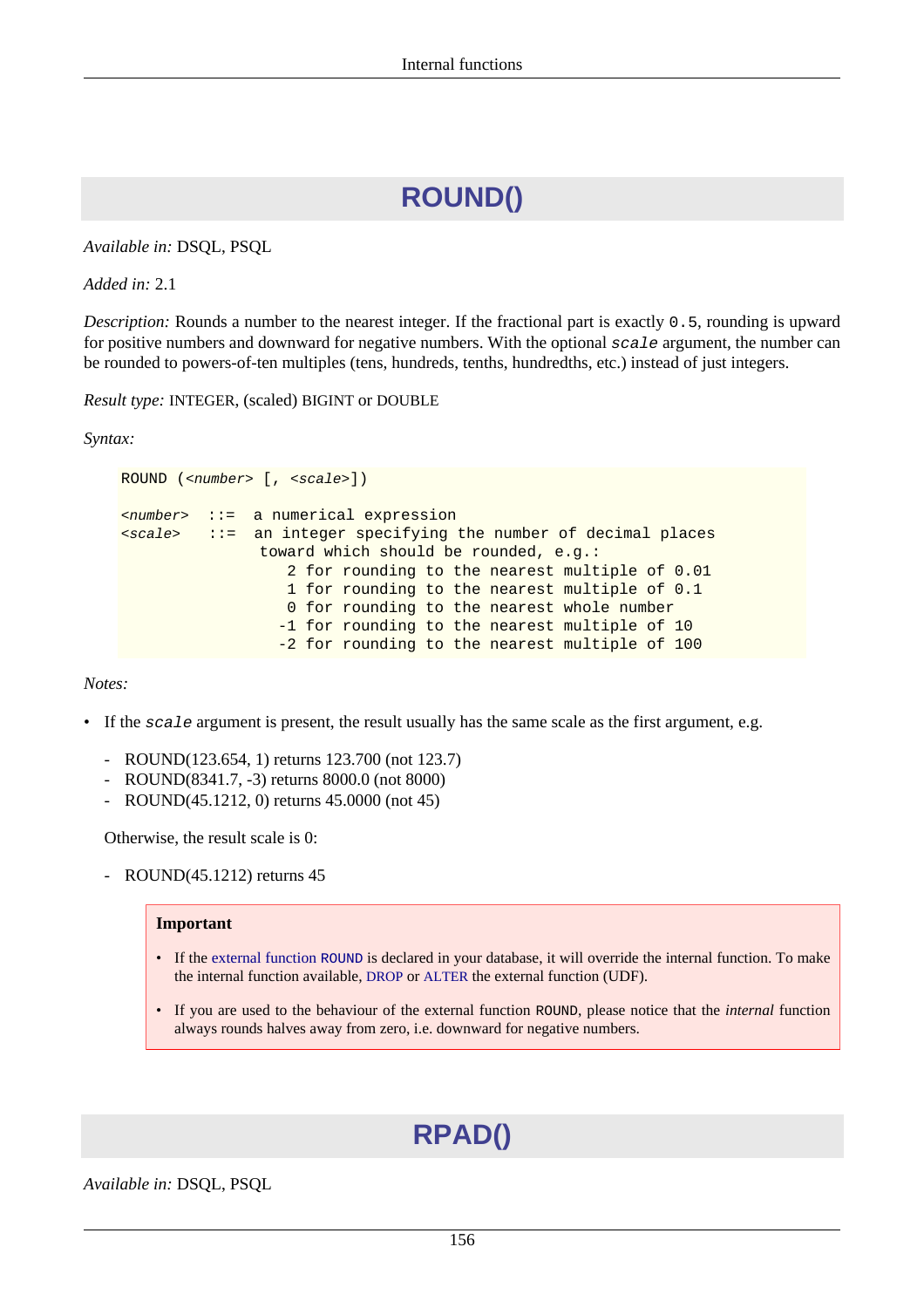# **ROUND()**

*Available in:* DSQL, PSQL

*Added in:* 2.1

*Description:* Rounds a number to the nearest integer. If the fractional part is exactly 0.5, rounding is upward for positive numbers and downward for negative numbers. With the optional scale argument, the number can be rounded to powers-of-ten multiples (tens, hundreds, tenths, hundredths, etc.) instead of just integers.

*Result type:* INTEGER, (scaled) BIGINT or DOUBLE

*Syntax:*

```
ROUND (<number> [, <scale>])
<number> ::= a numerical expression
<scale> ::= an integer specifying the number of decimal places
                toward which should be rounded, e.g.:
                   2 for rounding to the nearest multiple of 0.01
                   1 for rounding to the nearest multiple of 0.1
                   0 for rounding to the nearest whole number
                  -1 for rounding to the nearest multiple of 10
                  -2 for rounding to the nearest multiple of 100
```
*Notes:*

- If the scale argument is present, the result usually has the same scale as the first argument, e.g.
	- ROUND(123.654, 1) returns 123.700 (not 123.7)
	- ROUND(8341.7, -3) returns 8000.0 (not 8000)
	- ROUND(45.1212, 0) returns 45.0000 (not 45)

Otherwise, the result scale is 0:

- ROUND(45.1212) returns 45

#### **Important**

- If the [external function](#page-195-0) ROUND is declared in your database, it will override the internal function. To make the internal function available, [DROP](#page-33-0) or [ALTER](#page-34-0) the external function (UDF).
- <span id="page-166-0"></span>• If you are used to the behaviour of the external function ROUND, please notice that the *internal* function always rounds halves away from zero, i.e. downward for negative numbers.

# **RPAD()**

*Available in:* DSQL, PSQL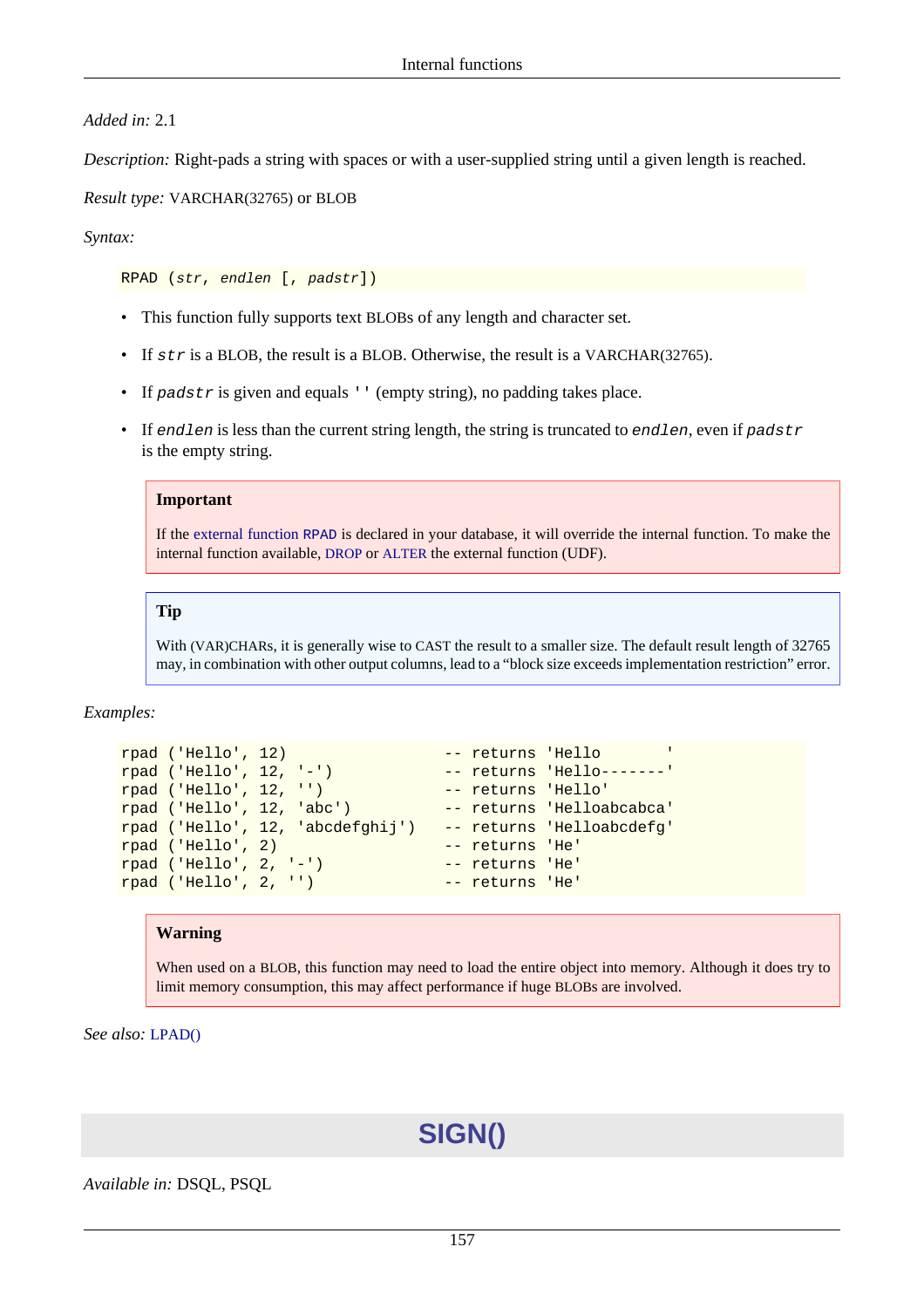#### *Added in:* 2.1

*Description:* Right-pads a string with spaces or with a user-supplied string until a given length is reached.

#### *Result type:* VARCHAR(32765) or BLOB

#### *Syntax:*

RPAD (str, endlen [, padstr])

- This function fully supports text BLOBs of any length and character set.
- If str is a BLOB, the result is a BLOB. Otherwise, the result is a VARCHAR(32765).
- If padstr is given and equals '' (empty string), no padding takes place.
- If endlen is less than the current string length, the string is truncated to endlen, even if padstr is the empty string.

#### **Important**

If the [external function](#page-196-0) RPAD is declared in your database, it will override the internal function. To make the internal function available, [DROP](#page-33-0) or [ALTER](#page-34-0) the external function (UDF).

#### **Tip**

With (VAR)CHARs, it is generally wise to CAST the result to a smaller size. The default result length of 32765 may, in combination with other output columns, lead to a "block size exceeds implementation restriction" error.

*Examples:*

```
rpad ('Hello', 12) -- returns 'Hello '
rpad ('Hello', 12, '-') -- returns 'Hello-------'
rpad ('Hello', 12, '') -- returns 'Hello'<br>rpad ('Hello', 12, 'abc') -- returns 'Helloabcabca'
rpad ('Hello', 12, 'abc')
rpad ('Hello', 12, 'abcdefghij') -- returns 'Helloabcdefg'
rpad ('Hello', 2) -- returns 'He'
rpad ('Hello', 2, '-') -- returns 'He'
rpad ('Hello', 2, '') -- returns 'He'
```
#### **Warning**

When used on a BLOB, this function may need to load the entire object into memory. Although it does try to limit memory consumption, this may affect performance if huge BLOBs are involved.

*See also:* [LPAD\(\)](#page-154-0)

### **SIGN()**

*Available in:* DSQL, PSQL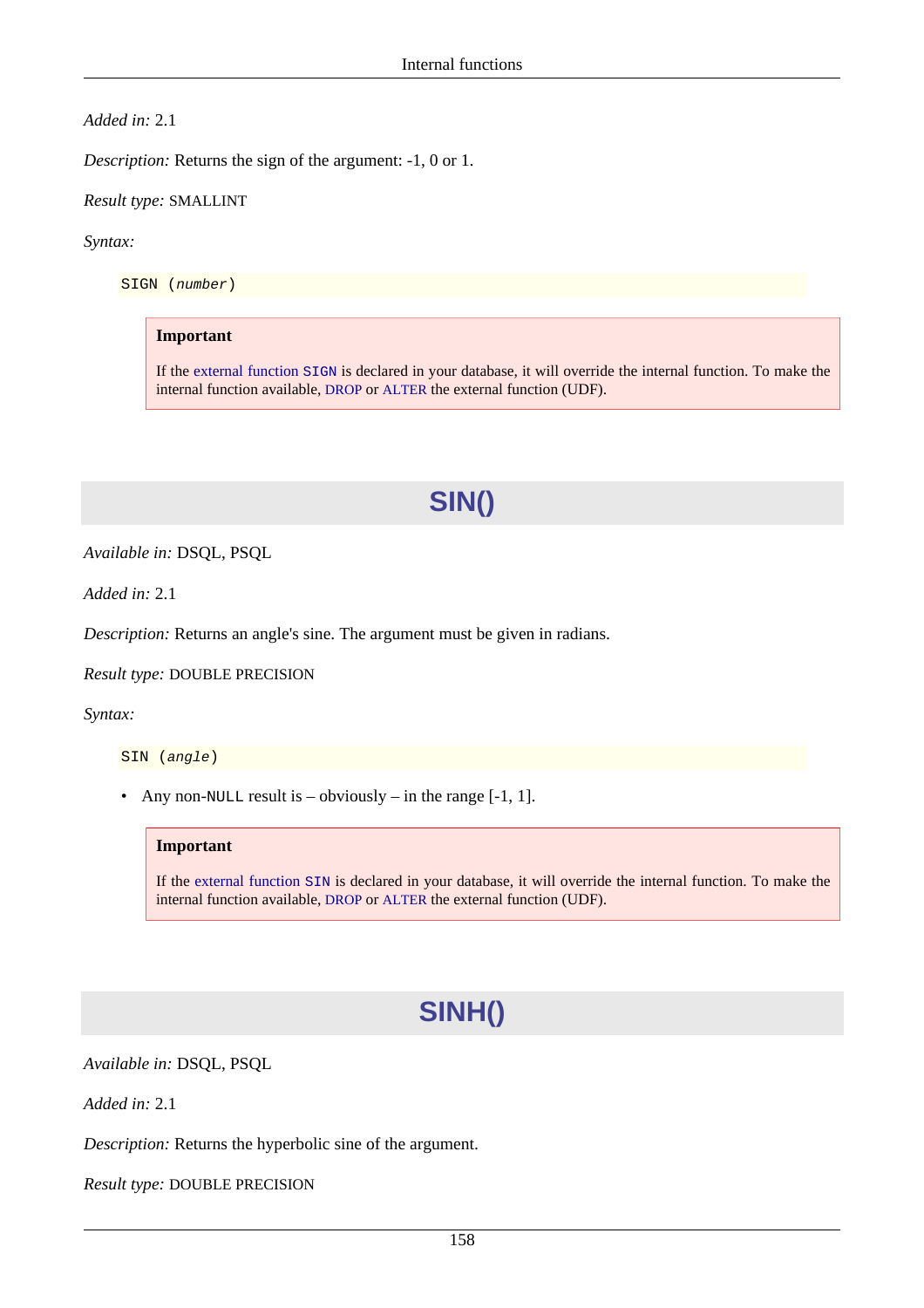*Added in:* 2.1

*Description:* Returns the sign of the argument: -1, 0 or 1.

*Result type:* SMALLINT

*Syntax:*

SIGN (number)

#### **Important**

If the [external function](#page-198-0) SIGN is declared in your database, it will override the internal function. To make the internal function available, [DROP](#page-33-0) or [ALTER](#page-34-0) the external function (UDF).

### **SIN()**

*Available in:* DSQL, PSQL

*Added in:* 2.1

*Description:* Returns an angle's sine. The argument must be given in radians.

*Result type:* DOUBLE PRECISION

*Syntax:*

SIN (angle)

• Any non-NULL result is – obviously – in the range  $[-1, 1]$ .

#### **Important**

If the [external function](#page-199-0) SIN is declared in your database, it will override the internal function. To make the internal function available, [DROP](#page-33-0) or [ALTER](#page-34-0) the external function (UDF).

# **SINH()**

*Available in:* DSQL, PSQL

*Added in:* 2.1

*Description:* Returns the hyperbolic sine of the argument.

*Result type:* DOUBLE PRECISION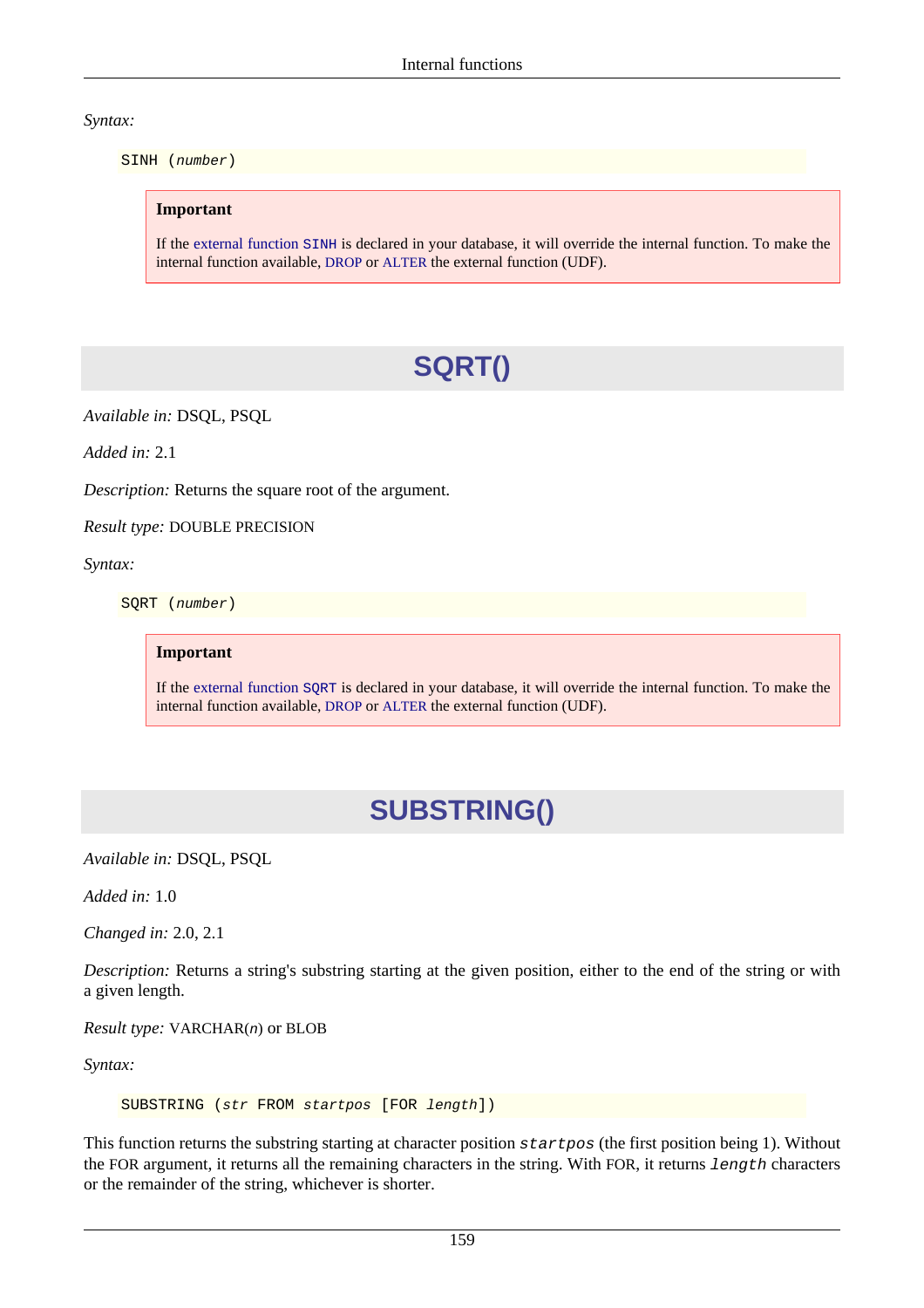*Syntax:*

SINH (number)

#### **Important**

If the [external function](#page-199-1) SINH is declared in your database, it will override the internal function. To make the internal function available, [DROP](#page-33-0) or [ALTER](#page-34-0) the external function (UDF).

# **SQRT()**

*Available in:* DSQL, PSQL

*Added in:* 2.1

*Description:* Returns the square root of the argument.

*Result type:* DOUBLE PRECISION

*Syntax:*

SQRT (number)

**Important**

If the [external function](#page-200-0) SQRT is declared in your database, it will override the internal function. To make the internal function available, [DROP](#page-33-0) or [ALTER](#page-34-0) the external function (UDF).

# **SUBSTRING()**

*Available in:* DSQL, PSQL

*Added in:* 1.0

*Changed in:* 2.0, 2.1

*Description:* Returns a string's substring starting at the given position, either to the end of the string or with a given length.

*Result type:* VARCHAR(n) or BLOB

*Syntax:*

SUBSTRING (str FROM startpos [FOR length])

This function returns the substring starting at character position startpos (the first position being 1). Without the FOR argument, it returns all the remaining characters in the string. With FOR, it returns length characters or the remainder of the string, whichever is shorter.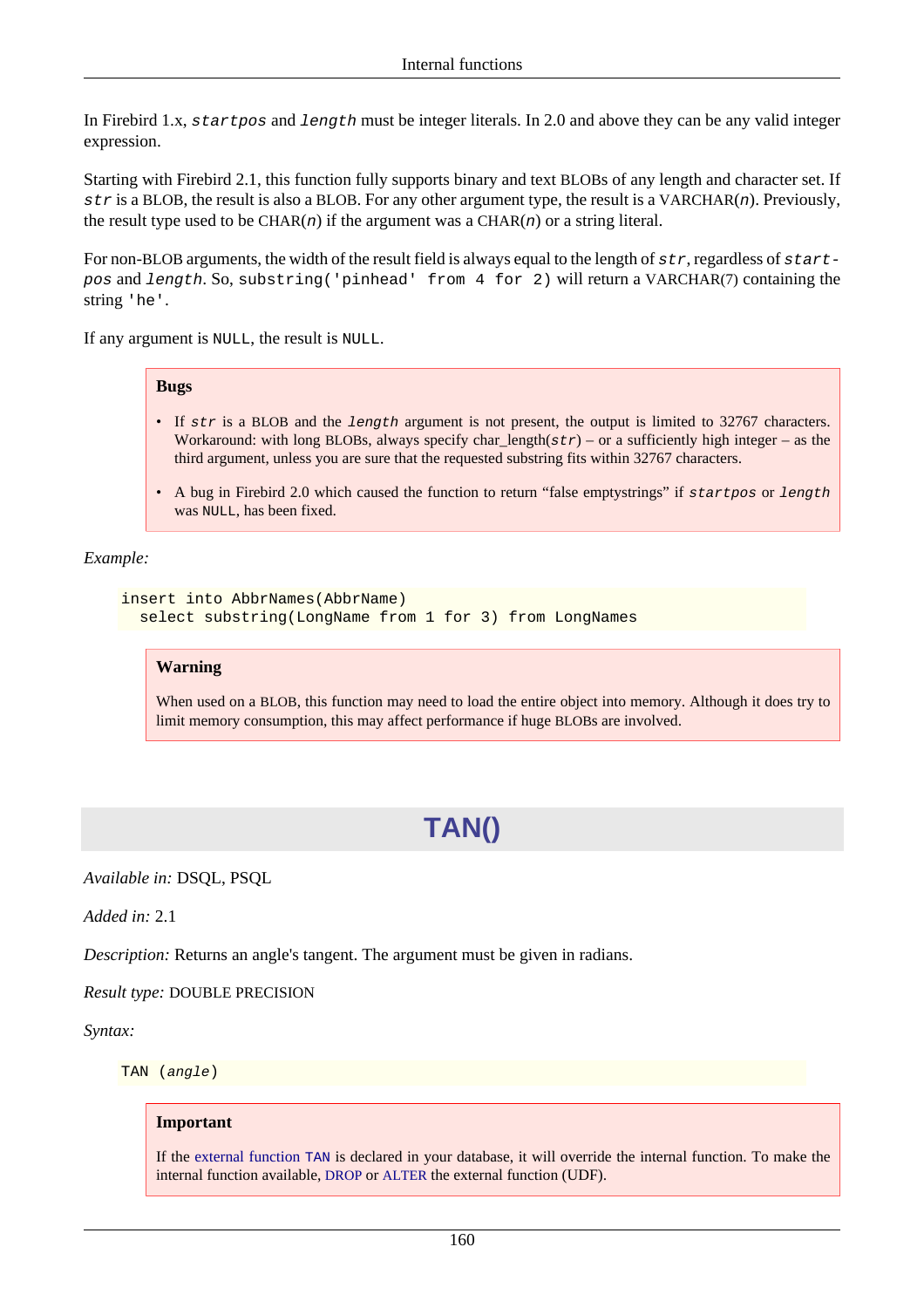In Firebird 1.x, startpos and length must be integer literals. In 2.0 and above they can be any valid integer expression.

Starting with Firebird 2.1, this function fully supports binary and text BLOBs of any length and character set. If str is a BLOB, the result is also a BLOB. For any other argument type, the result is a VARCHAR(n). Previously, the result type used to be CHAR(n) if the argument was a CHAR(n) or a string literal.

For non-BLOB arguments, the width of the result field is always equal to the length of  $str$ , regardless of  $start$ pos and length. So, substring('pinhead' from 4 for 2) will return a VARCHAR(7) containing the string 'he'.

If any argument is NULL, the result is NULL.

#### **Bugs**

- If str is a BLOB and the length argument is not present, the output is limited to 32767 characters. Workaround: with long BLOBs, always specify char\_length( $str$ ) – or a sufficiently high integer – as the third argument, unless you are sure that the requested substring fits within 32767 characters.
- A bug in Firebird 2.0 which caused the function to return "false emptystrings" if startpos or length was NULL, has been fixed.

#### *Example:*

```
insert into AbbrNames(AbbrName)
  select substring(LongName from 1 for 3) from LongNames
```
#### **Warning**

When used on a BLOB, this function may need to load the entire object into memory. Although it does try to limit memory consumption, this may affect performance if huge BLOBs are involved.

# **TAN()**

*Available in:* DSQL, PSQL

*Added in:* 2.1

*Description:* Returns an angle's tangent. The argument must be given in radians.

*Result type:* DOUBLE PRECISION

*Syntax:*

TAN (angle)

#### **Important**

If the [external function](#page-204-0) TAN is declared in your database, it will override the internal function. To make the internal function available, [DROP](#page-33-0) or [ALTER](#page-34-0) the external function (UDF).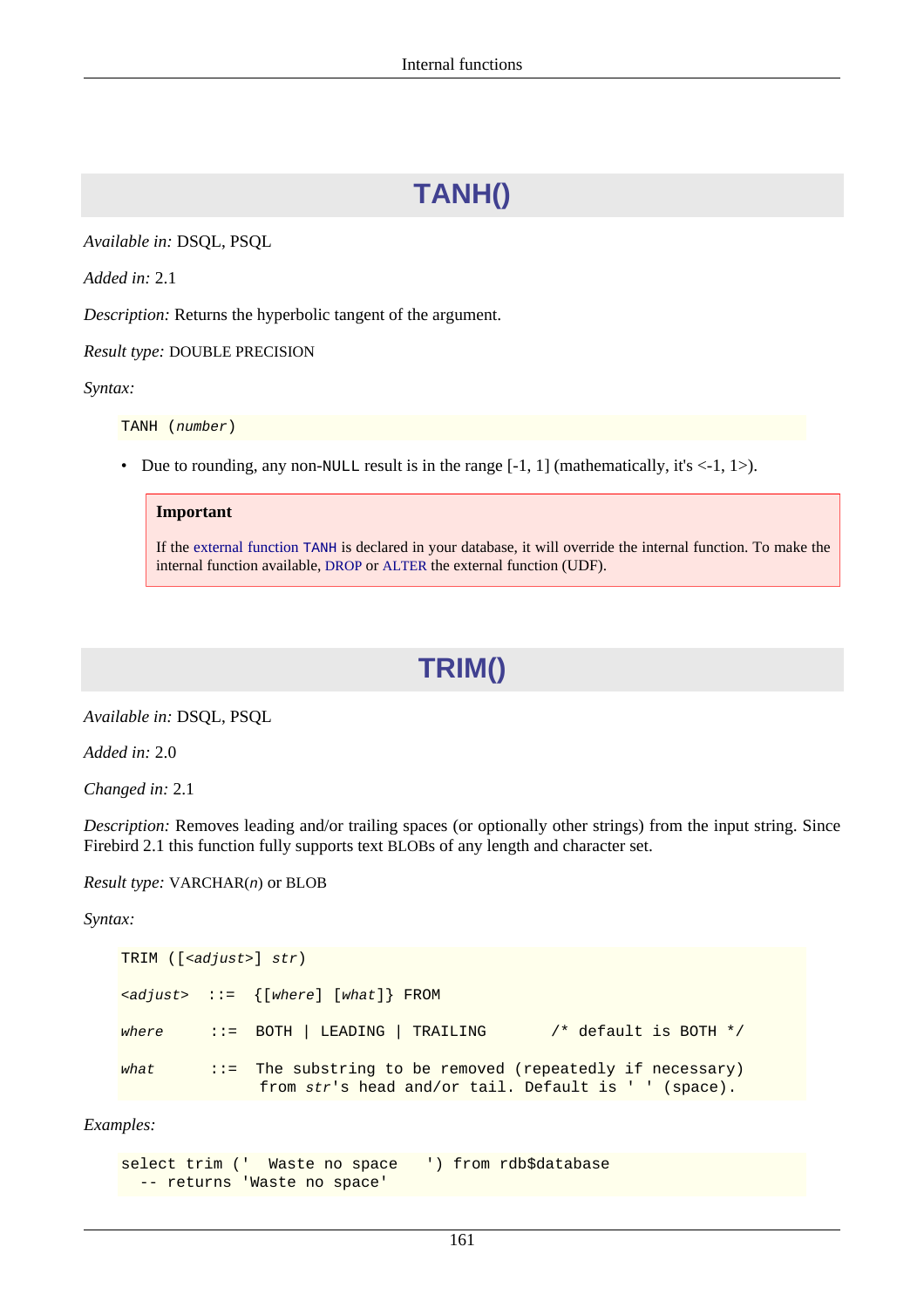# **TANH()**

*Available in:* DSQL, PSQL

*Added in:* 2.1

*Description:* Returns the hyperbolic tangent of the argument.

*Result type:* DOUBLE PRECISION

*Syntax:*

TANH (number)

• Due to rounding, any non-NULL result is in the range  $[-1, 1]$  (mathematically, it's  $\langle -1, 1 \rangle$ ).

#### **Important**

<span id="page-171-0"></span>If the [external function](#page-204-1) TANH is declared in your database, it will override the internal function. To make the internal function available, [DROP](#page-33-0) or [ALTER](#page-34-0) the external function (UDF).

### **TRIM()**

*Available in:* DSQL, PSQL

*Added in:* 2.0

*Changed in:* 2.1

*Description:* Removes leading and/or trailing spaces (or optionally other strings) from the input string. Since Firebird 2.1 this function fully supports text BLOBs of any length and character set.

*Result type:* VARCHAR(n) or BLOB

*Syntax:*

```
TRIM ([<adjust>] str)
\{z \in \{where\} \mid \{where\} \in \mathbb{R}where \therefore BOTH | LEADING | TRAILING /* default is BOTH */
what ::= The substring to be removed (repeatedly if necessary)
                from str's head and/or tail. Default is ' ' (space).
```
*Examples:*

```
select trim (' Waste no space ') from rdb$database
  -- returns 'Waste no space'
```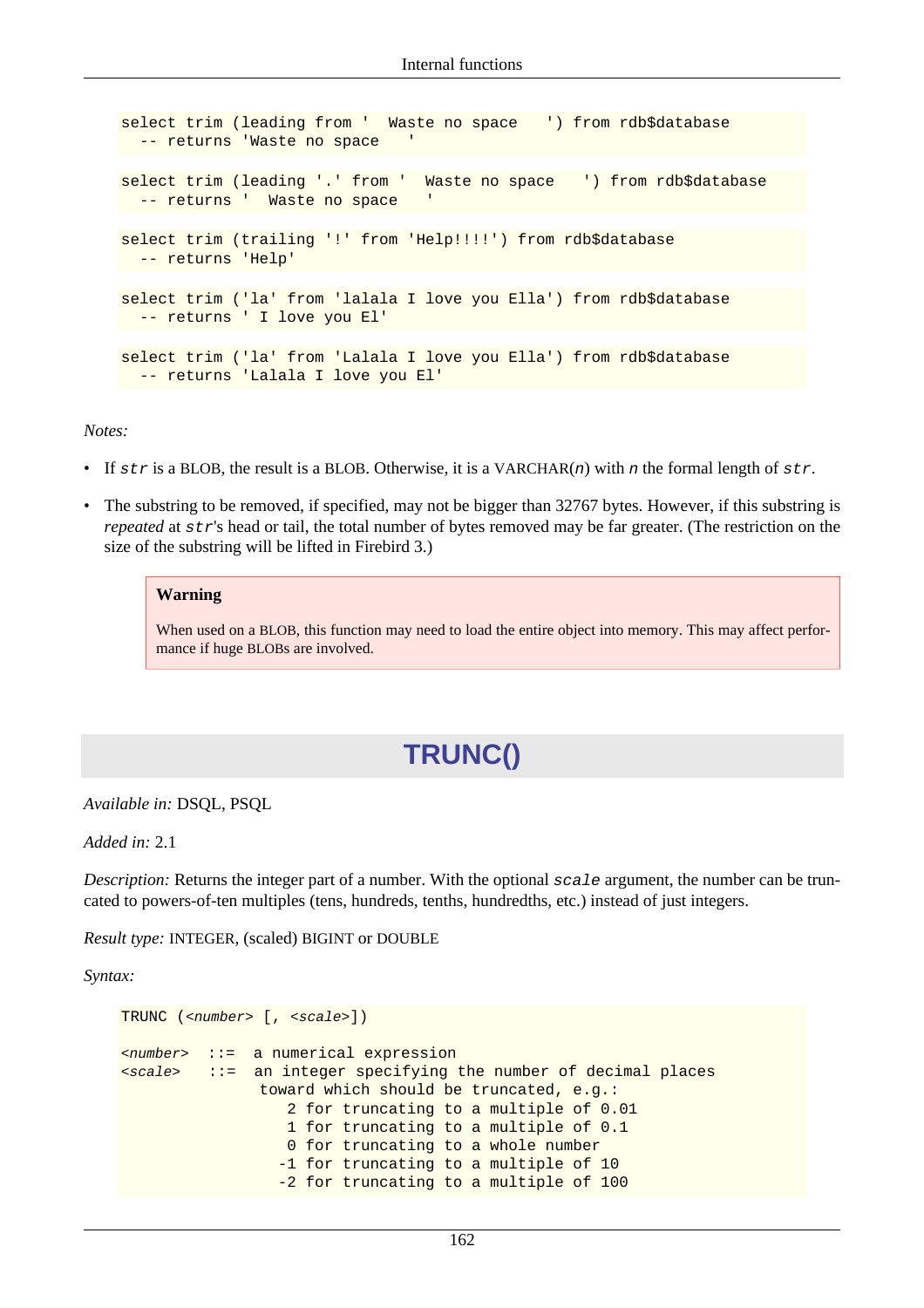```
select trim (leading from ' Waste no space ') from rdb$database
  -- returns 'Waste no space
select trim (leading '.' from ' Waste no space ') from rdb$database
 -- returns ' Waste no space
select trim (trailing '!' from 'Help!!!!') from rdb$database
  -- returns 'Help'
select trim ('la' from 'lalala I love you Ella') from rdb$database
  -- returns ' I love you El'
select trim ('la' from 'Lalala I love you Ella') from rdb$database
  -- returns 'Lalala I love you El'
```
*Notes:*

- If  $str$  is a BLOB, the result is a BLOB. Otherwise, it is a VARCHAR $(n)$  with n the formal length of  $str$ .
- The substring to be removed, if specified, may not be bigger than 32767 bytes. However, if this substring is *repeated* at str's head or tail, the total number of bytes removed may be far greater. (The restriction on the size of the substring will be lifted in Firebird 3.)

#### **Warning**

When used on a BLOB, this function may need to load the entire object into memory. This may affect performance if huge BLOBs are involved.

# **TRUNC()**

*Available in:* DSQL, PSQL

*Added in:* 2.1

*Description:* Returns the integer part of a number. With the optional scale argument, the number can be truncated to powers-of-ten multiples (tens, hundreds, tenths, hundredths, etc.) instead of just integers.

*Result type:* INTEGER, (scaled) BIGINT or DOUBLE

*Syntax:*

```
TRUNC (<number> [, <scale>])
<number> ::= a numerical expression
<scale> ::= an integer specifying the number of decimal places
                toward which should be truncated, e.g.:
                   2 for truncating to a multiple of 0.01
                   1 for truncating to a multiple of 0.1
                   0 for truncating to a whole number
                  -1 for truncating to a multiple of 10
                  -2 for truncating to a multiple of 100
```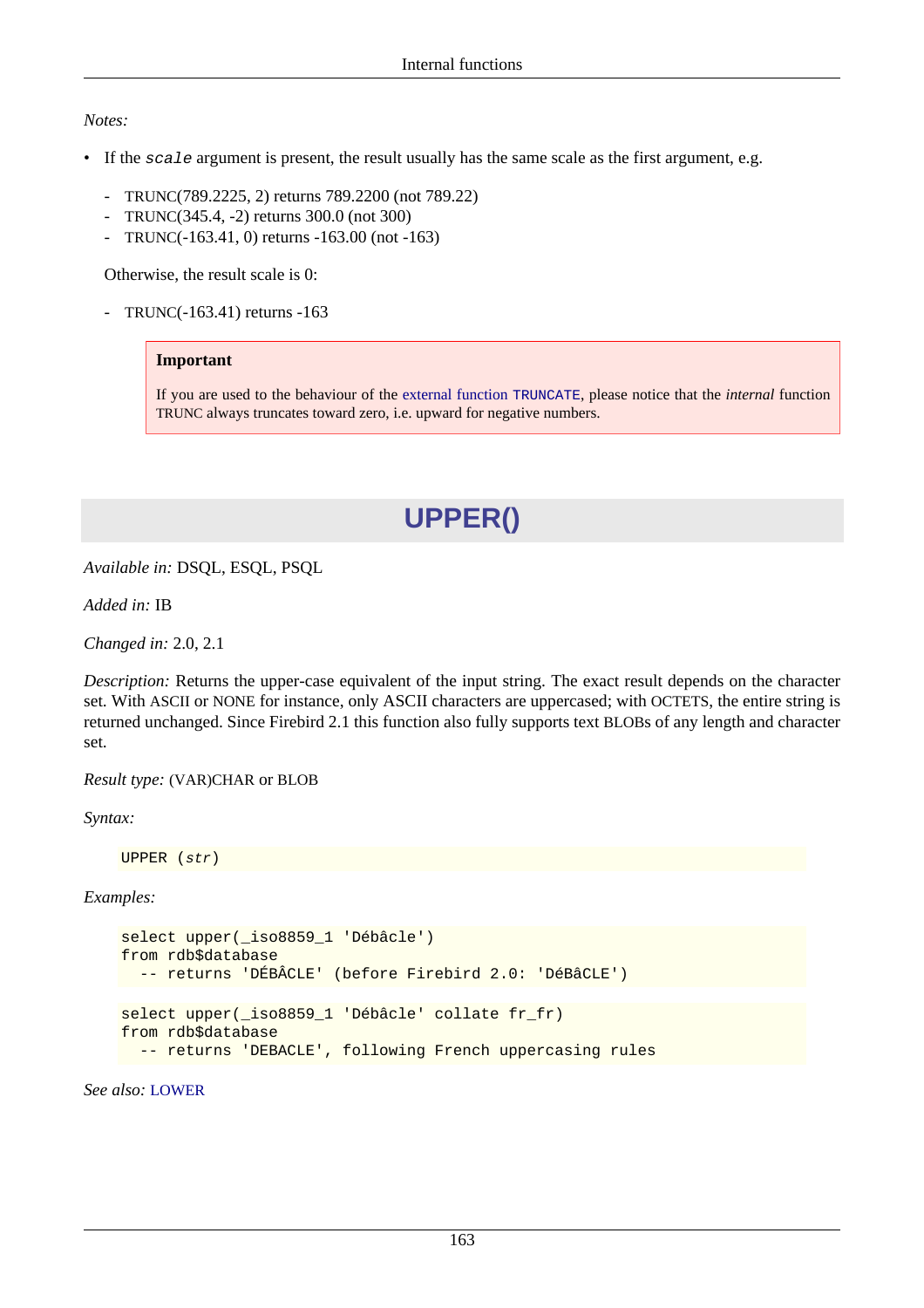#### *Notes:*

- If the scale argument is present, the result usually has the same scale as the first argument, e.g.
	- TRUNC(789.2225, 2) returns 789.2200 (not 789.22)
	- TRUNC(345.4, -2) returns 300.0 (not 300)
	- TRUNC(-163.41, 0) returns -163.00 (not -163)

Otherwise, the result scale is 0:

- TRUNC(-163.41) returns -163

#### **Important**

<span id="page-173-0"></span>If you are used to the behaviour of the [external function](#page-205-0) TRUNCATE, please notice that the *internal* function TRUNC always truncates toward zero, i.e. upward for negative numbers.

## **UPPER()**

*Available in:* DSQL, ESQL, PSQL

*Added in:* IB

*Changed in:* 2.0, 2.1

*Description:* Returns the upper-case equivalent of the input string. The exact result depends on the character set. With ASCII or NONE for instance, only ASCII characters are uppercased; with OCTETS, the entire string is returned unchanged. Since Firebird 2.1 this function also fully supports text BLOBs of any length and character set.

*Result type:* (VAR)CHAR or BLOB

*Syntax:*

UPPER (str)

*Examples:*

```
select upper(_iso8859_1 'Débâcle')
from rdb$database
   -- returns 'DÉBÂCLE' (before Firebird 2.0: 'DéBâCLE')
select upper(_iso8859_1 'Débâcle' collate fr_fr)
from rdb$database
   -- returns 'DEBACLE', following French uppercasing rules
```
*See also:* [LOWER](#page-153-0)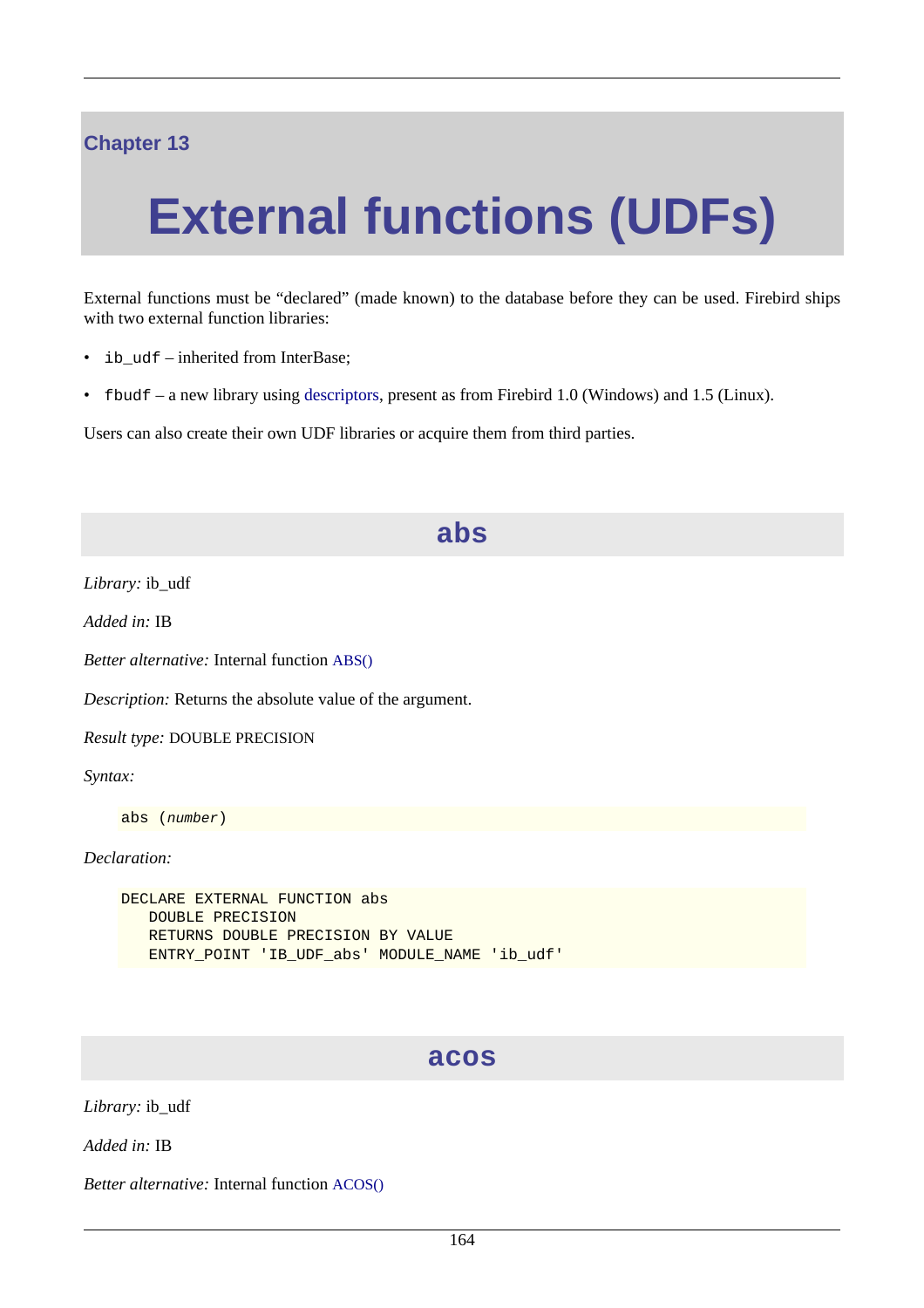### **Chapter 13**

# **External functions (UDFs)**

External functions must be "declared" (made known) to the database before they can be used. Firebird ships with two external function libraries:

- ib udf inherited from InterBase;
- fbudf a new library using [descriptors](#page-34-1), present as from Firebird 1.0 (Windows) and 1.5 (Linux).

Users can also create their own UDF libraries or acquire them from third parties.

#### **abs**

*Library:* ib\_udf

*Added in:* IB

*Better alternative:* Internal function [ABS\(\)](#page-133-0)

*Description:* Returns the absolute value of the argument.

*Result type:* DOUBLE PRECISION

*Syntax:*

abs (number)

*Declaration:*

```
DECLARE EXTERNAL FUNCTION abs
    DOUBLE PRECISION
    RETURNS DOUBLE PRECISION BY VALUE
    ENTRY_POINT 'IB_UDF_abs' MODULE_NAME 'ib_udf'
```
### **acos**

*Library:* ib\_udf

*Added in:* IB

*Better alternative:* Internal function [ACOS\(\)](#page-133-1)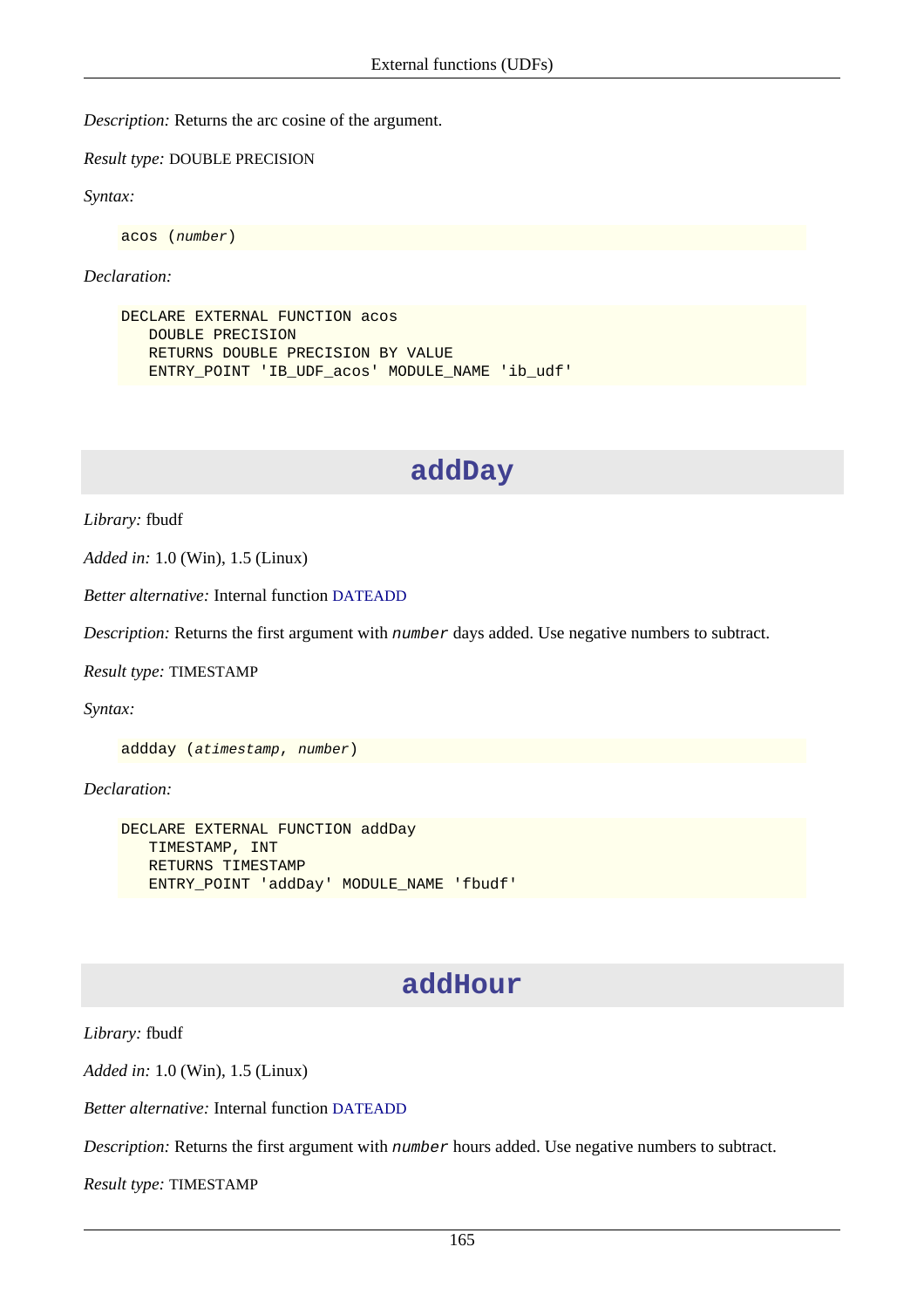*Description:* Returns the arc cosine of the argument.

*Result type:* DOUBLE PRECISION

*Syntax:*

acos (number)

*Declaration:*

```
DECLARE EXTERNAL FUNCTION acos
    DOUBLE PRECISION
    RETURNS DOUBLE PRECISION BY VALUE
    ENTRY_POINT 'IB_UDF_acos' MODULE_NAME 'ib_udf'
```
### **addDay**

*Library:* fbudf

*Added in:* 1.0 (Win), 1.5 (Linux)

*Better alternative:* Internal function [DATEADD](#page-145-0)

*Description:* Returns the first argument with number days added. Use negative numbers to subtract.

*Result type:* TIMESTAMP

*Syntax:*

addday (atimestamp, number)

*Declaration:*

```
DECLARE EXTERNAL FUNCTION addDay
    TIMESTAMP, INT
    RETURNS TIMESTAMP
    ENTRY_POINT 'addDay' MODULE_NAME 'fbudf'
```
### **addHour**

*Library:* fbudf

*Added in:* 1.0 (Win), 1.5 (Linux)

*Better alternative:* Internal function [DATEADD](#page-145-0)

*Description:* Returns the first argument with number hours added. Use negative numbers to subtract.

*Result type:* TIMESTAMP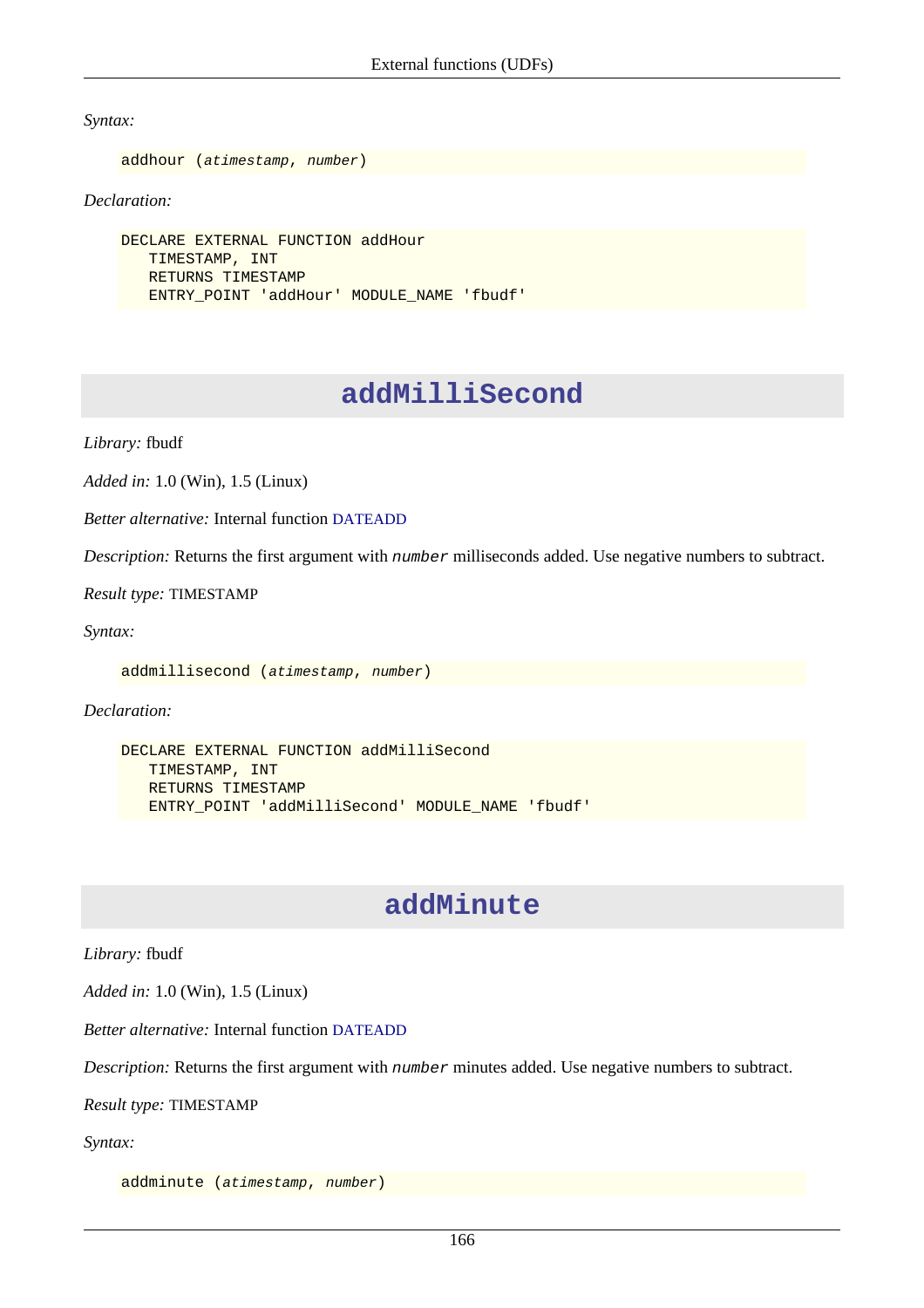*Syntax:*

```
addhour (atimestamp, number)
```
*Declaration:*

```
DECLARE EXTERNAL FUNCTION addHour
    TIMESTAMP, INT
    RETURNS TIMESTAMP
    ENTRY_POINT 'addHour' MODULE_NAME 'fbudf'
```
### **addMilliSecond**

*Library:* fbudf

*Added in:* 1.0 (Win), 1.5 (Linux)

*Better alternative:* Internal function [DATEADD](#page-145-0)

*Description:* Returns the first argument with number milliseconds added. Use negative numbers to subtract.

*Result type:* TIMESTAMP

*Syntax:*

addmillisecond (atimestamp, number)

*Declaration:*

```
DECLARE EXTERNAL FUNCTION addMilliSecond
    TIMESTAMP, INT
    RETURNS TIMESTAMP
    ENTRY_POINT 'addMilliSecond' MODULE_NAME 'fbudf'
```
### **addMinute**

*Library:* fbudf

*Added in:* 1.0 (Win), 1.5 (Linux)

*Better alternative:* Internal function [DATEADD](#page-145-0)

*Description:* Returns the first argument with number minutes added. Use negative numbers to subtract.

*Result type:* TIMESTAMP

*Syntax:*

addminute (atimestamp, number)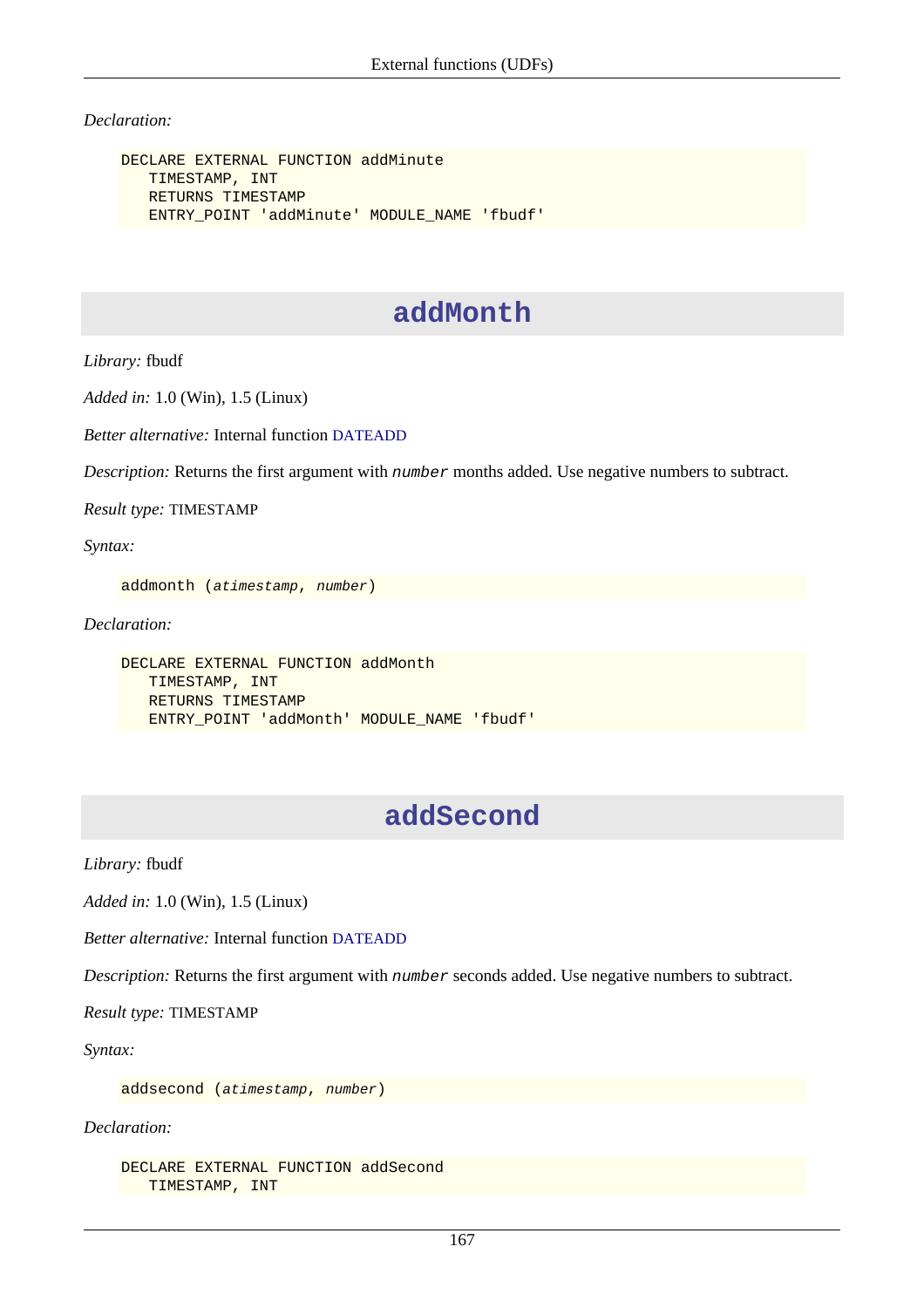#### *Declaration:*

```
DECLARE EXTERNAL FUNCTION addMinute
    TIMESTAMP, INT
    RETURNS TIMESTAMP
    ENTRY_POINT 'addMinute' MODULE_NAME 'fbudf'
```
### **addMonth**

*Library:* fbudf

*Added in:* 1.0 (Win), 1.5 (Linux)

*Better alternative:* Internal function [DATEADD](#page-145-0)

*Description:* Returns the first argument with *number* months added. Use negative numbers to subtract.

*Result type:* TIMESTAMP

*Syntax:*

```
addmonth (atimestamp, number)
```
*Declaration:*

```
DECLARE EXTERNAL FUNCTION addMonth
    TIMESTAMP, INT
    RETURNS TIMESTAMP
    ENTRY_POINT 'addMonth' MODULE_NAME 'fbudf'
```
### **addSecond**

*Library:* fbudf

*Added in:* 1.0 (Win), 1.5 (Linux)

*Better alternative:* Internal function [DATEADD](#page-145-0)

*Description:* Returns the first argument with number seconds added. Use negative numbers to subtract.

*Result type:* TIMESTAMP

*Syntax:*

addsecond (atimestamp, number)

*Declaration:*

```
DECLARE EXTERNAL FUNCTION addSecond
    TIMESTAMP, INT
```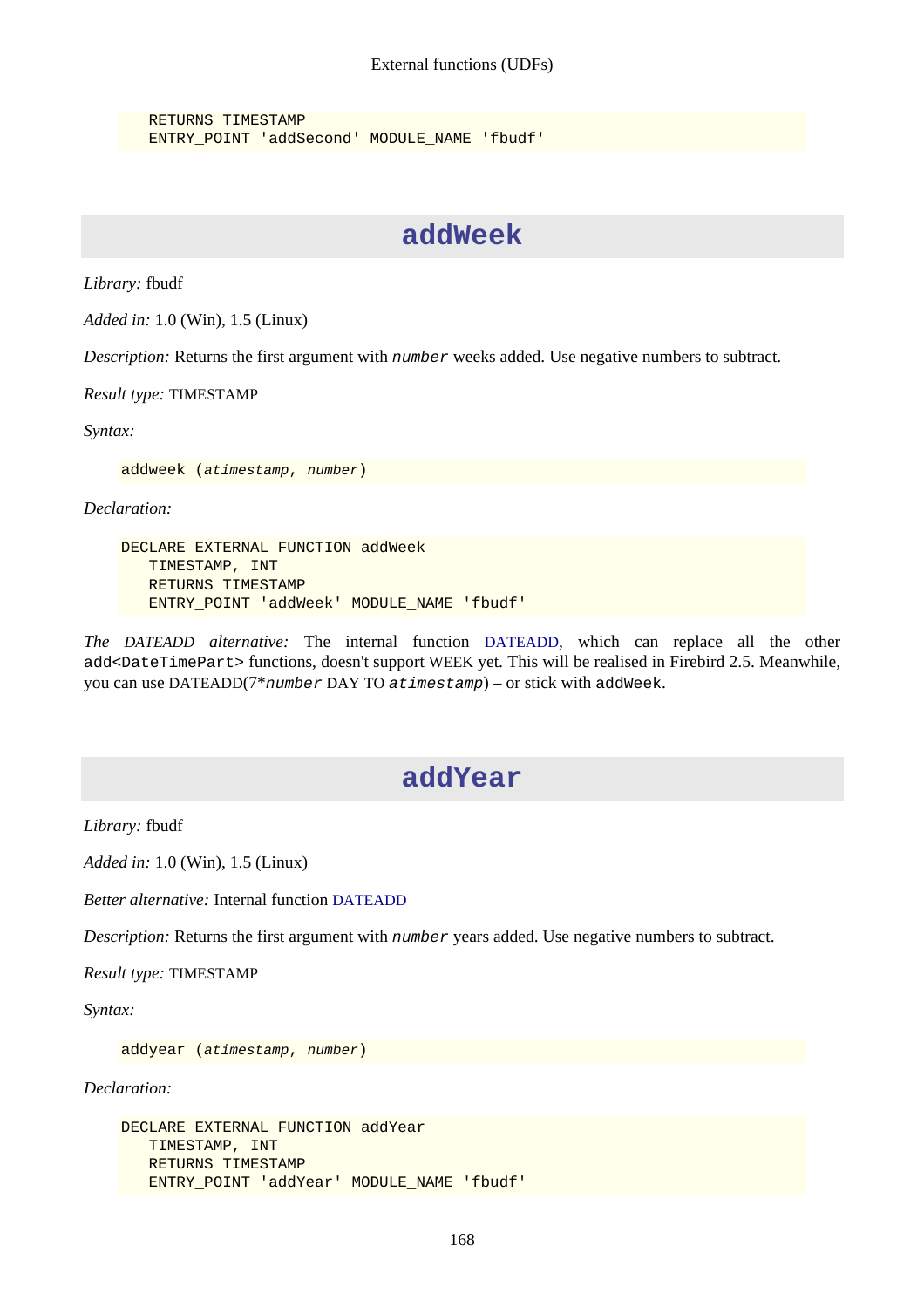RETURNS TIMESTAMP ENTRY\_POINT 'addSecond' MODULE\_NAME 'fbudf'

### **addWeek**

*Library:* fbudf

*Added in:* 1.0 (Win), 1.5 (Linux)

*Description:* Returns the first argument with number weeks added. Use negative numbers to subtract.

*Result type:* TIMESTAMP

*Syntax:*

addweek (atimestamp, number)

*Declaration:*

```
DECLARE EXTERNAL FUNCTION addWeek
    TIMESTAMP, INT
    RETURNS TIMESTAMP
    ENTRY_POINT 'addWeek' MODULE_NAME 'fbudf'
```
*The DATEADD alternative:* The internal function [DATEADD](#page-145-0), which can replace all the other add<DateTimePart> functions, doesn't support WEEK yet. This will be realised in Firebird 2.5. Meanwhile, you can use DATEADD(7\*number DAY TO atimestamp) – or stick with addWeek.

### **addYear**

*Library:* fbudf

*Added in:* 1.0 (Win), 1.5 (Linux)

*Better alternative:* Internal function [DATEADD](#page-145-0)

*Description:* Returns the first argument with *number* years added. Use negative numbers to subtract.

*Result type:* TIMESTAMP

*Syntax:*

addyear (atimestamp, number)

*Declaration:*

```
DECLARE EXTERNAL FUNCTION addYear
    TIMESTAMP, INT
    RETURNS TIMESTAMP
    ENTRY_POINT 'addYear' MODULE_NAME 'fbudf'
```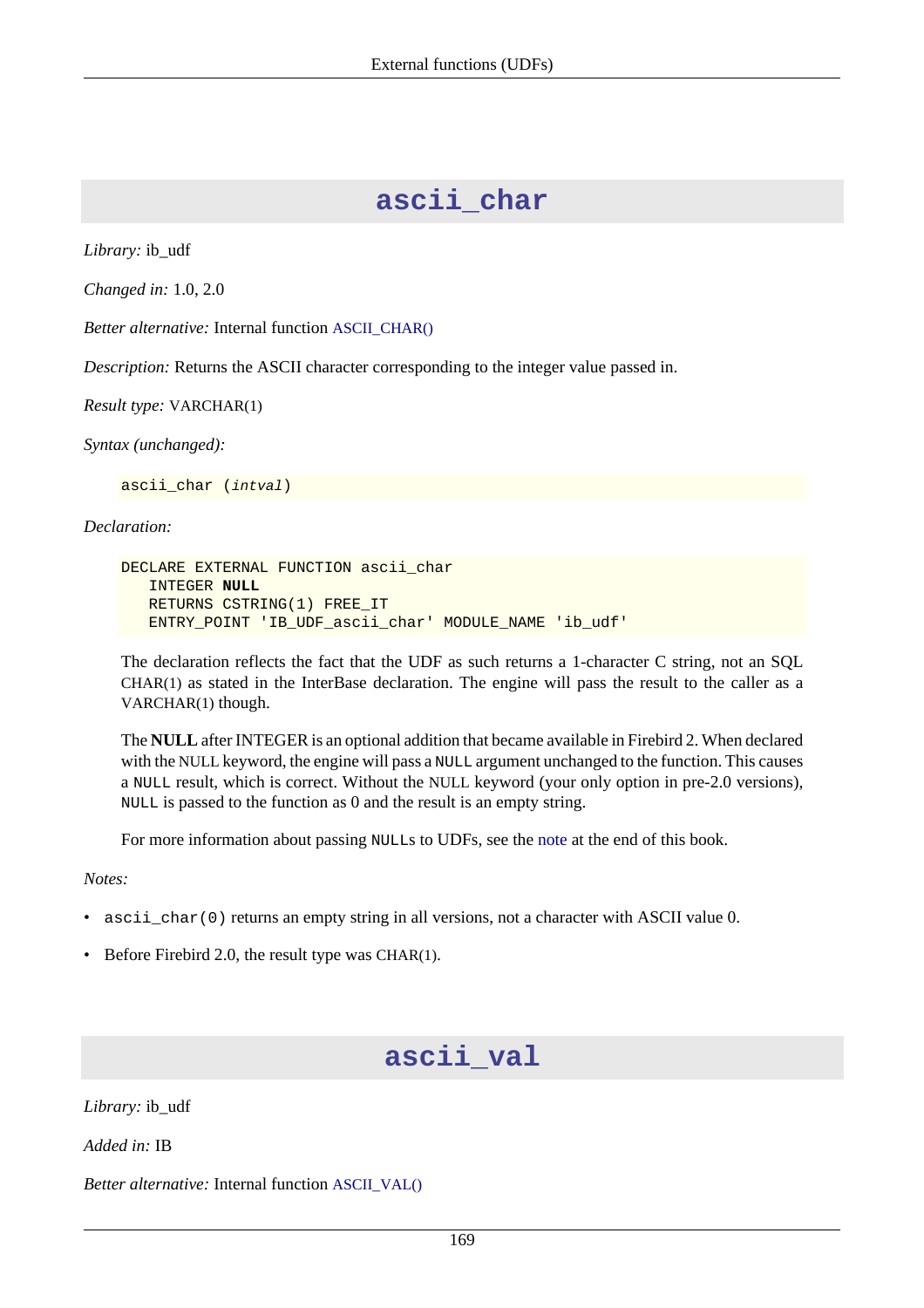### **ascii\_char**

*Library:* ib\_udf

*Changed in:* 1.0, 2.0

*Better alternative:* Internal function [ASCII\\_CHAR\(\)](#page-134-0)

*Description:* Returns the ASCII character corresponding to the integer value passed in.

*Result type:* VARCHAR(1)

*Syntax (unchanged):*

ascii\_char (intval)

*Declaration:*

```
DECLARE EXTERNAL FUNCTION ascii_char
    INTEGER NULL
    RETURNS CSTRING(1) FREE_IT
    ENTRY_POINT 'IB_UDF_ascii_char' MODULE_NAME 'ib_udf'
```
The declaration reflects the fact that the UDF as such returns a 1-character C string, not an SQL CHAR(1) as stated in the InterBase declaration. The engine will pass the result to the caller as a VARCHAR(1) though.

The **NULL** after INTEGER is an optional addition that became available in Firebird 2. When declared with the NULL keyword, the engine will pass a NULL argument unchanged to the function. This causes a NULL result, which is correct. Without the NULL keyword (your only option in pre-2.0 versions), NULL is passed to the function as 0 and the result is an empty string.

For more information about passing NULLs to UDFs, see the [note](#page-212-0) at the end of this book.

*Notes:*

- ascii\_char(0) returns an empty string in all versions, not a character with ASCII value 0.
- Before Firebird 2.0, the result type was CHAR(1).

### **ascii\_val**

*Library:* ib\_udf

*Added in:* IB

*Better alternative:* Internal function [ASCII\\_VAL\(\)](#page-134-1)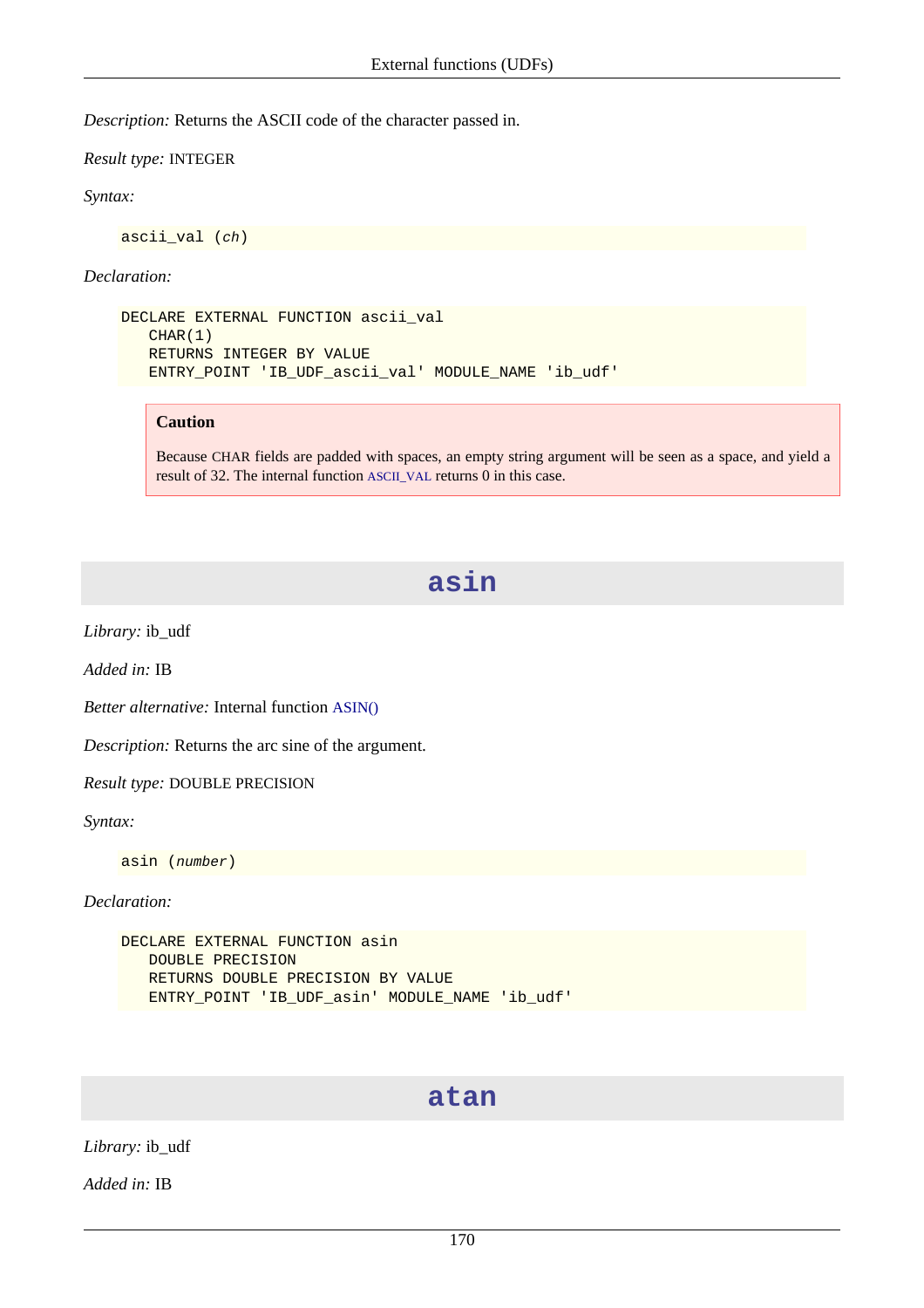*Description:* Returns the ASCII code of the character passed in.

*Result type:* INTEGER

*Syntax:*

ascii\_val (ch)

*Declaration:*

```
DECLARE EXTERNAL FUNCTION ascii_val
    CHAR(1)
    RETURNS INTEGER BY VALUE
    ENTRY_POINT 'IB_UDF_ascii_val' MODULE_NAME 'ib_udf'
```
#### **Caution**

Because CHAR fields are padded with spaces, an empty string argument will be seen as a space, and yield a result of 32. The internal function [ASCII\\_VAL](#page-134-0) returns 0 in this case.

## **asin**

*Library:* ib\_udf

*Added in:* IB

*Better alternative:* Internal function [ASIN\(\)](#page-135-0)

*Description:* Returns the arc sine of the argument.

*Result type:* DOUBLE PRECISION

*Syntax:*

asin (number)

*Declaration:*

```
DECLARE EXTERNAL FUNCTION asin
    DOUBLE PRECISION
    RETURNS DOUBLE PRECISION BY VALUE
    ENTRY_POINT 'IB_UDF_asin' MODULE_NAME 'ib_udf'
```
#### **atan**

*Library:* ib\_udf

*Added in:* IB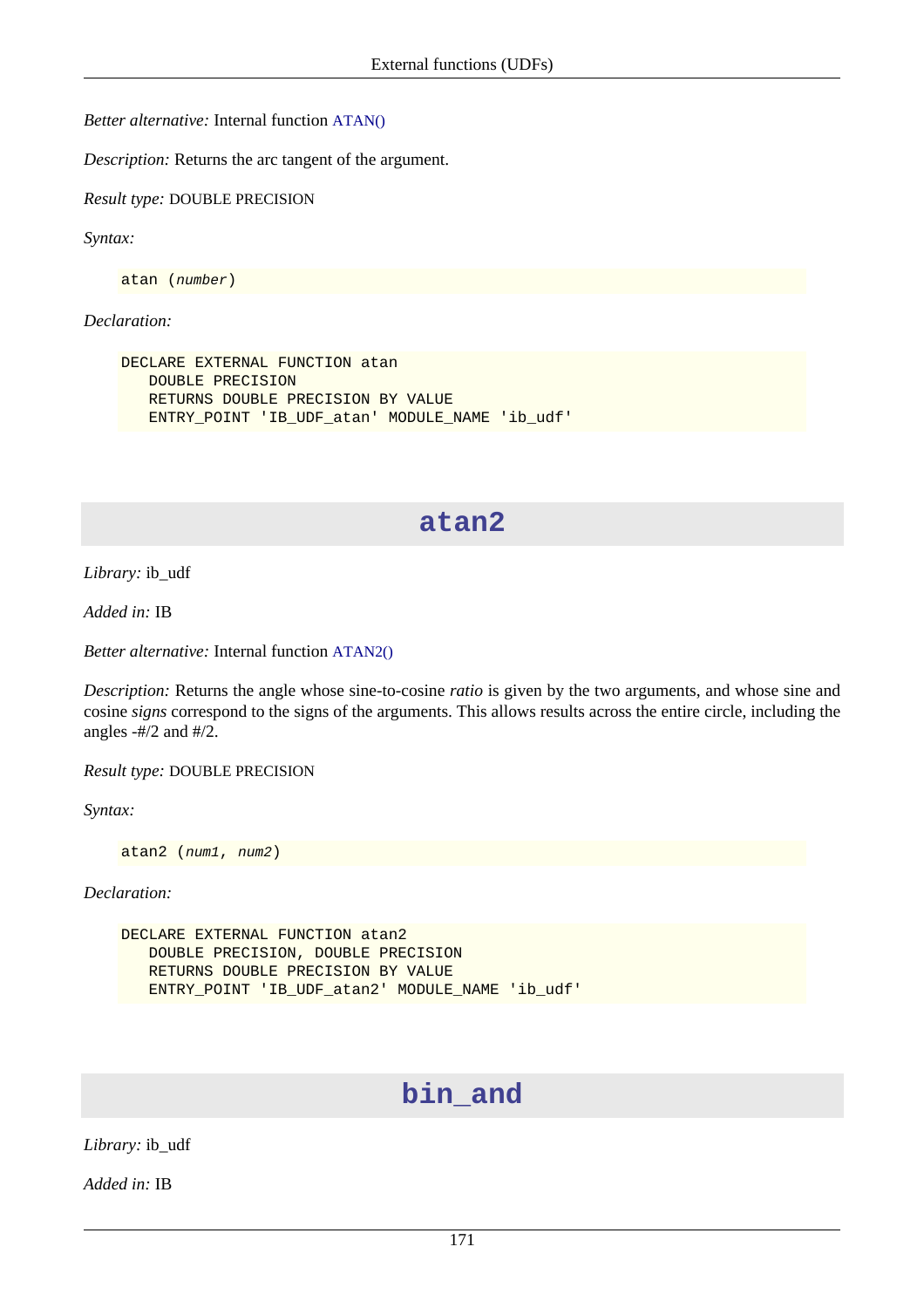*Better alternative:* Internal function [ATAN\(\)](#page-135-1)

*Description:* Returns the arc tangent of the argument.

*Result type:* DOUBLE PRECISION

*Syntax:*

atan (number)

*Declaration:*

```
DECLARE EXTERNAL FUNCTION atan
    DOUBLE PRECISION
    RETURNS DOUBLE PRECISION BY VALUE
    ENTRY_POINT 'IB_UDF_atan' MODULE_NAME 'ib_udf'
```
## **atan2**

*Library:* ib\_udf

*Added in:* IB

*Better alternative:* Internal function [ATAN2\(\)](#page-136-0)

*Description:* Returns the angle whose sine-to-cosine *ratio* is given by the two arguments, and whose sine and cosine *signs* correspond to the signs of the arguments. This allows results across the entire circle, including the angles  $-#/2$  and  $#/2$ .

*Result type:* DOUBLE PRECISION

*Syntax:*

atan2 (num1, num2)

*Declaration:*

```
DECLARE EXTERNAL FUNCTION atan2
    DOUBLE PRECISION, DOUBLE PRECISION
    RETURNS DOUBLE PRECISION BY VALUE
    ENTRY_POINT 'IB_UDF_atan2' MODULE_NAME 'ib_udf'
```
## **bin\_and**

*Library:* ib\_udf

*Added in:* IB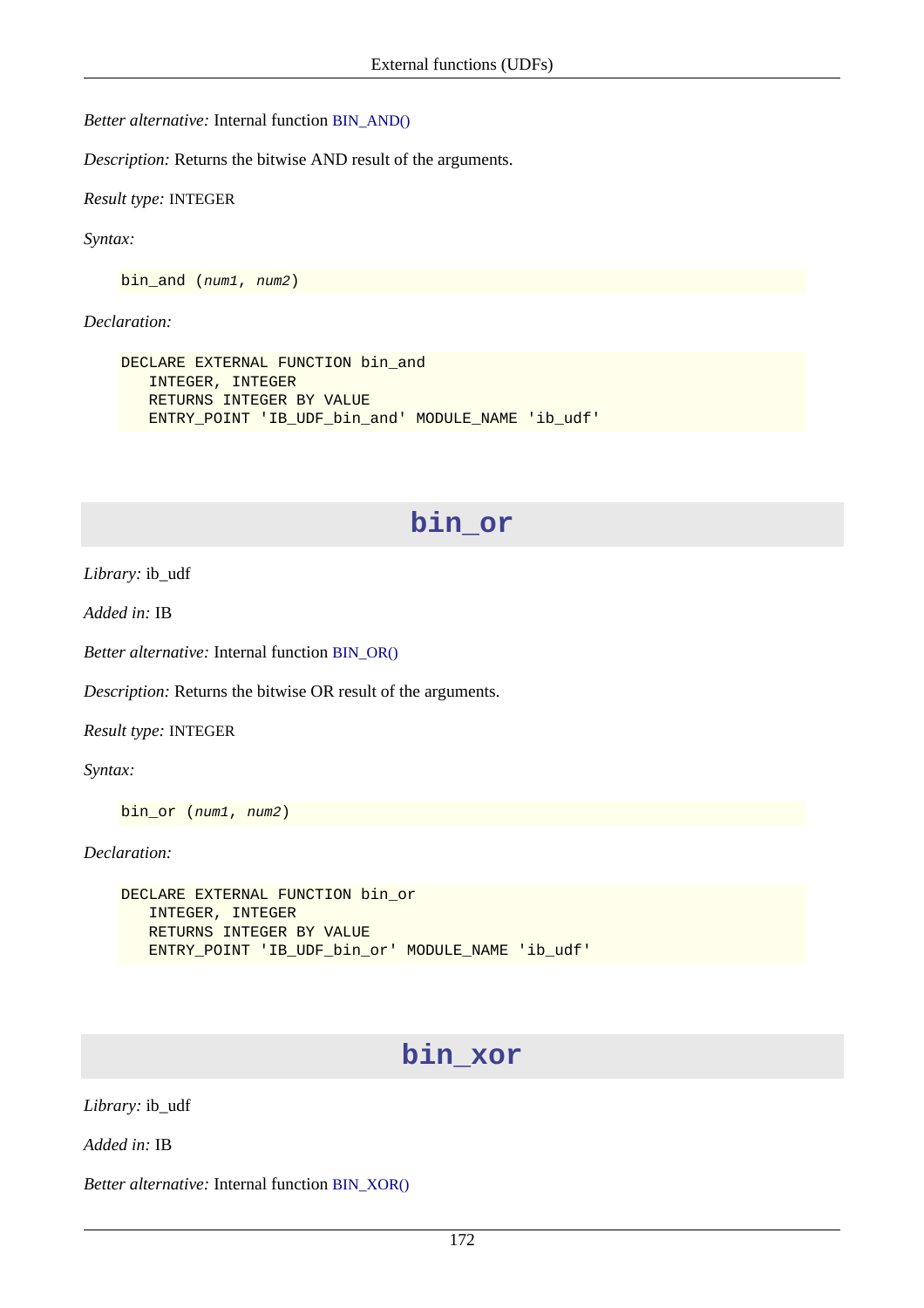*Better alternative:* Internal function [BIN\\_AND\(\)](#page-136-1)

*Description:* Returns the bitwise AND result of the arguments.

*Result type:* INTEGER

*Syntax:*

bin\_and (num1, num2)

#### *Declaration:*

```
DECLARE EXTERNAL FUNCTION bin_and
    INTEGER, INTEGER
    RETURNS INTEGER BY VALUE
    ENTRY_POINT 'IB_UDF_bin_and' MODULE_NAME 'ib_udf'
```
## **bin\_or**

*Library:* ib\_udf

*Added in:* IB

*Better alternative:* Internal function [BIN\\_OR\(\)](#page-137-0)

*Description:* Returns the bitwise OR result of the arguments.

*Result type:* INTEGER

*Syntax:*

bin or (num1, num2)

*Declaration:*

```
DECLARE EXTERNAL FUNCTION bin_or
    INTEGER, INTEGER
    RETURNS INTEGER BY VALUE
    ENTRY_POINT 'IB_UDF_bin_or' MODULE_NAME 'ib_udf'
```
## **bin\_xor**

*Library:* ib\_udf

*Added in:* IB

*Better alternative:* Internal function [BIN\\_XOR\(\)](#page-138-0)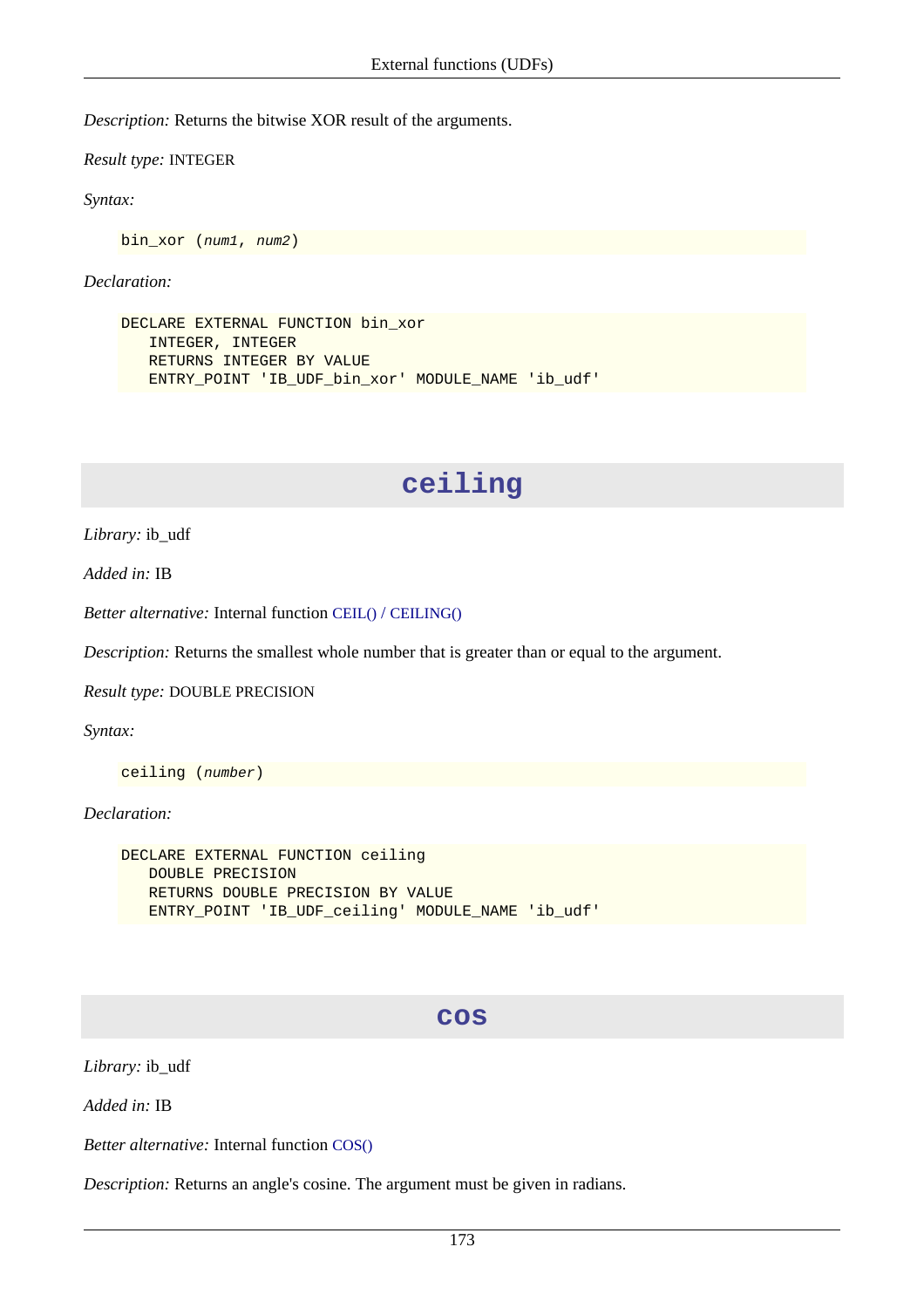*Description:* Returns the bitwise XOR result of the arguments.

*Result type:* INTEGER

*Syntax:*

bin\_xor (num1, num2)

*Declaration:*

```
DECLARE EXTERNAL FUNCTION bin_xor
    INTEGER, INTEGER
    RETURNS INTEGER BY VALUE
    ENTRY_POINT 'IB_UDF_bin_xor' MODULE_NAME 'ib_udf'
```
## **ceiling**

*Library:* ib\_udf

*Added in:* IB

*Better alternative:* Internal function CEIL() / [CEILING\(\)](#page-141-0)

*Description:* Returns the smallest whole number that is greater than or equal to the argument.

*Result type:* DOUBLE PRECISION

*Syntax:*

ceiling (number)

*Declaration:*

```
DECLARE EXTERNAL FUNCTION ceiling
   DOUBLE PRECISION
   RETURNS DOUBLE PRECISION BY VALUE
  ENTRY_POINT 'IB_UDF_ceiling' MODULE_NAME 'ib_udf'
```
#### **cos**

*Library:* ib\_udf

*Added in:* IB

*Better alternative:* Internal function [COS\(\)](#page-143-0)

*Description:* Returns an angle's cosine. The argument must be given in radians.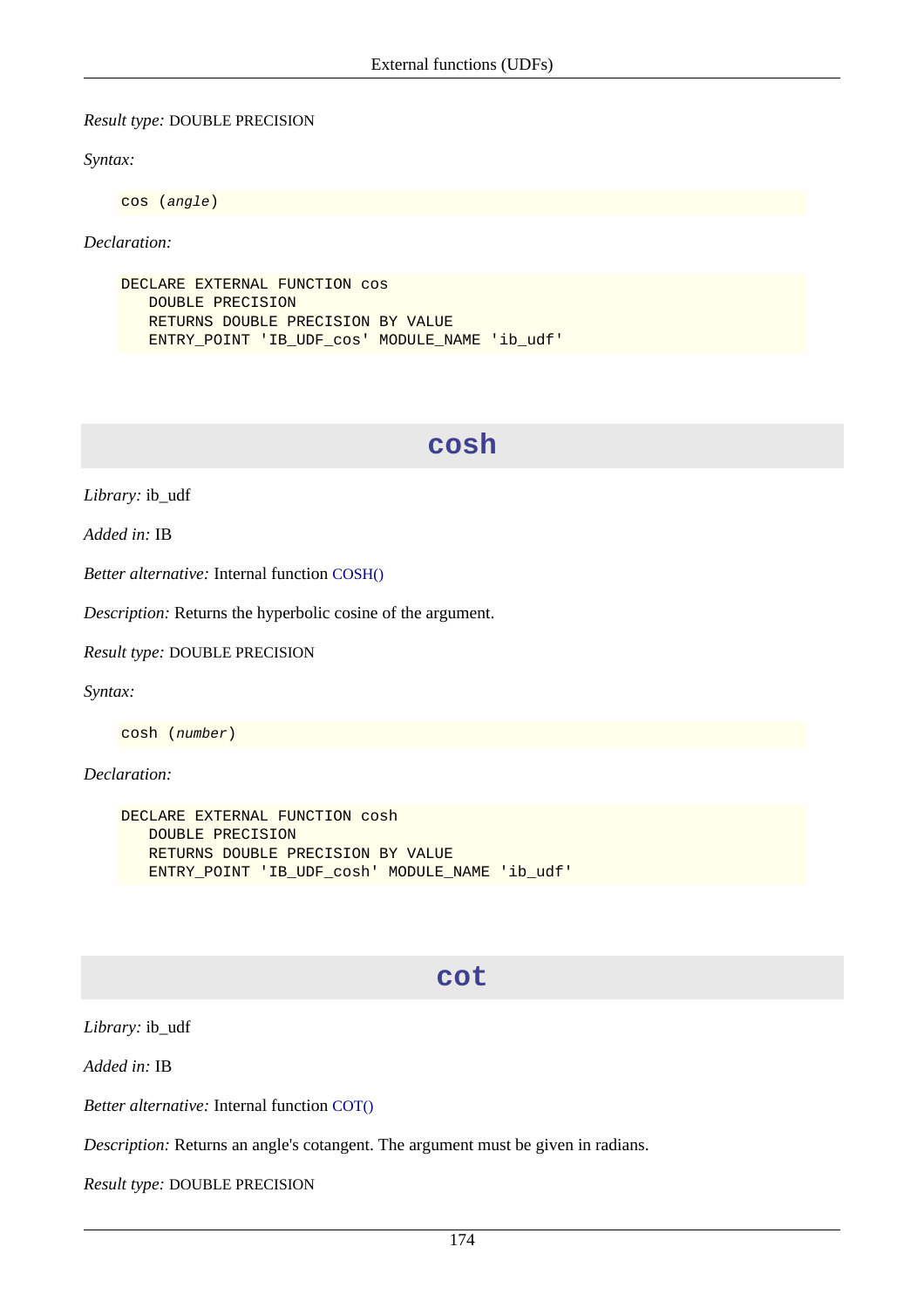#### *Result type:* DOUBLE PRECISION

#### *Syntax:*

cos (angle)

#### *Declaration:*

DECLARE EXTERNAL FUNCTION COS DOUBLE PRECISION RETURNS DOUBLE PRECISION BY VALUE ENTRY\_POINT 'IB\_UDF\_cos' MODULE\_NAME 'ib\_udf'

## **cosh**

*Library:* ib\_udf

*Added in:* IB

*Better alternative:* Internal function [COSH\(\)](#page-144-0)

*Description:* Returns the hyperbolic cosine of the argument.

*Result type:* DOUBLE PRECISION

*Syntax:*

cosh (number)

*Declaration:*

```
DECLARE EXTERNAL FUNCTION cosh
    DOUBLE PRECISION
    RETURNS DOUBLE PRECISION BY VALUE
   ENTRY_POINT 'IB_UDF_cosh' MODULE_NAME 'ib_udf'
```
#### **cot**

*Library:* ib\_udf

*Added in:* IB

*Better alternative:* Internal function [COT\(\)](#page-144-1)

*Description:* Returns an angle's cotangent. The argument must be given in radians.

*Result type:* DOUBLE PRECISION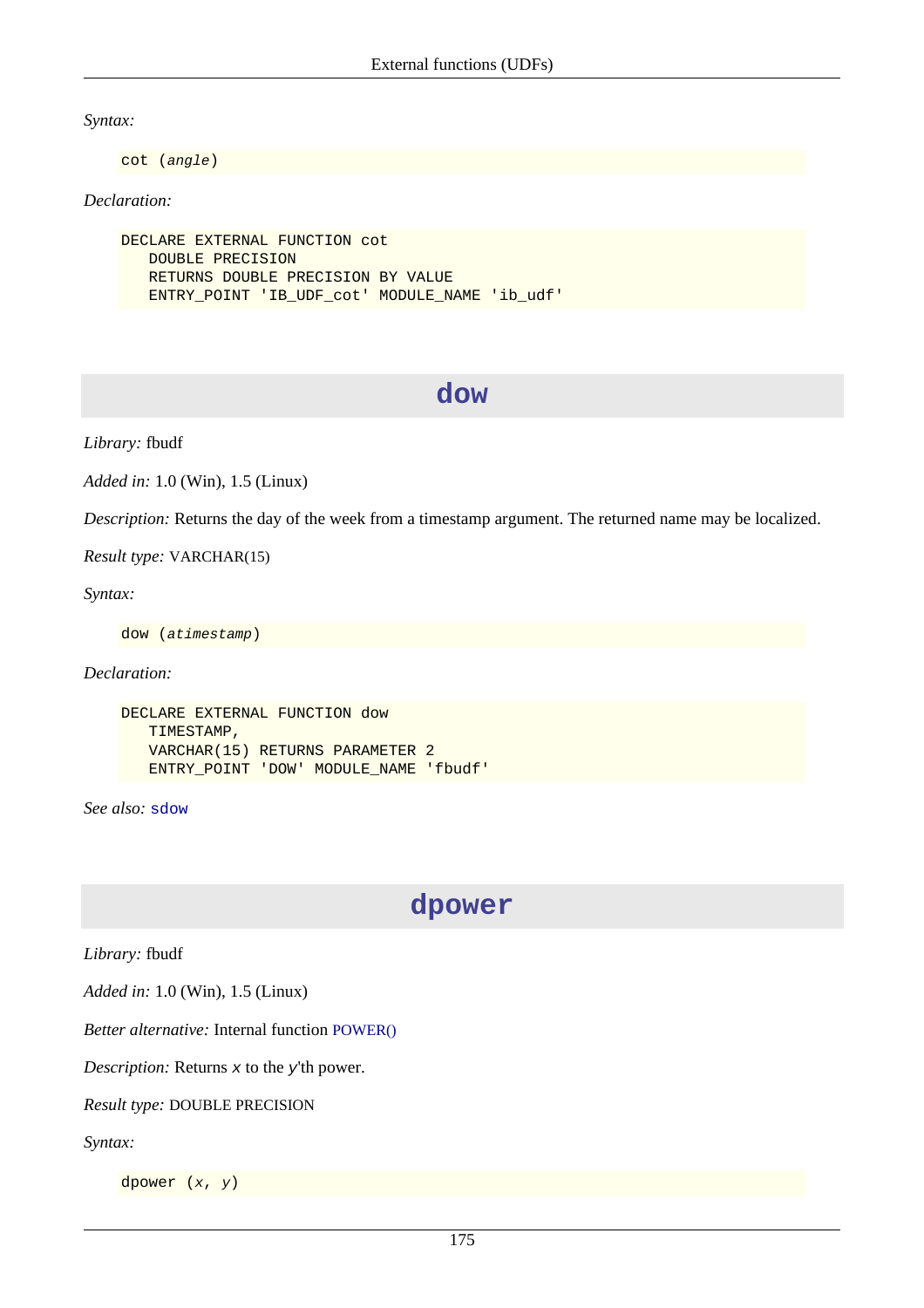*Syntax:*

cot (angle)

#### *Declaration:*

```
DECLARE EXTERNAL FUNCTION cot
    DOUBLE PRECISION
    RETURNS DOUBLE PRECISION BY VALUE
    ENTRY_POINT 'IB_UDF_cot' MODULE_NAME 'ib_udf'
```
#### **dow**

*Library:* fbudf

*Added in:* 1.0 (Win), 1.5 (Linux)

*Description:* Returns the day of the week from a timestamp argument. The returned name may be localized.

*Result type:* VARCHAR(15)

*Syntax:*

dow (atimestamp)

*Declaration:*

```
DECLARE EXTERNAL FUNCTION dow
    TIMESTAMP,
    VARCHAR(15) RETURNS PARAMETER 2
    ENTRY_POINT 'DOW' MODULE_NAME 'fbudf'
```
*See also:* [sdow](#page-198-0)

**dpower**

*Library:* fbudf

*Added in:* 1.0 (Win), 1.5 (Linux)

*Better alternative:* Internal function [POWER\(\)](#page-160-0)

*Description:* Returns x to the y'th power.

*Result type:* DOUBLE PRECISION

*Syntax:*

dpower  $(x, y)$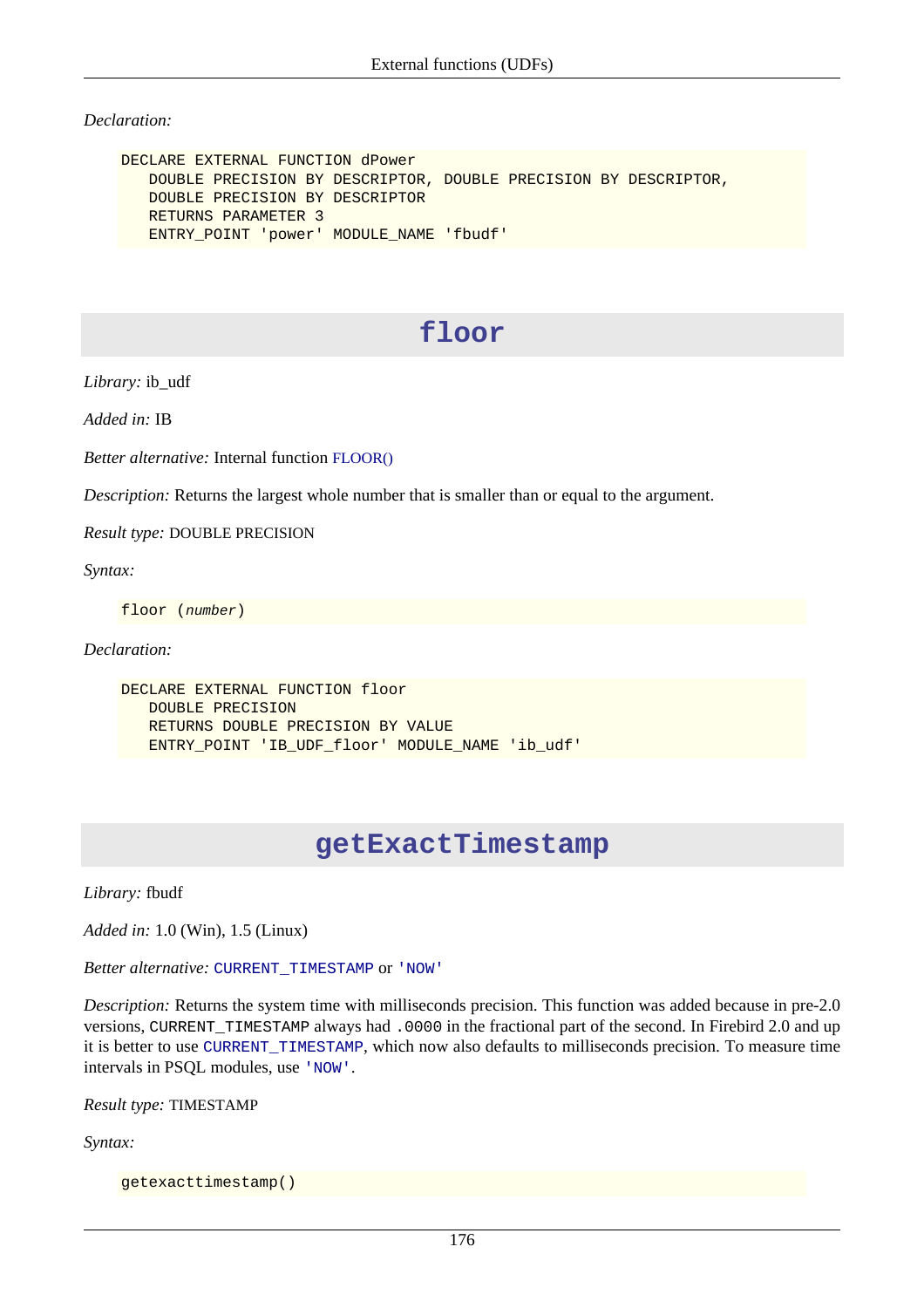*Declaration:*

```
DECLARE EXTERNAL FUNCTION dPower
    DOUBLE PRECISION BY DESCRIPTOR, DOUBLE PRECISION BY DESCRIPTOR,
    DOUBLE PRECISION BY DESCRIPTOR
    RETURNS PARAMETER 3
    ENTRY_POINT 'power' MODULE_NAME 'fbudf'
```
# **floor**

*Library:* ib\_udf

*Added in:* IB

*Better alternative:* Internal function [FLOOR\(\)](#page-149-0)

*Description:* Returns the largest whole number that is smaller than or equal to the argument.

*Result type:* DOUBLE PRECISION

*Syntax:*

floor (number)

#### *Declaration:*

```
DECLARE EXTERNAL FUNCTION floor
    DOUBLE PRECISION
    RETURNS DOUBLE PRECISION BY VALUE
    ENTRY_POINT 'IB_UDF_floor' MODULE_NAME 'ib_udf'
```
## **getExactTimestamp**

*Library:* fbudf

*Added in:* 1.0 (Win), 1.5 (Linux)

*Better alternative:* [CURRENT\\_TIMESTAMP](#page-120-0) or ['NOW'](#page-124-0)

*Description:* Returns the system time with milliseconds precision. This function was added because in pre-2.0 versions, CURRENT\_TIMESTAMP always had .0000 in the fractional part of the second. In Firebird 2.0 and up it is better to use [CURRENT\\_TIMESTAMP](#page-120-0), which now also defaults to milliseconds precision. To measure time intervals in PSQL modules, use ['NOW'](#page-124-0).

*Result type:* TIMESTAMP

*Syntax:*

getexacttimestamp()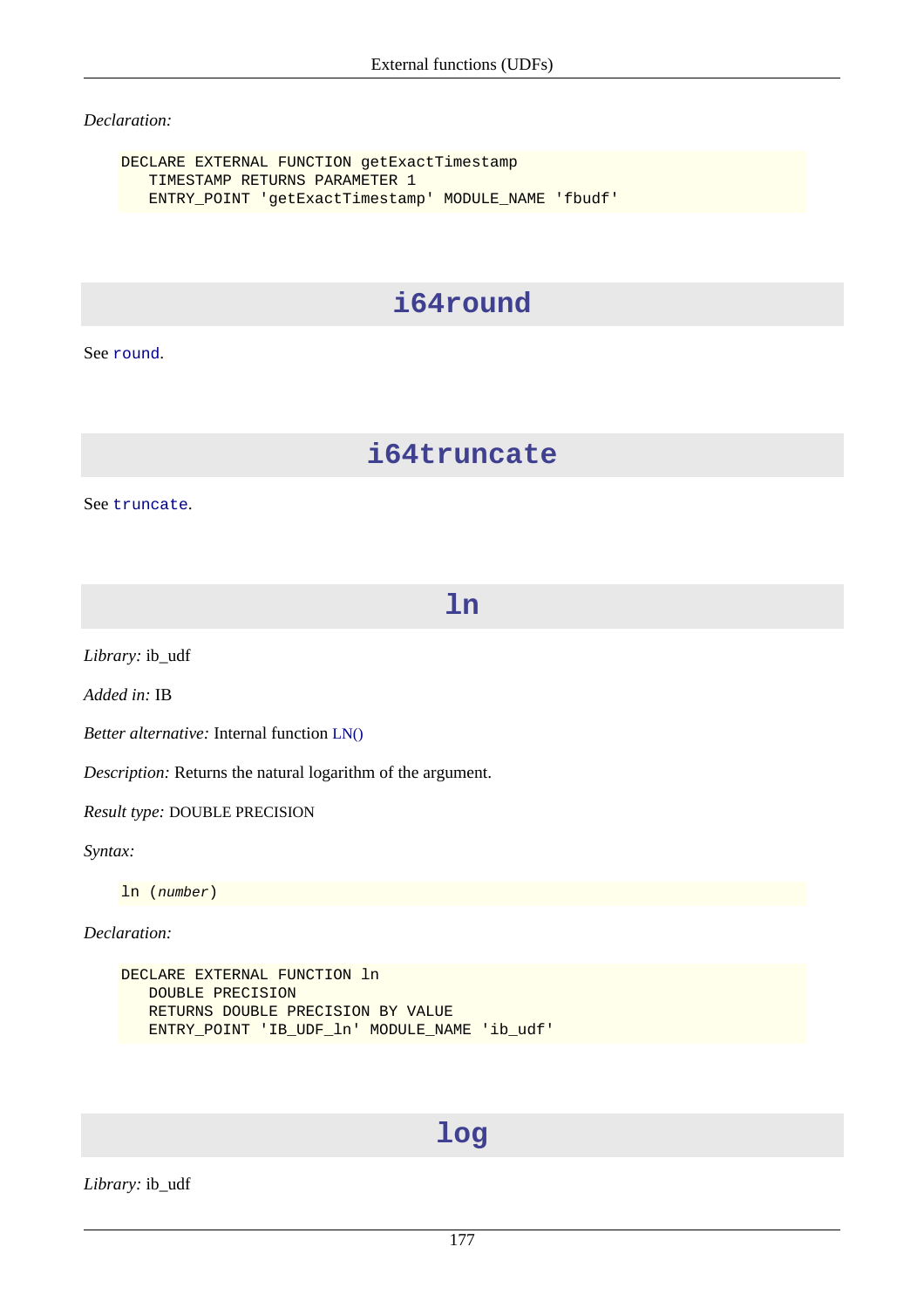#### *Declaration:*

DECLARE EXTERNAL FUNCTION getExactTimestamp TIMESTAMP RETURNS PARAMETER 1 ENTRY\_POINT 'getExactTimestamp' MODULE\_NAME 'fbudf'

## **i64round**

See [round](#page-195-0).

## **i64truncate**

See [truncate](#page-205-0).

**ln**

*Library:* ib\_udf

*Added in:* IB

*Better alternative:* Internal function [LN\(\)](#page-152-0)

*Description:* Returns the natural logarithm of the argument.

*Result type:* DOUBLE PRECISION

*Syntax:*

ln (number)

*Declaration:*

DECLARE EXTERNAL FUNCTION ln DOUBLE PRECISION RETURNS DOUBLE PRECISION BY VALUE ENTRY\_POINT 'IB\_UDF\_ln' MODULE\_NAME 'ib\_udf'

## **log**

*Library:* ib\_udf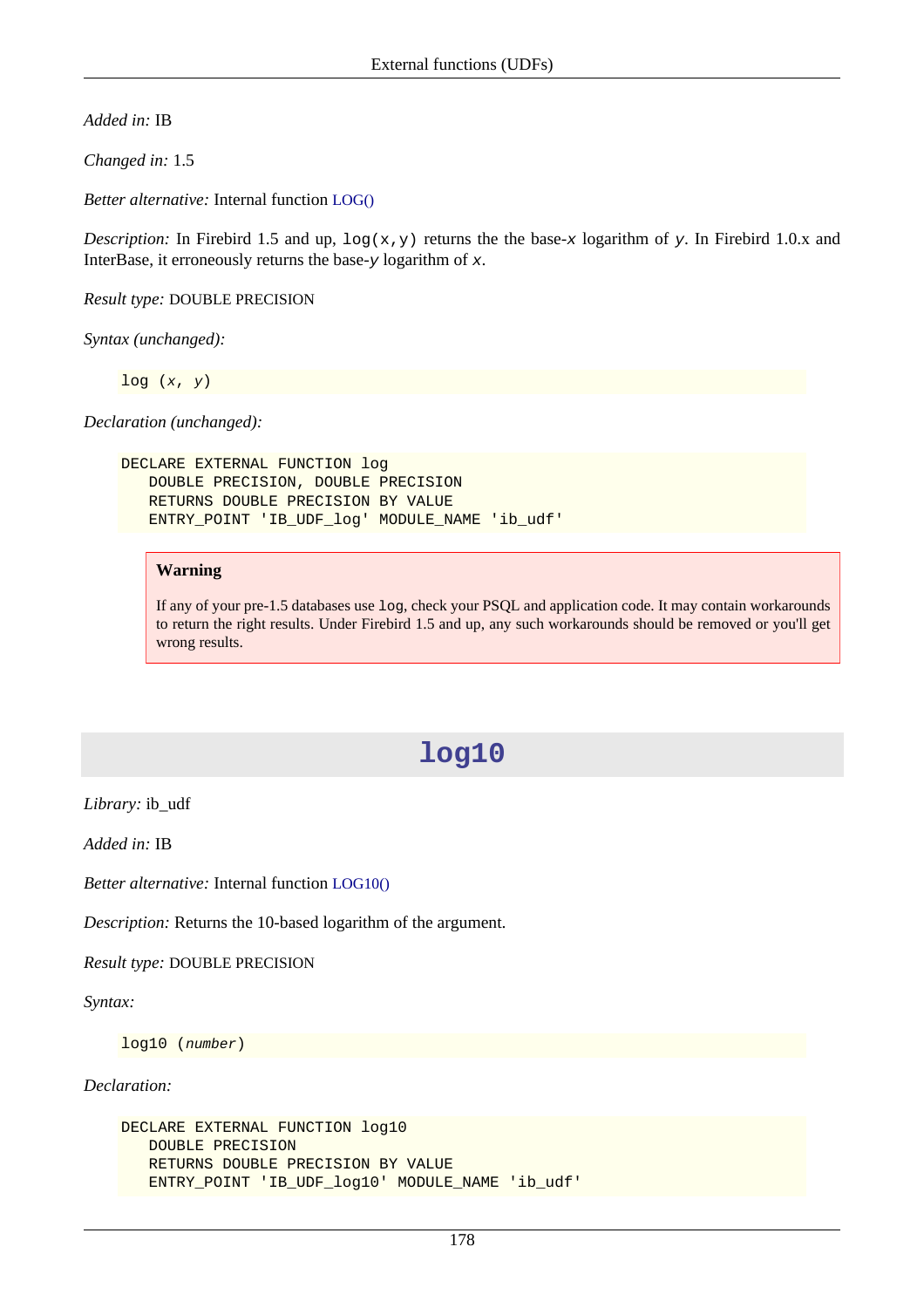*Added in:* IB

*Changed in:* 1.5

*Better alternative:* Internal function [LOG\(\)](#page-152-1)

*Description:* In Firebird 1.5 and up,  $\log(x, y)$  returns the the base-x logarithm of y. In Firebird 1.0.x and InterBase, it erroneously returns the base- $y$  logarithm of  $x$ .

*Result type:* DOUBLE PRECISION

*Syntax (unchanged):*

 $log(x, y)$ 

*Declaration (unchanged):*

```
DECLARE EXTERNAL FUNCTION log
    DOUBLE PRECISION, DOUBLE PRECISION
    RETURNS DOUBLE PRECISION BY VALUE
    ENTRY_POINT 'IB_UDF_log' MODULE_NAME 'ib_udf'
```
#### **Warning**

If any of your pre-1.5 databases use log, check your PSQL and application code. It may contain workarounds to return the right results. Under Firebird 1.5 and up, any such workarounds should be removed or you'll get wrong results.

## **log10**

*Library:* ib\_udf

*Added in:* IB

*Better alternative:* Internal function [LOG10\(\)](#page-153-0)

*Description:* Returns the 10-based logarithm of the argument.

*Result type:* DOUBLE PRECISION

*Syntax:*

log10 (number)

*Declaration:*

```
DECLARE EXTERNAL FUNCTION log10
    DOUBLE PRECISION
    RETURNS DOUBLE PRECISION BY VALUE
   ENTRY_POINT 'IB_UDF_log10' MODULE_NAME 'ib_udf'
```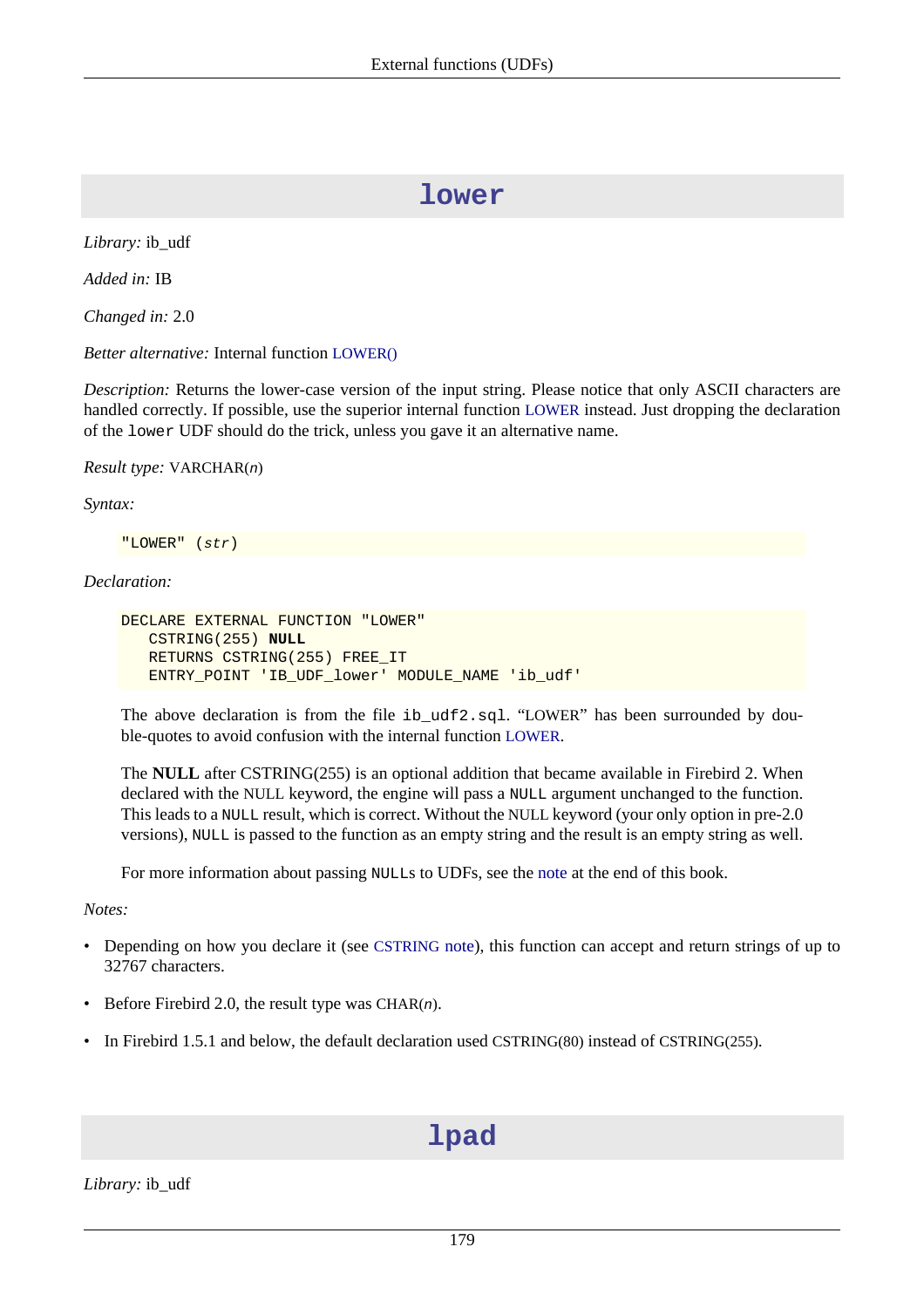## **lower**

*Library:* ib\_udf

*Added in:* IB

*Changed in:* 2.0

*Better alternative:* Internal function [LOWER\(\)](#page-153-1)

*Description:* Returns the lower-case version of the input string. Please notice that only ASCII characters are handled correctly. If possible, use the superior internal function [LOWER](#page-153-1) instead. Just dropping the declaration of the lower UDF should do the trick, unless you gave it an alternative name.

*Result type:* VARCHAR(n)

*Syntax:*

"LOWER" (str)

#### *Declaration:*

```
DECLARE EXTERNAL FUNCTION "LOWER"
    CSTRING(255) NULL
    RETURNS CSTRING(255) FREE_IT
    ENTRY_POINT 'IB_UDF_lower' MODULE_NAME 'ib_udf'
```
The above declaration is from the file ib\_udf2.sql. "LOWER" has been surrounded by double-quotes to avoid confusion with the internal function [LOWER](#page-153-1).

The **NULL** after CSTRING(255) is an optional addition that became available in Firebird 2. When declared with the NULL keyword, the engine will pass a NULL argument unchanged to the function. This leads to a NULL result, which is correct. Without the NULL keyword (your only option in pre-2.0 versions), NULL is passed to the function as an empty string and the result is an empty string as well.

For more information about passing NULLs to UDFs, see the [note](#page-212-0) at the end of this book.

*Notes:*

- Depending on how you declare it (see [CSTRING](#page-211-0) note), this function can accept and return strings of up to 32767 characters.
- Before Firebird 2.0, the result type was CHAR $(n)$ .
- In Firebird 1.5.1 and below, the default declaration used CSTRING(80) instead of CSTRING(255).

# **lpad**

*Library:* ib\_udf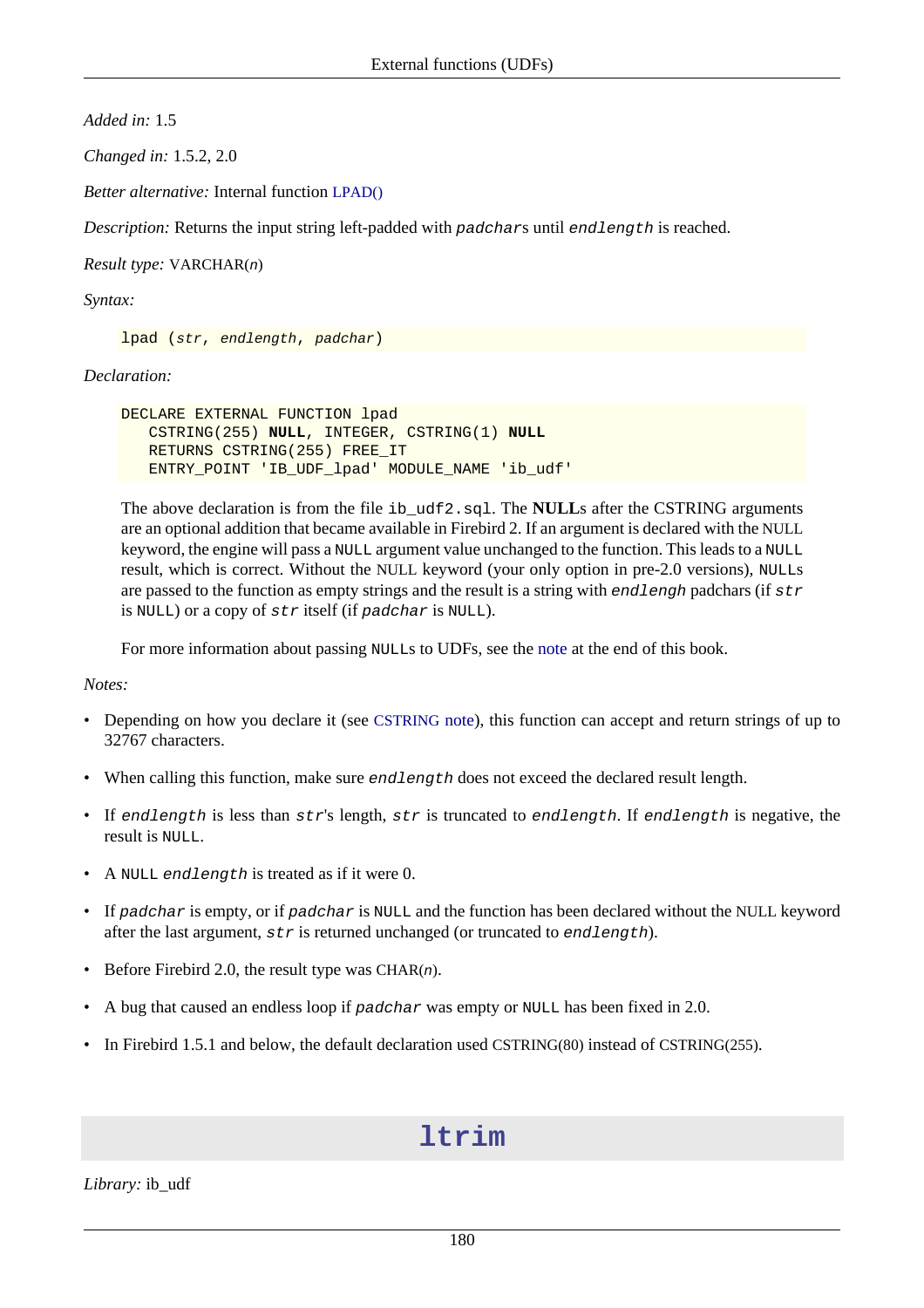*Added in:* 1.5

*Changed in:* 1.5.2, 2.0

*Better alternative:* Internal function [LPAD\(\)](#page-154-0)

*Description:* Returns the input string left-padded with padchars until endlength is reached.

*Result type:* VARCHAR(n)

*Syntax:*

lpad (str, endlength, padchar)

*Declaration:*

```
DECLARE EXTERNAL FUNCTION lpad
    CSTRING(255) NULL, INTEGER, CSTRING(1) NULL
    RETURNS CSTRING(255) FREE_IT
    ENTRY_POINT 'IB_UDF_lpad' MODULE_NAME 'ib_udf'
```
The above declaration is from the file ib\_udf2.sql. The **NULL**s after the CSTRING arguments are an optional addition that became available in Firebird 2. If an argument is declared with the NULL keyword, the engine will pass a NULL argument value unchanged to the function. This leads to a NULL result, which is correct. Without the NULL keyword (your only option in pre-2.0 versions), NULLs are passed to the function as empty strings and the result is a string with endlengh padchars (if  $str$ is NULL) or a copy of str itself (if padchar is NULL).

For more information about passing NULLs to UDFs, see the [note](#page-212-0) at the end of this book.

*Notes:*

- Depending on how you declare it (see [CSTRING](#page-211-0) note), this function can accept and return strings of up to 32767 characters.
- When calling this function, make sure *endlength* does not exceed the declared result length.
- If endlength is less than  $str's$  length,  $str$  is truncated to endlength. If endlength is negative, the result is NULL.
- A NULL endlength is treated as if it were 0.
- If padchar is empty, or if padchar is NULL and the function has been declared without the NULL keyword after the last argument,  $str$  is returned unchanged (or truncated to endlength).
- Before Firebird 2.0, the result type was CHAR $(n)$ .
- A bug that caused an endless loop if padchar was empty or NULL has been fixed in 2.0.
- In Firebird 1.5.1 and below, the default declaration used CSTRING(80) instead of CSTRING(255).

## **ltrim**

*Library:* ib\_udf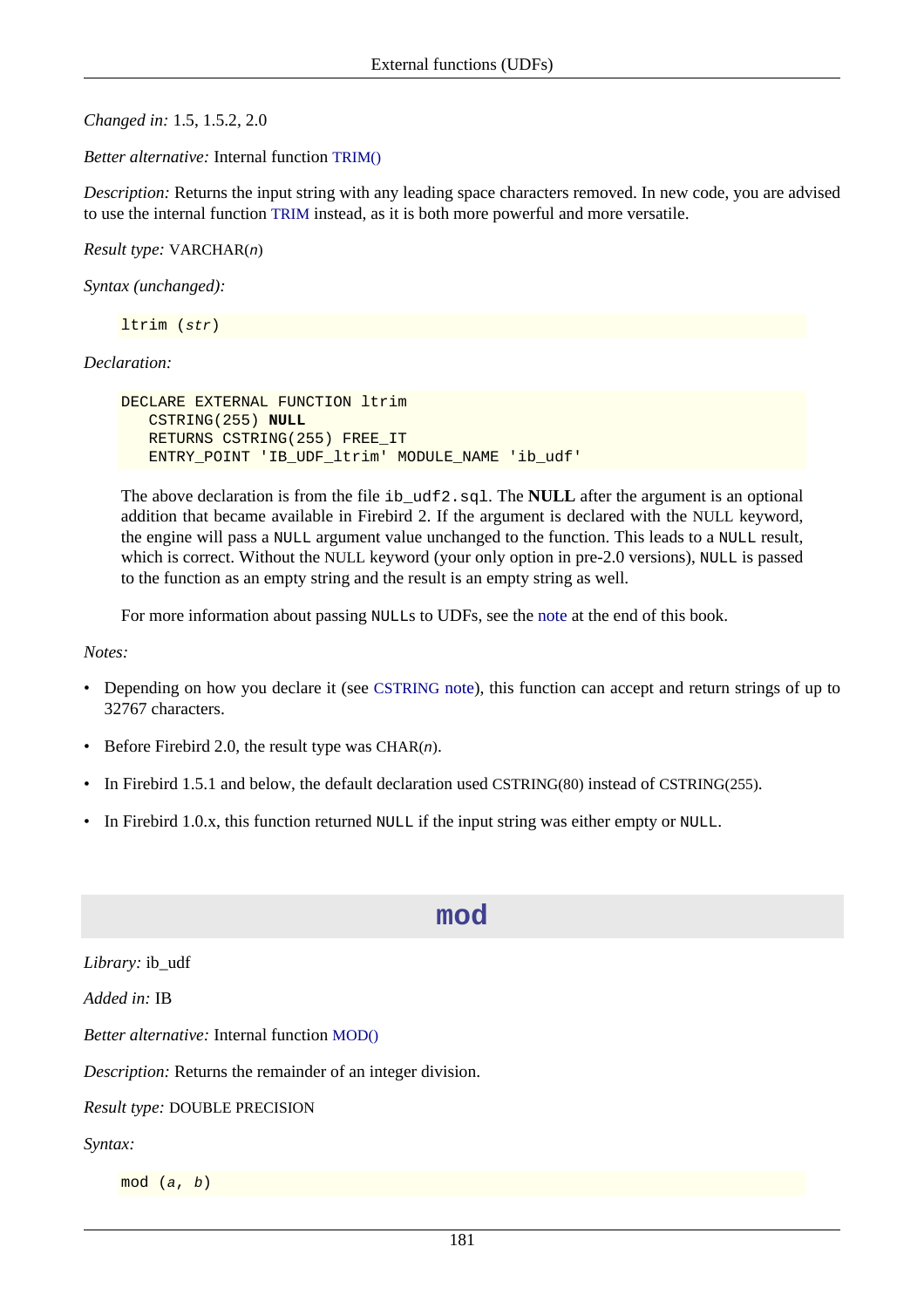*Changed in:* 1.5, 1.5.2, 2.0

*Better alternative:* Internal function [TRIM\(\)](#page-171-0)

*Description:* Returns the input string with any leading space characters removed. In new code, you are advised to use the internal function [TRIM](#page-171-0) instead, as it is both more powerful and more versatile.

*Result type:* VARCHAR(n)

*Syntax (unchanged):*

ltrim (str)

#### *Declaration:*

```
DECLARE EXTERNAL FUNCTION ltrim
    CSTRING(255) NULL
    RETURNS CSTRING(255) FREE_IT
    ENTRY_POINT 'IB_UDF_ltrim' MODULE_NAME 'ib_udf'
```
The above declaration is from the file ib\_udf2.sql. The **NULL** after the argument is an optional addition that became available in Firebird 2. If the argument is declared with the NULL keyword, the engine will pass a NULL argument value unchanged to the function. This leads to a NULL result, which is correct. Without the NULL keyword (your only option in pre-2.0 versions), NULL is passed to the function as an empty string and the result is an empty string as well.

For more information about passing NULLs to UDFs, see the [note](#page-212-0) at the end of this book.

*Notes:*

- Depending on how you declare it (see [CSTRING](#page-211-0) note), this function can accept and return strings of up to 32767 characters.
- Before Firebird 2.0, the result type was CHAR $(n)$ .
- In Firebird 1.5.1 and below, the default declaration used CSTRING(80) instead of CSTRING(255).
- In Firebird 1.0.x, this function returned NULL if the input string was either empty or NULL.

#### **mod**

*Library:* ib\_udf

*Added in:* IB

*Better alternative:* Internal function [MOD\(\)](#page-156-0)

*Description:* Returns the remainder of an integer division.

#### *Result type:* DOUBLE PRECISION

*Syntax:*

mod (a, b)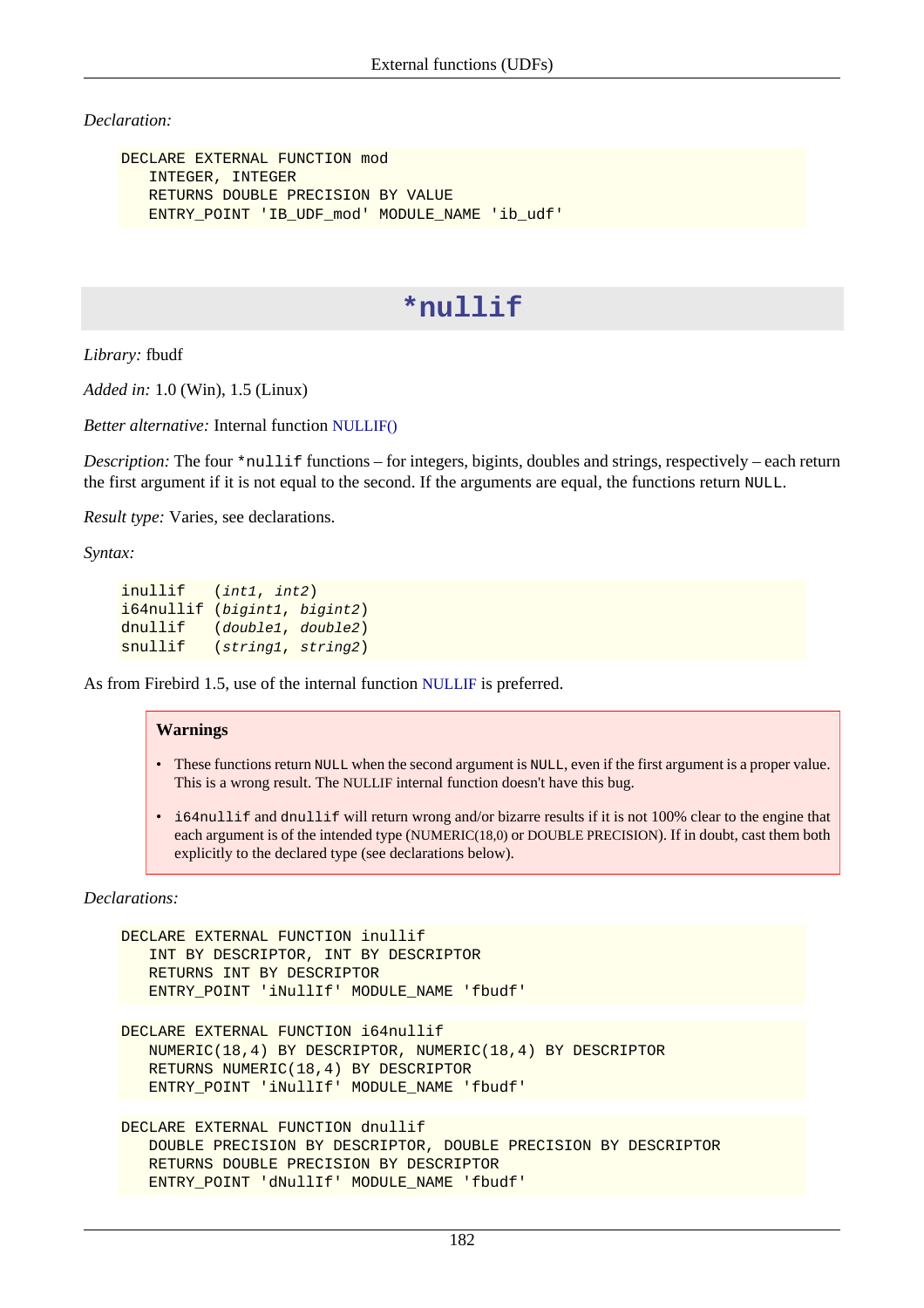*Declaration:*

```
DECLARE EXTERNAL FUNCTION mod
    INTEGER, INTEGER
    RETURNS DOUBLE PRECISION BY VALUE
   ENTRY_POINT 'IB_UDF_mod'_MODULE_NAME 'ib_udf'
```
## **\*nullif**

*Library:* fbudf

*Added in:* 1.0 (Win), 1.5 (Linux)

*Better alternative:* Internal function [NULLIF\(\)](#page-156-1)

*Description:* The four \*nullif functions – for integers, bigints, doubles and strings, respectively – each return the first argument if it is not equal to the second. If the arguments are equal, the functions return NULL.

*Result type:* Varies, see declarations.

*Syntax:*

```
inullif (int1, int2)
i64nullif (bigint1, bigint2)
dnullif (double1, double2)
snullif (string1, string2)
```
As from Firebird 1.5, use of the internal function [NULLIF](#page-156-1) is preferred.

#### **Warnings**

- These functions return NULL when the second argument is NULL, even if the first argument is a proper value. This is a wrong result. The NULLIF internal function doesn't have this bug.
- i64nullif and dnullif will return wrong and/or bizarre results if it is not 100% clear to the engine that each argument is of the intended type (NUMERIC(18,0) or DOUBLE PRECISION). If in doubt, cast them both explicitly to the declared type (see declarations below).

*Declarations:*

```
DECLARE EXTERNAL FUNCTION inullif
    INT BY DESCRIPTOR, INT BY DESCRIPTOR
    RETURNS INT BY DESCRIPTOR
    ENTRY_POINT 'iNullIf' MODULE_NAME 'fbudf'
DECLARE EXTERNAL FUNCTION i64nullif
    NUMERIC(18,4) BY DESCRIPTOR, NUMERIC(18,4) BY DESCRIPTOR
    RETURNS NUMERIC(18,4) BY DESCRIPTOR
    ENTRY_POINT 'iNullIf' MODULE_NAME 'fbudf'
DECLARE EXTERNAL FUNCTION dnullif
    DOUBLE PRECISION BY DESCRIPTOR, DOUBLE PRECISION BY DESCRIPTOR
    RETURNS DOUBLE PRECISION BY DESCRIPTOR
    ENTRY_POINT 'dNullIf' MODULE_NAME 'fbudf'
```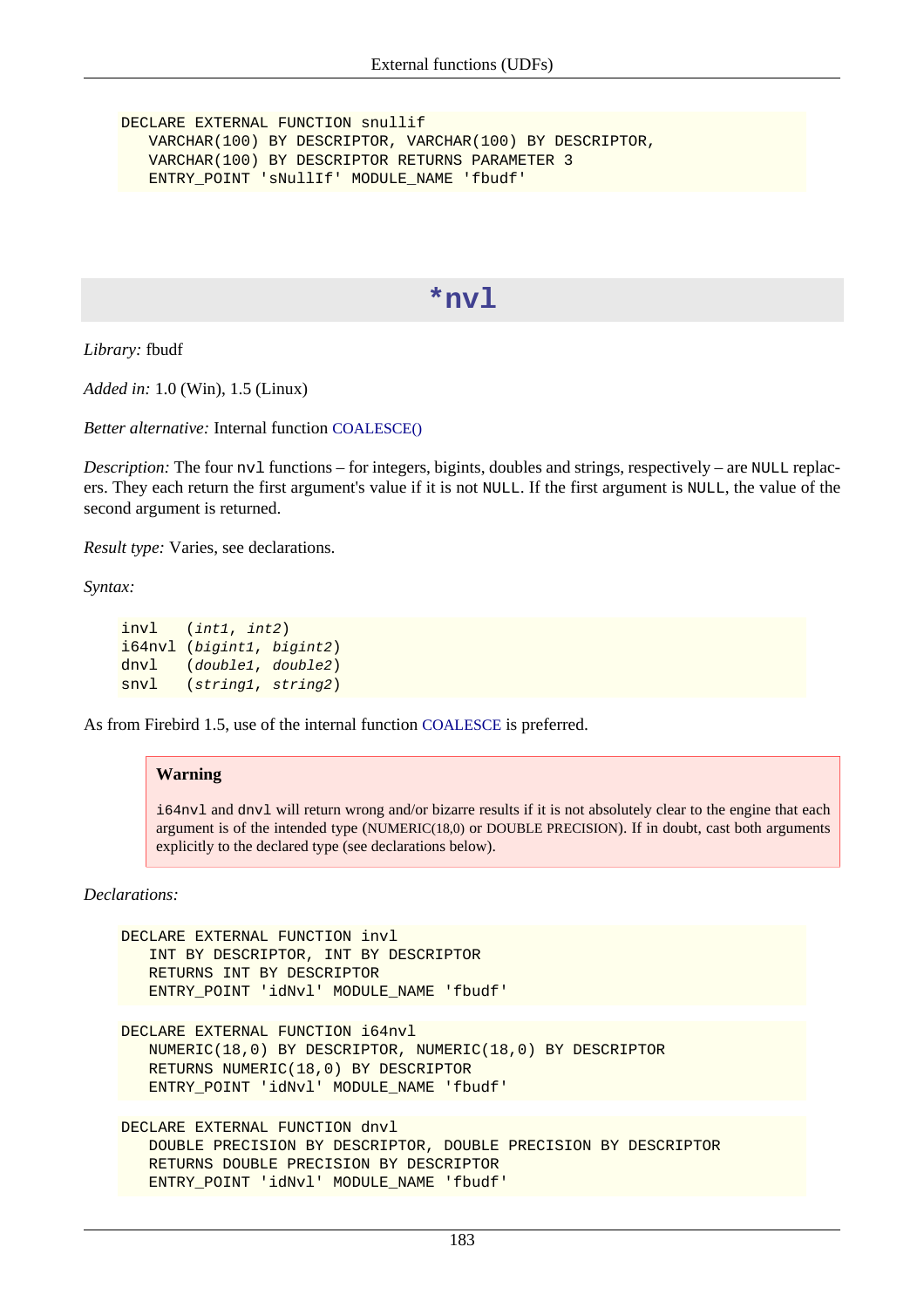DECLARE EXTERNAL FUNCTION snullif VARCHAR(100) BY DESCRIPTOR, VARCHAR(100) BY DESCRIPTOR, VARCHAR(100) BY DESCRIPTOR RETURNS PARAMETER 3 ENTRY\_POINT 'sNullIf' MODULE\_NAME 'fbudf'

#### **\*nvl**

*Library:* fbudf

*Added in:* 1.0 (Win), 1.5 (Linux)

*Better alternative:* Internal function [COALESCE\(\)](#page-143-1)

*Description:* The four nv1 functions – for integers, bigints, doubles and strings, respectively – are NULL replacers. They each return the first argument's value if it is not NULL. If the first argument is NULL, the value of the second argument is returned.

*Result type:* Varies, see declarations.

*Syntax:*

```
invl (int1, int2)
i64nvl (bigint1, bigint2)
dnvl (double1, double2)
snvl (string1, string2)
```
As from Firebird 1.5, use of the internal function [COALESCE](#page-143-1) is preferred.

#### **Warning**

i64nvl and dnvl will return wrong and/or bizarre results if it is not absolutely clear to the engine that each argument is of the intended type (NUMERIC(18,0) or DOUBLE PRECISION). If in doubt, cast both arguments explicitly to the declared type (see declarations below).

*Declarations:*

```
DECLARE EXTERNAL FUNCTION invl
    INT BY DESCRIPTOR, INT BY DESCRIPTOR
    RETURNS INT BY DESCRIPTOR
    ENTRY_POINT 'idNvl' MODULE_NAME 'fbudf'
DECLARE EXTERNAL FUNCTION i64nvl
    NUMERIC(18,0) BY DESCRIPTOR, NUMERIC(18,0) BY DESCRIPTOR
    RETURNS NUMERIC(18,0) BY DESCRIPTOR
    ENTRY_POINT 'idNvl' MODULE_NAME 'fbudf'
DECLARE EXTERNAL FUNCTION dnvl
    DOUBLE PRECISION BY DESCRIPTOR, DOUBLE PRECISION BY DESCRIPTOR
    RETURNS DOUBLE PRECISION BY DESCRIPTOR
    ENTRY_POINT 'idNvl' MODULE_NAME 'fbudf'
```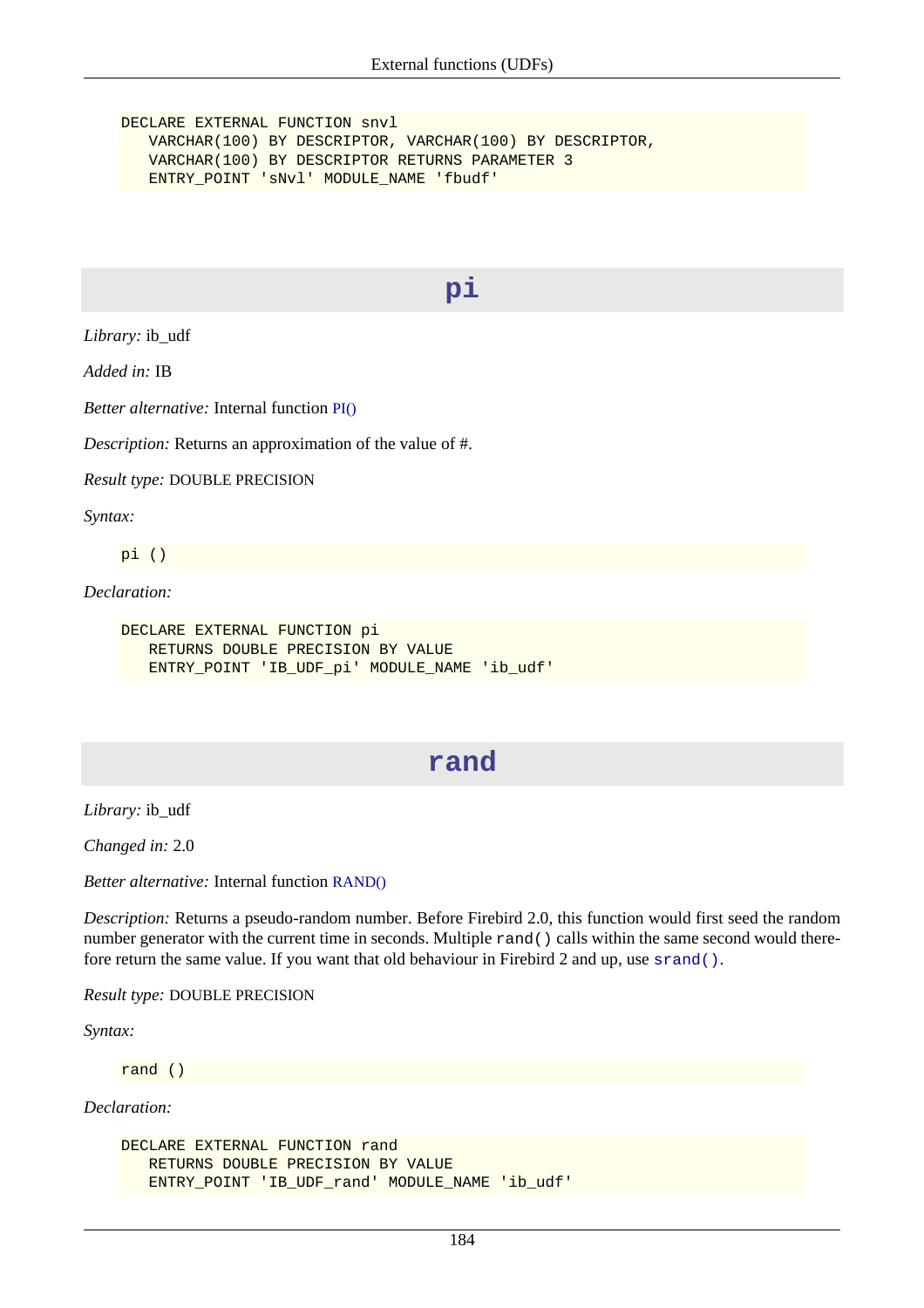DECLARE EXTERNAL FUNCTION snvl VARCHAR(100) BY DESCRIPTOR, VARCHAR(100) BY DESCRIPTOR, VARCHAR(100) BY DESCRIPTOR RETURNS PARAMETER 3 ENTRY\_POINT 'sNvl' MODULE\_NAME 'fbudf'

#### **pi**

*Library:* ib\_udf

*Added in:* IB

*Better alternative:* Internal function [PI\(\)](#page-159-0)

*Description:* Returns an approximation of the value of #.

*Result type:* DOUBLE PRECISION

*Syntax:*

pi ()

*Declaration:*

```
DECLARE EXTERNAL FUNCTION pi
    RETURNS DOUBLE PRECISION BY VALUE
    ENTRY_POINT 'IB_UDF_pi' MODULE_NAME 'ib_udf'
```
## **rand**

*Library:* ib\_udf

*Changed in:* 2.0

*Better alternative:* Internal function [RAND\(\)](#page-161-0)

*Description:* Returns a pseudo-random number. Before Firebird 2.0, this function would first seed the random number generator with the current time in seconds. Multiple rand() calls within the same second would therefore return the same value. If you want that old behaviour in Firebird 2 and up, use [srand\(\)](#page-200-0).

*Result type:* DOUBLE PRECISION

*Syntax:*

rand ()

*Declaration:*

```
DECLARE EXTERNAL FUNCTION rand
   RETURNS DOUBLE PRECISION BY VALUE
    ENTRY_POINT 'IB_UDF_rand' MODULE_NAME 'ib_udf'
```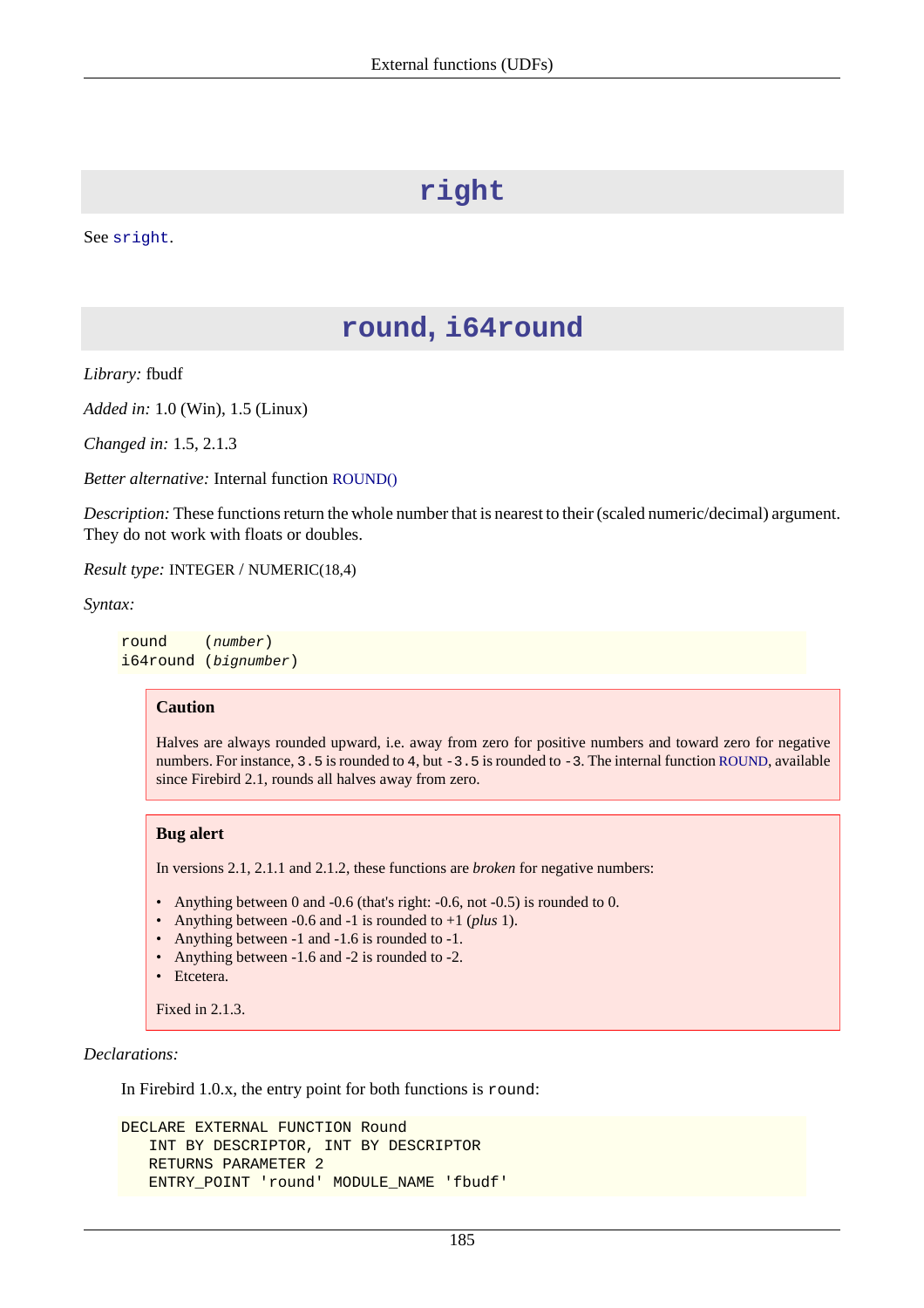# **right**

<span id="page-195-0"></span>See [sright](#page-201-0).

## **round, i64round**

*Library:* fbudf

*Added in:* 1.0 (Win), 1.5 (Linux)

*Changed in:* 1.5, 2.1.3

*Better alternative:* Internal function [ROUND\(\)](#page-166-0)

*Description:* These functions return the whole number that is nearest to their (scaled numeric/decimal) argument. They do not work with floats or doubles.

*Result type:* INTEGER / NUMERIC(18,4)

*Syntax:*

round (number) i64round (bignumber)

#### **Caution**

Halves are always rounded upward, i.e. away from zero for positive numbers and toward zero for negative numbers. For instance, 3.5 is rounded to 4, but -3.5 is rounded to -3. The internal function [ROUND](#page-166-0), available since Firebird 2.1, rounds all halves away from zero.

#### **Bug alert**

In versions 2.1, 2.1.1 and 2.1.2, these functions are *broken* for negative numbers:

- Anything between 0 and -0.6 (that's right: -0.6, not -0.5) is rounded to 0.
- Anything between -0.6 and -1 is rounded to +1 (*plus* 1).
- Anything between -1 and -1.6 is rounded to -1.
- Anything between -1.6 and -2 is rounded to -2.
- Etcetera.

Fixed in 2.1.3.

*Declarations:*

In Firebird 1.0.x, the entry point for both functions is round:

```
DECLARE EXTERNAL FUNCTION Round
    INT BY DESCRIPTOR, INT BY DESCRIPTOR
    RETURNS PARAMETER 2
    ENTRY_POINT 'round' MODULE_NAME 'fbudf'
```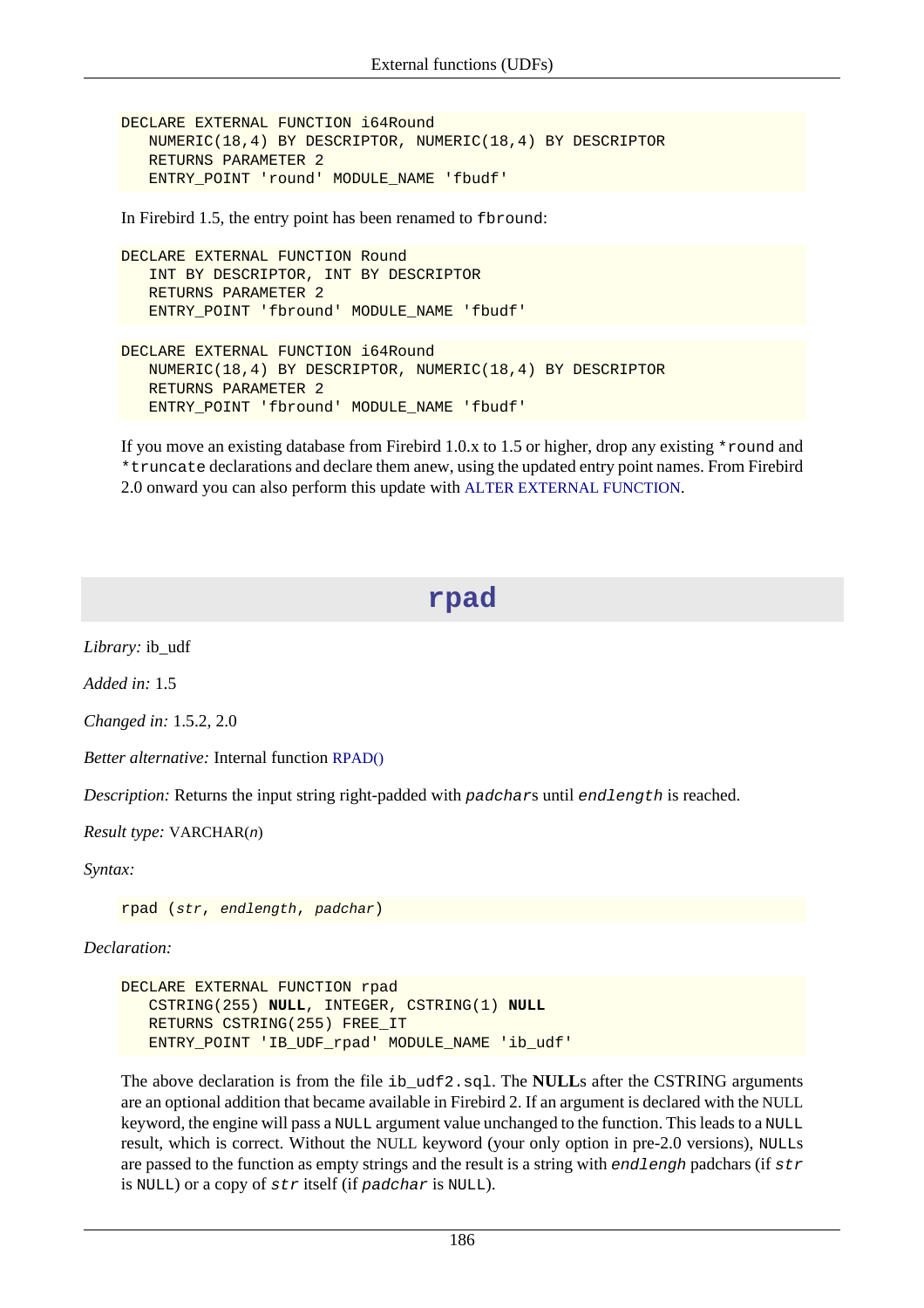```
DECLARE EXTERNAL FUNCTION i64Round
    NUMERIC(18,4) BY DESCRIPTOR, NUMERIC(18,4) BY DESCRIPTOR
    RETURNS PARAMETER 2
    ENTRY_POINT 'round' MODULE_NAME 'fbudf'
```
In Firebird 1.5, the entry point has been renamed to fbround:

```
DECLARE EXTERNAL FUNCTION Round
    INT BY DESCRIPTOR, INT BY DESCRIPTOR
    RETURNS PARAMETER 2
    ENTRY_POINT 'fbround' MODULE_NAME 'fbudf'
```

```
DECLARE EXTERNAL FUNCTION i64Round
    NUMERIC(18,4) BY DESCRIPTOR, NUMERIC(18,4) BY DESCRIPTOR
    RETURNS PARAMETER 2
    ENTRY_POINT 'fbround' MODULE_NAME 'fbudf'
```
If you move an existing database from Firebird 1.0.x to 1.5 or higher, drop any existing \*round and \*truncate declarations and declare them anew, using the updated entry point names. From Firebird 2.0 onward you can also perform this update with [ALTER EXTERNAL FUNCTION](#page-34-0).

## **rpad**

*Library:* ib\_udf

*Added in:* 1.5

*Changed in:* 1.5.2, 2.0

*Better alternative:* Internal function [RPAD\(\)](#page-166-1)

*Description:* Returns the input string right-padded with padchars until endlength is reached.

*Result type:* VARCHAR(n)

*Syntax:*

rpad (str, endlength, padchar)

*Declaration:*

```
DECLARE EXTERNAL FUNCTION rpad
    CSTRING(255) NULL, INTEGER, CSTRING(1) NULL
    RETURNS CSTRING(255) FREE_IT
    ENTRY_POINT 'IB_UDF_rpad' MODULE_NAME 'ib_udf'
```
The above declaration is from the file ib\_udf2.sql. The **NULL**s after the CSTRING arguments are an optional addition that became available in Firebird 2. If an argument is declared with the NULL keyword, the engine will pass a NULL argument value unchanged to the function. This leads to a NULL result, which is correct. Without the NULL keyword (your only option in pre-2.0 versions), NULLs are passed to the function as empty strings and the result is a string with endlengh padchars (if  $str$ is NULL) or a copy of str itself (if padchar is NULL).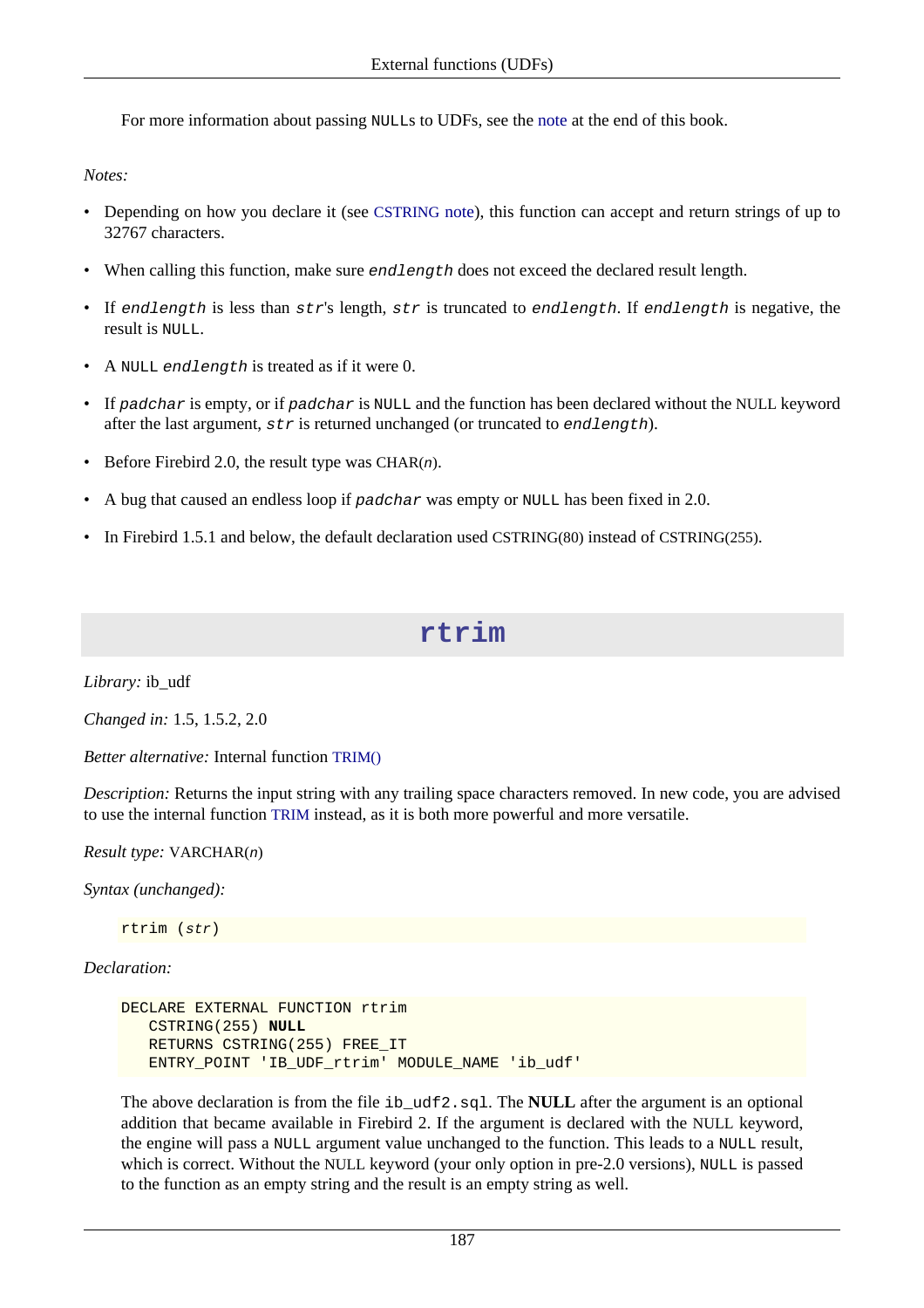For more information about passing NULLs to UDFs, see the [note](#page-212-0) at the end of this book.

*Notes:*

- Depending on how you declare it (see [CSTRING](#page-211-0) note), this function can accept and return strings of up to 32767 characters.
- When calling this function, make sure endlength does not exceed the declared result length.
- If endlength is less than  $str's$  length,  $str$  is truncated to endlength. If endlength is negative, the result is NULL.
- A NULL end length is treated as if it were 0.
- If padchar is empty, or if padchar is NULL and the function has been declared without the NULL keyword after the last argument,  $str$  is returned unchanged (or truncated to endlength).
- Before Firebird 2.0, the result type was CHAR $(n)$ .
- A bug that caused an endless loop if padchar was empty or NULL has been fixed in 2.0.
- In Firebird 1.5.1 and below, the default declaration used CSTRING(80) instead of CSTRING(255).

## **rtrim**

*Library:* ib\_udf

*Changed in:* 1.5, 1.5.2, 2.0

*Better alternative:* Internal function [TRIM\(\)](#page-171-0)

*Description:* Returns the input string with any trailing space characters removed. In new code, you are advised to use the internal function [TRIM](#page-171-0) instead, as it is both more powerful and more versatile.

*Result type:* VARCHAR(n)

*Syntax (unchanged):*

rtrim (str)

*Declaration:*

```
DECLARE EXTERNAL FUNCTION rtrim
    CSTRING(255) NULL
    RETURNS CSTRING(255) FREE_IT
    ENTRY_POINT 'IB_UDF_rtrim' MODULE_NAME 'ib_udf'
```
The above declaration is from the file ib\_udf2.sql. The **NULL** after the argument is an optional addition that became available in Firebird 2. If the argument is declared with the NULL keyword, the engine will pass a NULL argument value unchanged to the function. This leads to a NULL result, which is correct. Without the NULL keyword (your only option in pre-2.0 versions), NULL is passed to the function as an empty string and the result is an empty string as well.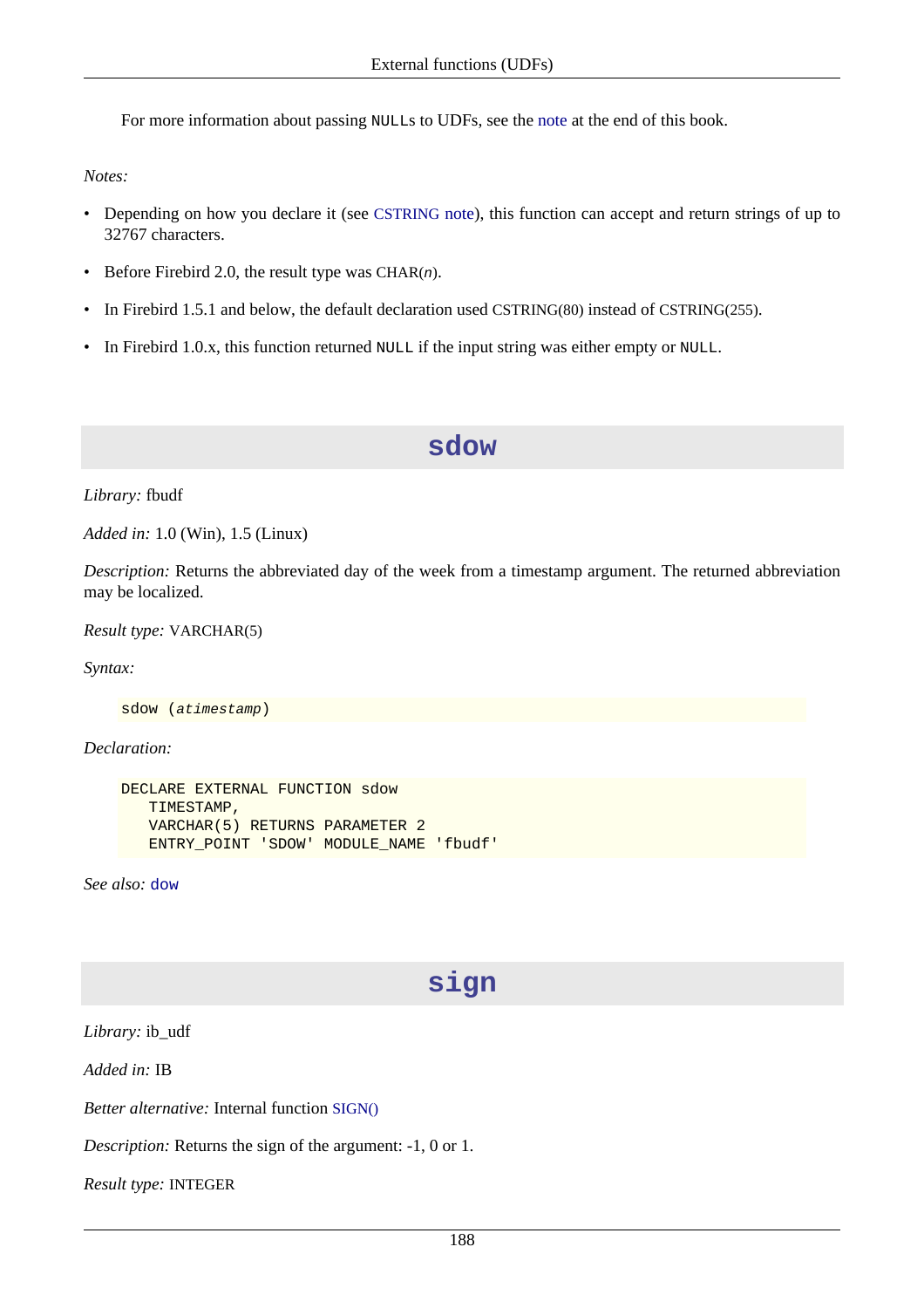For more information about passing NULLs to UDFs, see the [note](#page-212-0) at the end of this book.

*Notes:*

- Depending on how you declare it (see [CSTRING](#page-211-0) note), this function can accept and return strings of up to 32767 characters.
- Before Firebird 2.0, the result type was  $CHAR(n)$ .
- In Firebird 1.5.1 and below, the default declaration used CSTRING(80) instead of CSTRING(255).
- <span id="page-198-0"></span>• In Firebird 1.0.x, this function returned NULL if the input string was either empty or NULL.

**sdow**

*Library:* fbudf

*Added in:* 1.0 (Win), 1.5 (Linux)

*Description:* Returns the abbreviated day of the week from a timestamp argument. The returned abbreviation may be localized.

*Result type:* VARCHAR(5)

*Syntax:*

sdow (atimestamp)

*Declaration:*

```
DECLARE EXTERNAL FUNCTION sdow
    TIMESTAMP,
    VARCHAR(5) RETURNS PARAMETER 2
    ENTRY_POINT 'SDOW' MODULE_NAME 'fbudf'
```
*See also:* [dow](#page-185-0)

## **sign**

*Library:* ib\_udf

*Added in:* IB

*Better alternative:* Internal function [SIGN\(\)](#page-167-0)

*Description:* Returns the sign of the argument: -1, 0 or 1.

*Result type:* INTEGER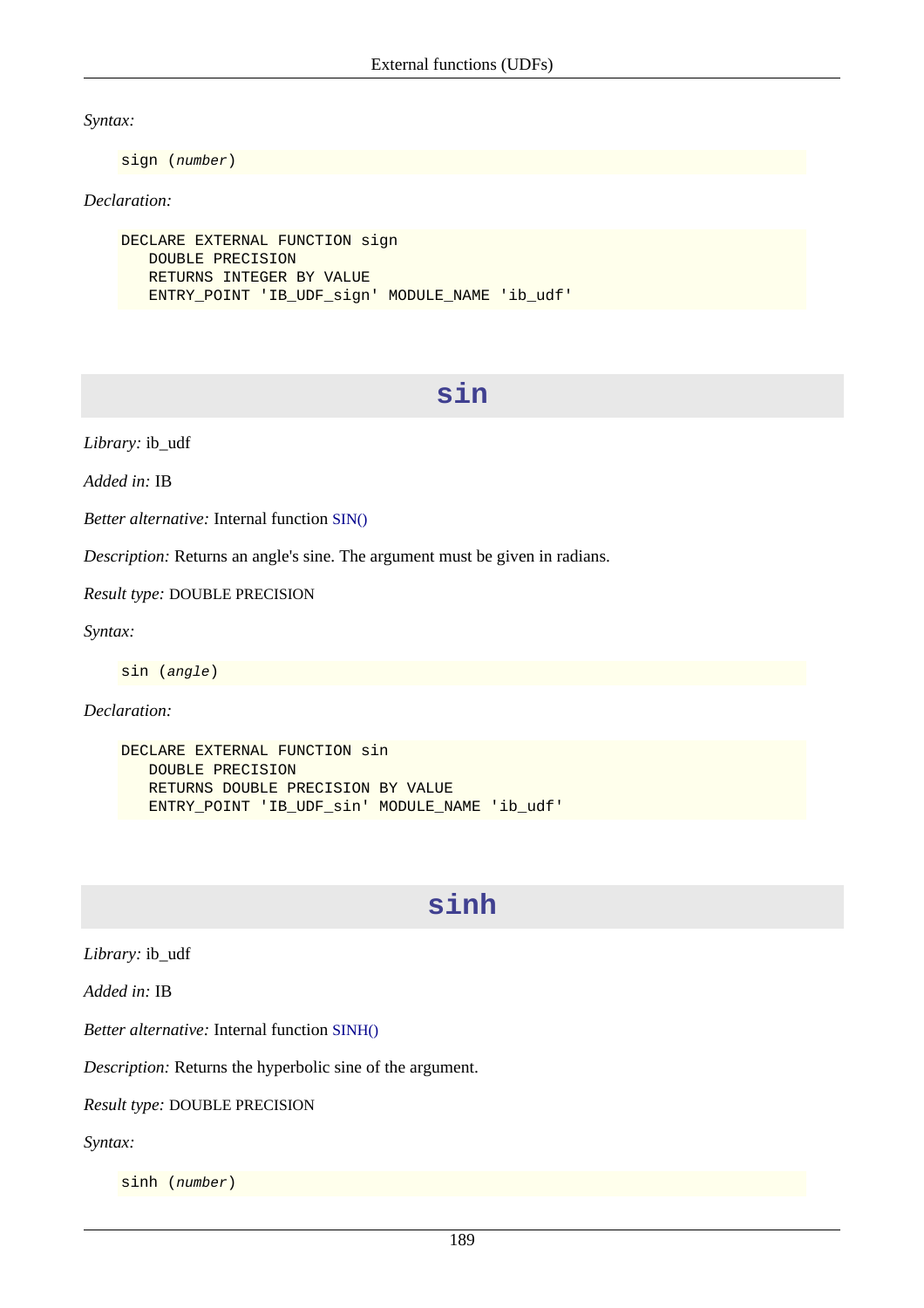*Syntax:*

sign (number)

#### *Declaration:*

```
DECLARE EXTERNAL FUNCTION sign
    DOUBLE PRECISION
    RETURNS INTEGER BY VALUE
    ENTRY_POINT 'IB_UDF_sign' MODULE_NAME 'ib_udf'
```
## **sin**

*Library:* ib\_udf

*Added in:* IB

*Better alternative:* Internal function [SIN\(\)](#page-168-0)

*Description:* Returns an angle's sine. The argument must be given in radians.

*Result type:* DOUBLE PRECISION

*Syntax:*

sin (angle)

*Declaration:*

```
DECLARE EXTERNAL FUNCTION sin
    DOUBLE PRECISION
    RETURNS DOUBLE PRECISION BY VALUE
    ENTRY_POINT 'IB_UDF_sin' MODULE_NAME 'ib_udf'
```
## **sinh**

*Library:* ib\_udf

*Added in:* IB

*Better alternative:* Internal function [SINH\(\)](#page-168-1)

*Description:* Returns the hyperbolic sine of the argument.

*Result type:* DOUBLE PRECISION

*Syntax:*

sinh (number)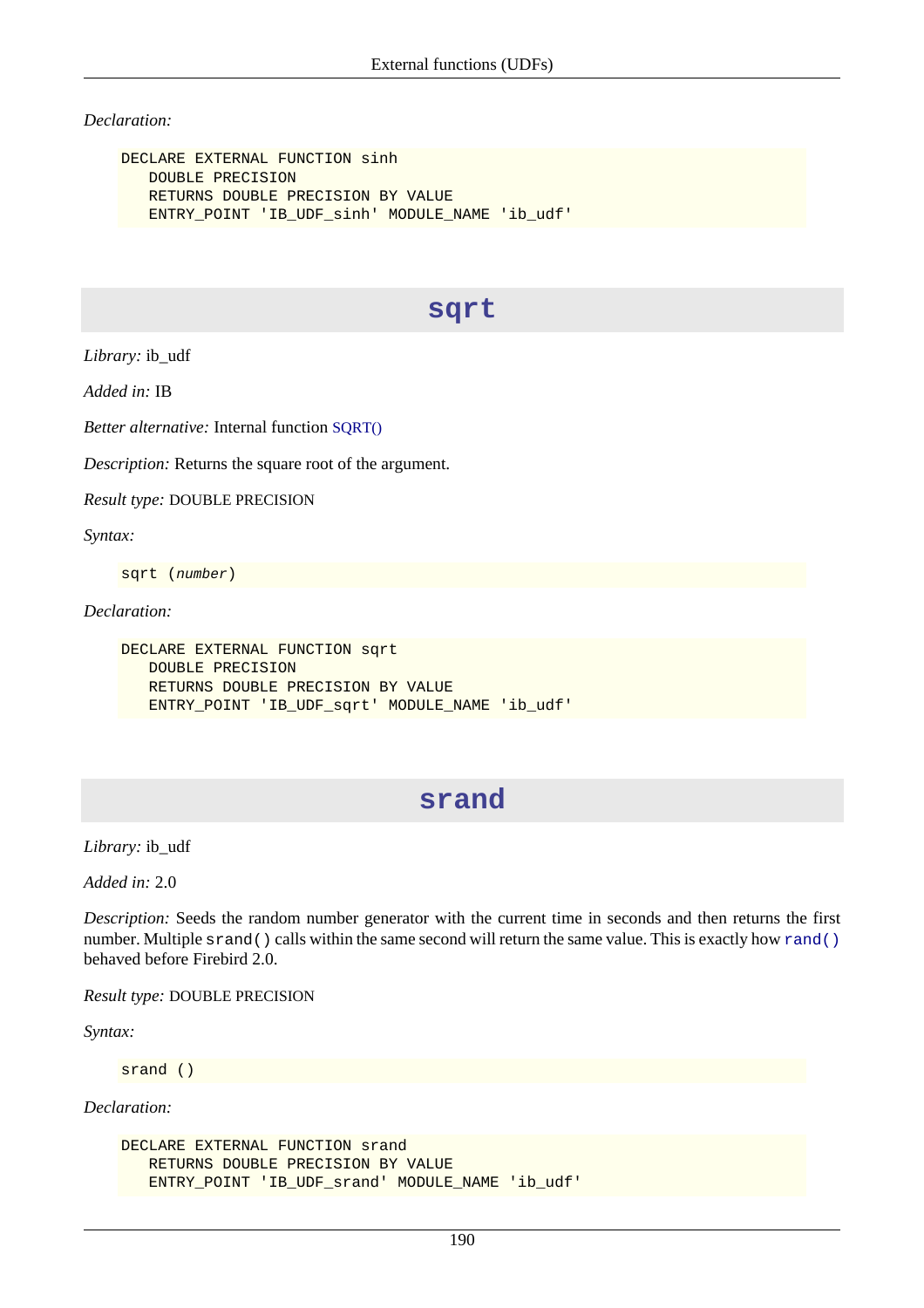#### *Declaration:*

```
DECLARE EXTERNAL FUNCTION sinh
   DOUBLE PRECISION
   RETURNS DOUBLE PRECISION BY VALUE
  ENTRY_POINT 'IB_UDF_sinh' MODULE_NAME 'ib_udf'
```
#### **sqrt**

*Library:* ib\_udf

*Added in:* IB

*Better alternative:* Internal function [SQRT\(\)](#page-169-0)

*Description:* Returns the square root of the argument.

*Result type:* DOUBLE PRECISION

*Syntax:*

sqrt (number)

*Declaration:*

```
DECLARE EXTERNAL FUNCTION sqrt
    DOUBLE PRECISION
    RETURNS DOUBLE PRECISION BY VALUE
    ENTRY_POINT 'IB_UDF_sqrt' MODULE_NAME 'ib_udf'
```
#### **srand**

*Library:* ib\_udf

*Added in:* 2.0

*Description:* Seeds the random number generator with the current time in seconds and then returns the first number. Multiple s[rand\(\)](#page-200-0) calls within the same second will return the same value. This is exactly how rand() behaved before Firebird 2.0.

*Result type:* DOUBLE PRECISION

*Syntax:*

srand ()

*Declaration:*

```
DECLARE EXTERNAL FUNCTION srand
   RETURNS DOUBLE PRECISION BY VALUE
   ENTRY_POINT 'IB_UDF_srand' MODULE_NAME 'ib_udf'
```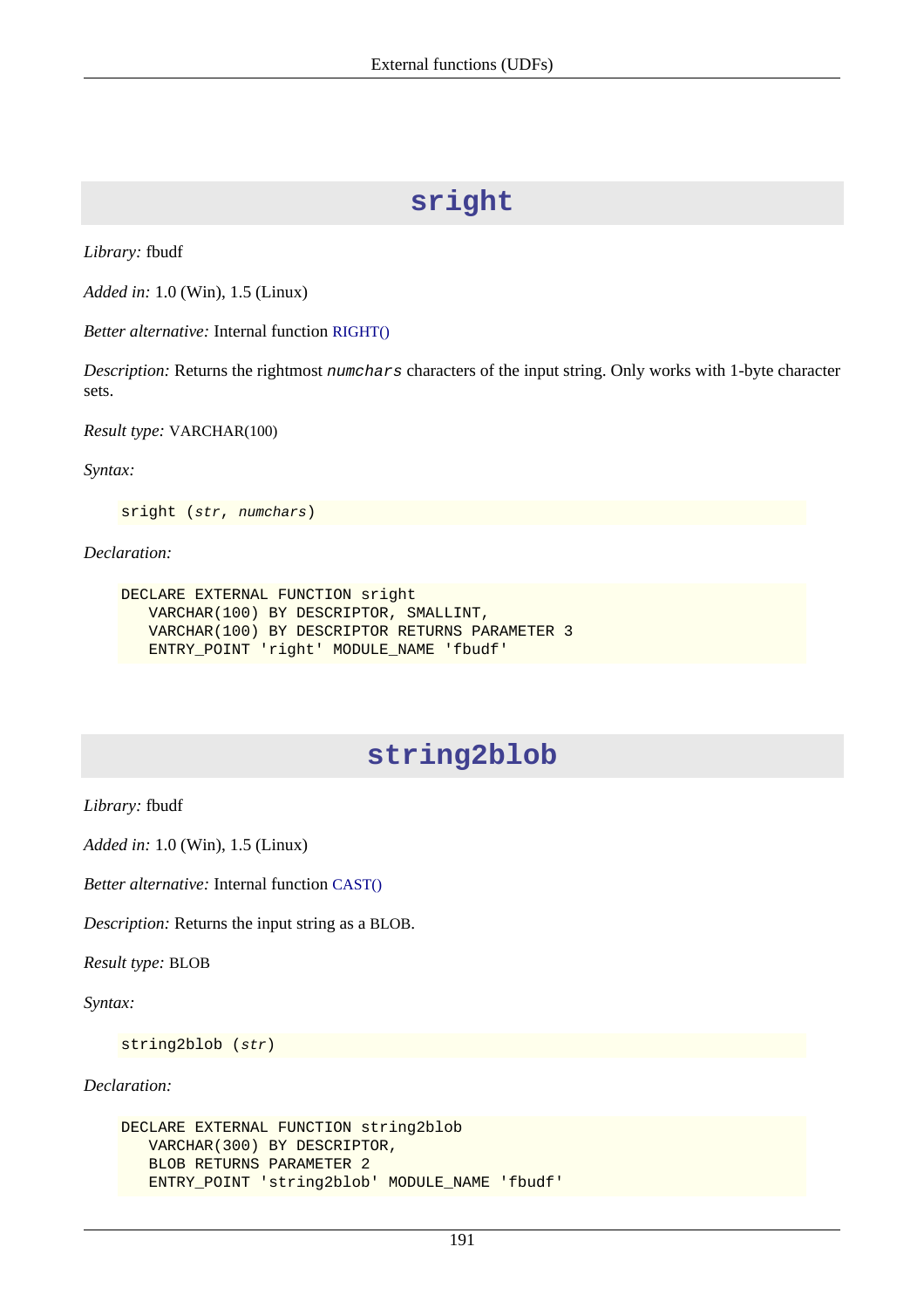# **sright**

<span id="page-201-0"></span>*Library:* fbudf

*Added in:* 1.0 (Win), 1.5 (Linux)

*Better alternative:* Internal function [RIGHT\(\)](#page-165-0)

*Description:* Returns the rightmost numchars characters of the input string. Only works with 1-byte character sets.

*Result type:* VARCHAR(100)

*Syntax:*

sright (str, numchars)

*Declaration:*

```
DECLARE EXTERNAL FUNCTION sright
    VARCHAR(100) BY DESCRIPTOR, SMALLINT,
    VARCHAR(100) BY DESCRIPTOR RETURNS PARAMETER 3
    ENTRY_POINT 'right' MODULE_NAME 'fbudf'
```
## **string2blob**

*Library:* fbudf

*Added in:* 1.0 (Win), 1.5 (Linux)

*Better alternative:* Internal function [CAST\(\)](#page-139-0)

*Description:* Returns the input string as a BLOB.

*Result type:* BLOB

*Syntax:*

string2blob (str)

*Declaration:*

```
DECLARE EXTERNAL FUNCTION string2blob
    VARCHAR(300) BY DESCRIPTOR,
    BLOB RETURNS PARAMETER 2
    ENTRY_POINT 'string2blob' MODULE_NAME 'fbudf'
```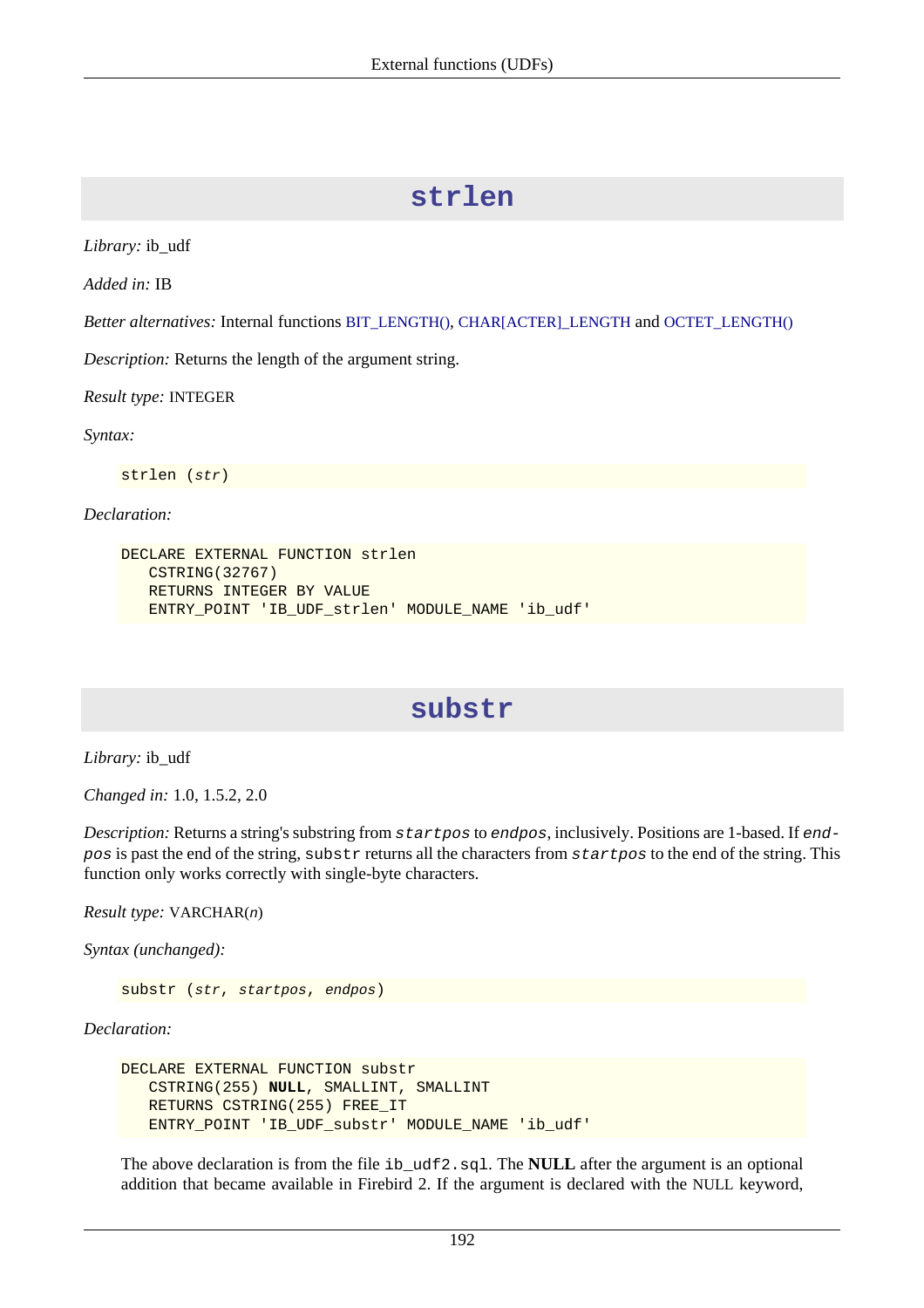## **strlen**

*Library:* ib\_udf

*Added in:* IB

*Better alternatives:* Internal functions [BIT\\_LENGTH\(\)](#page-138-1), [CHAR\[ACTER\]\\_LENGTH](#page-142-0) and [OCTET\\_LENGTH\(\)](#page-157-0)

*Description:* Returns the length of the argument string.

*Result type:* INTEGER

*Syntax:*

strlen (str)

*Declaration:*

```
DECLARE EXTERNAL FUNCTION strlen
    CSTRING(32767)
    RETURNS INTEGER BY VALUE
    ENTRY_POINT 'IB_UDF_strlen' MODULE_NAME 'ib_udf'
```
## **substr**

*Library:* ib\_udf

*Changed in:* 1.0, 1.5.2, 2.0

*Description:* Returns a string's substring from startpos to endpos, inclusively. Positions are 1-based. If endpos is past the end of the string, substr returns all the characters from startpos to the end of the string. This function only works correctly with single-byte characters.

*Result type:* VARCHAR(n)

*Syntax (unchanged):*

substr (str, startpos, endpos)

*Declaration:*

```
DECLARE EXTERNAL FUNCTION substr
    CSTRING(255) NULL, SMALLINT, SMALLINT
    RETURNS CSTRING(255) FREE_IT
    ENTRY_POINT 'IB_UDF_substr' MODULE_NAME 'ib_udf'
```
The above declaration is from the file ib\_udf2.sql. The **NULL** after the argument is an optional addition that became available in Firebird 2. If the argument is declared with the NULL keyword,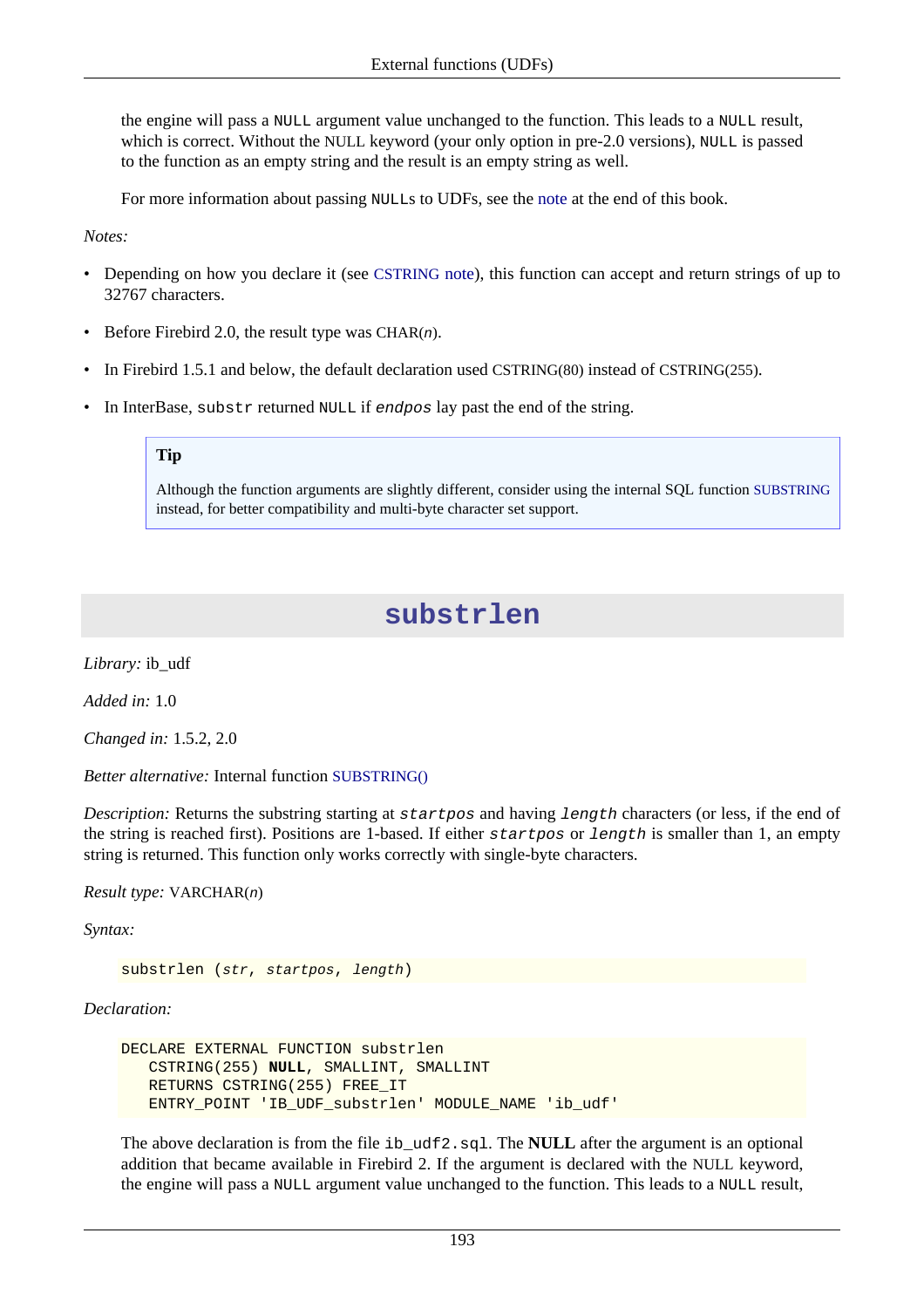the engine will pass a NULL argument value unchanged to the function. This leads to a NULL result, which is correct. Without the NULL keyword (your only option in pre-2.0 versions), NULL is passed to the function as an empty string and the result is an empty string as well.

For more information about passing NULLs to UDFs, see the [note](#page-212-0) at the end of this book.

*Notes:*

- Depending on how you declare it (see [CSTRING](#page-211-0) note), this function can accept and return strings of up to 32767 characters.
- Before Firebird 2.0, the result type was CHAR $(n)$ .
- In Firebird 1.5.1 and below, the default declaration used CSTRING(80) instead of CSTRING(255).
- In InterBase, substr returned NULL if endpos lay past the end of the string.

#### **Tip**

Although the function arguments are slightly different, consider using the internal SQL function [SUBSTRING](#page-169-1) instead, for better compatibility and multi-byte character set support.

## **substrlen**

*Library:* ib\_udf

*Added in:* 1.0

*Changed in:* 1.5.2, 2.0

*Better alternative:* Internal function [SUBSTRING\(\)](#page-169-1)

*Description:* Returns the substring starting at startpos and having length characters (or less, if the end of the string is reached first). Positions are 1-based. If either startpos or length is smaller than 1, an empty string is returned. This function only works correctly with single-byte characters.

*Result type:* VARCHAR(n)

*Syntax:*

substrlen (str, startpos, length)

*Declaration:*

```
DECLARE EXTERNAL FUNCTION substrlen
    CSTRING(255) NULL, SMALLINT, SMALLINT
    RETURNS CSTRING(255) FREE_IT
    ENTRY_POINT 'IB_UDF_substrlen' MODULE_NAME 'ib_udf'
```
The above declaration is from the file ib\_udf2.sql. The **NULL** after the argument is an optional addition that became available in Firebird 2. If the argument is declared with the NULL keyword, the engine will pass a NULL argument value unchanged to the function. This leads to a NULL result,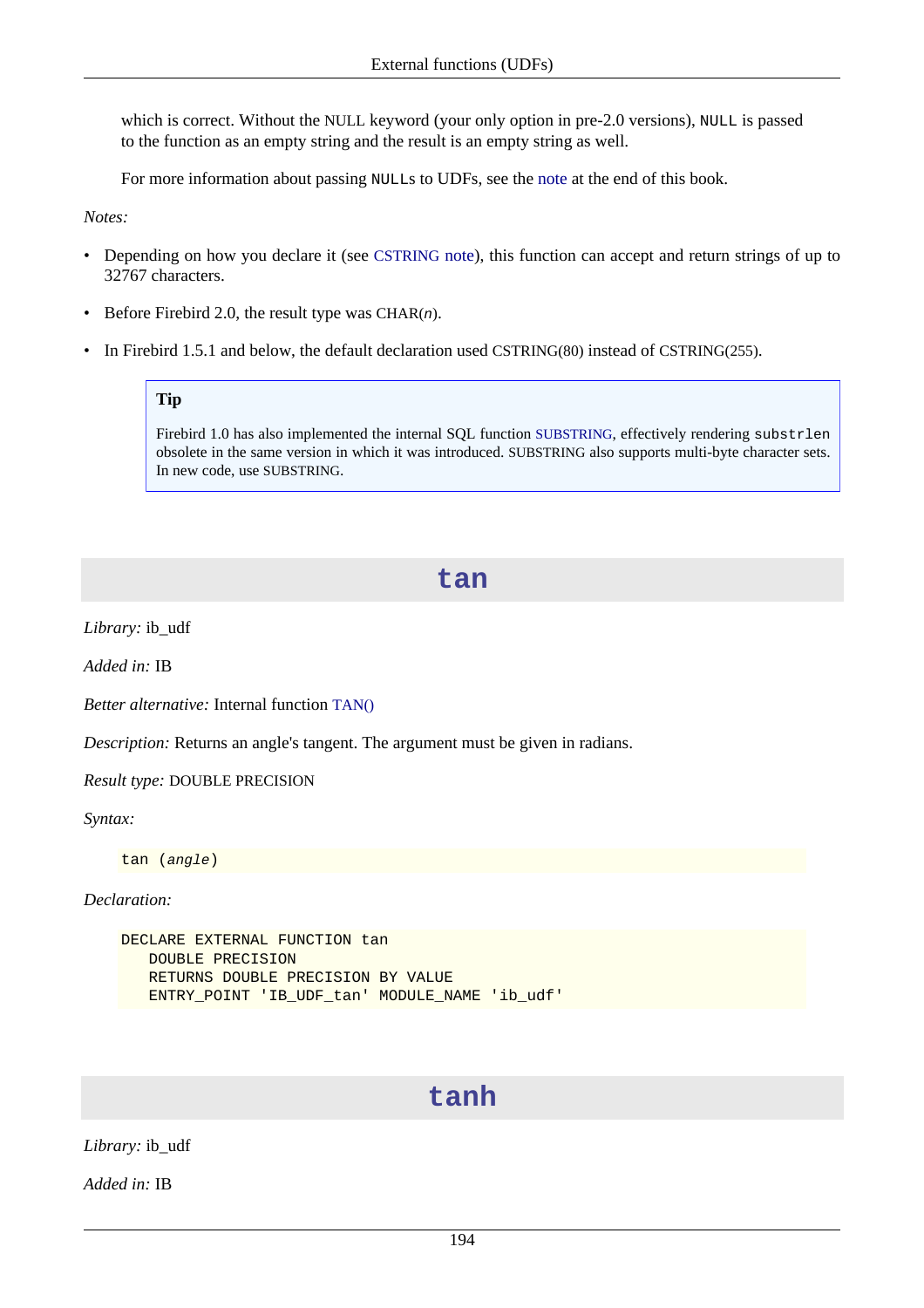which is correct. Without the NULL keyword (your only option in pre-2.0 versions), NULL is passed to the function as an empty string and the result is an empty string as well.

For more information about passing NULLs to UDFs, see the [note](#page-212-0) at the end of this book.

*Notes:*

- Depending on how you declare it (see [CSTRING](#page-211-0) note), this function can accept and return strings of up to 32767 characters.
- Before Firebird 2.0, the result type was  $CHAR(n)$ .
- In Firebird 1.5.1 and below, the default declaration used CSTRING(80) instead of CSTRING(255).

#### **Tip**

Firebird 1.0 has also implemented the internal SQL function [SUBSTRING](#page-169-1), effectively rendering substrlen obsolete in the same version in which it was introduced. SUBSTRING also supports multi-byte character sets. In new code, use SUBSTRING.

#### **tan**

*Library:* ib\_udf

*Added in:* IB

*Better alternative:* Internal function [TAN\(\)](#page-170-0)

*Description:* Returns an angle's tangent. The argument must be given in radians.

*Result type:* DOUBLE PRECISION

*Syntax:*

tan (angle)

*Declaration:*

```
DECLARE EXTERNAL FUNCTION tan
    DOUBLE PRECISION
    RETURNS DOUBLE PRECISION BY VALUE
    ENTRY_POINT 'IB_UDF_tan' MODULE_NAME 'ib_udf'
```
## **tanh**

*Library:* ib\_udf

*Added in:* IB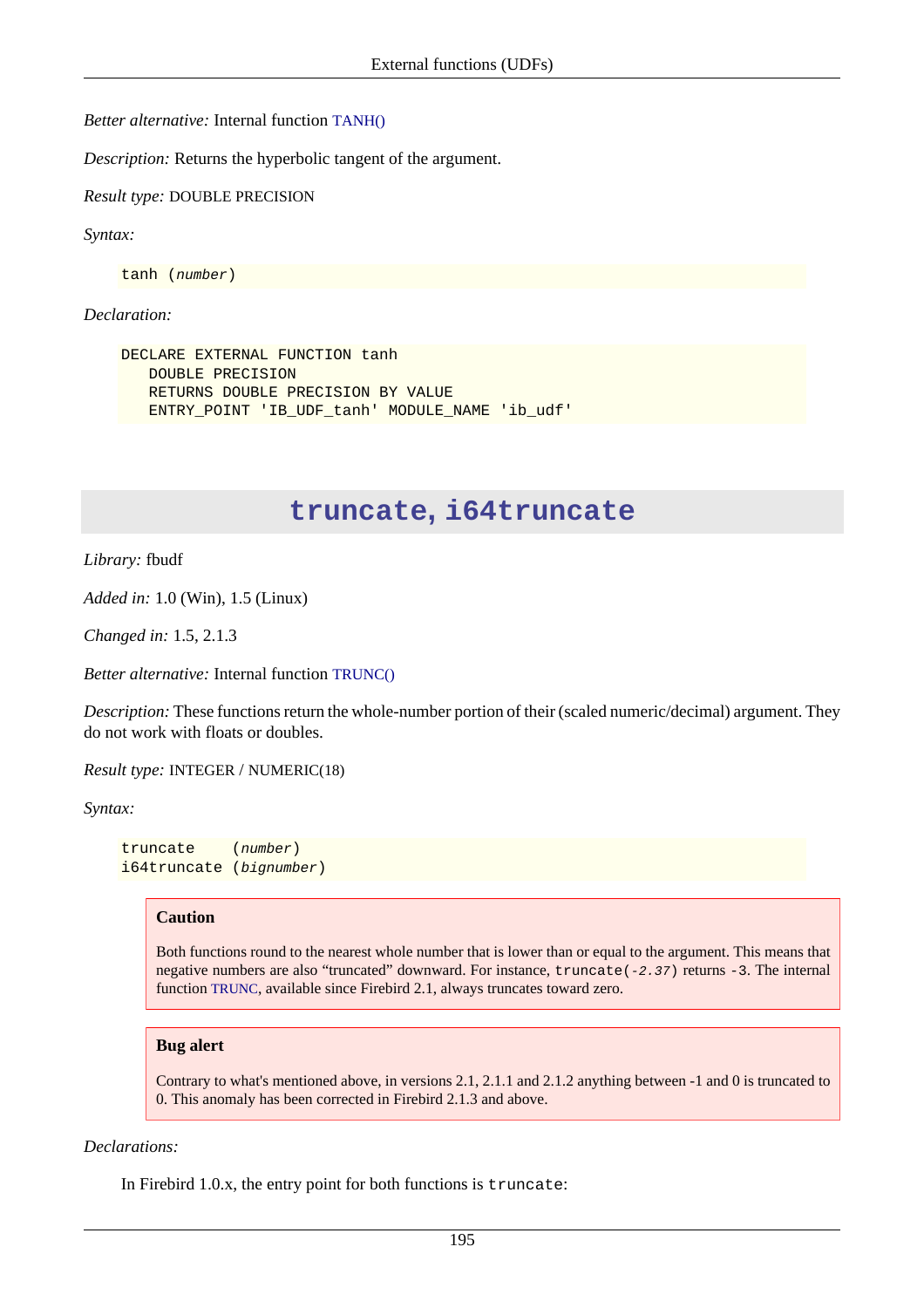*Better alternative:* Internal function [TANH\(\)](#page-171-1)

*Description:* Returns the hyperbolic tangent of the argument.

*Result type:* DOUBLE PRECISION

```
Syntax:
```
tanh (number)

#### *Declaration:*

```
DECLARE EXTERNAL FUNCTION tanh
    DOUBLE PRECISION
    RETURNS DOUBLE PRECISION BY VALUE
    ENTRY_POINT 'IB_UDF_tanh' MODULE_NAME 'ib_udf'
```
## **truncate, i64truncate**

*Library:* fbudf

*Added in:* 1.0 (Win), 1.5 (Linux)

*Changed in:* 1.5, 2.1.3

*Better alternative:* Internal function [TRUNC\(\)](#page-172-0)

*Description:* These functions return the whole-number portion of their (scaled numeric/decimal) argument. They do not work with floats or doubles.

*Result type:* INTEGER / NUMERIC(18)

*Syntax:*

```
truncate (number)
i64truncate (bignumber)
```
#### **Caution**

Both functions round to the nearest whole number that is lower than or equal to the argument. This means that negative numbers are also "truncated" downward. For instance, truncate(-2.37) returns -3. The internal function [TRUNC](#page-172-0), available since Firebird 2.1, always truncates toward zero.

#### **Bug alert**

Contrary to what's mentioned above, in versions 2.1, 2.1.1 and 2.1.2 anything between -1 and 0 is truncated to 0. This anomaly has been corrected in Firebird 2.1.3 and above.

#### *Declarations:*

In Firebird 1.0.x, the entry point for both functions is truncate: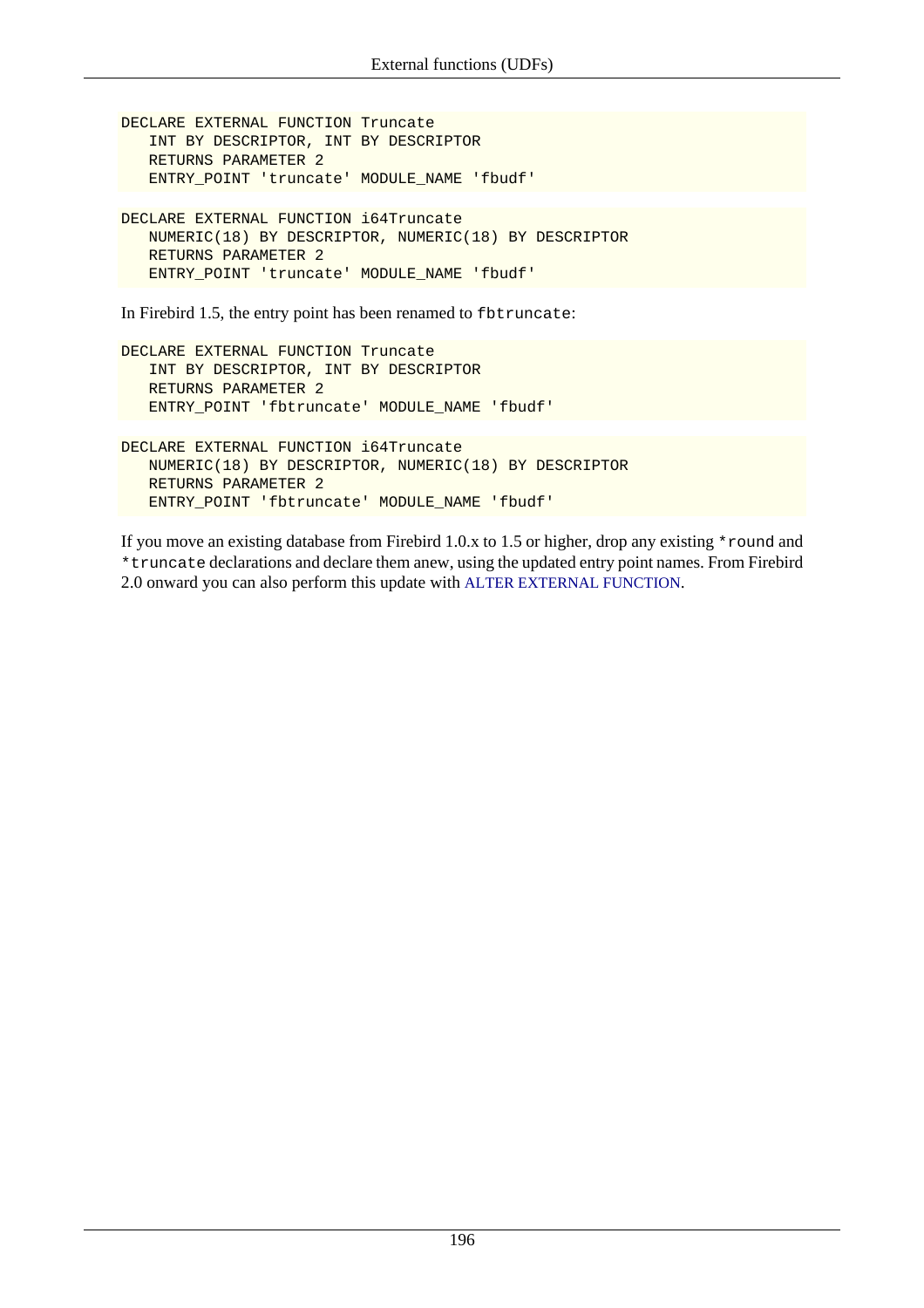```
DECLARE EXTERNAL FUNCTION Truncate
    INT BY DESCRIPTOR, INT BY DESCRIPTOR
    RETURNS PARAMETER 2
    ENTRY_POINT 'truncate' MODULE_NAME 'fbudf'
```

```
DECLARE EXTERNAL FUNCTION i64Truncate
    NUMERIC(18) BY DESCRIPTOR, NUMERIC(18) BY DESCRIPTOR
    RETURNS PARAMETER 2
    ENTRY_POINT 'truncate' MODULE_NAME 'fbudf'
```
In Firebird 1.5, the entry point has been renamed to fbtruncate:

```
DECLARE EXTERNAL FUNCTION Truncate
    INT BY DESCRIPTOR, INT BY DESCRIPTOR
    RETURNS PARAMETER 2
    ENTRY_POINT 'fbtruncate' MODULE_NAME 'fbudf'
```

```
DECLARE EXTERNAL FUNCTION i64Truncate
   NUMERIC(18) BY DESCRIPTOR, NUMERIC(18) BY DESCRIPTOR
   RETURNS PARAMETER 2
   ENTRY_POINT 'fbtruncate' MODULE_NAME 'fbudf'
```
If you move an existing database from Firebird 1.0.x to 1.5 or higher, drop any existing \*round and \*truncate declarations and declare them anew, using the updated entry point names. From Firebird 2.0 onward you can also perform this update with [ALTER EXTERNAL FUNCTION](#page-34-0).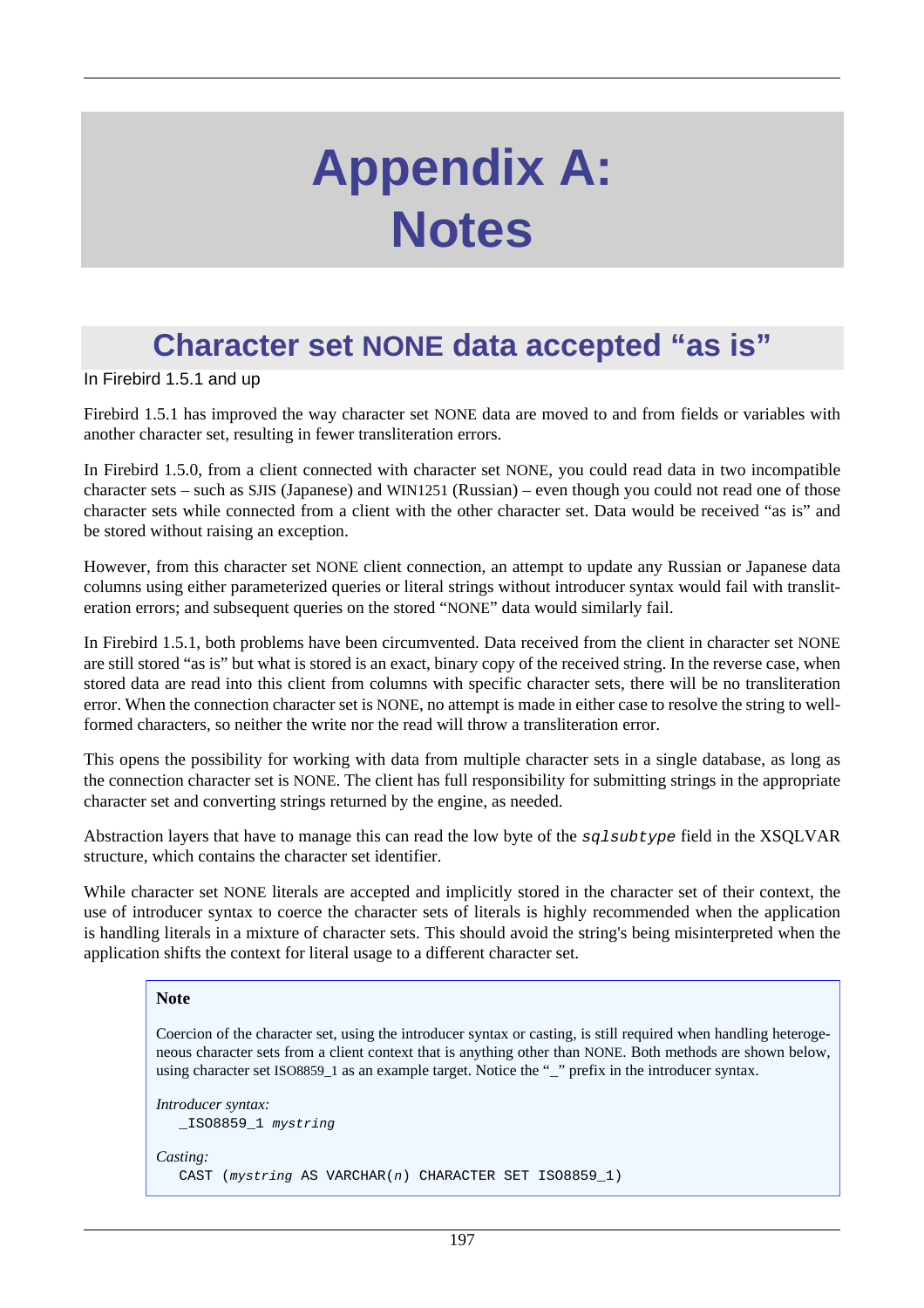# **Appendix A: Notes**

# **Character set NONE data accepted "as is"**

In Firebird 1.5.1 and up

Firebird 1.5.1 has improved the way character set NONE data are moved to and from fields or variables with another character set, resulting in fewer transliteration errors.

In Firebird 1.5.0, from a client connected with character set NONE, you could read data in two incompatible character sets – such as SJIS (Japanese) and WIN1251 (Russian) – even though you could not read one of those character sets while connected from a client with the other character set. Data would be received "as is" and be stored without raising an exception.

However, from this character set NONE client connection, an attempt to update any Russian or Japanese data columns using either parameterized queries or literal strings without introducer syntax would fail with transliteration errors; and subsequent queries on the stored "NONE" data would similarly fail.

In Firebird 1.5.1, both problems have been circumvented. Data received from the client in character set NONE are still stored "as is" but what is stored is an exact, binary copy of the received string. In the reverse case, when stored data are read into this client from columns with specific character sets, there will be no transliteration error. When the connection character set is NONE, no attempt is made in either case to resolve the string to wellformed characters, so neither the write nor the read will throw a transliteration error.

This opens the possibility for working with data from multiple character sets in a single database, as long as the connection character set is NONE. The client has full responsibility for submitting strings in the appropriate character set and converting strings returned by the engine, as needed.

Abstraction layers that have to manage this can read the low byte of the sqlsubtype field in the XSQLVAR structure, which contains the character set identifier.

While character set NONE literals are accepted and implicitly stored in the character set of their context, the use of introducer syntax to coerce the character sets of literals is highly recommended when the application is handling literals in a mixture of character sets. This should avoid the string's being misinterpreted when the application shifts the context for literal usage to a different character set.

#### **Note**

Coercion of the character set, using the introducer syntax or casting, is still required when handling heterogeneous character sets from a client context that is anything other than NONE. Both methods are shown below, using character set ISO8859\_1 as an example target. Notice the "\_" prefix in the introducer syntax.

```
Introducer syntax:
   _ISO8859_1 mystring
Casting:
   CAST (mystring AS VARCHAR(n) CHARACTER SET ISO8859_1)
```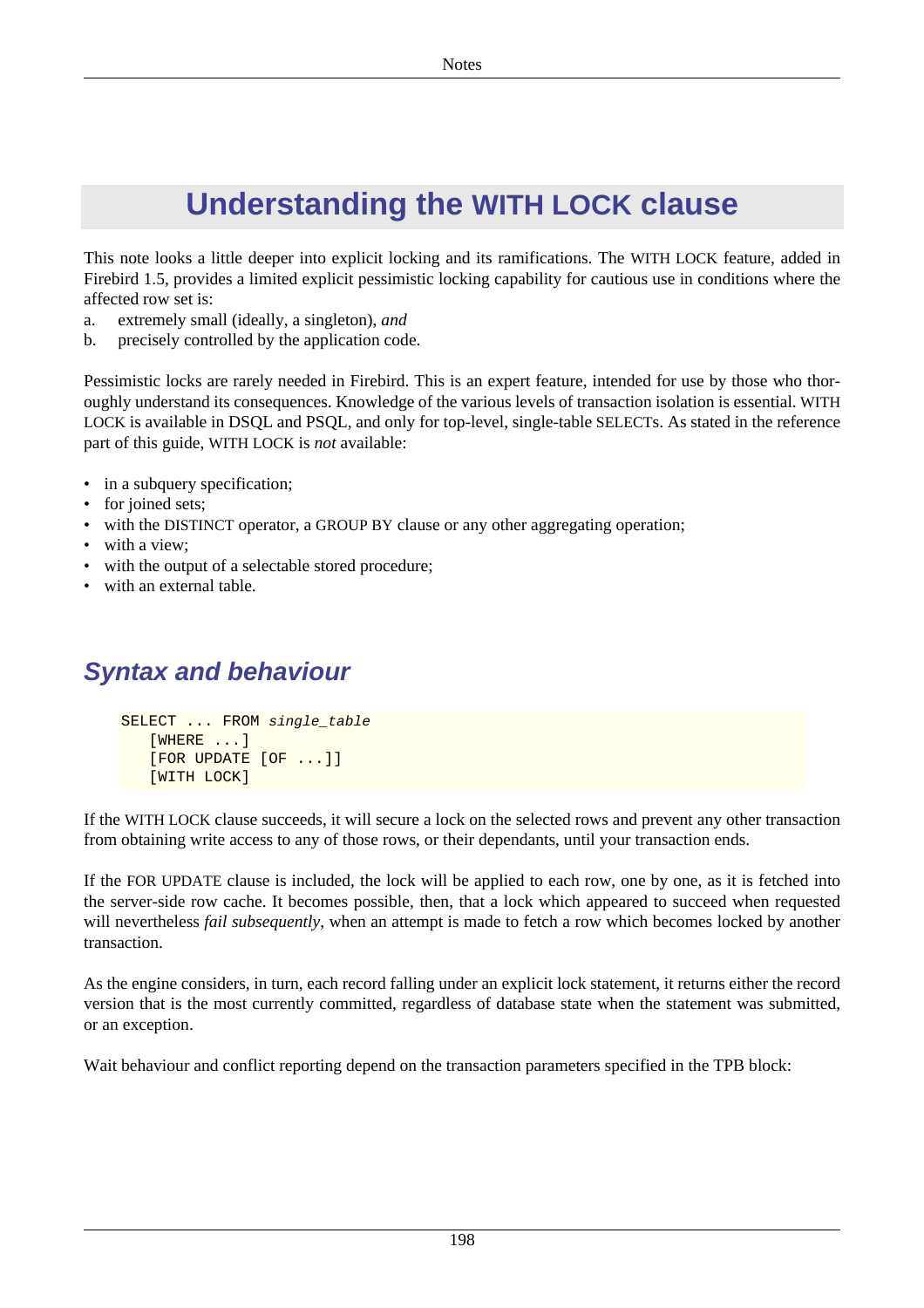# **Understanding the WITH LOCK clause**

This note looks a little deeper into explicit locking and its ramifications. The WITH LOCK feature, added in Firebird 1.5, provides a limited explicit pessimistic locking capability for cautious use in conditions where the affected row set is:

- a. extremely small (ideally, a singleton), *and*
- b. precisely controlled by the application code.

Pessimistic locks are rarely needed in Firebird. This is an expert feature, intended for use by those who thoroughly understand its consequences. Knowledge of the various levels of transaction isolation is essential. WITH LOCK is available in DSQL and PSQL, and only for top-level, single-table SELECTs. As stated in the reference part of this guide, WITH LOCK is *not* available:

- in a subquery specification;
- for joined sets;
- with the DISTINCT operator, a GROUP BY clause or any other aggregating operation;
- with a view;
- with the output of a selectable stored procedure;
- with an external table.

# **Syntax and behaviour**

```
SELECT ... FROM single_table
    [WHERE ...]
    [FOR UPDATE [OF ...]]
    [WITH LOCK]
```
If the WITH LOCK clause succeeds, it will secure a lock on the selected rows and prevent any other transaction from obtaining write access to any of those rows, or their dependants, until your transaction ends.

If the FOR UPDATE clause is included, the lock will be applied to each row, one by one, as it is fetched into the server-side row cache. It becomes possible, then, that a lock which appeared to succeed when requested will nevertheless *fail subsequently*, when an attempt is made to fetch a row which becomes locked by another transaction.

As the engine considers, in turn, each record falling under an explicit lock statement, it returns either the record version that is the most currently committed, regardless of database state when the statement was submitted, or an exception.

Wait behaviour and conflict reporting depend on the transaction parameters specified in the TPB block: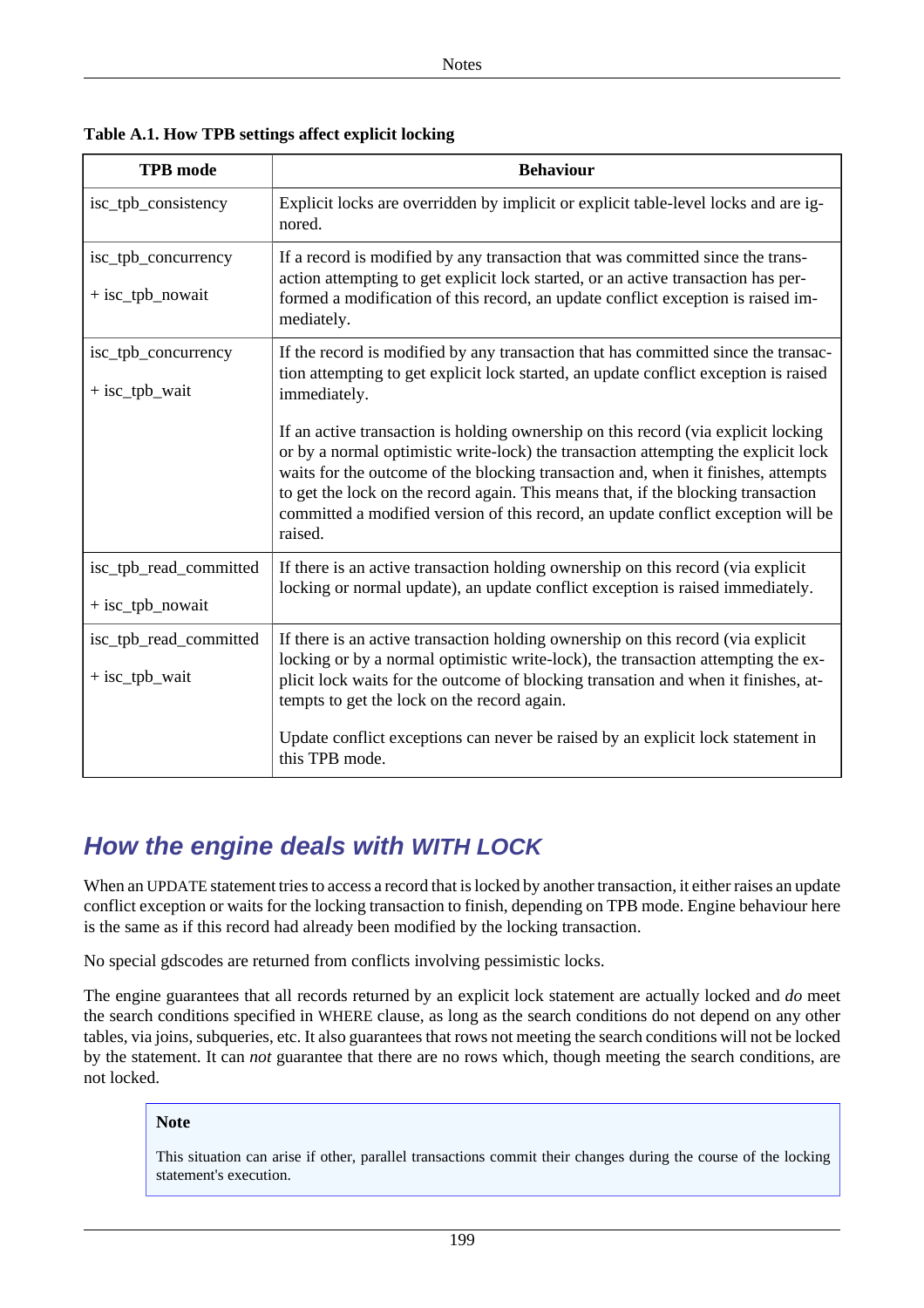| <b>TPB</b> mode                            | <b>Behaviour</b>                                                                                                                                                                                                                                                                                                                                                                                                                                   |
|--------------------------------------------|----------------------------------------------------------------------------------------------------------------------------------------------------------------------------------------------------------------------------------------------------------------------------------------------------------------------------------------------------------------------------------------------------------------------------------------------------|
| isc_tpb_consistency                        | Explicit locks are overridden by implicit or explicit table-level locks and are ig-<br>nored.                                                                                                                                                                                                                                                                                                                                                      |
| isc_tpb_concurrency<br>$+$ isc_tpb_nowait  | If a record is modified by any transaction that was committed since the trans-<br>action attempting to get explicit lock started, or an active transaction has per-<br>formed a modification of this record, an update conflict exception is raised im-<br>mediately.                                                                                                                                                                              |
| isc_tpb_concurrency<br>+ isc_tpb_wait      | If the record is modified by any transaction that has committed since the transac-<br>tion attempting to get explicit lock started, an update conflict exception is raised<br>immediately.                                                                                                                                                                                                                                                         |
|                                            | If an active transaction is holding ownership on this record (via explicit locking<br>or by a normal optimistic write-lock) the transaction attempting the explicit lock<br>waits for the outcome of the blocking transaction and, when it finishes, attempts<br>to get the lock on the record again. This means that, if the blocking transaction<br>committed a modified version of this record, an update conflict exception will be<br>raised. |
| isc_tpb_read_committed<br>+ isc_tpb_nowait | If there is an active transaction holding ownership on this record (via explicit<br>locking or normal update), an update conflict exception is raised immediately.                                                                                                                                                                                                                                                                                 |
| isc_tpb_read_committed<br>+ isc_tpb_wait   | If there is an active transaction holding ownership on this record (via explicit<br>locking or by a normal optimistic write-lock), the transaction attempting the ex-<br>plicit lock waits for the outcome of blocking transation and when it finishes, at-<br>tempts to get the lock on the record again.<br>Update conflict exceptions can never be raised by an explicit lock statement in<br>this TPB mode.                                    |

**Table A.1. How TPB settings affect explicit locking**

## **How the engine deals with WITH LOCK**

When an UPDATE statement tries to access a record that is locked by another transaction, it either raises an update conflict exception or waits for the locking transaction to finish, depending on TPB mode. Engine behaviour here is the same as if this record had already been modified by the locking transaction.

No special gdscodes are returned from conflicts involving pessimistic locks.

The engine guarantees that all records returned by an explicit lock statement are actually locked and *do* meet the search conditions specified in WHERE clause, as long as the search conditions do not depend on any other tables, via joins, subqueries, etc. It also guarantees that rows not meeting the search conditions will not be locked by the statement. It can *not* guarantee that there are no rows which, though meeting the search conditions, are not locked.

#### **Note**

This situation can arise if other, parallel transactions commit their changes during the course of the locking statement's execution.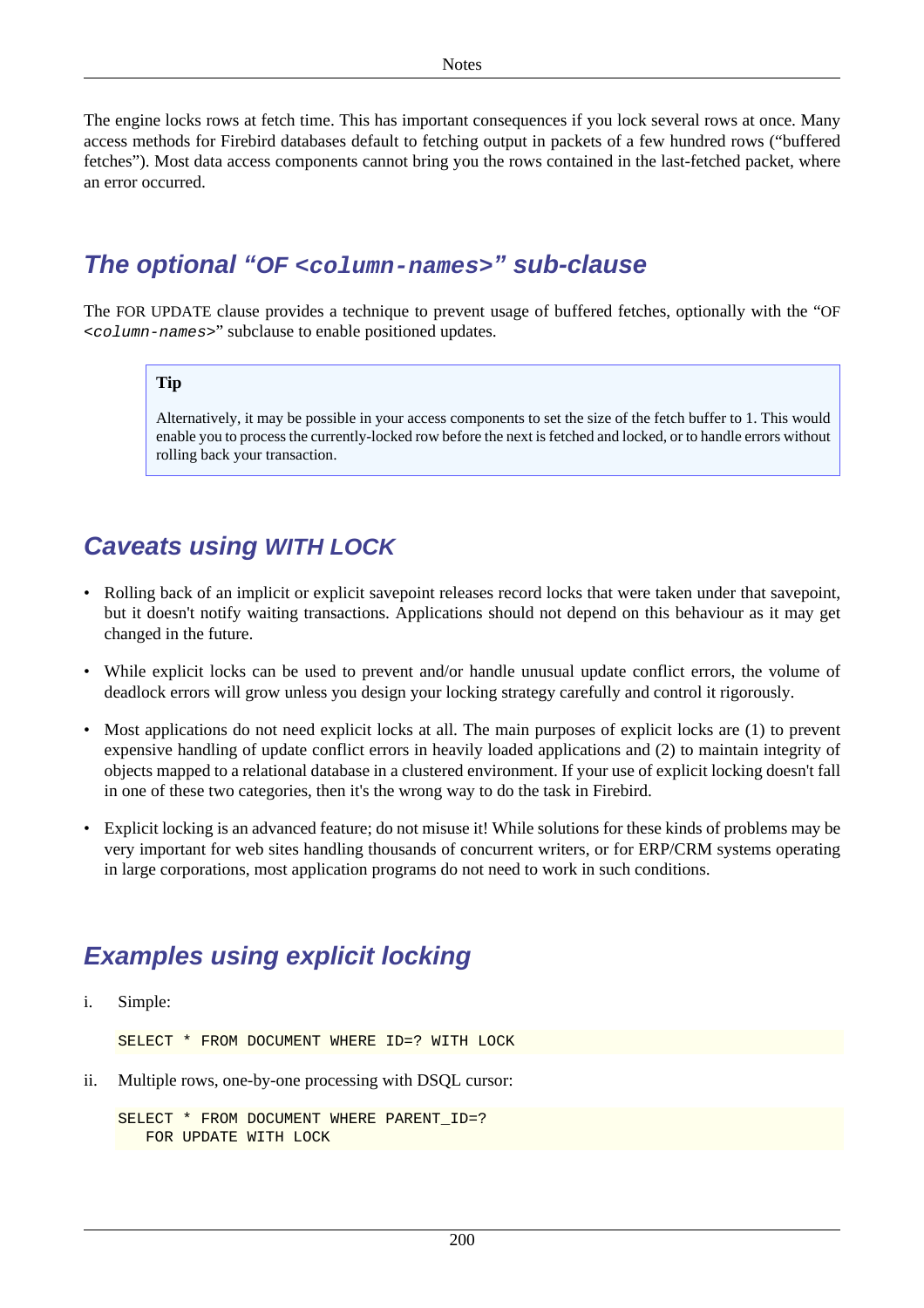The engine locks rows at fetch time. This has important consequences if you lock several rows at once. Many access methods for Firebird databases default to fetching output in packets of a few hundred rows ("buffered fetches"). Most data access components cannot bring you the rows contained in the last-fetched packet, where an error occurred.

## **The optional "OF <column-names>" sub-clause**

The FOR UPDATE clause provides a technique to prevent usage of buffered fetches, optionally with the "OF <column-names>" subclause to enable positioned updates.

#### **Tip**

Alternatively, it may be possible in your access components to set the size of the fetch buffer to 1. This would enable you to process the currently-locked row before the next is fetched and locked, or to handle errors without rolling back your transaction.

## **Caveats using WITH LOCK**

- Rolling back of an implicit or explicit savepoint releases record locks that were taken under that savepoint, but it doesn't notify waiting transactions. Applications should not depend on this behaviour as it may get changed in the future.
- While explicit locks can be used to prevent and/or handle unusual update conflict errors, the volume of deadlock errors will grow unless you design your locking strategy carefully and control it rigorously.
- Most applications do not need explicit locks at all. The main purposes of explicit locks are (1) to prevent expensive handling of update conflict errors in heavily loaded applications and (2) to maintain integrity of objects mapped to a relational database in a clustered environment. If your use of explicit locking doesn't fall in one of these two categories, then it's the wrong way to do the task in Firebird.
- Explicit locking is an advanced feature; do not misuse it! While solutions for these kinds of problems may be very important for web sites handling thousands of concurrent writers, or for ERP/CRM systems operating in large corporations, most application programs do not need to work in such conditions.

## **Examples using explicit locking**

i. Simple:

SELECT \* FROM DOCUMENT WHERE ID=? WITH LOCK

ii. Multiple rows, one-by-one processing with DSQL cursor:

```
SELECT * FROM DOCUMENT WHERE PARENT ID=?
    FOR UPDATE WITH LOCK
```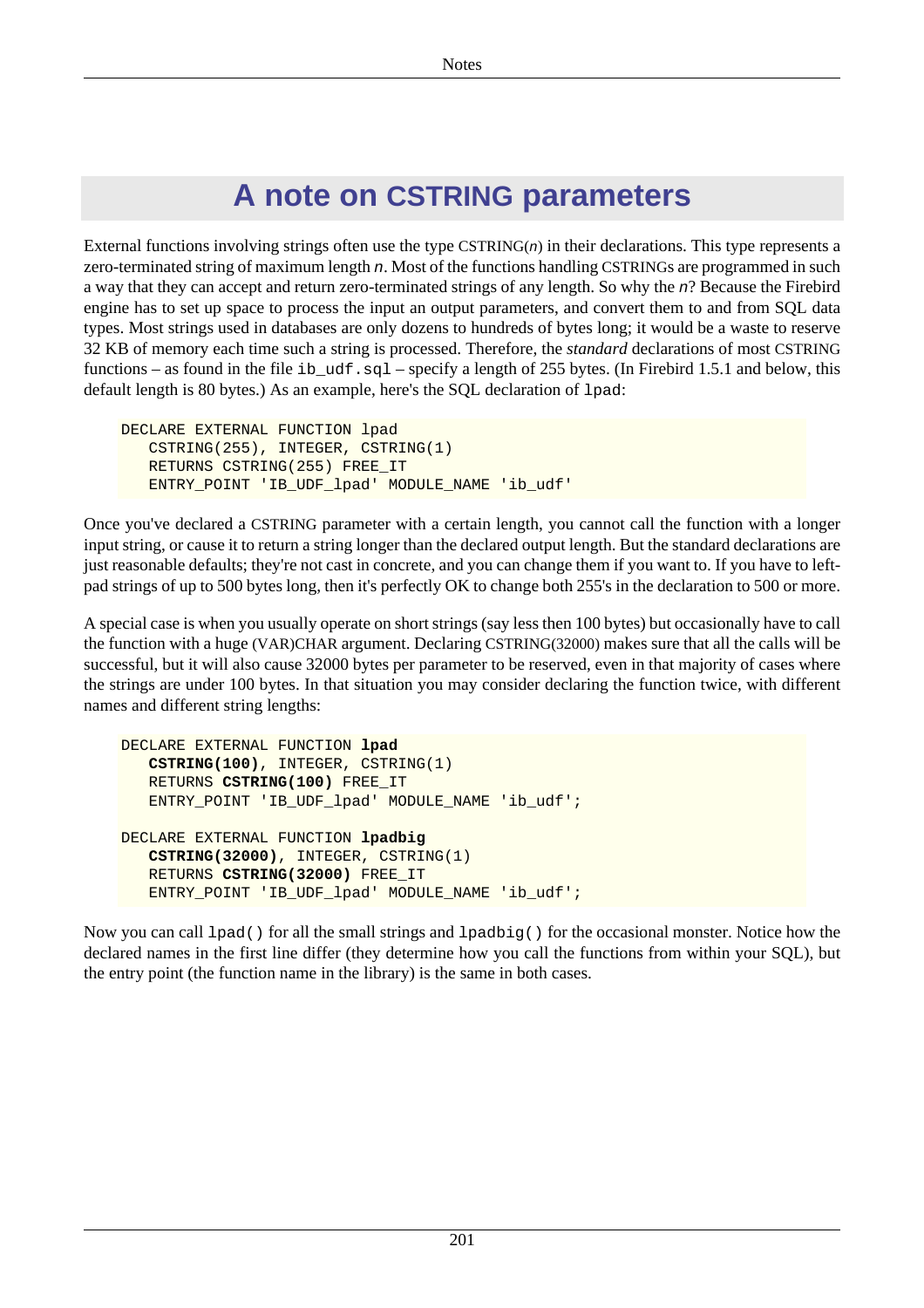# **A note on CSTRING parameters**

<span id="page-211-0"></span>External functions involving strings often use the type  $CSTRING(n)$  in their declarations. This type represents a zero-terminated string of maximum length n. Most of the functions handling CSTRINGs are programmed in such a way that they can accept and return zero-terminated strings of any length. So why the n? Because the Firebird engine has to set up space to process the input an output parameters, and convert them to and from SQL data types. Most strings used in databases are only dozens to hundreds of bytes long; it would be a waste to reserve 32 KB of memory each time such a string is processed. Therefore, the *standard* declarations of most CSTRING functions – as found in the file ib\_udf.sql – specify a length of 255 bytes. (In Firebird 1.5.1 and below, this default length is 80 bytes.) As an example, here's the SQL declaration of lpad:

```
DECLARE EXTERNAL FUNCTION lpad
    CSTRING(255), INTEGER, CSTRING(1)
    RETURNS CSTRING(255) FREE_IT
    ENTRY_POINT 'IB_UDF_lpad' MODULE_NAME 'ib_udf'
```
Once you've declared a CSTRING parameter with a certain length, you cannot call the function with a longer input string, or cause it to return a string longer than the declared output length. But the standard declarations are just reasonable defaults; they're not cast in concrete, and you can change them if you want to. If you have to leftpad strings of up to 500 bytes long, then it's perfectly OK to change both 255's in the declaration to 500 or more.

A special case is when you usually operate on short strings (say less then 100 bytes) but occasionally have to call the function with a huge (VAR)CHAR argument. Declaring CSTRING(32000) makes sure that all the calls will be successful, but it will also cause 32000 bytes per parameter to be reserved, even in that majority of cases where the strings are under 100 bytes. In that situation you may consider declaring the function twice, with different names and different string lengths:

```
DECLARE EXTERNAL FUNCTION lpad
    CSTRING(100), INTEGER, CSTRING(1)
    RETURNS CSTRING(100) FREE_IT
    ENTRY_POINT 'IB_UDF_lpad' MODULE_NAME 'ib_udf';
DECLARE EXTERNAL FUNCTION lpadbig
    CSTRING(32000), INTEGER, CSTRING(1)
    RETURNS CSTRING(32000) FREE_IT
   ENTRY_POINT 'IB_UDF_lpad' MODULE_NAME 'ib_udf';
```
Now you can call  $1$  pad() for all the small strings and  $1$  padbig() for the occasional monster. Notice how the declared names in the first line differ (they determine how you call the functions from within your SQL), but the entry point (the function name in the library) is the same in both cases.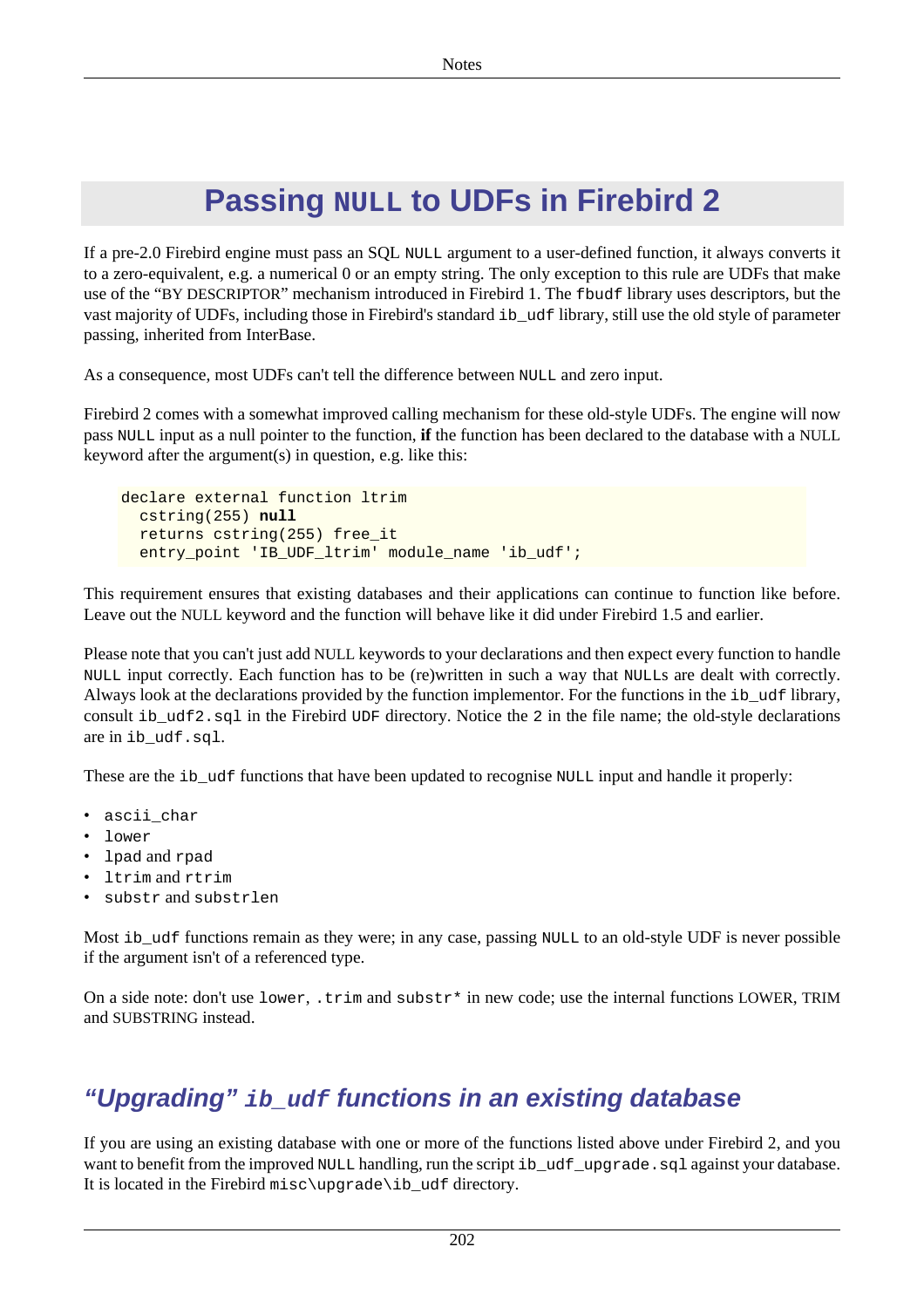# **Passing NULL to UDFs in Firebird 2**

<span id="page-212-0"></span>If a pre-2.0 Firebird engine must pass an SQL NULL argument to a user-defined function, it always converts it to a zero-equivalent, e.g. a numerical 0 or an empty string. The only exception to this rule are UDFs that make use of the "BY DESCRIPTOR" mechanism introduced in Firebird 1. The fbudf library uses descriptors, but the vast majority of UDFs, including those in Firebird's standard ib\_udf library, still use the old style of parameter passing, inherited from InterBase.

As a consequence, most UDFs can't tell the difference between NULL and zero input.

Firebird 2 comes with a somewhat improved calling mechanism for these old-style UDFs. The engine will now pass NULL input as a null pointer to the function, **if** the function has been declared to the database with a NULL keyword after the argument(s) in question, e.g. like this:

```
declare external function ltrim
   cstring(255) null
   returns cstring(255) free_it
   entry_point 'IB_UDF_ltrim' module_name 'ib_udf';
```
This requirement ensures that existing databases and their applications can continue to function like before. Leave out the NULL keyword and the function will behave like it did under Firebird 1.5 and earlier.

Please note that you can't just add NULL keywords to your declarations and then expect every function to handle NULL input correctly. Each function has to be (re)written in such a way that NULLs are dealt with correctly. Always look at the declarations provided by the function implementor. For the functions in the ib\_udf library, consult ib\_udf2.sql in the Firebird UDF directory. Notice the 2 in the file name; the old-style declarations are in ib\_udf.sql.

These are the ib\_udf functions that have been updated to recognise NULL input and handle it properly:

- ascii\_char
- lower
- lpad and rpad
- ltrim and rtrim
- substr and substrlen

Most ib\_udf functions remain as they were; in any case, passing NULL to an old-style UDF is never possible if the argument isn't of a referenced type.

On a side note: don't use  $lower$ ,  $trim$  and  $substr*$  in new code; use the internal functions LOWER, TRIM and SUBSTRING instead.

# **"Upgrading" ib\_udf functions in an existing database**

If you are using an existing database with one or more of the functions listed above under Firebird 2, and you want to benefit from the improved NULL handling, run the script ib\_udf\_upgrade.sql against your database. It is located in the Firebird misc\upgrade\ib udf directory.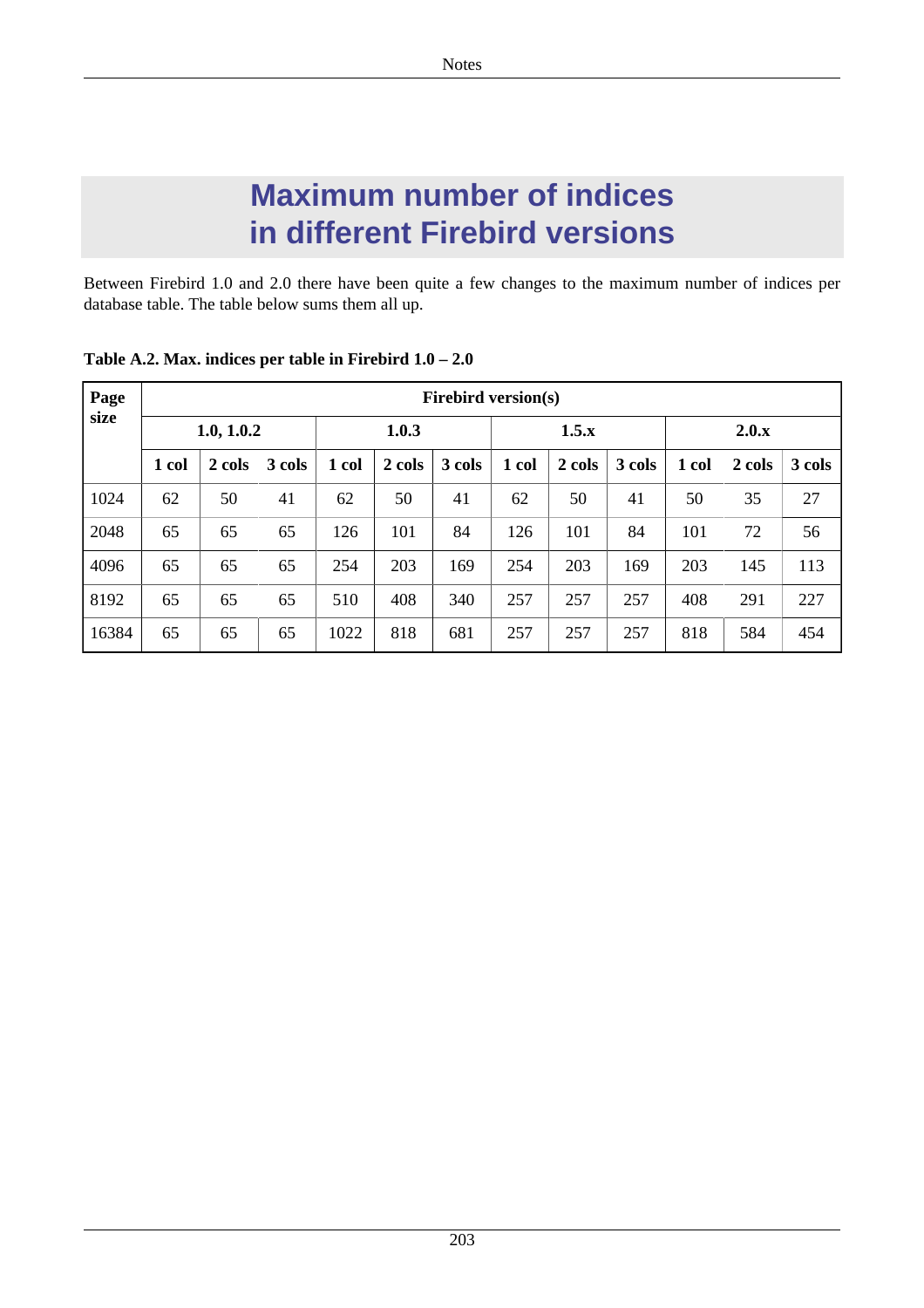# **Maximum number of indices in different Firebird versions**

Between Firebird 1.0 and 2.0 there have been quite a few changes to the maximum number of indices per database table. The table below sums them all up.

| Page<br>size | <b>Firebird version(s)</b> |        |        |       |        |        |       |        |        |       |        |        |
|--------------|----------------------------|--------|--------|-------|--------|--------|-------|--------|--------|-------|--------|--------|
|              | 1.0, 1.0.2                 |        |        | 1.0.3 |        |        | 1.5.x |        |        | 2.0.x |        |        |
|              | 1 col                      | 2 cols | 3 cols | 1 col | 2 cols | 3 cols | 1 col | 2 cols | 3 cols | 1 col | 2 cols | 3 cols |
| 1024         | 62                         | 50     | 41     | 62    | 50     | 41     | 62    | 50     | 41     | 50    | 35     | 27     |
| 2048         | 65                         | 65     | 65     | 126   | 101    | 84     | 126   | 101    | 84     | 101   | 72     | 56     |
| 4096         | 65                         | 65     | 65     | 254   | 203    | 169    | 254   | 203    | 169    | 203   | 145    | 113    |
| 8192         | 65                         | 65     | 65     | 510   | 408    | 340    | 257   | 257    | 257    | 408   | 291    | 227    |
| 16384        | 65                         | 65     | 65     | 1022  | 818    | 681    | 257   | 257    | 257    | 818   | 584    | 454    |

**Table A.2. Max. indices per table in Firebird 1.0 – 2.0**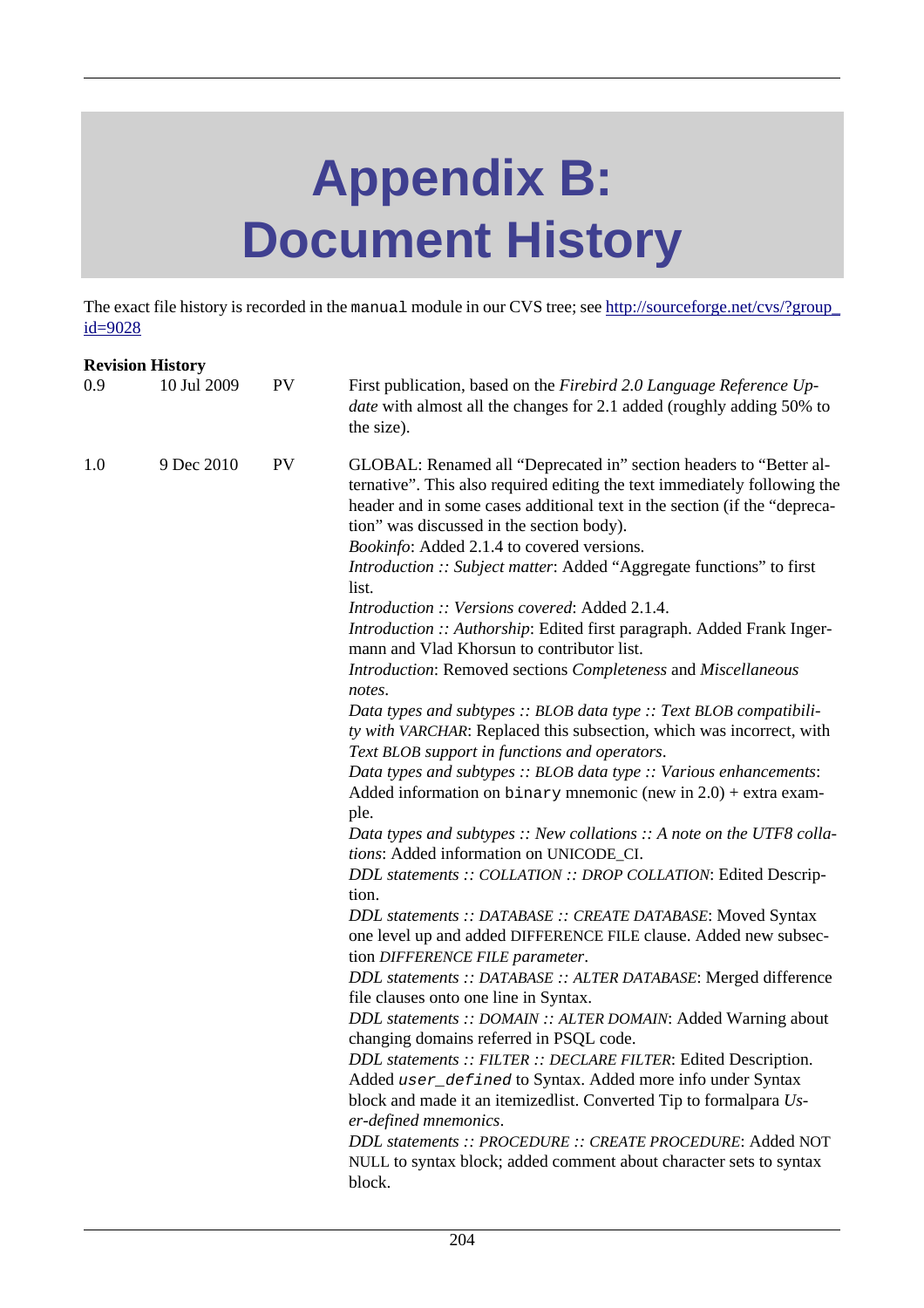# **Appendix B: Document History**

The exact file history is recorded in the manual module in our CVS tree; see [http://sourceforge.net/cvs/?group\\_](http://sourceforge.net/cvs/?group_id=9028) [id=9028](http://sourceforge.net/cvs/?group_id=9028)

|     | <b>Revision History</b> |           |                                                                                                                                                                                                                                                                                                                                                                                                                                                                                                                                                                                                                                                                                                                                                                                                                                                                                                                                                                                                                                                                                                                                                                                                                                                                                                                                                                                                                                                                                                                                                                                                                                                                                                                                                                                                                                                        |
|-----|-------------------------|-----------|--------------------------------------------------------------------------------------------------------------------------------------------------------------------------------------------------------------------------------------------------------------------------------------------------------------------------------------------------------------------------------------------------------------------------------------------------------------------------------------------------------------------------------------------------------------------------------------------------------------------------------------------------------------------------------------------------------------------------------------------------------------------------------------------------------------------------------------------------------------------------------------------------------------------------------------------------------------------------------------------------------------------------------------------------------------------------------------------------------------------------------------------------------------------------------------------------------------------------------------------------------------------------------------------------------------------------------------------------------------------------------------------------------------------------------------------------------------------------------------------------------------------------------------------------------------------------------------------------------------------------------------------------------------------------------------------------------------------------------------------------------------------------------------------------------------------------------------------------------|
| 0.9 | 10 Jul 2009             | <b>PV</b> | First publication, based on the Firebird 2.0 Language Reference Up-<br><i>date</i> with almost all the changes for 2.1 added (roughly adding 50% to<br>the size).                                                                                                                                                                                                                                                                                                                                                                                                                                                                                                                                                                                                                                                                                                                                                                                                                                                                                                                                                                                                                                                                                                                                                                                                                                                                                                                                                                                                                                                                                                                                                                                                                                                                                      |
| 1.0 | 9 Dec 2010              | <b>PV</b> | GLOBAL: Renamed all "Deprecated in" section headers to "Better al-<br>ternative". This also required editing the text immediately following the<br>header and in some cases additional text in the section (if the "depreca-<br>tion" was discussed in the section body).<br>Bookinfo: Added 2.1.4 to covered versions.<br>Introduction :: Subject matter: Added "Aggregate functions" to first<br>list.<br>Introduction :: Versions covered: Added 2.1.4.<br>Introduction :: Authorship: Edited first paragraph. Added Frank Inger-<br>mann and Vlad Khorsun to contributor list.<br>Introduction: Removed sections Completeness and Miscellaneous<br>notes.<br>Data types and subtypes :: BLOB data type :: Text BLOB compatibili-<br>ty with VARCHAR: Replaced this subsection, which was incorrect, with<br>Text BLOB support in functions and operators.<br>Data types and subtypes :: BLOB data type :: Various enhancements:<br>Added information on $\frac{1}{2}$ memonic (new in 2.0) + extra exam-<br>ple.<br>Data types and subtypes $::$ New collations $::$ A note on the UTF8 colla-<br>tions: Added information on UNICODE_CI.<br>DDL statements :: COLLATION :: DROP COLLATION: Edited Descrip-<br>tion.<br>DDL statements :: DATABASE :: CREATE DATABASE: Moved Syntax<br>one level up and added DIFFERENCE FILE clause. Added new subsec-<br>tion DIFFERENCE FILE parameter.<br>DDL statements :: DATABASE :: ALTER DATABASE: Merged difference<br>file clauses onto one line in Syntax.<br>DDL statements :: DOMAIN :: ALTER DOMAIN: Added Warning about<br>changing domains referred in PSQL code.<br>DDL statements :: FILTER :: DECLARE FILTER: Edited Description.<br>Added user_defined to Syntax. Added more info under Syntax<br>block and made it an itemizedlist. Converted Tip to formalpara Us-<br>er-defined mnemonics. |
|     |                         |           | DDL statements :: PROCEDURE :: CREATE PROCEDURE: Added NOT<br>NULL to syntax block; added comment about character sets to syntax<br>block.                                                                                                                                                                                                                                                                                                                                                                                                                                                                                                                                                                                                                                                                                                                                                                                                                                                                                                                                                                                                                                                                                                                                                                                                                                                                                                                                                                                                                                                                                                                                                                                                                                                                                                             |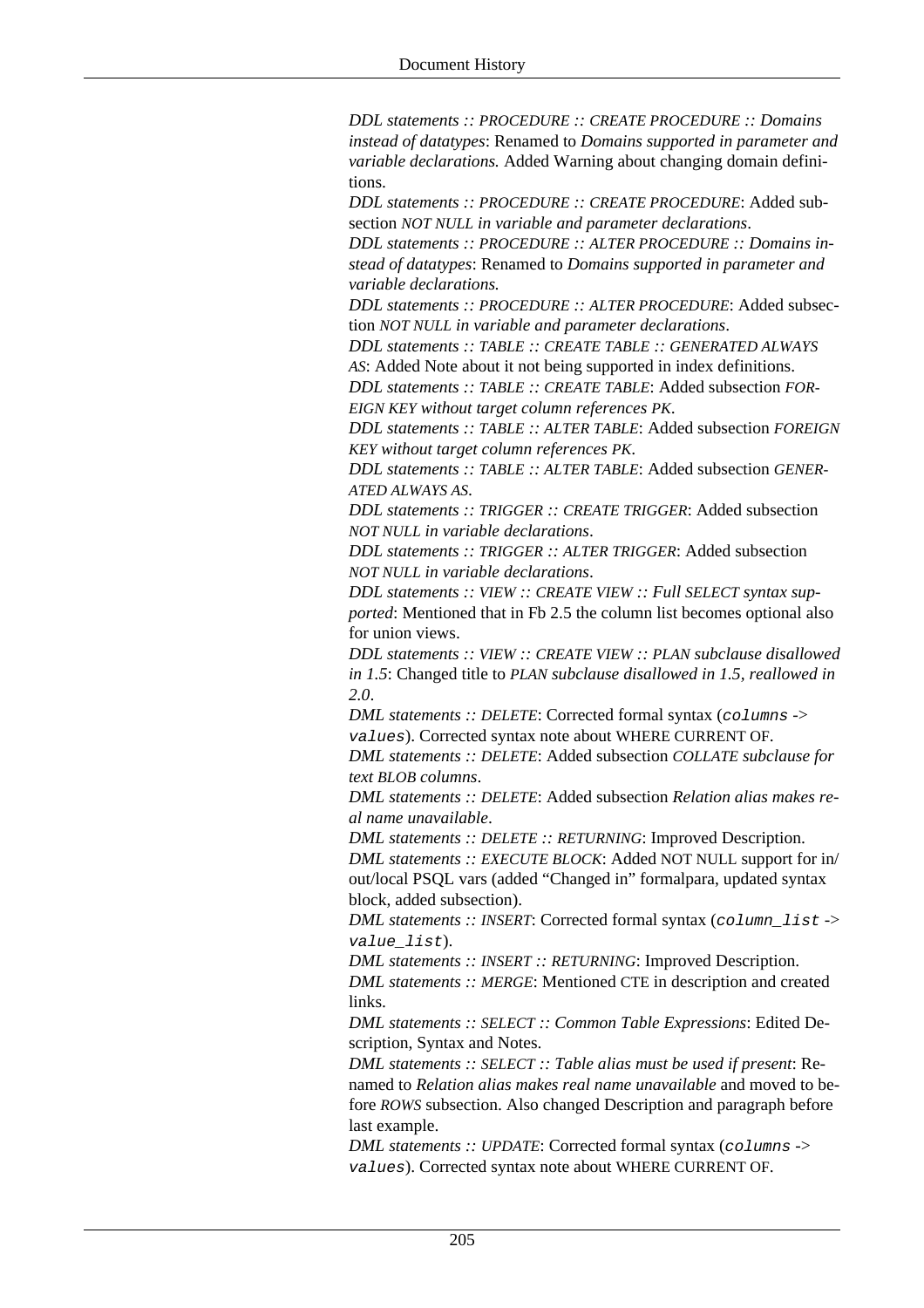*DDL statements :: PROCEDURE :: CREATE PROCEDURE :: Domains instead of datatypes*: Renamed to *Domains supported in parameter and variable declarations.* Added Warning about changing domain definitions.

*DDL statements :: PROCEDURE :: CREATE PROCEDURE*: Added subsection *NOT NULL in variable and parameter declarations*.

*DDL statements :: PROCEDURE :: ALTER PROCEDURE :: Domains instead of datatypes*: Renamed to *Domains supported in parameter and variable declarations.*

*DDL statements :: PROCEDURE :: ALTER PROCEDURE*: Added subsection *NOT NULL in variable and parameter declarations*.

*DDL statements :: TABLE :: CREATE TABLE :: GENERATED ALWAYS*

*AS*: Added Note about it not being supported in index definitions.

*DDL statements :: TABLE :: CREATE TABLE*: Added subsection *FOR-EIGN KEY without target column references PK*.

*DDL statements :: TABLE :: ALTER TABLE*: Added subsection *FOREIGN KEY without target column references PK*.

*DDL statements :: TABLE :: ALTER TABLE*: Added subsection *GENER-ATED ALWAYS AS*.

*DDL statements :: TRIGGER :: CREATE TRIGGER*: Added subsection *NOT NULL in variable declarations*.

*DDL statements :: TRIGGER :: ALTER TRIGGER*: Added subsection *NOT NULL in variable declarations*.

*DDL statements :: VIEW :: CREATE VIEW :: Full SELECT syntax supported*: Mentioned that in Fb 2.5 the column list becomes optional also for union views.

*DDL statements :: VIEW :: CREATE VIEW :: PLAN subclause disallowed in 1.5*: Changed title to *PLAN subclause disallowed in 1.5, reallowed in 2.0*.

*DML statements :: DELETE*: Corrected formal syntax (columns -> values). Corrected syntax note about WHERE CURRENT OF.

*DML statements :: DELETE*: Added subsection *COLLATE subclause for text BLOB columns*.

*DML statements :: DELETE*: Added subsection *Relation alias makes real name unavailable*.

*DML statements :: DELETE :: RETURNING*: Improved Description. *DML statements :: EXECUTE BLOCK*: Added NOT NULL support for in/ out/local PSQL vars (added "Changed in" formalpara, updated syntax block, added subsection).

*DML statements :: INSERT*: Corrected formal syntax (column\_list -> value list).

*DML statements :: INSERT :: RETURNING*: Improved Description.

*DML statements :: MERGE*: Mentioned CTE in description and created links.

*DML statements :: SELECT :: Common Table Expressions*: Edited Description, Syntax and Notes.

*DML statements :: SELECT :: Table alias must be used if present*: Renamed to *Relation alias makes real name unavailable* and moved to before *ROWS* subsection. Also changed Description and paragraph before last example.

*DML statements :: UPDATE*: Corrected formal syntax (columns -> values). Corrected syntax note about WHERE CURRENT OF.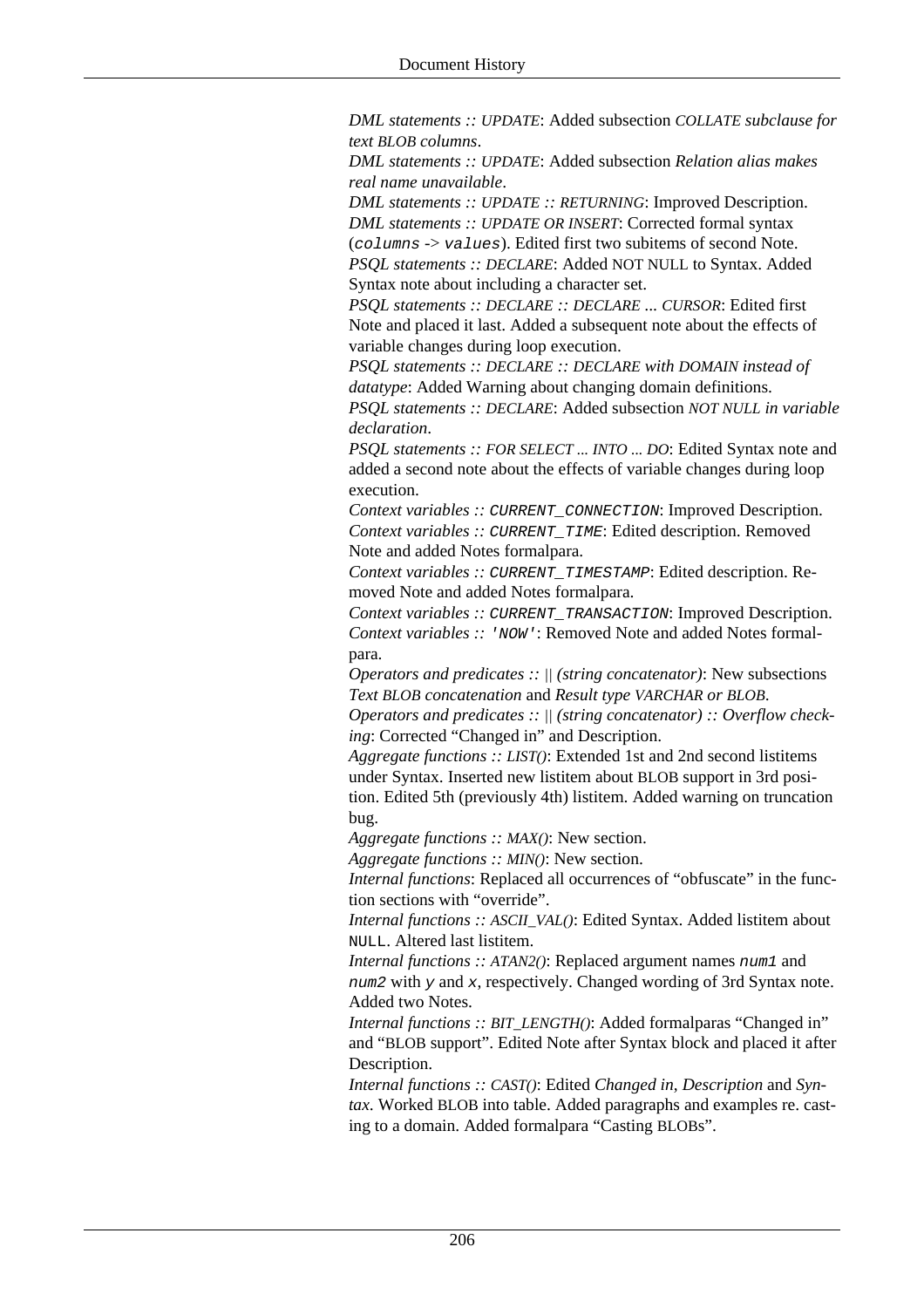*DML statements :: UPDATE*: Added subsection *COLLATE subclause for text BLOB columns*.

*DML statements :: UPDATE*: Added subsection *Relation alias makes real name unavailable*.

*DML statements :: UPDATE :: RETURNING*: Improved Description. *DML statements :: UPDATE OR INSERT*: Corrected formal syntax

(columns -> values). Edited first two subitems of second Note. *PSQL statements :: DECLARE*: Added NOT NULL to Syntax. Added Syntax note about including a character set.

*PSQL statements :: DECLARE :: DECLARE ... CURSOR*: Edited first Note and placed it last. Added a subsequent note about the effects of variable changes during loop execution.

*PSQL statements :: DECLARE :: DECLARE with DOMAIN instead of datatype*: Added Warning about changing domain definitions. *PSQL statements :: DECLARE*: Added subsection *NOT NULL in variable declaration*.

*PSQL statements :: FOR SELECT ... INTO ... DO*: Edited Syntax note and added a second note about the effects of variable changes during loop execution.

*Context variables ::* CURRENT\_CONNECTION: Improved Description. *Context variables ::* CURRENT\_TIME: Edited description. Removed Note and added Notes formalpara.

*Context variables ::* CURRENT\_TIMESTAMP: Edited description. Removed Note and added Notes formalpara.

*Context variables :: CURRENT\_TRANSACTION: Improved Description. Context variables ::* 'NOW': Removed Note and added Notes formalpara.

*Operators and predicates :: || (string concatenator)*: New subsections *Text BLOB concatenation* and *Result type VARCHAR or BLOB*.

*Operators and predicates :: || (string concatenator) :: Overflow checking*: Corrected "Changed in" and Description.

*Aggregate functions :: LIST()*: Extended 1st and 2nd second listitems under Syntax. Inserted new listitem about BLOB support in 3rd position. Edited 5th (previously 4th) listitem. Added warning on truncation bug.

*Aggregate functions :: MAX()*: New section.

*Aggregate functions :: MIN()*: New section.

*Internal functions*: Replaced all occurrences of "obfuscate" in the function sections with "override".

*Internal functions :: ASCII\_VAL()*: Edited Syntax. Added listitem about NULL. Altered last listitem.

*Internal functions :: ATAN2()*: Replaced argument names num1 and num2 with  $y$  and  $x$ , respectively. Changed wording of 3rd Syntax note. Added two Notes.

*Internal functions :: BIT\_LENGTH()*: Added formalparas "Changed in" and "BLOB support". Edited Note after Syntax block and placed it after Description.

*Internal functions :: CAST()*: Edited *Changed in*, *Description* and *Syntax*. Worked BLOB into table. Added paragraphs and examples re. casting to a domain. Added formalpara "Casting BLOBs".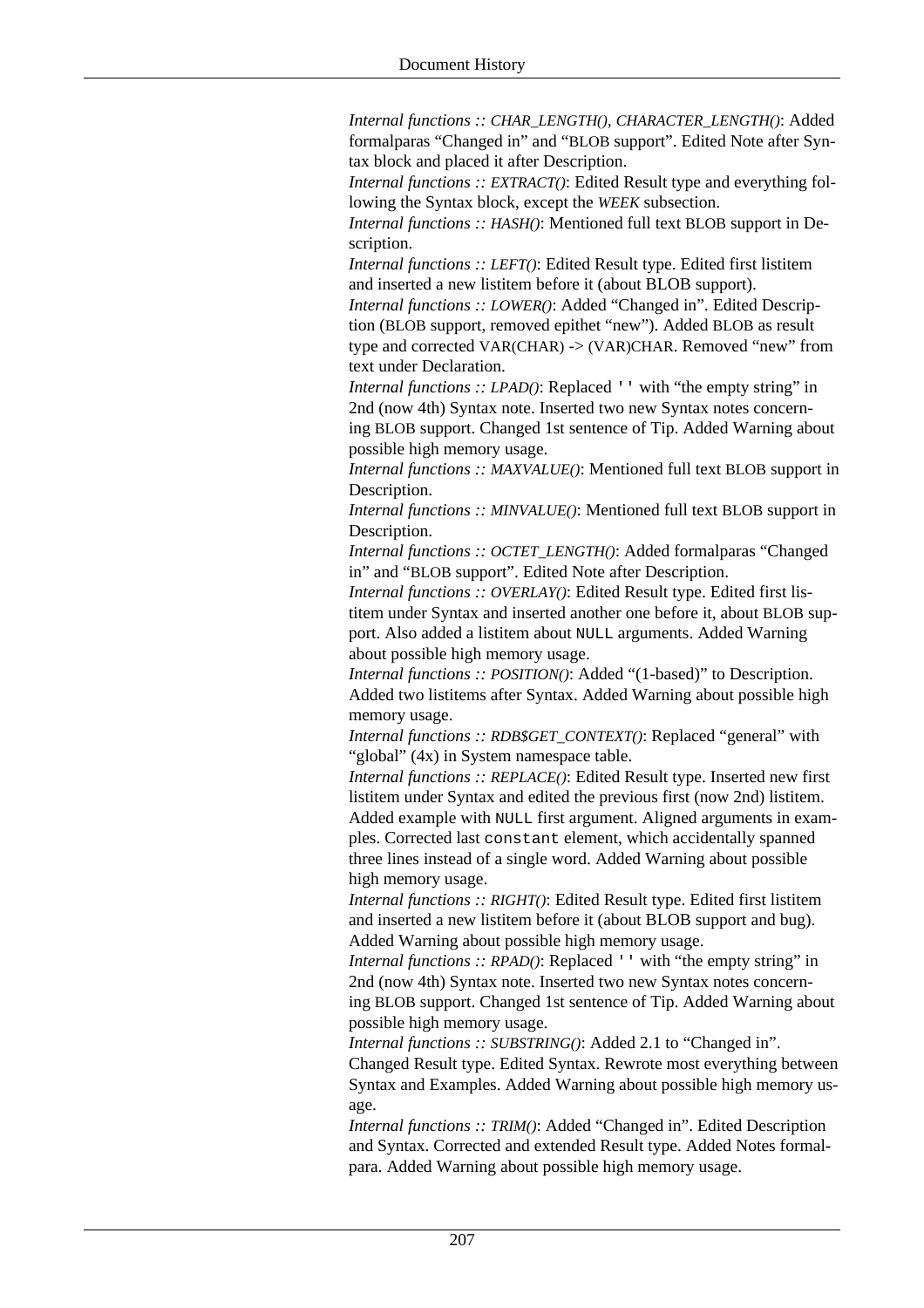*Internal functions :: CHAR\_LENGTH(), CHARACTER\_LENGTH()*: Added formalparas "Changed in" and "BLOB support". Edited Note after Syntax block and placed it after Description.

*Internal functions :: EXTRACT()*: Edited Result type and everything following the Syntax block, except the *WEEK* subsection.

*Internal functions :: HASH()*: Mentioned full text BLOB support in Description.

*Internal functions :: LEFT()*: Edited Result type. Edited first listitem and inserted a new listitem before it (about BLOB support).

*Internal functions :: LOWER()*: Added "Changed in". Edited Description (BLOB support, removed epithet "new"). Added BLOB as result type and corrected VAR(CHAR) -> (VAR)CHAR. Removed "new" from text under Declaration.

*Internal functions :: LPAD()*: Replaced '' with "the empty string" in 2nd (now 4th) Syntax note. Inserted two new Syntax notes concerning BLOB support. Changed 1st sentence of Tip. Added Warning about possible high memory usage.

*Internal functions :: MAXVALUE()*: Mentioned full text BLOB support in Description.

*Internal functions :: MINVALUE()*: Mentioned full text BLOB support in Description.

*Internal functions :: OCTET\_LENGTH()*: Added formalparas "Changed in" and "BLOB support". Edited Note after Description.

*Internal functions :: OVERLAY()*: Edited Result type. Edited first listitem under Syntax and inserted another one before it, about BLOB support. Also added a listitem about NULL arguments. Added Warning about possible high memory usage.

*Internal functions :: POSITION()*: Added "(1-based)" to Description. Added two listitems after Syntax. Added Warning about possible high memory usage.

*Internal functions :: RDB\$GET\_CONTEXT()*: Replaced "general" with "global" (4x) in System namespace table.

*Internal functions :: REPLACE()*: Edited Result type. Inserted new first listitem under Syntax and edited the previous first (now 2nd) listitem. Added example with NULL first argument. Aligned arguments in examples. Corrected last constant element, which accidentally spanned three lines instead of a single word. Added Warning about possible high memory usage.

*Internal functions :: RIGHT()*: Edited Result type. Edited first listitem and inserted a new listitem before it (about BLOB support and bug). Added Warning about possible high memory usage.

*Internal functions :: RPAD()*: Replaced '' with "the empty string" in 2nd (now 4th) Syntax note. Inserted two new Syntax notes concerning BLOB support. Changed 1st sentence of Tip. Added Warning about possible high memory usage.

*Internal functions :: SUBSTRING()*: Added 2.1 to "Changed in". Changed Result type. Edited Syntax. Rewrote most everything between Syntax and Examples. Added Warning about possible high memory usage.

*Internal functions :: TRIM()*: Added "Changed in". Edited Description and Syntax. Corrected and extended Result type. Added Notes formalpara. Added Warning about possible high memory usage.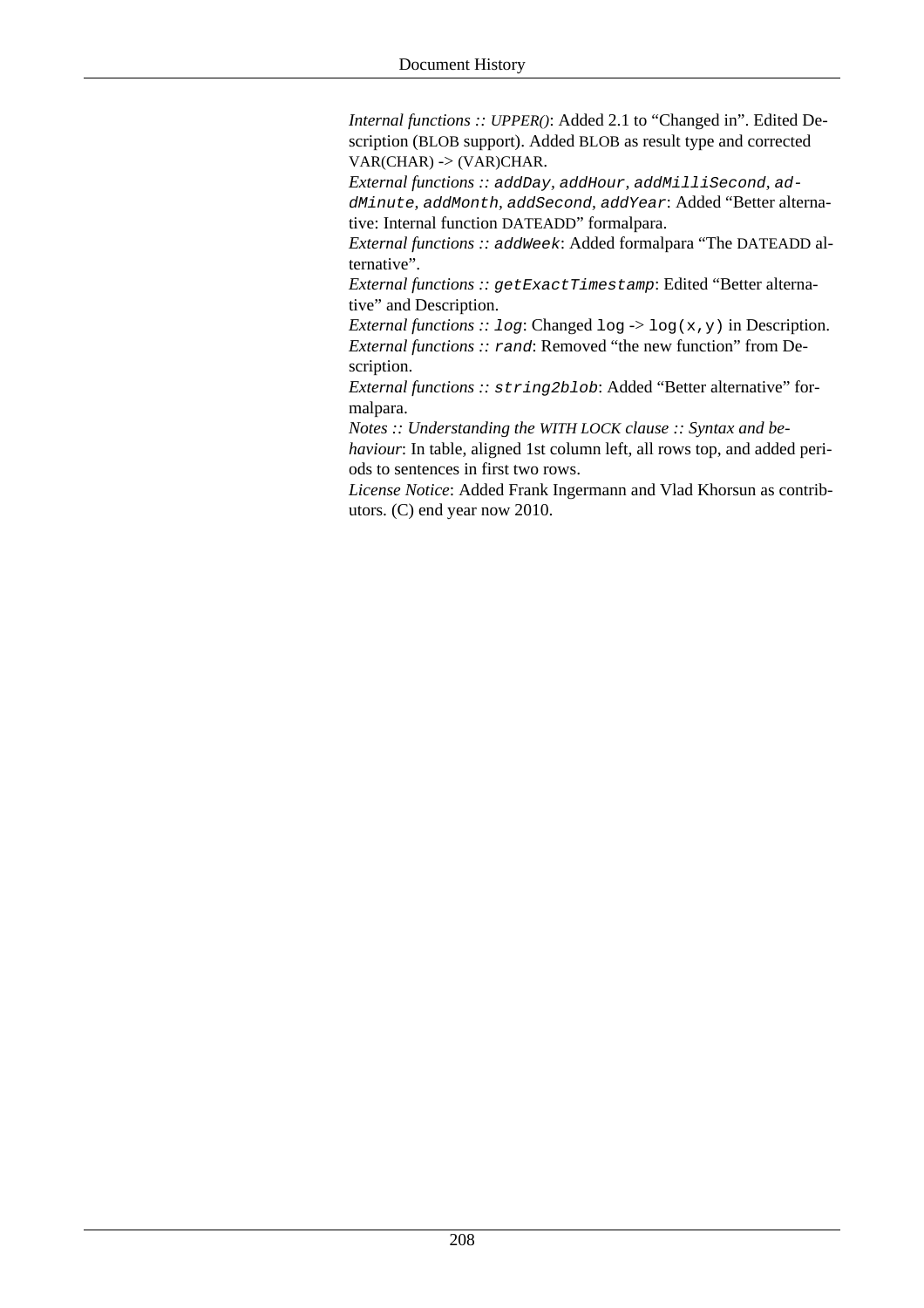*Internal functions :: UPPER()*: Added 2.1 to "Changed in". Edited Description (BLOB support). Added BLOB as result type and corrected VAR(CHAR) -> (VAR)CHAR.

*External functions ::* addDay*,* addHour*,* addMilliSecond*,* addMinute*,* addMonth*,* addSecond*,* addYear: Added "Better alternative: Internal function DATEADD" formalpara.

*External functions ::* addWeek: Added formalpara "The DATEADD alternative".

*External functions :: getExactTimestamp*: Edited "Better alternative" and Description.

*External functions :: log:* Changed log  $\rightarrow$  log(x,y) in Description. *External functions ::* rand: Removed "the new function" from Description.

*External functions ::* string2blob: Added "Better alternative" formalpara.

*Notes :: Understanding the WITH LOCK clause :: Syntax and be-*

*haviour*: In table, aligned 1st column left, all rows top, and added periods to sentences in first two rows.

*License Notice*: Added Frank Ingermann and Vlad Khorsun as contributors. (C) end year now 2010.